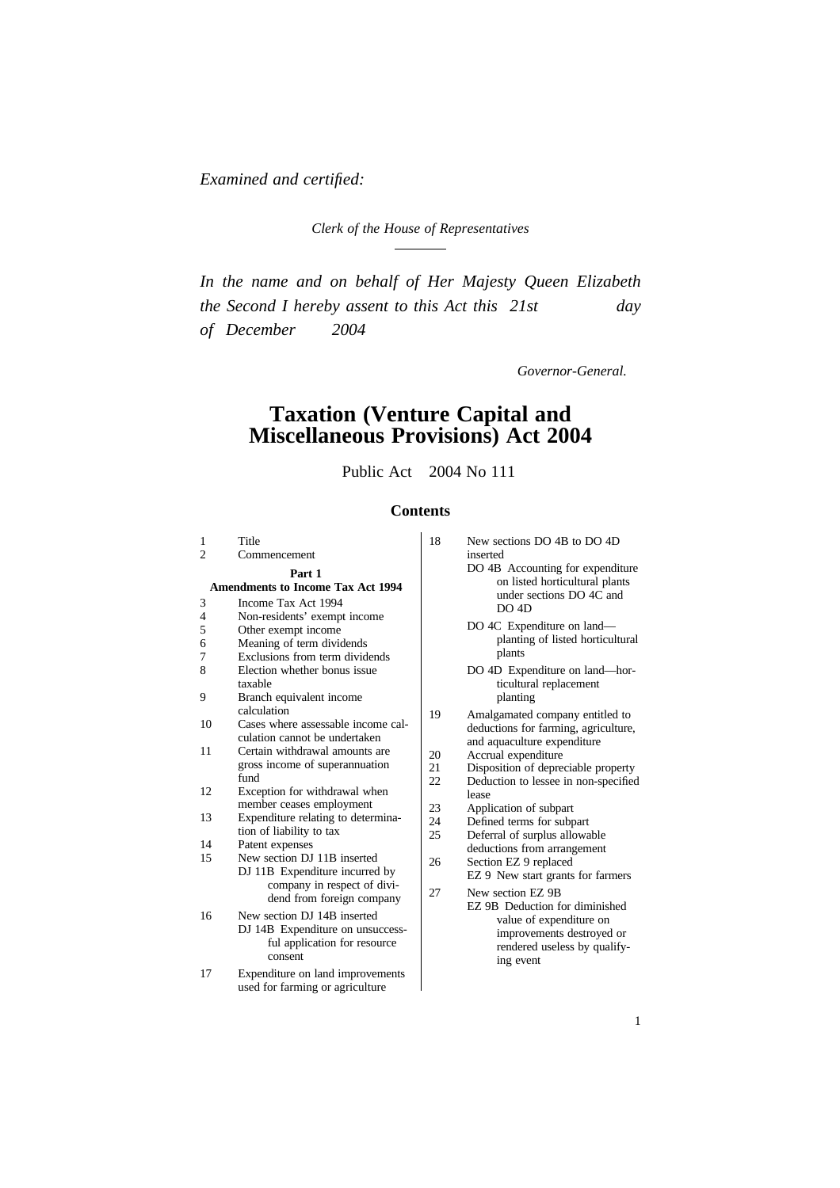*Examined and certified:*

*Clerk of the House of Representatives*

*In the name and on behalf of Her Majesty Queen Elizabeth the Second I hereby assent to this Act this 21st day of December 2004*

*Governor-General.*

## **Taxation (Venture Capital and Miscellaneous Provisions) Act 2004**

Public Act 2004 No 111

#### **Contents**

| 1                                                  | Title                                                               | 18       | New sections DO 4B to DO 4D                                                                    |
|----------------------------------------------------|---------------------------------------------------------------------|----------|------------------------------------------------------------------------------------------------|
| $\mathfrak{D}$                                     | Commencement                                                        |          | inserted                                                                                       |
| Part 1<br><b>Amendments to Income Tax Act 1994</b> |                                                                     |          | DO 4B Accounting for expenditure<br>on listed horticultural plants<br>under sections DO 4C and |
| 3<br>$\overline{4}$                                | Income Tax Act 1994<br>Non-residents' exempt income                 |          | DO 4D                                                                                          |
| 5<br>6                                             | Other exempt income<br>Meaning of term dividends                    |          | DO 4C Expenditure on land—<br>planting of listed horticultural                                 |
| 7<br>8                                             | Exclusions from term dividends<br>Election whether bonus issue      |          | plants                                                                                         |
| 9                                                  | taxable<br>Branch equivalent income                                 |          | DO 4D Expenditure on land-hor-<br>ticultural replacement<br>planting                           |
|                                                    | calculation                                                         | 19       | Amalgamated company entitled to                                                                |
| 10                                                 | Cases where assessable income cal-<br>culation cannot be undertaken |          | deductions for farming, agriculture,<br>and aquaculture expenditure                            |
| 11                                                 | Certain withdrawal amounts are                                      | 20       | Accrual expenditure                                                                            |
|                                                    | gross income of superannuation<br>fund                              | 21<br>22 | Disposition of depreciable property<br>Deduction to lessee in non-specified                    |
| 12                                                 | Exception for withdrawal when                                       |          | lease                                                                                          |
| 13                                                 | member ceases employment<br>Expenditure relating to determina-      | 23       | Application of subpart                                                                         |
|                                                    | tion of liability to tax                                            | 24<br>25 | Defined terms for subpart<br>Deferral of surplus allowable                                     |
| 14                                                 | Patent expenses                                                     |          | deductions from arrangement                                                                    |
| 15                                                 | New section DJ 11B inserted<br>DJ 11B Expenditure incurred by       | 26       | Section EZ 9 replaced<br>EZ 9 New start grants for farmers                                     |
|                                                    | company in respect of divi-<br>dend from foreign company            | 27       | New section EZ 9B<br>EZ 9B Deduction for diminished                                            |
| 16                                                 | New section DJ 14B inserted<br>DJ 14B Expenditure on unsuccess-     |          | value of expenditure on<br>improvements destroyed or                                           |
|                                                    | ful application for resource<br>consent                             |          | rendered useless by qualify-                                                                   |
|                                                    |                                                                     |          | ing event                                                                                      |

17 Expenditure on land improvements used for farming or agriculture

- New sections DO 4B to DO 4D inserted
	- DO 4C Expenditure on land planting of listed horticultural plants
	- DO 4D Expenditure on land—horticultural replacement planting
- Amalgamated company entitled to deductions for farming, agriculture, and aquaculture expenditure
- Accrual expenditure
- Disposition of depreciable property
- Deduction to lessee in non-specified
- lease<br>Application of subpart
- 
- Defined terms for subpart
- Deferral of surplus allowable deductions from arrangement
- Section EZ 9 replaced EZ 9 New start grants for farmers
- New section EZ 9B<br>EZ 9B Deduction for diminished value of expenditure on improvements destroyed or rendered useless by qualify-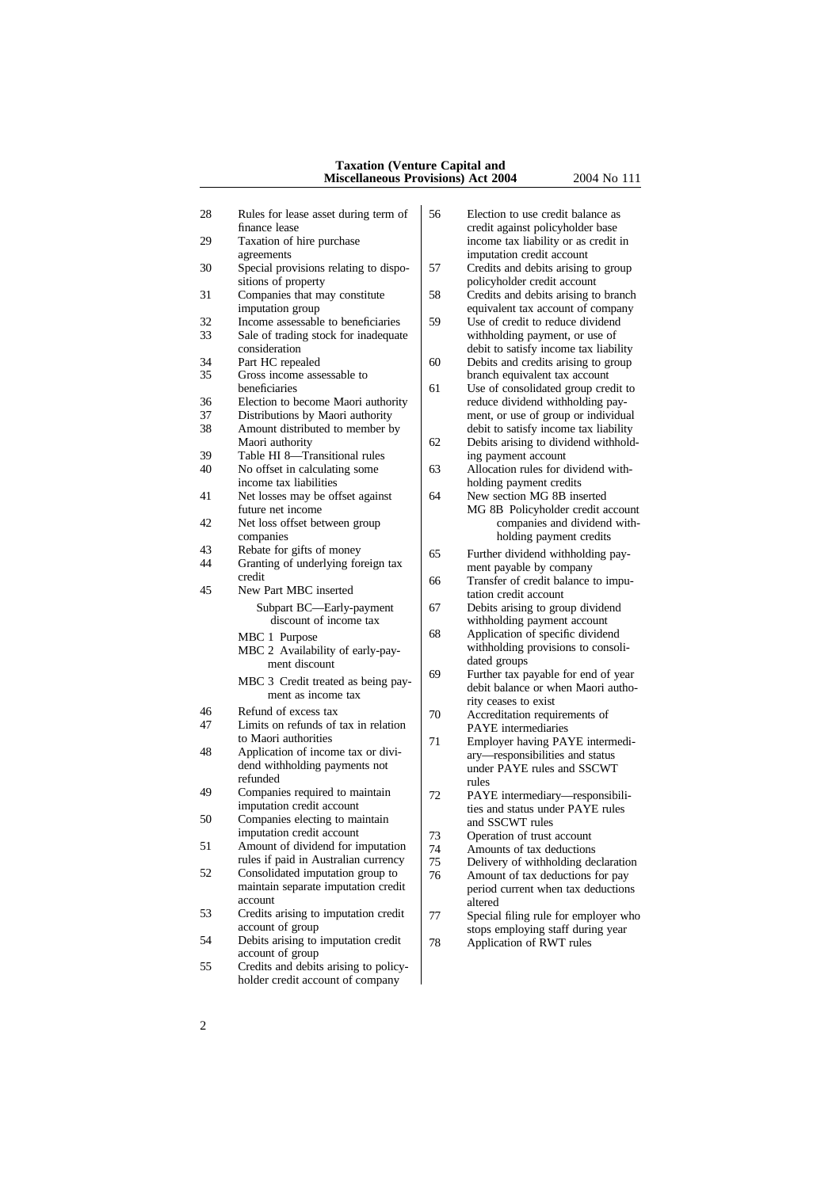#### **Taxation (Venture Capital and Miscellaneous Provisions) Act 2004** 2004 No 111

| 28       | Rules for lease asset during term of<br>finance lease          | 56      | Election to use credit balance as<br>credit against policyholder base     |
|----------|----------------------------------------------------------------|---------|---------------------------------------------------------------------------|
| 29       | Taxation of hire purchase<br>agreements                        |         | income tax liability or as credit in<br>imputation credit account         |
| 30       | Special provisions relating to dispo-<br>sitions of property   | 57      | Credits and debits arising to group<br>policyholder credit account        |
| 31       | Companies that may constitute<br>imputation group              | 58      | Credits and debits arising to branch<br>equivalent tax account of company |
| 32       | Income assessable to beneficiaries                             | 59      | Use of credit to reduce dividend                                          |
| 33       | Sale of trading stock for inadequate                           |         | withholding payment, or use of                                            |
|          | consideration                                                  |         | debit to satisfy income tax liability                                     |
| 34       | Part HC repealed                                               | 60      | Debits and credits arising to group                                       |
| 35       | Gross income assessable to                                     |         | branch equivalent tax account                                             |
|          | beneficiaries                                                  | 61      | Use of consolidated group credit to                                       |
| 36       | Election to become Maori authority                             |         | reduce dividend withholding pay-                                          |
| 37       | Distributions by Maori authority                               |         | ment, or use of group or individual                                       |
| 38       | Amount distributed to member by                                |         | debit to satisfy income tax liability                                     |
|          | Maori authority                                                | 62      | Debits arising to dividend withhold-                                      |
| 39<br>40 | Table HI 8-Transitional rules<br>No offset in calculating some |         | ing payment account<br>Allocation rules for dividend with-                |
|          | income tax liabilities                                         | 63      | holding payment credits                                                   |
| 41       | Net losses may be offset against                               | 64      | New section MG 8B inserted                                                |
|          | future net income                                              |         | MG 8B Policyholder credit account                                         |
| 42       | Net loss offset between group                                  |         | companies and dividend with-                                              |
|          | companies                                                      |         | holding payment credits                                                   |
| 43       | Rebate for gifts of money                                      | 65      | Further dividend withholding pay-                                         |
| 44       | Granting of underlying foreign tax                             |         | ment payable by company                                                   |
|          | credit                                                         | 66      | Transfer of credit balance to impu-                                       |
| 45       | New Part MBC inserted                                          |         | tation credit account                                                     |
|          | Subpart BC-Early-payment                                       | 67      | Debits arising to group dividend                                          |
|          | discount of income tax                                         |         | withholding payment account                                               |
|          | MBC 1 Purpose                                                  | 68      | Application of specific dividend                                          |
|          | MBC 2 Availability of early-pay-                               |         | withholding provisions to consoli-                                        |
|          | ment discount                                                  |         | dated groups                                                              |
|          | MBC 3 Credit treated as being pay-                             | 69      | Further tax payable for end of year                                       |
|          | ment as income tax                                             |         | debit balance or when Maori autho-                                        |
| 46       | Refund of excess tax                                           |         | rity ceases to exist                                                      |
| 47       | Limits on refunds of tax in relation                           | 70      | Accreditation requirements of<br>PAYE intermediaries                      |
|          | to Maori authorities                                           | 71      | Employer having PAYE intermedi-                                           |
| 48       | Application of income tax or divi-                             |         | ary-responsibilities and status                                           |
|          | dend withholding payments not                                  |         | under PAYE rules and SSCWT                                                |
|          | refunded                                                       |         | rules                                                                     |
| 49       | Companies required to maintain                                 | 72      | PAYE intermediary-responsibili-                                           |
|          | imputation credit account                                      |         | ties and status under PAYE rules                                          |
| 50       | Companies electing to maintain                                 |         | and SSCWT rules                                                           |
|          | imputation credit account                                      | 73      | Operation of trust account                                                |
| 51       | Amount of dividend for imputation                              | 74      | Amounts of tax deductions                                                 |
|          | rules if paid in Australian currency                           | 75      | Delivery of withholding declaration                                       |
| 52       | Consolidated imputation group to                               | 76      | Amount of tax deductions for pay                                          |
|          | maintain separate imputation credit<br>account                 |         | period current when tax deductions                                        |
| 53       | Credits arising to imputation credit                           |         | altered                                                                   |
|          | account of group                                               | $77 \,$ | Special filing rule for employer who                                      |
| 54       | Debits arising to imputation credit                            | 78      | stops employing staff during year                                         |
|          | account of group                                               |         | Application of RWT rules                                                  |
| 55       | Credits and debits arising to policy-                          |         |                                                                           |
|          | holder credit account of company                               |         |                                                                           |

|    |          | credit against policyholder base<br>income tax liability or as credit in  |
|----|----------|---------------------------------------------------------------------------|
|    | 57       | imputation credit account<br>Credits and debits arising to grou           |
|    | 58       | policyholder credit account<br>Credits and debits arising to bran         |
|    | 59       | equivalent tax account of compar<br>Use of credit to reduce dividend      |
| e  |          | withholding payment, or use of<br>debit to satisfy income tax liabilit    |
|    | 60       | Debits and credits arising to grou                                        |
|    | 61       | branch equivalent tax account<br>Use of consolidated group credit         |
|    |          | reduce dividend withholding pay-                                          |
|    |          | ment, or use of group or individu<br>debit to satisfy income tax liabilit |
|    | 62       | Debits arising to dividend withho<br>ing payment account                  |
|    | 63       | Allocation rules for dividend with                                        |
|    | 64       | holding payment credits<br>New section MG 8B inserted                     |
|    |          | MG 8B Policyholder credit acco<br>companies and dividend w.               |
|    |          | holding payment credits                                                   |
|    | 65       | Further dividend withholding pay<br>ment payable by company               |
|    | 66       | Transfer of credit balance to imp<br>tation credit account                |
|    | 67       | Debits arising to group dividend                                          |
|    | 68       | withholding payment account<br>Application of specific dividend           |
|    |          | withholding provisions to consoli<br>dated groups                         |
| ý- | 69       | Further tax payable for end of ye                                         |
|    |          | debit balance or when Maori auth<br>rity ceases to exist                  |
|    | 70       | Accreditation requirements of                                             |
|    | 71       | PAYE intermediaries<br>Employer having PAYE intermed                      |
|    |          | ary—responsibilities and status                                           |
|    |          | under PAYE rules and SSCWT<br>rules                                       |
|    | 72       | PAYE intermediary—responsibil                                             |
|    |          | ties and status under PAYE rules<br>and SSCWT rules                       |
|    | 73       | Operation of trust account                                                |
|    | 74<br>75 | Amounts of tax deductions<br>Delivery of withholding declarati            |
|    | 76       | Amount of tax deductions for pay                                          |
|    |          | period current when tax deduction                                         |
|    | 77       | altered<br>Special filing rule for employer y                             |
|    |          |                                                                           |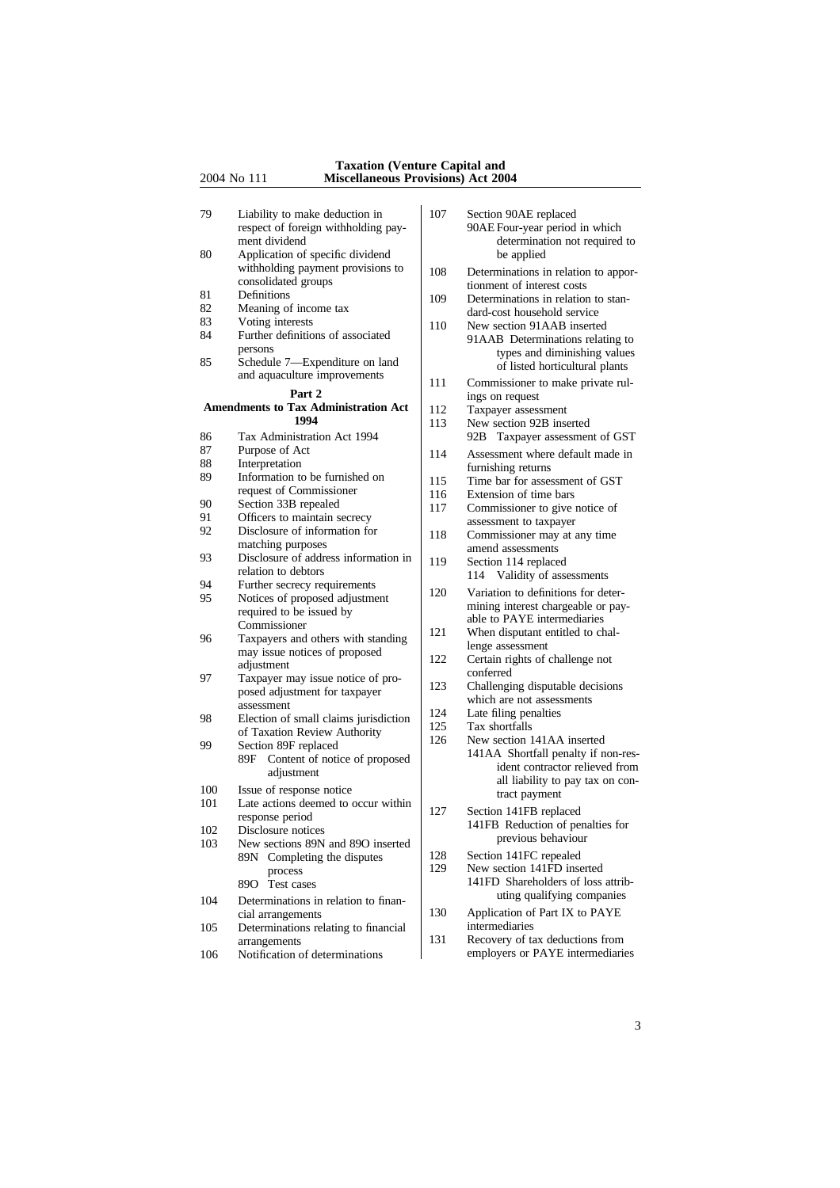#### **Taxation (Venture Capital and** 2004 No 111 **Miscellaneous Provisions) Act 2004**

| 79<br>80 | Liability to make deduction in<br>respect of foreign withholding pay-<br>ment dividend<br>Application of specific dividend | 107 | Section 90AE replaced<br>90AE Four-year period in which<br>determination not required to<br>be applied |
|----------|----------------------------------------------------------------------------------------------------------------------------|-----|--------------------------------------------------------------------------------------------------------|
|          | withholding payment provisions to<br>consolidated groups                                                                   | 108 | Determinations in relation to appor-<br>tionment of interest costs                                     |
| 81       | Definitions                                                                                                                | 109 | Determinations in relation to stan-                                                                    |
| 82       | Meaning of income tax                                                                                                      |     | dard-cost household service                                                                            |
| 83       | Voting interests                                                                                                           | 110 | New section 91AAB inserted                                                                             |
| 84<br>85 | Further definitions of associated<br>persons<br>Schedule 7-Expenditure on land                                             |     | 91AAB Determinations relating to<br>types and diminishing values<br>of listed horticultural plants     |
|          | and aquaculture improvements                                                                                               | 111 | Commissioner to make private rul-                                                                      |
|          | Part 2                                                                                                                     |     | ings on request                                                                                        |
|          | <b>Amendments to Tax Administration Act</b><br>1994                                                                        | 112 | Taxpayer assessment                                                                                    |
|          |                                                                                                                            | 113 | New section 92B inserted                                                                               |
| 86       | Tax Administration Act 1994                                                                                                |     | 92B Taxpayer assessment of GST                                                                         |
| 87       | Purpose of Act                                                                                                             | 114 | Assessment where default made in                                                                       |
| 88<br>89 | Interpretation<br>Information to be furnished on                                                                           |     | furnishing returns                                                                                     |
|          | request of Commissioner                                                                                                    | 115 | Time bar for assessment of GST                                                                         |
| 90       | Section 33B repealed                                                                                                       | 116 | Extension of time bars                                                                                 |
| 91       | Officers to maintain secrecy                                                                                               | 117 | Commissioner to give notice of                                                                         |
| 92       | Disclosure of information for                                                                                              |     | assessment to taxpayer                                                                                 |
|          | matching purposes                                                                                                          | 118 | Commissioner may at any time                                                                           |
| 93       | Disclosure of address information in                                                                                       | 119 | amend assessments<br>Section 114 replaced                                                              |
|          | relation to debtors                                                                                                        |     | Validity of assessments<br>114                                                                         |
| 94       | Further secrecy requirements                                                                                               |     |                                                                                                        |
| 95       | Notices of proposed adjustment<br>required to be issued by                                                                 | 120 | Variation to definitions for deter-<br>mining interest chargeable or pay-                              |
|          | Commissioner                                                                                                               |     | able to PAYE intermediaries                                                                            |
| 96       | Taxpayers and others with standing                                                                                         | 121 | When disputant entitled to chal-                                                                       |
|          | may issue notices of proposed                                                                                              |     | lenge assessment                                                                                       |
|          | adjustment                                                                                                                 | 122 | Certain rights of challenge not                                                                        |
| 97       | Taxpayer may issue notice of pro-                                                                                          |     | conferred                                                                                              |
|          | posed adjustment for taxpayer<br>assessment                                                                                | 123 | Challenging disputable decisions<br>which are not assessments                                          |
| 98       | Election of small claims jurisdiction                                                                                      | 124 | Late filing penalties                                                                                  |
|          | of Taxation Review Authority                                                                                               | 125 | Tax shortfalls                                                                                         |
| 99       | Section 89F replaced                                                                                                       | 126 | New section 141AA inserted                                                                             |
|          | Content of notice of proposed<br>89F                                                                                       |     | 141AA Shortfall penalty if non-res-                                                                    |
|          | adjustment                                                                                                                 |     | ident contractor relieved from                                                                         |
| 100      | Issue of response notice                                                                                                   |     | all liability to pay tax on con-                                                                       |
| 101      | Late actions deemed to occur within                                                                                        |     | tract payment                                                                                          |
|          | response period                                                                                                            | 127 | Section 141FB replaced                                                                                 |
| 102      | Disclosure notices                                                                                                         |     | 141FB Reduction of penalties for                                                                       |
| 103      | New sections 89N and 89O inserted                                                                                          |     | previous behaviour                                                                                     |
|          | 89N Completing the disputes                                                                                                | 128 | Section 141FC repealed                                                                                 |
|          | process                                                                                                                    | 129 | New section 141FD inserted                                                                             |
|          | 89O<br>Test cases                                                                                                          |     | 141FD Shareholders of loss attrib-                                                                     |
| 104      | Determinations in relation to finan-                                                                                       |     | uting qualifying companies                                                                             |
|          | cial arrangements                                                                                                          | 130 | Application of Part IX to PAYE                                                                         |
| 105      | Determinations relating to financial                                                                                       |     | intermediaries                                                                                         |
|          | arrangements                                                                                                               | 131 | Recovery of tax deductions from                                                                        |
| 106      | Notification of determinations                                                                                             |     | employers or PAYE intermediaries                                                                       |

<sup>3</sup>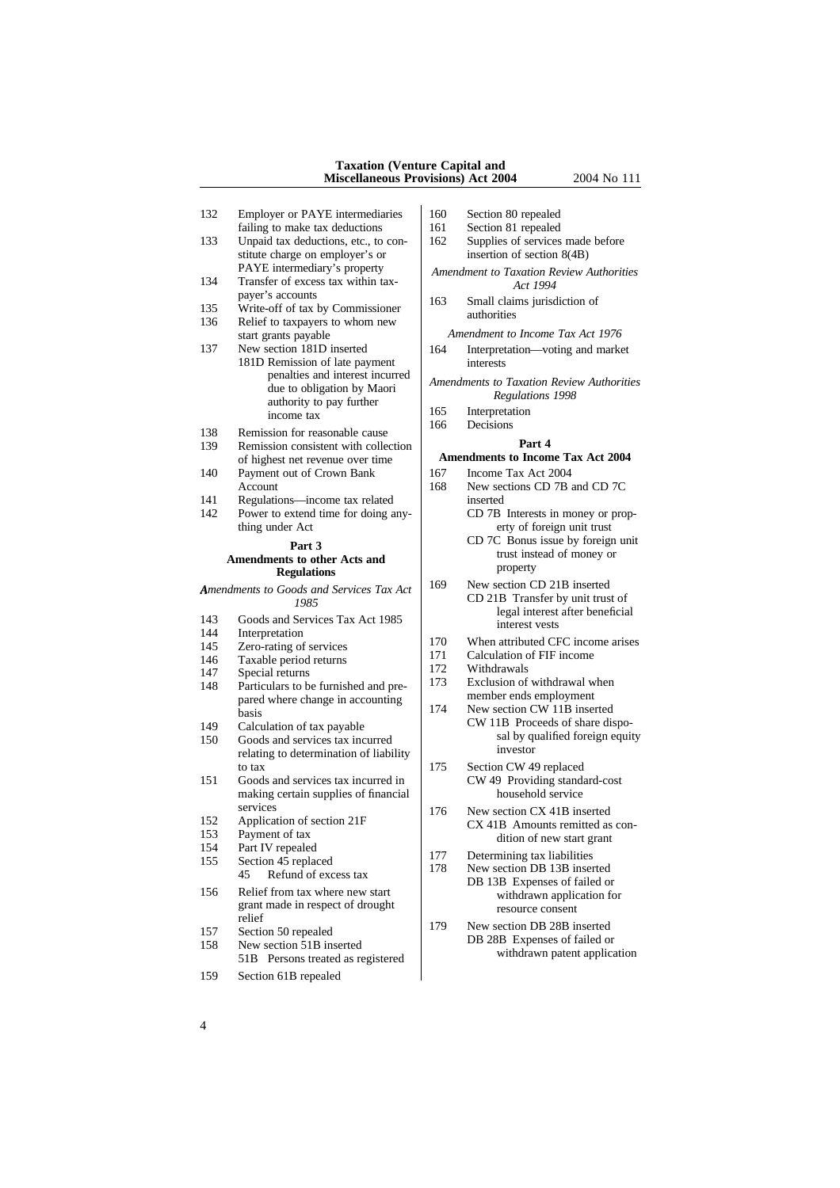#### **Taxation (Venture Capital and Miscellaneous Provisions) Act 2004** 2004 No 111

- 132 Employer or PAYE intermediaries 160 Section 80 repealed
- 133 Unpaid tax deductions, etc., to con-<br>stitute charge on employer's or<br>insertion of section 8(4B) stitute charge on employer's or
- 134 Transfer of excess tax within tax-<br>payer's accounts
- 
- 
- start grants payable<br>
New section 181D inserted<br>
164 Interpretation—voting and marke 137 New section 181D inserted 164 Interpretation—voting and market 181D Remission of late payment 181D Remission of late payment<br>penalties and interest incurred penalties and interest incurred *Amendments to Taxation Review Authorities*<br>
authority to pay further *Regulations 1998*<br>
income tax<br> **EXECUTE:** 165 Interpretation
- 138 Remission for reasonable cause
- 139 Remission consistent with collection **Part 4** of highest net revenue over time<br> **Amendments to Income Tax Act 2004**<br>
Payment out of Crown Bank<br>  $167$  Income Tax Act 2004
- 140 Payment out of Crown Bank 167<br>Account 168
- 141 Regulations—income tax related inserted
- 142 Power to extend time for doing any-<br>thing under Act CD 7B Interests in money or prop-<br>erty of foreign unit trust

# Amendments to Goods and Services Tax Act <sup>169</sup> New section CD 21B inserted<br>1985 **CD 21B** Transfer by unit trust of

- 
- 
- 
- 146 Taxable period returns  $\begin{bmatrix} 1/1 & \text{Calculation of} \\ 1/2 & \text{Withdrawals} \end{bmatrix}$
- 
- Particulars to be furnished and pre-<br> $\begin{bmatrix} 173 \\ 173 \end{bmatrix}$  Exclusion of withdrawal where the pared where change in accounting member ends employment pared where change in accounting
- 
- Soods and services tax incurred sal by quality 150 Goods and services tax incurred sal by quality investor relating to determination of liability<br>to tax  $\begin{vmatrix} 175 \end{vmatrix}$
- making certain supplies of financial
- 
- 
- -
- grant made in respect of drought resource consent<br>relief
- 
- 
- 159 Section 61B repealed
- 
- failing to make tax deductions  $\begin{vmatrix} 161 & \text{Section 81 repcaled} \\ \text{Unpaid tax deductions, etc., to con-} \\ 162 & \text{Supplies of services made before} \end{vmatrix}$
- PAYE intermediary's property<br>
Transfer of excess tax within tax-<br> *Amendment to Taxation Review Authorities*<br> *Act 1994*
- payer's accounts<br>
163 Small claims jurisdiction of<br>
163 Small claims jurisdiction of<br>
169 Small claims invisible<br>
169 Small claims invisible<br>
169 Small claims invisible<br>
169 authorities

- 
- 
- 
- 165 Interpretation<br>166 Decisions

- 
- New sections CD 7B and CD 7C erty of foreign unit trust
- **Part 3 CD** 7C Bonus issue by foreign unit trust instead of money or **Amendments to other Acts and Particular Particular Particular Particular Particular Particular Particular Particular Particular Pa** 
	- **Regulations** Property<br>Coods and Services Tax Act 169 New section CD 21B inserted
- FERENCES ART CD 21B Transfer by unit trust of<br>
143 Goods and Services Tax Act 1985<br>
144 Interpretation<br>
144 Interpretation
- 144 Interpretation<br>
170 When attributed CFC income arises<br>
171 Calculation of FIF income<br>
171 Calculation of FIF income
	-
	-
- 147 Special returns<br>
148 Particulars to be furnished and pre-<br>
173 Exclusion of withdrawal when
	- basis<br>basis have change in accounting<br>Calculation of tax payable<br>CW 11B Proceeds of share dis
- The Calculation of tax payable<br>
150 Coods and services tax incurred<br>
150 Goods and services tax incurred<br>
150 Goods and services tax incurred
- Section CW 49 replaced<br>CW 49 Providing standard-cost 151 Goods and services tax incurred in CW 49 Providing stand-<br>making certain supplies of financial household service
- services<br>
Application of section 21F 176 New section CX 41B inserted<br>  $\frac{C X}{41B}$  Amounts remitted as 152 Application of section 21F CX 41B Amounts remitted as con-<br>153 Payment of tax<br>dition of new stert grant 153 Payment of tax dition of new start grant<br>154 Part IV repealed
- 154 Part IV repealed<br>
155 Section 45 replaced<br>
178 Determining tax liabilities<br>
178 New section DB 13B inserted<br>
178 New section DB 13B inserted<br>
178 DB 13B Expenses of failed or 156 Relief from tax where new start DB 13B Expenses of failed or<br>withdrawn application for
- relief 157 Section 50 repealed 158 New section 50 repealed 158 New section 51B inserted 158 New section 51B inserted 158 Persons treated as registered 158 New section 51B Persons treated as registered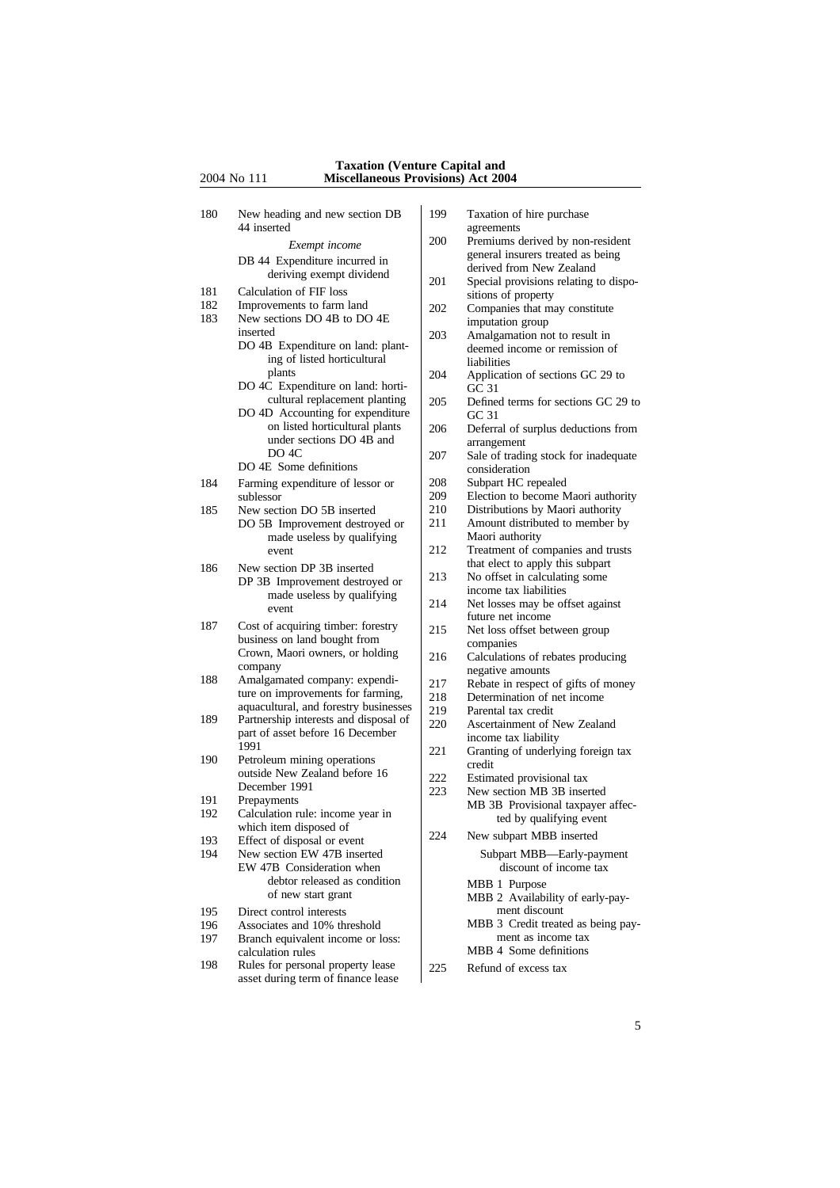#### **Taxation (Venture Capital and** 2004 No 111 **Miscellaneous Provisions) Act 2004**

- 180 New heading and new section DB 199 Taxation of hire purchase 44 inserted agreements<br>Frame 200 Premiums of DB 44 Expenditure incurred in<br>
deriving exempt dividend<br>
Calculation of FIF loss<br>  $\begin{array}{|l|l|}\n\hline\n\text{derived from New Zealand} \quad \text{Special provisions relating to dispo-} \\\n\end{array}$ 181 Calculation of FIF loss<br>182 Improvements to farm land 182 Improvements to farm land 202 Companies that may constitute<br>183 New sections DO 4B to DO 4E New sections DO 4B to DO 4E imputation group<br>inserted 203 Amalgamation no inserted<br>DO 4B Expenditure on land: plant-<br>decreed income or remission of ing of listed horticultural liabilities<br>plants  $\begin{array}{c|c}\n & \text{indilities} \\
 & \text{liabilities} \\
204 & \text{Application of sections GC 29 to}\n\end{array}$ plants 204 Application of sections GC 29 to DO 4C Expenditure on land: horti- GC 31 cultural replacement planting  $\begin{array}{|l|l|} \hline 205 & \hline \text{Defined terms for sections GC 29 to} \text{GC 31} \end{array}$ DO 4D Accounting for expenditure<br>on listed horticultural plants under sections DO 4B and<br>DO 4C  $\begin{array}{c|c}\n & \text{200} & \text{200} \\
 & \text{207} & \text{3ale of } \n\end{array}$ DO 4E Some definitions consideration 184 Farming expenditure of lessor or 208 sublessor 209 sublessor<br>New section DO 5B inserted 210 Distributions by Maori authority 185 New section DO 5B inserted 210 Distributions by Maori authority<br>DO 5B Improvement destroved or 211 Amount distributed to member by  $\begin{array}{c|c|c|c} \text{DO 5B} & \text{Improvement destroyed or} & \text{211} & \text{Amount distribu} \\ \text{made useless by qualitative} & \text{Maori authority} & \end{array}$ made useless by qualifying event  $212$ event 212 Treatment of companies and trusts<br>that elect to apply this subpart 186 New section DP 3B inserted<br>
no 2P Improvement dectrousd or 213 No offset in calculating some  $\begin{array}{c|c|c|c|c} \text{DP 3B} & \text{Improvement destroyed or} & \text{213} & \text{No offset in calculation} \\ \text{mode useless by coefficients} & \text{income tax liabilities} \end{array}$ income tax liabilities made useless by qualifying 187 Cost of acquiring timber: forestry 215 Net loss offset between group business on land bought from companies<br>Crown, Maori owners, or holding  $216$  calculation Crown, Maori owners, or holding 216 Calculations of rebates producing<br>company negative amounts company<br>Amalgamated company: expendi-<br>217 Rebate in respect 188 Amalgamated company: expendi-<br>ture on improvements for farming,  $\begin{vmatrix} 217 \ 218 \ 218 \end{vmatrix}$  Rebate in respect of gifts of money ture on improvements for farming,<br>aquacultural, and forestry businesses  $\begin{bmatrix} 217 \\ 218 \\ 219 \end{bmatrix}$ aquacultural, and forestry businesses  $\begin{bmatrix} 219 \\ 219 \\ 220 \end{bmatrix}$  Parental tax credit relationship interests and disposal of  $\begin{bmatrix} 29 \\ 219 \\ 220 \end{bmatrix}$  Ascertainment of N 189 Partnership interests and disposal of 220 Ascertainment of New Zealand<br>part of asset before 16 December 220 Ascertainment of New Zealand<br>income tax liability part of asset before 16 December 1991 190 Petroleum mining operations<br>
outside New Zealand before 16<br>
222 Estimated provisional tax outside New Zealand before 16  $222$ <br>December 1991  $\begin{bmatrix} 222 \\ 223 \end{bmatrix}$ December 1991<br>Prepayments 223 New section MB 3B inserted<br>MB 3B Provisional taxpayer 191 Prepayments MB 3B Provisional taxpayer affec-<br>192 Calculation rule: income year in Calculation rule: income year in ted by qualifying event which item disposed of 224 New subpart MBB inserted<br>
193 Effect of disposal or event<br>
194 New section EW 47B inserted<br>
224 New subpart MBB inserted<br>
Subpart MBB—Early-na EW 47B Consideration when debtor released as condition<br>of new start grant<br> $MRB$  2 Availabi 195 Direct control interests ment discount 196 Associates and 10% threshold MBB 3 Credit treated as being pay-<br>197 Branch equivalent income or loss: Branch equivalent income or loss: calculation rules MBB 4 Some definitions 198 Rules for personal property lease 225 Refund of excess tax asset during term of finance lease
	-
	- *Exempt income* 200 Premiums derived by non-resident general insurers treated as being
		-
		-
		- deemed income or remission of
		-
		-
		- 206 Deferral of surplus deductions from
		- Sale of trading stock for inadequate
		-
		-
		-
		-
		-
		-
	- made useress by qualitying 214 Net losses may be offset against future net income
		-
		-
		-
		-
		-
		-
		- 221 Granting of underlying foreign tax
		-
		-
		- Subpart MBB—Early-payment<br>discount of income tax
			- MBB 2 Availability of early-pay-
			-
		-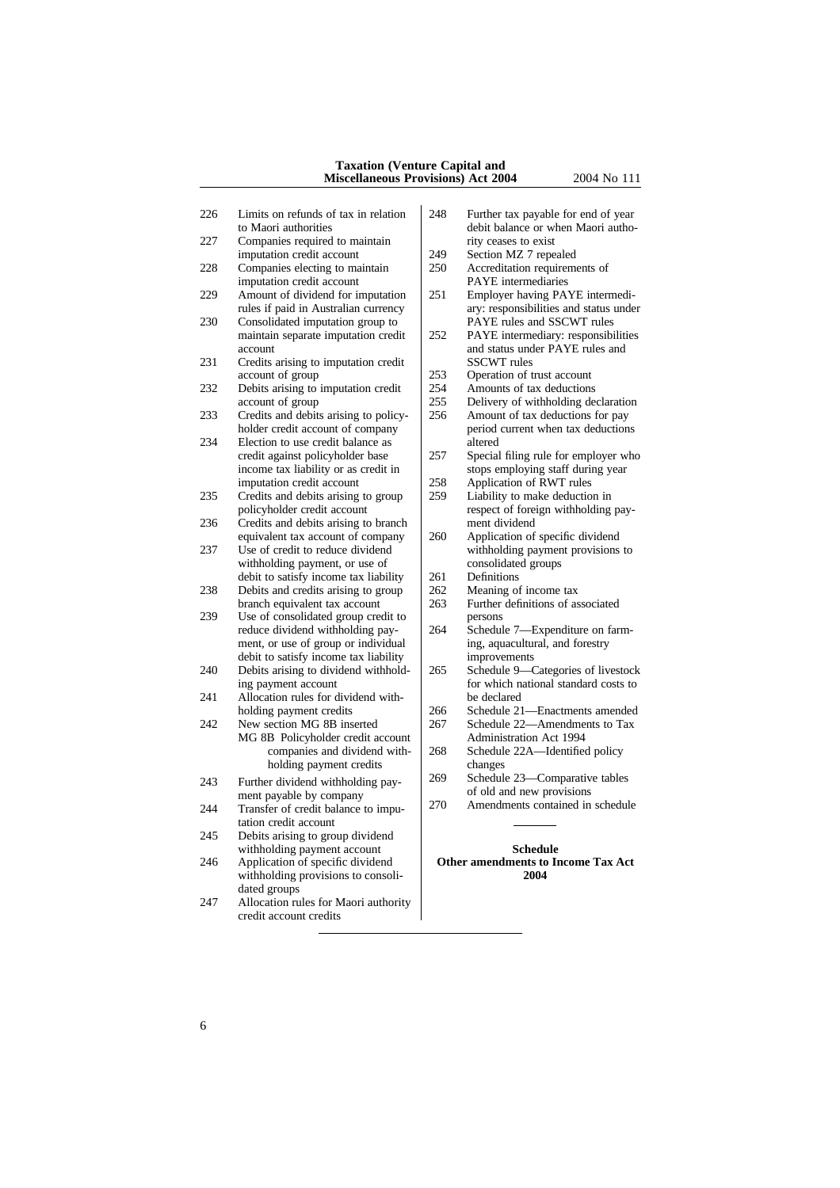#### **Taxation (Venture Capital and Miscellaneous Provisions) Act 2004** 2004 No 111

- 226 Limits on refunds of tax in relation 248 Further tax payable for end of year
- 227 Companies required to maintain rity ceases to exist<br>imputation credit account 249 Section MZ 7 repealed imputation credit account  $\begin{bmatrix} 249 \\ 250 \end{bmatrix}$
- 228 Companies electing to maintain 250 Accreditation requirements of imputation credit account PAYE intermediaries imputation credit account<br>Amount of dividend for imputation 251
- 229 Amount of dividend for imputation 251 Employer having PAYE intermedi-
- 230 Consolidated imputation group to<br>maintain separate imputation credit 252
- 231 Credits arising to imputation credit SSCWT rules
- 232 Debits arising to imputation credit  $\begin{array}{|l|l|} 254 & 255 \end{array}$
- 233 Credits and debits arising to policy-<br>holder credit account of company
- 234 Election to use credit balance as altered<br>credit against policyholder base 257 Special income tax liability or as credit in stops employing staff during year<br>imputation credit account 258 Application of RWT rules
- 235 Credits and debits arising to group<br>policyholder credit account
- 236 Credits and debits arising to branch ment dividend<br>equivalent tax account of company 260 Application of specific dividend equivalent tax account of company
- withholding payment, or use of  $\left\{ \begin{array}{c} \text{consolidate} \\ \text{debit to satisfy income tax liability} \end{array} \right\}$  261 Definitions debit to satisfy income tax liability  $\begin{vmatrix} 261 & \text{Definitions} \\ 262 & \text{Meaning of income tax} \end{vmatrix}$
- 238 Debits and credits arising to group  $\begin{array}{|l|l|} 262 \hline 263 \end{array}$
- 239 Use of consolidated group credit to persons<br>reduce dividend withholding pay-<br>264 Schedule 7—Expenditure on farmreduce dividend withholding paydebit to satisfy income tax liability<br>
Debits arising to dividend withhold-<br>
265 Schedule 9—Categories of livestock
- 240 Debits arising to dividend withhold-
- 241 Allocation rules for dividend with-<br>bolding payment credits  $266$
- 242 New section MG 8B inserted 267 Schedule 22—Amendments to Tax<br>MG 8B Policyholder credit account Administration Act 1994 MG 8B Policyholder credit account
- 243 Further dividend withholding pay- $\begin{vmatrix} 269 & \text{Schedule } 23 \end{vmatrix}$  Comparative tables 23 Comparative of old and new provisions
- 244 Transfer of credit balance to imputation credit account
- 245 Debits arising to group dividend
- withholding provisions to consolidated groups
- 247 Allocation rules for Maori authority credit account credits
- to Maori authorities debit balance or when Maori autho-
	-
	-
- rules if paid in Australian currency ary: responsibilities and status under Consolidated imputation group to PAYE rules and SSCWT rules
- PAYE intermediary: responsibilities account<br>
and status under PAYE rules and<br>
Credits arising to imputation credit<br>
SSCWT rules
	- 253 Operation of trust account<br>254 Amounts of tax deductions
	-
	- 255 Delivery of withholding declaration<br>256 Amount of tax deductions for pay
	- period current when tax deductions
- credit against policyholder base 257 Special filing rule for employer who income tax liability or as credit in
	- 258 Application of RWT rules<br>259 Liability to make deduction in
	- respect of foreign withholding pay-
- 237 Use of credit to reduce dividend withholding payment provisions to withholding payment, or use of consolidated groups
	-
	-
	- Further definitions of associated<br>persons
	- ment, or use of group or individual ing, aquacultural, and forestry debit to satisfy income tax liability improvements
	- ing payment account<br>
	Hocation rules for dividend with-<br>  $\begin{array}{ccc} \text{for which national standard costs to} \\ \text{be declared} \end{array}$
	- holding payment credits 266 Schedule 21—Enactments amended<br>New section MG 8B inserted 267 Schedule 22—Amendments to Tax
		-
		- companies and dividend with- 268 Schedule 22A—Identified policy holding payment credits<br>changes changes<br> $\begin{array}{|l|l|}\n\hline\n\text{dividend with holding pay} & 269 & \text{Scheduling 23—Comparative tables}\n\end{array}$ 
			-
	- ment payable by company<br>
	Transfer of credit belonge to impulse and the amendments contained in schedule

## withholding payment account<br>Application of specific dividend<br>**Other amendments to In** 246 Application of specific dividend **Other amendments to Income Tax Act** withholding provisions to consoli-<br>2004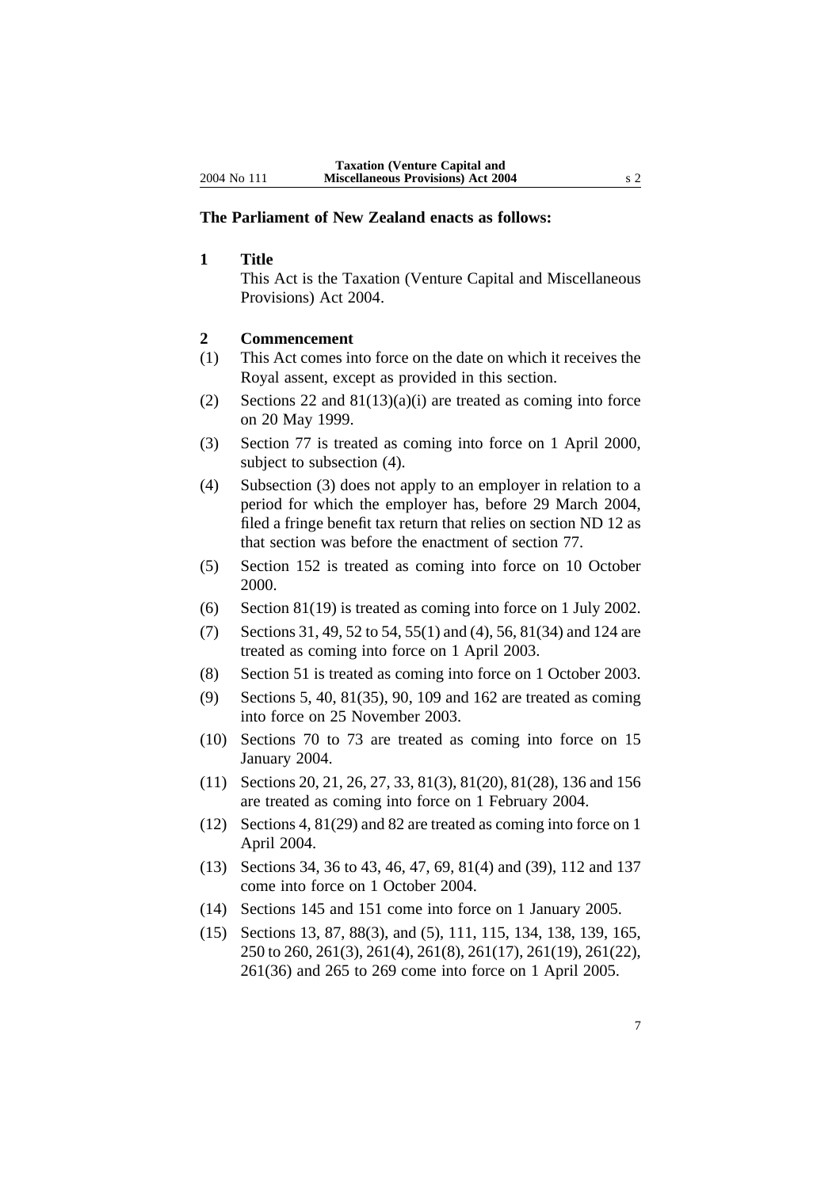#### **The Parliament of New Zealand enacts as follows:**

**1 Title**

This Act is the Taxation (Venture Capital and Miscellaneous Provisions) Act 2004.

#### **2 Commencement**

- (1) This Act comes into force on the date on which it receives the Royal assent, except as provided in this section.
- (2) Sections 22 and  $81(13)(a)(i)$  are treated as coming into force on 20 May 1999.
- (3) Section 77 is treated as coming into force on 1 April 2000, subject to subsection (4).
- (4) Subsection (3) does not apply to an employer in relation to a period for which the employer has, before 29 March 2004, filed a fringe benefit tax return that relies on section ND 12 as that section was before the enactment of section 77.
- (5) Section 152 is treated as coming into force on 10 October 2000.
- (6) Section 81(19) is treated as coming into force on 1 July 2002.
- (7) Sections 31, 49, 52 to 54, 55(1) and (4), 56, 81(34) and 124 are treated as coming into force on 1 April 2003.
- (8) Section 51 is treated as coming into force on 1 October 2003.
- (9) Sections 5, 40, 81(35), 90, 109 and 162 are treated as coming into force on 25 November 2003.
- (10) Sections 70 to 73 are treated as coming into force on 15 January 2004.
- (11) Sections 20, 21, 26, 27, 33, 81(3), 81(20), 81(28), 136 and 156 are treated as coming into force on 1 February 2004.
- (12) Sections 4, 81(29) and 82 are treated as coming into force on 1 April 2004.
- (13) Sections 34, 36 to 43, 46, 47, 69, 81(4) and (39), 112 and 137 come into force on 1 October 2004.
- (14) Sections 145 and 151 come into force on 1 January 2005.
- (15) Sections 13, 87, 88(3), and (5), 111, 115, 134, 138, 139, 165, 250 to 260, 261(3), 261(4), 261(8), 261(17), 261(19), 261(22), 261(36) and 265 to 269 come into force on 1 April 2005.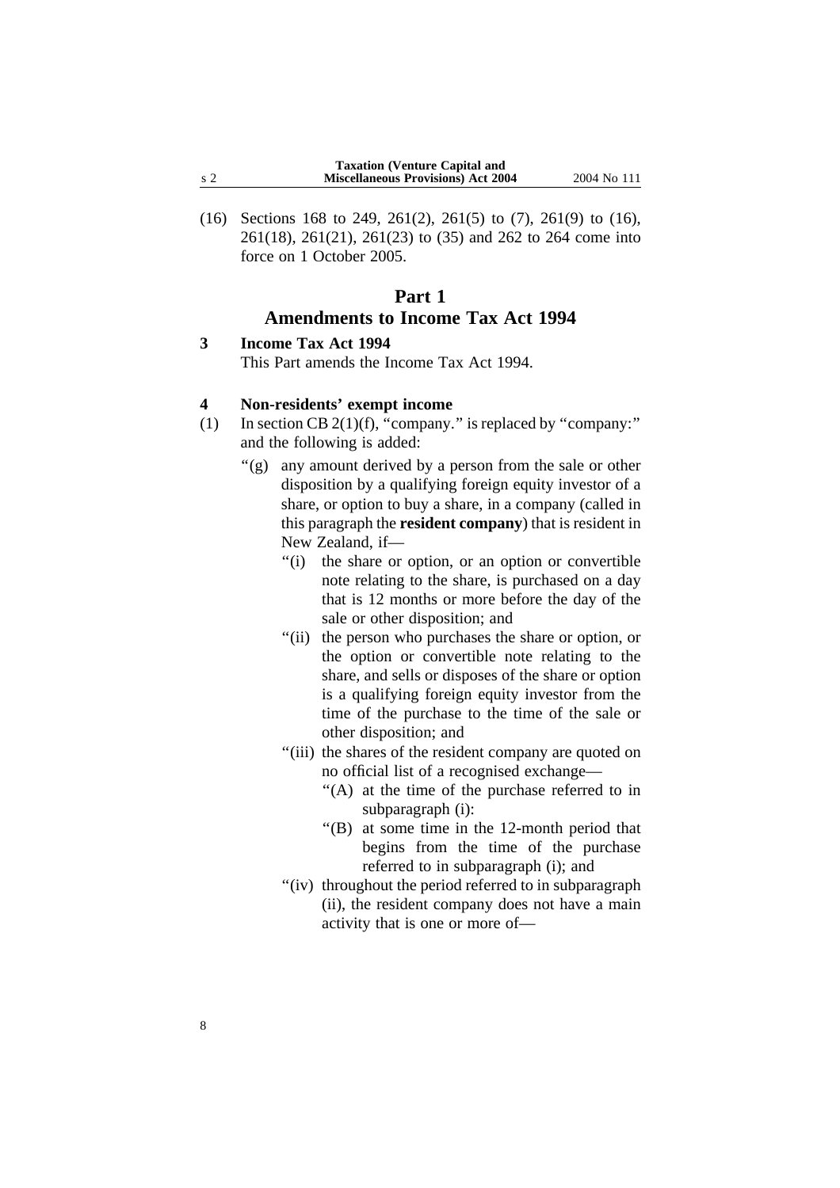(16) Sections 168 to 249, 261(2), 261(5) to (7), 261(9) to (16), 261(18), 261(21), 261(23) to (35) and 262 to 264 come into force on 1 October 2005.

## **Part 1 Amendments to Income Tax Act 1994**

#### **3 Income Tax Act 1994**

This Part amends the Income Tax Act 1994.

#### **4 Non-residents' exempt income**

- (1) In section CB  $2(1)(f)$ , "company." is replaced by "company:" and the following is added:
	- ''(g) any amount derived by a person from the sale or other disposition by a qualifying foreign equity investor of a share, or option to buy a share, in a company (called in this paragraph the **resident company**) that is resident in New Zealand, if—
		- ''(i) the share or option, or an option or convertible note relating to the share, is purchased on a day that is 12 months or more before the day of the sale or other disposition; and
		- ''(ii) the person who purchases the share or option, or the option or convertible note relating to the share, and sells or disposes of the share or option is a qualifying foreign equity investor from the time of the purchase to the time of the sale or other disposition; and
		- ''(iii) the shares of the resident company are quoted on no official list of a recognised exchange—
			- ''(A) at the time of the purchase referred to in subparagraph (i):
			- ''(B) at some time in the 12-month period that begins from the time of the purchase referred to in subparagraph (i); and
		- "(iv) throughout the period referred to in subparagraph (ii), the resident company does not have a main activity that is one or more of—

8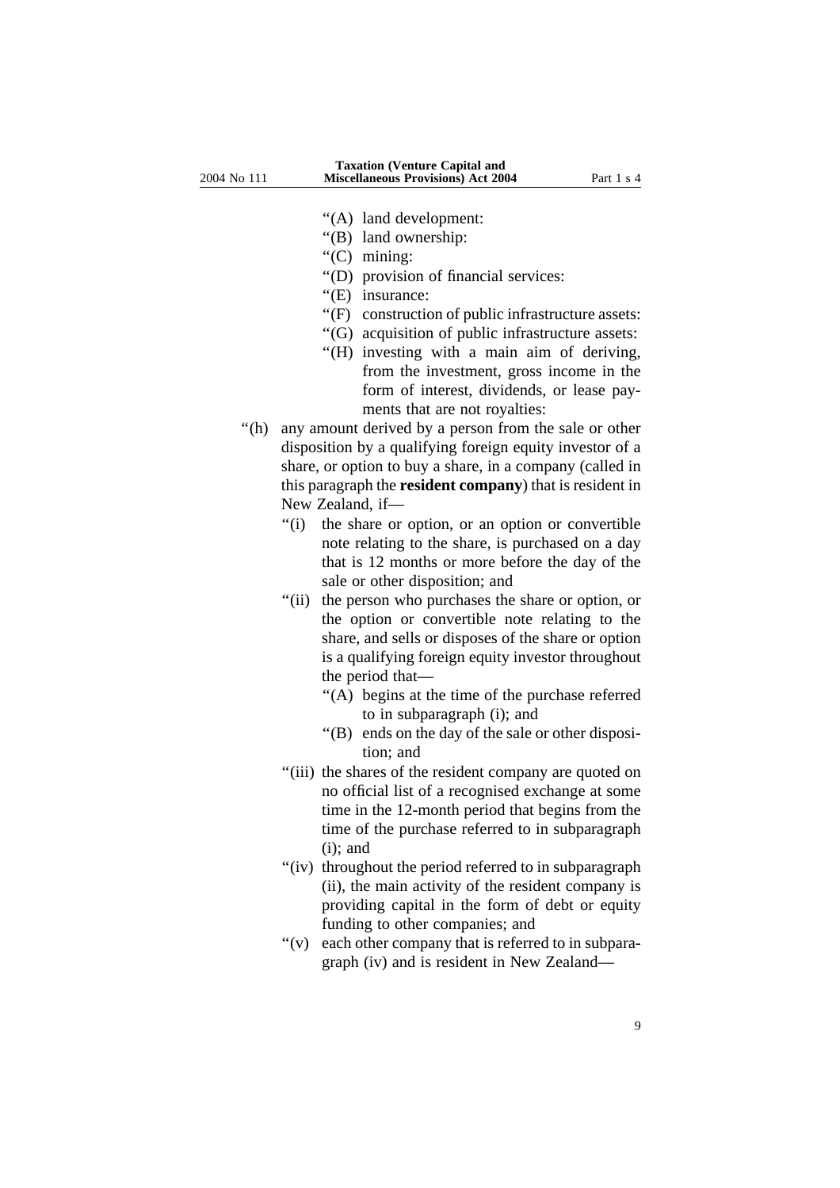''(A) land development:

- ''(B) land ownership:
- ''(C) mining:
- ''(D) provision of financial services:
- "(E) insurance:
- ''(F) construction of public infrastructure assets:
- ''(G) acquisition of public infrastructure assets:
- ''(H) investing with a main aim of deriving, from the investment, gross income in the form of interest, dividends, or lease payments that are not royalties:
- "(h) any amount derived by a person from the sale or other disposition by a qualifying foreign equity investor of a share, or option to buy a share, in a company (called in this paragraph the **resident company**) that is resident in New Zealand, if—
	- ''(i) the share or option, or an option or convertible note relating to the share, is purchased on a day that is 12 months or more before the day of the sale or other disposition; and
	- "(ii) the person who purchases the share or option, or the option or convertible note relating to the share, and sells or disposes of the share or option is a qualifying foreign equity investor throughout the period that—
		- ''(A) begins at the time of the purchase referred to in subparagraph (i); and
		- ''(B) ends on the day of the sale or other disposition; and
	- ''(iii) the shares of the resident company are quoted on no official list of a recognised exchange at some time in the 12-month period that begins from the time of the purchase referred to in subparagraph  $(i)$ : and
	- "(iv) throughout the period referred to in subparagraph (ii), the main activity of the resident company is providing capital in the form of debt or equity funding to other companies; and
	- $'(v)$  each other company that is referred to in subparagraph (iv) and is resident in New Zealand—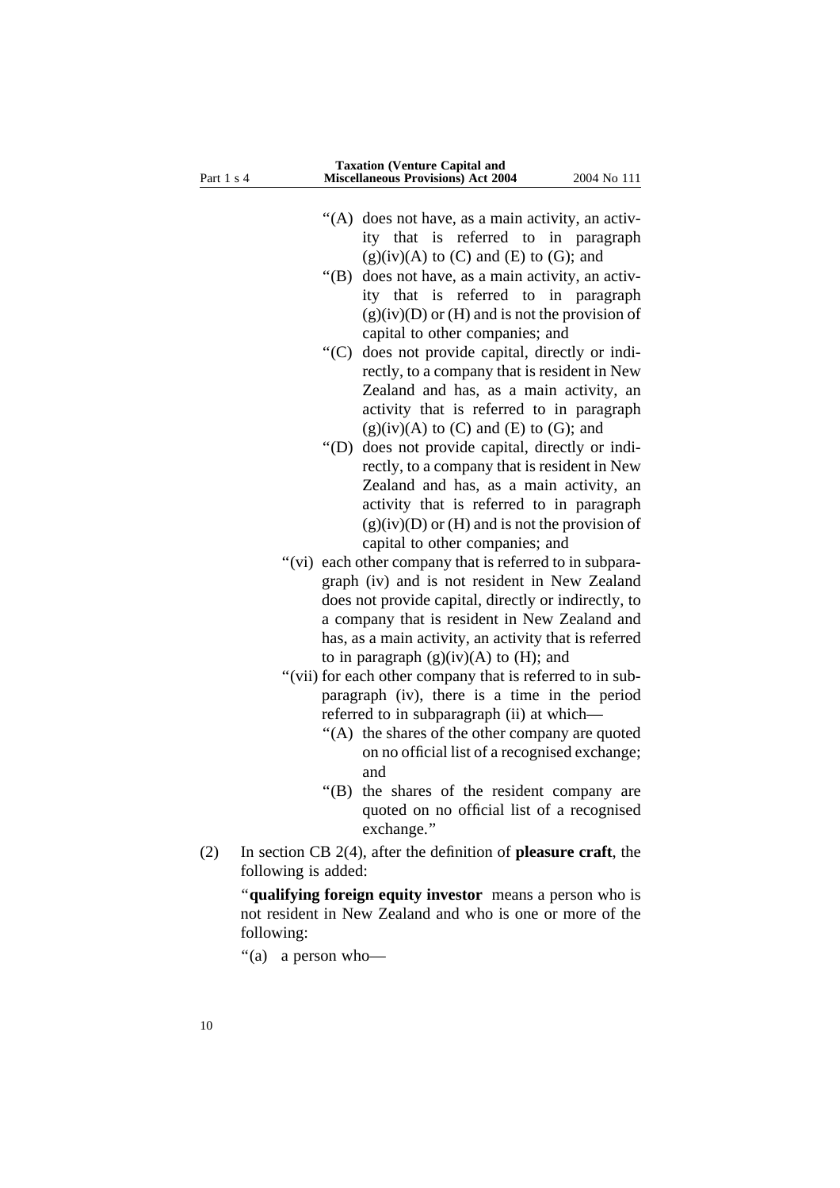| Part 1 s 4 | <b>Miscellaneous Provisions) Act 2004</b><br>2004 No 111                                          |
|------------|---------------------------------------------------------------------------------------------------|
|            |                                                                                                   |
|            | "(A) does not have, as a main activity, an activ-                                                 |
|            | ity that is referred to in paragraph                                                              |
|            | $(g)(iv)(A)$ to $(C)$ and $(E)$ to $(G)$ ; and                                                    |
|            | " $(B)$<br>does not have, as a main activity, an activ-                                           |
|            | ity that is referred to<br>in paragraph                                                           |
|            | $(g)(iv)(D)$ or $(H)$ and is not the provision of                                                 |
|            | capital to other companies; and                                                                   |
|            | " $(C)$<br>does not provide capital, directly or indi-                                            |
|            | rectly, to a company that is resident in New                                                      |
|            | Zealand and has, as a main activity, an                                                           |
|            | activity that is referred to in paragraph                                                         |
|            | $(g)(iv)(A)$ to $(C)$ and $(E)$ to $(G)$ ; and                                                    |
|            | " $(D)$<br>does not provide capital, directly or indi-                                            |
|            | rectly, to a company that is resident in New                                                      |
|            | Zealand and has, as a main activity, an                                                           |
|            | activity that is referred to in paragraph                                                         |
|            | $(g)(iv)(D)$ or $(H)$ and is not the provision of                                                 |
|            | capital to other companies; and                                                                   |
|            | "(vi) each other company that is referred to in subpara-                                          |
|            | graph (iv) and is not resident in New Zealand                                                     |
|            | does not provide capital, directly or indirectly, to                                              |
|            | a company that is resident in New Zealand and                                                     |
|            | has, as a main activity, an activity that is referred                                             |
|            | to in paragraph $(g)(iv)(A)$ to $(H)$ ; and                                                       |
|            | "(vii) for each other company that is referred to in sub-                                         |
|            | paragraph (iv), there is a time in the period                                                     |
|            | referred to in subparagraph (ii) at which-                                                        |
|            | "(A) the shares of the other company are quoted                                                   |
|            | on no official list of a recognised exchange;                                                     |
|            | and                                                                                               |
|            | "(B) the shares of the resident company are                                                       |
|            | quoted on no official list of a recognised                                                        |
|            | exchange."                                                                                        |
| (2)        | In section CB $2(4)$ , after the definition of <b>pleasure craft</b> , the<br>following is added: |
|            | "qualifying foreign equity investor means a person who is                                         |
|            | not resident in New Zealand and who is one or more of the                                         |
|            | following:                                                                                        |
|            | "(a)<br>a person who-                                                                             |
|            |                                                                                                   |

**Taxation (Venture Capital and**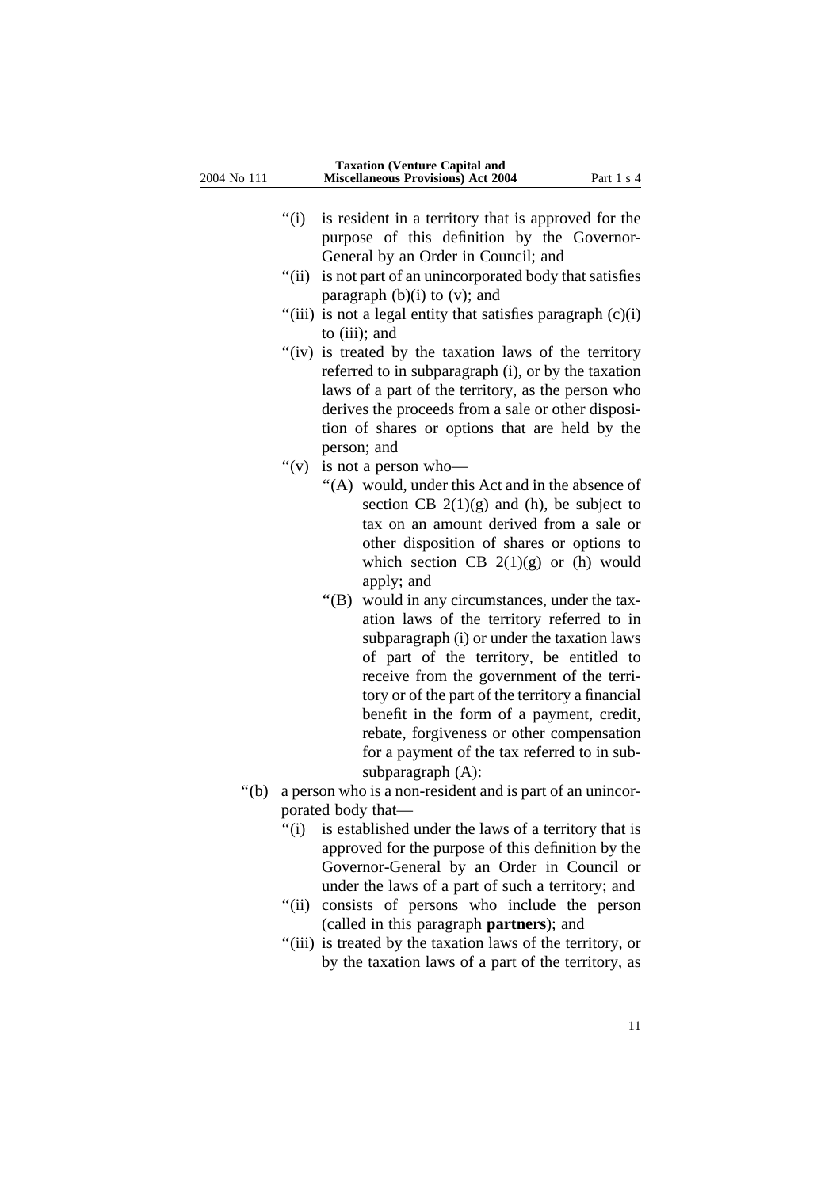- "(i) is resident in a territory that is approved for the purpose of this definition by the Governor-General by an Order in Council; and
- "(ii) is not part of an unincorporated body that satisfies paragraph  $(b)(i)$  to  $(v)$ ; and
- "(iii) is not a legal entity that satisfies paragraph  $(c)(i)$ to (iii); and
- "(iv) is treated by the taxation laws of the territory referred to in subparagraph (i), or by the taxation laws of a part of the territory, as the person who derives the proceeds from a sale or other disposition of shares or options that are held by the person; and
- "(v) is not a person who-
	- ''(A) would, under this Act and in the absence of section CB  $2(1)(g)$  and (h), be subject to tax on an amount derived from a sale or other disposition of shares or options to which section CB  $2(1)(g)$  or (h) would apply; and
	- ''(B) would in any circumstances, under the taxation laws of the territory referred to in subparagraph (i) or under the taxation laws of part of the territory, be entitled to receive from the government of the territory or of the part of the territory a financial benefit in the form of a payment, credit, rebate, forgiveness or other compensation for a payment of the tax referred to in subsubparagraph (A):
- "(b) a person who is a non-resident and is part of an unincorporated body that—
	- "(i) is established under the laws of a territory that is approved for the purpose of this definition by the Governor-General by an Order in Council or under the laws of a part of such a territory; and
	- "(ii) consists of persons who include the person (called in this paragraph **partners**); and
	- ''(iii) is treated by the taxation laws of the territory, or by the taxation laws of a part of the territory, as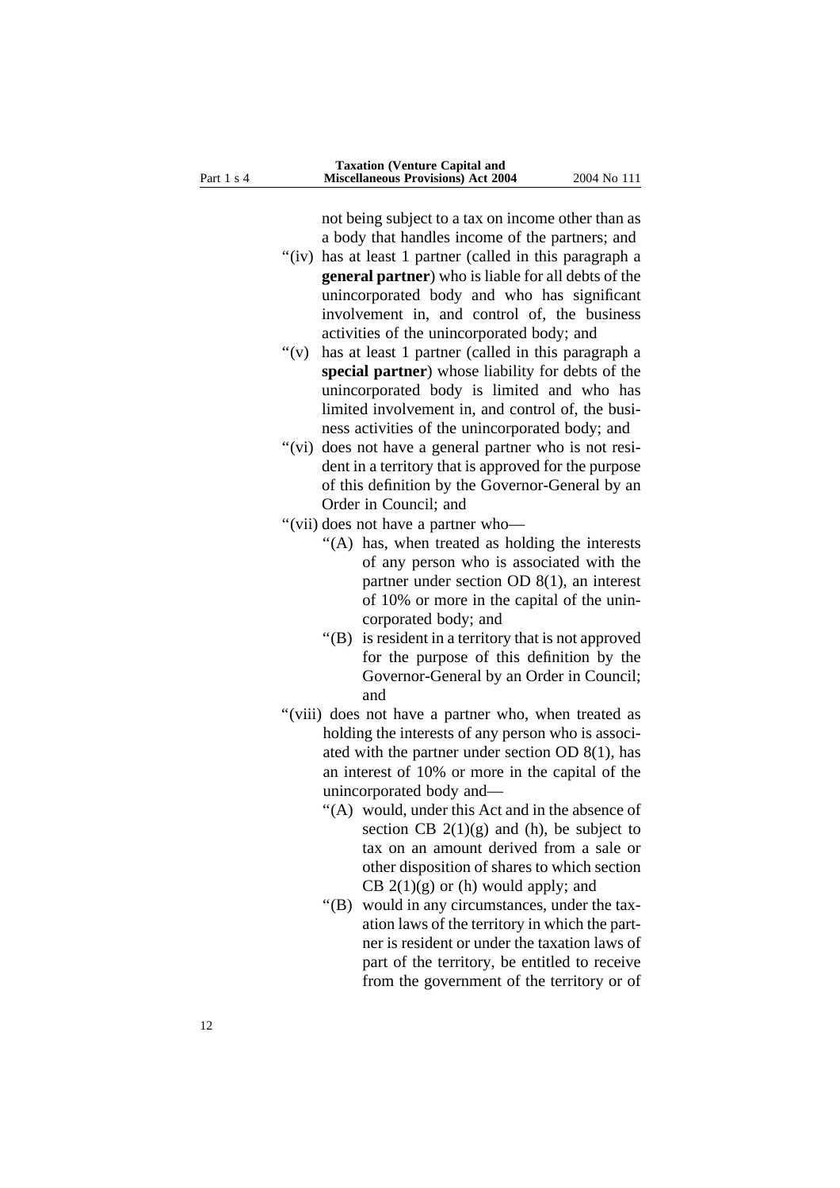not being subject to a tax on income other than as a body that handles income of the partners; and

- "(iv) has at least 1 partner (called in this paragraph a **general partner**) who is liable for all debts of the unincorporated body and who has significant involvement in, and control of, the business activities of the unincorporated body; and
- "(v) has at least 1 partner (called in this paragraph a **special partner**) whose liability for debts of the unincorporated body is limited and who has limited involvement in, and control of, the business activities of the unincorporated body; and
- "(vi) does not have a general partner who is not resident in a territory that is approved for the purpose of this definition by the Governor-General by an Order in Council; and
- ''(vii) does not have a partner who—
	- ''(A) has, when treated as holding the interests of any person who is associated with the partner under section OD 8(1), an interest of 10% or more in the capital of the unincorporated body; and
	- ''(B) is resident in a territory that is not approved for the purpose of this definition by the Governor-General by an Order in Council; and
- "(viii) does not have a partner who, when treated as holding the interests of any person who is associated with the partner under section OD 8(1), has an interest of 10% or more in the capital of the unincorporated body and—
	- ''(A) would, under this Act and in the absence of section CB  $2(1)(g)$  and (h), be subject to tax on an amount derived from a sale or other disposition of shares to which section CB  $2(1)(g)$  or (h) would apply; and
	- ''(B) would in any circumstances, under the taxation laws of the territory in which the partner is resident or under the taxation laws of part of the territory, be entitled to receive from the government of the territory or of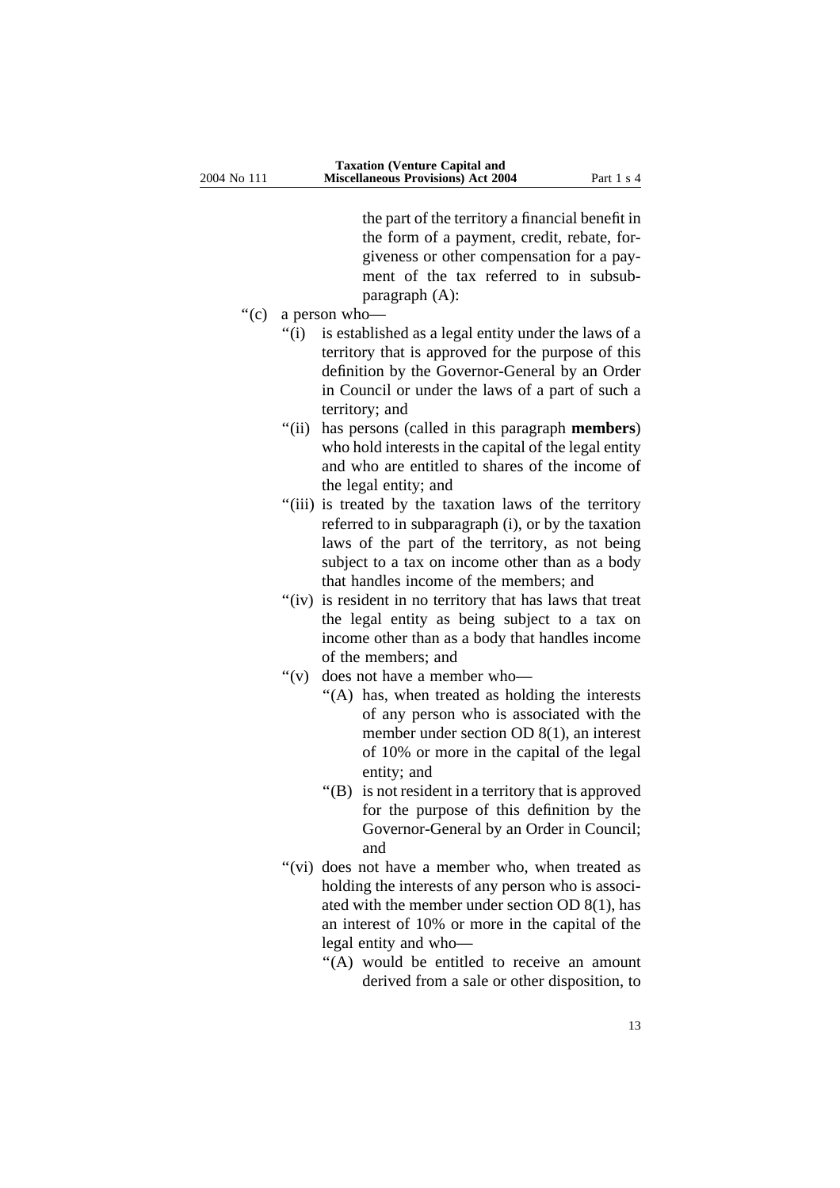the part of the territory a financial benefit in the form of a payment, credit, rebate, forgiveness or other compensation for a payment of the tax referred to in subsubparagraph (A):

- ''(c) a person who—
	- "(i) is established as a legal entity under the laws of a territory that is approved for the purpose of this definition by the Governor-General by an Order in Council or under the laws of a part of such a territory; and
	- ''(ii) has persons (called in this paragraph **members**) who hold interests in the capital of the legal entity and who are entitled to shares of the income of the legal entity; and
	- "(iii) is treated by the taxation laws of the territory referred to in subparagraph (i), or by the taxation laws of the part of the territory, as not being subject to a tax on income other than as a body that handles income of the members; and
	- "(iv) is resident in no territory that has laws that treat the legal entity as being subject to a tax on income other than as a body that handles income of the members; and
	- ''(v) does not have a member who—
		- ''(A) has, when treated as holding the interests of any person who is associated with the member under section OD 8(1), an interest of 10% or more in the capital of the legal entity; and
		- ''(B) is not resident in a territory that is approved for the purpose of this definition by the Governor-General by an Order in Council; and
	- "(vi) does not have a member who, when treated as holding the interests of any person who is associated with the member under section OD 8(1), has an interest of 10% or more in the capital of the legal entity and who—
		- ''(A) would be entitled to receive an amount derived from a sale or other disposition, to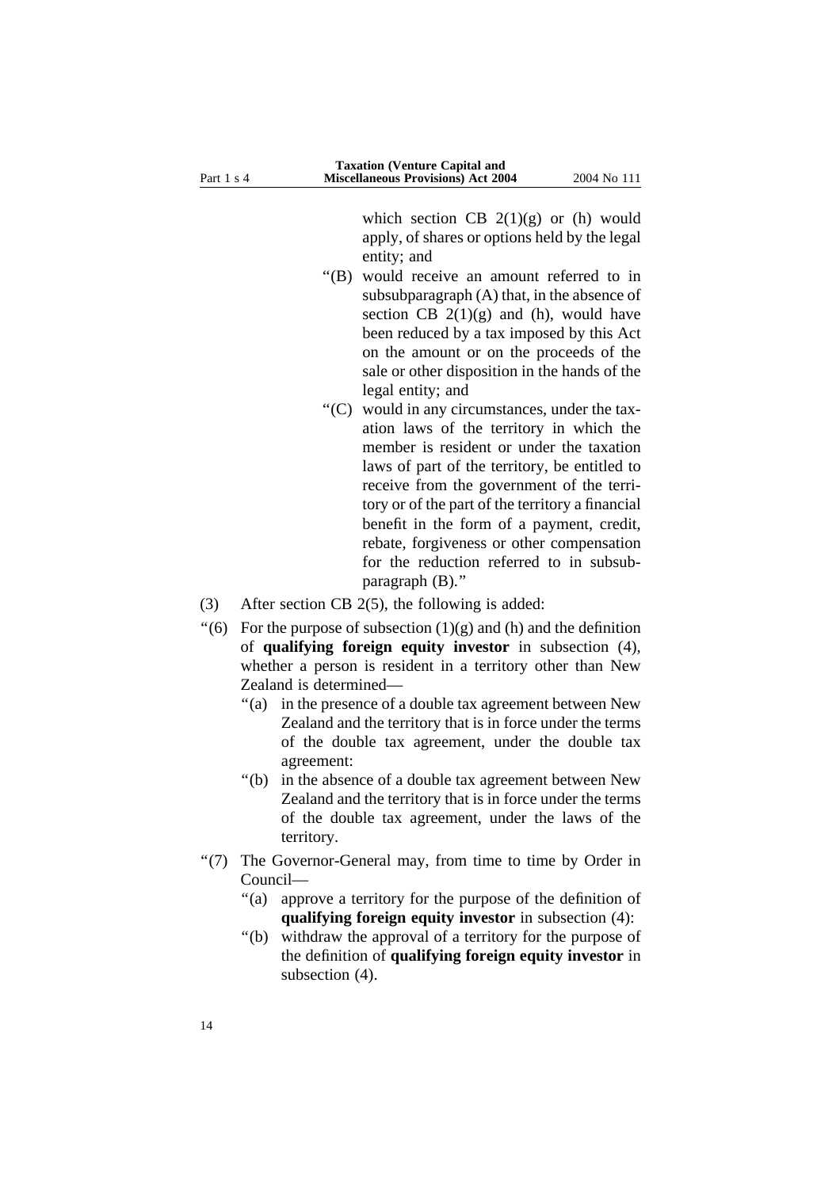which section CB  $2(1)(g)$  or (h) would apply, of shares or options held by the legal entity; and

- ''(B) would receive an amount referred to in subsubparagraph (A) that, in the absence of section CB  $2(1)(g)$  and (h), would have been reduced by a tax imposed by this Act on the amount or on the proceeds of the sale or other disposition in the hands of the legal entity; and
- ''(C) would in any circumstances, under the taxation laws of the territory in which the member is resident or under the taxation laws of part of the territory, be entitled to receive from the government of the territory or of the part of the territory a financial benefit in the form of a payment, credit, rebate, forgiveness or other compensation for the reduction referred to in subsubparagraph (B).''
- (3) After section CB 2(5), the following is added:
- $\degree$ (6) For the purpose of subsection (1)(g) and (h) and the definition of **qualifying foreign equity investor** in subsection (4), whether a person is resident in a territory other than New Zealand is determined—
	- ''(a) in the presence of a double tax agreement between New Zealand and the territory that is in force under the terms of the double tax agreement, under the double tax agreement:
	- ''(b) in the absence of a double tax agreement between New Zealand and the territory that is in force under the terms of the double tax agreement, under the laws of the territory.
- ''(7) The Governor-General may, from time to time by Order in Council—
	- "(a) approve a territory for the purpose of the definition of **qualifying foreign equity investor** in subsection (4):
	- ''(b) withdraw the approval of a territory for the purpose of the definition of **qualifying foreign equity investor** in subsection (4).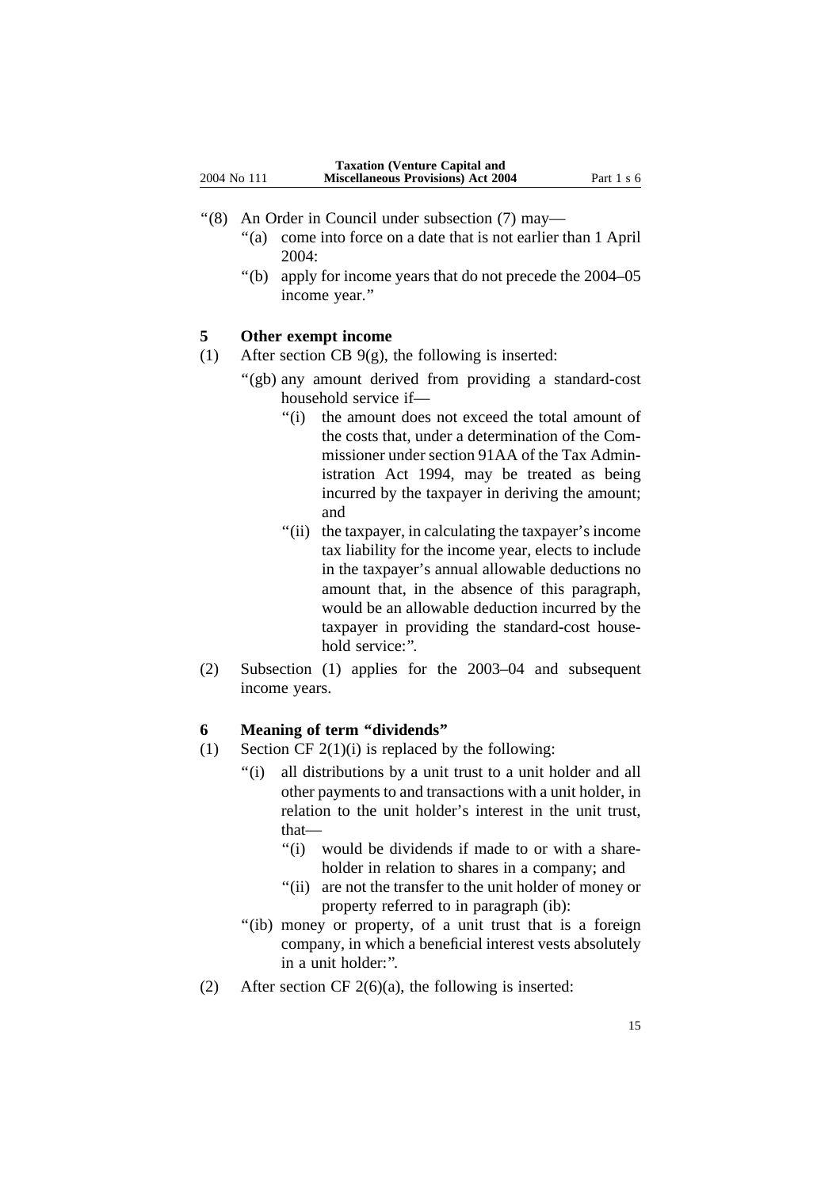- ''(8) An Order in Council under subsection (7) may—
	- ''(a) come into force on a date that is not earlier than 1 April 2004:
	- ''(b) apply for income years that do not precede the 2004–05 income year.''

#### **5 Other exempt income**

- (1) After section CB  $9(g)$ , the following is inserted:
	- "(gb) any amount derived from providing a standard-cost household service if—
		- ''(i) the amount does not exceed the total amount of the costs that, under a determination of the Commissioner under section 91AA of the Tax Administration Act 1994, may be treated as being incurred by the taxpayer in deriving the amount; and
		- "(ii) the taxpayer, in calculating the taxpayer's income tax liability for the income year, elects to include in the taxpayer's annual allowable deductions no amount that, in the absence of this paragraph, would be an allowable deduction incurred by the taxpayer in providing the standard-cost household service:".
- (2) Subsection (1) applies for the 2003–04 and subsequent income years.

#### **6 Meaning of term ''dividends''**

- (1) Section CF  $2(1)(i)$  is replaced by the following:
	- ''(i) all distributions by a unit trust to a unit holder and all other payments to and transactions with a unit holder, in relation to the unit holder's interest in the unit trust, that—
		- "(i) would be dividends if made to or with a shareholder in relation to shares in a company; and
		- "(ii) are not the transfer to the unit holder of money or property referred to in paragraph (ib):
	- "(ib) money or property, of a unit trust that is a foreign company, in which a beneficial interest vests absolutely in a unit holder:''.
- (2) After section CF  $2(6)(a)$ , the following is inserted: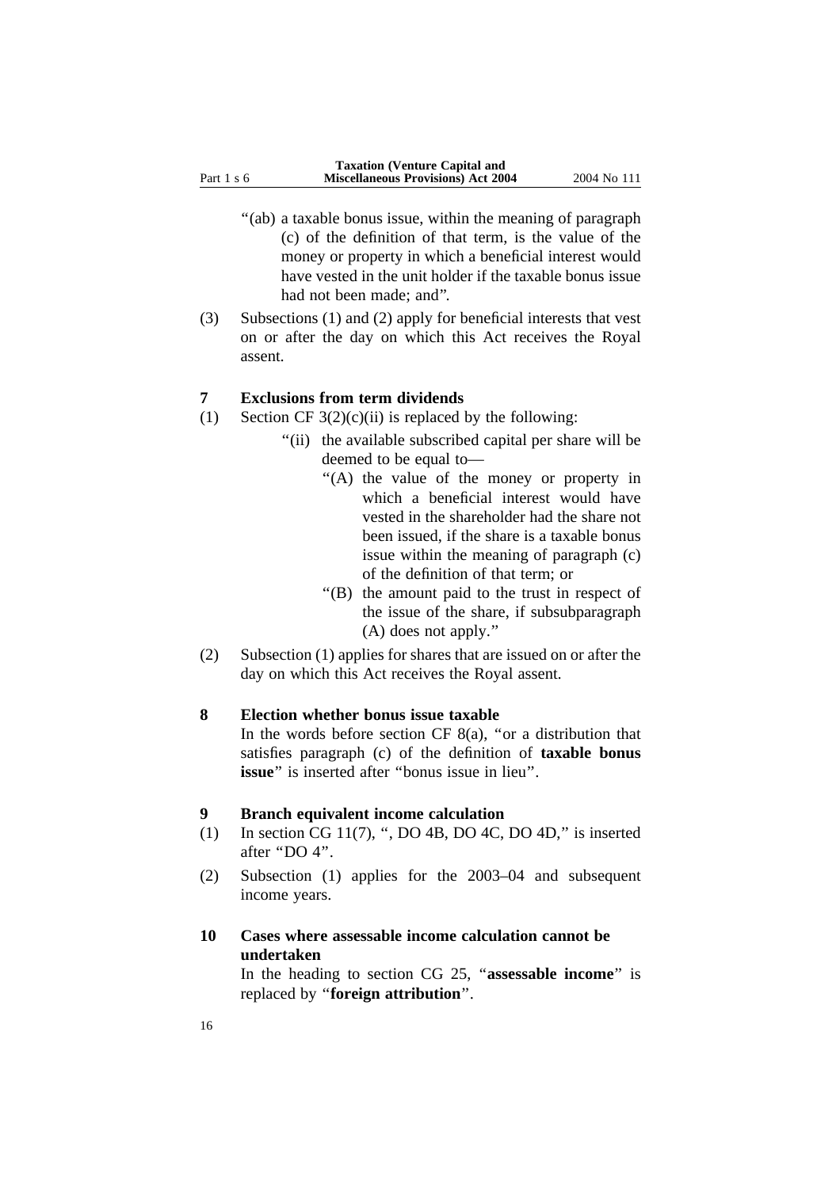- "(ab) a taxable bonus issue, within the meaning of paragraph (c) of the definition of that term, is the value of the money or property in which a beneficial interest would have vested in the unit holder if the taxable bonus issue had not been made; and''.
- (3) Subsections (1) and (2) apply for beneficial interests that vest on or after the day on which this Act receives the Royal assent.

#### **7 Exclusions from term dividends**

- (1) Section CF  $3(2)(c)(ii)$  is replaced by the following:
	- "(ii) the available subscribed capital per share will be deemed to be equal to—
		- ''(A) the value of the money or property in which a beneficial interest would have vested in the shareholder had the share not been issued, if the share is a taxable bonus issue within the meaning of paragraph (c) of the definition of that term; or
		- ''(B) the amount paid to the trust in respect of the issue of the share, if subsubparagraph (A) does not apply.''
- (2) Subsection (1) applies for shares that are issued on or after the day on which this Act receives the Royal assent.

#### **8 Election whether bonus issue taxable**

In the words before section CF  $8(a)$ , "or a distribution that satisfies paragraph (c) of the definition of **taxable bonus issue**" is inserted after "bonus issue in lieu".

#### **9 Branch equivalent income calculation**

- (1) In section CG 11(7), ", DO 4B, DO 4C, DO 4D," is inserted after ''DO 4''.
- (2) Subsection (1) applies for the 2003–04 and subsequent income years.

#### **10 Cases where assessable income calculation cannot be undertaken**

In the heading to section CG 25, ''**assessable income**'' is replaced by ''**foreign attribution**''.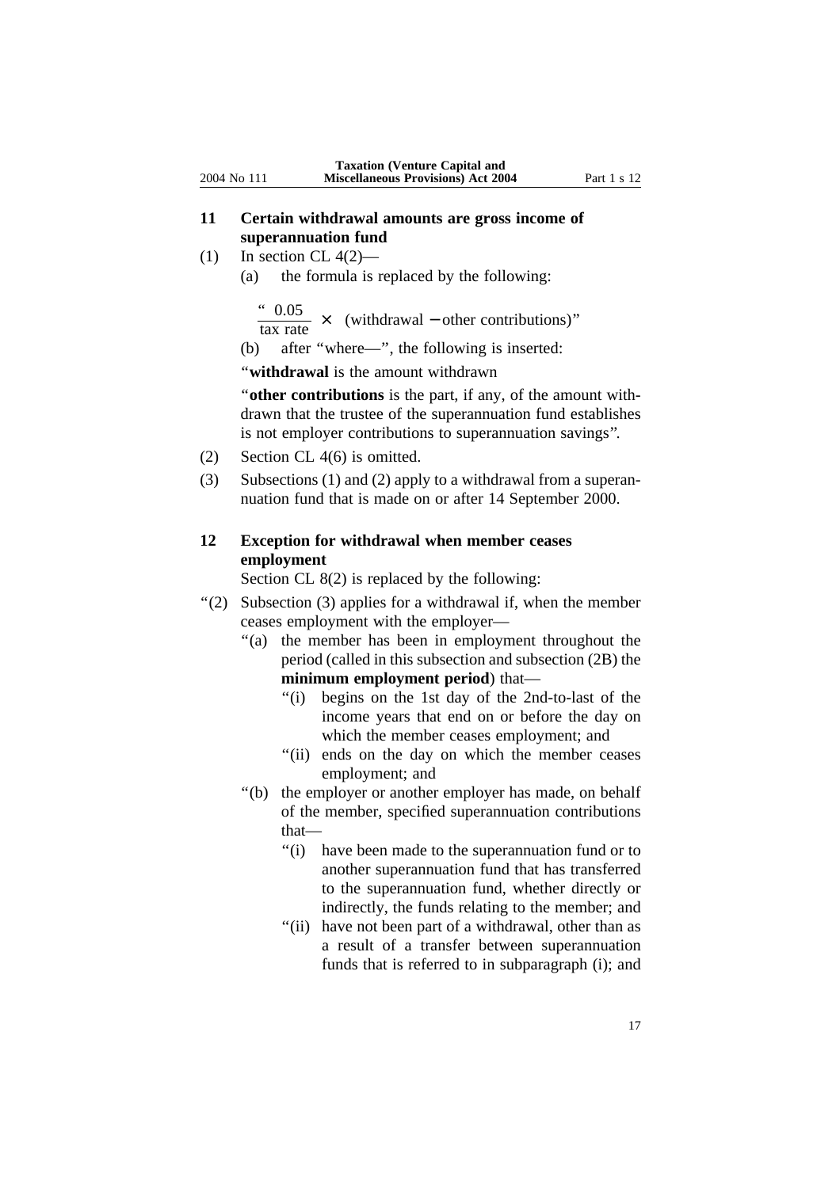- **11 Certain withdrawal amounts are gross income of superannuation fund**
- (1) In section CL  $4(2)$ 
	- (a) the formula is replaced by the following:

 $\frac{0.05}{\text{tax rate}} \times$  (withdrawal – other contributions)"

(b) after ''where—'', the following is inserted:

''**withdrawal** is the amount withdrawn

''**other contributions** is the part, if any, of the amount withdrawn that the trustee of the superannuation fund establishes is not employer contributions to superannuation savings''.

- (2) Section CL 4(6) is omitted.
- (3) Subsections (1) and (2) apply to a withdrawal from a superannuation fund that is made on or after 14 September 2000.

#### **12 Exception for withdrawal when member ceases employment**

Section CL 8(2) is replaced by the following:

- ''(2) Subsection (3) applies for a withdrawal if, when the member ceases employment with the employer—
	- ''(a) the member has been in employment throughout the period (called in this subsection and subsection (2B) the **minimum employment period**) that—
		- "(i) begins on the 1st day of the 2nd-to-last of the income years that end on or before the day on which the member ceases employment; and
		- "(ii) ends on the day on which the member ceases employment; and
	- ''(b) the employer or another employer has made, on behalf of the member, specified superannuation contributions that—
		- ''(i) have been made to the superannuation fund or to another superannuation fund that has transferred to the superannuation fund, whether directly or indirectly, the funds relating to the member; and
		- "(ii) have not been part of a withdrawal, other than as a result of a transfer between superannuation funds that is referred to in subparagraph (i); and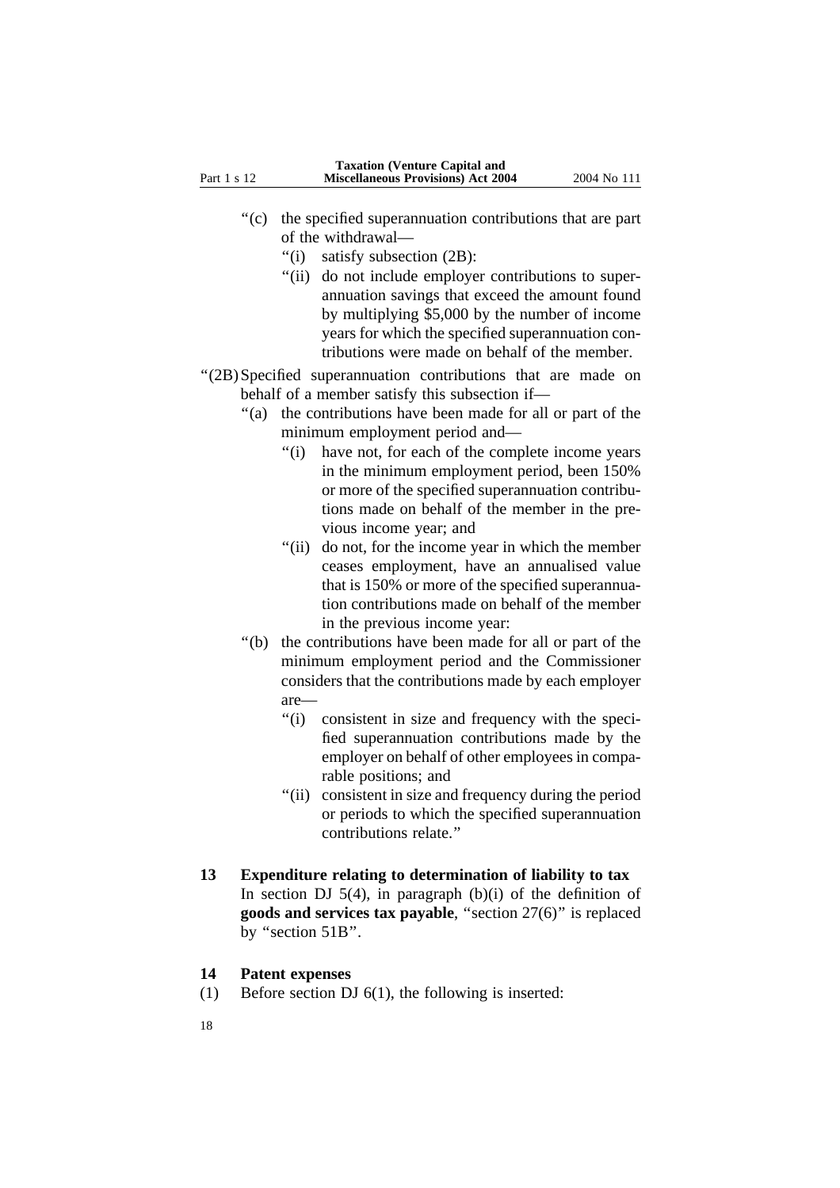- ''(c) the specified superannuation contributions that are part of the withdrawal—
	- ''(i) satisfy subsection (2B):
	- "(ii) do not include employer contributions to superannuation savings that exceed the amount found by multiplying \$5,000 by the number of income years for which the specified superannuation contributions were made on behalf of the member.
- ''(2B)Specified superannuation contributions that are made on behalf of a member satisfy this subsection if—
	- ''(a) the contributions have been made for all or part of the minimum employment period and—
		- ''(i) have not, for each of the complete income years in the minimum employment period, been 150% or more of the specified superannuation contributions made on behalf of the member in the previous income year; and
		- "(ii) do not, for the income year in which the member ceases employment, have an annualised value that is 150% or more of the specified superannuation contributions made on behalf of the member in the previous income year:
	- ''(b) the contributions have been made for all or part of the minimum employment period and the Commissioner considers that the contributions made by each employer are—
		- "(i) consistent in size and frequency with the specified superannuation contributions made by the employer on behalf of other employees in comparable positions; and
		- "(ii) consistent in size and frequency during the period or periods to which the specified superannuation contributions relate.''

#### **13 Expenditure relating to determination of liability to tax**

In section DJ  $5(4)$ , in paragraph (b)(i) of the definition of **goods and services tax payable**, ''section 27(6)'' is replaced by "section 51B".

#### **14 Patent expenses**

- (1) Before section DJ 6(1), the following is inserted:
- 18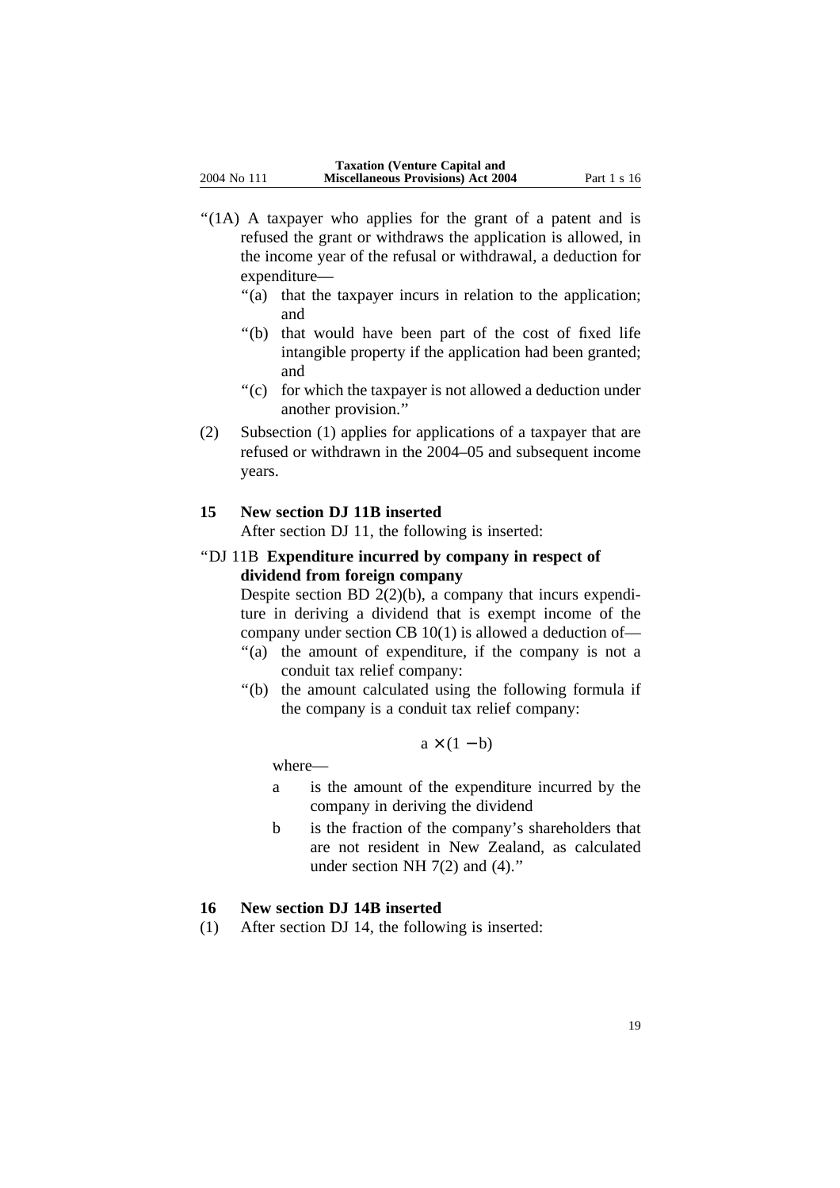- "(1A) A taxpayer who applies for the grant of a patent and is refused the grant or withdraws the application is allowed, in the income year of the refusal or withdrawal, a deduction for expenditure—
	- "(a) that the taxpayer incurs in relation to the application; and
	- ''(b) that would have been part of the cost of fixed life intangible property if the application had been granted; and
	- ''(c) for which the taxpayer is not allowed a deduction under another provision.''
- (2) Subsection (1) applies for applications of a taxpayer that are refused or withdrawn in the 2004–05 and subsequent income years.

#### **15 New section DJ 11B inserted**

After section DJ 11, the following is inserted:

''DJ 11B **Expenditure incurred by company in respect of dividend from foreign company**

Despite section BD  $2(2)(b)$ , a company that incurs expenditure in deriving a dividend that is exempt income of the company under section CB 10(1) is allowed a deduction of—

- "(a) the amount of expenditure, if the company is not a conduit tax relief company:
- ''(b) the amount calculated using the following formula if the company is a conduit tax relief company:

$$
a \times (1 - b)
$$

where—

- a is the amount of the expenditure incurred by the company in deriving the dividend
- b is the fraction of the company's shareholders that are not resident in New Zealand, as calculated under section NH 7(2) and (4)."

### **16 New section DJ 14B inserted**

(1) After section DJ 14, the following is inserted: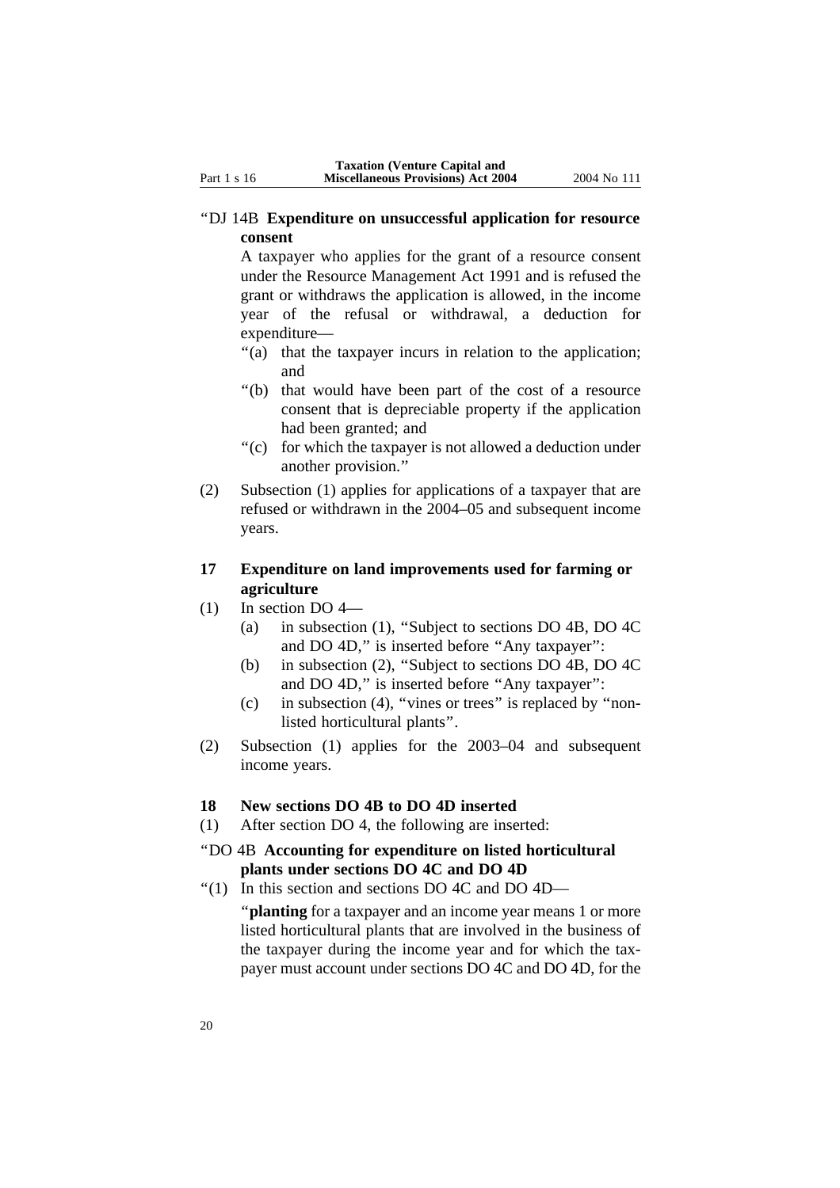#### ''DJ 14B **Expenditure on unsuccessful application for resource consent**

A taxpayer who applies for the grant of a resource consent under the Resource Management Act 1991 and is refused the grant or withdraws the application is allowed, in the income year of the refusal or withdrawal, a deduction for expenditure—

- "(a) that the taxpayer incurs in relation to the application; and
- ''(b) that would have been part of the cost of a resource consent that is depreciable property if the application had been granted; and
- ''(c) for which the taxpayer is not allowed a deduction under another provision.''
- (2) Subsection (1) applies for applications of a taxpayer that are refused or withdrawn in the 2004–05 and subsequent income years.

#### **17 Expenditure on land improvements used for farming or agriculture**

- (1) In section DO 4—
	- (a) in subsection (1), ''Subject to sections DO 4B, DO 4C and DO 4D," is inserted before "Any taxpayer":
	- (b) in subsection (2), ''Subject to sections DO 4B, DO 4C and DO 4D," is inserted before "Any taxpayer":
	- (c) in subsection (4), ''vines or trees'' is replaced by ''nonlisted horticultural plants''.
- (2) Subsection (1) applies for the 2003–04 and subsequent income years.

### **18 New sections DO 4B to DO 4D inserted**

- (1) After section DO 4, the following are inserted:
- ''DO 4B **Accounting for expenditure on listed horticultural plants under sections DO 4C and DO 4D**
- $\degree$ (1) In this section and sections DO 4C and DO 4D—

"**planting** for a taxpayer and an income year means 1 or more listed horticultural plants that are involved in the business of the taxpayer during the income year and for which the taxpayer must account under sections DO 4C and DO 4D, for the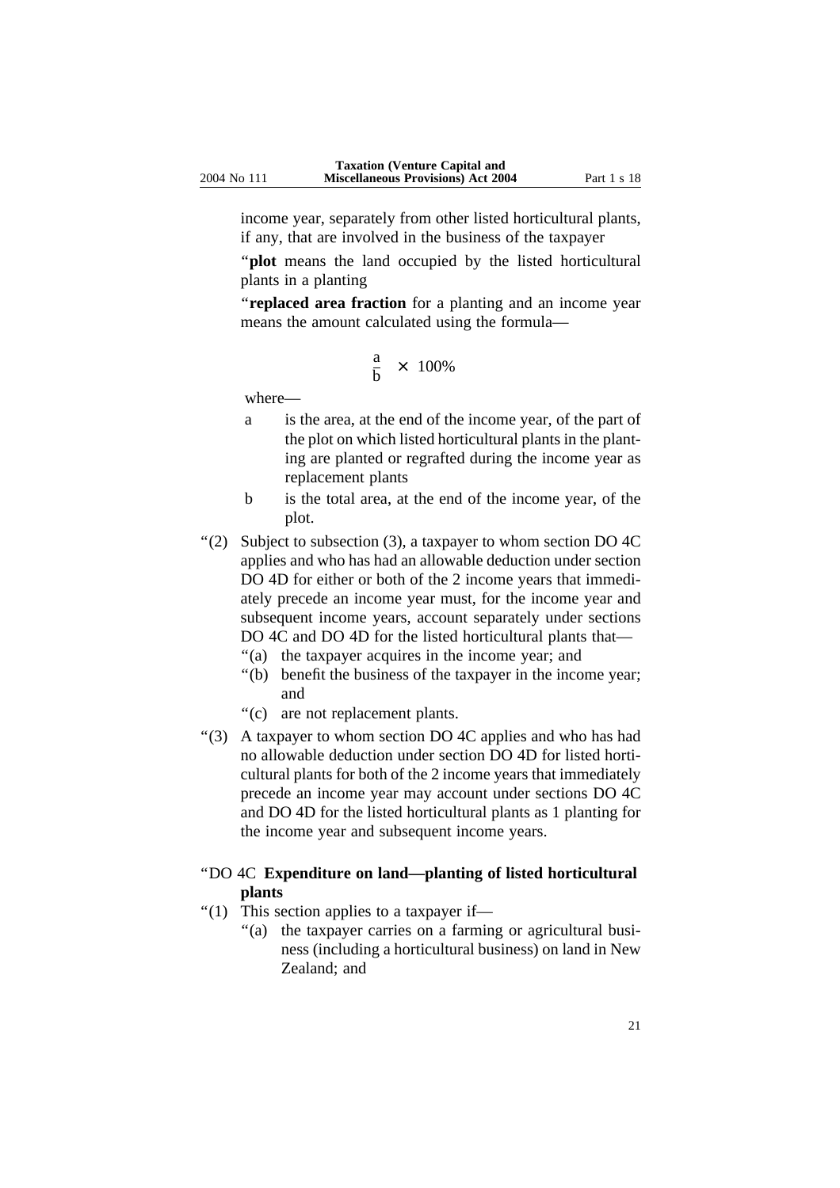income year, separately from other listed horticultural plants, if any, that are involved in the business of the taxpayer

"**plot** means the land occupied by the listed horticultural plants in a planting

''**replaced area fraction** for a planting and an income year means the amount calculated using the formula—

$$
\frac{a}{b} \times 100\%
$$

where—

- a is the area, at the end of the income year, of the part of the plot on which listed horticultural plants in the planting are planted or regrafted during the income year as replacement plants
- b is the total area, at the end of the income year, of the plot.
- $\degree$ (2) Subject to subsection (3), a taxpayer to whom section DO 4C applies and who has had an allowable deduction under section DO 4D for either or both of the 2 income years that immediately precede an income year must, for the income year and subsequent income years, account separately under sections DO 4C and DO 4D for the listed horticultural plants that—
	- "(a) the taxpayer acquires in the income year; and
	- ''(b) benefit the business of the taxpayer in the income year; and
	- ''(c) are not replacement plants.
- ''(3) A taxpayer to whom section DO 4C applies and who has had no allowable deduction under section DO 4D for listed horticultural plants for both of the 2 income years that immediately precede an income year may account under sections DO 4C and DO 4D for the listed horticultural plants as 1 planting for the income year and subsequent income years.

#### ''DO 4C **Expenditure on land—planting of listed horticultural plants**

- ''(1) This section applies to a taxpayer if—
	- "(a) the taxpayer carries on a farming or agricultural business (including a horticultural business) on land in New Zealand; and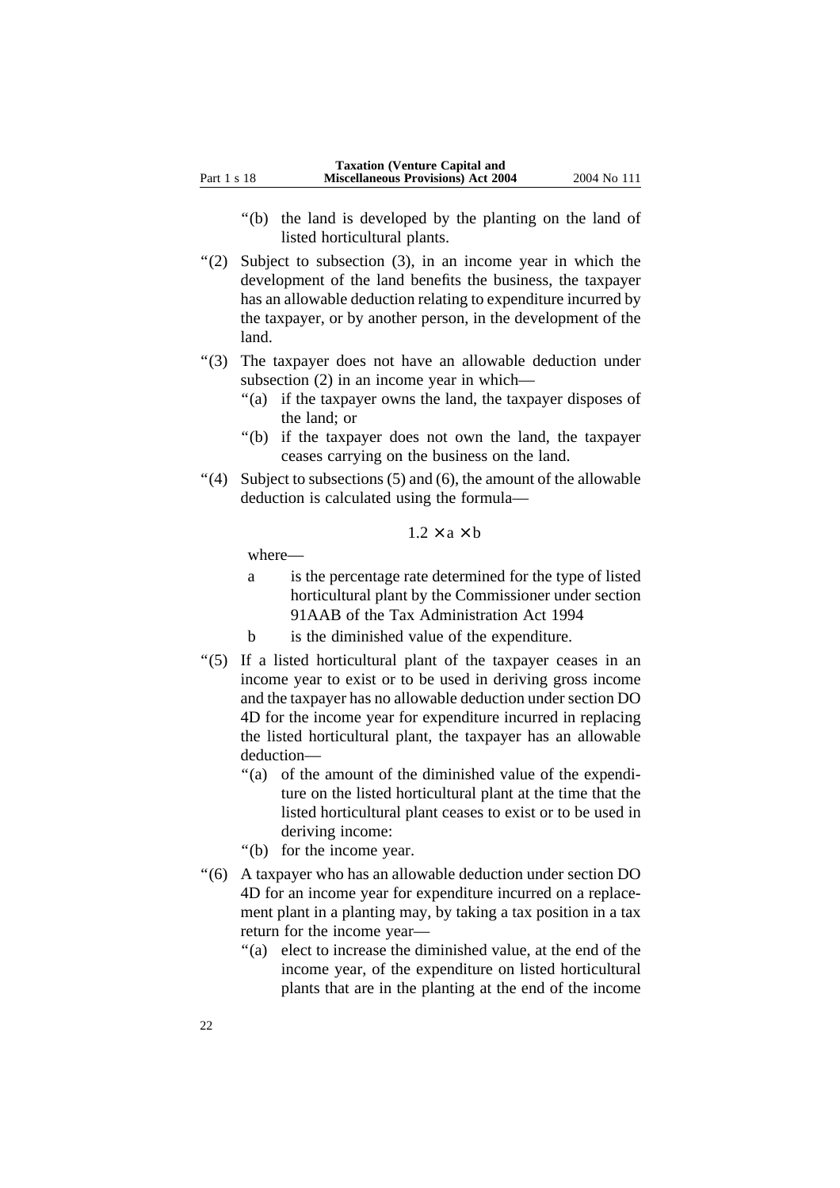- ''(b) the land is developed by the planting on the land of listed horticultural plants.
- "(2) Subject to subsection (3), in an income year in which the development of the land benefits the business, the taxpayer has an allowable deduction relating to expenditure incurred by the taxpayer, or by another person, in the development of the land.
- ''(3) The taxpayer does not have an allowable deduction under subsection (2) in an income year in which—
	- "(a) if the taxpayer owns the land, the taxpayer disposes of the land; or
	- ''(b) if the taxpayer does not own the land, the taxpayer ceases carrying on the business on the land.
- $''(4)$  Subject to subsections (5) and (6), the amount of the allowable deduction is calculated using the formula—

 $1.2 \times a \times b$ 

where—

- a is the percentage rate determined for the type of listed horticultural plant by the Commissioner under section 91AAB of the Tax Administration Act 1994
- b is the diminished value of the expenditure.
- ''(5) If a listed horticultural plant of the taxpayer ceases in an income year to exist or to be used in deriving gross income and the taxpayer has no allowable deduction under section DO 4D for the income year for expenditure incurred in replacing the listed horticultural plant, the taxpayer has an allowable deduction—
	- "(a) of the amount of the diminished value of the expenditure on the listed horticultural plant at the time that the listed horticultural plant ceases to exist or to be used in deriving income:
	- ''(b) for the income year.
- ''(6) A taxpayer who has an allowable deduction under section DO 4D for an income year for expenditure incurred on a replacement plant in a planting may, by taking a tax position in a tax return for the income year—
	- "(a) elect to increase the diminished value, at the end of the income year, of the expenditure on listed horticultural plants that are in the planting at the end of the income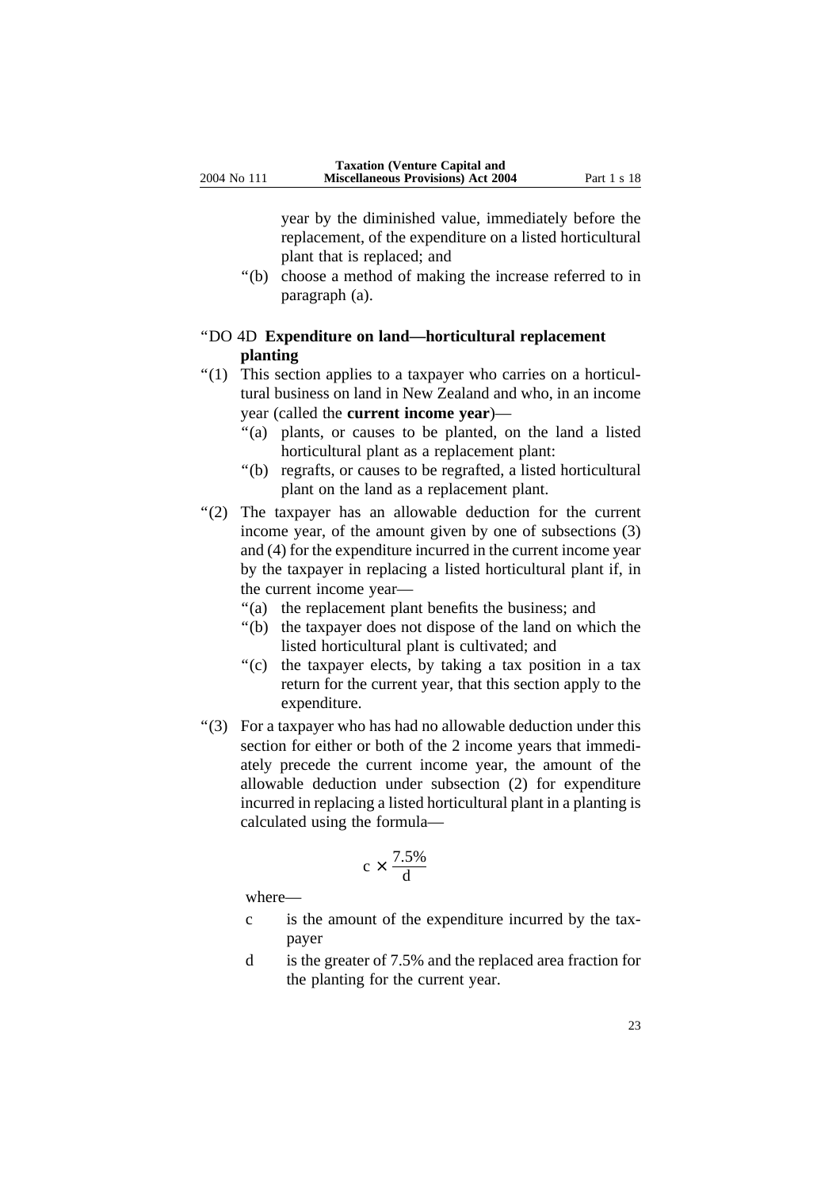year by the diminished value, immediately before the replacement, of the expenditure on a listed horticultural plant that is replaced; and

''(b) choose a method of making the increase referred to in paragraph (a).

#### ''DO 4D **Expenditure on land—horticultural replacement planting**

- ''(1) This section applies to a taxpayer who carries on a horticultural business on land in New Zealand and who, in an income year (called the **current income year**)—
	- ''(a) plants, or causes to be planted, on the land a listed horticultural plant as a replacement plant:
	- ''(b) regrafts, or causes to be regrafted, a listed horticultural plant on the land as a replacement plant.
- ''(2) The taxpayer has an allowable deduction for the current income year, of the amount given by one of subsections (3) and (4) for the expenditure incurred in the current income year by the taxpayer in replacing a listed horticultural plant if, in the current income year—
	- "(a) the replacement plant benefits the business; and
	- ''(b) the taxpayer does not dispose of the land on which the listed horticultural plant is cultivated; and
	- "(c) the taxpayer elects, by taking a tax position in a tax return for the current year, that this section apply to the expenditure.
- ''(3) For a taxpayer who has had no allowable deduction under this section for either or both of the 2 income years that immediately precede the current income year, the amount of the allowable deduction under subsection (2) for expenditure incurred in replacing a listed horticultural plant in a planting is calculated using the formula—

$$
c \times \frac{7.5\%}{d}
$$

where—

- c is the amount of the expenditure incurred by the taxpayer
- d is the greater of 7.5% and the replaced area fraction for the planting for the current year.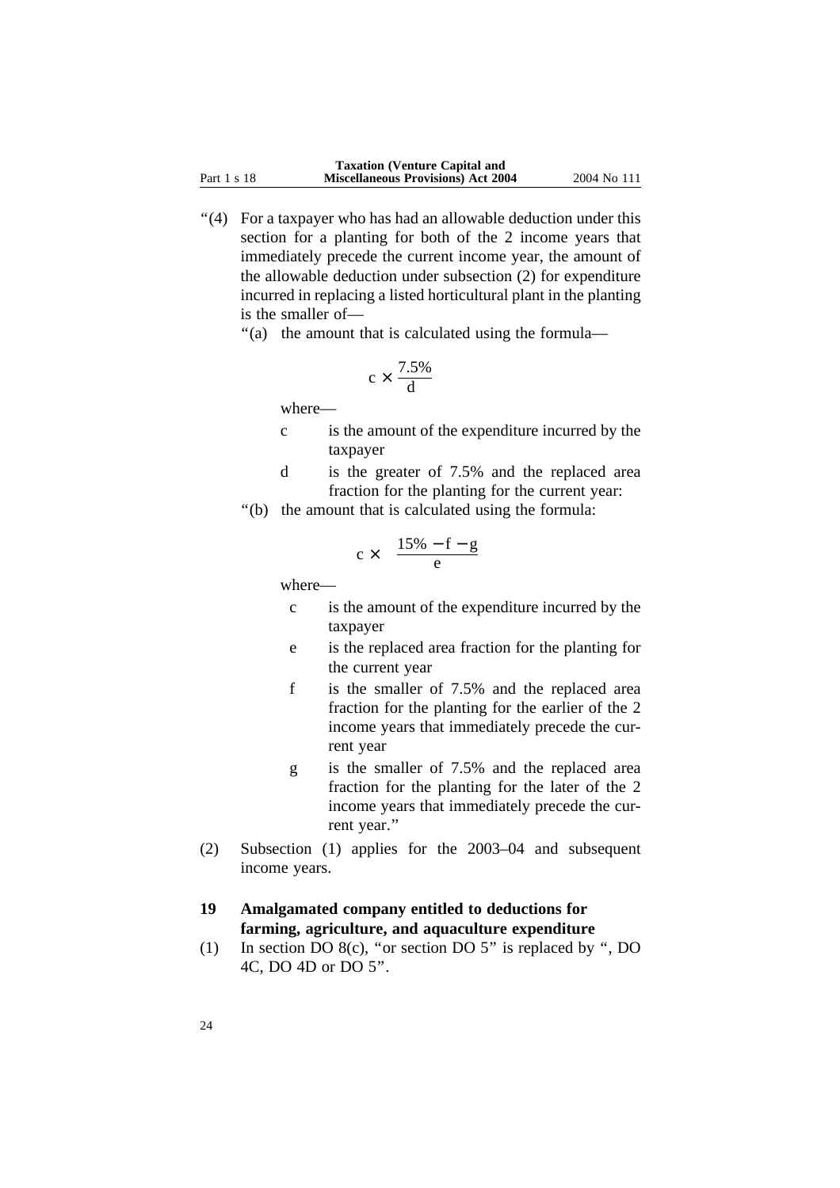''(4) For a taxpayer who has had an allowable deduction under this section for a planting for both of the 2 income years that immediately precede the current income year, the amount of the allowable deduction under subsection (2) for expenditure incurred in replacing a listed horticultural plant in the planting is the smaller of—

''(a) the amount that is calculated using the formula—

$$
c \times \frac{7.5\%}{d}
$$

where—

- c is the amount of the expenditure incurred by the taxpayer
- d is the greater of 7.5% and the replaced area fraction for the planting for the current year:
- ''(b) the amount that is calculated using the formula:

$$
c \times \frac{15\% - f - g}{e}
$$

where—

- c is the amount of the expenditure incurred by the taxpayer
- e is the replaced area fraction for the planting for the current year
- f is the smaller of 7.5% and the replaced area fraction for the planting for the earlier of the 2 income years that immediately precede the current year
- g is the smaller of 7.5% and the replaced area fraction for the planting for the later of the 2 income years that immediately precede the current year.''
- (2) Subsection (1) applies for the 2003–04 and subsequent income years.

## **19 Amalgamated company entitled to deductions for farming, agriculture, and aquaculture expenditure**

(1) In section DO 8(c), ''or section DO 5'' is replaced by '', DO 4C, DO 4D or DO 5''.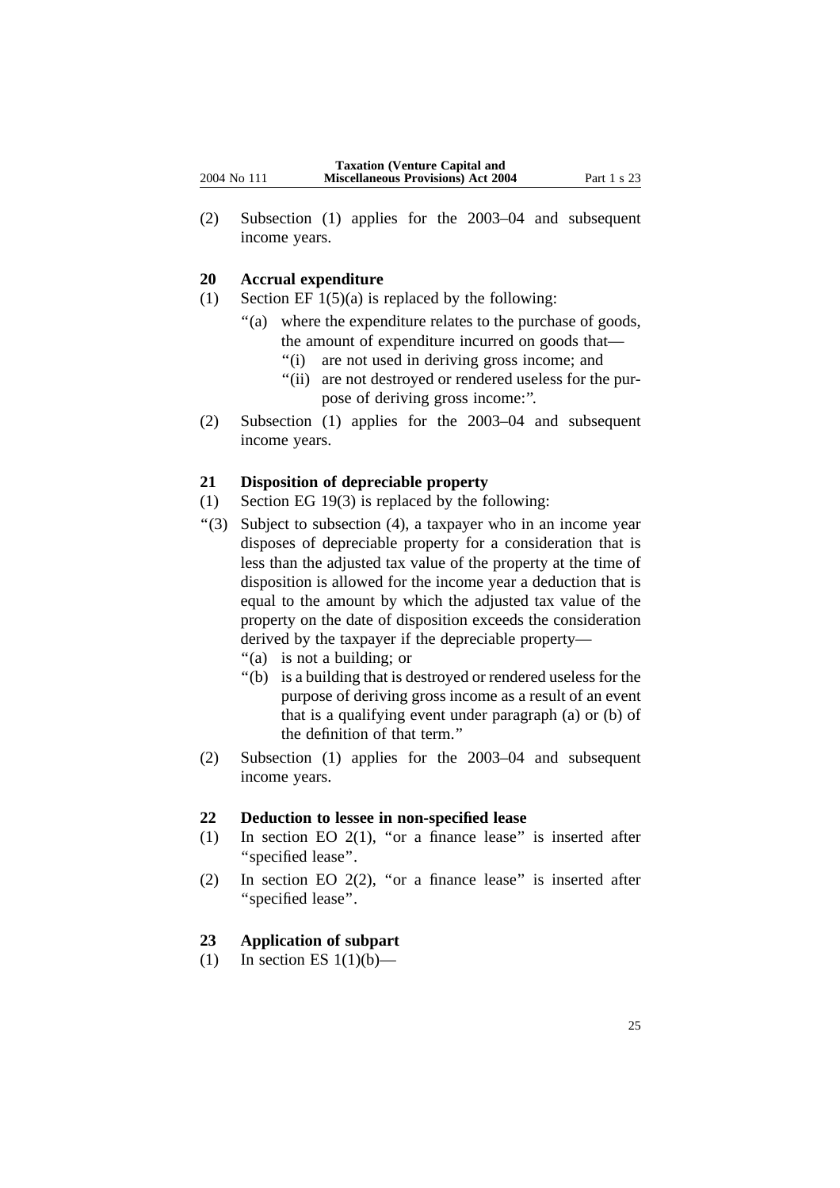(2) Subsection (1) applies for the 2003–04 and subsequent income years.

#### **20 Accrual expenditure**

- (1) Section EF  $1(5)(a)$  is replaced by the following:
	- ''(a) where the expenditure relates to the purchase of goods, the amount of expenditure incurred on goods that—
		- ''(i) are not used in deriving gross income; and
		- ''(ii) are not destroyed or rendered useless for the purpose of deriving gross income:''.
- (2) Subsection (1) applies for the 2003–04 and subsequent income years.

#### **21 Disposition of depreciable property**

- (1) Section EG 19(3) is replaced by the following:
- ''(3) Subject to subsection (4), a taxpayer who in an income year disposes of depreciable property for a consideration that is less than the adjusted tax value of the property at the time of disposition is allowed for the income year a deduction that is equal to the amount by which the adjusted tax value of the property on the date of disposition exceeds the consideration derived by the taxpayer if the depreciable property—
	- ''(a) is not a building; or
	- ''(b) is a building that is destroyed or rendered useless for the purpose of deriving gross income as a result of an event that is a qualifying event under paragraph (a) or (b) of the definition of that term.''
- (2) Subsection (1) applies for the 2003–04 and subsequent income years.

#### **22 Deduction to lessee in non-specified lease**

- (1) In section EO  $2(1)$ , "or a finance lease" is inserted after ''specified lease''.
- (2) In section EO 2(2), ''or a finance lease'' is inserted after ''specified lease''.

### **23 Application of subpart**

(1) In section ES  $1(1)(b)$ —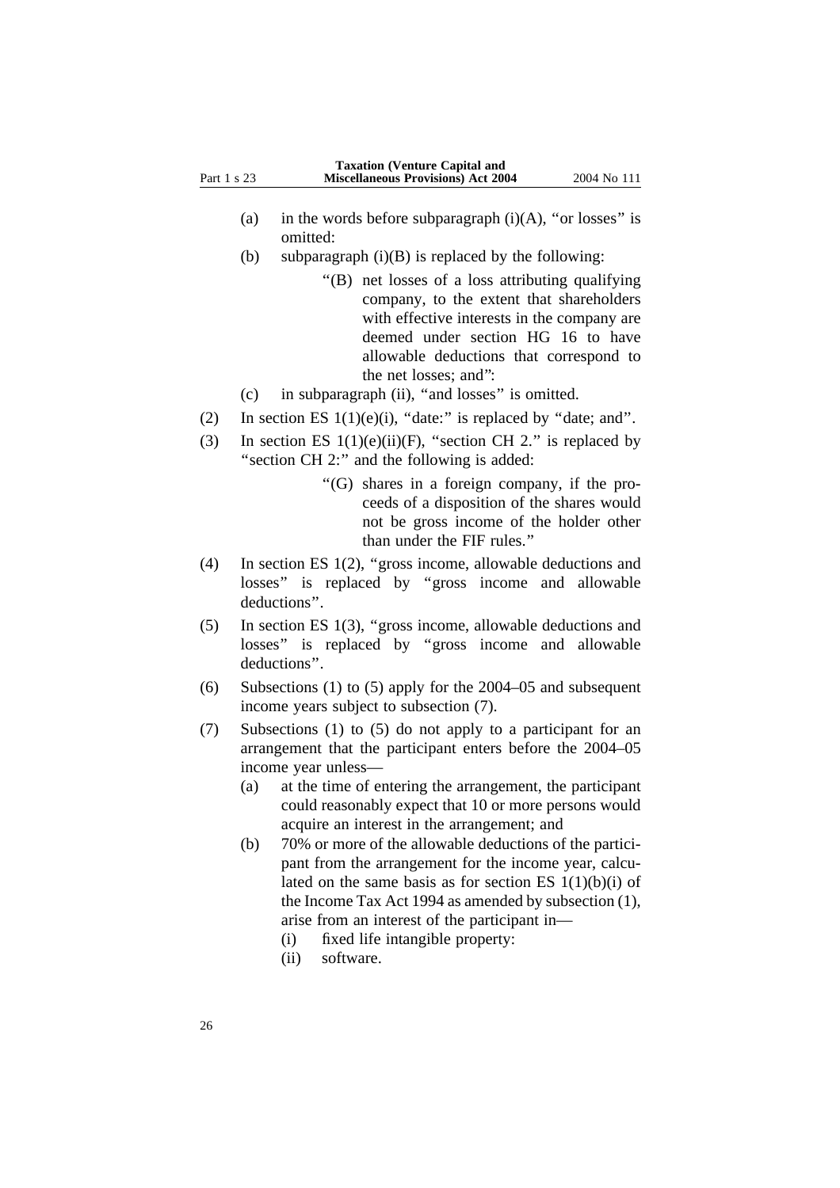- (a) in the words before subparagraph  $(i)(A)$ , "or losses" is omitted:
- (b) subparagraph  $(i)(B)$  is replaced by the following:
	- ''(B) net losses of a loss attributing qualifying company, to the extent that shareholders with effective interests in the company are deemed under section HG 16 to have allowable deductions that correspond to the net losses; and'':

(c) in subparagraph (ii), ''and losses'' is omitted.

- (2) In section ES  $1(1)(e)(i)$ , "date:" is replaced by "date; and".
- (3) In section ES  $1(1)(e)(ii)(F)$ , "section CH 2." is replaced by "section CH 2:" and the following is added:
	- ''(G) shares in a foreign company, if the proceeds of a disposition of the shares would not be gross income of the holder other than under the FIF rules.''
- (4) In section ES 1(2), ''gross income, allowable deductions and losses'' is replaced by ''gross income and allowable deductions''.
- (5) In section ES 1(3), ''gross income, allowable deductions and losses'' is replaced by ''gross income and allowable deductions''.
- (6) Subsections (1) to (5) apply for the 2004–05 and subsequent income years subject to subsection (7).
- (7) Subsections (1) to (5) do not apply to a participant for an arrangement that the participant enters before the 2004–05 income year unless—
	- (a) at the time of entering the arrangement, the participant could reasonably expect that 10 or more persons would acquire an interest in the arrangement; and
	- (b) 70% or more of the allowable deductions of the participant from the arrangement for the income year, calculated on the same basis as for section ES  $1(1)(b)(i)$  of the Income Tax Act 1994 as amended by subsection (1), arise from an interest of the participant in—
		- (i) fixed life intangible property:
		- (ii) software.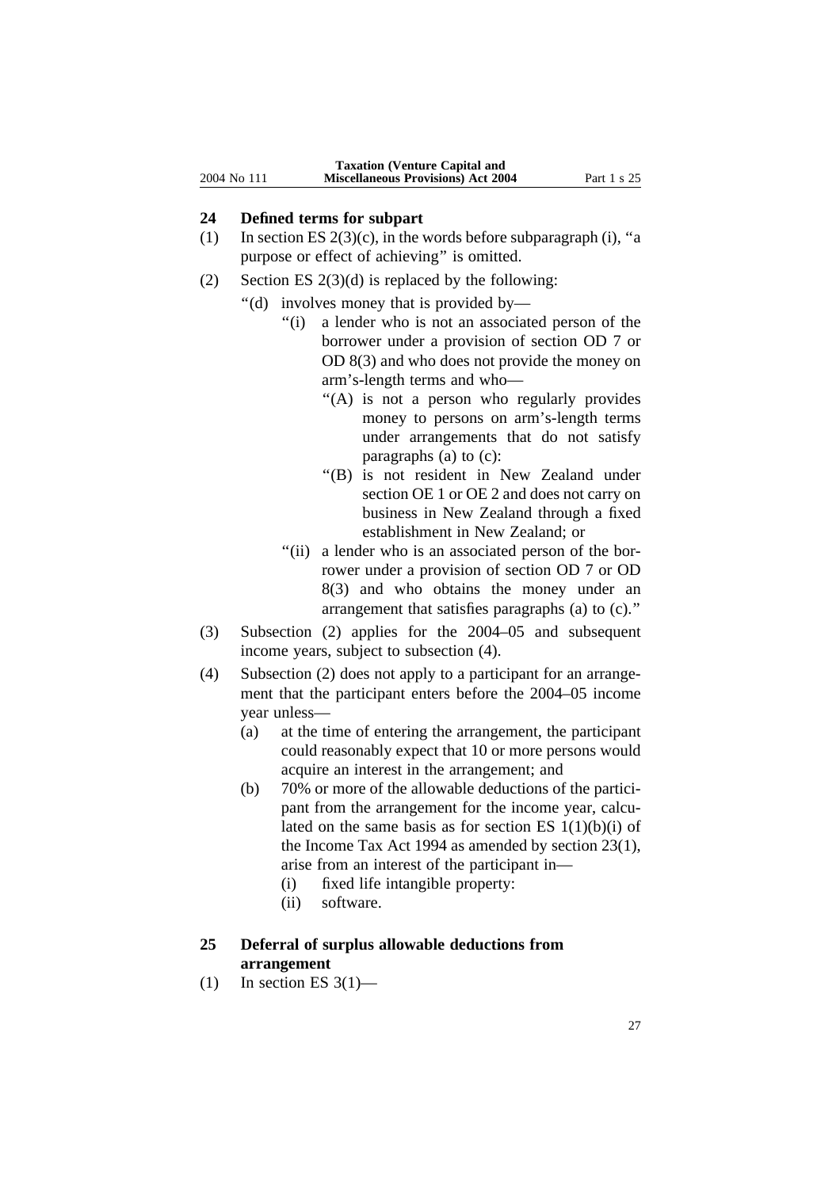#### **24 Defined terms for subpart**

- (1) In section ES  $2(3)(c)$ , in the words before subparagraph (i), "a purpose or effect of achieving'' is omitted.
- (2) Section ES  $2(3)(d)$  is replaced by the following:
	- ''(d) involves money that is provided by—
		- "(i) a lender who is not an associated person of the borrower under a provision of section OD 7 or OD 8(3) and who does not provide the money on arm's-length terms and who—
			- "(A) is not a person who regularly provides money to persons on arm's-length terms under arrangements that do not satisfy paragraphs (a) to (c):
			- ''(B) is not resident in New Zealand under section OE 1 or OE 2 and does not carry on business in New Zealand through a fixed establishment in New Zealand; or
		- "(ii) a lender who is an associated person of the borrower under a provision of section OD 7 or OD 8(3) and who obtains the money under an arrangement that satisfies paragraphs (a) to (c).''
- (3) Subsection (2) applies for the 2004–05 and subsequent income years, subject to subsection (4).
- (4) Subsection (2) does not apply to a participant for an arrangement that the participant enters before the 2004–05 income year unless—
	- (a) at the time of entering the arrangement, the participant could reasonably expect that 10 or more persons would acquire an interest in the arrangement; and
	- (b) 70% or more of the allowable deductions of the participant from the arrangement for the income year, calculated on the same basis as for section ES  $1(1)(b)(i)$  of the Income Tax Act 1994 as amended by section 23(1), arise from an interest of the participant in—
		- (i) fixed life intangible property:
		- (ii) software.
- **25 Deferral of surplus allowable deductions from arrangement**
- $(1)$  In section ES 3(1)—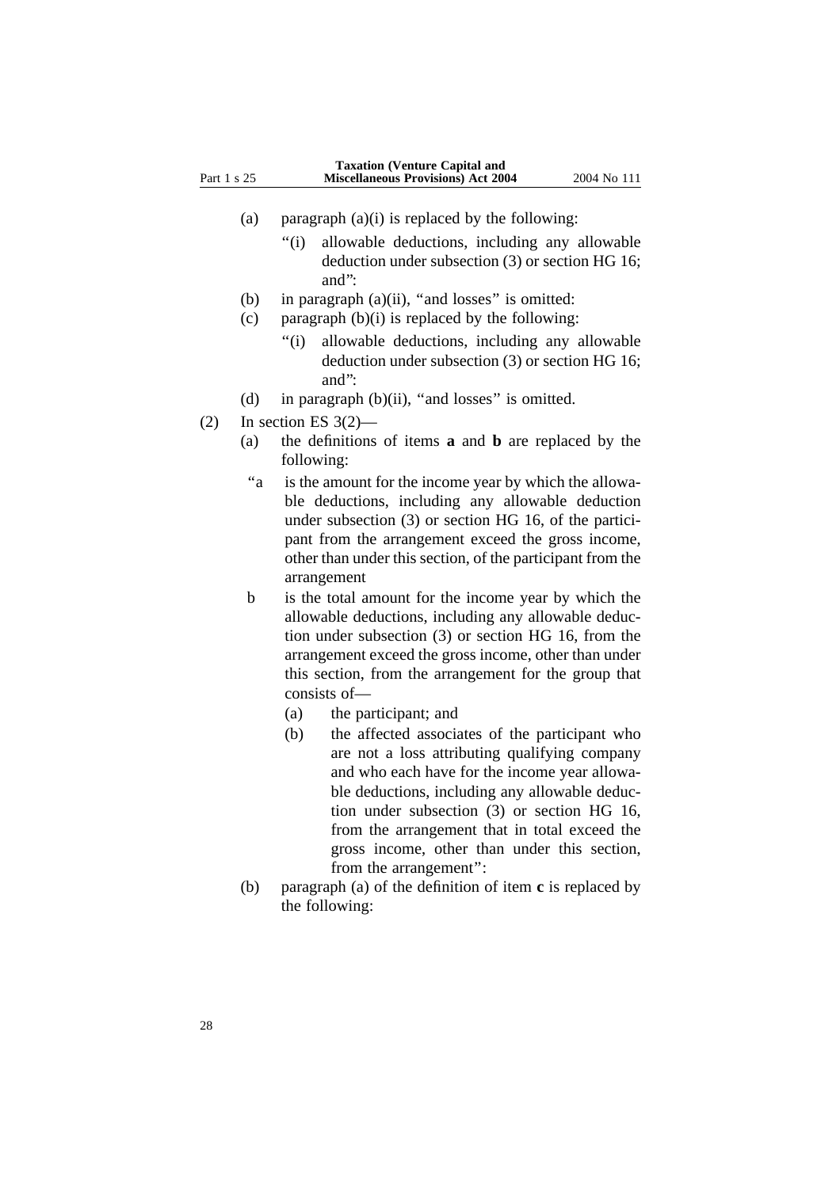- (a) paragraph  $(a)(i)$  is replaced by the following:
	- ''(i) allowable deductions, including any allowable deduction under subsection (3) or section HG 16; and'':
- (b) in paragraph  $(a)(ii)$ , "and losses" is omitted:
- (c) paragraph  $(b)(i)$  is replaced by the following:
	- ''(i) allowable deductions, including any allowable deduction under subsection (3) or section HG 16; and'':
- (d) in paragraph  $(b)(ii)$ , "and losses" is omitted.
- $(2)$  In section ES 3 $(2)$ 
	- (a) the definitions of items **a** and **b** are replaced by the following:
	- "a is the amount for the income year by which the allowable deductions, including any allowable deduction under subsection (3) or section HG 16, of the participant from the arrangement exceed the gross income, other than under this section, of the participant from the arrangement
	- b is the total amount for the income year by which the allowable deductions, including any allowable deduction under subsection (3) or section HG 16, from the arrangement exceed the gross income, other than under this section, from the arrangement for the group that consists of—
		- (a) the participant; and
		- (b) the affected associates of the participant who are not a loss attributing qualifying company and who each have for the income year allowable deductions, including any allowable deduction under subsection (3) or section HG 16, from the arrangement that in total exceed the gross income, other than under this section, from the arrangement'':
	- (b) paragraph (a) of the definition of item **c** is replaced by the following: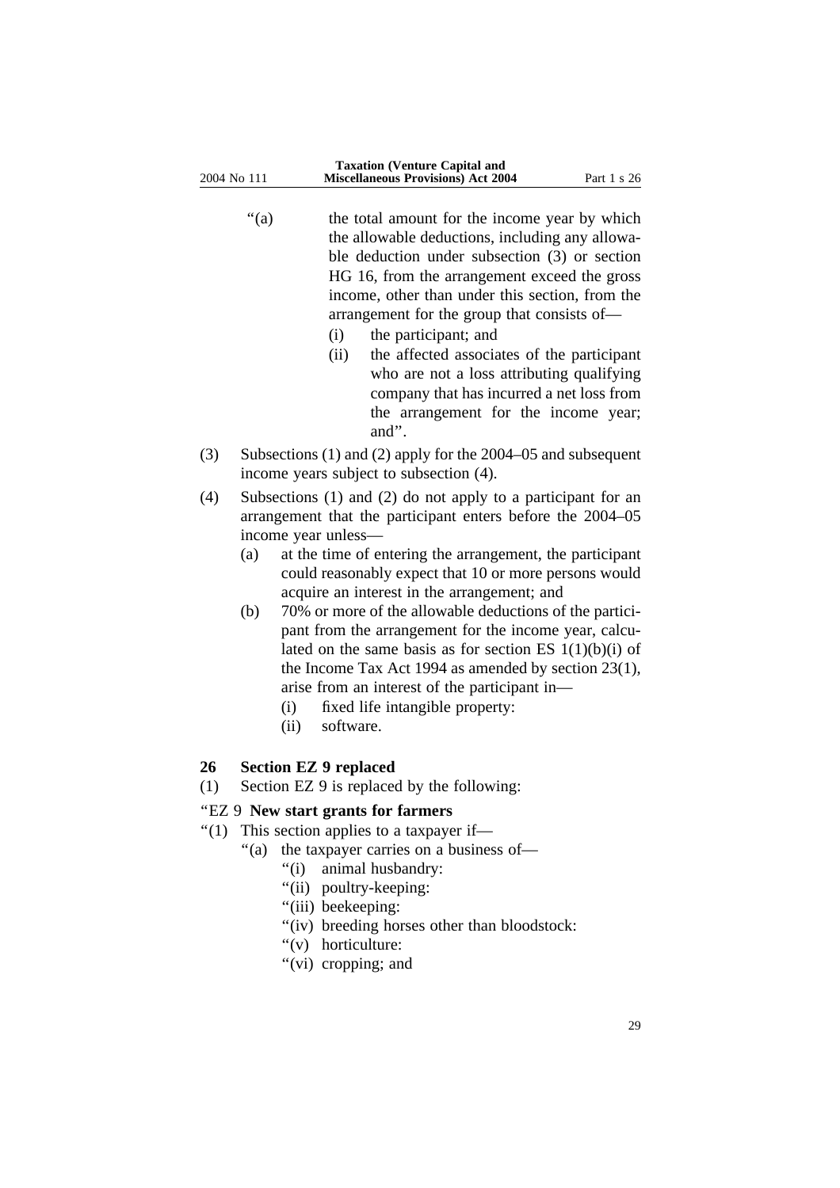"(a) the total amount for the income year by which the allowable deductions, including any allowable deduction under subsection (3) or section HG 16, from the arrangement exceed the gross income, other than under this section, from the arrangement for the group that consists of—

- (i) the participant; and
- (ii) the affected associates of the participant who are not a loss attributing qualifying company that has incurred a net loss from the arrangement for the income year; and''.
- (3) Subsections (1) and (2) apply for the 2004–05 and subsequent income years subject to subsection (4).

(4) Subsections (1) and (2) do not apply to a participant for an arrangement that the participant enters before the 2004–05 income year unless—

- (a) at the time of entering the arrangement, the participant could reasonably expect that 10 or more persons would acquire an interest in the arrangement; and
- (b) 70% or more of the allowable deductions of the participant from the arrangement for the income year, calculated on the same basis as for section ES  $1(1)(b)(i)$  of the Income Tax Act 1994 as amended by section 23(1), arise from an interest of the participant in—
	- (i) fixed life intangible property:
	- (ii) software.

### **26 Section EZ 9 replaced**

(1) Section EZ 9 is replaced by the following:

### ''EZ 9 **New start grants for farmers**

- ''(1) This section applies to a taxpayer if—
	- ''(a) the taxpayer carries on a business of—
		- ''(i) animal husbandry:
		- "(ii) poultry-keeping:
		- "(iii) beekeeping:
		- "(iv) breeding horses other than bloodstock:
		- "(v) horticulture:
		- "(vi) cropping; and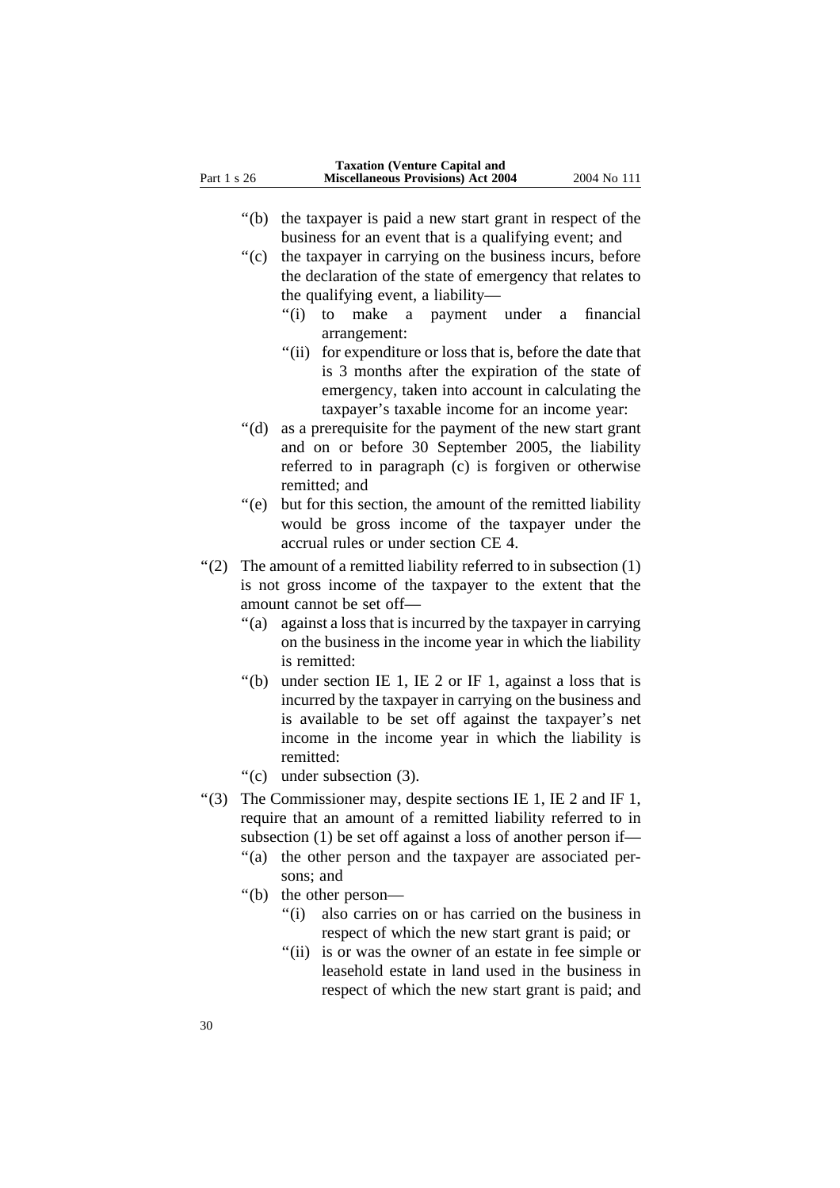- ''(b) the taxpayer is paid a new start grant in respect of the business for an event that is a qualifying event; and
- ''(c) the taxpayer in carrying on the business incurs, before the declaration of the state of emergency that relates to the qualifying event, a liability—
	- ''(i) to make a payment under a financial arrangement:
	- ''(ii) for expenditure or loss that is, before the date that is 3 months after the expiration of the state of emergency, taken into account in calculating the taxpayer's taxable income for an income year:
- ''(d) as a prerequisite for the payment of the new start grant and on or before 30 September 2005, the liability referred to in paragraph (c) is forgiven or otherwise remitted; and
- "(e) but for this section, the amount of the remitted liability would be gross income of the taxpayer under the accrual rules or under section CE 4.
- ''(2) The amount of a remitted liability referred to in subsection (1) is not gross income of the taxpayer to the extent that the amount cannot be set off—
	- "(a) against a loss that is incurred by the taxpayer in carrying on the business in the income year in which the liability is remitted:
	- "(b) under section IE 1, IE 2 or IF 1, against a loss that is incurred by the taxpayer in carrying on the business and is available to be set off against the taxpayer's net income in the income year in which the liability is remitted:
	- ''(c) under subsection (3).
- $\cdot$  (3) The Commissioner may, despite sections IE 1, IE 2 and IF 1, require that an amount of a remitted liability referred to in subsection (1) be set off against a loss of another person if—
	- "(a) the other person and the taxpayer are associated persons; and
	- ''(b) the other person—
		- ''(i) also carries on or has carried on the business in respect of which the new start grant is paid; or
		- "(ii) is or was the owner of an estate in fee simple or leasehold estate in land used in the business in respect of which the new start grant is paid; and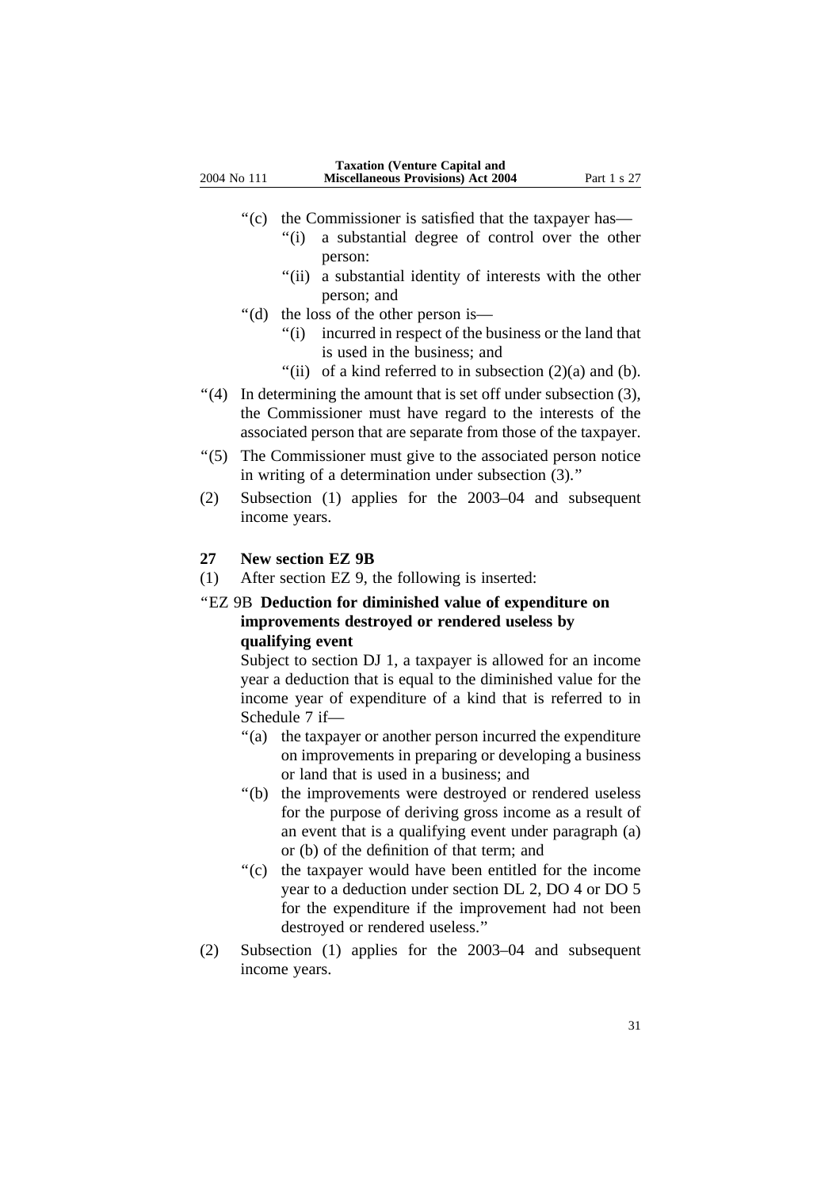- "(c) the Commissioner is satisfied that the taxpayer has—
	- ''(i) a substantial degree of control over the other person:
	- "(ii) a substantial identity of interests with the other person; and
- ''(d) the loss of the other person is—
	- ''(i) incurred in respect of the business or the land that is used in the business; and
	- "(ii) of a kind referred to in subsection  $(2)(a)$  and  $(b)$ .
- $\cdot$  (4) In determining the amount that is set off under subsection (3), the Commissioner must have regard to the interests of the associated person that are separate from those of the taxpayer.
- ''(5) The Commissioner must give to the associated person notice in writing of a determination under subsection (3).''
- (2) Subsection (1) applies for the 2003–04 and subsequent income years.

#### **27 New section EZ 9B**

(1) After section EZ 9, the following is inserted:

## ''EZ 9B **Deduction for diminished value of expenditure on improvements destroyed or rendered useless by qualifying event**

Subject to section DJ 1, a taxpayer is allowed for an income year a deduction that is equal to the diminished value for the income year of expenditure of a kind that is referred to in Schedule 7 if—

- "(a) the taxpayer or another person incurred the expenditure on improvements in preparing or developing a business or land that is used in a business; and
- "(b) the improvements were destroyed or rendered useless for the purpose of deriving gross income as a result of an event that is a qualifying event under paragraph (a) or (b) of the definition of that term; and
- ''(c) the taxpayer would have been entitled for the income year to a deduction under section DL 2, DO 4 or DO 5 for the expenditure if the improvement had not been destroyed or rendered useless.''
- (2) Subsection (1) applies for the 2003–04 and subsequent income years.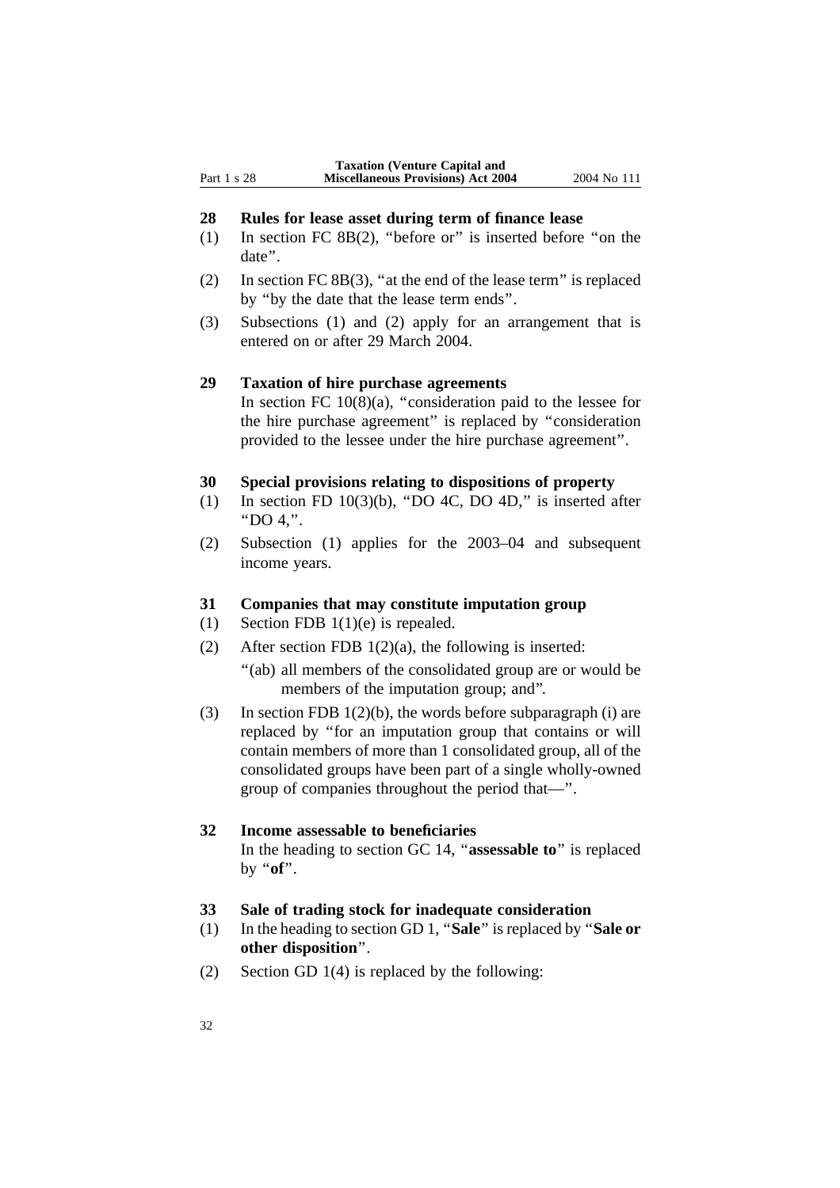#### **28 Rules for lease asset during term of finance lease**

- (1) In section FC 8B(2), ''before or'' is inserted before ''on the date''.
- (2) In section FC 8B(3), ''at the end of the lease term'' is replaced by ''by the date that the lease term ends''.
- (3) Subsections (1) and (2) apply for an arrangement that is entered on or after 29 March 2004.

#### **29 Taxation of hire purchase agreements**

In section FC  $10(8)(a)$ , "consideration paid to the lessee for the hire purchase agreement'' is replaced by ''consideration provided to the lessee under the hire purchase agreement''.

#### **30 Special provisions relating to dispositions of property**

- (1) In section FD  $10(3)(b)$ , "DO 4C, DO 4D," is inserted after ''DO 4,''.
- (2) Subsection (1) applies for the 2003–04 and subsequent income years.

#### **31 Companies that may constitute imputation group**

- (1) Section FDB 1(1)(e) is repealed.
- (2) After section FDB 1(2)(a), the following is inserted:
	- "(ab) all members of the consolidated group are or would be members of the imputation group; and''.
- (3) In section FDB  $1(2)(b)$ , the words before subparagraph (i) are replaced by ''for an imputation group that contains or will contain members of more than 1 consolidated group, all of the consolidated groups have been part of a single wholly-owned group of companies throughout the period that—''.

## **32 Income assessable to beneficiaries**

In the heading to section GC 14, ''**assessable to**'' is replaced by ''**of**''.

#### **33 Sale of trading stock for inadequate consideration**

- (1) In the heading to section GD 1, ''**Sale**'' is replaced by ''**Sale or other disposition**''.
- (2) Section GD 1(4) is replaced by the following: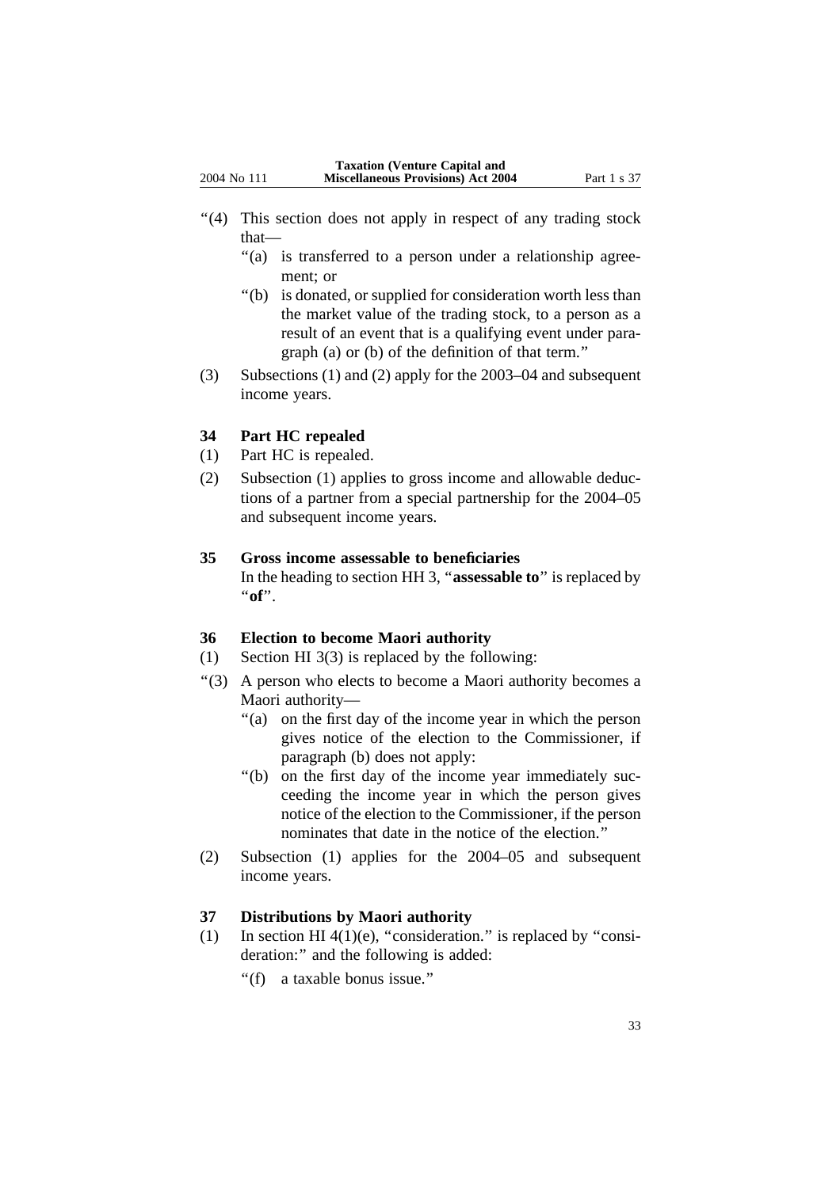- "(4) This section does not apply in respect of any trading stock that—
	- "(a) is transferred to a person under a relationship agreement; or
	- ''(b) is donated, or supplied for consideration worth less than the market value of the trading stock, to a person as a result of an event that is a qualifying event under paragraph (a) or (b) of the definition of that term.''
- (3) Subsections (1) and (2) apply for the 2003–04 and subsequent income years.

### **34 Part HC repealed**

- (1) Part HC is repealed.
- (2) Subsection (1) applies to gross income and allowable deductions of a partner from a special partnership for the 2004–05 and subsequent income years.

## **35 Gross income assessable to beneficiaries**

In the heading to section HH 3, ''**assessable to**'' is replaced by ''**of**''.

### **36 Election to become Maori authority**

- (1) Section HI 3(3) is replaced by the following:
- ''(3) A person who elects to become a Maori authority becomes a Maori authority—
	- "(a) on the first day of the income year in which the person gives notice of the election to the Commissioner, if paragraph (b) does not apply:
	- ''(b) on the first day of the income year immediately succeeding the income year in which the person gives notice of the election to the Commissioner, if the person nominates that date in the notice of the election.''
- (2) Subsection (1) applies for the 2004–05 and subsequent income years.

## **37 Distributions by Maori authority**

- (1) In section HI 4(1)(e), "consideration." is replaced by "consideration:" and the following is added:
	- ''(f) a taxable bonus issue.''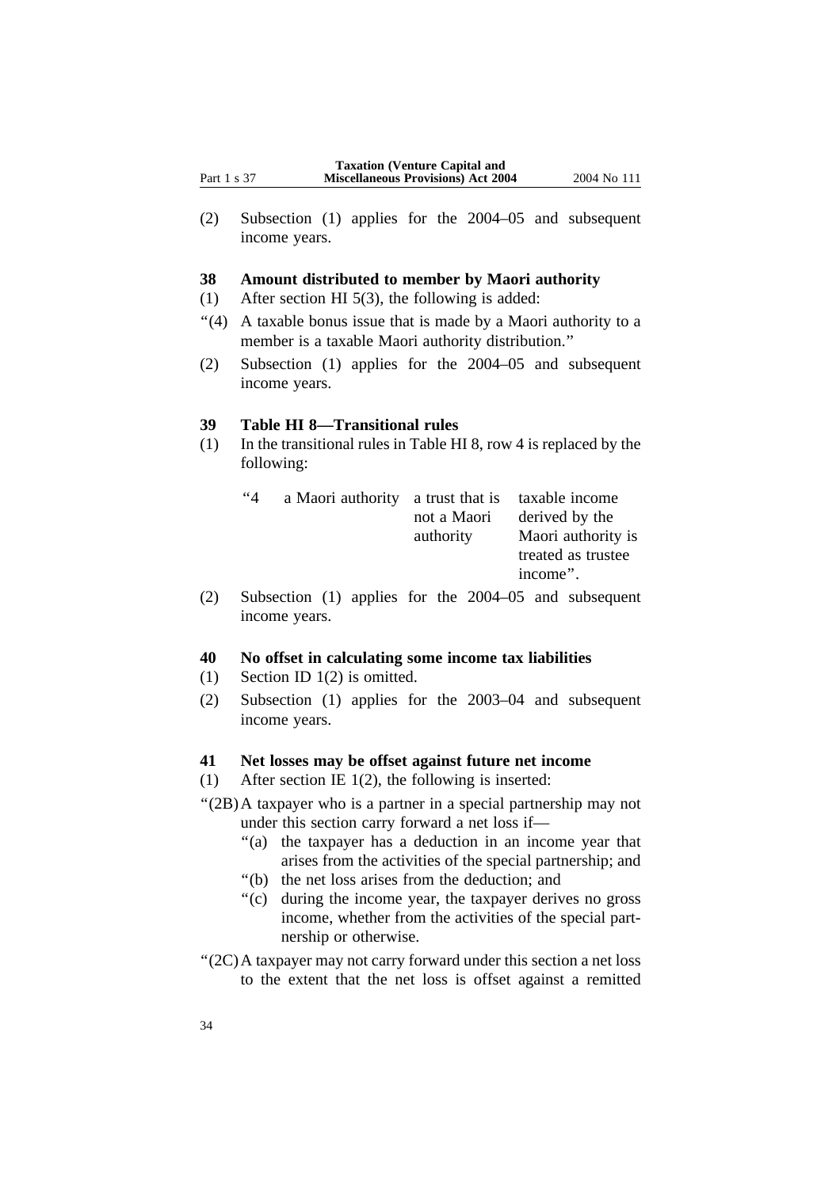(2) Subsection (1) applies for the 2004–05 and subsequent income years.

#### **38 Amount distributed to member by Maori authority**

- (1) After section HI 5(3), the following is added:
- ''(4) A taxable bonus issue that is made by a Maori authority to a member is a taxable Maori authority distribution.''
- (2) Subsection (1) applies for the 2004–05 and subsequent income years.

#### **39 Table HI 8—Transitional rules**

(1) In the transitional rules in Table HI 8, row 4 is replaced by the following:

| $4^{\circ}4$ | a Maori authority a trust that is taxable income |             |                    |
|--------------|--------------------------------------------------|-------------|--------------------|
|              |                                                  | not a Maori | derived by the     |
|              |                                                  | authority   | Maori authority is |
|              |                                                  |             | treated as trustee |
|              |                                                  |             | income".           |

(2) Subsection (1) applies for the 2004–05 and subsequent income years.

#### **40 No offset in calculating some income tax liabilities**

- (1) Section ID 1(2) is omitted.
- (2) Subsection (1) applies for the 2003–04 and subsequent income years.

#### **41 Net losses may be offset against future net income**

- (1) After section IE 1(2), the following is inserted:
- ''(2B)A taxpayer who is a partner in a special partnership may not under this section carry forward a net loss if—
	- "(a) the taxpayer has a deduction in an income year that arises from the activities of the special partnership; and
	- ''(b) the net loss arises from the deduction; and
	- ''(c) during the income year, the taxpayer derives no gross income, whether from the activities of the special partnership or otherwise.
- ''(2C)A taxpayer may not carry forward under this section a net loss to the extent that the net loss is offset against a remitted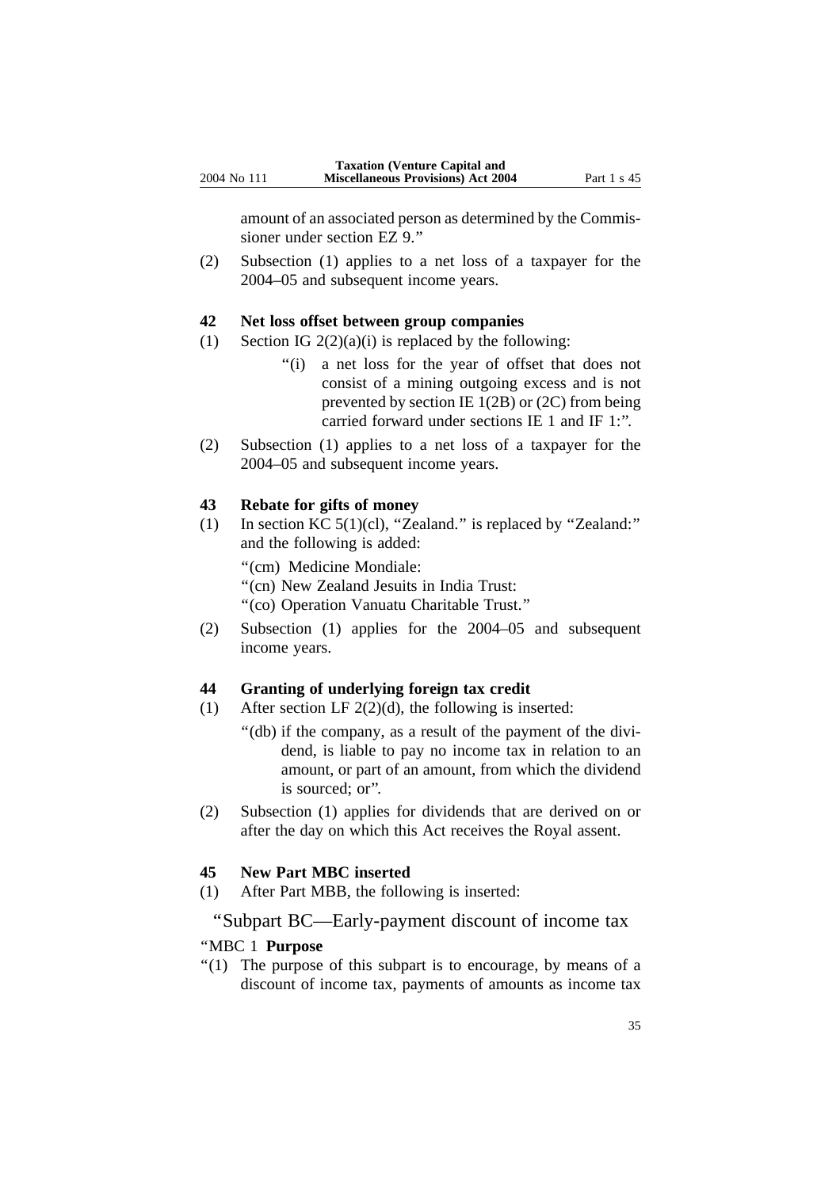amount of an associated person as determined by the Commissioner under section EZ 9.''

(2) Subsection (1) applies to a net loss of a taxpayer for the 2004–05 and subsequent income years.

#### **42 Net loss offset between group companies**

- (1) Section IG  $2(2)(a)(i)$  is replaced by the following:
	- ''(i) a net loss for the year of offset that does not consist of a mining outgoing excess and is not prevented by section IE 1(2B) or (2C) from being carried forward under sections IE 1 and IF 1:''.
- (2) Subsection (1) applies to a net loss of a taxpayer for the 2004–05 and subsequent income years.

#### **43 Rebate for gifts of money**

(1) In section KC 5(1)(cl), ''Zealand.'' is replaced by ''Zealand:'' and the following is added:

''(cm) Medicine Mondiale:

''(cn) New Zealand Jesuits in India Trust:

''(co) Operation Vanuatu Charitable Trust.''

(2) Subsection (1) applies for the 2004–05 and subsequent income years.

#### **44 Granting of underlying foreign tax credit**

- (1) After section LF  $2(2)(d)$ , the following is inserted:
	- ''(db) if the company, as a result of the payment of the dividend, is liable to pay no income tax in relation to an amount, or part of an amount, from which the dividend is sourced; or''.
- (2) Subsection (1) applies for dividends that are derived on or after the day on which this Act receives the Royal assent.

#### **45 New Part MBC inserted**

(1) After Part MBB, the following is inserted:

#### ''Subpart BC—Early-payment discount of income tax

#### ''MBC 1 **Purpose**

 $''(1)$  The purpose of this subpart is to encourage, by means of a discount of income tax, payments of amounts as income tax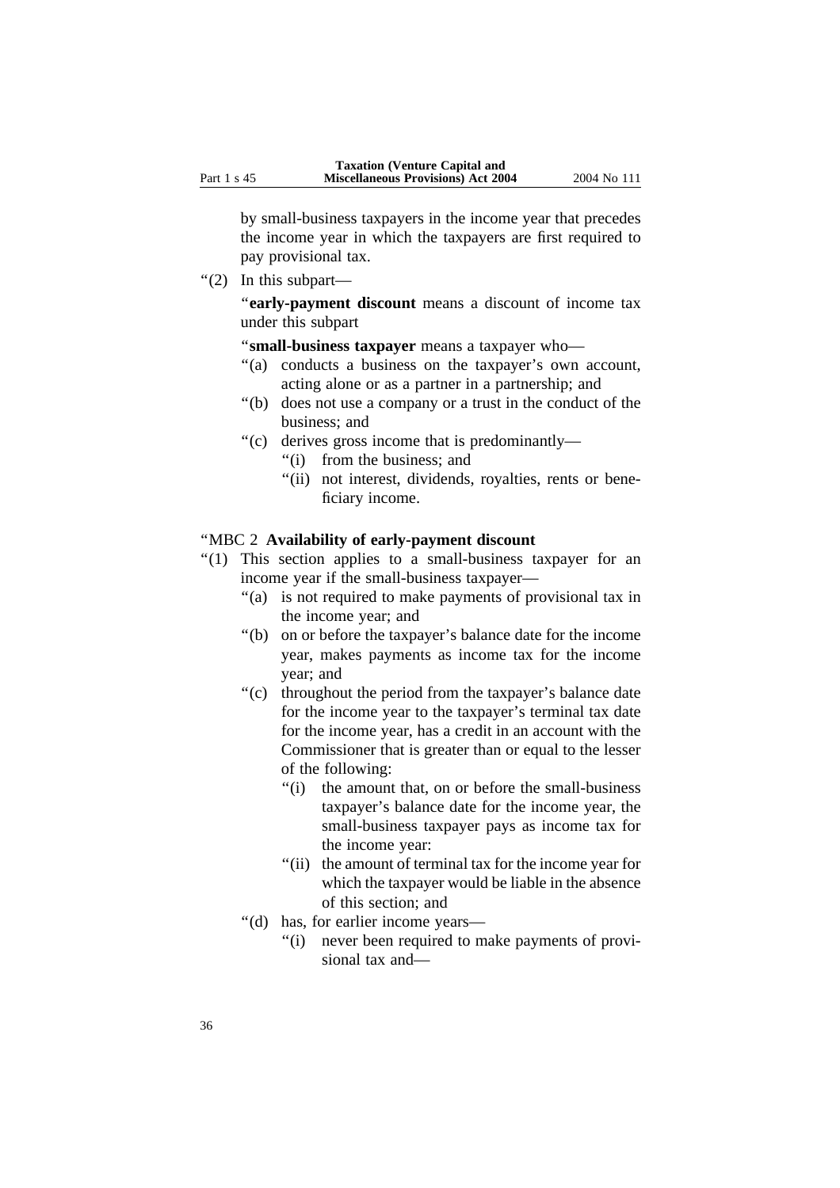by small-business taxpayers in the income year that precedes the income year in which the taxpayers are first required to pay provisional tax.

''(2) In this subpart—

"early-payment discount means a discount of income tax under this subpart

''**small-business taxpayer** means a taxpayer who—

- "(a) conducts a business on the taxpayer's own account, acting alone or as a partner in a partnership; and
- ''(b) does not use a company or a trust in the conduct of the business; and
- ''(c) derives gross income that is predominantly—
	- ''(i) from the business; and
	- "(ii) not interest, dividends, royalties, rents or beneficiary income.

#### ''MBC 2 **Availability of early-payment discount**

- "(1) This section applies to a small-business taxpayer for an income year if the small-business taxpayer—
	- "(a) is not required to make payments of provisional tax in the income year; and
	- ''(b) on or before the taxpayer's balance date for the income year, makes payments as income tax for the income year; and
	- "(c) throughout the period from the taxpayer's balance date for the income year to the taxpayer's terminal tax date for the income year, has a credit in an account with the Commissioner that is greater than or equal to the lesser of the following:
		- ''(i) the amount that, on or before the small-business taxpayer's balance date for the income year, the small-business taxpayer pays as income tax for the income year:
		- ''(ii) the amount of terminal tax for the income year for which the taxpayer would be liable in the absence of this section; and
	- ''(d) has, for earlier income years—
		- ''(i) never been required to make payments of provisional tax and—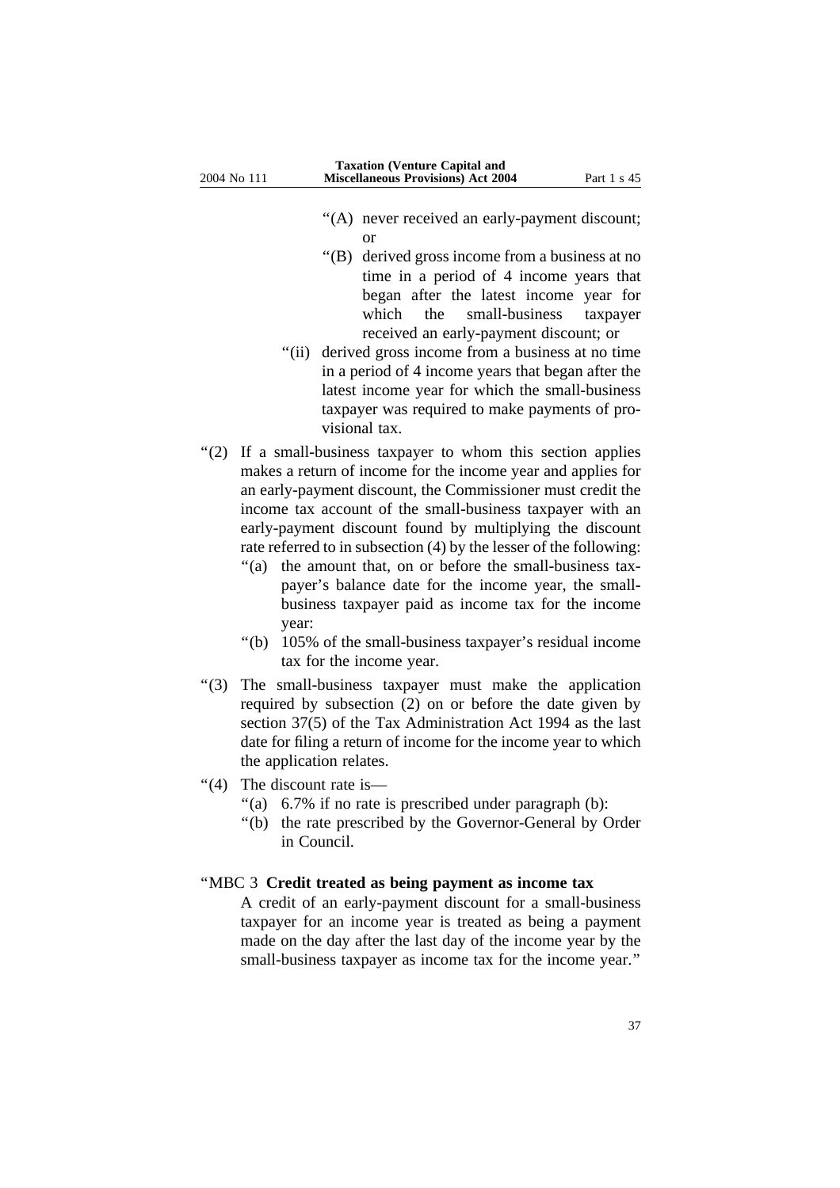- "(A) never received an early-payment discount; or
- ''(B) derived gross income from a business at no time in a period of 4 income years that began after the latest income year for which the small-business taxpayer received an early-payment discount; or
- "(ii) derived gross income from a business at no time" in a period of 4 income years that began after the latest income year for which the small-business taxpayer was required to make payments of provisional tax.
- "(2) If a small-business taxpayer to whom this section applies makes a return of income for the income year and applies for an early-payment discount, the Commissioner must credit the income tax account of the small-business taxpayer with an early-payment discount found by multiplying the discount rate referred to in subsection (4) by the lesser of the following:
	- "(a) the amount that, on or before the small-business taxpayer's balance date for the income year, the smallbusiness taxpayer paid as income tax for the income year:
	- "(b) 105% of the small-business taxpayer's residual income tax for the income year.
- ''(3) The small-business taxpayer must make the application required by subsection (2) on or before the date given by section 37(5) of the Tax Administration Act 1994 as the last date for filing a return of income for the income year to which the application relates.
- ''(4) The discount rate is—
	- "(a) 6.7% if no rate is prescribed under paragraph (b):
	- ''(b) the rate prescribed by the Governor-General by Order in Council.

#### ''MBC 3 **Credit treated as being payment as income tax**

A credit of an early-payment discount for a small-business taxpayer for an income year is treated as being a payment made on the day after the last day of the income year by the small-business taxpayer as income tax for the income year.''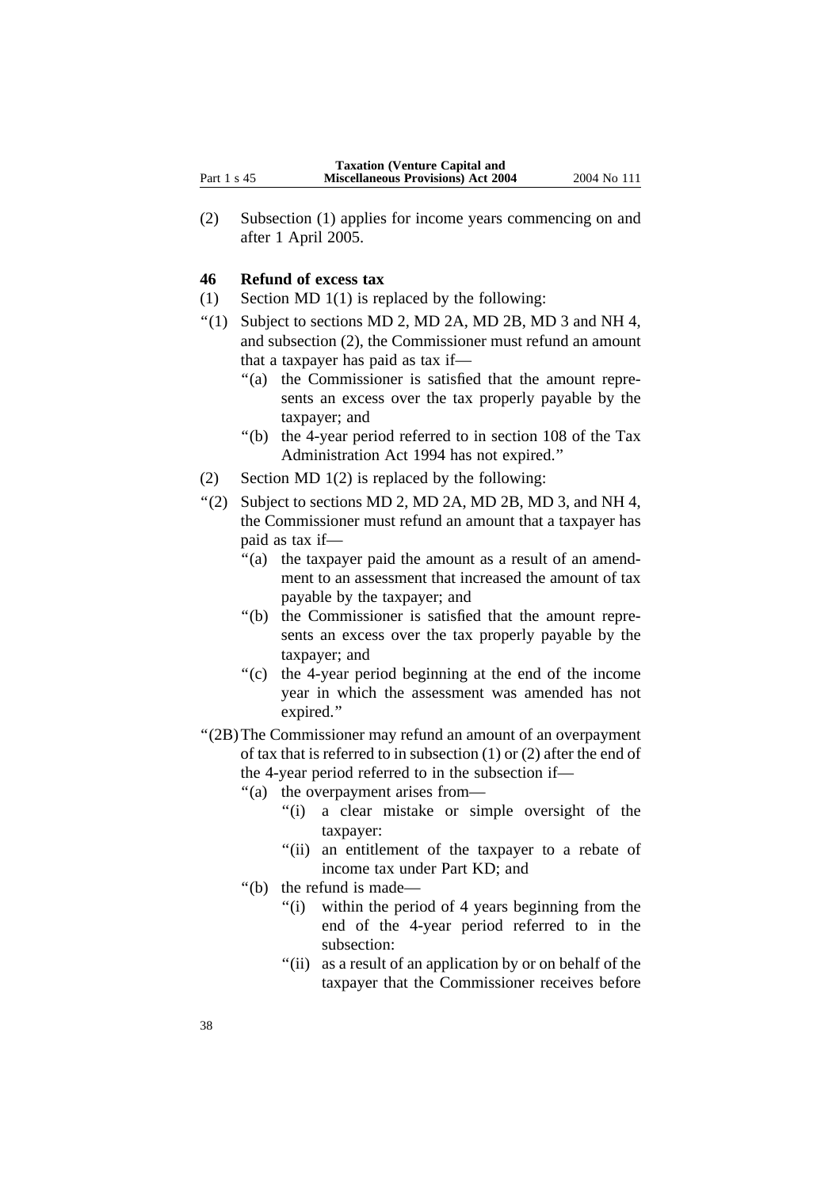(2) Subsection (1) applies for income years commencing on and after 1 April 2005.

### **46 Refund of excess tax**

- (1) Section MD 1(1) is replaced by the following:
- $\lq(1)$  Subject to sections MD 2, MD 2A, MD 2B, MD 3 and NH 4, and subsection (2), the Commissioner must refund an amount that a taxpayer has paid as tax if—
	- "(a) the Commissioner is satisfied that the amount represents an excess over the tax properly payable by the taxpayer; and
	- ''(b) the 4-year period referred to in section 108 of the Tax Administration Act 1994 has not expired.''
- (2) Section MD 1(2) is replaced by the following:
- $\lq(2)$  Subject to sections MD 2, MD 2A, MD 2B, MD 3, and NH 4, the Commissioner must refund an amount that a taxpayer has paid as tax if—
	- ''(a) the taxpayer paid the amount as a result of an amendment to an assessment that increased the amount of tax payable by the taxpayer; and
	- ''(b) the Commissioner is satisfied that the amount represents an excess over the tax properly payable by the taxpayer; and
	- ''(c) the 4-year period beginning at the end of the income year in which the assessment was amended has not expired.''
- ''(2B)The Commissioner may refund an amount of an overpayment of tax that is referred to in subsection (1) or (2) after the end of the 4-year period referred to in the subsection if—
	- ''(a) the overpayment arises from—
		- "(i) a clear mistake or simple oversight of the taxpayer:
		- ''(ii) an entitlement of the taxpayer to a rebate of income tax under Part KD; and
	- ''(b) the refund is made—
		- "(i) within the period of 4 years beginning from the end of the 4-year period referred to in the subsection:
		- "(ii) as a result of an application by or on behalf of the taxpayer that the Commissioner receives before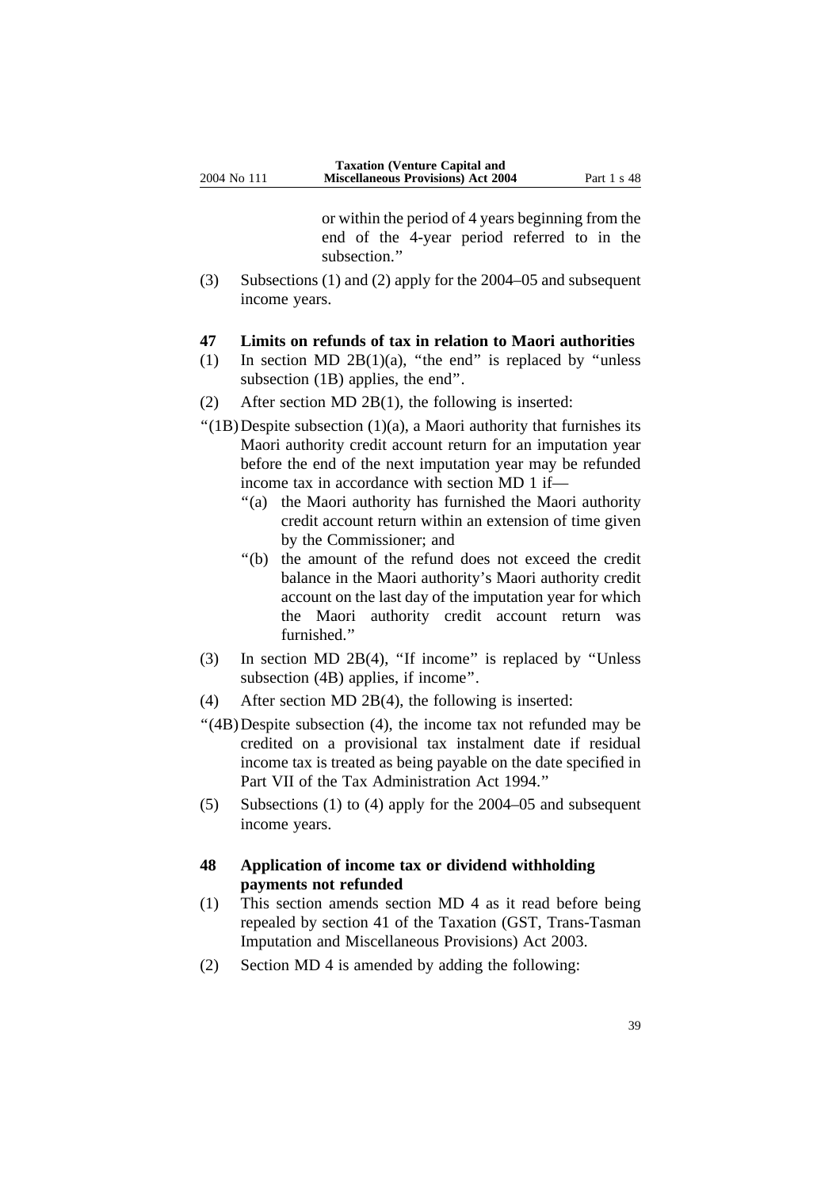or within the period of 4 years beginning from the end of the 4-year period referred to in the subsection.''

(3) Subsections (1) and (2) apply for the 2004–05 and subsequent income years.

#### **47 Limits on refunds of tax in relation to Maori authorities**

- (1) In section MD 2B(1)(a), "the end" is replaced by "unless subsection (1B) applies, the end''.
- (2) After section MD 2B(1), the following is inserted:
- $''(1B)$ Despite subsection  $(1)(a)$ , a Maori authority that furnishes its Maori authority credit account return for an imputation year before the end of the next imputation year may be refunded income tax in accordance with section MD 1 if—
	- ''(a) the Maori authority has furnished the Maori authority credit account return within an extension of time given by the Commissioner; and
	- ''(b) the amount of the refund does not exceed the credit balance in the Maori authority's Maori authority credit account on the last day of the imputation year for which the Maori authority credit account return was furnished."
- (3) In section MD 2B(4), ''If income'' is replaced by ''Unless subsection (4B) applies, if income''.
- (4) After section MD 2B(4), the following is inserted:
- ''(4B)Despite subsection (4), the income tax not refunded may be credited on a provisional tax instalment date if residual income tax is treated as being payable on the date specified in Part VII of the Tax Administration Act 1994.''
- (5) Subsections (1) to (4) apply for the 2004–05 and subsequent income years.

### **48 Application of income tax or dividend withholding payments not refunded**

- (1) This section amends section MD 4 as it read before being repealed by section 41 of the Taxation (GST, Trans-Tasman Imputation and Miscellaneous Provisions) Act 2003.
- (2) Section MD 4 is amended by adding the following: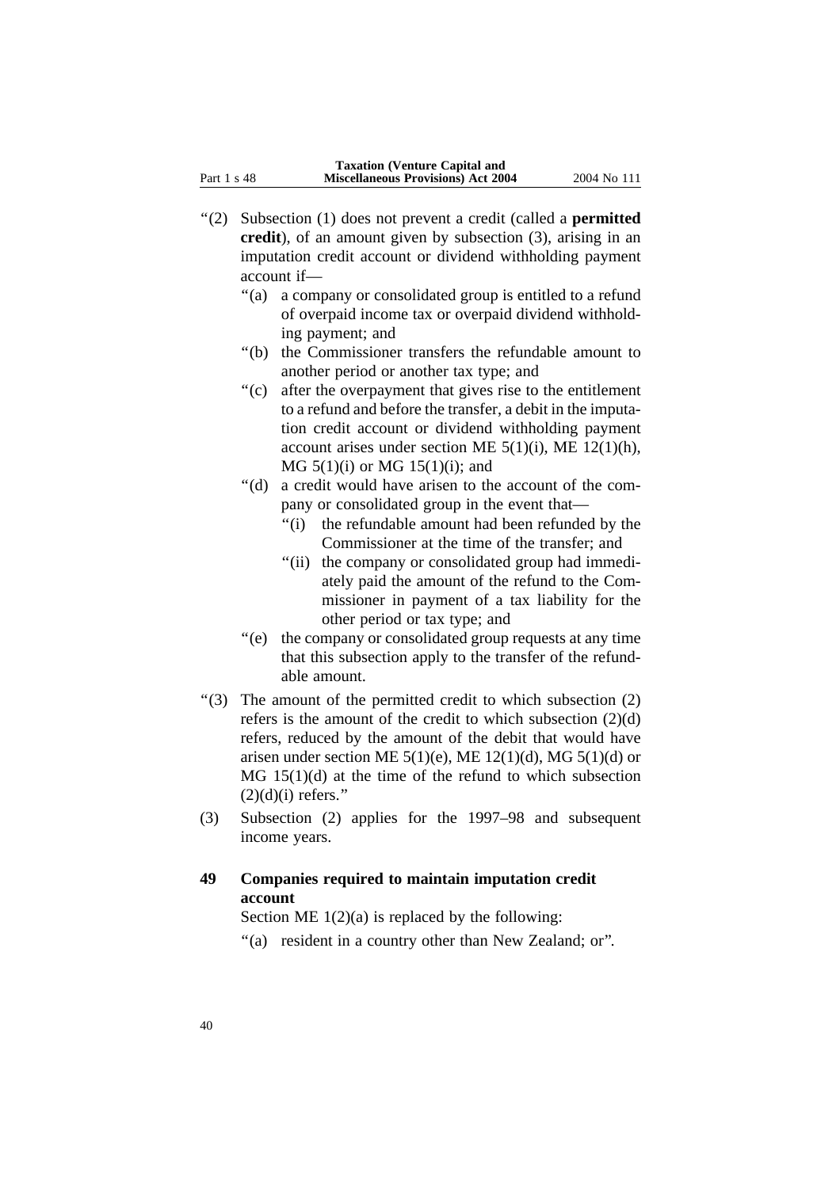- ''(2) Subsection (1) does not prevent a credit (called a **permitted credit**), of an amount given by subsection (3), arising in an imputation credit account or dividend withholding payment account if—
	- "(a) a company or consolidated group is entitled to a refund of overpaid income tax or overpaid dividend withholding payment; and
	- ''(b) the Commissioner transfers the refundable amount to another period or another tax type; and
	- ''(c) after the overpayment that gives rise to the entitlement to a refund and before the transfer, a debit in the imputation credit account or dividend withholding payment account arises under section ME  $5(1)(i)$ , ME  $12(1)(h)$ , MG 5(1)(i) or MG 15(1)(i); and
	- ''(d) a credit would have arisen to the account of the company or consolidated group in the event that—
		- "(i) the refundable amount had been refunded by the Commissioner at the time of the transfer; and
		- "(ii) the company or consolidated group had immediately paid the amount of the refund to the Commissioner in payment of a tax liability for the other period or tax type; and
	- ''(e) the company or consolidated group requests at any time that this subsection apply to the transfer of the refundable amount.
- ''(3) The amount of the permitted credit to which subsection (2) refers is the amount of the credit to which subsection (2)(d) refers, reduced by the amount of the debit that would have arisen under section ME  $5(1)(e)$ , ME  $12(1)(d)$ , MG  $5(1)(d)$  or MG 15(1)(d) at the time of the refund to which subsection  $(2)(d)(i)$  refers."
- (3) Subsection (2) applies for the 1997–98 and subsequent income years.

### **49 Companies required to maintain imputation credit account**

Section ME  $1(2)(a)$  is replaced by the following:

''(a) resident in a country other than New Zealand; or''.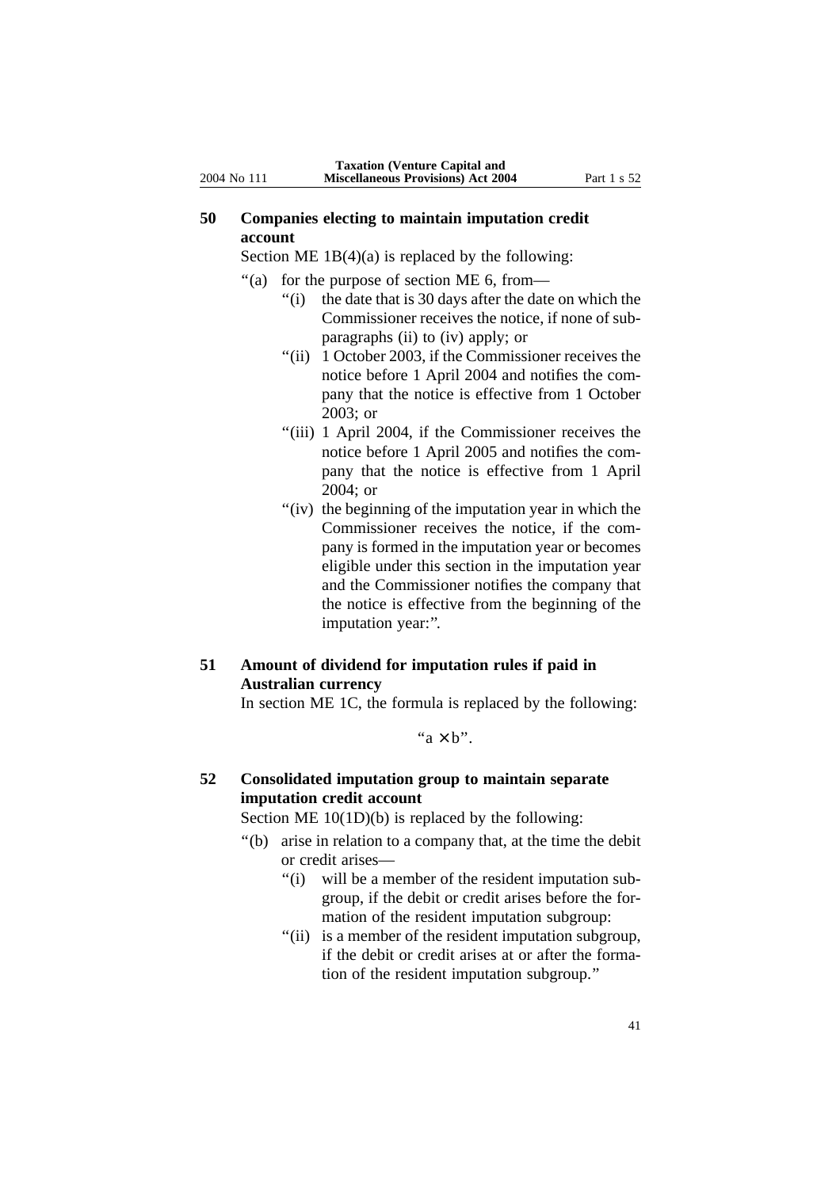### **50 Companies electing to maintain imputation credit account**

Section ME  $1B(4)(a)$  is replaced by the following:

- ''(a) for the purpose of section ME 6, from—
	- ''(i) the date that is 30 days after the date on which the Commissioner receives the notice, if none of subparagraphs (ii) to (iv) apply; or
	- "(ii) 1 October 2003, if the Commissioner receives the notice before 1 April 2004 and notifies the company that the notice is effective from 1 October 2003; or
	- "(iii) 1 April 2004, if the Commissioner receives the notice before 1 April 2005 and notifies the company that the notice is effective from 1 April 2004; or
	- "(iv) the beginning of the imputation year in which the Commissioner receives the notice, if the company is formed in the imputation year or becomes eligible under this section in the imputation year and the Commissioner notifies the company that the notice is effective from the beginning of the imputation year:".

## **51 Amount of dividend for imputation rules if paid in Australian currency**

In section ME 1C, the formula is replaced by the following:

" $a \times b$ ".

### **52 Consolidated imputation group to maintain separate imputation credit account**

Section ME 10(1D)(b) is replaced by the following:

- ''(b) arise in relation to a company that, at the time the debit or credit arises—
	- ''(i) will be a member of the resident imputation subgroup, if the debit or credit arises before the formation of the resident imputation subgroup:
	- ''(ii) is a member of the resident imputation subgroup, if the debit or credit arises at or after the formation of the resident imputation subgroup.''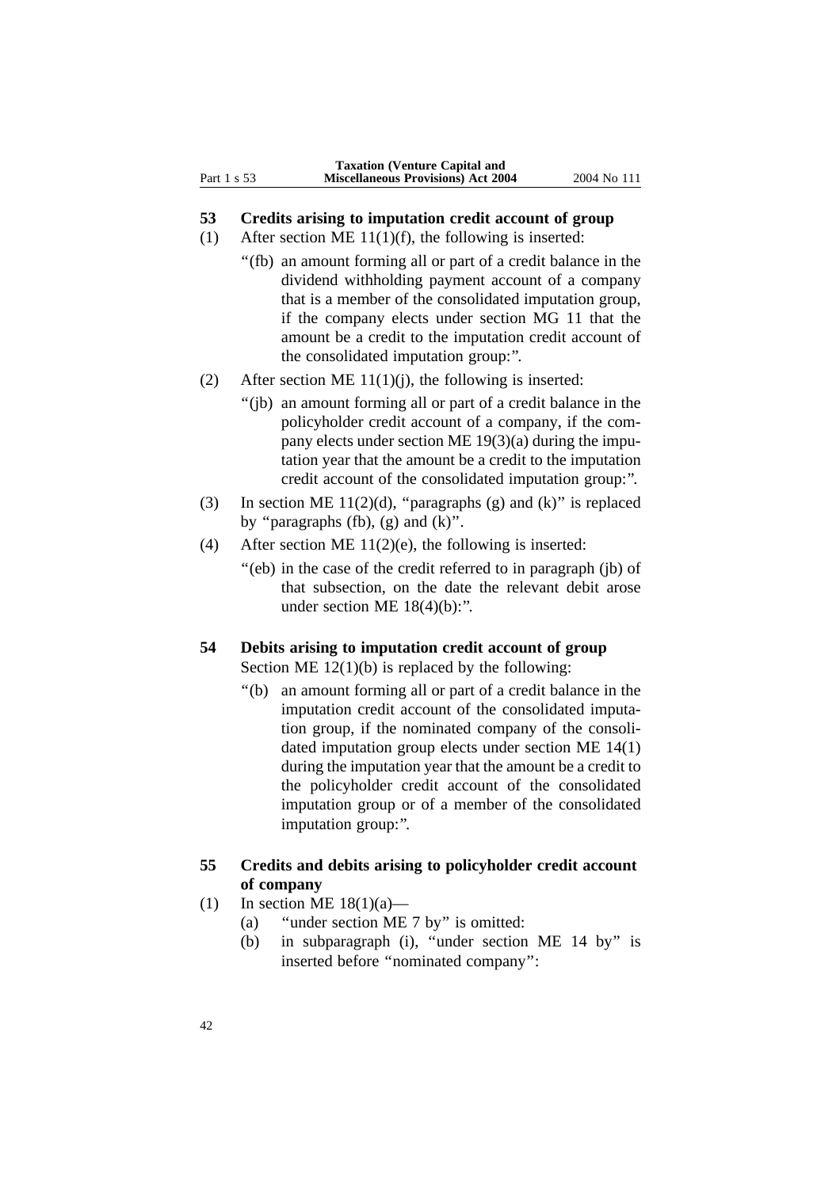### **53 Credits arising to imputation credit account of group**

- (1) After section ME  $11(1)(f)$ , the following is inserted:
	- ''(fb) an amount forming all or part of a credit balance in the dividend withholding payment account of a company that is a member of the consolidated imputation group, if the company elects under section MG 11 that the amount be a credit to the imputation credit account of the consolidated imputation group:''.
- (2) After section ME  $11(1)(j)$ , the following is inserted:
	- ''(jb) an amount forming all or part of a credit balance in the policyholder credit account of a company, if the company elects under section ME 19(3)(a) during the imputation year that the amount be a credit to the imputation credit account of the consolidated imputation group:''.
- (3) In section ME 11(2)(d), "paragraphs (g) and (k)" is replaced by "paragraphs (fb),  $(g)$  and  $(k)$ ".
- (4) After section ME  $11(2)$ (e), the following is inserted:
	- "(eb) in the case of the credit referred to in paragraph (jb) of that subsection, on the date the relevant debit arose under section ME  $18(4)(b)$ :".

### **54 Debits arising to imputation credit account of group** Section ME  $12(1)(b)$  is replaced by the following:

''(b) an amount forming all or part of a credit balance in the imputation credit account of the consolidated imputation group, if the nominated company of the consolidated imputation group elects under section ME 14(1) during the imputation year that the amount be a credit to the policyholder credit account of the consolidated imputation group or of a member of the consolidated imputation group:''.

### **55 Credits and debits arising to policyholder credit account of company**

- (1) In section ME  $18(1)(a)$ 
	- (a) ''under section ME 7 by'' is omitted:
	- (b) in subparagraph (i), ''under section ME 14 by'' is inserted before ''nominated company'':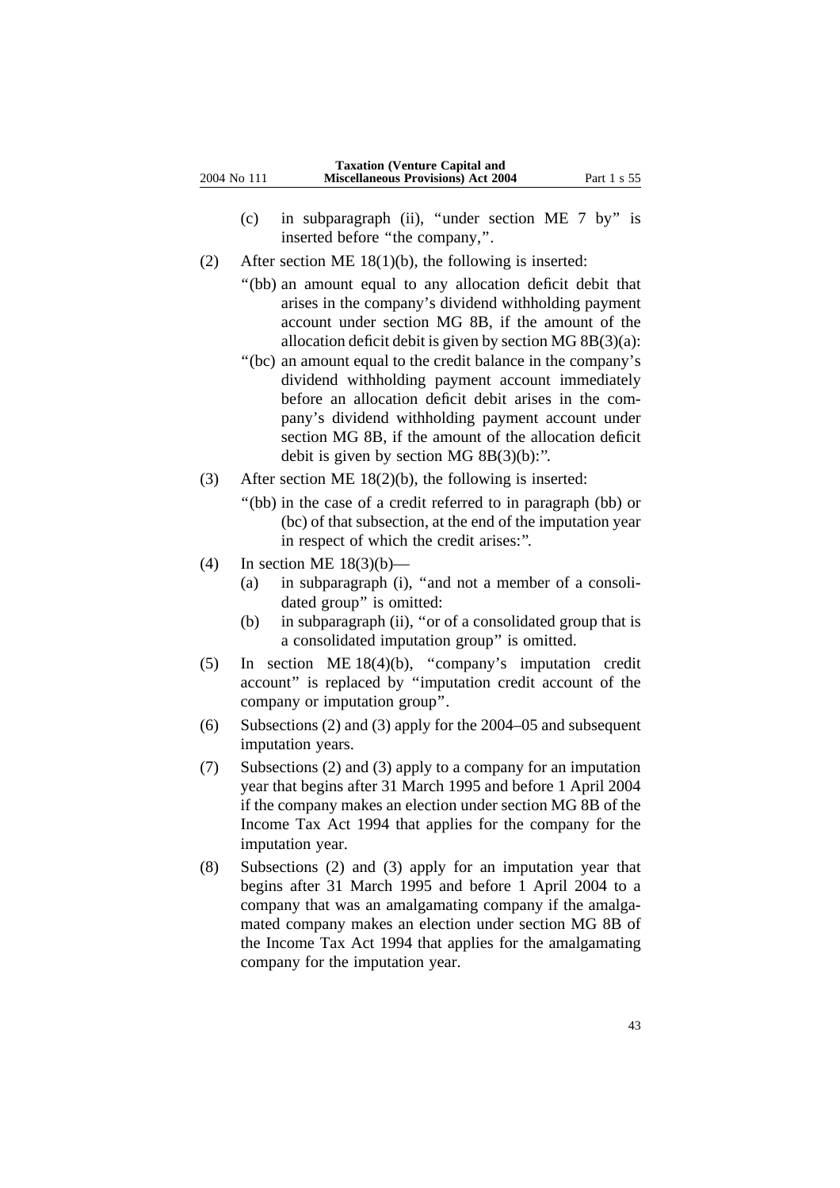- (c) in subparagraph (ii), ''under section ME 7 by'' is inserted before ''the company,''.
- (2) After section ME 18(1)(b), the following is inserted:
	- ''(bb) an amount equal to any allocation deficit debit that arises in the company's dividend withholding payment account under section MG 8B, if the amount of the allocation deficit debit is given by section MG 8B(3)(a):
	- ''(bc) an amount equal to the credit balance in the company's dividend withholding payment account immediately before an allocation deficit debit arises in the company's dividend withholding payment account under section MG 8B, if the amount of the allocation deficit debit is given by section MG 8B(3)(b):''.
- (3) After section ME 18(2)(b), the following is inserted:
	- ''(bb) in the case of a credit referred to in paragraph (bb) or (bc) of that subsection, at the end of the imputation year in respect of which the credit arises:''.
- (4) In section ME  $18(3)(b)$ 
	- (a) in subparagraph (i), ''and not a member of a consolidated group'' is omitted:
	- (b) in subparagraph (ii), ''or of a consolidated group that is a consolidated imputation group'' is omitted.
- (5) In section ME 18(4)(b), ''company's imputation credit account'' is replaced by ''imputation credit account of the company or imputation group''.
- (6) Subsections (2) and (3) apply for the 2004–05 and subsequent imputation years.
- (7) Subsections (2) and (3) apply to a company for an imputation year that begins after 31 March 1995 and before 1 April 2004 if the company makes an election under section MG 8B of the Income Tax Act 1994 that applies for the company for the imputation year.
- (8) Subsections (2) and (3) apply for an imputation year that begins after 31 March 1995 and before 1 April 2004 to a company that was an amalgamating company if the amalgamated company makes an election under section MG 8B of the Income Tax Act 1994 that applies for the amalgamating company for the imputation year.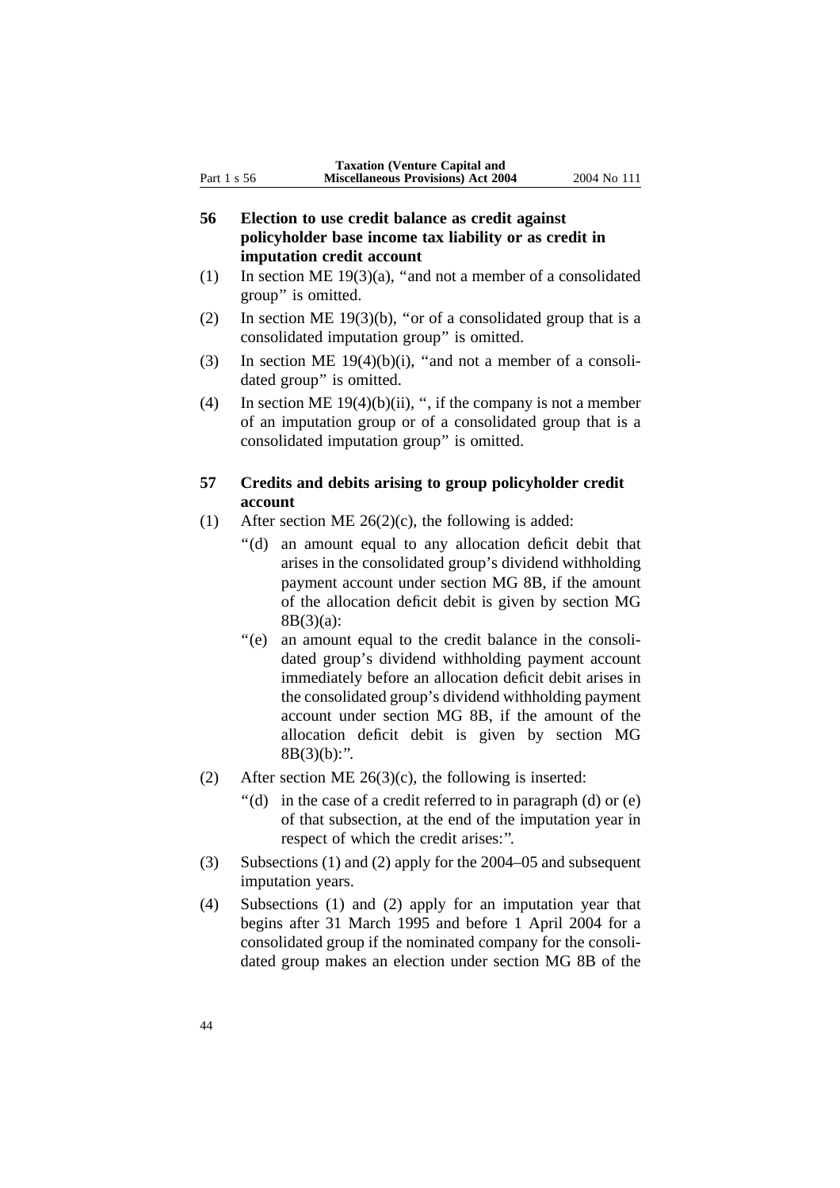- **56 Election to use credit balance as credit against policyholder base income tax liability or as credit in imputation credit account**
- (1) In section ME 19(3)(a), ''and not a member of a consolidated group'' is omitted.
- (2) In section ME 19(3)(b), "or of a consolidated group that is a consolidated imputation group'' is omitted.
- (3) In section ME  $19(4)(b)(i)$ , "and not a member of a consolidated group'' is omitted.
- (4) In section ME  $19(4)(b)(ii)$ , ", if the company is not a member of an imputation group or of a consolidated group that is a consolidated imputation group'' is omitted.

### **57 Credits and debits arising to group policyholder credit account**

- (1) After section ME  $26(2)(c)$ , the following is added:
	- ''(d) an amount equal to any allocation deficit debit that arises in the consolidated group's dividend withholding payment account under section MG 8B, if the amount of the allocation deficit debit is given by section MG 8B(3)(a):
	- ''(e) an amount equal to the credit balance in the consolidated group's dividend withholding payment account immediately before an allocation deficit debit arises in the consolidated group's dividend withholding payment account under section MG 8B, if the amount of the allocation deficit debit is given by section MG  $8B(3)(b)$ :".
- (2) After section ME  $26(3)(c)$ , the following is inserted:
	- $'(d)$  in the case of a credit referred to in paragraph (d) or (e) of that subsection, at the end of the imputation year in respect of which the credit arises:''.
- (3) Subsections (1) and (2) apply for the 2004–05 and subsequent imputation years.
- (4) Subsections (1) and (2) apply for an imputation year that begins after 31 March 1995 and before 1 April 2004 for a consolidated group if the nominated company for the consolidated group makes an election under section MG 8B of the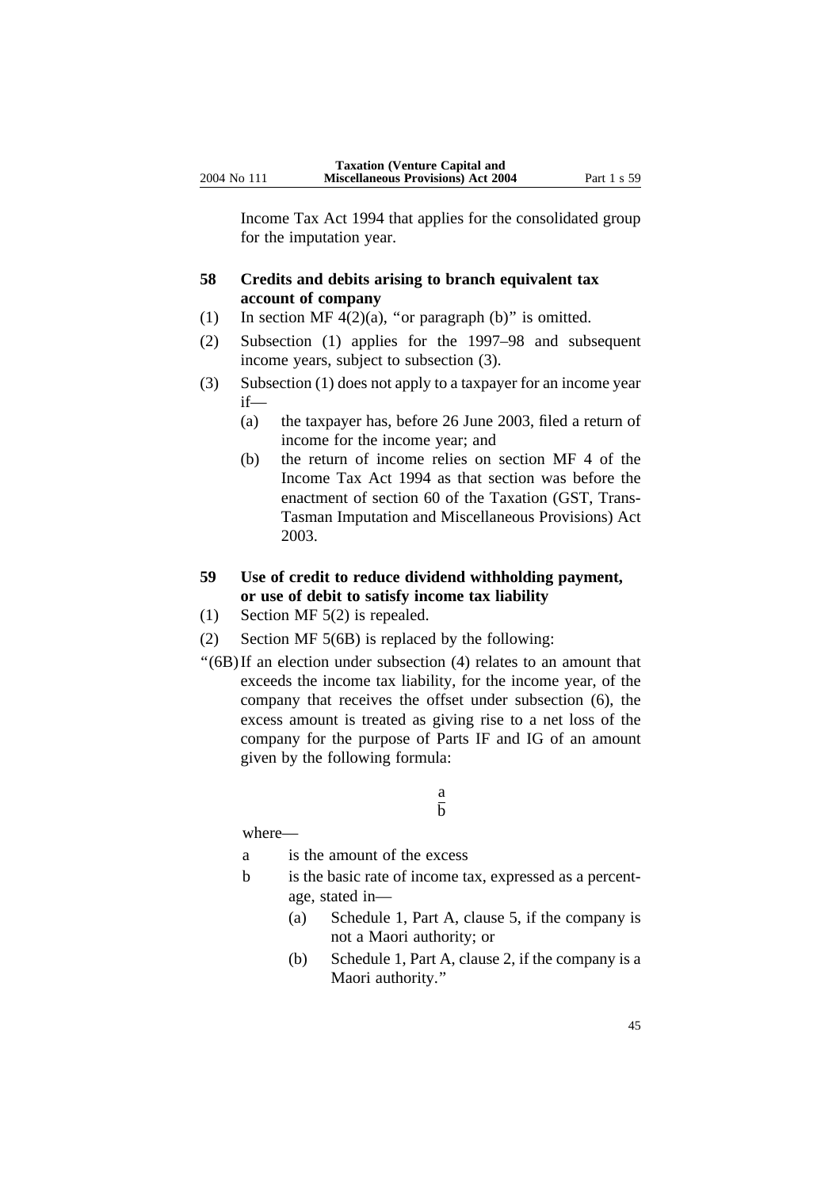Income Tax Act 1994 that applies for the consolidated group for the imputation year.

### **58 Credits and debits arising to branch equivalent tax account of company**

- (1) In section MF  $4(2)(a)$ , "or paragraph (b)" is omitted.
- (2) Subsection (1) applies for the 1997–98 and subsequent income years, subject to subsection (3).
- (3) Subsection (1) does not apply to a taxpayer for an income year if—
	- (a) the taxpayer has, before 26 June 2003, filed a return of income for the income year; and
	- (b) the return of income relies on section MF 4 of the Income Tax Act 1994 as that section was before the enactment of section 60 of the Taxation (GST, Trans-Tasman Imputation and Miscellaneous Provisions) Act 2003.

# **59 Use of credit to reduce dividend withholding payment, or use of debit to satisfy income tax liability**

- (1) Section MF 5(2) is repealed.
- (2) Section MF 5(6B) is replaced by the following:
- ''(6B)If an election under subsection (4) relates to an amount that exceeds the income tax liability, for the income year, of the company that receives the offset under subsection (6), the excess amount is treated as giving rise to a net loss of the company for the purpose of Parts IF and IG of an amount given by the following formula:

#### a  $\overline{h}$

where—

- a is the amount of the excess
- b is the basic rate of income tax, expressed as a percentage, stated in—
	- (a) Schedule 1, Part A, clause 5, if the company is not a Maori authority; or
	- (b) Schedule 1, Part A, clause 2, if the company is a Maori authority.''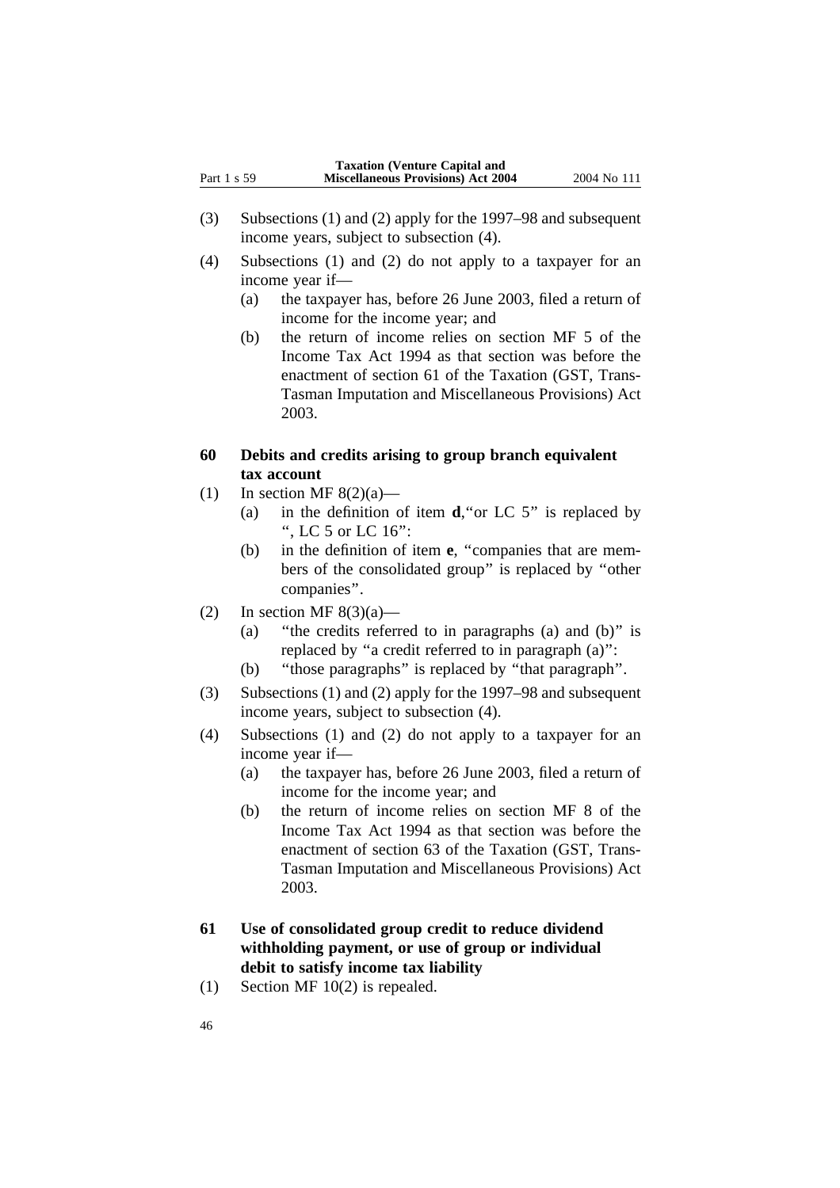- (3) Subsections (1) and (2) apply for the 1997–98 and subsequent income years, subject to subsection (4).
- (4) Subsections (1) and (2) do not apply to a taxpayer for an income year if—
	- (a) the taxpayer has, before 26 June 2003, filed a return of income for the income year; and
	- (b) the return of income relies on section MF 5 of the Income Tax Act 1994 as that section was before the enactment of section 61 of the Taxation (GST, Trans-Tasman Imputation and Miscellaneous Provisions) Act 2003.

### **60 Debits and credits arising to group branch equivalent tax account**

- (1) In section MF  $8(2)(a)$ 
	- (a) in the definition of item **d**,''or LC 5'' is replaced by '', LC 5 or LC 16'':
	- (b) in the definition of item **e**, ''companies that are members of the consolidated group'' is replaced by ''other companies''.
- (2) In section MF  $8(3)(a)$ 
	- (a) ''the credits referred to in paragraphs (a) and (b)'' is replaced by ''a credit referred to in paragraph (a)'':
	- (b) ''those paragraphs'' is replaced by ''that paragraph''.
- (3) Subsections (1) and (2) apply for the 1997–98 and subsequent income years, subject to subsection (4).
- (4) Subsections (1) and (2) do not apply to a taxpayer for an income year if—
	- (a) the taxpayer has, before 26 June 2003, filed a return of income for the income year; and
	- (b) the return of income relies on section MF 8 of the Income Tax Act 1994 as that section was before the enactment of section 63 of the Taxation (GST, Trans-Tasman Imputation and Miscellaneous Provisions) Act 2003.
- **61 Use of consolidated group credit to reduce dividend withholding payment, or use of group or individual debit to satisfy income tax liability**
- (1) Section MF 10(2) is repealed.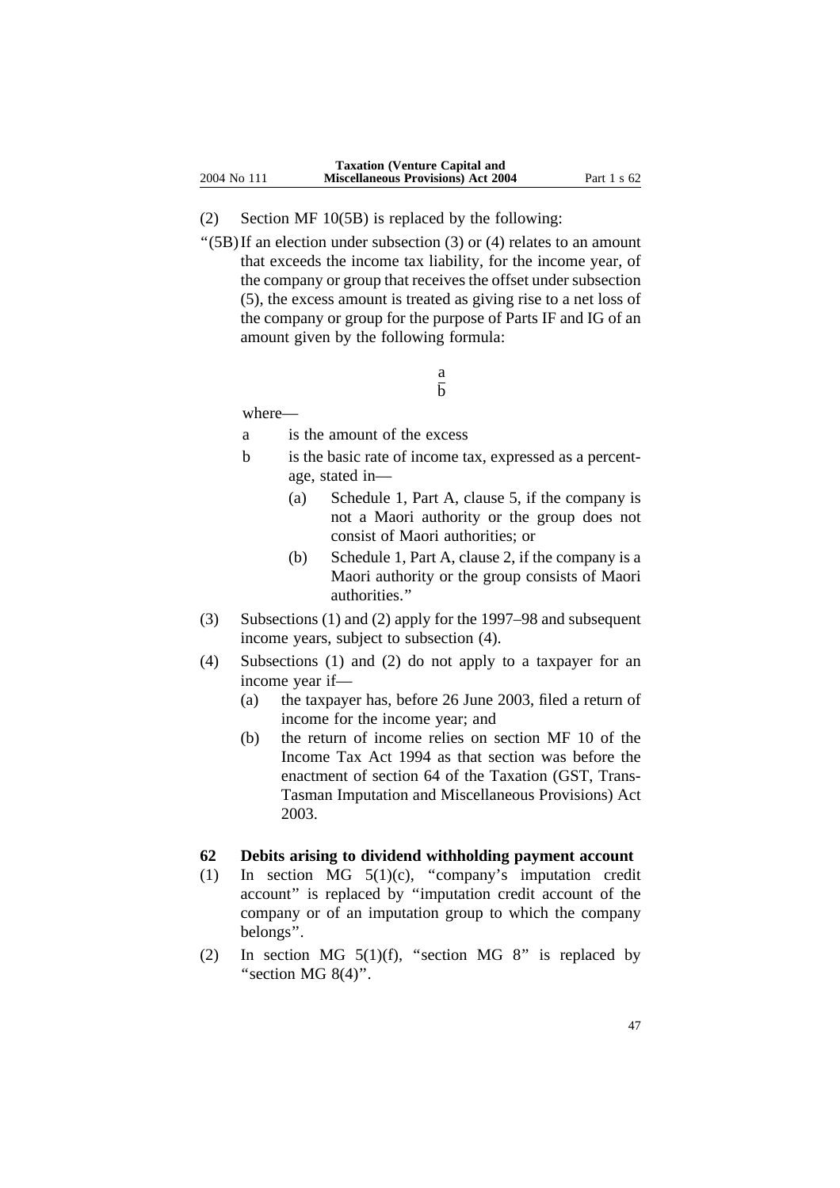- (2) Section MF 10(5B) is replaced by the following:
- " $(5B)$  If an election under subsection (3) or (4) relates to an amount that exceeds the income tax liability, for the income year, of the company or group that receives the offset under subsection (5), the excess amount is treated as giving rise to a net loss of the company or group for the purpose of Parts IF and IG of an amount given by the following formula:

#### a  $\overline{h}$

where—

a is the amount of the excess

- b is the basic rate of income tax, expressed as a percentage, stated in—
	- (a) Schedule 1, Part A, clause 5, if the company is not a Maori authority or the group does not consist of Maori authorities; or
	- (b) Schedule 1, Part A, clause 2, if the company is a Maori authority or the group consists of Maori authorities.''
- (3) Subsections (1) and (2) apply for the 1997–98 and subsequent income years, subject to subsection (4).
- (4) Subsections (1) and (2) do not apply to a taxpayer for an income year if—
	- (a) the taxpayer has, before 26 June 2003, filed a return of income for the income year; and
	- (b) the return of income relies on section MF 10 of the Income Tax Act 1994 as that section was before the enactment of section 64 of the Taxation (GST, Trans-Tasman Imputation and Miscellaneous Provisions) Act 2003.

#### **62 Debits arising to dividend withholding payment account**

- (1) In section MG 5(1)(c), ''company's imputation credit account'' is replaced by ''imputation credit account of the company or of an imputation group to which the company belongs''.
- (2) In section MG  $5(1)(f)$ , "section MG 8" is replaced by "section MG  $8(4)$ ".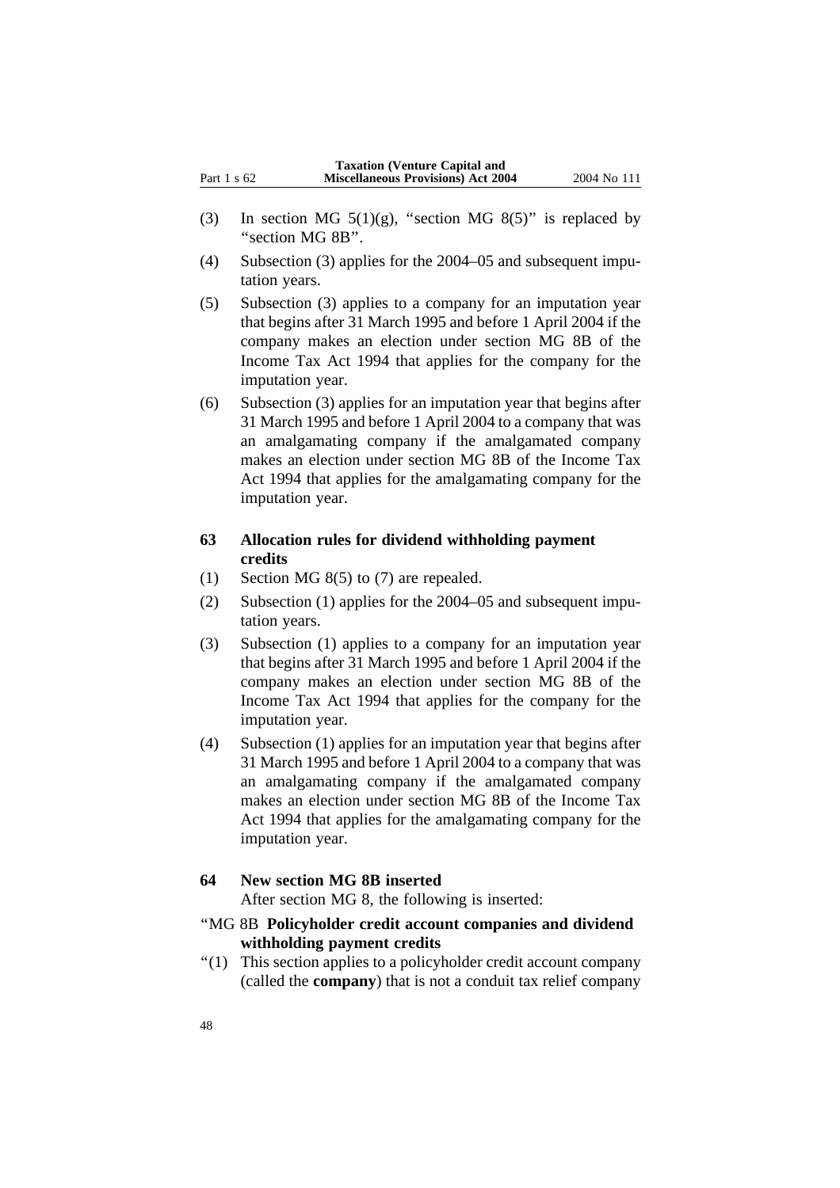- (3) In section MG  $5(1)(g)$ , "section MG  $8(5)$ " is replaced by ''section MG 8B''.
- (4) Subsection (3) applies for the 2004–05 and subsequent imputation years.
- (5) Subsection (3) applies to a company for an imputation year that begins after 31 March 1995 and before 1 April 2004 if the company makes an election under section MG 8B of the Income Tax Act 1994 that applies for the company for the imputation year.
- (6) Subsection (3) applies for an imputation year that begins after 31 March 1995 and before 1 April 2004 to a company that was an amalgamating company if the amalgamated company makes an election under section MG 8B of the Income Tax Act 1994 that applies for the amalgamating company for the imputation year.

### **63 Allocation rules for dividend withholding payment credits**

- (1) Section MG 8(5) to (7) are repealed.
- (2) Subsection (1) applies for the 2004–05 and subsequent imputation years.
- (3) Subsection (1) applies to a company for an imputation year that begins after 31 March 1995 and before 1 April 2004 if the company makes an election under section MG 8B of the Income Tax Act 1994 that applies for the company for the imputation year.
- (4) Subsection (1) applies for an imputation year that begins after 31 March 1995 and before 1 April 2004 to a company that was an amalgamating company if the amalgamated company makes an election under section MG 8B of the Income Tax Act 1994 that applies for the amalgamating company for the imputation year.

### **64 New section MG 8B inserted**

After section MG 8, the following is inserted:

- ''MG 8B **Policyholder credit account companies and dividend withholding payment credits**
- ''(1) This section applies to a policyholder credit account company (called the **company**) that is not a conduit tax relief company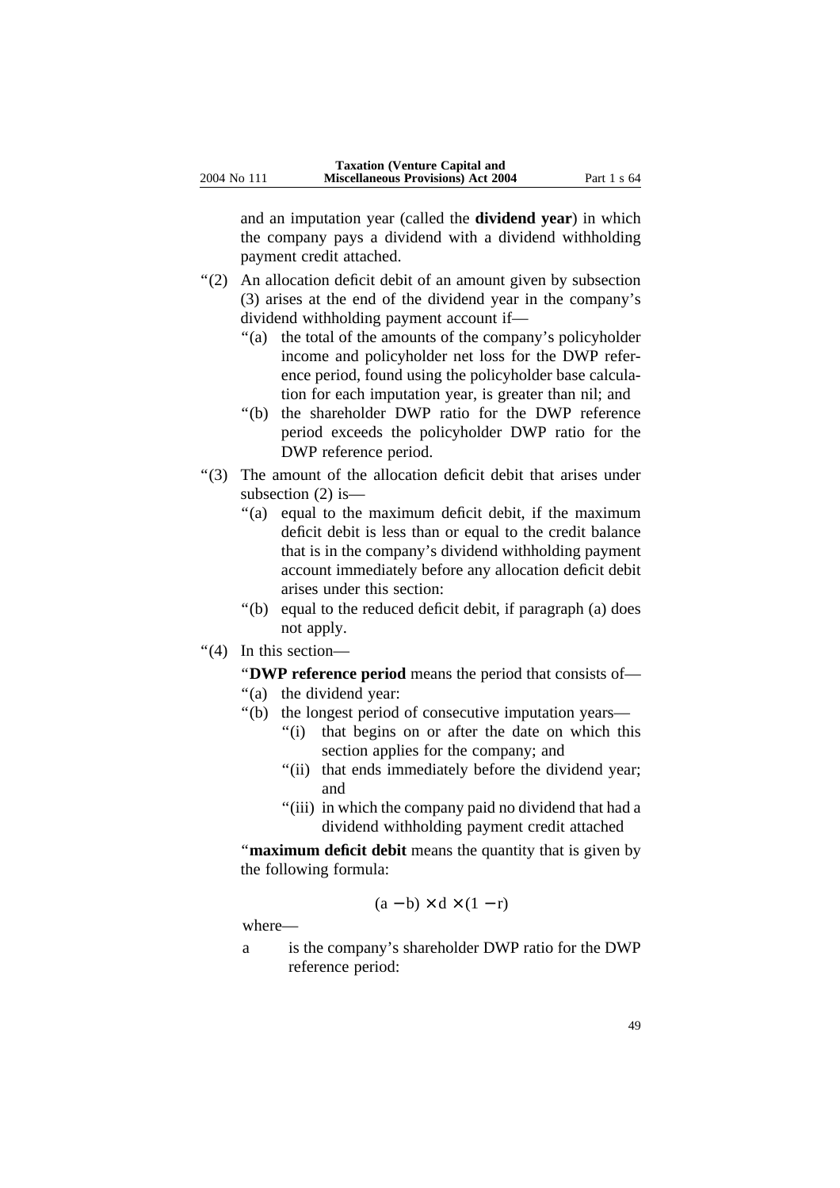and an imputation year (called the **dividend year**) in which the company pays a dividend with a dividend withholding payment credit attached.

- ''(2) An allocation deficit debit of an amount given by subsection (3) arises at the end of the dividend year in the company's dividend withholding payment account if—
	- "(a) the total of the amounts of the company's policyholder income and policyholder net loss for the DWP reference period, found using the policyholder base calculation for each imputation year, is greater than nil; and
	- ''(b) the shareholder DWP ratio for the DWP reference period exceeds the policyholder DWP ratio for the DWP reference period.
- ''(3) The amount of the allocation deficit debit that arises under subsection (2) is—
	- ''(a) equal to the maximum deficit debit, if the maximum deficit debit is less than or equal to the credit balance that is in the company's dividend withholding payment account immediately before any allocation deficit debit arises under this section:
	- ''(b) equal to the reduced deficit debit, if paragraph (a) does not apply.
- ''(4) In this section—

''**DWP reference period** means the period that consists of—

- "(a) the dividend year:
- ''(b) the longest period of consecutive imputation years—
	- "(i) that begins on or after the date on which this section applies for the company; and
	- "(ii) that ends immediately before the dividend year; and
	- "(iii) in which the company paid no dividend that had a dividend withholding payment credit attached

''**maximum deficit debit** means the quantity that is given by the following formula:

$$
(a - b) \times d \times (1 - r)
$$

where—

a is the company's shareholder DWP ratio for the DWP reference period: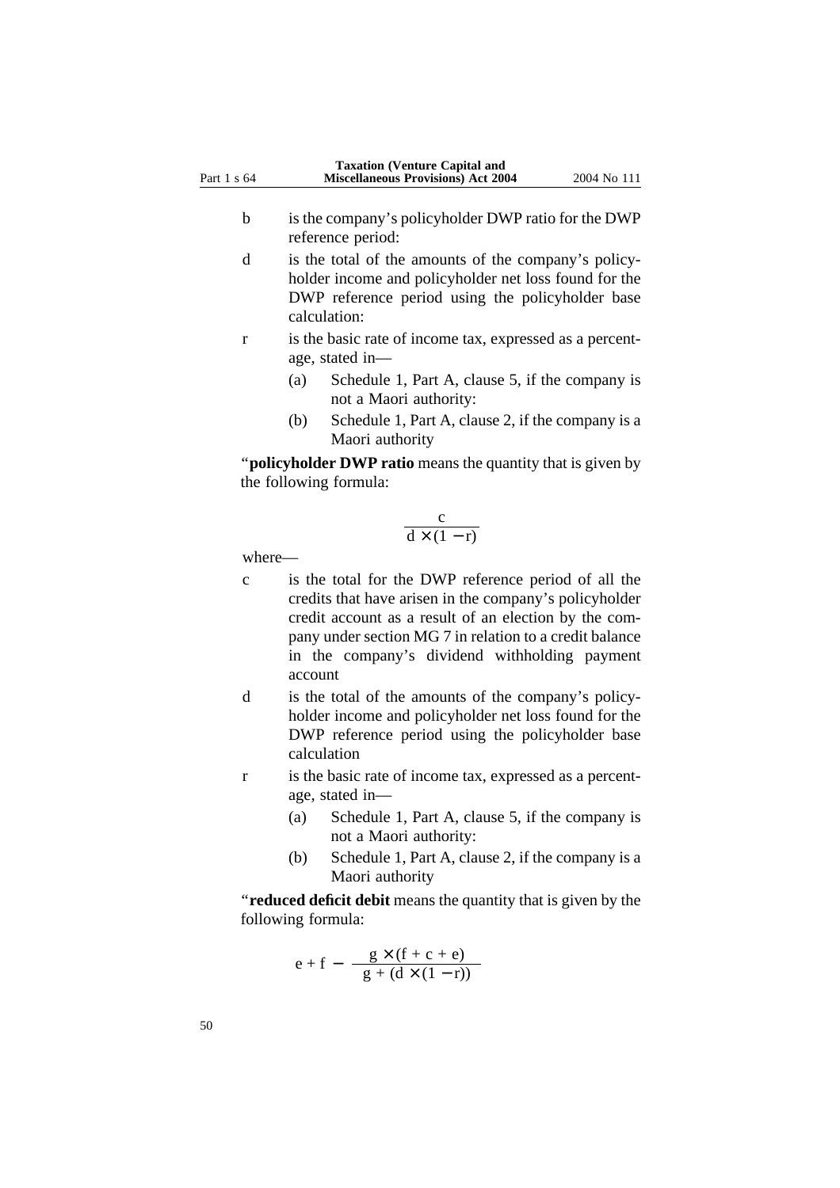- b is the company's policyholder DWP ratio for the DWP reference period:
- d is the total of the amounts of the company's policyholder income and policyholder net loss found for the DWP reference period using the policyholder base calculation:
- r is the basic rate of income tax, expressed as a percentage, stated in—
	- (a) Schedule 1, Part A, clause 5, if the company is not a Maori authority:
	- (b) Schedule 1, Part A, clause 2, if the company is a Maori authority

''**policyholder DWP ratio** means the quantity that is given by the following formula:

$$
\frac{c}{d \times (1-r)}
$$

where—

- c is the total for the DWP reference period of all the credits that have arisen in the company's policyholder credit account as a result of an election by the company under section MG 7 in relation to a credit balance in the company's dividend withholding payment account
- d is the total of the amounts of the company's policyholder income and policyholder net loss found for the DWP reference period using the policyholder base calculation
- r is the basic rate of income tax, expressed as a percentage, stated in—
	- (a) Schedule 1, Part A, clause 5, if the company is not a Maori authority:
	- (b) Schedule 1, Part A, clause 2, if the company is a Maori authority

''**reduced deficit debit** means the quantity that is given by the following formula:

$$
e + f - \frac{g \times (f + c + e)}{g + (d \times (1 - r))}
$$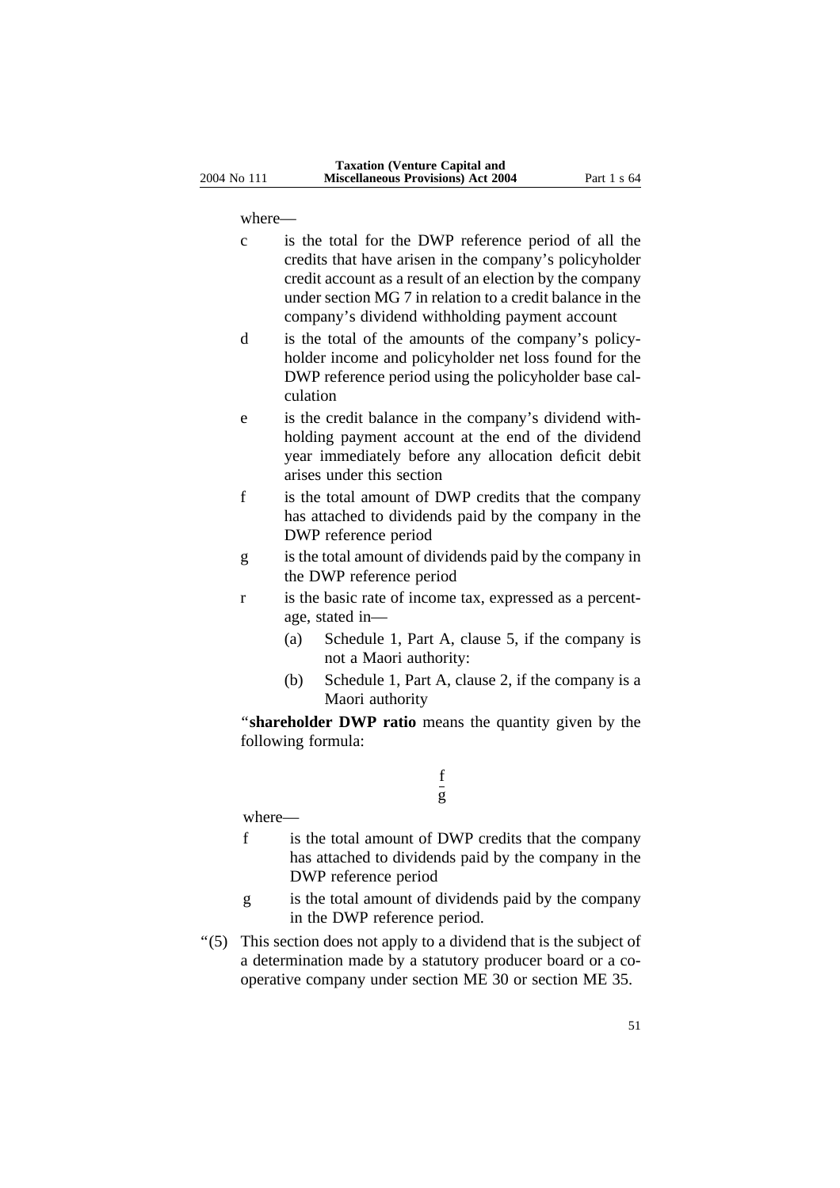where—

- c is the total for the DWP reference period of all the credits that have arisen in the company's policyholder credit account as a result of an election by the company under section MG 7 in relation to a credit balance in the company's dividend withholding payment account
- d is the total of the amounts of the company's policyholder income and policyholder net loss found for the DWP reference period using the policyholder base calculation
- e is the credit balance in the company's dividend withholding payment account at the end of the dividend year immediately before any allocation deficit debit arises under this section
- f is the total amount of DWP credits that the company has attached to dividends paid by the company in the DWP reference period
- g is the total amount of dividends paid by the company in the DWP reference period
- r is the basic rate of income tax, expressed as a percentage, stated in—
	- (a) Schedule 1, Part A, clause 5, if the company is not a Maori authority:
	- (b) Schedule 1, Part A, clause 2, if the company is a Maori authority

''**shareholder DWP ratio** means the quantity given by the following formula:

### f g

where—

- f is the total amount of DWP credits that the company has attached to dividends paid by the company in the DWP reference period
- g is the total amount of dividends paid by the company in the DWP reference period.
- ''(5) This section does not apply to a dividend that is the subject of a determination made by a statutory producer board or a cooperative company under section ME 30 or section ME 35.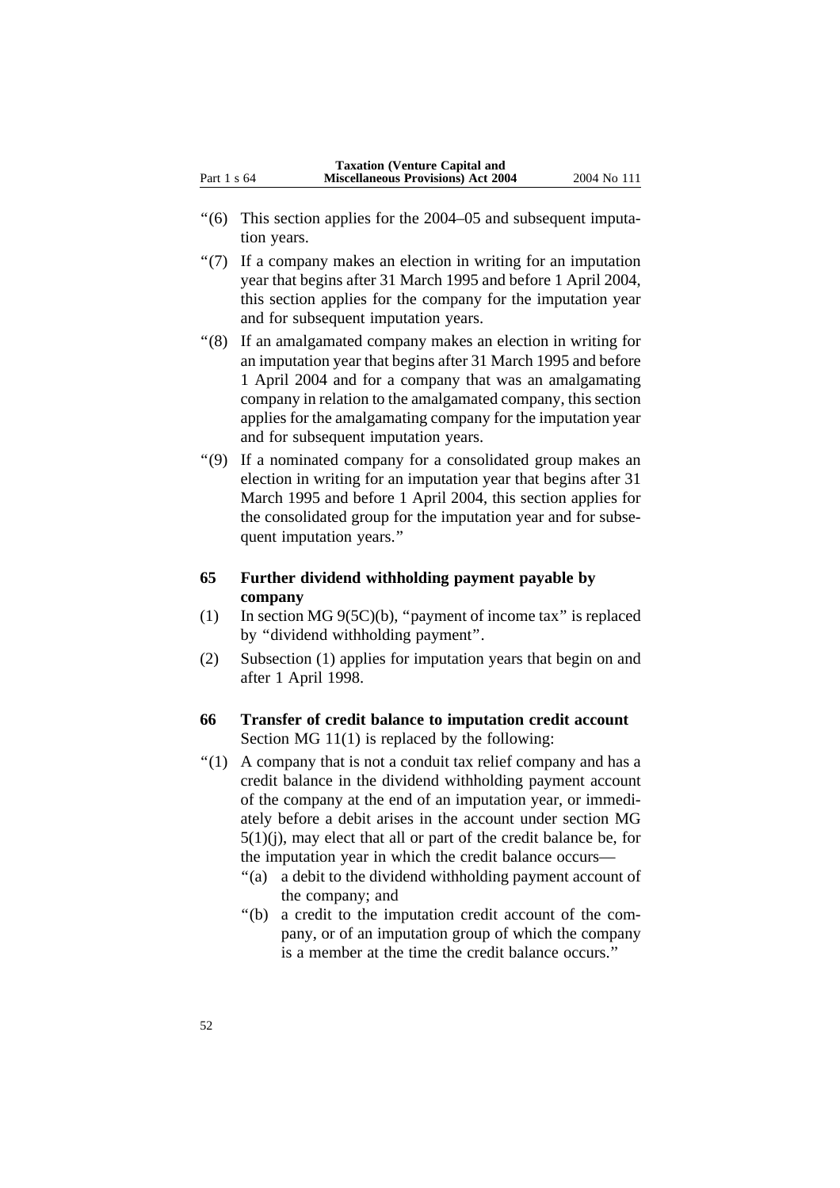- ''(6) This section applies for the 2004–05 and subsequent imputation years.
- ''(7) If a company makes an election in writing for an imputation year that begins after 31 March 1995 and before 1 April 2004, this section applies for the company for the imputation year and for subsequent imputation years.
- ''(8) If an amalgamated company makes an election in writing for an imputation year that begins after 31 March 1995 and before 1 April 2004 and for a company that was an amalgamating company in relation to the amalgamated company, this section applies for the amalgamating company for the imputation year and for subsequent imputation years.
- ''(9) If a nominated company for a consolidated group makes an election in writing for an imputation year that begins after 31 March 1995 and before 1 April 2004, this section applies for the consolidated group for the imputation year and for subsequent imputation years.''

### **65 Further dividend withholding payment payable by company**

- (1) In section MG 9(5C)(b), ''payment of income tax'' is replaced by ''dividend withholding payment''.
- (2) Subsection (1) applies for imputation years that begin on and after 1 April 1998.

### **66 Transfer of credit balance to imputation credit account** Section MG 11(1) is replaced by the following:

- $''(1)$  A company that is not a conduit tax relief company and has a credit balance in the dividend withholding payment account of the company at the end of an imputation year, or immediately before a debit arises in the account under section MG  $5(1)(i)$ , may elect that all or part of the credit balance be, for the imputation year in which the credit balance occurs—
	- ''(a) a debit to the dividend withholding payment account of the company; and
	- ''(b) a credit to the imputation credit account of the company, or of an imputation group of which the company is a member at the time the credit balance occurs.''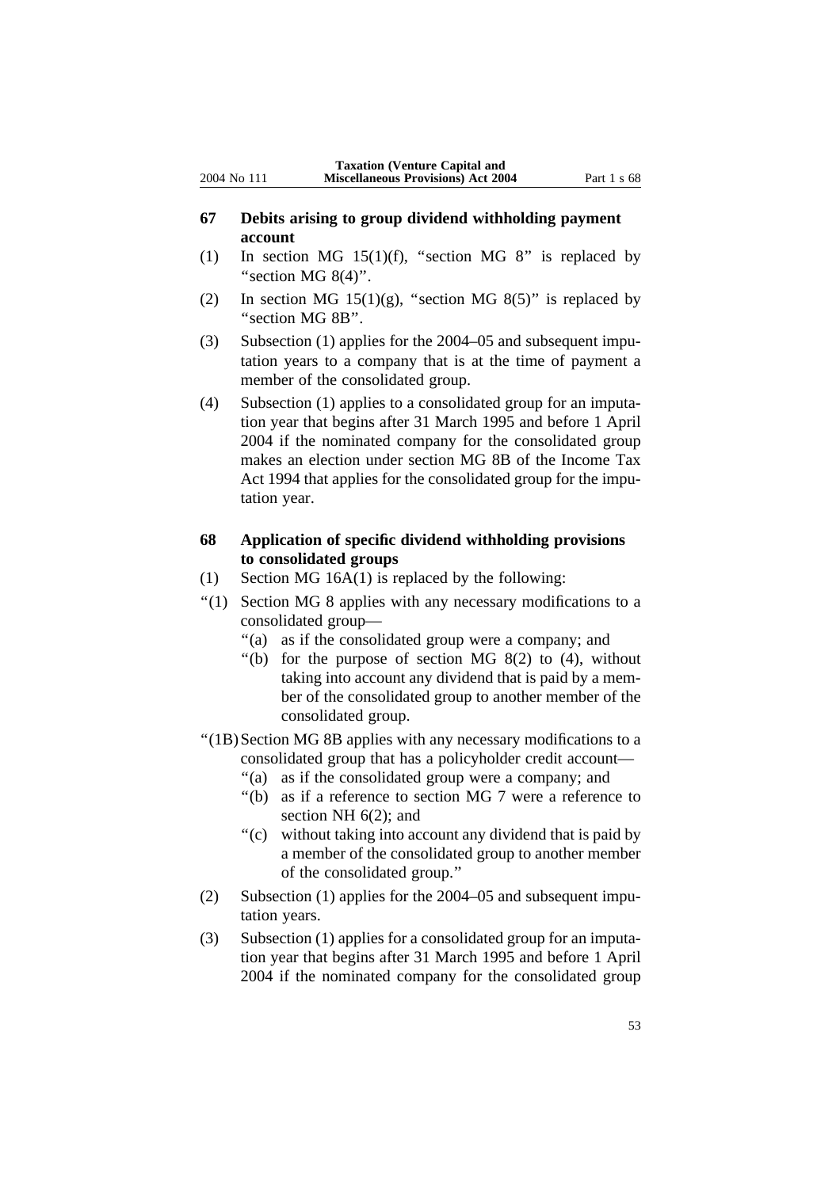- **67 Debits arising to group dividend withholding payment account**
- (1) In section MG 15(1)(f), "section MG 8" is replaced by "section MG  $8(4)$ ".
- (2) In section MG  $15(1)(g)$ , "section MG  $8(5)$ " is replaced by ''section MG 8B''.
- (3) Subsection (1) applies for the 2004–05 and subsequent imputation years to a company that is at the time of payment a member of the consolidated group.
- (4) Subsection (1) applies to a consolidated group for an imputation year that begins after 31 March 1995 and before 1 April 2004 if the nominated company for the consolidated group makes an election under section MG 8B of the Income Tax Act 1994 that applies for the consolidated group for the imputation year.

### **68 Application of specific dividend withholding provisions to consolidated groups**

- (1) Section MG 16A(1) is replaced by the following:
- ''(1) Section MG 8 applies with any necessary modifications to a consolidated group—
	- ''(a) as if the consolidated group were a company; and
	- "(b) for the purpose of section MG  $8(2)$  to  $(4)$ , without taking into account any dividend that is paid by a member of the consolidated group to another member of the consolidated group.
- ''(1B)Section MG 8B applies with any necessary modifications to a consolidated group that has a policyholder credit account—
	- ''(a) as if the consolidated group were a company; and
	- ''(b) as if a reference to section MG 7 were a reference to section NH 6(2); and
	- ''(c) without taking into account any dividend that is paid by a member of the consolidated group to another member of the consolidated group.''
- (2) Subsection (1) applies for the 2004–05 and subsequent imputation years.
- (3) Subsection (1) applies for a consolidated group for an imputation year that begins after 31 March 1995 and before 1 April 2004 if the nominated company for the consolidated group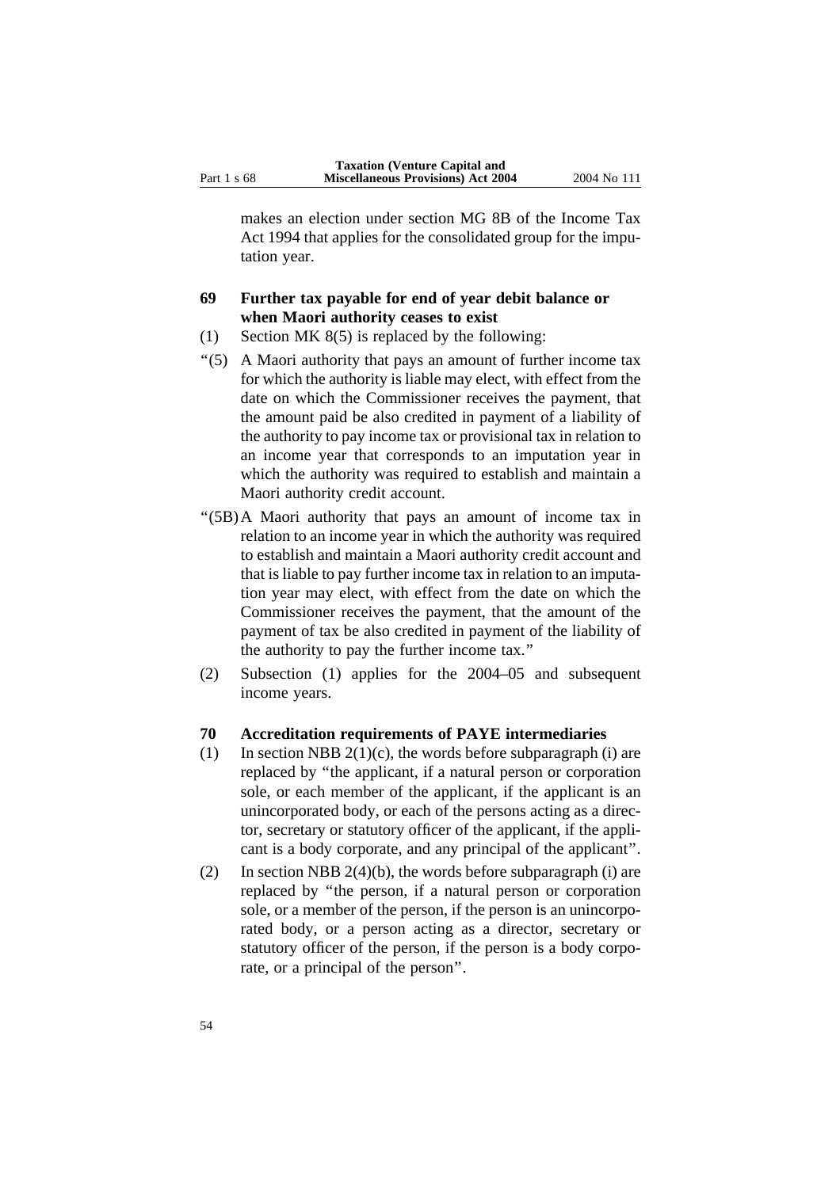makes an election under section MG 8B of the Income Tax Act 1994 that applies for the consolidated group for the imputation year.

## **69 Further tax payable for end of year debit balance or when Maori authority ceases to exist**

- (1) Section MK 8(5) is replaced by the following:
- ''(5) A Maori authority that pays an amount of further income tax for which the authority is liable may elect, with effect from the date on which the Commissioner receives the payment, that the amount paid be also credited in payment of a liability of the authority to pay income tax or provisional tax in relation to an income year that corresponds to an imputation year in which the authority was required to establish and maintain a Maori authority credit account.
- ''(5B)A Maori authority that pays an amount of income tax in relation to an income year in which the authority was required to establish and maintain a Maori authority credit account and that is liable to pay further income tax in relation to an imputation year may elect, with effect from the date on which the Commissioner receives the payment, that the amount of the payment of tax be also credited in payment of the liability of the authority to pay the further income tax.''
- (2) Subsection (1) applies for the 2004–05 and subsequent income years.

### **70 Accreditation requirements of PAYE intermediaries**

- (1) In section NBB  $2(1)(c)$ , the words before subparagraph (i) are replaced by ''the applicant, if a natural person or corporation sole, or each member of the applicant, if the applicant is an unincorporated body, or each of the persons acting as a director, secretary or statutory officer of the applicant, if the applicant is a body corporate, and any principal of the applicant''.
- (2) In section NBB  $2(4)(b)$ , the words before subparagraph (i) are replaced by ''the person, if a natural person or corporation sole, or a member of the person, if the person is an unincorporated body, or a person acting as a director, secretary or statutory officer of the person, if the person is a body corporate, or a principal of the person''.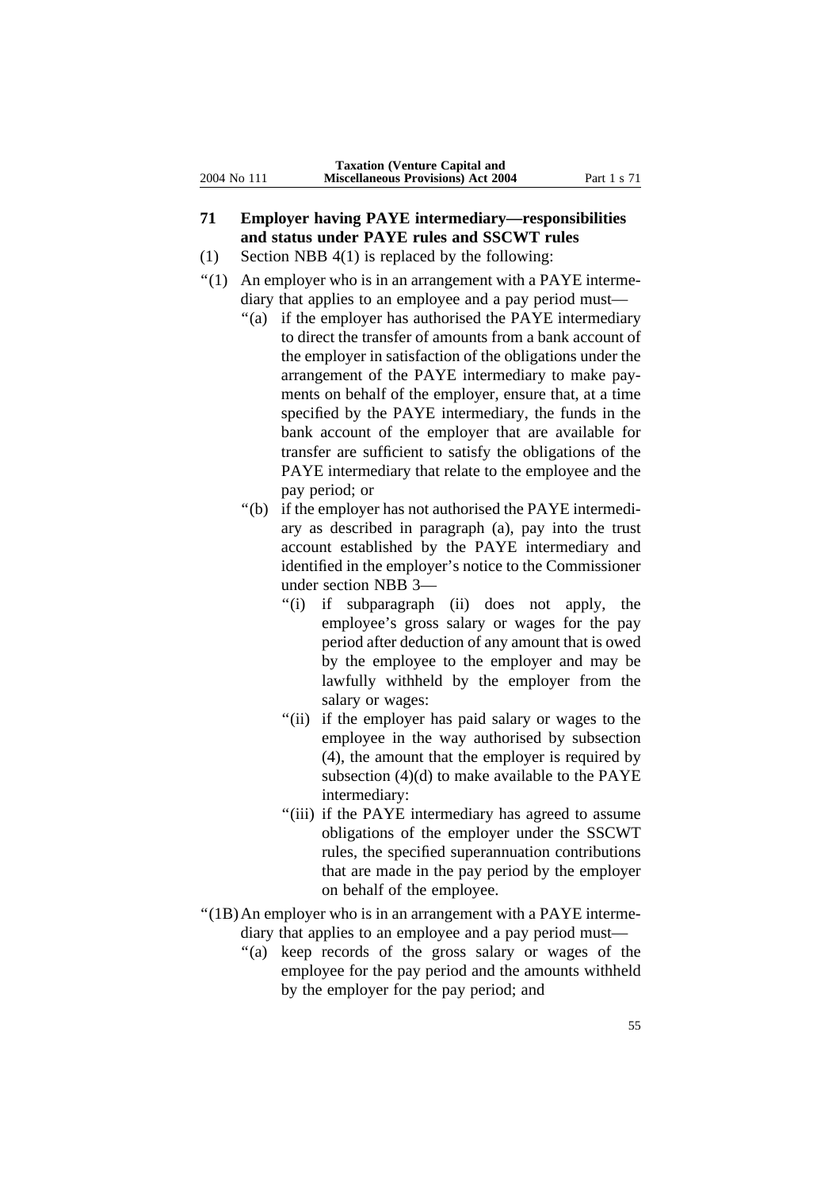- **71 Employer having PAYE intermediary—responsibilities and status under PAYE rules and SSCWT rules**
- (1) Section NBB 4(1) is replaced by the following:
- "(1) An employer who is in an arrangement with a PAYE intermediary that applies to an employee and a pay period must—
	- ''(a) if the employer has authorised the PAYE intermediary to direct the transfer of amounts from a bank account of the employer in satisfaction of the obligations under the arrangement of the PAYE intermediary to make payments on behalf of the employer, ensure that, at a time specified by the PAYE intermediary, the funds in the bank account of the employer that are available for transfer are sufficient to satisfy the obligations of the PAYE intermediary that relate to the employee and the pay period; or
	- ''(b) if the employer has not authorised the PAYE intermediary as described in paragraph (a), pay into the trust account established by the PAYE intermediary and identified in the employer's notice to the Commissioner under section NBB 3—
		- ''(i) if subparagraph (ii) does not apply, the employee's gross salary or wages for the pay period after deduction of any amount that is owed by the employee to the employer and may be lawfully withheld by the employer from the salary or wages:
		- "(ii) if the employer has paid salary or wages to the employee in the way authorised by subsection (4), the amount that the employer is required by subsection  $(4)(d)$  to make available to the PAYE intermediary:
		- "(iii) if the PAYE intermediary has agreed to assume obligations of the employer under the SSCWT rules, the specified superannuation contributions that are made in the pay period by the employer on behalf of the employee.
- ''(1B)An employer who is in an arrangement with a PAYE intermediary that applies to an employee and a pay period must—
	- "(a) keep records of the gross salary or wages of the employee for the pay period and the amounts withheld by the employer for the pay period; and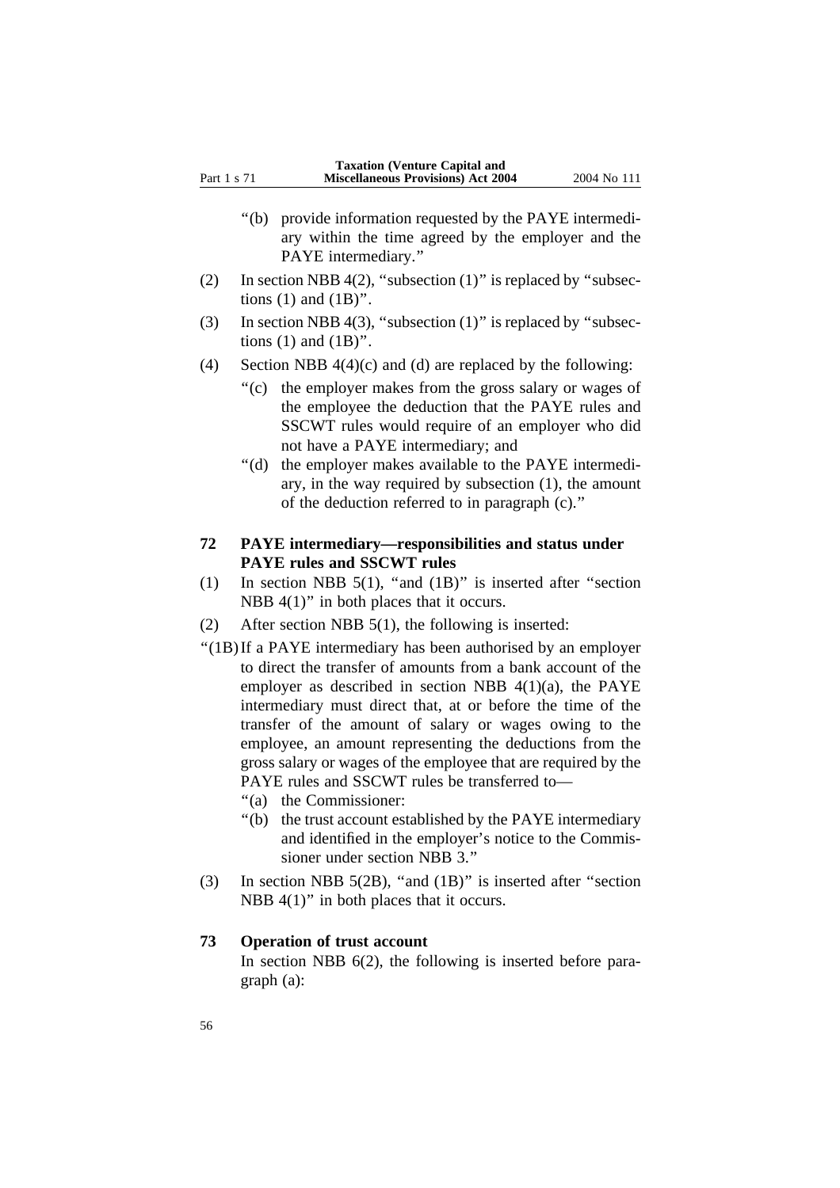- ''(b) provide information requested by the PAYE intermediary within the time agreed by the employer and the PAYE intermediary.''
- (2) In section NBB 4(2), "subsection  $(1)$ " is replaced by "subsections  $(1)$  and  $(1B)$ ".
- (3) In section NBB 4(3), "subsection  $(1)$ " is replaced by "subsections  $(1)$  and  $(1B)$ ".
- (4) Section NBB  $4(4)(c)$  and (d) are replaced by the following:
	- ''(c) the employer makes from the gross salary or wages of the employee the deduction that the PAYE rules and SSCWT rules would require of an employer who did not have a PAYE intermediary; and
	- ''(d) the employer makes available to the PAYE intermediary, in the way required by subsection (1), the amount of the deduction referred to in paragraph (c).''
- **72 PAYE intermediary—responsibilities and status under PAYE rules and SSCWT rules**
- (1) In section NBB 5(1), ''and (1B)'' is inserted after ''section NBB  $4(1)$ " in both places that it occurs.
- (2) After section NBB 5(1), the following is inserted:
- ''(1B)If a PAYE intermediary has been authorised by an employer to direct the transfer of amounts from a bank account of the employer as described in section NBB 4(1)(a), the PAYE intermediary must direct that, at or before the time of the transfer of the amount of salary or wages owing to the employee, an amount representing the deductions from the gross salary or wages of the employee that are required by the PAYE rules and SSCWT rules be transferred to—
	- ''(a) the Commissioner:
	- ''(b) the trust account established by the PAYE intermediary and identified in the employer's notice to the Commissioner under section NBB 3.''
- (3) In section NBB 5(2B), ''and (1B)'' is inserted after ''section NBB  $4(1)$ " in both places that it occurs.

### **73 Operation of trust account**

In section NBB 6(2), the following is inserted before paragraph (a):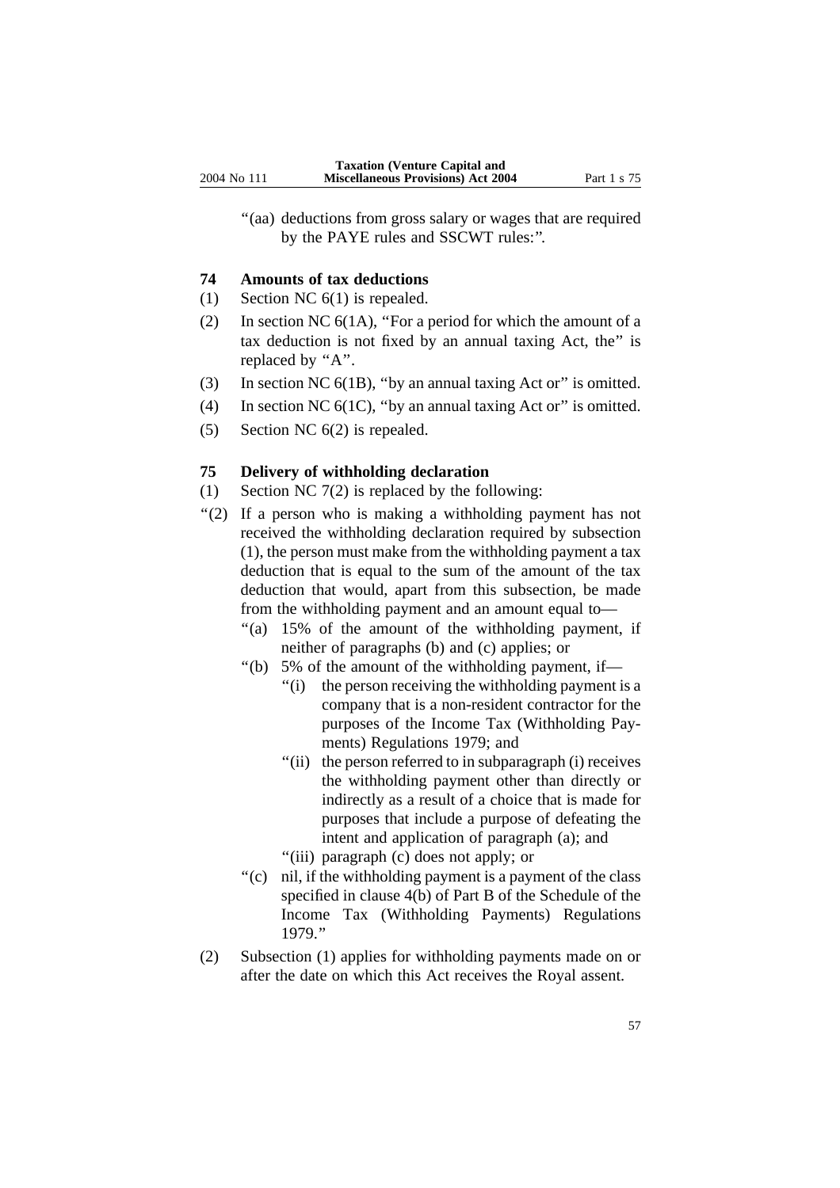"(aa) deductions from gross salary or wages that are required by the PAYE rules and SSCWT rules:''.

#### **74 Amounts of tax deductions**

- (1) Section NC 6(1) is repealed.
- (2) In section NC 6(1A), ''For a period for which the amount of a tax deduction is not fixed by an annual taxing Act, the'' is replaced by "A".
- (3) In section NC 6(1B), ''by an annual taxing Act or'' is omitted.
- (4) In section NC  $6(1C)$ , "by an annual taxing Act or" is omitted.
- (5) Section NC 6(2) is repealed.

#### **75 Delivery of withholding declaration**

- (1) Section NC 7(2) is replaced by the following:
- ''(2) If a person who is making a withholding payment has not received the withholding declaration required by subsection (1), the person must make from the withholding payment a tax deduction that is equal to the sum of the amount of the tax deduction that would, apart from this subsection, be made from the withholding payment and an amount equal to—
	- ''(a) 15% of the amount of the withholding payment, if neither of paragraphs (b) and (c) applies; or
	- ''(b) 5% of the amount of the withholding payment, if—
		- "(i) the person receiving the withholding payment is a company that is a non-resident contractor for the purposes of the Income Tax (Withholding Payments) Regulations 1979; and
		- "(ii) the person referred to in subparagraph (i) receives the withholding payment other than directly or indirectly as a result of a choice that is made for purposes that include a purpose of defeating the intent and application of paragraph (a); and
		- ''(iii) paragraph (c) does not apply; or
	- ''(c) nil, if the withholding payment is a payment of the class specified in clause 4(b) of Part B of the Schedule of the Income Tax (Withholding Payments) Regulations 1979.''
- (2) Subsection (1) applies for withholding payments made on or after the date on which this Act receives the Royal assent.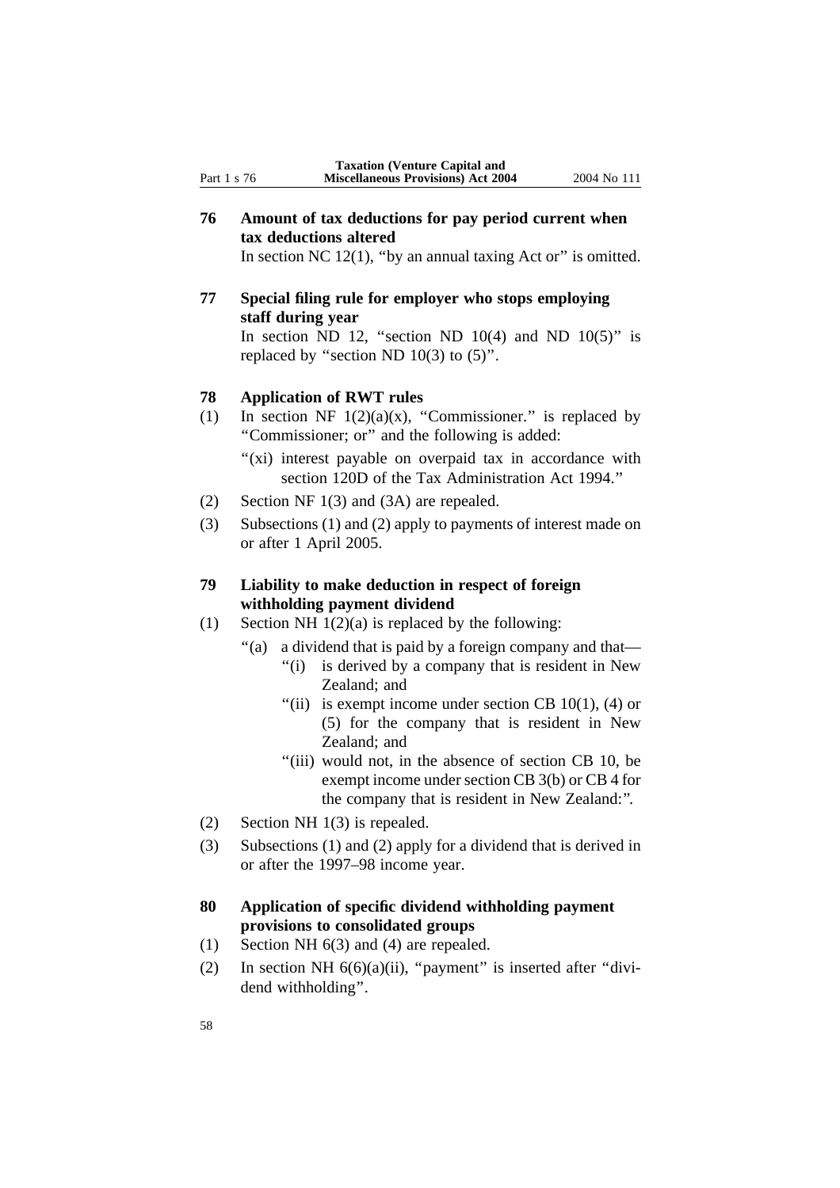**76 Amount of tax deductions for pay period current when tax deductions altered**

In section NC  $12(1)$ , "by an annual taxing Act or" is omitted.

**77 Special filing rule for employer who stops employing staff during year** In section ND 12, "section ND 10(4) and ND 10(5)" is replaced by "section ND  $10(3)$  to  $(5)$ ".

### **78 Application of RWT rules**

- (1) In section NF  $1(2)(a)(x)$ , "Commissioner." is replaced by ''Commissioner; or'' and the following is added:
	- "(xi) interest payable on overpaid tax in accordance with section 120D of the Tax Administration Act 1994.''
- (2) Section NF 1(3) and (3A) are repealed.
- (3) Subsections (1) and (2) apply to payments of interest made on or after 1 April 2005.

### **79 Liability to make deduction in respect of foreign withholding payment dividend**

- (1) Section NH  $1(2)(a)$  is replaced by the following:
	- ''(a) a dividend that is paid by a foreign company and that—
		- "(i) is derived by a company that is resident in New Zealand; and
		- "(ii) is exempt income under section CB  $10(1)$ , (4) or (5) for the company that is resident in New Zealand; and
		- "(iii) would not, in the absence of section CB 10, be exempt income under section CB 3(b) or CB 4 for the company that is resident in New Zealand:''.
- (2) Section NH 1(3) is repealed.
- (3) Subsections (1) and (2) apply for a dividend that is derived in or after the 1997–98 income year.

### **80 Application of specific dividend withholding payment provisions to consolidated groups**

- (1) Section NH 6(3) and (4) are repealed.
- (2) In section NH  $6(6)(a)(ii)$ , "payment" is inserted after "dividend withholding''.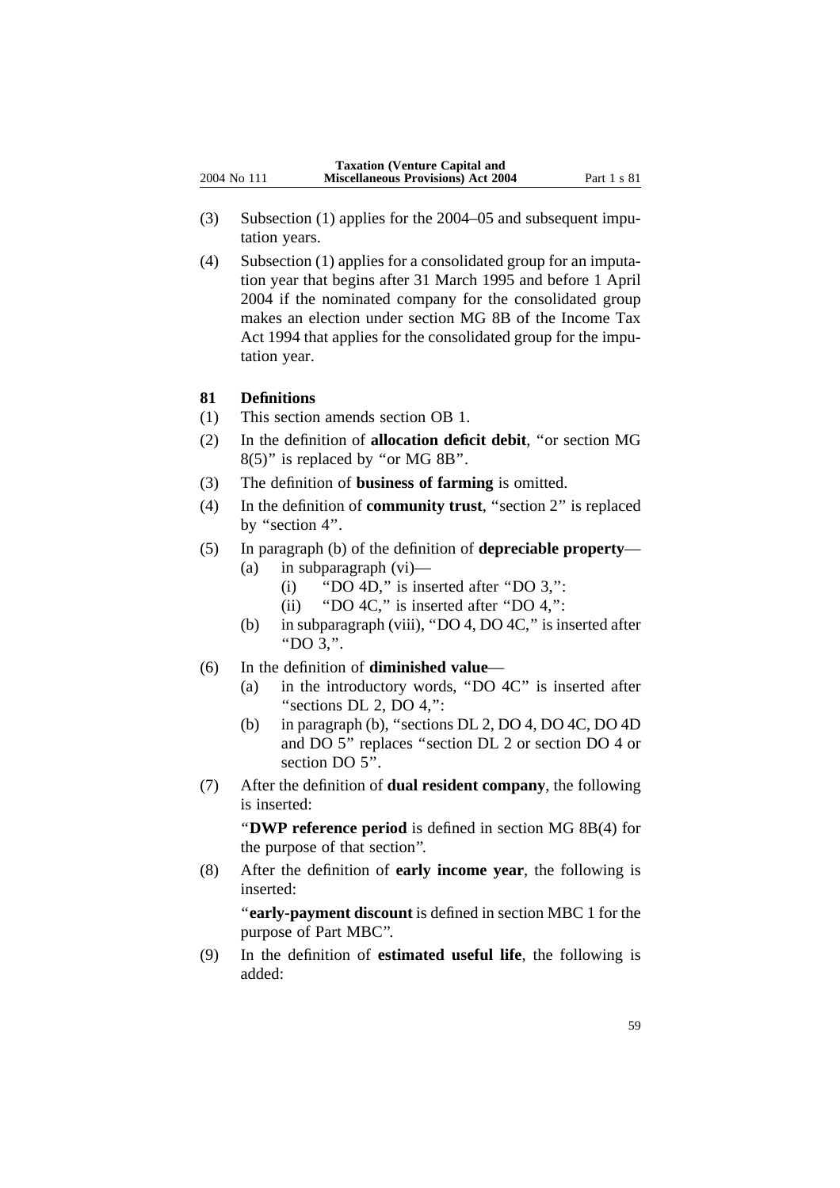- (3) Subsection (1) applies for the 2004–05 and subsequent imputation years.
- (4) Subsection (1) applies for a consolidated group for an imputation year that begins after 31 March 1995 and before 1 April 2004 if the nominated company for the consolidated group makes an election under section MG 8B of the Income Tax Act 1994 that applies for the consolidated group for the imputation year.

### **81 Definitions**

- (1) This section amends section OB 1.
- (2) In the definition of **allocation deficit debit**, ''or section MG 8(5)'' is replaced by ''or MG 8B''.
- (3) The definition of **business of farming** is omitted.
- (4) In the definition of **community trust**, ''section 2'' is replaced by "section 4".
- (5) In paragraph (b) of the definition of **depreciable property** (a) in subparagraph (vi)—
	- (i)  $"DO 4D,"$  is inserted after " $DO 3,"$ :
	- (ii) "DO 4C," is inserted after "DO 4,":
	- (b) in subparagraph (viii), ''DO 4, DO 4C,'' is inserted after ''DO 3,''.
- (6) In the definition of **diminished value**
	- (a) in the introductory words, ''DO 4C'' is inserted after "sections DL 2, DO 4,":
	- (b) in paragraph (b), ''sections DL 2, DO 4, DO 4C, DO 4D and DO 5'' replaces ''section DL 2 or section DO 4 or section DO 5".
- (7) After the definition of **dual resident company**, the following is inserted:

''**DWP reference period** is defined in section MG 8B(4) for the purpose of that section''.

(8) After the definition of **early income year**, the following is inserted:

''**early-payment discount** is defined in section MBC 1 for the purpose of Part MBC''.

(9) In the definition of **estimated useful life**, the following is added: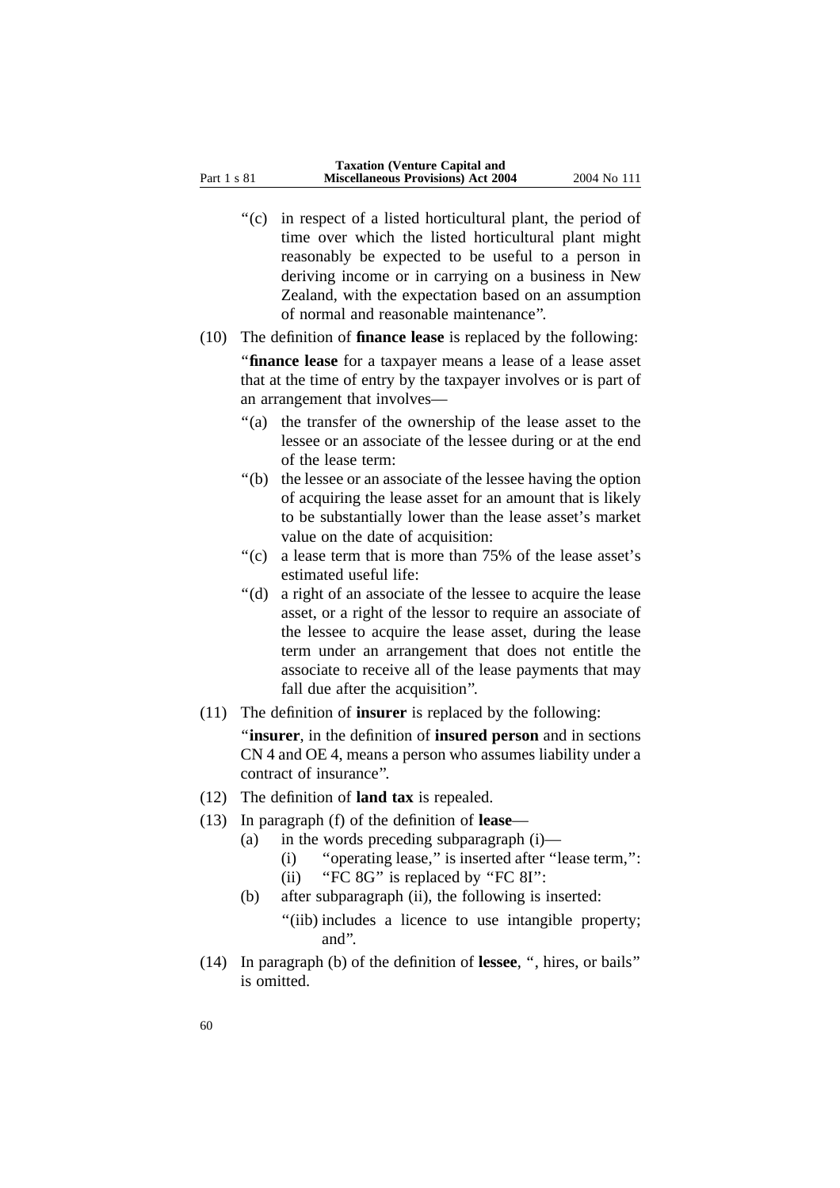''(c) in respect of a listed horticultural plant, the period of time over which the listed horticultural plant might reasonably be expected to be useful to a person in deriving income or in carrying on a business in New Zealand, with the expectation based on an assumption of normal and reasonable maintenance''.

#### (10) The definition of **finance lease** is replaced by the following:

''**finance lease** for a taxpayer means a lease of a lease asset that at the time of entry by the taxpayer involves or is part of an arrangement that involves—

- ''(a) the transfer of the ownership of the lease asset to the lessee or an associate of the lessee during or at the end of the lease term:
- ''(b) the lessee or an associate of the lessee having the option of acquiring the lease asset for an amount that is likely to be substantially lower than the lease asset's market value on the date of acquisition:
- ''(c) a lease term that is more than 75% of the lease asset's estimated useful life:
- ''(d) a right of an associate of the lessee to acquire the lease asset, or a right of the lessor to require an associate of the lessee to acquire the lease asset, during the lease term under an arrangement that does not entitle the associate to receive all of the lease payments that may fall due after the acquisition''.
- (11) The definition of **insurer** is replaced by the following:

''**insurer**, in the definition of **insured person** and in sections CN 4 and OE 4, means a person who assumes liability under a contract of insurance''.

- (12) The definition of **land tax** is repealed.
- (13) In paragraph (f) of the definition of **lease**
	- (a) in the words preceding subparagraph (i)—
		- (i) ''operating lease,'' is inserted after ''lease term,'':
		- (ii) "FC 8G" is replaced by "FC 8I":
	- (b) after subparagraph (ii), the following is inserted:
		- "(iib) includes a licence to use intangible property; and''.
- (14) In paragraph (b) of the definition of **lessee**, '', hires, or bails'' is omitted.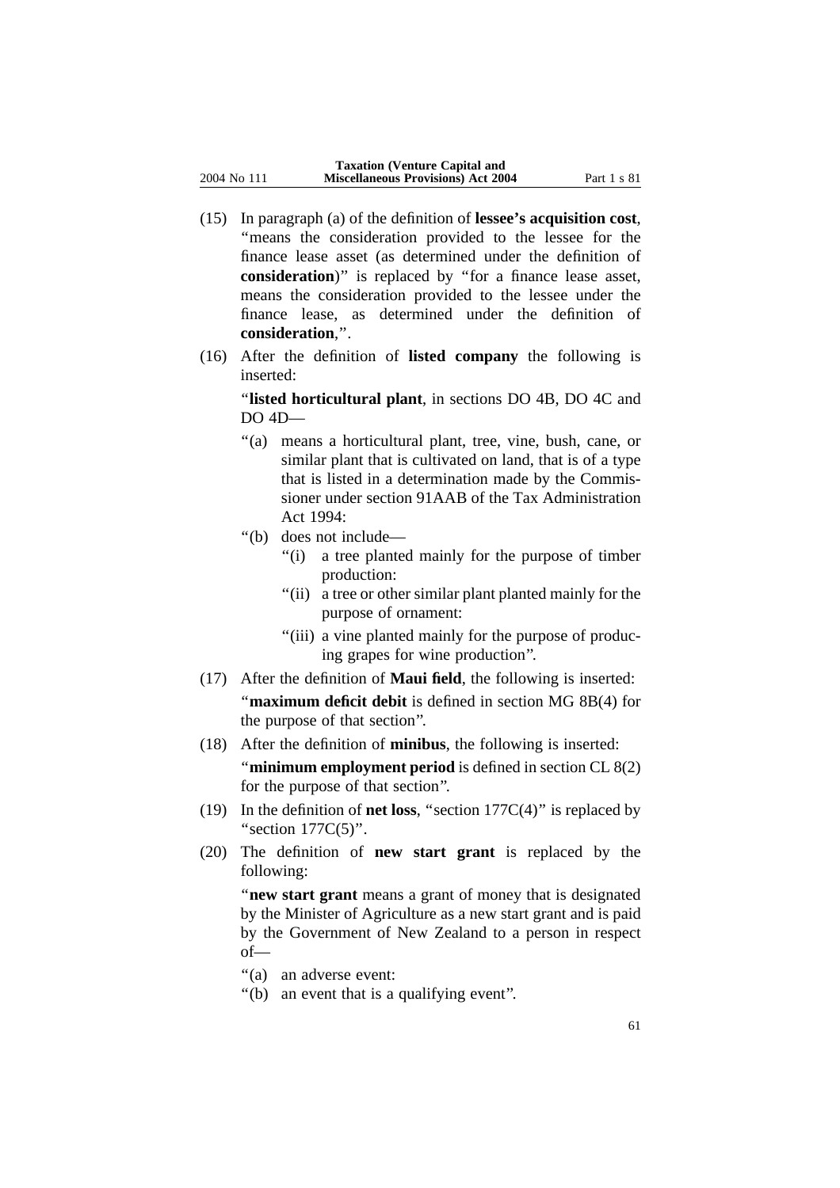- (15) In paragraph (a) of the definition of **lessee's acquisition cost**, ''means the consideration provided to the lessee for the finance lease asset (as determined under the definition of **consideration**)'' is replaced by ''for a finance lease asset, means the consideration provided to the lessee under the finance lease, as determined under the definition of **consideration**,''.
- (16) After the definition of **listed company** the following is inserted:

''**listed horticultural plant**, in sections DO 4B, DO 4C and DO 4D—

- ''(a) means a horticultural plant, tree, vine, bush, cane, or similar plant that is cultivated on land, that is of a type that is listed in a determination made by the Commissioner under section 91AAB of the Tax Administration Act 1994:
- ''(b) does not include—
	- "(i) a tree planted mainly for the purpose of timber production:
	- "(ii) a tree or other similar plant planted mainly for the purpose of ornament:
	- "(iii) a vine planted mainly for the purpose of producing grapes for wine production''.
- (17) After the definition of **Maui field**, the following is inserted: "maximum deficit debit is defined in section MG 8B(4) for the purpose of that section''.
- (18) After the definition of **minibus**, the following is inserted:

''**minimum employment period** is defined in section CL 8(2) for the purpose of that section''.

- (19) In the definition of **net loss**, ''section 177C(4)'' is replaced by "section  $177C(5)$ ".
- (20) The definition of **new start grant** is replaced by the following:

"**new start grant** means a grant of money that is designated by the Minister of Agriculture as a new start grant and is paid by the Government of New Zealand to a person in respect of—

- "(a) an adverse event:
- "(b) an event that is a qualifying event".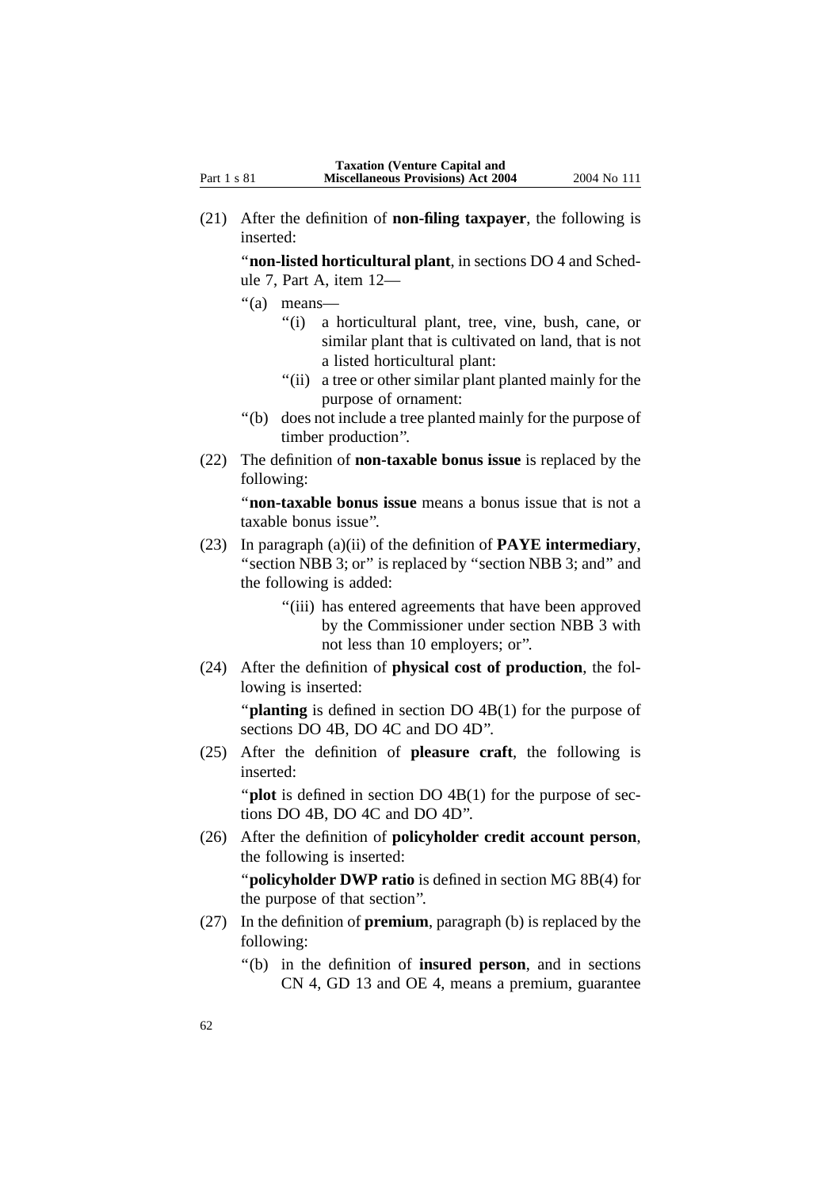(21) After the definition of **non-filing taxpayer**, the following is inserted:

''**non-listed horticultural plant**, in sections DO 4 and Schedule 7, Part A, item 12—

- ''(a) means—
	- ''(i) a horticultural plant, tree, vine, bush, cane, or similar plant that is cultivated on land, that is not a listed horticultural plant:
	- "(ii) a tree or other similar plant planted mainly for the purpose of ornament:
- ''(b) does not include a tree planted mainly for the purpose of timber production''.
- (22) The definition of **non-taxable bonus issue** is replaced by the following:

''**non-taxable bonus issue** means a bonus issue that is not a taxable bonus issue''.

- (23) In paragraph (a)(ii) of the definition of **PAYE intermediary**, "section NBB 3; or" is replaced by "section NBB 3; and" and the following is added:
	- "(iii) has entered agreements that have been approved by the Commissioner under section NBB 3 with not less than 10 employers; or''.
- (24) After the definition of **physical cost of production**, the following is inserted:

"**planting** is defined in section DO 4B(1) for the purpose of sections DO 4B, DO 4C and DO 4D''.

(25) After the definition of **pleasure craft**, the following is inserted:

"**plot** is defined in section DO 4B(1) for the purpose of sections DO 4B, DO 4C and DO 4D''.

(26) After the definition of **policyholder credit account person**, the following is inserted:

''**policyholder DWP ratio** is defined in section MG 8B(4) for the purpose of that section''.

- (27) In the definition of **premium**, paragraph (b) is replaced by the following:
	- ''(b) in the definition of **insured person**, and in sections CN 4, GD 13 and OE 4, means a premium, guarantee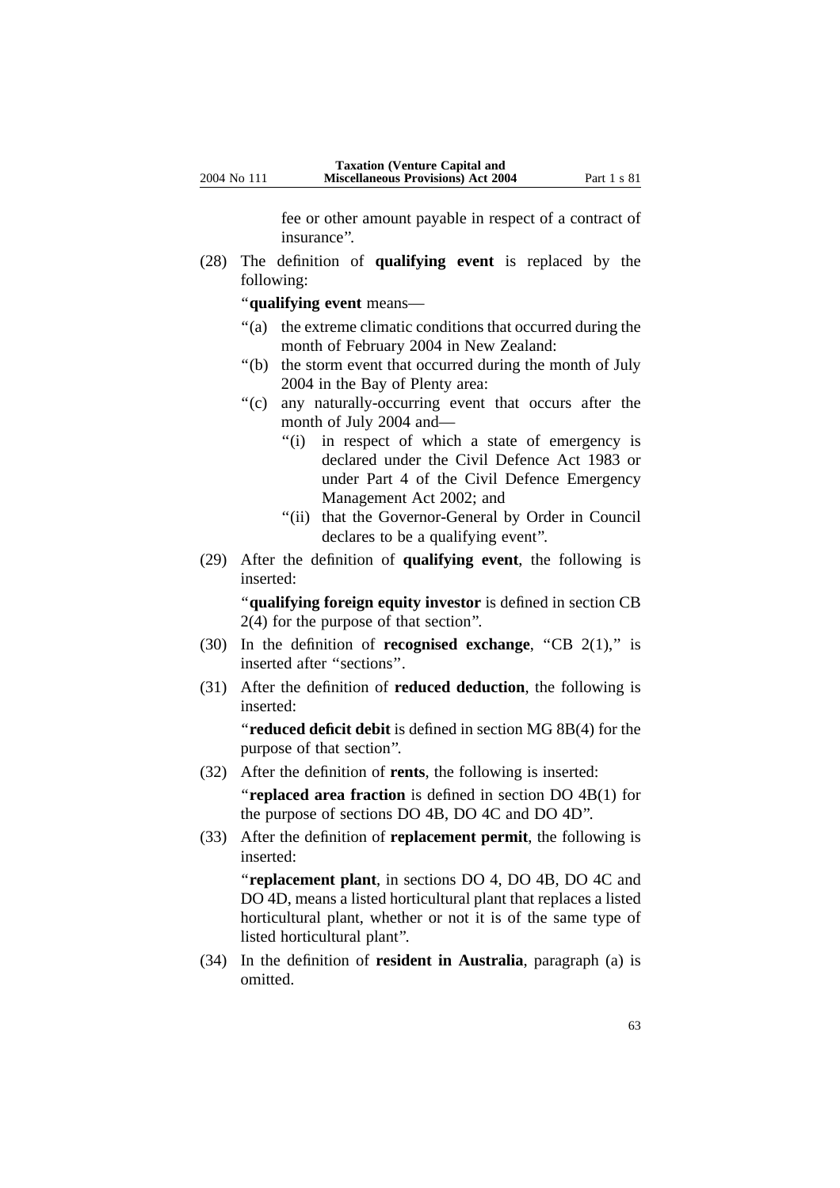fee or other amount payable in respect of a contract of insurance''.

(28) The definition of **qualifying event** is replaced by the following:

''**qualifying event** means—

- "(a) the extreme climatic conditions that occurred during the month of February 2004 in New Zealand:
- ''(b) the storm event that occurred during the month of July 2004 in the Bay of Plenty area:
- "(c) any naturally-occurring event that occurs after the month of July 2004 and—
	- "(i) in respect of which a state of emergency is declared under the Civil Defence Act 1983 or under Part 4 of the Civil Defence Emergency Management Act 2002; and
	- "(ii) that the Governor-General by Order in Council declares to be a qualifying event''.
- (29) After the definition of **qualifying event**, the following is inserted:

''**qualifying foreign equity investor** is defined in section CB 2(4) for the purpose of that section''.

- (30) In the definition of **recognised exchange**, "CB 2(1)," is inserted after ''sections''.
- (31) After the definition of **reduced deduction**, the following is inserted:

''**reduced deficit debit** is defined in section MG 8B(4) for the purpose of that section''.

(32) After the definition of **rents**, the following is inserted:

''**replaced area fraction** is defined in section DO 4B(1) for the purpose of sections DO 4B, DO 4C and DO 4D''.

(33) After the definition of **replacement permit**, the following is inserted:

''**replacement plant**, in sections DO 4, DO 4B, DO 4C and DO 4D, means a listed horticultural plant that replaces a listed horticultural plant, whether or not it is of the same type of listed horticultural plant''.

(34) In the definition of **resident in Australia**, paragraph (a) is omitted.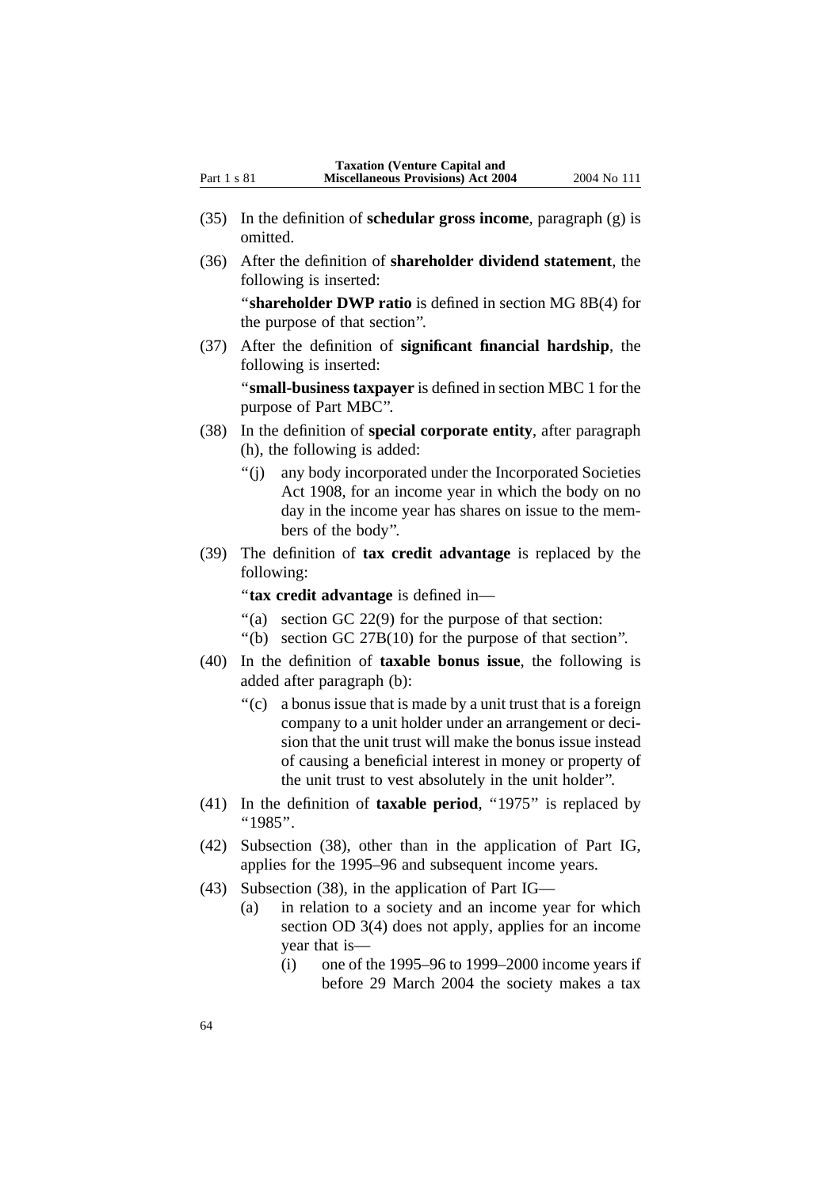- (35) In the definition of **schedular gross income**, paragraph (g) is omitted.
- (36) After the definition of **shareholder dividend statement**, the following is inserted:

''**shareholder DWP ratio** is defined in section MG 8B(4) for the purpose of that section''.

(37) After the definition of **significant financial hardship**, the following is inserted:

''**small-business taxpayer** is defined in section MBC 1 for the purpose of Part MBC''.

- (38) In the definition of **special corporate entity**, after paragraph (h), the following is added:
	- ''(j) any body incorporated under the Incorporated Societies Act 1908, for an income year in which the body on no day in the income year has shares on issue to the members of the body''.
- (39) The definition of **tax credit advantage** is replaced by the following:

''**tax credit advantage** is defined in—

- ''(a) section GC 22(9) for the purpose of that section:
- ''(b) section GC 27B(10) for the purpose of that section''.
- (40) In the definition of **taxable bonus issue**, the following is added after paragraph (b):
	- ''(c) a bonus issue that is made by a unit trust that is a foreign company to a unit holder under an arrangement or decision that the unit trust will make the bonus issue instead of causing a beneficial interest in money or property of the unit trust to vest absolutely in the unit holder''.
- (41) In the definition of **taxable period**, ''1975'' is replaced by ''1985''.
- (42) Subsection (38), other than in the application of Part IG, applies for the 1995–96 and subsequent income years.
- (43) Subsection (38), in the application of Part IG—
	- (a) in relation to a society and an income year for which section OD 3(4) does not apply, applies for an income year that is—
		- $(i)$  one of the 1995–96 to 1999–2000 income years if before 29 March 2004 the society makes a tax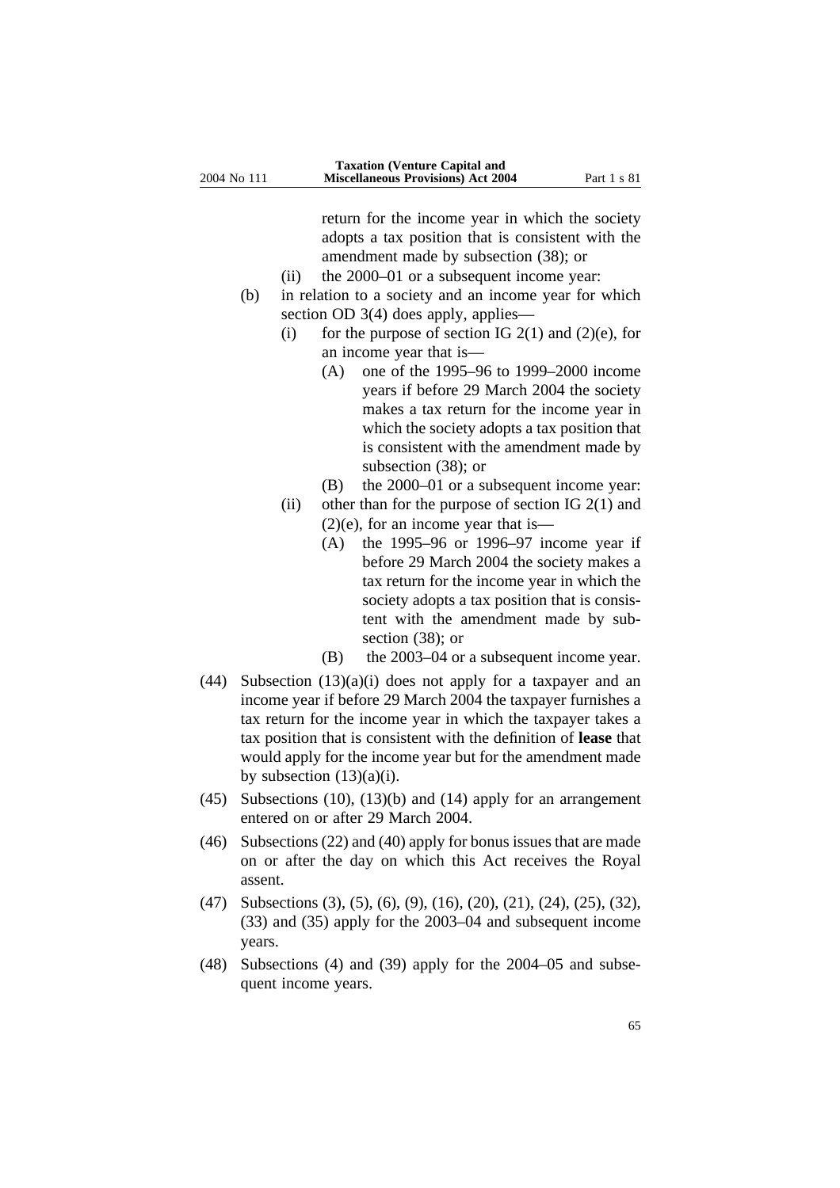return for the income year in which the society adopts a tax position that is consistent with the amendment made by subsection (38); or

- (ii) the 2000–01 or a subsequent income year:
- (b) in relation to a society and an income year for which section OD 3(4) does apply, applies—
	- (i) for the purpose of section IG  $2(1)$  and  $(2)(e)$ , for an income year that is—
		- (A) one of the 1995–96 to 1999–2000 income years if before 29 March 2004 the society makes a tax return for the income year in which the society adopts a tax position that is consistent with the amendment made by subsection (38); or
		- (B) the 2000–01 or a subsequent income year:
	- (ii) other than for the purpose of section IG  $2(1)$  and  $(2)(e)$ , for an income year that is—
		- (A) the 1995–96 or 1996–97 income year if before 29 March 2004 the society makes a tax return for the income year in which the society adopts a tax position that is consistent with the amendment made by subsection (38); or
		- (B) the 2003–04 or a subsequent income year.
- (44) Subsection  $(13)(a)(i)$  does not apply for a taxpayer and an income year if before 29 March 2004 the taxpayer furnishes a tax return for the income year in which the taxpayer takes a tax position that is consistent with the definition of **lease** that would apply for the income year but for the amendment made by subsection  $(13)(a)(i)$ .
- (45) Subsections (10), (13)(b) and (14) apply for an arrangement entered on or after 29 March 2004.
- (46) Subsections (22) and (40) apply for bonus issues that are made on or after the day on which this Act receives the Royal assent.
- (47) Subsections (3), (5), (6), (9), (16), (20), (21), (24), (25), (32), (33) and (35) apply for the 2003–04 and subsequent income years.
- (48) Subsections (4) and (39) apply for the 2004–05 and subsequent income years.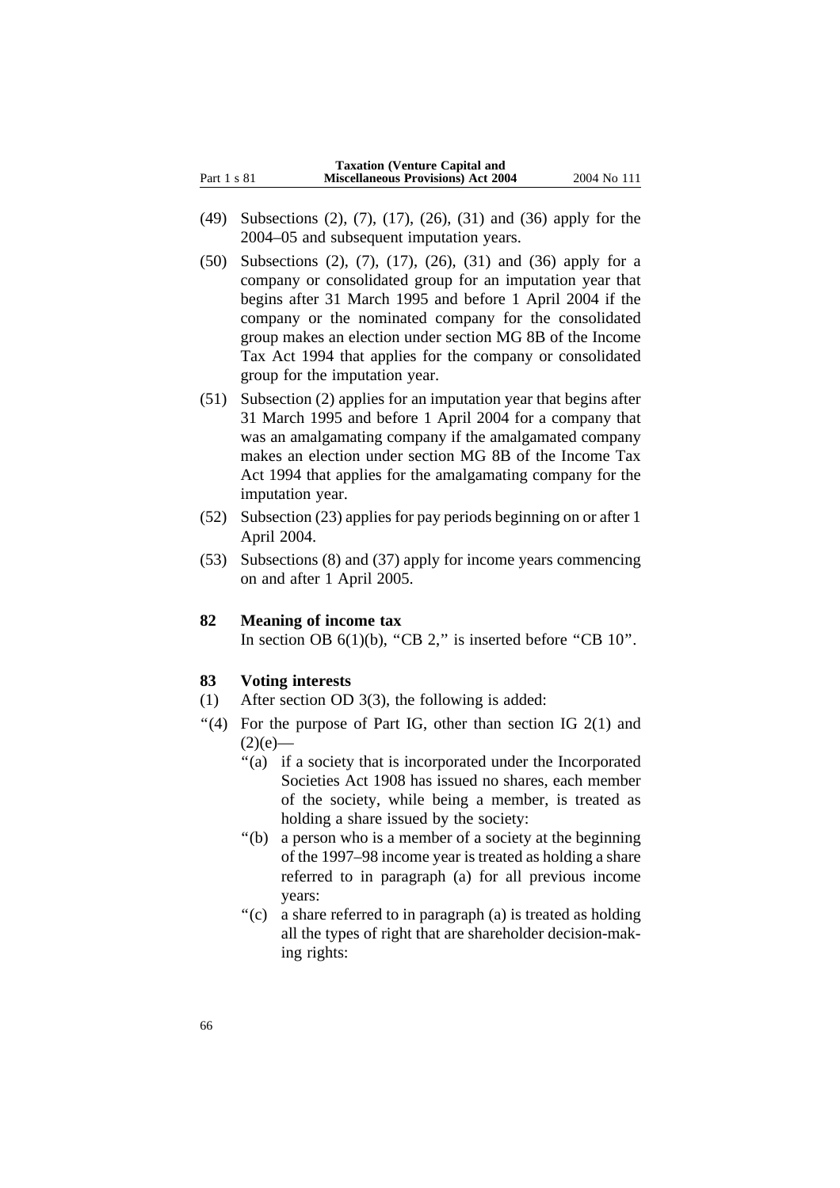|             | <b>Taxation (Venture Capital and</b>      |             |
|-------------|-------------------------------------------|-------------|
| Part 1 s 81 | <b>Miscellaneous Provisions) Act 2004</b> | 2004 No 111 |

- (49) Subsections (2), (7), (17), (26), (31) and (36) apply for the 2004–05 and subsequent imputation years.
- (50) Subsections (2), (7), (17), (26), (31) and (36) apply for a company or consolidated group for an imputation year that begins after 31 March 1995 and before 1 April 2004 if the company or the nominated company for the consolidated group makes an election under section MG 8B of the Income Tax Act 1994 that applies for the company or consolidated group for the imputation year.
- (51) Subsection (2) applies for an imputation year that begins after 31 March 1995 and before 1 April 2004 for a company that was an amalgamating company if the amalgamated company makes an election under section MG 8B of the Income Tax Act 1994 that applies for the amalgamating company for the imputation year.
- (52) Subsection (23) applies for pay periods beginning on or after 1 April 2004.
- (53) Subsections (8) and (37) apply for income years commencing on and after 1 April 2005.

### **82 Meaning of income tax**

In section OB  $6(1)(b)$ , "CB 2," is inserted before "CB  $10$ ".

### **83 Voting interests**

- (1) After section OD 3(3), the following is added:
- "(4) For the purpose of Part IG, other than section IG  $2(1)$  and  $(2)(e)$ —
	- ''(a) if a society that is incorporated under the Incorporated Societies Act 1908 has issued no shares, each member of the society, while being a member, is treated as holding a share issued by the society:
	- ''(b) a person who is a member of a society at the beginning of the 1997–98 income year is treated as holding a share referred to in paragraph (a) for all previous income years:
	- "(c) a share referred to in paragraph (a) is treated as holding all the types of right that are shareholder decision-making rights: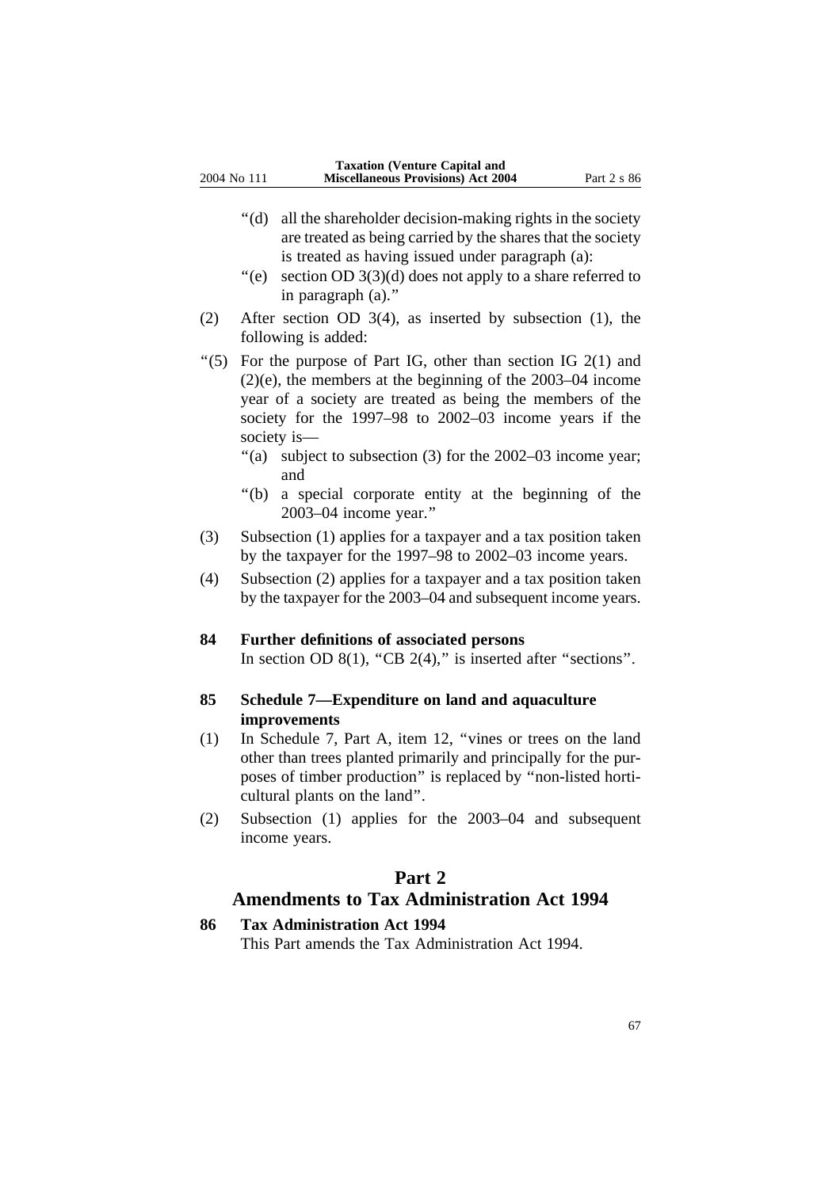- ''(d) all the shareholder decision-making rights in the society are treated as being carried by the shares that the society is treated as having issued under paragraph (a):
- $\degree$ (e) section OD 3(3)(d) does not apply to a share referred to in paragraph (a).''
- (2) After section OD 3(4), as inserted by subsection (1), the following is added:
- "(5) For the purpose of Part IG, other than section IG  $2(1)$  and (2)(e), the members at the beginning of the 2003–04 income year of a society are treated as being the members of the society for the 1997–98 to 2002–03 income years if the society is—
	- "(a) subject to subsection (3) for the 2002–03 income year; and
	- ''(b) a special corporate entity at the beginning of the 2003–04 income year.''
- (3) Subsection (1) applies for a taxpayer and a tax position taken by the taxpayer for the 1997–98 to 2002–03 income years.
- (4) Subsection (2) applies for a taxpayer and a tax position taken by the taxpayer for the 2003–04 and subsequent income years.

### **84 Further definitions of associated persons**

In section OD  $8(1)$ , "CB  $2(4)$ ," is inserted after "sections".

### **85 Schedule 7—Expenditure on land and aquaculture improvements**

- (1) In Schedule 7, Part A, item 12, ''vines or trees on the land other than trees planted primarily and principally for the purposes of timber production'' is replaced by ''non-listed horticultural plants on the land''.
- (2) Subsection (1) applies for the 2003–04 and subsequent income years.

### **Part 2**

### **Amendments to Tax Administration Act 1994**

#### **86 Tax Administration Act 1994**

This Part amends the Tax Administration Act 1994.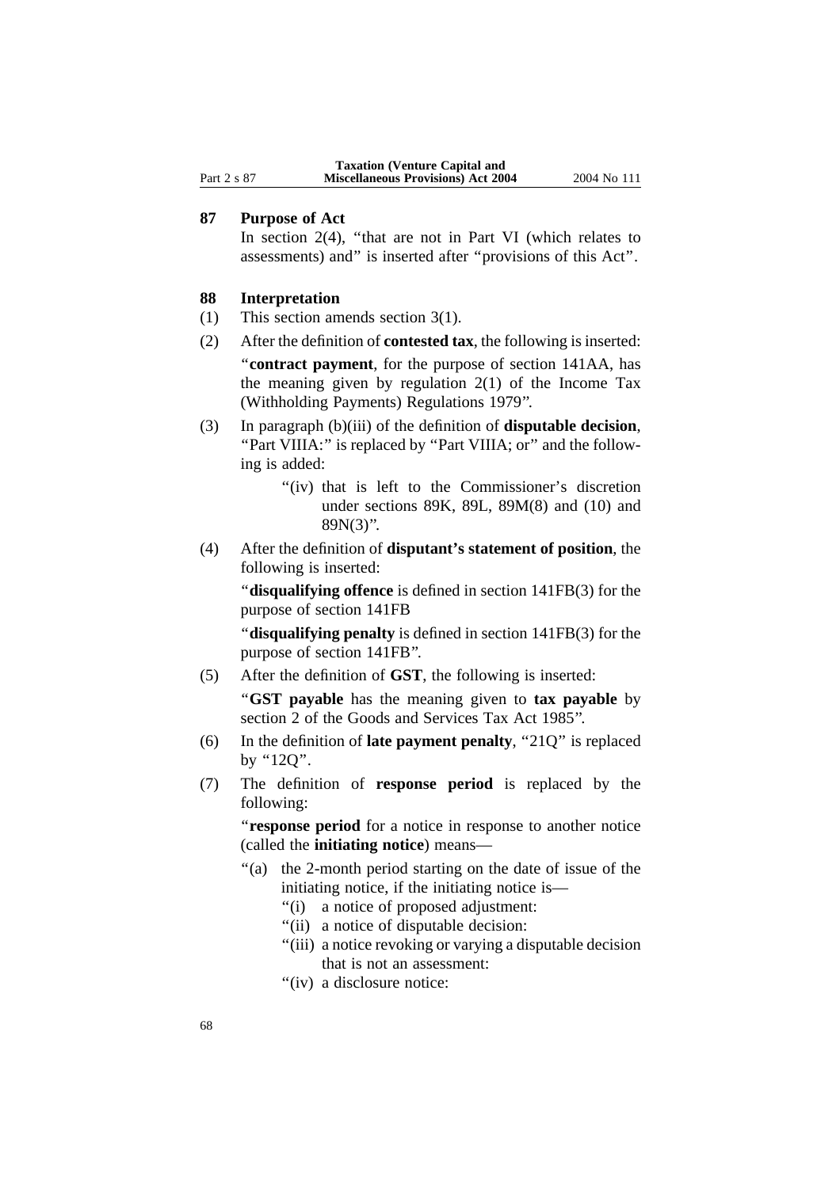### **87 Purpose of Act**

In section  $2(4)$ , "that are not in Part VI (which relates to assessments) and'' is inserted after ''provisions of this Act''.

### **88 Interpretation**

- (1) This section amends section 3(1).
- (2) After the definition of **contested tax**, the following is inserted: ''**contract payment**, for the purpose of section 141AA, has the meaning given by regulation  $2(1)$  of the Income Tax (Withholding Payments) Regulations 1979''.
- (3) In paragraph (b)(iii) of the definition of **disputable decision**, "Part VIIIA:" is replaced by "Part VIIIA; or" and the following is added:
	- "(iv) that is left to the Commissioner's discretion under sections 89K, 89L, 89M(8) and (10) and 89N(3)''.
- (4) After the definition of **disputant's statement of position**, the following is inserted:

''**disqualifying offence** is defined in section 141FB(3) for the purpose of section 141FB

''**disqualifying penalty** is defined in section 141FB(3) for the purpose of section 141FB''.

(5) After the definition of **GST**, the following is inserted:

''**GST payable** has the meaning given to **tax payable** by section 2 of the Goods and Services Tax Act 1985''.

- (6) In the definition of **late payment penalty**, ''21Q'' is replaced by "12Q".
- (7) The definition of **response period** is replaced by the following:

''**response period** for a notice in response to another notice (called the **initiating notice**) means—

- ''(a) the 2-month period starting on the date of issue of the initiating notice, if the initiating notice is—
	- ''(i) a notice of proposed adjustment:
	- ''(ii) a notice of disputable decision:
	- ''(iii) a notice revoking or varying a disputable decision that is not an assessment:
	- "(iv) a disclosure notice: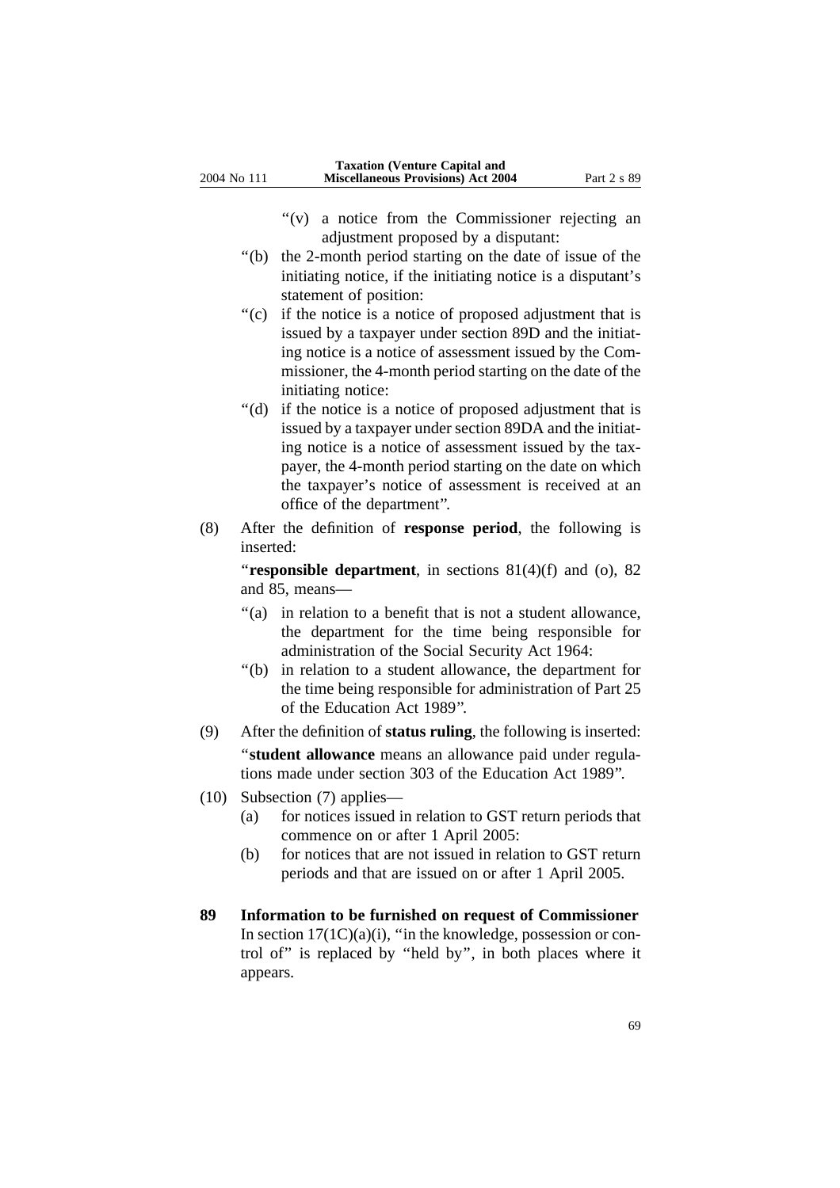- ''(v) a notice from the Commissioner rejecting an adjustment proposed by a disputant:
- ''(b) the 2-month period starting on the date of issue of the initiating notice, if the initiating notice is a disputant's statement of position:
- "(c) if the notice is a notice of proposed adjustment that is issued by a taxpayer under section 89D and the initiating notice is a notice of assessment issued by the Commissioner, the 4-month period starting on the date of the initiating notice:
- ''(d) if the notice is a notice of proposed adjustment that is issued by a taxpayer under section 89DA and the initiating notice is a notice of assessment issued by the taxpayer, the 4-month period starting on the date on which the taxpayer's notice of assessment is received at an office of the department''.
- (8) After the definition of **response period**, the following is inserted:

"**responsible department**, in sections 81(4)(f) and (o), 82 and 85, means—

- "(a) in relation to a benefit that is not a student allowance, the department for the time being responsible for administration of the Social Security Act 1964:
- ''(b) in relation to a student allowance, the department for the time being responsible for administration of Part 25 of the Education Act 1989''.
- (9) After the definition of **status ruling**, the following is inserted: ''**student allowance** means an allowance paid under regulations made under section 303 of the Education Act 1989''.
- (10) Subsection (7) applies—
	- (a) for notices issued in relation to GST return periods that commence on or after 1 April 2005:
	- (b) for notices that are not issued in relation to GST return periods and that are issued on or after 1 April 2005.
- **89 Information to be furnished on request of Commissioner** In section  $17(1C)(a)(i)$ , "in the knowledge, possession or control of'' is replaced by ''held by'', in both places where it appears.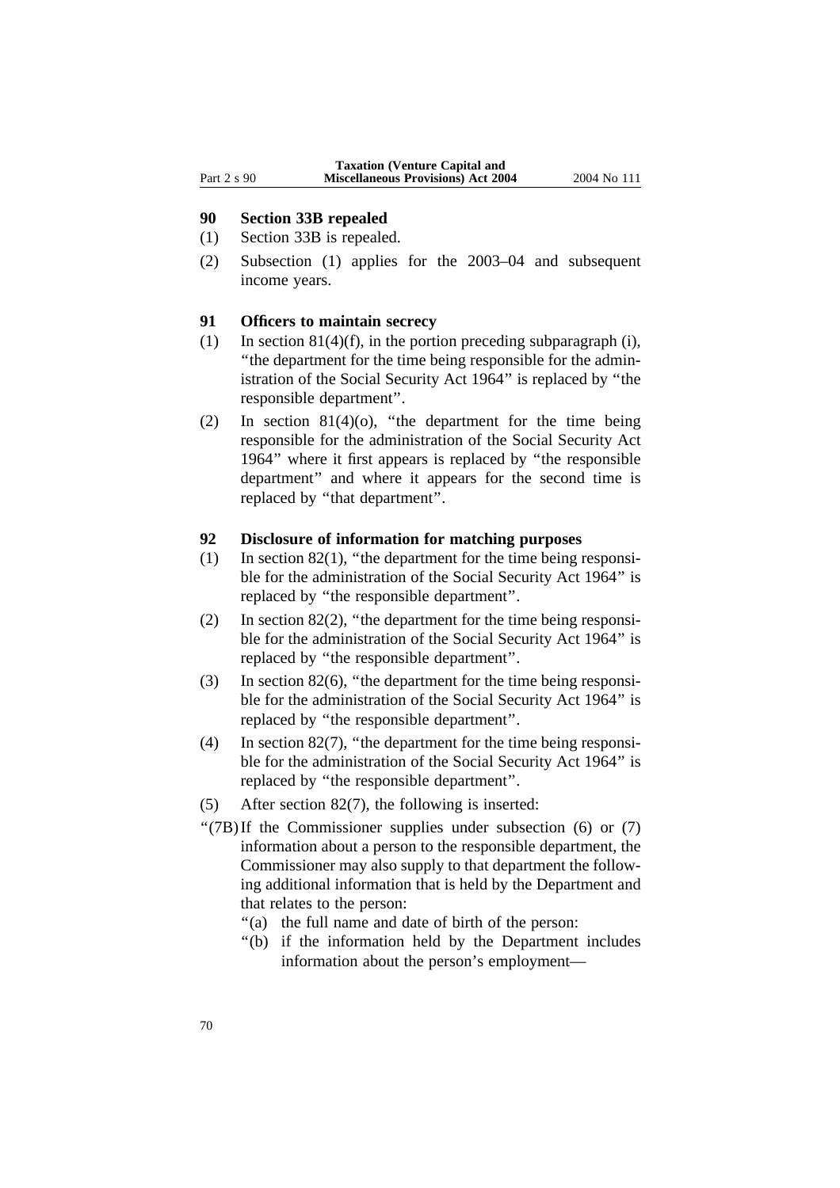#### **90 Section 33B repealed**

- (1) Section 33B is repealed.
- (2) Subsection (1) applies for the 2003–04 and subsequent income years.

### **91 Officers to maintain secrecy**

- (1) In section  $81(4)(f)$ , in the portion preceding subparagraph (i), ''the department for the time being responsible for the administration of the Social Security Act 1964'' is replaced by ''the responsible department''.
- (2) In section  $81(4)(o)$ , "the department for the time being responsible for the administration of the Social Security Act 1964'' where it first appears is replaced by ''the responsible department'' and where it appears for the second time is replaced by ''that department''.

#### **92 Disclosure of information for matching purposes**

- (1) In section 82(1), ''the department for the time being responsible for the administration of the Social Security Act 1964'' is replaced by ''the responsible department''.
- (2) In section 82(2), ''the department for the time being responsible for the administration of the Social Security Act 1964'' is replaced by ''the responsible department''.
- (3) In section 82(6), ''the department for the time being responsible for the administration of the Social Security Act 1964'' is replaced by ''the responsible department''.
- (4) In section 82(7), ''the department for the time being responsible for the administration of the Social Security Act 1964'' is replaced by ''the responsible department''.
- (5) After section 82(7), the following is inserted:
- " $(7B)$ If the Commissioner supplies under subsection (6) or  $(7)$ information about a person to the responsible department, the Commissioner may also supply to that department the following additional information that is held by the Department and that relates to the person:
	- ''(a) the full name and date of birth of the person:
	- "(b) if the information held by the Department includes information about the person's employment—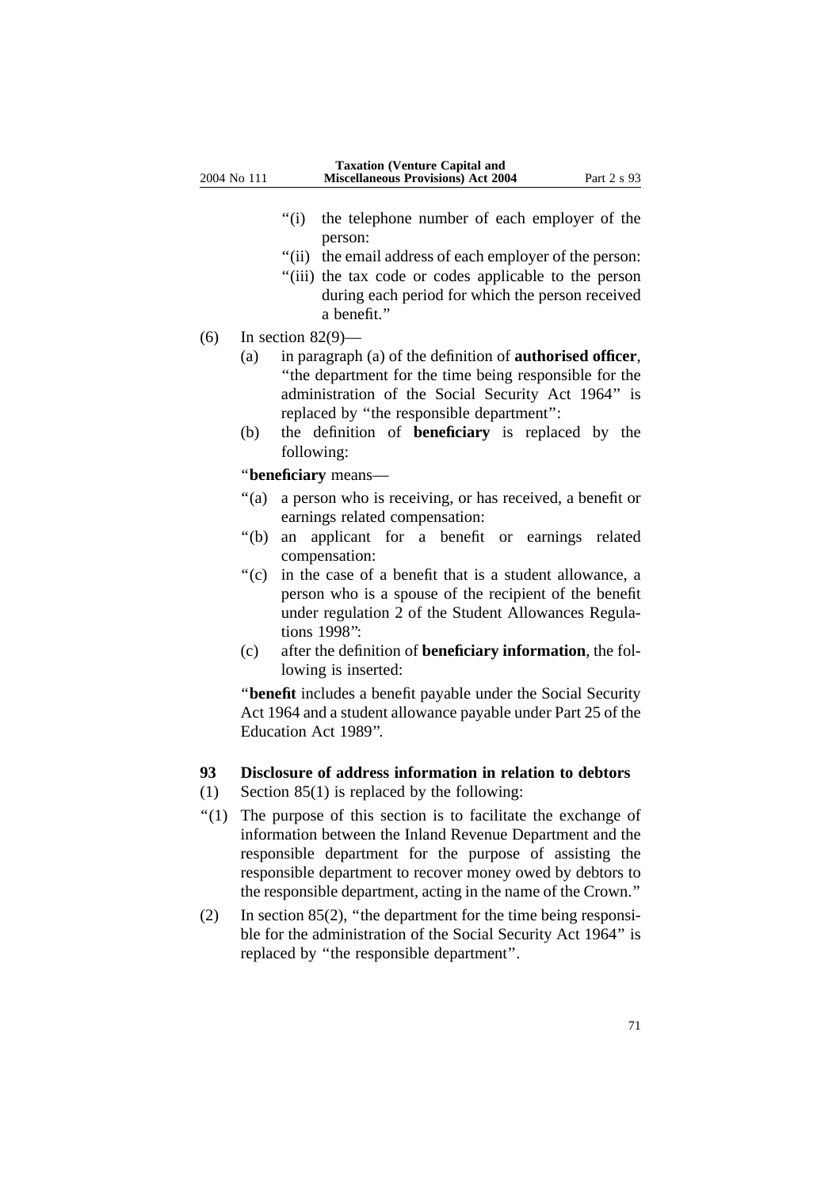- "(i) the telephone number of each employer of the person:
- "(ii) the email address of each employer of the person:
- ''(iii) the tax code or codes applicable to the person during each period for which the person received a benefit.''
- (6) In section 82(9)—
	- (a) in paragraph (a) of the definition of **authorised officer**, ''the department for the time being responsible for the administration of the Social Security Act 1964'' is replaced by ''the responsible department'':
	- (b) the definition of **beneficiary** is replaced by the following:

''**beneficiary** means—

- "(a) a person who is receiving, or has received, a benefit or earnings related compensation:
- ''(b) an applicant for a benefit or earnings related compensation:
- ''(c) in the case of a benefit that is a student allowance, a person who is a spouse of the recipient of the benefit under regulation 2 of the Student Allowances Regulations 1998'':
- (c) after the definition of **beneficiary information**, the following is inserted:

''**benefit** includes a benefit payable under the Social Security Act 1964 and a student allowance payable under Part 25 of the Education Act 1989''.

### **93 Disclosure of address information in relation to debtors**

- (1) Section 85(1) is replaced by the following:
- ''(1) The purpose of this section is to facilitate the exchange of information between the Inland Revenue Department and the responsible department for the purpose of assisting the responsible department to recover money owed by debtors to the responsible department, acting in the name of the Crown.''
- (2) In section 85(2), ''the department for the time being responsible for the administration of the Social Security Act 1964'' is replaced by ''the responsible department''.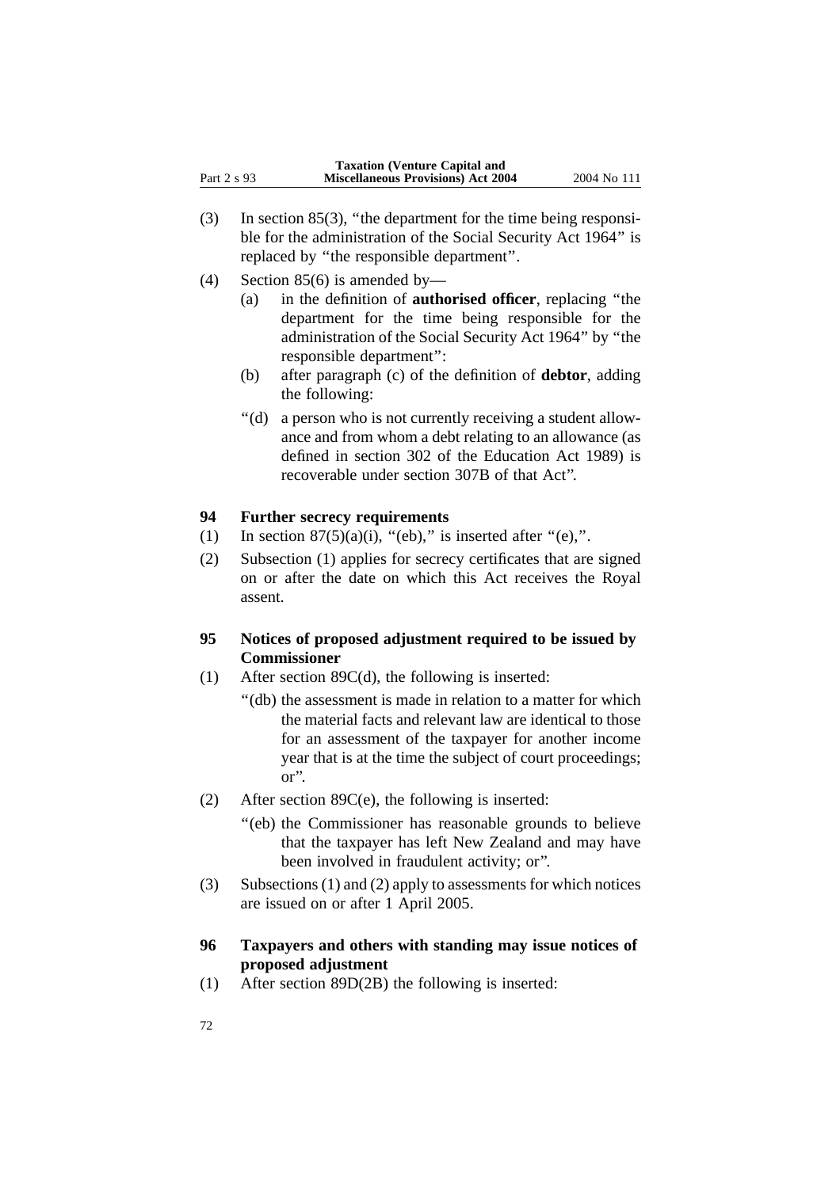|             | <b>Taxation (Venture Capital and</b>      |             |
|-------------|-------------------------------------------|-------------|
| Part 2 s 93 | <b>Miscellaneous Provisions) Act 2004</b> | 2004 No 111 |

- (3) In section 85(3), ''the department for the time being responsible for the administration of the Social Security Act 1964'' is replaced by ''the responsible department''.
- (4) Section 85(6) is amended by—
	- (a) in the definition of **authorised officer**, replacing ''the department for the time being responsible for the administration of the Social Security Act 1964'' by ''the responsible department'':
	- (b) after paragraph (c) of the definition of **debtor**, adding the following:
	- "(d) a person who is not currently receiving a student allowance and from whom a debt relating to an allowance (as defined in section 302 of the Education Act 1989) is recoverable under section 307B of that Act''.

### **94 Further secrecy requirements**

- (1) In section  $87(5)(a)(i)$ , "(eb)," is inserted after "(e),".
- (2) Subsection (1) applies for secrecy certificates that are signed on or after the date on which this Act receives the Royal assent.

### **95 Notices of proposed adjustment required to be issued by Commissioner**

- (1) After section 89C(d), the following is inserted:
	- ''(db) the assessment is made in relation to a matter for which the material facts and relevant law are identical to those for an assessment of the taxpayer for another income year that is at the time the subject of court proceedings; or''.
- (2) After section 89C(e), the following is inserted:
	- "(eb) the Commissioner has reasonable grounds to believe that the taxpayer has left New Zealand and may have been involved in fraudulent activity; or''.
- (3) Subsections (1) and (2) apply to assessments for which notices are issued on or after 1 April 2005.

### **96 Taxpayers and others with standing may issue notices of proposed adjustment**

(1) After section 89D(2B) the following is inserted: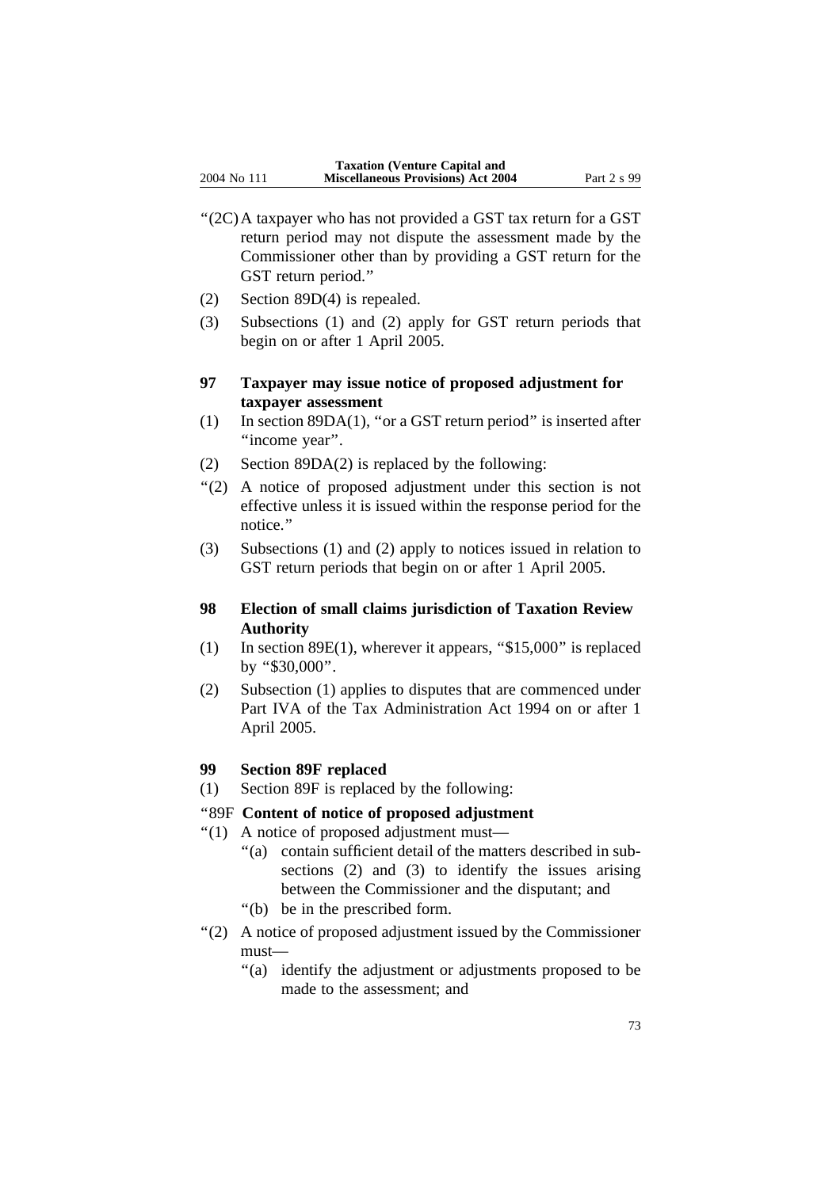- ''(2C)A taxpayer who has not provided a GST tax return for a GST return period may not dispute the assessment made by the Commissioner other than by providing a GST return for the GST return period.''
- (2) Section 89D(4) is repealed.
- (3) Subsections (1) and (2) apply for GST return periods that begin on or after 1 April 2005.

# **97 Taxpayer may issue notice of proposed adjustment for taxpayer assessment**

- (1) In section 89DA(1), ''or a GST return period'' is inserted after "income year".
- (2) Section 89DA(2) is replaced by the following:
- ''(2) A notice of proposed adjustment under this section is not effective unless it is issued within the response period for the notice.''
- (3) Subsections (1) and (2) apply to notices issued in relation to GST return periods that begin on or after 1 April 2005.

# **98 Election of small claims jurisdiction of Taxation Review Authority**

- (1) In section  $89E(1)$ , wherever it appears, "\$15,000" is replaced by ''\$30,000''.
- (2) Subsection (1) applies to disputes that are commenced under Part IVA of the Tax Administration Act 1994 on or after 1 April 2005.

# **99 Section 89F replaced**

(1) Section 89F is replaced by the following:

## ''89F **Content of notice of proposed adjustment**

- ''(1) A notice of proposed adjustment must—
	- ''(a) contain sufficient detail of the matters described in subsections (2) and (3) to identify the issues arising between the Commissioner and the disputant; and
	- ''(b) be in the prescribed form.
- ''(2) A notice of proposed adjustment issued by the Commissioner must—
	- ''(a) identify the adjustment or adjustments proposed to be made to the assessment; and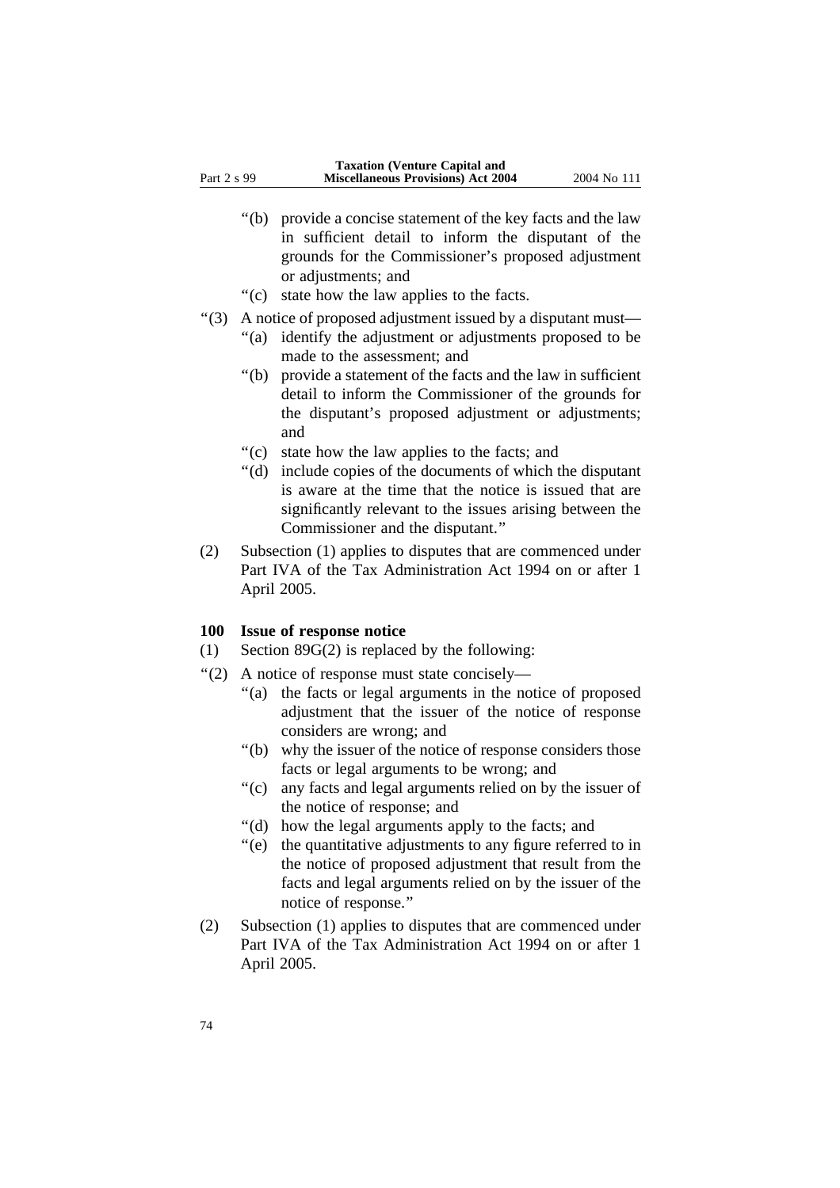- ''(b) provide a concise statement of the key facts and the law in sufficient detail to inform the disputant of the grounds for the Commissioner's proposed adjustment or adjustments; and
- ''(c) state how the law applies to the facts.
- ''(3) A notice of proposed adjustment issued by a disputant must—
	- ''(a) identify the adjustment or adjustments proposed to be made to the assessment; and
	- ''(b) provide a statement of the facts and the law in sufficient detail to inform the Commissioner of the grounds for the disputant's proposed adjustment or adjustments; and
	- ''(c) state how the law applies to the facts; and
	- ''(d) include copies of the documents of which the disputant is aware at the time that the notice is issued that are significantly relevant to the issues arising between the Commissioner and the disputant.''
- (2) Subsection (1) applies to disputes that are commenced under Part IVA of the Tax Administration Act 1994 on or after 1 April 2005.

## **100 Issue of response notice**

- (1) Section 89G(2) is replaced by the following:
- ''(2) A notice of response must state concisely—
	- ''(a) the facts or legal arguments in the notice of proposed adjustment that the issuer of the notice of response considers are wrong; and
	- ''(b) why the issuer of the notice of response considers those facts or legal arguments to be wrong; and
	- ''(c) any facts and legal arguments relied on by the issuer of the notice of response; and
	- ''(d) how the legal arguments apply to the facts; and
	- ''(e) the quantitative adjustments to any figure referred to in the notice of proposed adjustment that result from the facts and legal arguments relied on by the issuer of the notice of response.''
- (2) Subsection (1) applies to disputes that are commenced under Part IVA of the Tax Administration Act 1994 on or after 1 April 2005.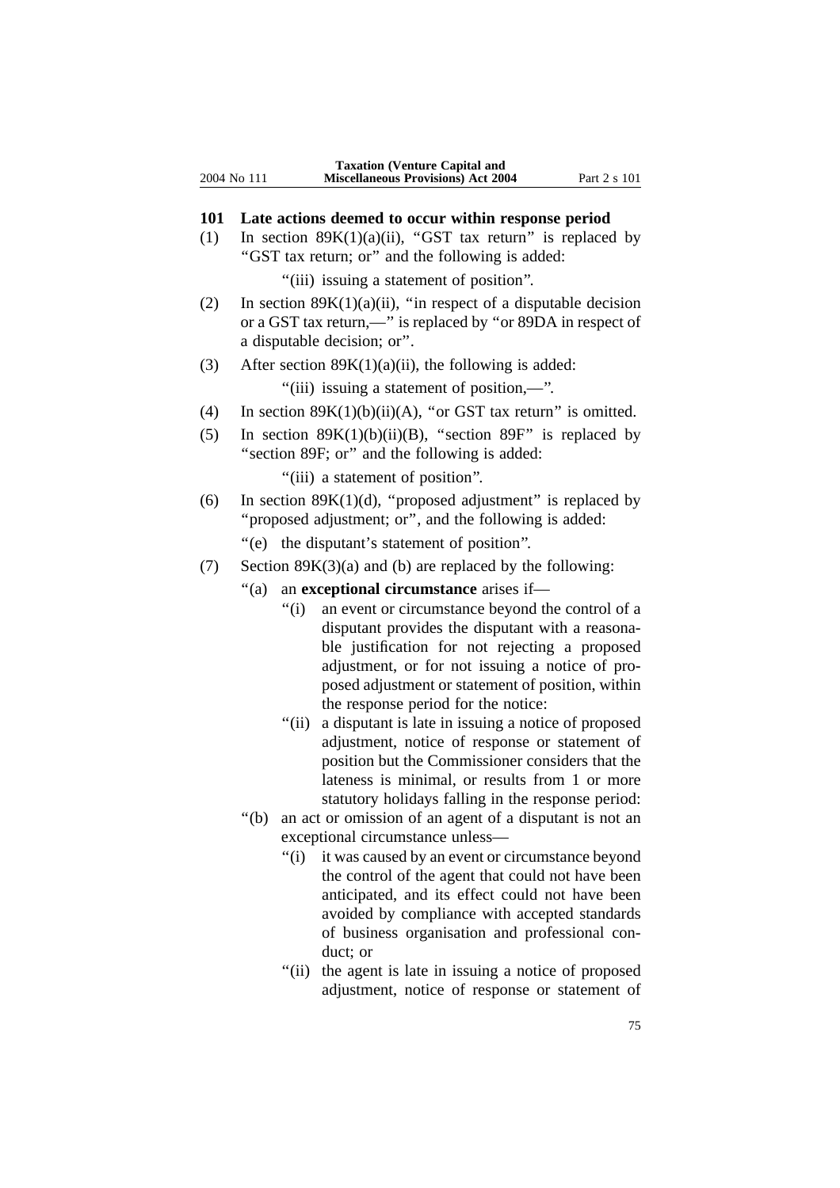#### **101 Late actions deemed to occur within response period**

(1) In section  $89K(1)(a)(ii)$ , "GST tax return" is replaced by ''GST tax return; or'' and the following is added:

"(iii) issuing a statement of position".

- (2) In section  $89K(1)(a)(ii)$ , "in respect of a disputable decision or a GST tax return,—'' is replaced by ''or 89DA in respect of a disputable decision; or''.
- (3) After section  $89K(1)(a)(ii)$ , the following is added:

''(iii) issuing a statement of position,—''.

- (4) In section  $89K(1)(b)(ii)(A)$ , "or GST tax return" is omitted.
- (5) In section  $89K(1)(b)(ii)(B)$ , "section  $89F$ " is replaced by "section 89F; or" and the following is added:

"(iii) a statement of position".

- (6) In section  $89K(1)(d)$ , "proposed adjustment" is replaced by "proposed adjustment; or", and the following is added: ''(e) the disputant's statement of position''.
- (7) Section  $89K(3)(a)$  and (b) are replaced by the following:
	- ''(a) an **exceptional circumstance** arises if—
		- "(i) an event or circumstance beyond the control of a disputant provides the disputant with a reasonable justification for not rejecting a proposed adjustment, or for not issuing a notice of proposed adjustment or statement of position, within the response period for the notice:
		- "(ii) a disputant is late in issuing a notice of proposed adjustment, notice of response or statement of position but the Commissioner considers that the lateness is minimal, or results from 1 or more statutory holidays falling in the response period:
	- ''(b) an act or omission of an agent of a disputant is not an exceptional circumstance unless—
		- "(i) it was caused by an event or circumstance beyond the control of the agent that could not have been anticipated, and its effect could not have been avoided by compliance with accepted standards of business organisation and professional conduct; or
		- "(ii) the agent is late in issuing a notice of proposed adjustment, notice of response or statement of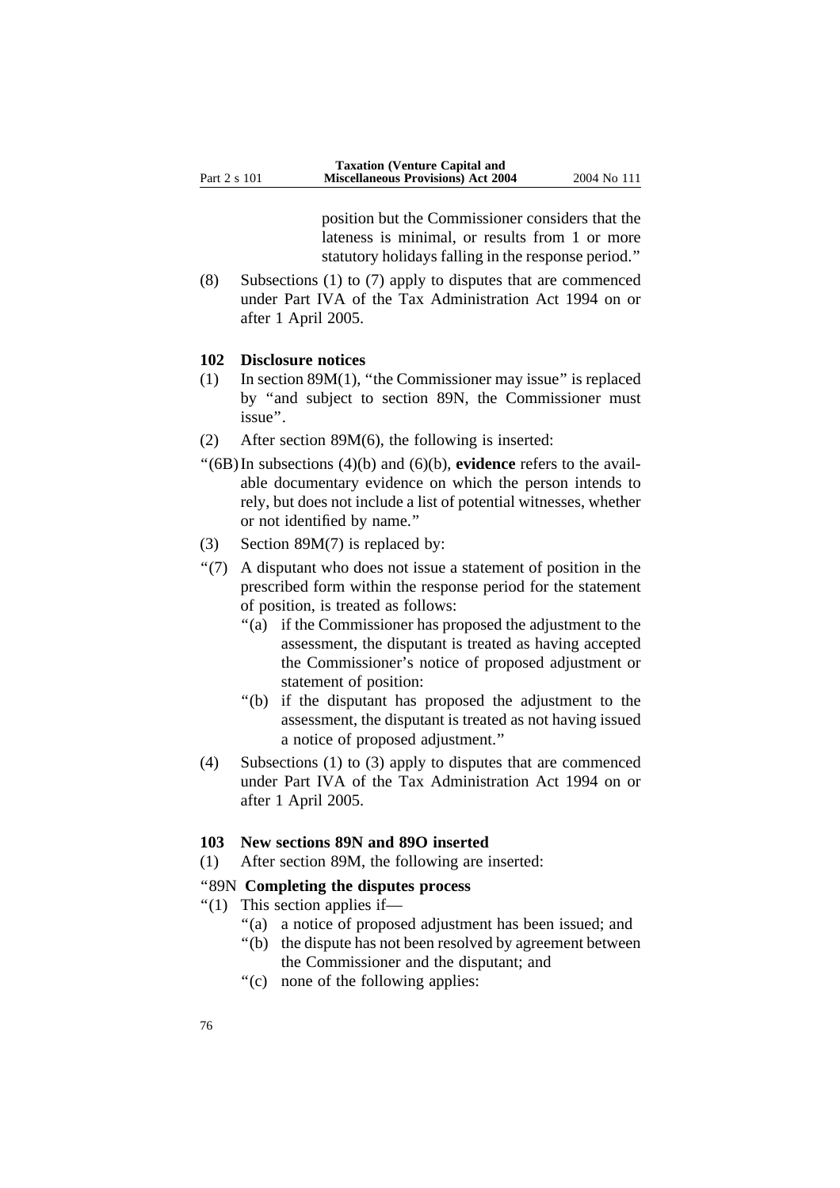position but the Commissioner considers that the lateness is minimal, or results from 1 or more statutory holidays falling in the response period.''

(8) Subsections (1) to (7) apply to disputes that are commenced under Part IVA of the Tax Administration Act 1994 on or after 1 April 2005.

#### **102 Disclosure notices**

- (1) In section 89M(1), ''the Commissioner may issue'' is replaced by ''and subject to section 89N, the Commissioner must issue''.
- (2) After section 89M(6), the following is inserted:
- ''(6B)In subsections (4)(b) and (6)(b), **evidence** refers to the available documentary evidence on which the person intends to rely, but does not include a list of potential witnesses, whether or not identified by name.''
- (3) Section 89M(7) is replaced by:
- ''(7) A disputant who does not issue a statement of position in the prescribed form within the response period for the statement of position, is treated as follows:
	- ''(a) if the Commissioner has proposed the adjustment to the assessment, the disputant is treated as having accepted the Commissioner's notice of proposed adjustment or statement of position:
	- ''(b) if the disputant has proposed the adjustment to the assessment, the disputant is treated as not having issued a notice of proposed adjustment.''
- (4) Subsections (1) to (3) apply to disputes that are commenced under Part IVA of the Tax Administration Act 1994 on or after 1 April 2005.

#### **103 New sections 89N and 89O inserted**

(1) After section 89M, the following are inserted:

## ''89N **Completing the disputes process**

- ''(1) This section applies if—
	- ''(a) a notice of proposed adjustment has been issued; and
	- ''(b) the dispute has not been resolved by agreement between the Commissioner and the disputant; and
	- "(c) none of the following applies: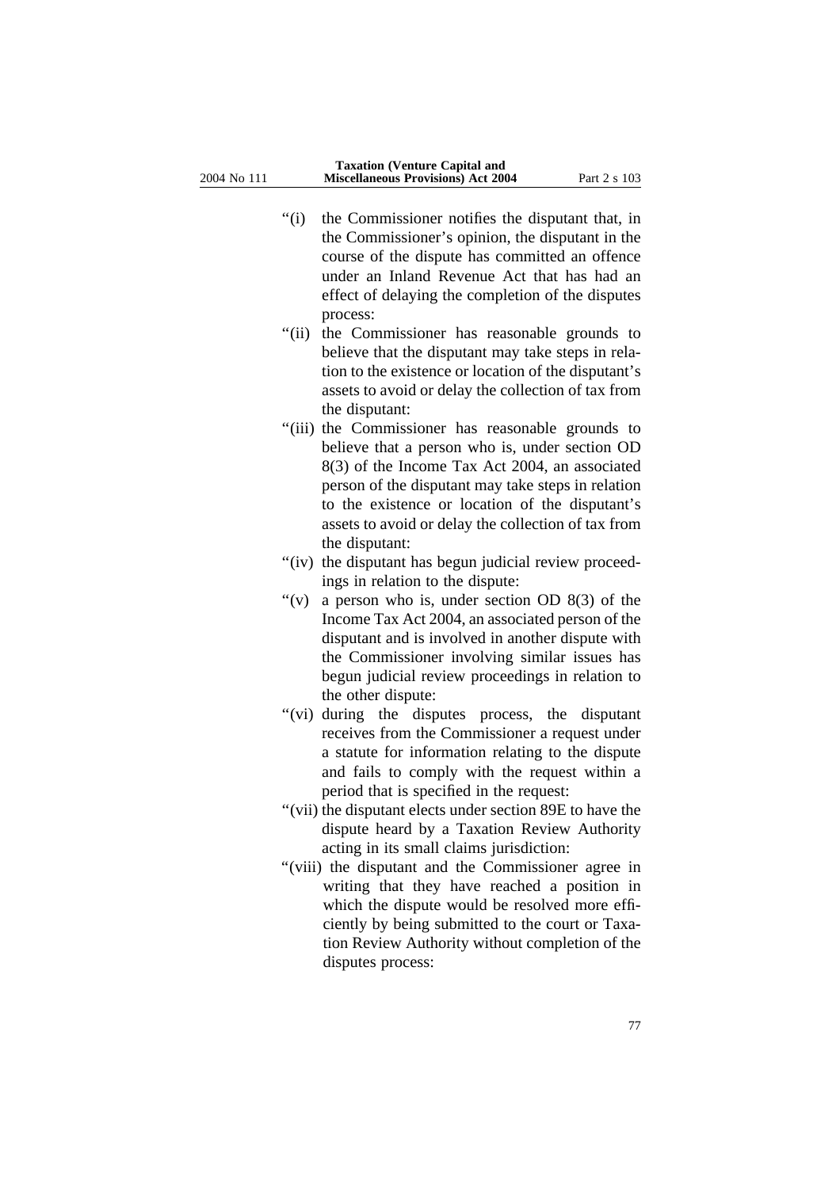- ''(i) the Commissioner notifies the disputant that, in the Commissioner's opinion, the disputant in the course of the dispute has committed an offence under an Inland Revenue Act that has had an effect of delaying the completion of the disputes process:
- "(ii) the Commissioner has reasonable grounds to believe that the disputant may take steps in relation to the existence or location of the disputant's assets to avoid or delay the collection of tax from the disputant:
- "(iii) the Commissioner has reasonable grounds to believe that a person who is, under section OD 8(3) of the Income Tax Act 2004, an associated person of the disputant may take steps in relation to the existence or location of the disputant's assets to avoid or delay the collection of tax from the disputant:
- "(iv) the disputant has begun judicial review proceedings in relation to the dispute:
- "(v) a person who is, under section OD  $8(3)$  of the Income Tax Act 2004, an associated person of the disputant and is involved in another dispute with the Commissioner involving similar issues has begun judicial review proceedings in relation to the other dispute:
- "(vi) during the disputes process, the disputant receives from the Commissioner a request under a statute for information relating to the dispute and fails to comply with the request within a period that is specified in the request:
- ''(vii) the disputant elects under section 89E to have the dispute heard by a Taxation Review Authority acting in its small claims jurisdiction:
- "(viii) the disputant and the Commissioner agree in writing that they have reached a position in which the dispute would be resolved more efficiently by being submitted to the court or Taxation Review Authority without completion of the disputes process: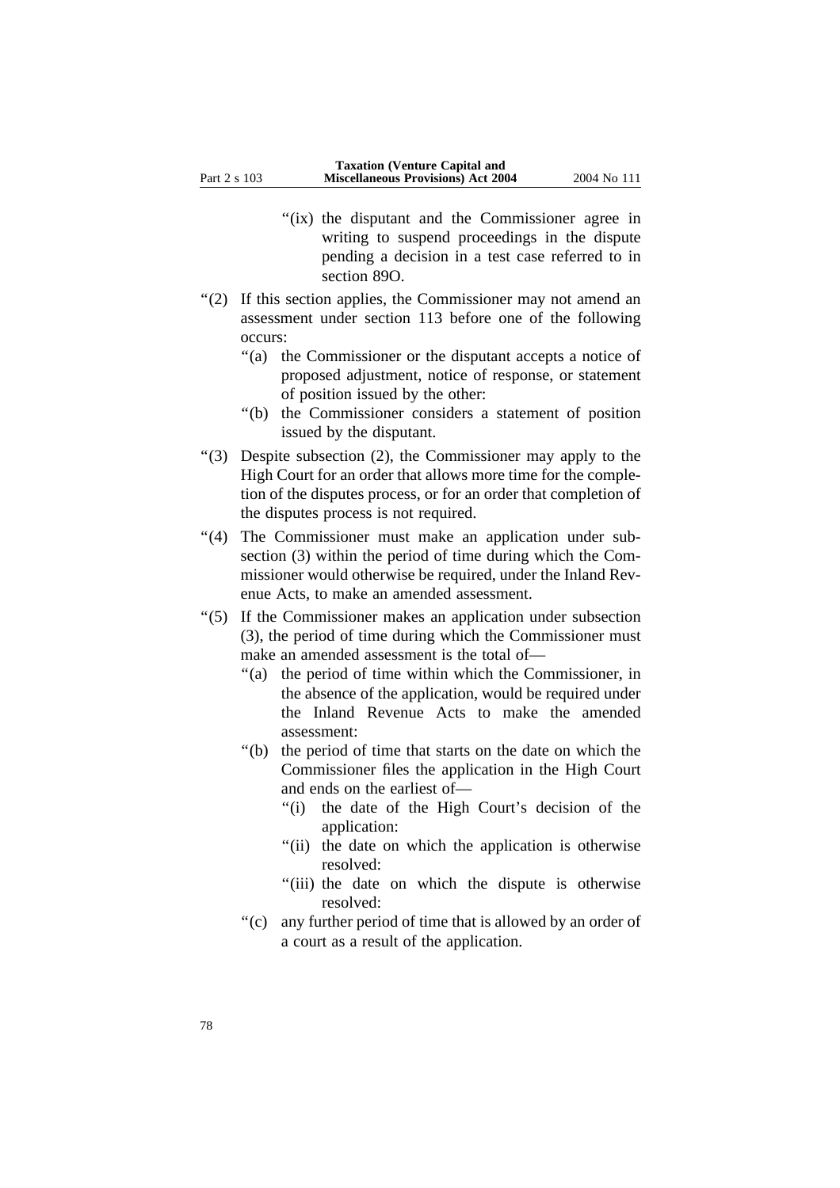- "(ix) the disputant and the Commissioner agree in writing to suspend proceedings in the dispute pending a decision in a test case referred to in section 89O.
- ''(2) If this section applies, the Commissioner may not amend an assessment under section 113 before one of the following occurs:
	- ''(a) the Commissioner or the disputant accepts a notice of proposed adjustment, notice of response, or statement of position issued by the other:
	- ''(b) the Commissioner considers a statement of position issued by the disputant.
- ''(3) Despite subsection (2), the Commissioner may apply to the High Court for an order that allows more time for the completion of the disputes process, or for an order that completion of the disputes process is not required.
- "(4) The Commissioner must make an application under subsection (3) within the period of time during which the Commissioner would otherwise be required, under the Inland Revenue Acts, to make an amended assessment.
- ''(5) If the Commissioner makes an application under subsection (3), the period of time during which the Commissioner must make an amended assessment is the total of—
	- ''(a) the period of time within which the Commissioner, in the absence of the application, would be required under the Inland Revenue Acts to make the amended assessment:
	- ''(b) the period of time that starts on the date on which the Commissioner files the application in the High Court and ends on the earliest of—
		- "(i) the date of the High Court's decision of the application:
		- "(ii) the date on which the application is otherwise resolved:
		- "(iii) the date on which the dispute is otherwise resolved:
	- ''(c) any further period of time that is allowed by an order of a court as a result of the application.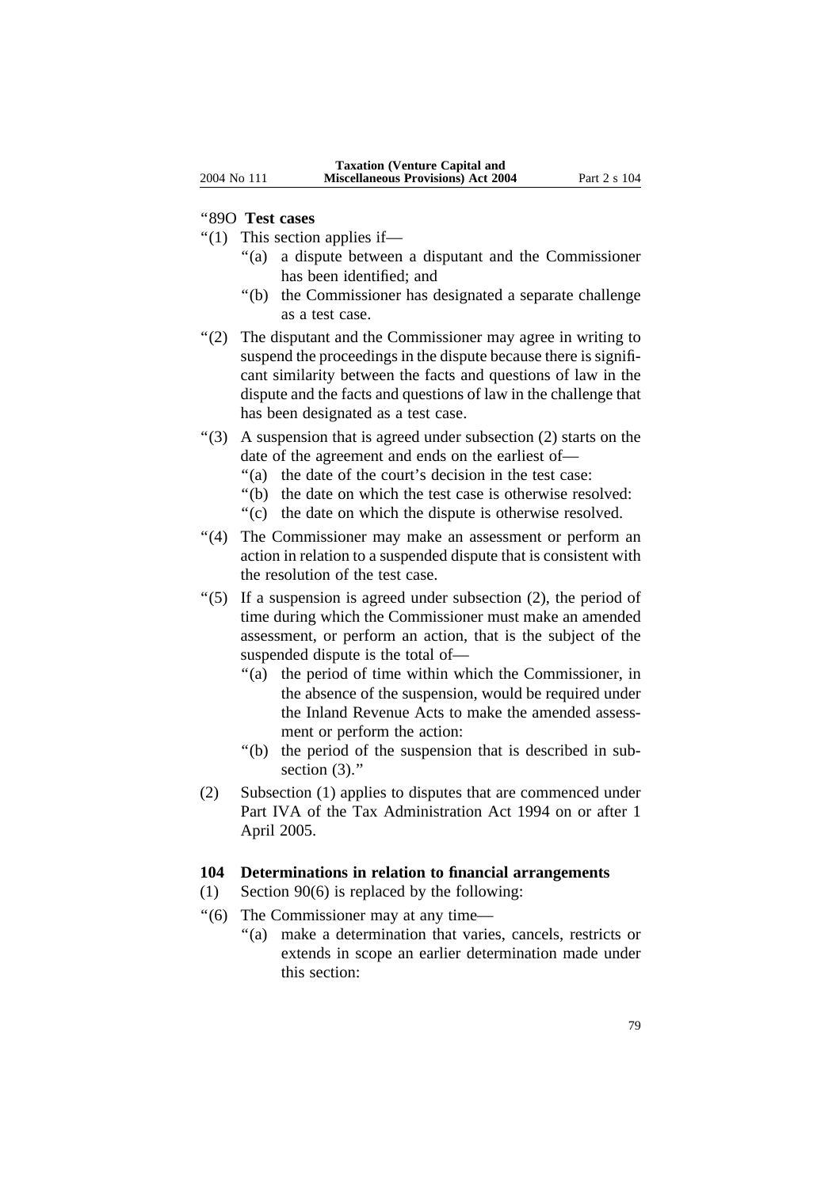#### ''89O **Test cases**

- $''(1)$  This section applies if—
	- ''(a) a dispute between a disputant and the Commissioner has been identified; and
	- ''(b) the Commissioner has designated a separate challenge as a test case.
- "(2) The disputant and the Commissioner may agree in writing to suspend the proceedings in the dispute because there is significant similarity between the facts and questions of law in the dispute and the facts and questions of law in the challenge that has been designated as a test case.
- $(3)$  A suspension that is agreed under subsection (2) starts on the date of the agreement and ends on the earliest of—
	- ''(a) the date of the court's decision in the test case:
	- ''(b) the date on which the test case is otherwise resolved:
	- ''(c) the date on which the dispute is otherwise resolved.
- "(4) The Commissioner may make an assessment or perform an action in relation to a suspended dispute that is consistent with the resolution of the test case.
- ''(5) If a suspension is agreed under subsection (2), the period of time during which the Commissioner must make an amended assessment, or perform an action, that is the subject of the suspended dispute is the total of—
	- ''(a) the period of time within which the Commissioner, in the absence of the suspension, would be required under the Inland Revenue Acts to make the amended assessment or perform the action:
	- ''(b) the period of the suspension that is described in subsection (3)."
- (2) Subsection (1) applies to disputes that are commenced under Part IVA of the Tax Administration Act 1994 on or after 1 April 2005.

#### **104 Determinations in relation to financial arrangements**

- (1) Section 90(6) is replaced by the following:
- ''(6) The Commissioner may at any time—
	- ''(a) make a determination that varies, cancels, restricts or extends in scope an earlier determination made under this section: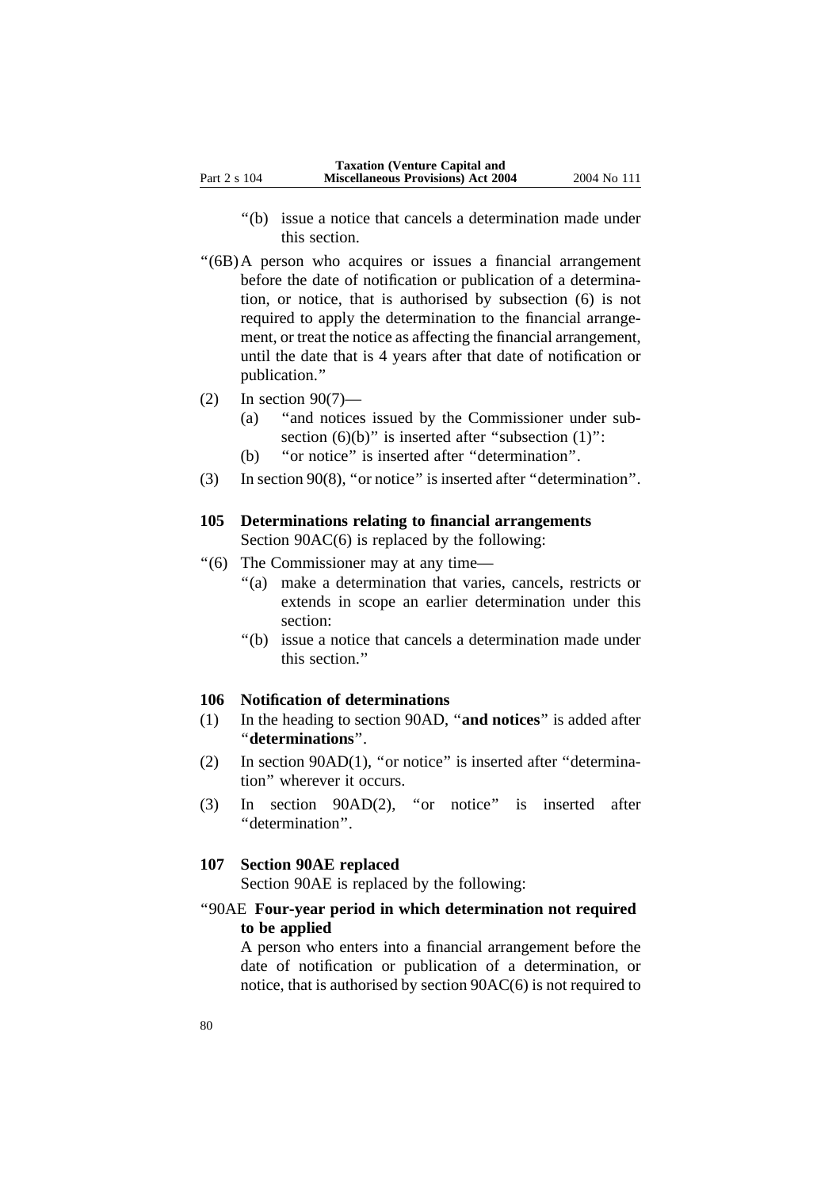- ''(b) issue a notice that cancels a determination made under this section.
- ''(6B)A person who acquires or issues a financial arrangement before the date of notification or publication of a determination, or notice, that is authorised by subsection (6) is not required to apply the determination to the financial arrangement, or treat the notice as affecting the financial arrangement, until the date that is 4 years after that date of notification or publication.''
- $(2)$  In section 90(7)—
	- (a) ''and notices issued by the Commissioner under subsection  $(6)(b)$ " is inserted after "subsection  $(1)$ ":
	- (b) ''or notice'' is inserted after ''determination''.
- (3) In section 90(8), ''or notice'' is inserted after ''determination''.

# **105 Determinations relating to financial arrangements**

Section 90AC(6) is replaced by the following:

- ''(6) The Commissioner may at any time—
	- ''(a) make a determination that varies, cancels, restricts or extends in scope an earlier determination under this section:
	- ''(b) issue a notice that cancels a determination made under this section.''

#### **106 Notification of determinations**

- (1) In the heading to section 90AD, ''**and notices**'' is added after ''**determinations**''.
- (2) In section 90AD(1), ''or notice'' is inserted after ''determination'' wherever it occurs.
- (3) In section 90AD(2), ''or notice'' is inserted after ''determination''.

### **107 Section 90AE replaced**

Section 90AE is replaced by the following:

# ''90AE **Four-year period in which determination not required to be applied**

A person who enters into a financial arrangement before the date of notification or publication of a determination, or notice, that is authorised by section 90AC(6) is not required to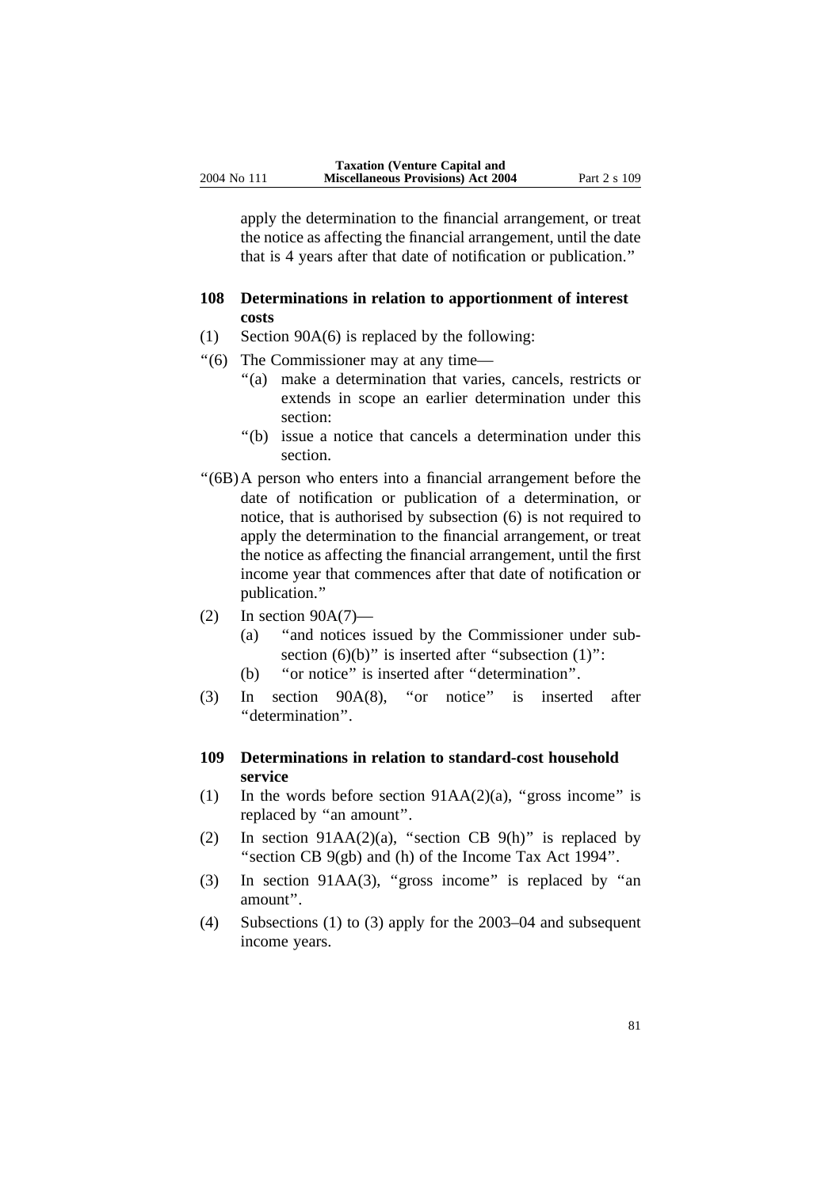apply the determination to the financial arrangement, or treat the notice as affecting the financial arrangement, until the date that is 4 years after that date of notification or publication.''

# **108 Determinations in relation to apportionment of interest costs**

- (1) Section 90A(6) is replaced by the following:
- ''(6) The Commissioner may at any time—
	- ''(a) make a determination that varies, cancels, restricts or extends in scope an earlier determination under this section:
	- ''(b) issue a notice that cancels a determination under this section.
- ''(6B)A person who enters into a financial arrangement before the date of notification or publication of a determination, or notice, that is authorised by subsection (6) is not required to apply the determination to the financial arrangement, or treat the notice as affecting the financial arrangement, until the first income year that commences after that date of notification or publication.''
- $(2)$  In section 90A $(7)$ 
	- (a) ''and notices issued by the Commissioner under subsection  $(6)(b)$ " is inserted after "subsection  $(1)$ ":
	- (b) ''or notice'' is inserted after ''determination''.
- (3) In section 90A(8), ''or notice'' is inserted after ''determination''.

# **109 Determinations in relation to standard-cost household service**

- (1) In the words before section  $91AA(2)(a)$ , "gross income" is replaced by ''an amount''.
- (2) In section 91AA(2)(a), "section CB 9(h)" is replaced by "section CB 9(gb) and (h) of the Income Tax Act 1994".
- (3) In section 91AA(3), "gross income" is replaced by "an amount''.
- (4) Subsections (1) to (3) apply for the 2003–04 and subsequent income years.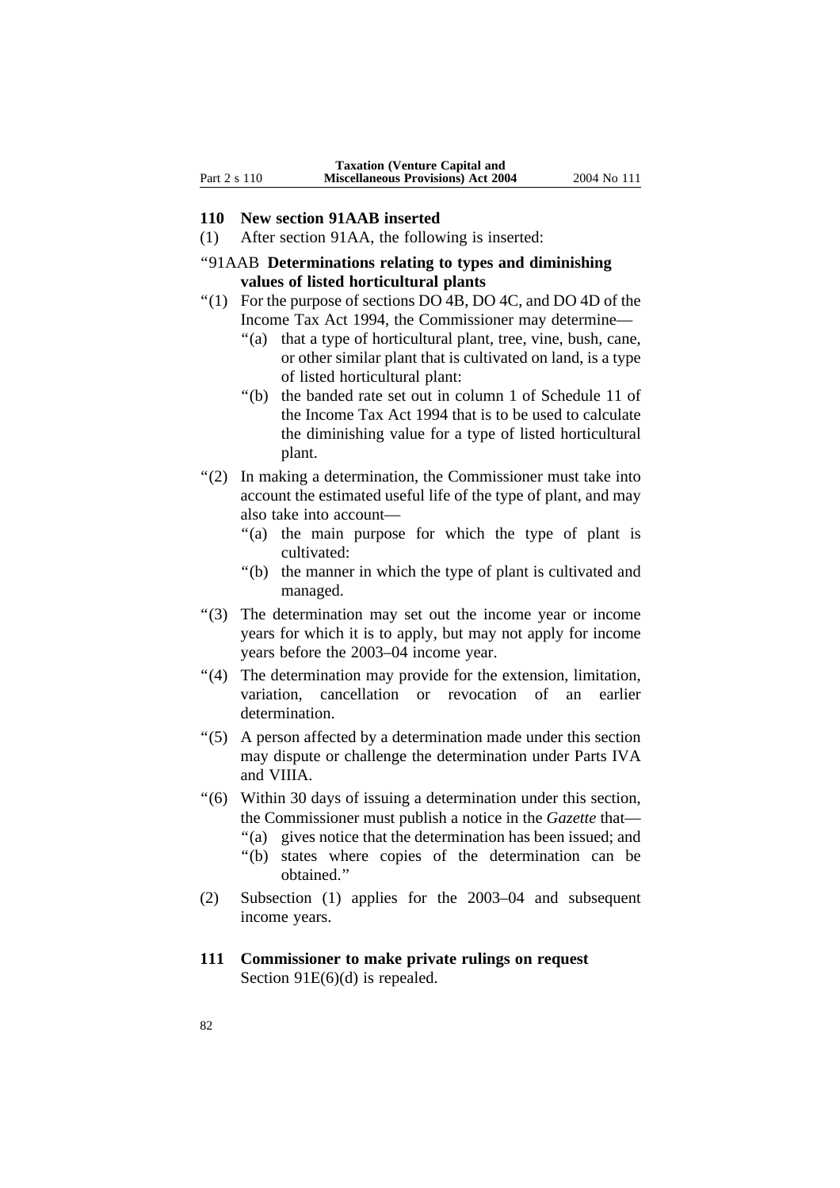#### **110 New section 91AAB inserted**

- (1) After section 91AA, the following is inserted:
- ''91AAB **Determinations relating to types and diminishing values of listed horticultural plants**
- ''(1) For the purpose of sections DO 4B, DO 4C, and DO 4D of the Income Tax Act 1994, the Commissioner may determine—
	- ''(a) that a type of horticultural plant, tree, vine, bush, cane, or other similar plant that is cultivated on land, is a type of listed horticultural plant:
	- ''(b) the banded rate set out in column 1 of Schedule 11 of the Income Tax Act 1994 that is to be used to calculate the diminishing value for a type of listed horticultural plant.
- ''(2) In making a determination, the Commissioner must take into account the estimated useful life of the type of plant, and may also take into account—
	- ''(a) the main purpose for which the type of plant is cultivated:
	- ''(b) the manner in which the type of plant is cultivated and managed.
- ''(3) The determination may set out the income year or income years for which it is to apply, but may not apply for income years before the 2003–04 income year.
- ''(4) The determination may provide for the extension, limitation, variation, cancellation or revocation of an earlier determination.
- ''(5) A person affected by a determination made under this section may dispute or challenge the determination under Parts IVA and VIIIA.
- ''(6) Within 30 days of issuing a determination under this section, the Commissioner must publish a notice in the *Gazette* that— "(a) gives notice that the determination has been issued; and
	- ''(b) states where copies of the determination can be obtained.''
- (2) Subsection (1) applies for the 2003–04 and subsequent income years.
- **111 Commissioner to make private rulings on request** Section 91E(6)(d) is repealed.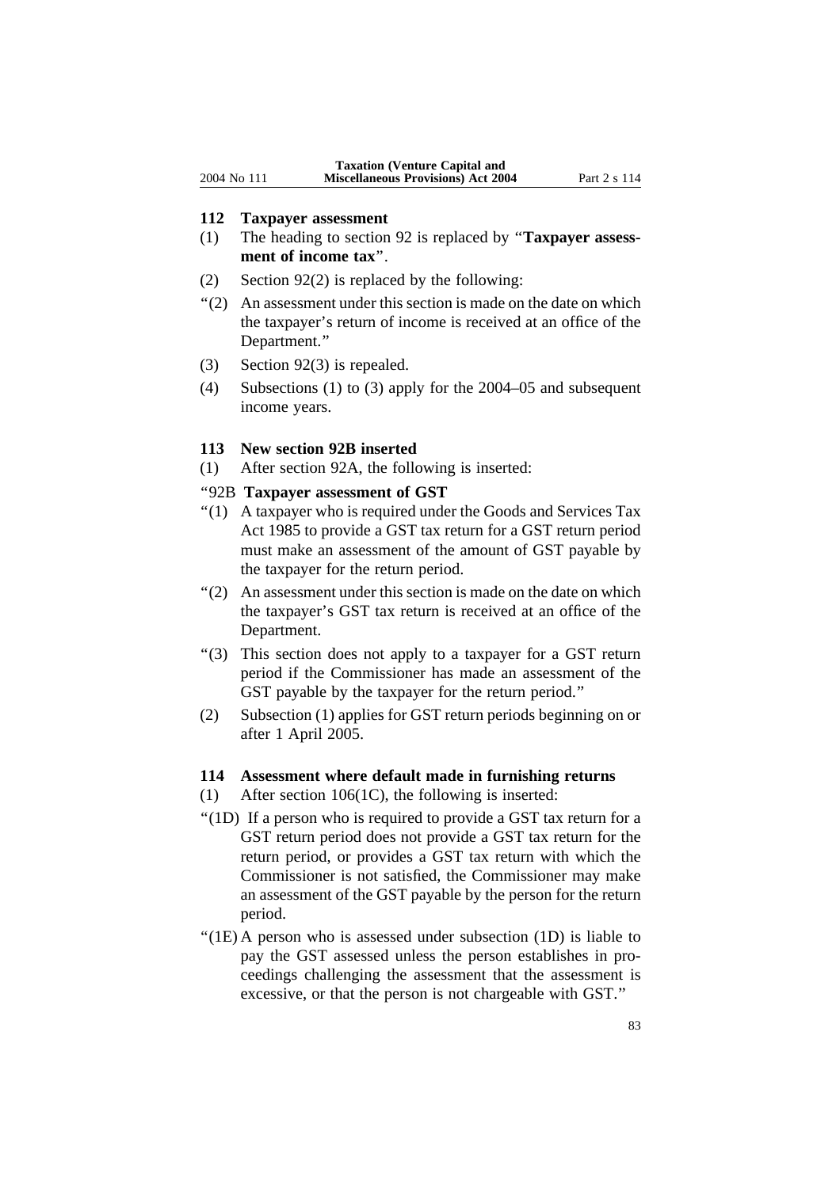#### **112 Taxpayer assessment**

- (1) The heading to section 92 is replaced by ''**Taxpayer assessment of income tax**''.
- (2) Section 92(2) is replaced by the following:
- ''(2) An assessment under this section is made on the date on which the taxpayer's return of income is received at an office of the Department.''
- (3) Section 92(3) is repealed.
- (4) Subsections (1) to (3) apply for the 2004–05 and subsequent income years.

#### **113 New section 92B inserted**

(1) After section 92A, the following is inserted:

#### ''92B **Taxpayer assessment of GST**

- ''(1) A taxpayer who is required under the Goods and Services Tax Act 1985 to provide a GST tax return for a GST return period must make an assessment of the amount of GST payable by the taxpayer for the return period.
- ''(2) An assessment under this section is made on the date on which the taxpayer's GST tax return is received at an office of the Department.
- ''(3) This section does not apply to a taxpayer for a GST return period if the Commissioner has made an assessment of the GST payable by the taxpayer for the return period.''
- (2) Subsection (1) applies for GST return periods beginning on or after 1 April 2005.

#### **114 Assessment where default made in furnishing returns**

- (1) After section 106(1C), the following is inserted:
- ''(1D) If a person who is required to provide a GST tax return for a GST return period does not provide a GST tax return for the return period, or provides a GST tax return with which the Commissioner is not satisfied, the Commissioner may make an assessment of the GST payable by the person for the return period.
- ''(1E) A person who is assessed under subsection (1D) is liable to pay the GST assessed unless the person establishes in proceedings challenging the assessment that the assessment is excessive, or that the person is not chargeable with GST.''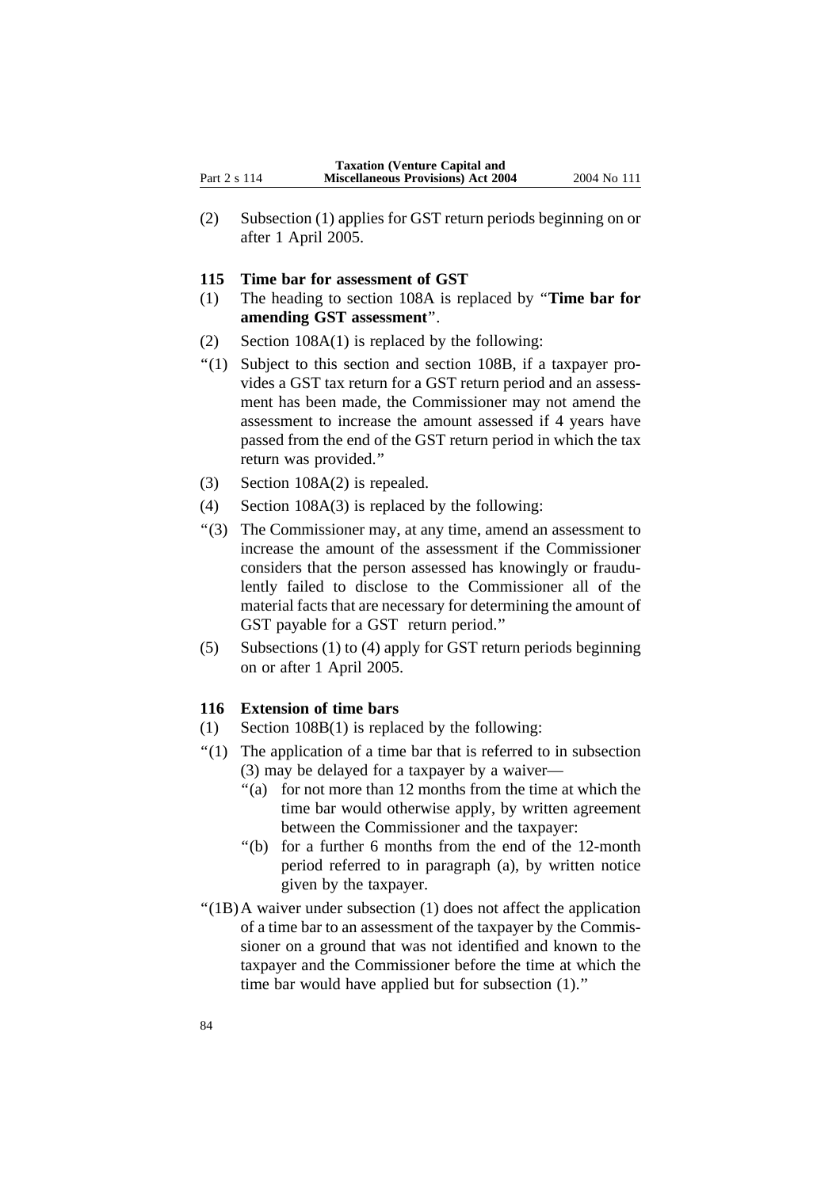(2) Subsection (1) applies for GST return periods beginning on or after 1 April 2005.

#### **115 Time bar for assessment of GST**

- (1) The heading to section 108A is replaced by ''**Time bar for amending GST assessment**''.
- (2) Section 108A(1) is replaced by the following:
- ''(1) Subject to this section and section 108B, if a taxpayer provides a GST tax return for a GST return period and an assessment has been made, the Commissioner may not amend the assessment to increase the amount assessed if 4 years have passed from the end of the GST return period in which the tax return was provided.''
- (3) Section 108A(2) is repealed.
- (4) Section 108A(3) is replaced by the following:
- ''(3) The Commissioner may, at any time, amend an assessment to increase the amount of the assessment if the Commissioner considers that the person assessed has knowingly or fraudulently failed to disclose to the Commissioner all of the material facts that are necessary for determining the amount of GST payable for a GST return period.''
- (5) Subsections (1) to (4) apply for GST return periods beginning on or after 1 April 2005.

### **116 Extension of time bars**

- (1) Section 108B(1) is replaced by the following:
- ''(1) The application of a time bar that is referred to in subsection (3) may be delayed for a taxpayer by a waiver—
	- ''(a) for not more than 12 months from the time at which the time bar would otherwise apply, by written agreement between the Commissioner and the taxpayer:
	- ''(b) for a further 6 months from the end of the 12-month period referred to in paragraph (a), by written notice given by the taxpayer.
- ''(1B)A waiver under subsection (1) does not affect the application of a time bar to an assessment of the taxpayer by the Commissioner on a ground that was not identified and known to the taxpayer and the Commissioner before the time at which the time bar would have applied but for subsection (1).''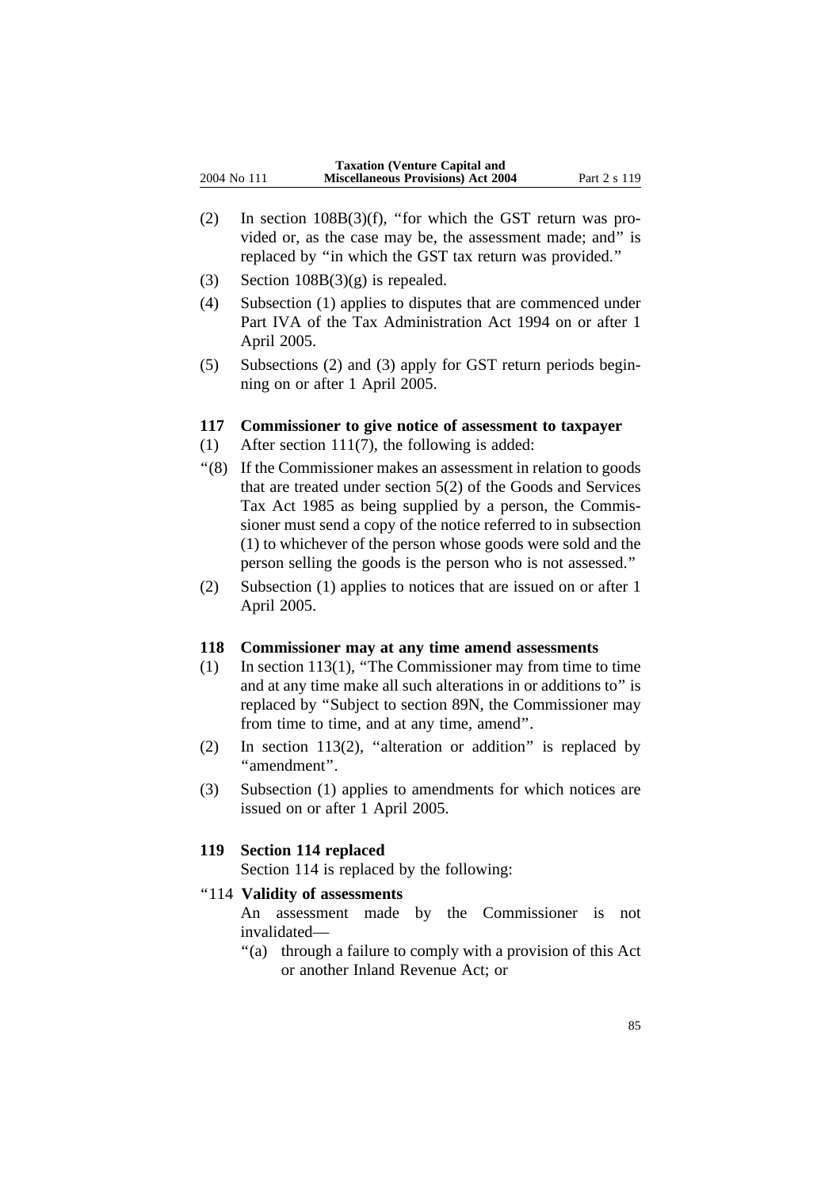- (2) In section 108B(3)(f), ''for which the GST return was provided or, as the case may be, the assessment made; and'' is replaced by ''in which the GST tax return was provided.''
- (3) Section  $108B(3)(g)$  is repealed.
- (4) Subsection (1) applies to disputes that are commenced under Part IVA of the Tax Administration Act 1994 on or after 1 April 2005.
- (5) Subsections (2) and (3) apply for GST return periods beginning on or after 1 April 2005.

### **117 Commissioner to give notice of assessment to taxpayer**

- (1) After section 111(7), the following is added:
- ''(8) If the Commissioner makes an assessment in relation to goods that are treated under section 5(2) of the Goods and Services Tax Act 1985 as being supplied by a person, the Commissioner must send a copy of the notice referred to in subsection (1) to whichever of the person whose goods were sold and the person selling the goods is the person who is not assessed.''
- (2) Subsection (1) applies to notices that are issued on or after 1 April 2005.

### **118 Commissioner may at any time amend assessments**

- (1) In section 113(1), ''The Commissioner may from time to time and at any time make all such alterations in or additions to'' is replaced by ''Subject to section 89N, the Commissioner may from time to time, and at any time, amend''.
- (2) In section 113(2), "alteration or addition" is replaced by ''amendment''.
- (3) Subsection (1) applies to amendments for which notices are issued on or after 1 April 2005.

## **119 Section 114 replaced**

Section 114 is replaced by the following:

## ''114 **Validity of assessments**

An assessment made by the Commissioner is not invalidated—

''(a) through a failure to comply with a provision of this Act or another Inland Revenue Act; or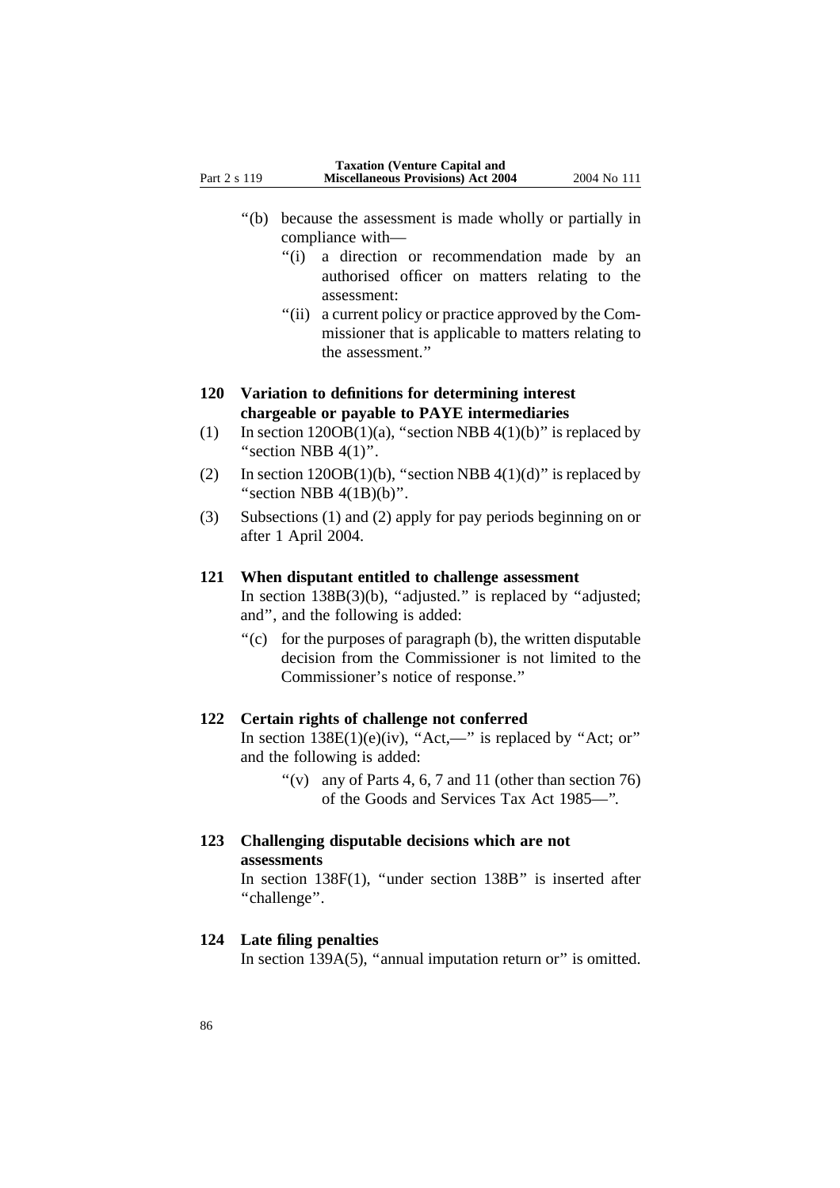- compliance with—
	- ''(i) a direction or recommendation made by an authorised officer on matters relating to the assessment:
	- "(ii) a current policy or practice approved by the Commissioner that is applicable to matters relating to the assessment.''

# **120 Variation to definitions for determining interest chargeable or payable to PAYE intermediaries**

- (1) In section  $120OB(1)(a)$ , "section NBB  $4(1)(b)$ " is replaced by "section NBB  $4(1)$ ".
- (2) In section  $120OB(1)(b)$ , "section NBB  $4(1)(d)$ " is replaced by "section NBB  $4(1B)(b)$ ".
- (3) Subsections (1) and (2) apply for pay periods beginning on or after 1 April 2004.

# **121 When disputant entitled to challenge assessment**

In section  $138B(3)(b)$ , "adjusted." is replaced by "adjusted; and'', and the following is added:

 $'(c)$  for the purposes of paragraph (b), the written disputable decision from the Commissioner is not limited to the Commissioner's notice of response.''

# **122 Certain rights of challenge not conferred**

In section  $138E(1)(e)(iv)$ , "Act,—" is replaced by "Act; or" and the following is added:

- "(v) any of Parts 4, 6, 7 and 11 (other than section 76) of the Goods and Services Tax Act 1985—''.
- **123 Challenging disputable decisions which are not assessments**

```
In section 138F(1), ''under section 138B'' is inserted after
''challenge''.
```
# **124 Late filing penalties**

In section 139A(5), "annual imputation return or" is omitted.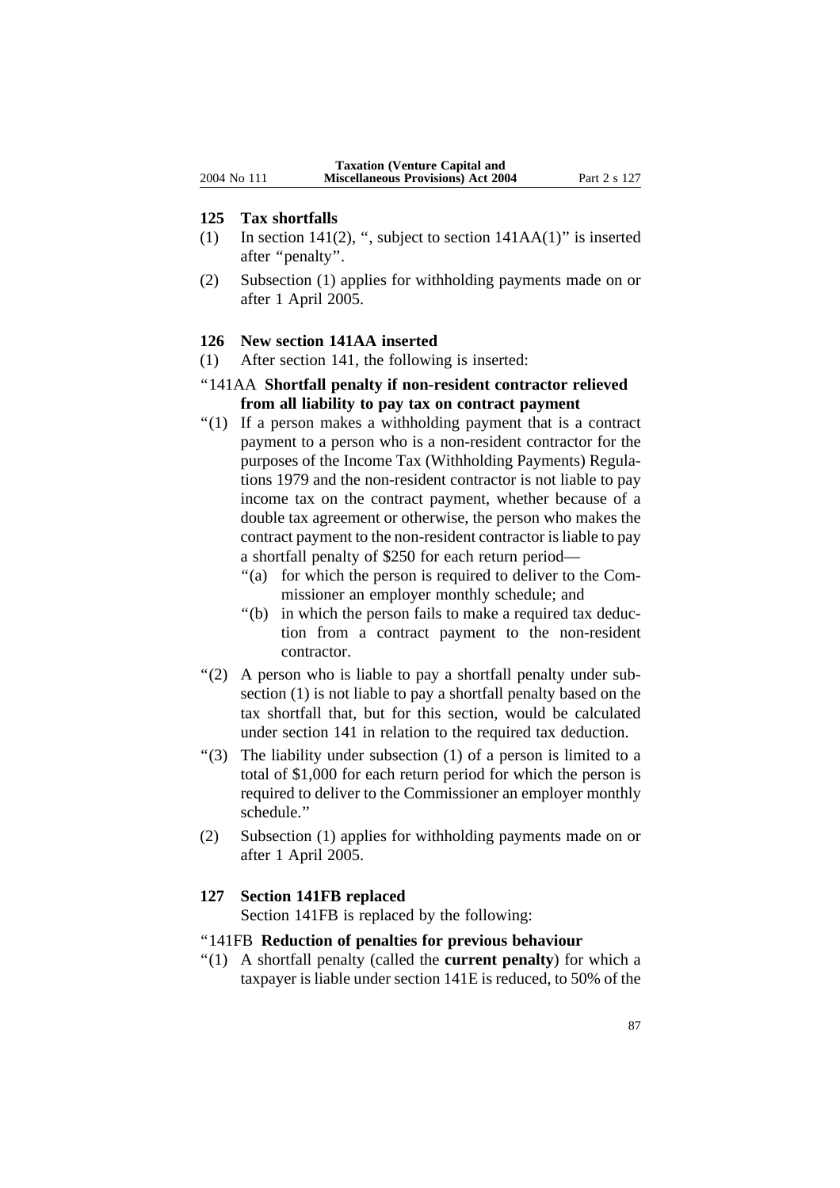#### **125 Tax shortfalls**

- (1) In section 141(2), ", subject to section  $141AA(1)$ " is inserted after ''penalty''.
- (2) Subsection (1) applies for withholding payments made on or after 1 April 2005.

#### **126 New section 141AA inserted**

(1) After section 141, the following is inserted:

## ''141AA **Shortfall penalty if non-resident contractor relieved from all liability to pay tax on contract payment**

- ''(1) If a person makes a withholding payment that is a contract payment to a person who is a non-resident contractor for the purposes of the Income Tax (Withholding Payments) Regulations 1979 and the non-resident contractor is not liable to pay income tax on the contract payment, whether because of a double tax agreement or otherwise, the person who makes the contract payment to the non-resident contractor is liable to pay a shortfall penalty of \$250 for each return period—
	- "(a) for which the person is required to deliver to the Commissioner an employer monthly schedule; and
	- "(b) in which the person fails to make a required tax deduction from a contract payment to the non-resident contractor.
- "(2) A person who is liable to pay a shortfall penalty under subsection (1) is not liable to pay a shortfall penalty based on the tax shortfall that, but for this section, would be calculated under section 141 in relation to the required tax deduction.
- $'(3)$  The liability under subsection (1) of a person is limited to a total of \$1,000 for each return period for which the person is required to deliver to the Commissioner an employer monthly schedule.''
- (2) Subsection (1) applies for withholding payments made on or after 1 April 2005.

### **127 Section 141FB replaced**

Section 141FB is replaced by the following:

## ''141FB **Reduction of penalties for previous behaviour**

''(1) A shortfall penalty (called the **current penalty**) for which a taxpayer is liable under section 141E is reduced, to 50% of the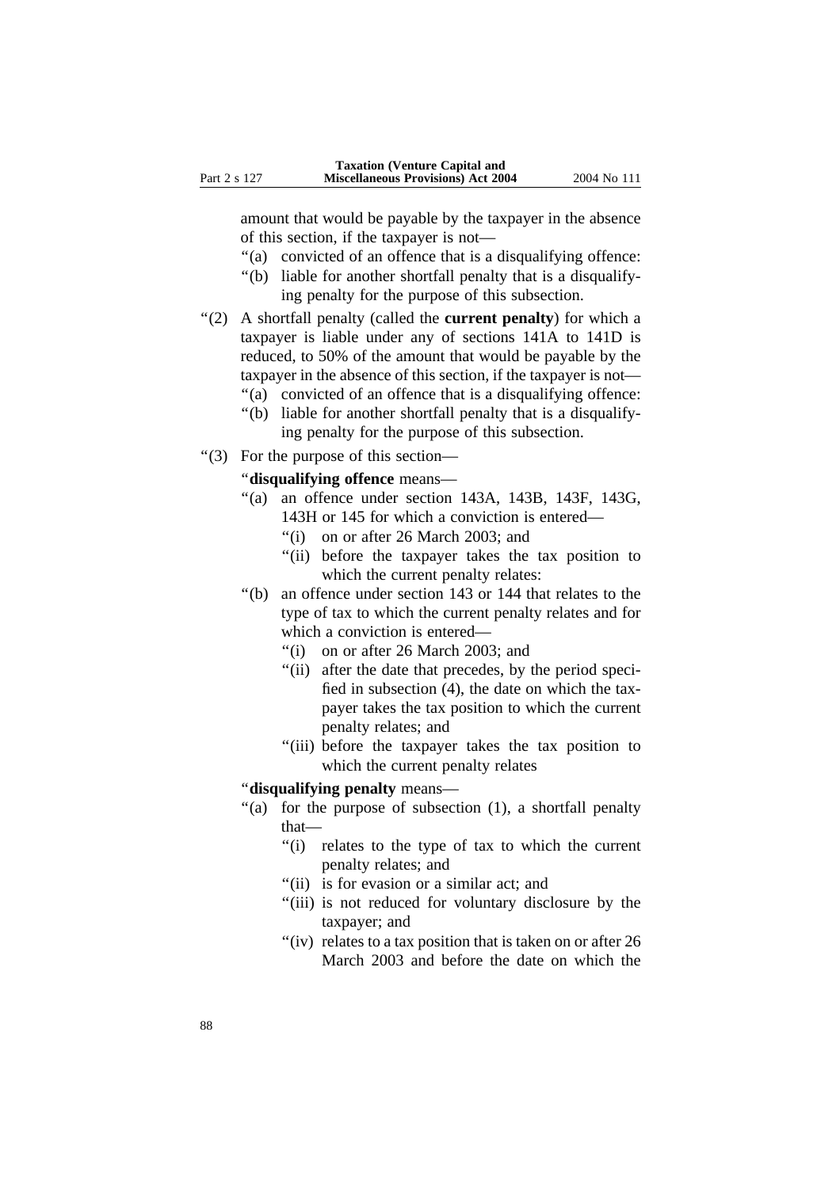amount that would be payable by the taxpayer in the absence of this section, if the taxpayer is not—

- ''(a) convicted of an offence that is a disqualifying offence:
- ''(b) liable for another shortfall penalty that is a disqualifying penalty for the purpose of this subsection.
- ''(2) A shortfall penalty (called the **current penalty**) for which a taxpayer is liable under any of sections 141A to 141D is reduced, to 50% of the amount that would be payable by the taxpayer in the absence of this section, if the taxpayer is not—
	- ''(a) convicted of an offence that is a disqualifying offence:
	- ''(b) liable for another shortfall penalty that is a disqualifying penalty for the purpose of this subsection.
- ''(3) For the purpose of this section—

''**disqualifying offence** means—

- ''(a) an offence under section 143A, 143B, 143F, 143G,
	- 143H or 145 for which a conviction is entered—
	- ''(i) on or after 26 March 2003; and
	- "(ii) before the taxpayer takes the tax position to which the current penalty relates:
- ''(b) an offence under section 143 or 144 that relates to the type of tax to which the current penalty relates and for which a conviction is entered—
	- ''(i) on or after 26 March 2003; and
	- "(ii) after the date that precedes, by the period specified in subsection (4), the date on which the taxpayer takes the tax position to which the current penalty relates; and
	- "(iii) before the taxpayer takes the tax position to which the current penalty relates

## ''**disqualifying penalty** means—

- "(a) for the purpose of subsection (1), a shortfall penalty that—
	- ''(i) relates to the type of tax to which the current penalty relates; and
	- "(ii) is for evasion or a similar act; and
	- "(iii) is not reduced for voluntary disclosure by the taxpayer; and
	- "(iv) relates to a tax position that is taken on or after  $26$ March 2003 and before the date on which the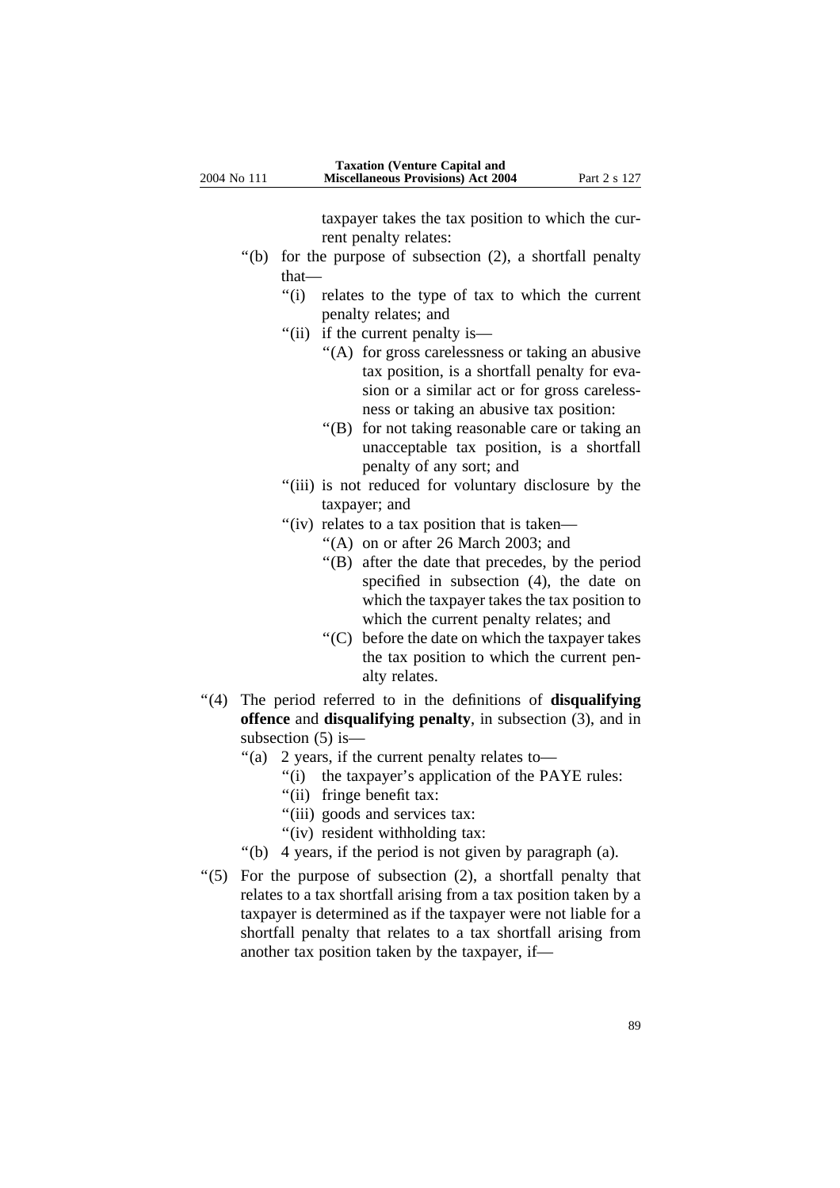taxpayer takes the tax position to which the current penalty relates:

- ''(b) for the purpose of subsection (2), a shortfall penalty that—
	- ''(i) relates to the type of tax to which the current penalty relates; and
	- "(ii) if the current penalty is—
		- ''(A) for gross carelessness or taking an abusive tax position, is a shortfall penalty for evasion or a similar act or for gross carelessness or taking an abusive tax position:
		- ''(B) for not taking reasonable care or taking an unacceptable tax position, is a shortfall penalty of any sort; and
	- "(iii) is not reduced for voluntary disclosure by the taxpayer; and
	- "(iv) relates to a tax position that is taken—
		- ''(A) on or after 26 March 2003; and
		- ''(B) after the date that precedes, by the period specified in subsection (4), the date on which the taxpayer takes the tax position to which the current penalty relates; and
		- ''(C) before the date on which the taxpayer takes the tax position to which the current penalty relates.
- ''(4) The period referred to in the definitions of **disqualifying offence** and **disqualifying penalty**, in subsection (3), and in subsection (5) is—
	- "(a) 2 years, if the current penalty relates to-
		- "(i) the taxpayer's application of the PAYE rules:
		- "(ii) fringe benefit tax:
		- "(iii) goods and services tax:
		- "(iv) resident withholding tax:
	- ''(b) 4 years, if the period is not given by paragraph (a).
- ''(5) For the purpose of subsection (2), a shortfall penalty that relates to a tax shortfall arising from a tax position taken by a taxpayer is determined as if the taxpayer were not liable for a shortfall penalty that relates to a tax shortfall arising from another tax position taken by the taxpayer, if—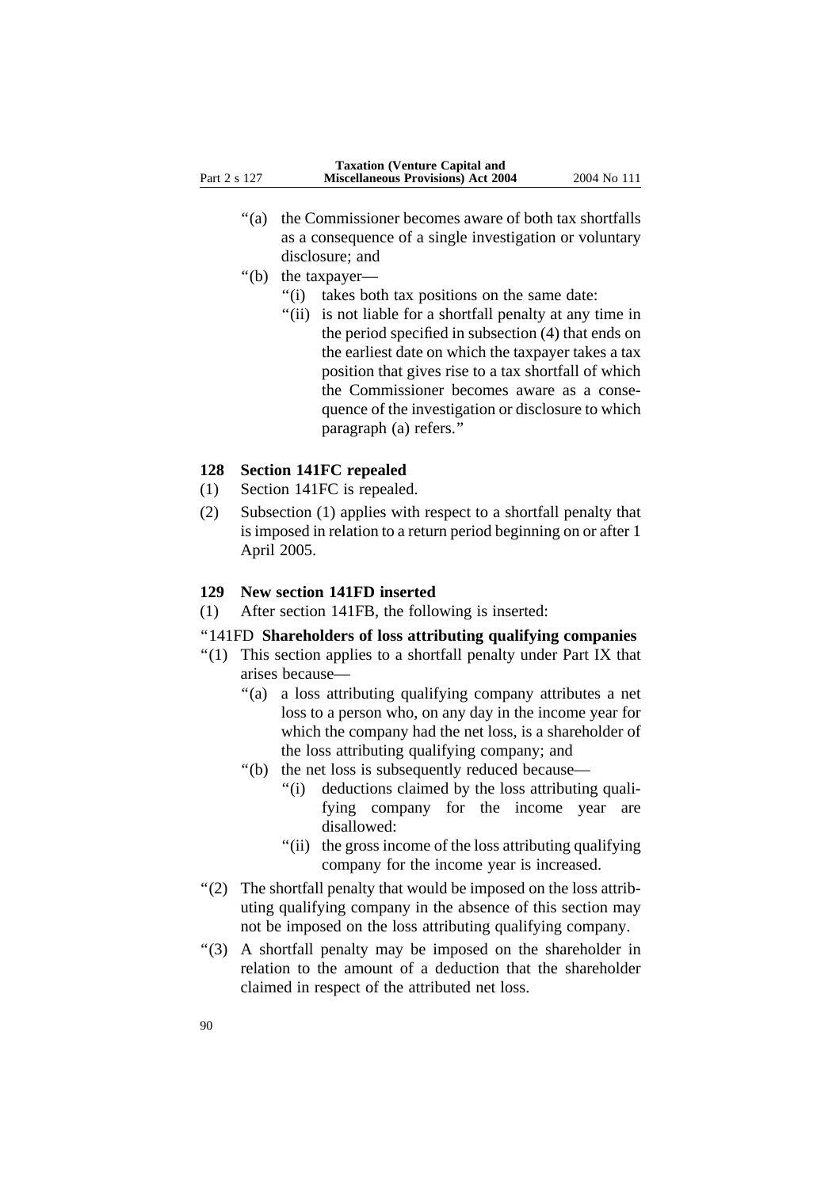- ''(a) the Commissioner becomes aware of both tax shortfalls as a consequence of a single investigation or voluntary disclosure; and
- "(b) the taxpayer—
	- "(i) takes both tax positions on the same date:
	- "(ii) is not liable for a shortfall penalty at any time in the period specified in subsection (4) that ends on the earliest date on which the taxpayer takes a tax position that gives rise to a tax shortfall of which the Commissioner becomes aware as a consequence of the investigation or disclosure to which paragraph (a) refers.''

## **128 Section 141FC repealed**

- (1) Section 141FC is repealed.
- (2) Subsection (1) applies with respect to a shortfall penalty that is imposed in relation to a return period beginning on or after 1 April 2005.

## **129 New section 141FD inserted**

(1) After section 141FB, the following is inserted:

# ''141FD **Shareholders of loss attributing qualifying companies**

- "(1) This section applies to a shortfall penalty under Part IX that arises because—
	- ''(a) a loss attributing qualifying company attributes a net loss to a person who, on any day in the income year for which the company had the net loss, is a shareholder of the loss attributing qualifying company; and
	- ''(b) the net loss is subsequently reduced because—
		- "(i) deductions claimed by the loss attributing qualifying company for the income year are disallowed:
		- ''(ii) the gross income of the loss attributing qualifying company for the income year is increased.
- ''(2) The shortfall penalty that would be imposed on the loss attributing qualifying company in the absence of this section may not be imposed on the loss attributing qualifying company.
- ''(3) A shortfall penalty may be imposed on the shareholder in relation to the amount of a deduction that the shareholder claimed in respect of the attributed net loss.

90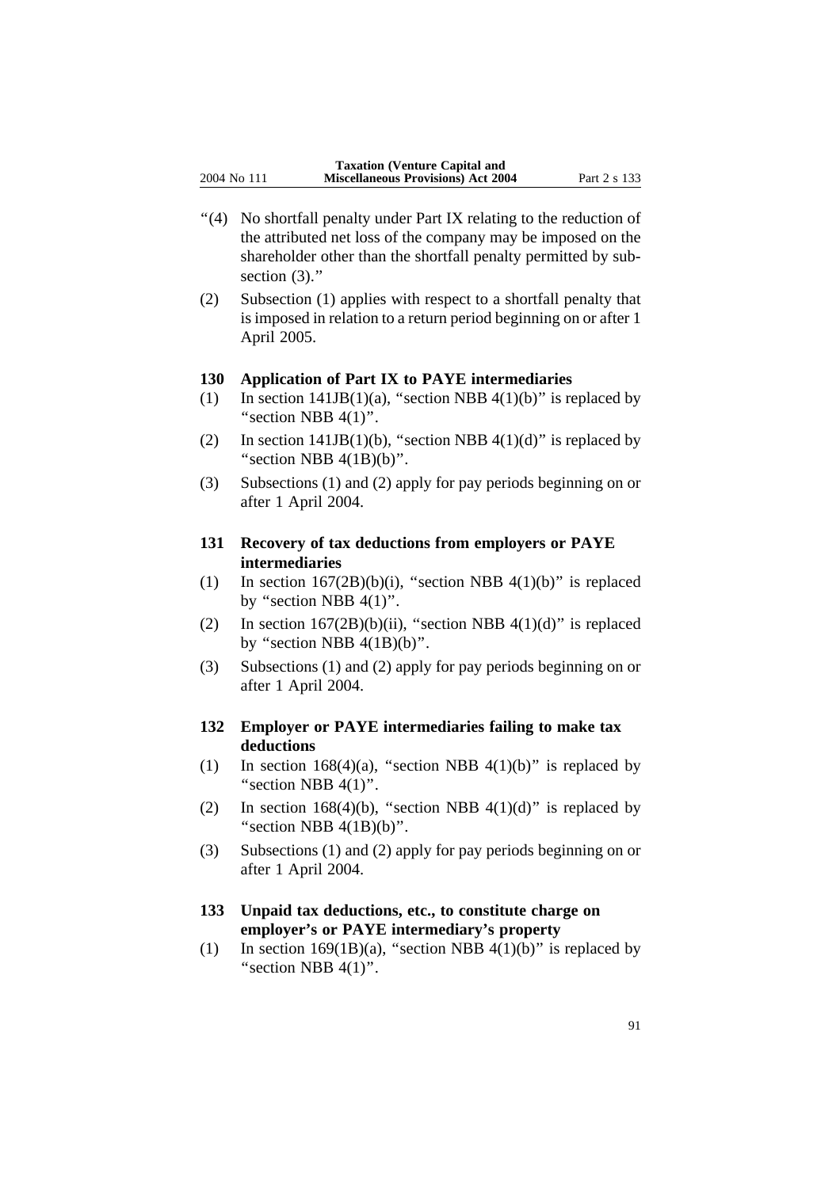- ''(4) No shortfall penalty under Part IX relating to the reduction of the attributed net loss of the company may be imposed on the shareholder other than the shortfall penalty permitted by subsection  $(3)$ ."
- (2) Subsection (1) applies with respect to a shortfall penalty that is imposed in relation to a return period beginning on or after 1 April 2005.

## **130 Application of Part IX to PAYE intermediaries**

- (1) In section  $141JB(1)(a)$ , "section NBB  $4(1)(b)$ " is replaced by "section NBB  $4(1)$ ".
- (2) In section  $141JB(1)(b)$ , "section NBB  $4(1)(d)$ " is replaced by "section NBB  $4(1B)(b)$ ".
- (3) Subsections (1) and (2) apply for pay periods beginning on or after 1 April 2004.

# **131 Recovery of tax deductions from employers or PAYE intermediaries**

- (1) In section  $167(2B)(b)(i)$ , "section NBB  $4(1)(b)$ " is replaced by "section NBB  $4(1)$ ".
- (2) In section  $167(2B)(b)(ii)$ , "section NBB  $4(1)(d)$ " is replaced by "section NBB  $4(1B)(b)$ ".
- (3) Subsections (1) and (2) apply for pay periods beginning on or after 1 April 2004.

# **132 Employer or PAYE intermediaries failing to make tax deductions**

- (1) In section 168(4)(a), "section NBB 4(1)(b)" is replaced by "section NBB  $4(1)$ ".
- (2) In section 168(4)(b), "section NBB 4(1)(d)" is replaced by "section NBB  $4(1B)(b)$ ".
- (3) Subsections (1) and (2) apply for pay periods beginning on or after 1 April 2004.

# **133 Unpaid tax deductions, etc., to constitute charge on employer's or PAYE intermediary's property**

(1) In section 169(1B)(a), "section NBB 4(1)(b)" is replaced by "section NBB  $4(1)$ ".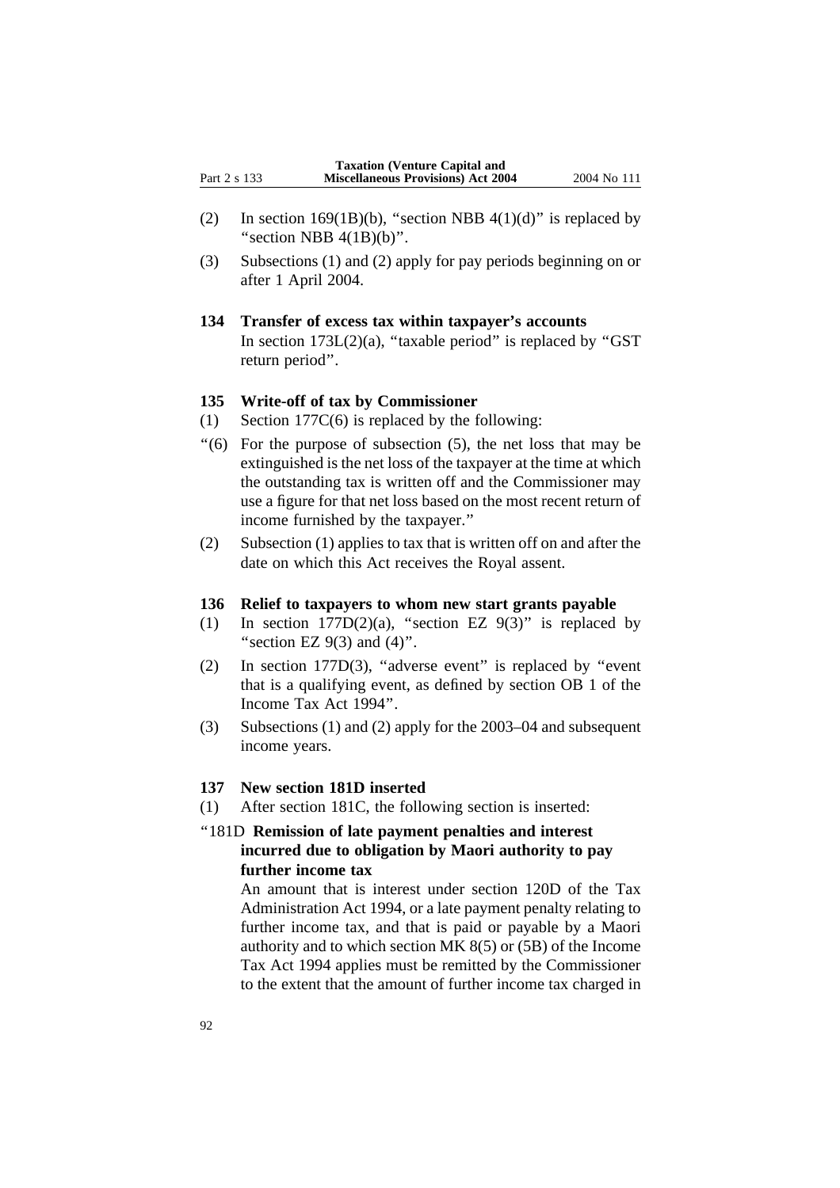- (2) In section 169(1B)(b), "section NBB 4(1)(d)" is replaced by "section NBB  $4(1B)(b)$ ".
- (3) Subsections (1) and (2) apply for pay periods beginning on or after 1 April 2004.
- **134 Transfer of excess tax within taxpayer's accounts** In section  $173L(2)(a)$ , "taxable period" is replaced by "GST return period''.

#### **135 Write-off of tax by Commissioner**

- (1) Section 177C(6) is replaced by the following:
- $(6)$  For the purpose of subsection  $(5)$ , the net loss that may be extinguished is the net loss of the taxpayer at the time at which the outstanding tax is written off and the Commissioner may use a figure for that net loss based on the most recent return of income furnished by the taxpayer.''
- (2) Subsection (1) applies to tax that is written off on and after the date on which this Act receives the Royal assent.

### **136 Relief to taxpayers to whom new start grants payable**

- (1) In section  $177D(2)(a)$ , "section EZ  $9(3)$ " is replaced by "section EZ  $9(3)$  and  $(4)$ ".
- (2) In section 177D(3), ''adverse event'' is replaced by ''event that is a qualifying event, as defined by section OB 1 of the Income Tax Act 1994''.
- (3) Subsections (1) and (2) apply for the 2003–04 and subsequent income years.

### **137 New section 181D inserted**

(1) After section 181C, the following section is inserted:

# ''181D **Remission of late payment penalties and interest incurred due to obligation by Maori authority to pay further income tax**

An amount that is interest under section 120D of the Tax Administration Act 1994, or a late payment penalty relating to further income tax, and that is paid or payable by a Maori authority and to which section MK 8(5) or (5B) of the Income Tax Act 1994 applies must be remitted by the Commissioner to the extent that the amount of further income tax charged in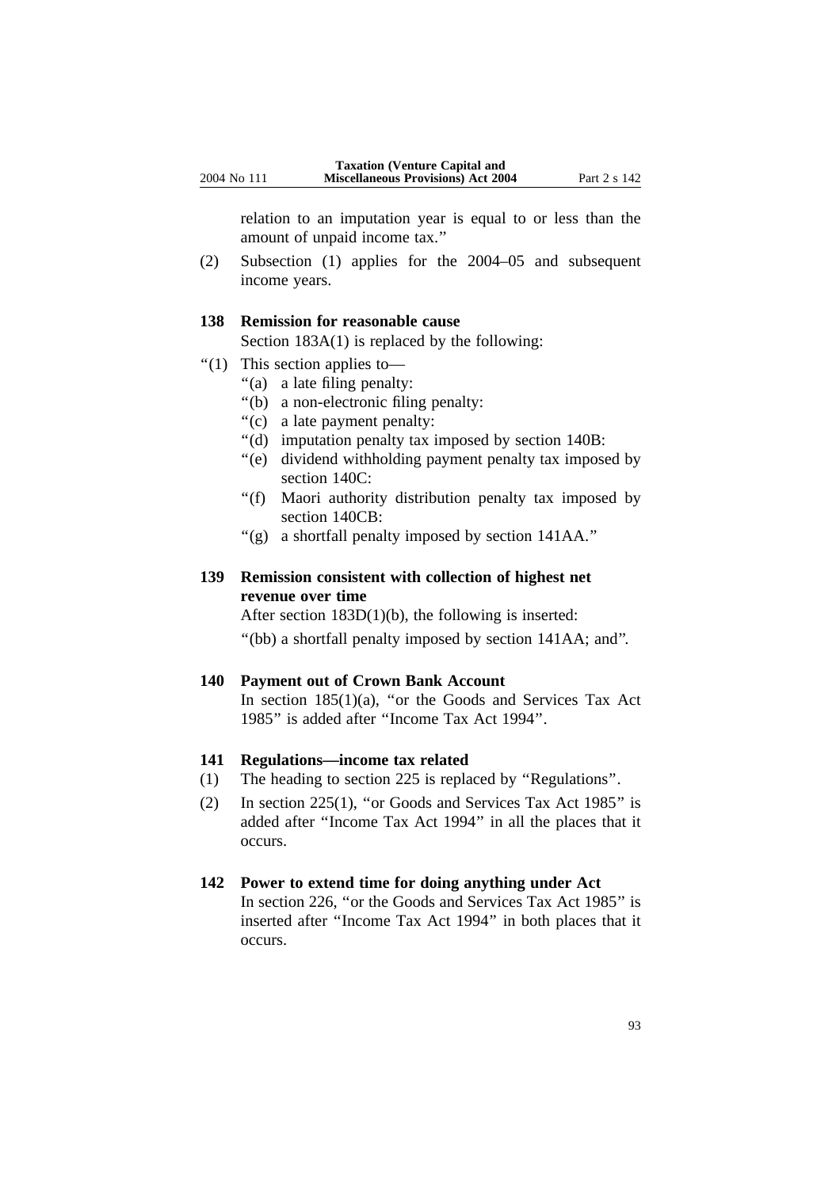relation to an imputation year is equal to or less than the amount of unpaid income tax.''

(2) Subsection (1) applies for the 2004–05 and subsequent income years.

# **138 Remission for reasonable cause**

Section 183A(1) is replaced by the following:

- ''(1) This section applies to—
	- ''(a) a late filing penalty:
	- ''(b) a non-electronic filing penalty:
	- ''(c) a late payment penalty:
	- ''(d) imputation penalty tax imposed by section 140B:
	- ''(e) dividend withholding payment penalty tax imposed by section 140C:
	- ''(f) Maori authority distribution penalty tax imposed by section 140CB:
	- ''(g) a shortfall penalty imposed by section 141AA.''

# **139 Remission consistent with collection of highest net revenue over time**

After section 183D(1)(b), the following is inserted:

''(bb) a shortfall penalty imposed by section 141AA; and''.

#### **140 Payment out of Crown Bank Account**

In section  $185(1)(a)$ , "or the Goods and Services Tax Act 1985'' is added after ''Income Tax Act 1994''.

#### **141 Regulations—income tax related**

- (1) The heading to section 225 is replaced by ''Regulations''.
- (2) In section 225(1), ''or Goods and Services Tax Act 1985'' is added after ''Income Tax Act 1994'' in all the places that it occurs.

#### **142 Power to extend time for doing anything under Act**

In section 226, "or the Goods and Services Tax Act 1985" is inserted after ''Income Tax Act 1994'' in both places that it occurs.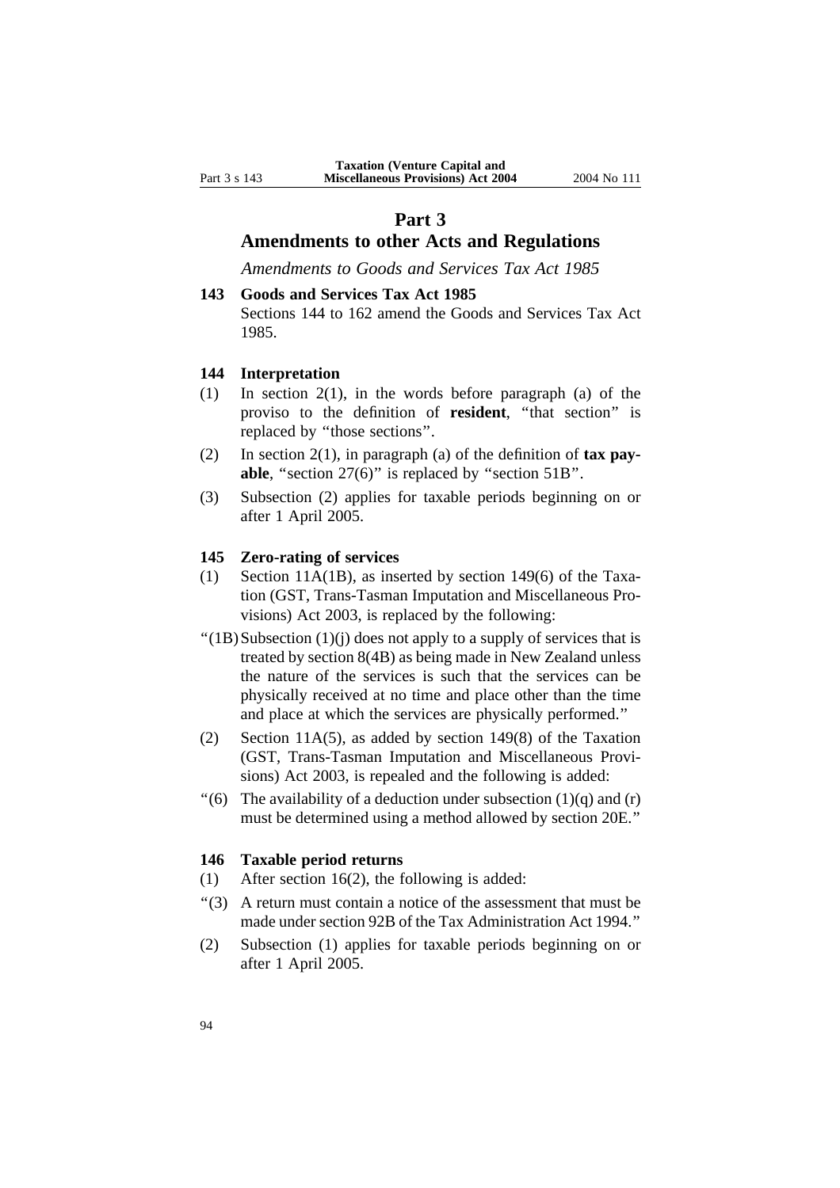# **Part 3**

# **Amendments to other Acts and Regulations**

*Amendments to Goods and Services Tax Act 1985*

# **143 Goods and Services Tax Act 1985** Sections 144 to 162 amend the Goods and Services Tax Act 1985.

### **144 Interpretation**

- (1) In section 2(1), in the words before paragraph (a) of the proviso to the definition of **resident**, ''that section'' is replaced by ''those sections''.
- (2) In section 2(1), in paragraph (a) of the definition of **tax payable**, "section 27(6)" is replaced by "section 51B".
- (3) Subsection (2) applies for taxable periods beginning on or after 1 April 2005.

### **145 Zero-rating of services**

- (1) Section 11A(1B), as inserted by section 149(6) of the Taxation (GST, Trans-Tasman Imputation and Miscellaneous Provisions) Act 2003, is replaced by the following:
- $''(1B)$ Subsection  $(1)(j)$  does not apply to a supply of services that is treated by section 8(4B) as being made in New Zealand unless the nature of the services is such that the services can be physically received at no time and place other than the time and place at which the services are physically performed.''
- (2) Section 11A(5), as added by section 149(8) of the Taxation (GST, Trans-Tasman Imputation and Miscellaneous Provisions) Act 2003, is repealed and the following is added:
- "(6) The availability of a deduction under subsection  $(1)(q)$  and  $(r)$ must be determined using a method allowed by section 20E.''

### **146 Taxable period returns**

- (1) After section 16(2), the following is added:
- ''(3) A return must contain a notice of the assessment that must be made under section 92B of the Tax Administration Act 1994.''
- (2) Subsection (1) applies for taxable periods beginning on or after 1 April 2005.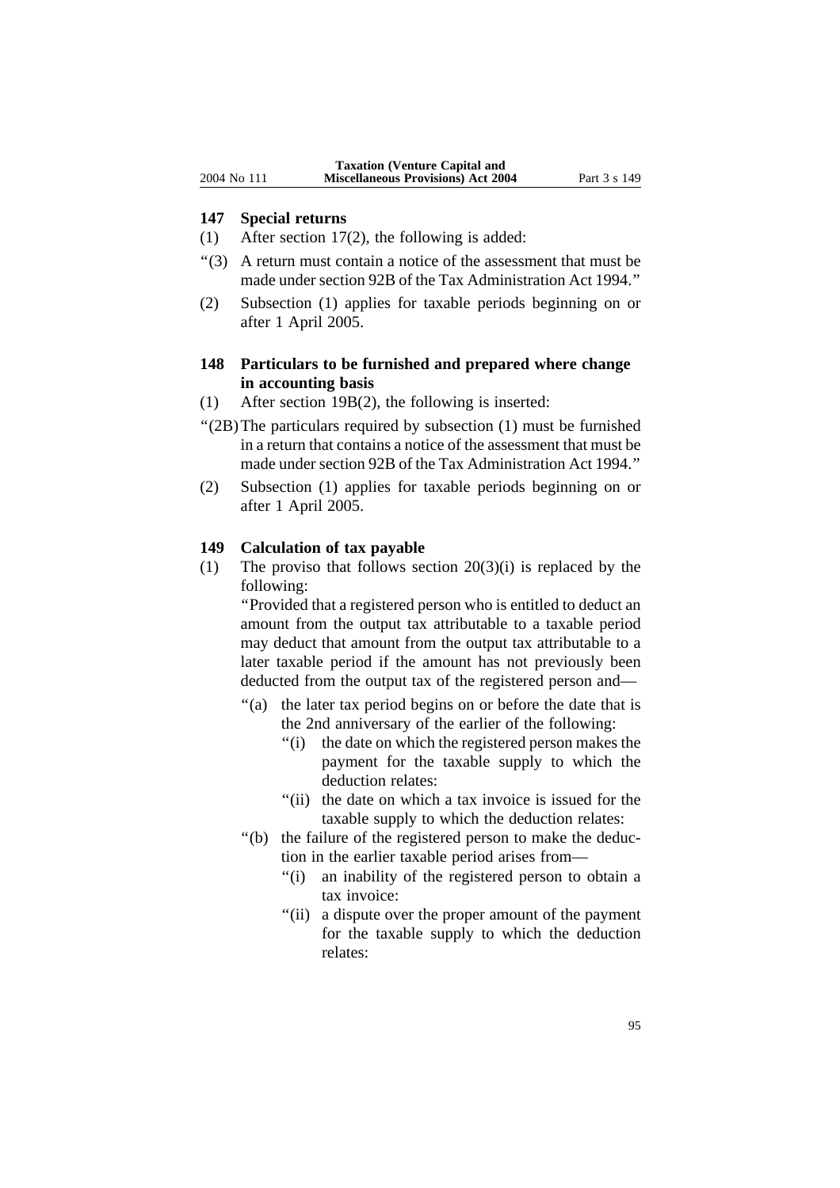#### **147 Special returns**

- (1) After section 17(2), the following is added:
- ''(3) A return must contain a notice of the assessment that must be made under section 92B of the Tax Administration Act 1994.''
- (2) Subsection (1) applies for taxable periods beginning on or after 1 April 2005.

## **148 Particulars to be furnished and prepared where change in accounting basis**

- (1) After section 19B(2), the following is inserted:
- ''(2B)The particulars required by subsection (1) must be furnished in a return that contains a notice of the assessment that must be made under section 92B of the Tax Administration Act 1994.''
- (2) Subsection (1) applies for taxable periods beginning on or after 1 April 2005.

#### **149 Calculation of tax payable**

(1) The proviso that follows section  $20(3)(i)$  is replaced by the following:

''Provided that a registered person who is entitled to deduct an amount from the output tax attributable to a taxable period may deduct that amount from the output tax attributable to a later taxable period if the amount has not previously been deducted from the output tax of the registered person and—

- "(a) the later tax period begins on or before the date that is the 2nd anniversary of the earlier of the following:
	- ''(i) the date on which the registered person makes the payment for the taxable supply to which the deduction relates:
	- "(ii) the date on which a tax invoice is issued for the taxable supply to which the deduction relates:
- ''(b) the failure of the registered person to make the deduction in the earlier taxable period arises from—
	- "(i) an inability of the registered person to obtain a tax invoice:
	- "(ii) a dispute over the proper amount of the payment for the taxable supply to which the deduction relates: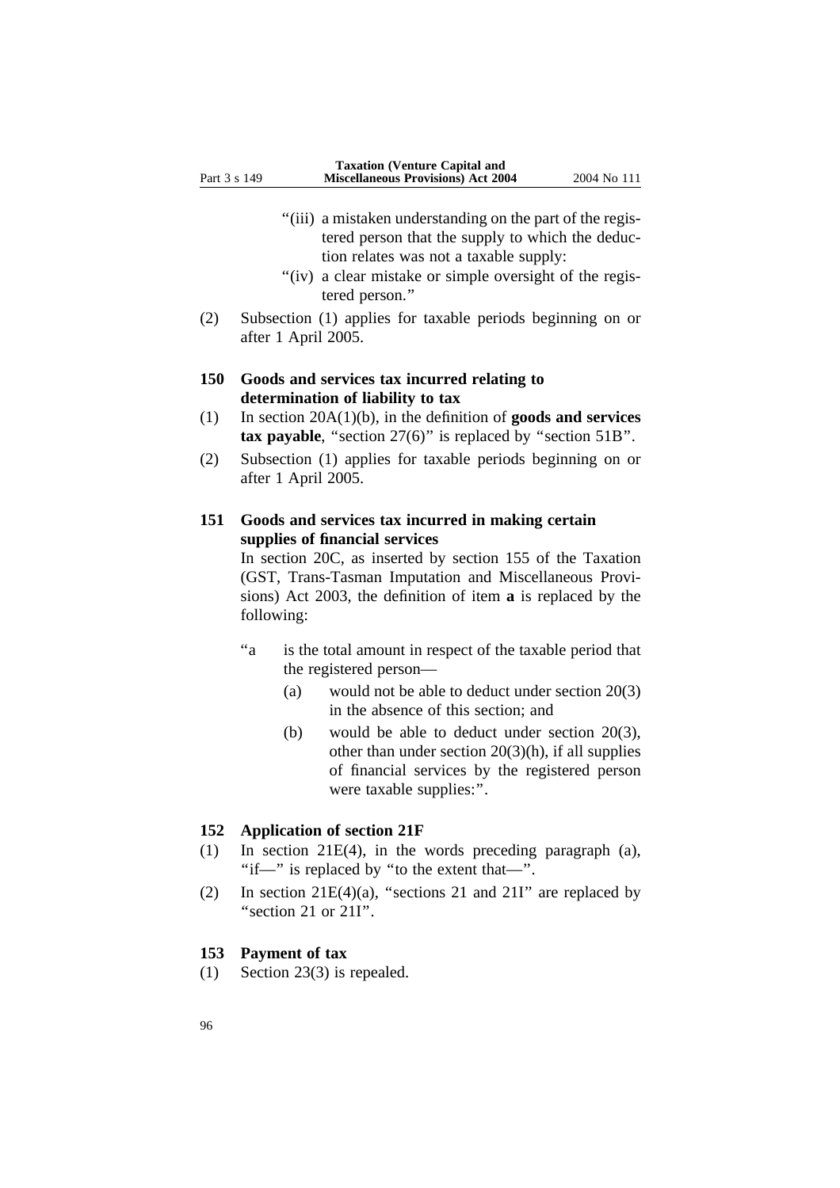- "(iii) a mistaken understanding on the part of the registered person that the supply to which the deduction relates was not a taxable supply:
- "(iv) a clear mistake or simple oversight of the registered person.''
- (2) Subsection (1) applies for taxable periods beginning on or after 1 April 2005.

## **150 Goods and services tax incurred relating to determination of liability to tax**

- (1) In section 20A(1)(b), in the definition of **goods and services tax payable**, "section 27(6)" is replaced by "section 51B".
- (2) Subsection (1) applies for taxable periods beginning on or after 1 April 2005.

# **151 Goods and services tax incurred in making certain supplies of financial services**

In section 20C, as inserted by section 155 of the Taxation (GST, Trans-Tasman Imputation and Miscellaneous Provisions) Act 2003, the definition of item **a** is replaced by the following:

- "a is the total amount in respect of the taxable period that the registered person—
	- (a) would not be able to deduct under section 20(3) in the absence of this section; and
	- (b) would be able to deduct under section 20(3), other than under section  $20(3)(h)$ , if all supplies of financial services by the registered person were taxable supplies:''.

#### **152 Application of section 21F**

- (1) In section 21E(4), in the words preceding paragraph (a), ''if—'' is replaced by ''to the extent that—''.
- (2) In section  $21E(4)(a)$ , "sections 21 and 21I" are replaced by ''section 21 or 21I''.

### **153 Payment of tax**

(1) Section 23(3) is repealed.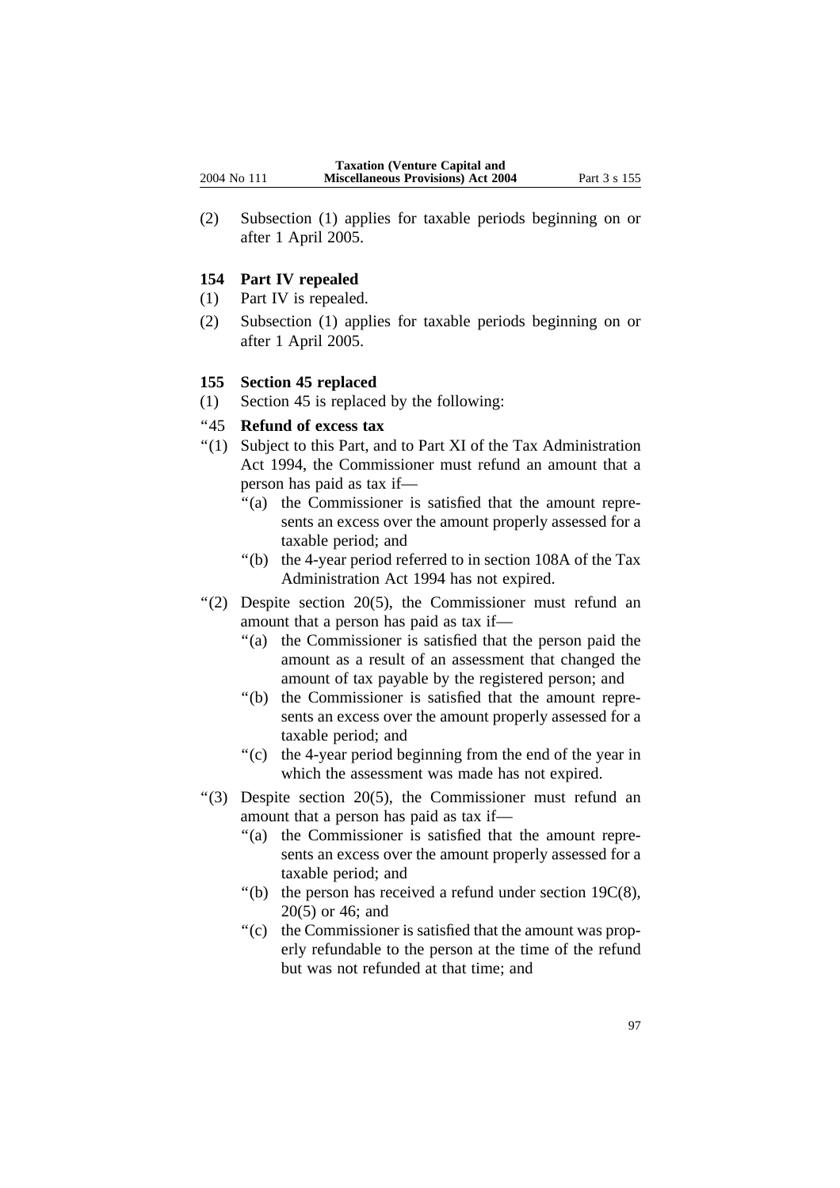(2) Subsection (1) applies for taxable periods beginning on or after 1 April 2005.

# **154 Part IV repealed**

- (1) Part IV is repealed.
- (2) Subsection (1) applies for taxable periods beginning on or after 1 April 2005.

# **155 Section 45 replaced**

(1) Section 45 is replaced by the following:

# ''45 **Refund of excess tax**

- ''(1) Subject to this Part, and to Part XI of the Tax Administration Act 1994, the Commissioner must refund an amount that a person has paid as tax if—
	- ''(a) the Commissioner is satisfied that the amount represents an excess over the amount properly assessed for a taxable period; and
	- ''(b) the 4-year period referred to in section 108A of the Tax Administration Act 1994 has not expired.
- ''(2) Despite section 20(5), the Commissioner must refund an amount that a person has paid as tax if—
	- ''(a) the Commissioner is satisfied that the person paid the amount as a result of an assessment that changed the amount of tax payable by the registered person; and
	- ''(b) the Commissioner is satisfied that the amount represents an excess over the amount properly assessed for a taxable period; and
	- ''(c) the 4-year period beginning from the end of the year in which the assessment was made has not expired.
- ''(3) Despite section 20(5), the Commissioner must refund an amount that a person has paid as tax if—
	- ''(a) the Commissioner is satisfied that the amount represents an excess over the amount properly assessed for a taxable period; and
	- $"$ (b) the person has received a refund under section 19 $C(8)$ , 20(5) or 46; and
	- "(c) the Commissioner is satisfied that the amount was properly refundable to the person at the time of the refund but was not refunded at that time; and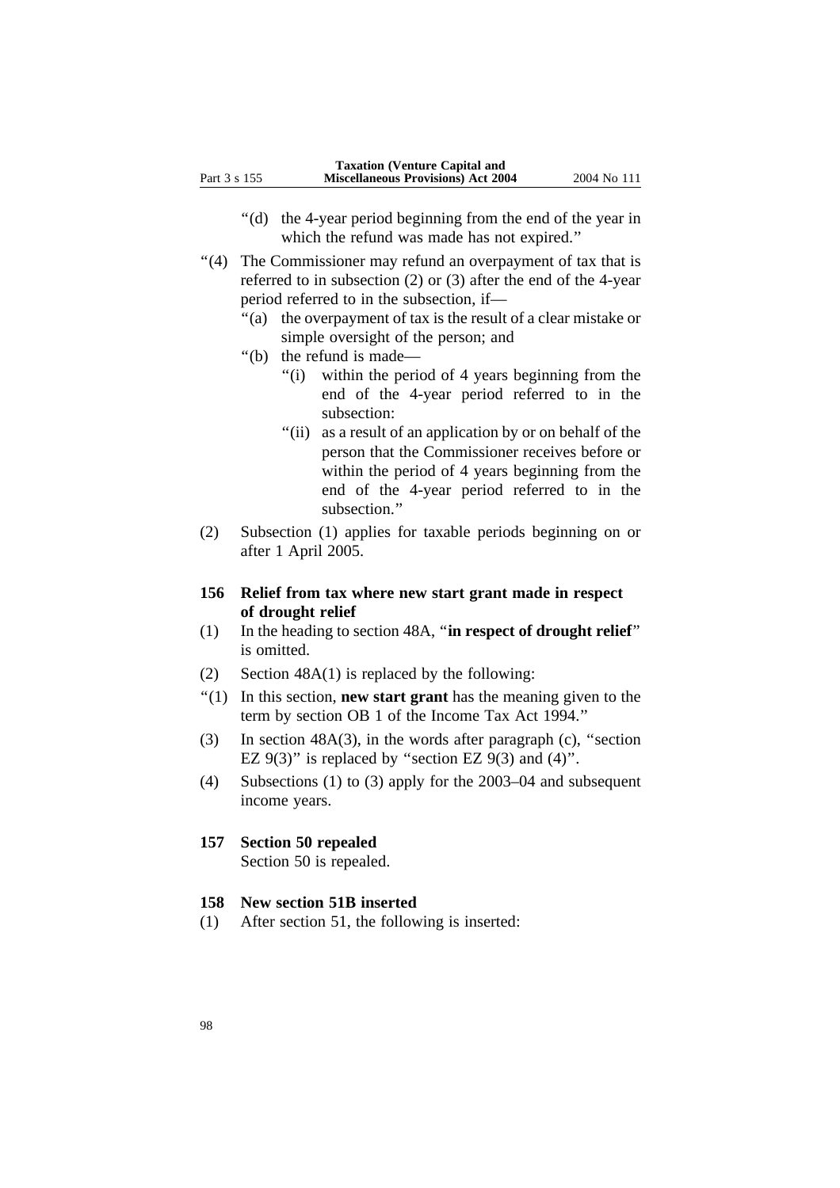- ''(d) the 4-year period beginning from the end of the year in which the refund was made has not expired.''
- "(4) The Commissioner may refund an overpayment of tax that is referred to in subsection (2) or (3) after the end of the 4-year period referred to in the subsection, if—
	- ''(a) the overpayment of tax is the result of a clear mistake or simple oversight of the person; and
	- ''(b) the refund is made—
		- ''(i) within the period of 4 years beginning from the end of the 4-year period referred to in the subsection:
		- "(ii) as a result of an application by or on behalf of the person that the Commissioner receives before or within the period of 4 years beginning from the end of the 4-year period referred to in the subsection.''
- (2) Subsection (1) applies for taxable periods beginning on or after 1 April 2005.

# **156 Relief from tax where new start grant made in respect of drought relief**

- (1) In the heading to section 48A, ''**in respect of drought relief**'' is omitted.
- (2) Section 48A(1) is replaced by the following:
- ''(1) In this section, **new start grant** has the meaning given to the term by section OB 1 of the Income Tax Act 1994.''
- (3) In section 48A(3), in the words after paragraph (c), ''section EZ  $9(3)$ " is replaced by "section EZ  $9(3)$  and  $(4)$ ".
- (4) Subsections (1) to (3) apply for the 2003–04 and subsequent income years.

#### **157 Section 50 repealed**

Section 50 is repealed.

#### **158 New section 51B inserted**

(1) After section 51, the following is inserted: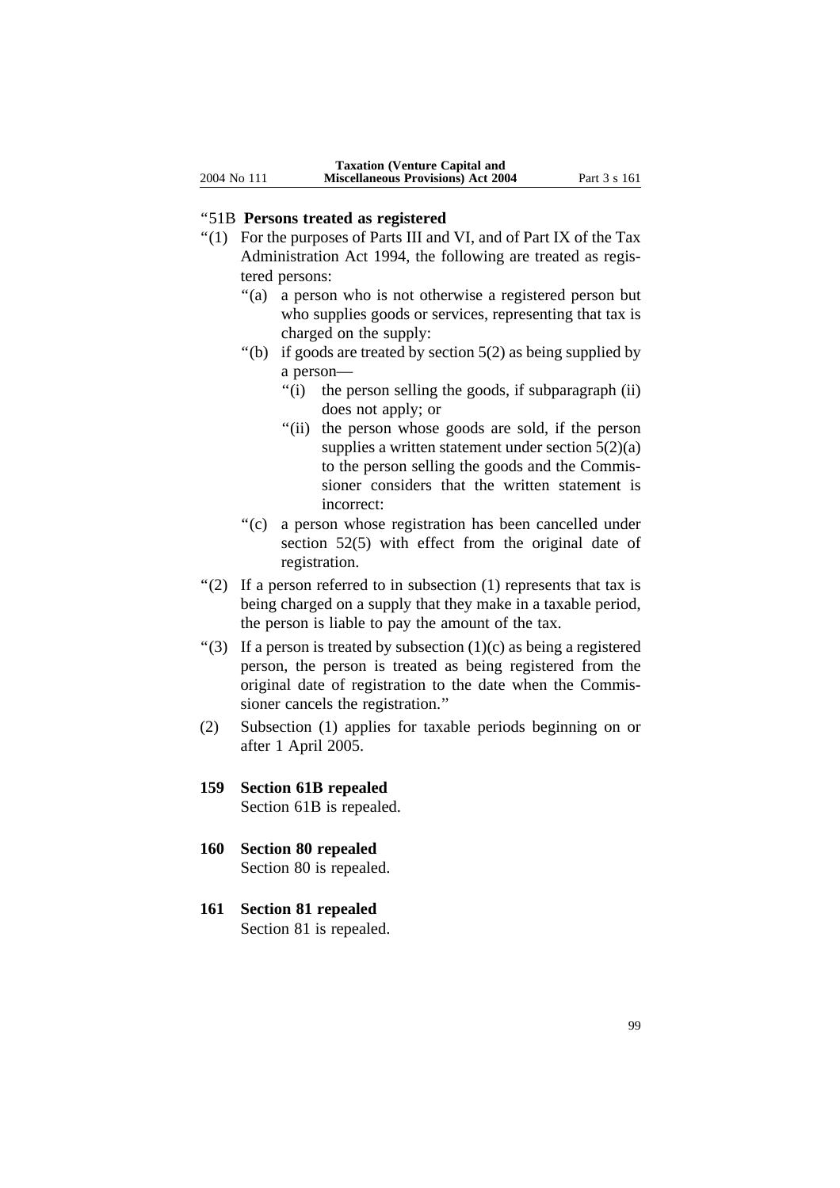## ''51B **Persons treated as registered**

- ''(1) For the purposes of Parts III and VI, and of Part IX of the Tax Administration Act 1994, the following are treated as registered persons:
	- ''(a) a person who is not otherwise a registered person but who supplies goods or services, representing that tax is charged on the supply:
	- "(b) if goods are treated by section  $5(2)$  as being supplied by a person—
		- ''(i) the person selling the goods, if subparagraph (ii) does not apply; or
		- "(ii) the person whose goods are sold, if the person supplies a written statement under section  $5(2)(a)$ to the person selling the goods and the Commissioner considers that the written statement is incorrect:
	- ''(c) a person whose registration has been cancelled under section 52(5) with effect from the original date of registration.
- "(2) If a person referred to in subsection  $(1)$  represents that tax is being charged on a supply that they make in a taxable period, the person is liable to pay the amount of the tax.
- "(3) If a person is treated by subsection  $(1)(c)$  as being a registered person, the person is treated as being registered from the original date of registration to the date when the Commissioner cancels the registration.''
- (2) Subsection (1) applies for taxable periods beginning on or after 1 April 2005.
- **159 Section 61B repealed** Section 61B is repealed.
- **160 Section 80 repealed** Section 80 is repealed.
- **161 Section 81 repealed** Section 81 is repealed.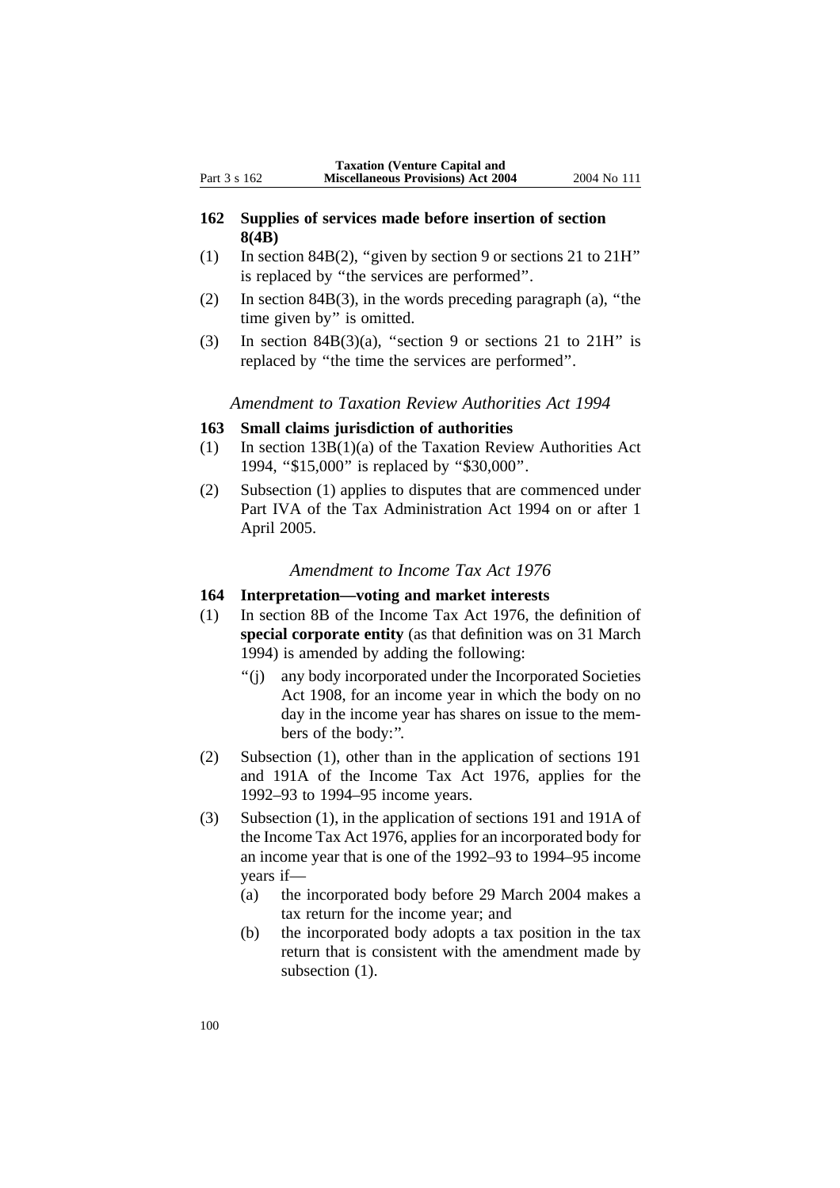# **162 Supplies of services made before insertion of section 8(4B)**

- (1) In section 84B(2), ''given by section 9 or sections 21 to 21H'' is replaced by ''the services are performed''.
- (2) In section 84B(3), in the words preceding paragraph (a), ''the time given by'' is omitted.
- (3) In section 84B(3)(a), "section 9 or sections 21 to 21H" is replaced by ''the time the services are performed''.

*Amendment to Taxation Review Authorities Act 1994*

### **163 Small claims jurisdiction of authorities**

- (1) In section 13B(1)(a) of the Taxation Review Authorities Act 1994, ''\$15,000'' is replaced by ''\$30,000''.
- (2) Subsection (1) applies to disputes that are commenced under Part IVA of the Tax Administration Act 1994 on or after 1 April 2005.

### *Amendment to Income Tax Act 1976*

# **164 Interpretation—voting and market interests**

- (1) In section 8B of the Income Tax Act 1976, the definition of **special corporate entity** (as that definition was on 31 March 1994) is amended by adding the following:
	- ''(j) any body incorporated under the Incorporated Societies Act 1908, for an income year in which the body on no day in the income year has shares on issue to the members of the body:''.
- (2) Subsection (1), other than in the application of sections 191 and 191A of the Income Tax Act 1976, applies for the 1992–93 to 1994–95 income years.
- (3) Subsection (1), in the application of sections 191 and 191A of the Income Tax Act 1976, applies for an incorporated body for an income year that is one of the 1992–93 to 1994–95 income years if—
	- (a) the incorporated body before 29 March 2004 makes a tax return for the income year; and
	- (b) the incorporated body adopts a tax position in the tax return that is consistent with the amendment made by subsection  $(1)$ .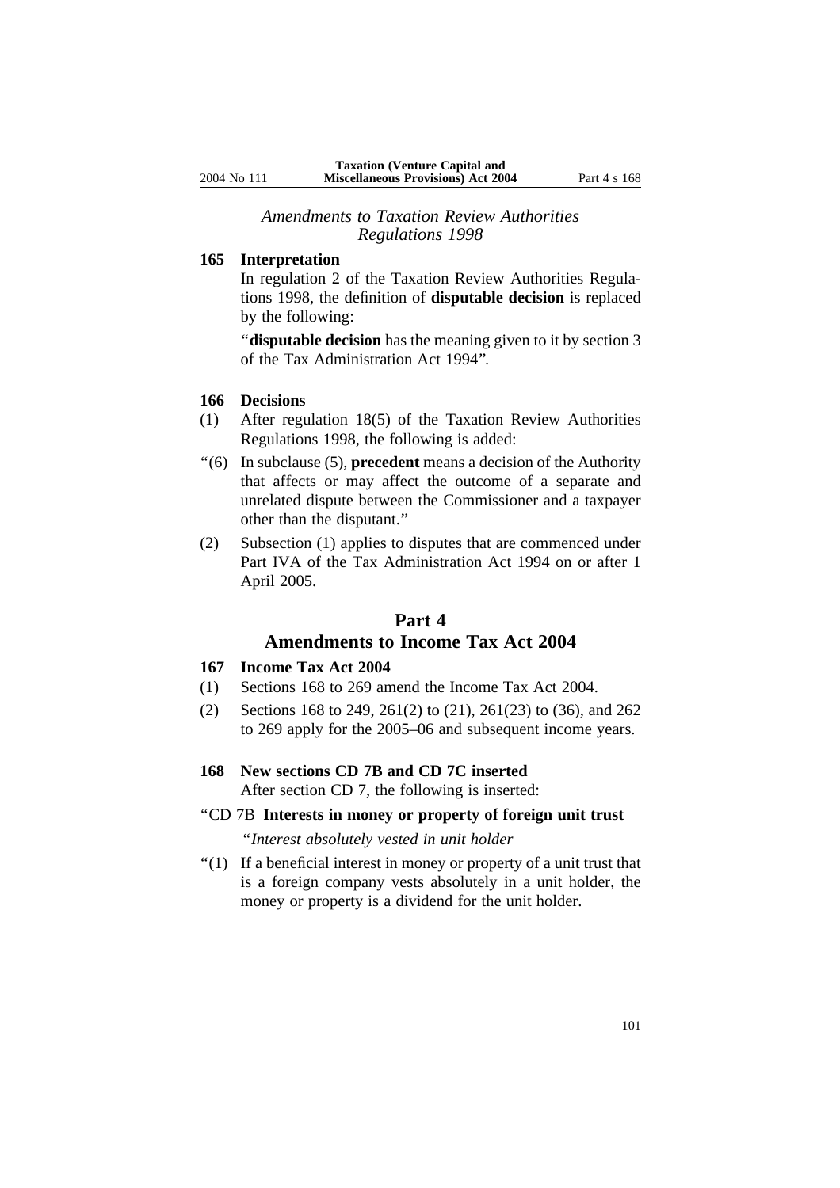### *Amendments to Taxation Review Authorities Regulations 1998*

### **165 Interpretation**

In regulation 2 of the Taxation Review Authorities Regulations 1998, the definition of **disputable decision** is replaced by the following:

''**disputable decision** has the meaning given to it by section 3 of the Tax Administration Act 1994''.

#### **166 Decisions**

- (1) After regulation 18(5) of the Taxation Review Authorities Regulations 1998, the following is added:
- ''(6) In subclause (5), **precedent** means a decision of the Authority that affects or may affect the outcome of a separate and unrelated dispute between the Commissioner and a taxpayer other than the disputant.''
- (2) Subsection (1) applies to disputes that are commenced under Part IVA of the Tax Administration Act 1994 on or after 1 April 2005.

# **Part 4 Amendments to Income Tax Act 2004**

#### **167 Income Tax Act 2004**

- (1) Sections 168 to 269 amend the Income Tax Act 2004.
- (2) Sections 168 to 249, 261(2) to (21), 261(23) to (36), and 262 to 269 apply for the 2005–06 and subsequent income years.
- **168 New sections CD 7B and CD 7C inserted** After section CD 7, the following is inserted:
- ''CD 7B **Interests in money or property of foreign unit trust** ''*Interest absolutely vested in unit holder*
- ''(1) If a beneficial interest in money or property of a unit trust that is a foreign company vests absolutely in a unit holder, the money or property is a dividend for the unit holder.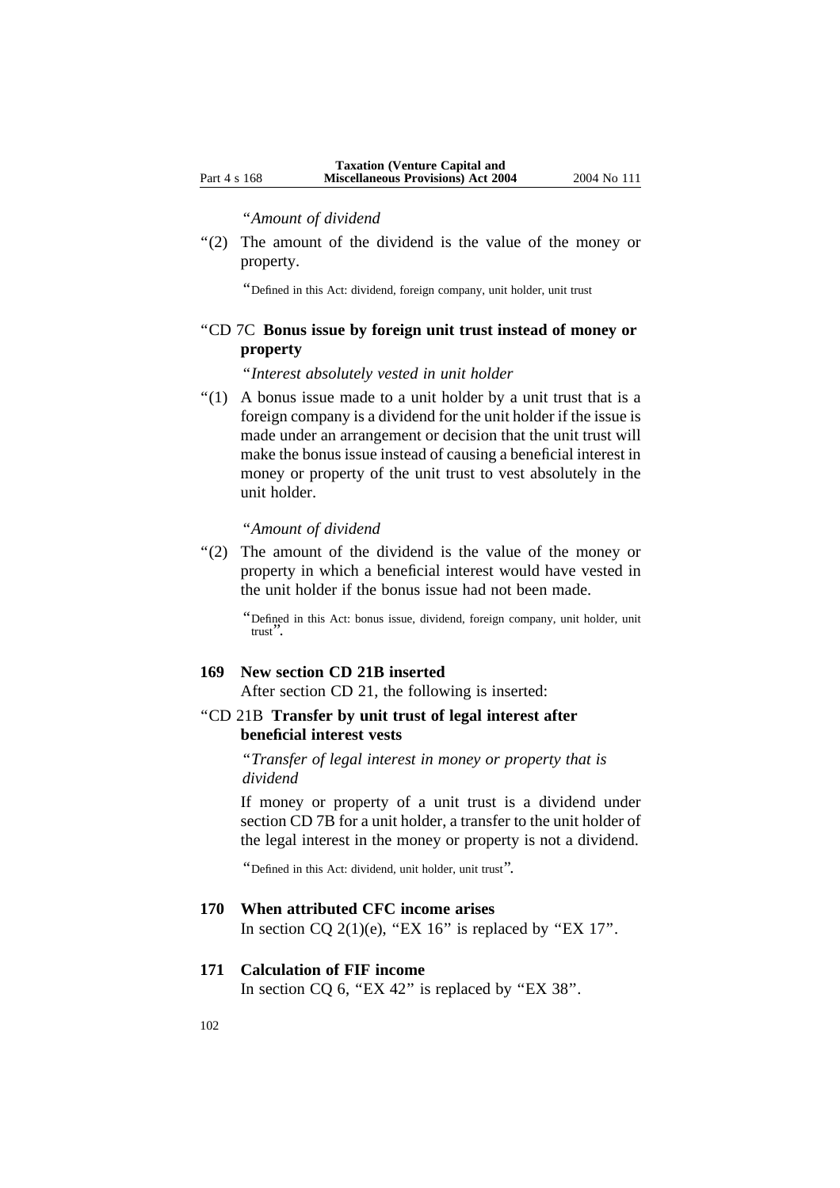### ''*Amount of dividend*

''(2) The amount of the dividend is the value of the money or property.

''Defined in this Act: dividend, foreign company, unit holder, unit trust

# ''CD 7C **Bonus issue by foreign unit trust instead of money or property**

''*Interest absolutely vested in unit holder*

 $''(1)$  A bonus issue made to a unit holder by a unit trust that is a foreign company is a dividend for the unit holder if the issue is made under an arrangement or decision that the unit trust will make the bonus issue instead of causing a beneficial interest in money or property of the unit trust to vest absolutely in the unit holder.

#### ''*Amount of dividend*

"(2) The amount of the dividend is the value of the money or property in which a beneficial interest would have vested in the unit holder if the bonus issue had not been made.

''Defined in this Act: bonus issue, dividend, foreign company, unit holder, unit trust''.

### **169 New section CD 21B inserted**

After section CD 21, the following is inserted:

# ''CD 21B **Transfer by unit trust of legal interest after beneficial interest vests**

''*Transfer of legal interest in money or property that is dividend*

If money or property of a unit trust is a dividend under section CD 7B for a unit holder, a transfer to the unit holder of the legal interest in the money or property is not a dividend.

''Defined in this Act: dividend, unit holder, unit trust''.

## **170 When attributed CFC income arises**

In section CQ 2(1)(e), "EX 16" is replaced by "EX 17".

## **171 Calculation of FIF income**

In section  $CQ$  6, "EX 42" is replaced by "EX 38".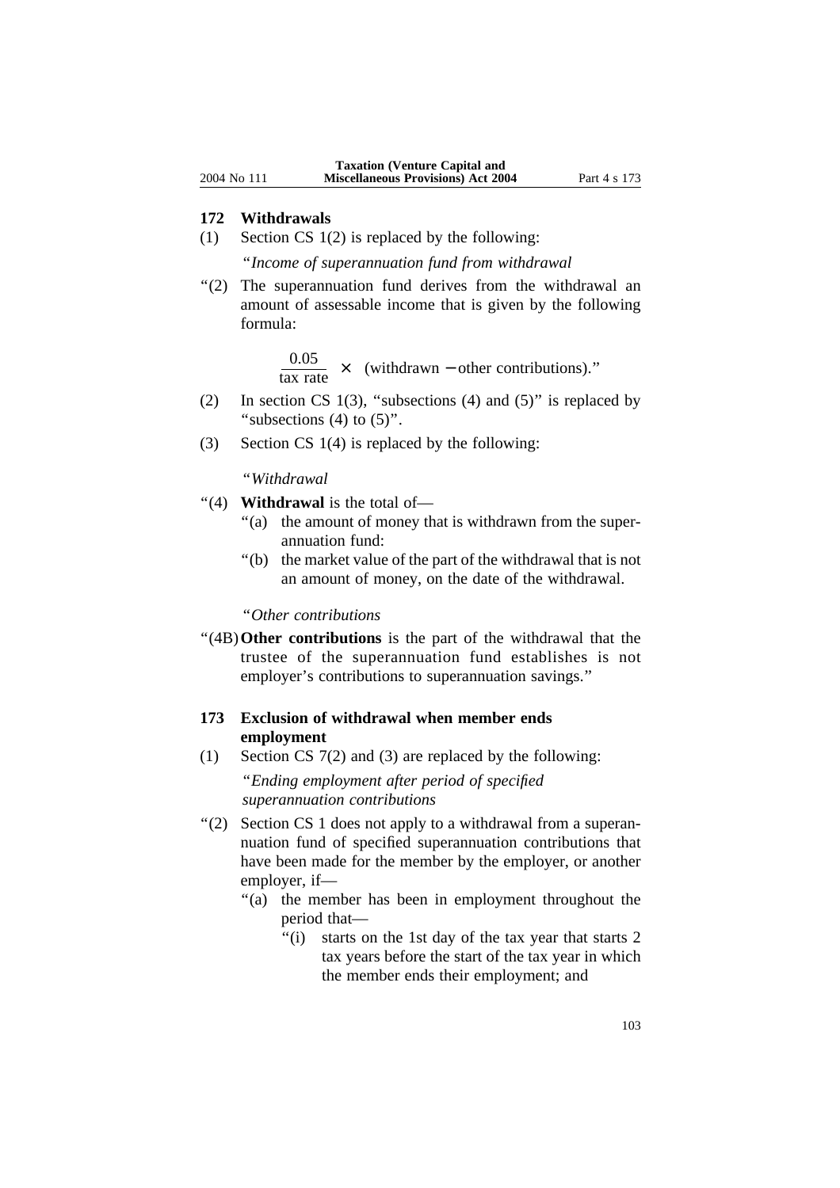#### **172 Withdrawals**

(1) Section CS 1(2) is replaced by the following:

''*Income of superannuation fund from withdrawal*

''(2) The superannuation fund derives from the withdrawal an amount of assessable income that is given by the following formula:

 $\frac{0.05}{\text{tax rate}}$  × (withdrawn – other contributions)."

- (2) In section CS 1(3), "subsections (4) and (5)" is replaced by "subsections  $(4)$  to  $(5)$ ".
- (3) Section CS 1(4) is replaced by the following:

''*Withdrawal*

- ''(4) **Withdrawal** is the total of—
	- "(a) the amount of money that is withdrawn from the superannuation fund:
	- ''(b) the market value of the part of the withdrawal that is not an amount of money, on the date of the withdrawal.

''*Other contributions*

''(4B)**Other contributions** is the part of the withdrawal that the trustee of the superannuation fund establishes is not employer's contributions to superannuation savings.''

# **173 Exclusion of withdrawal when member ends employment**

(1) Section CS 7(2) and (3) are replaced by the following:

''*Ending employment after period of specified superannuation contributions*

- "(2) Section CS 1 does not apply to a withdrawal from a superannuation fund of specified superannuation contributions that have been made for the member by the employer, or another employer, if—
	- "(a) the member has been in employment throughout the period that—
		- "(i) starts on the 1st day of the tax year that starts 2 tax years before the start of the tax year in which the member ends their employment; and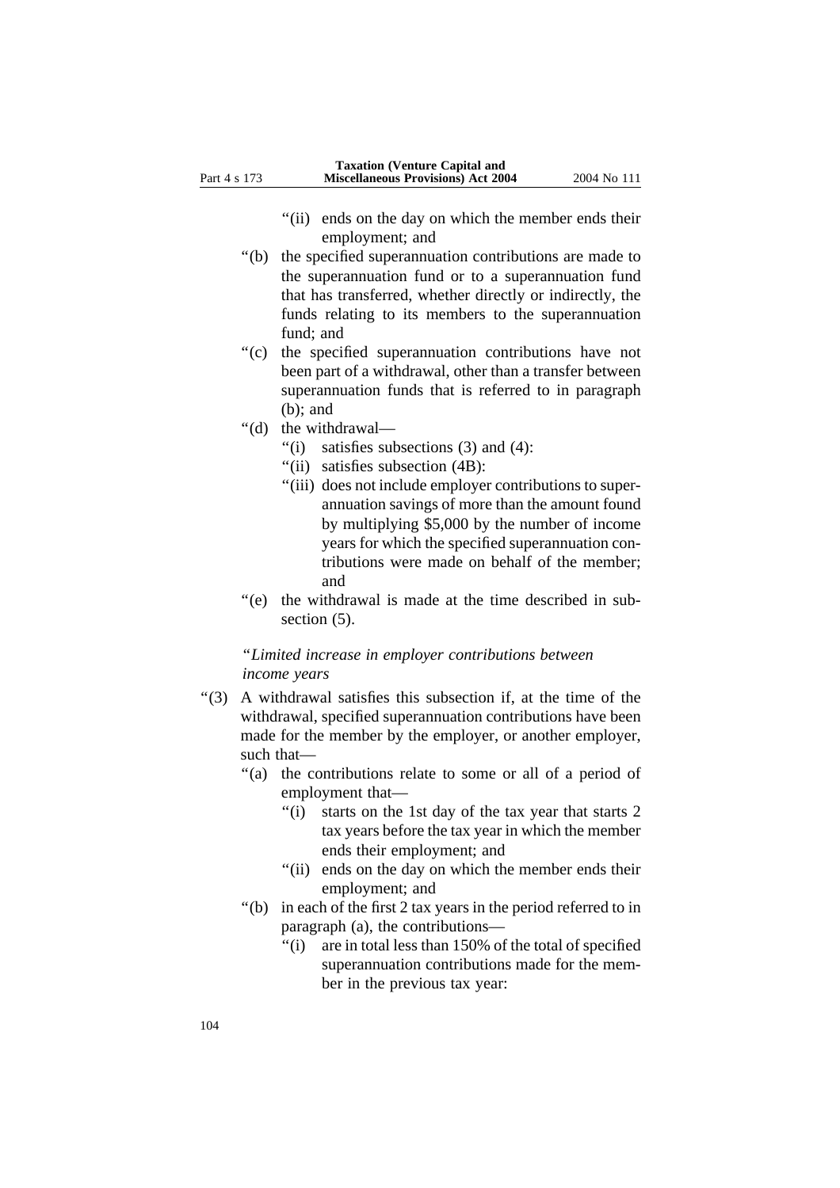- "(ii) ends on the day on which the member ends their employment; and
- ''(b) the specified superannuation contributions are made to the superannuation fund or to a superannuation fund that has transferred, whether directly or indirectly, the funds relating to its members to the superannuation fund; and
- ''(c) the specified superannuation contributions have not been part of a withdrawal, other than a transfer between superannuation funds that is referred to in paragraph (b); and
- ''(d) the withdrawal—
	- $\degree$ (i) satisfies subsections (3) and (4):
	- ''(ii) satisfies subsection (4B):
	- "(iii) does not include employer contributions to superannuation savings of more than the amount found by multiplying \$5,000 by the number of income years for which the specified superannuation contributions were made on behalf of the member; and
- "(e) the withdrawal is made at the time described in subsection  $(5)$ .

## ''*Limited increase in employer contributions between income years*

- ''(3) A withdrawal satisfies this subsection if, at the time of the withdrawal, specified superannuation contributions have been made for the member by the employer, or another employer, such that—
	- "(a) the contributions relate to some or all of a period of employment that—
		- ''(i) starts on the 1st day of the tax year that starts 2 tax years before the tax year in which the member ends their employment; and
		- "(ii) ends on the day on which the member ends their employment; and
	- ''(b) in each of the first 2 tax years in the period referred to in paragraph (a), the contributions—
		- ''(i) are in total less than 150% of the total of specified superannuation contributions made for the member in the previous tax year: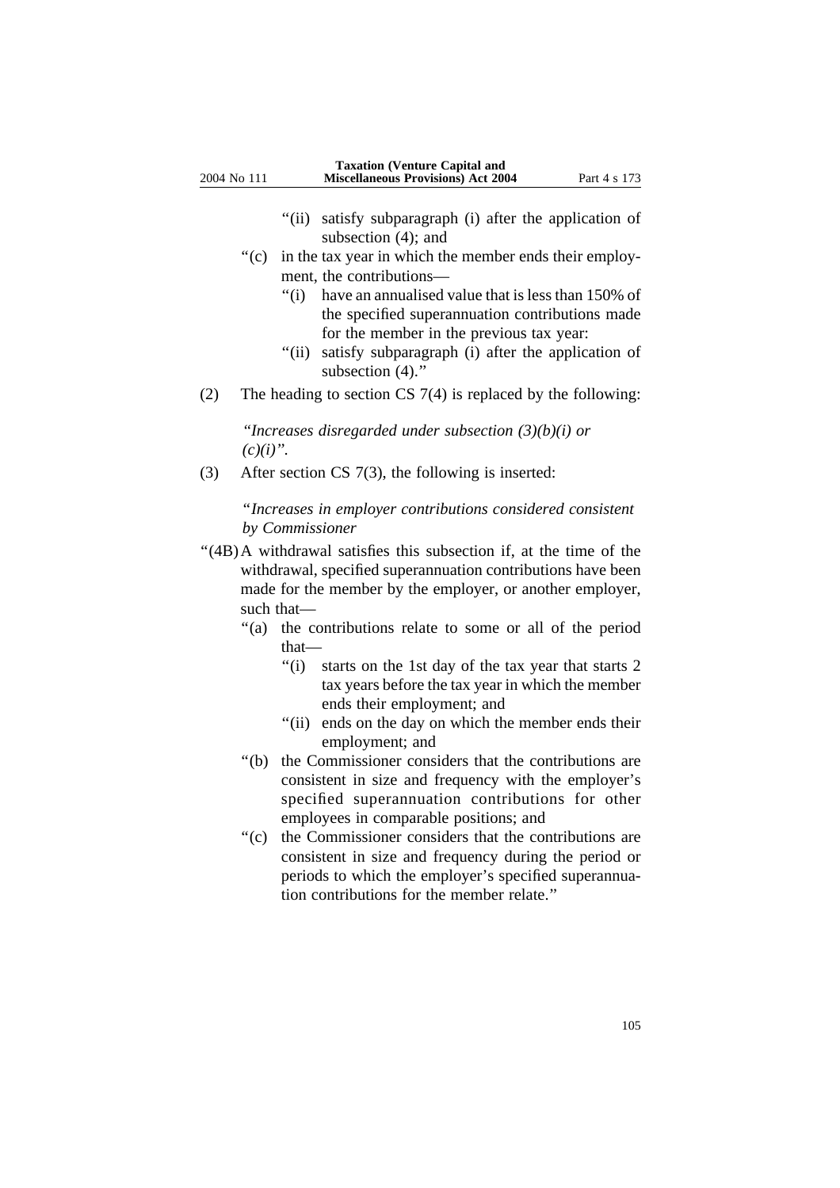- ''(ii) satisfy subparagraph (i) after the application of subsection  $(4)$ ; and
- $'(c)$  in the tax year in which the member ends their employment, the contributions—
	- ''(i) have an annualised value that is less than 150% of the specified superannuation contributions made for the member in the previous tax year:
	- "(ii) satisfy subparagraph (i) after the application of subsection  $(4)$ ."
- (2) The heading to section CS 7(4) is replaced by the following:

*''Increases disregarded under subsection (3)(b)(i) or*  $(c)(i)$ ".

(3) After section CS 7(3), the following is inserted:

''*Increases in employer contributions considered consistent by Commissioner*

- "(4B)A withdrawal satisfies this subsection if, at the time of the withdrawal, specified superannuation contributions have been made for the member by the employer, or another employer, such that—
	- "(a) the contributions relate to some or all of the period that—
		- ''(i) starts on the 1st day of the tax year that starts 2 tax years before the tax year in which the member ends their employment; and
		- "(ii) ends on the day on which the member ends their employment; and
	- ''(b) the Commissioner considers that the contributions are consistent in size and frequency with the employer's specified superannuation contributions for other employees in comparable positions; and
	- ''(c) the Commissioner considers that the contributions are consistent in size and frequency during the period or periods to which the employer's specified superannuation contributions for the member relate.''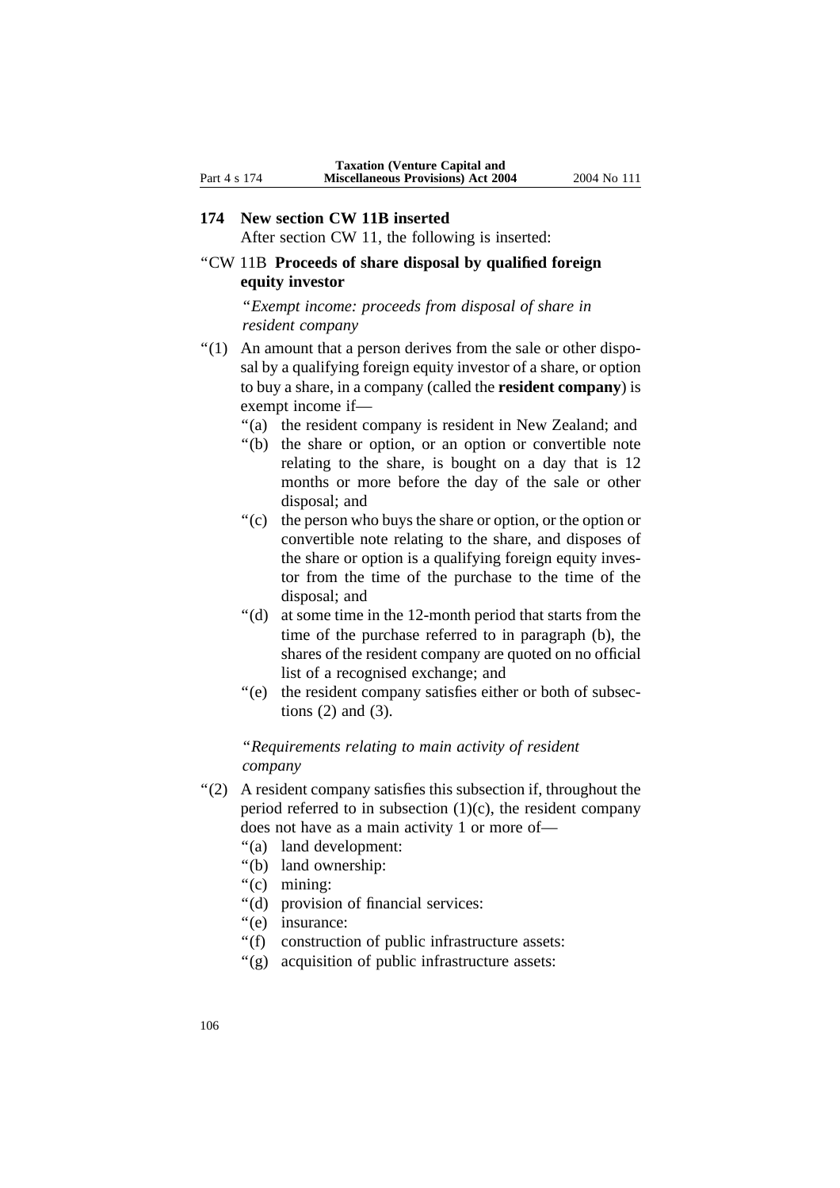After section CW 11, the following is inserted:

# ''CW 11B **Proceeds of share disposal by qualified foreign equity investor**

''*Exempt income: proceeds from disposal of share in resident company* 

- ''(1) An amount that a person derives from the sale or other disposal by a qualifying foreign equity investor of a share, or option to buy a share, in a company (called the **resident company**) is exempt income if—
	- "(a) the resident company is resident in New Zealand; and
	- ''(b) the share or option, or an option or convertible note relating to the share, is bought on a day that is 12 months or more before the day of the sale or other disposal; and
	- ''(c) the person who buys the share or option, or the option or convertible note relating to the share, and disposes of the share or option is a qualifying foreign equity investor from the time of the purchase to the time of the disposal; and
	- ''(d) at some time in the 12-month period that starts from the time of the purchase referred to in paragraph (b), the shares of the resident company are quoted on no official list of a recognised exchange; and
	- "(e) the resident company satisfies either or both of subsections (2) and (3).

## ''*Requirements relating to main activity of resident company*

- ''(2) A resident company satisfies this subsection if, throughout the period referred to in subsection  $(1)(c)$ , the resident company does not have as a main activity 1 or more of—
	- ''(a) land development:
	- ''(b) land ownership:
	- ''(c) mining:
	- ''(d) provision of financial services:
	- "(e) insurance:
	- ''(f) construction of public infrastructure assets:
	- "(g) acquisition of public infrastructure assets: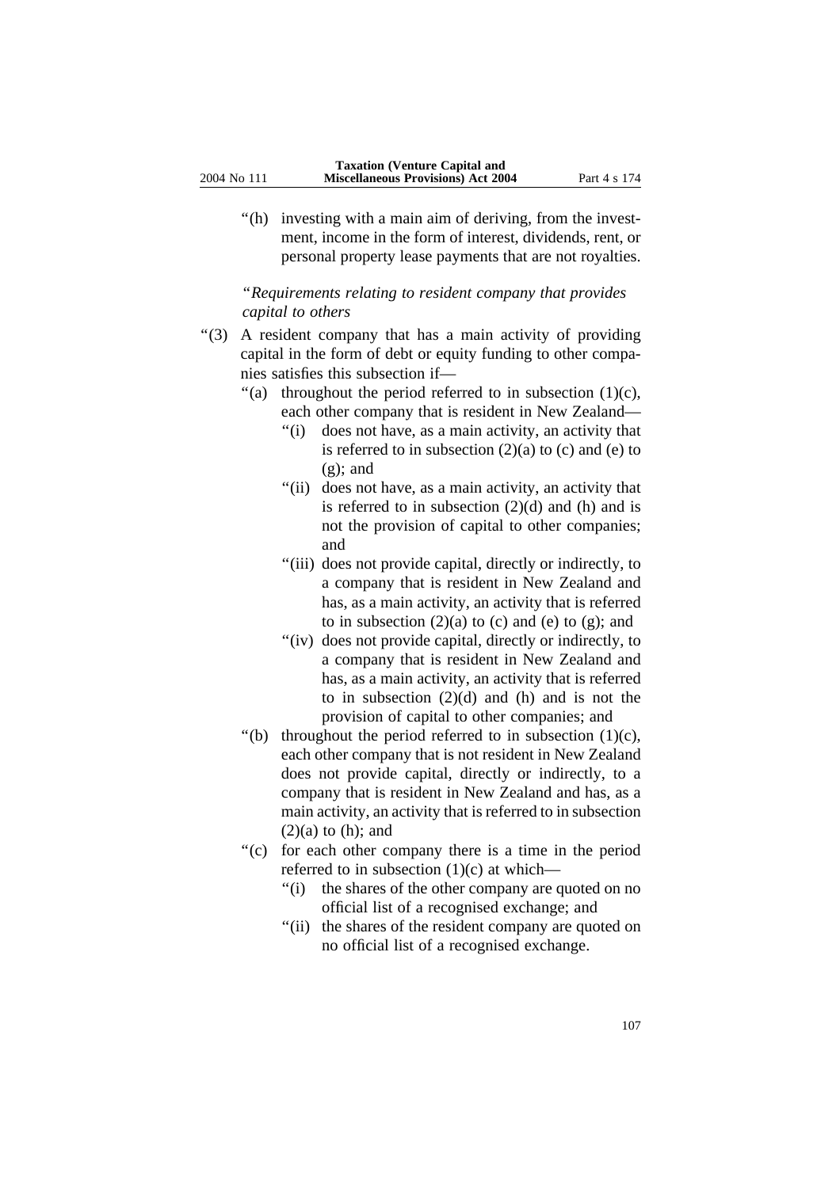''(h) investing with a main aim of deriving, from the investment, income in the form of interest, dividends, rent, or personal property lease payments that are not royalties.

''*Requirements relating to resident company that provides capital to others* 

- ''(3) A resident company that has a main activity of providing capital in the form of debt or equity funding to other companies satisfies this subsection if—
	- "(a) throughout the period referred to in subsection  $(1)(c)$ , each other company that is resident in New Zealand—
		- ''(i) does not have, as a main activity, an activity that is referred to in subsection  $(2)(a)$  to  $(c)$  and  $(e)$  to  $(g)$ ; and
		- "(ii) does not have, as a main activity, an activity that is referred to in subsection  $(2)(d)$  and  $(h)$  and is not the provision of capital to other companies; and
		- "(iii) does not provide capital, directly or indirectly, to a company that is resident in New Zealand and has, as a main activity, an activity that is referred to in subsection  $(2)(a)$  to  $(c)$  and  $(e)$  to  $(g)$ ; and
		- "(iv) does not provide capital, directly or indirectly, to a company that is resident in New Zealand and has, as a main activity, an activity that is referred to in subsection  $(2)(d)$  and  $(h)$  and is not the provision of capital to other companies; and
	- $'(b)$  throughout the period referred to in subsection  $(1)(c)$ , each other company that is not resident in New Zealand does not provide capital, directly or indirectly, to a company that is resident in New Zealand and has, as a main activity, an activity that is referred to in subsection  $(2)(a)$  to  $(h)$ ; and
	- ''(c) for each other company there is a time in the period referred to in subsection (1)(c) at which—
		- "(i) the shares of the other company are quoted on no official list of a recognised exchange; and
		- "(ii) the shares of the resident company are quoted on no official list of a recognised exchange.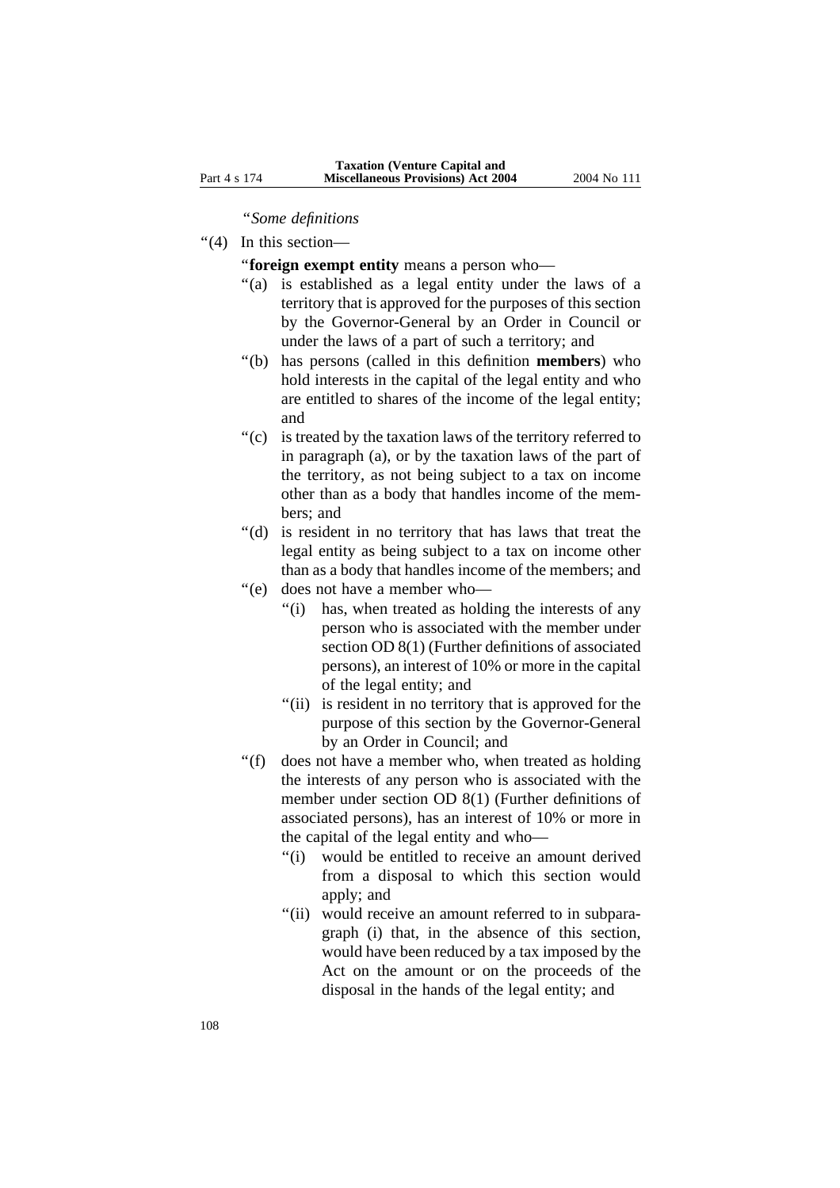## ''*Some definitions*

- ''(4) In this section—
	- ''**foreign exempt entity** means a person who—
	- ''(a) is established as a legal entity under the laws of a territory that is approved for the purposes of this section by the Governor-General by an Order in Council or under the laws of a part of such a territory; and
	- ''(b) has persons (called in this definition **members**) who hold interests in the capital of the legal entity and who are entitled to shares of the income of the legal entity; and
	- ''(c) is treated by the taxation laws of the territory referred to in paragraph (a), or by the taxation laws of the part of the territory, as not being subject to a tax on income other than as a body that handles income of the members; and
	- "(d) is resident in no territory that has laws that treat the legal entity as being subject to a tax on income other than as a body that handles income of the members; and
	- ''(e) does not have a member who—
		- "(i) has, when treated as holding the interests of any person who is associated with the member under section OD 8(1) (Further definitions of associated persons), an interest of 10% or more in the capital of the legal entity; and
		- "(ii) is resident in no territory that is approved for the purpose of this section by the Governor-General by an Order in Council; and
	- ''(f) does not have a member who, when treated as holding the interests of any person who is associated with the member under section OD 8(1) (Further definitions of associated persons), has an interest of 10% or more in the capital of the legal entity and who—
		- "(i) would be entitled to receive an amount derived from a disposal to which this section would apply; and
		- "(ii) would receive an amount referred to in subparagraph (i) that, in the absence of this section, would have been reduced by a tax imposed by the Act on the amount or on the proceeds of the disposal in the hands of the legal entity; and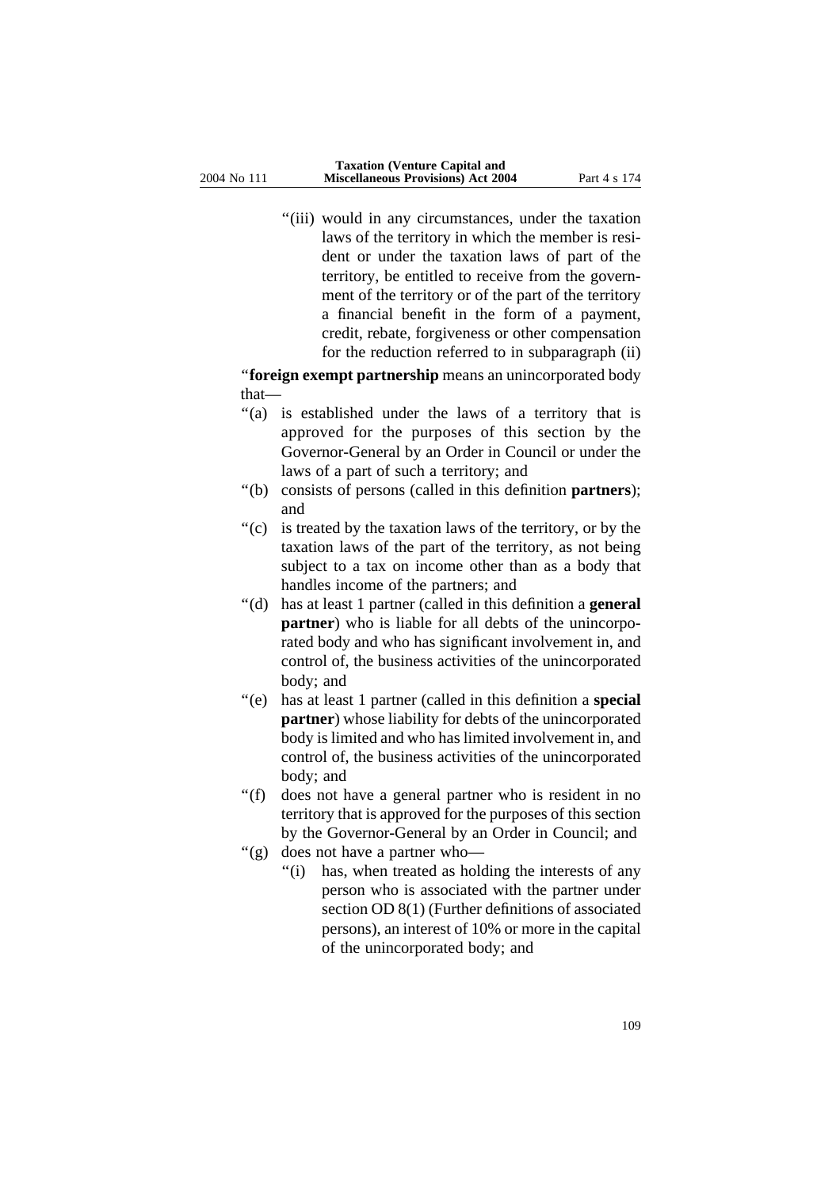"(iii) would in any circumstances, under the taxation laws of the territory in which the member is resident or under the taxation laws of part of the territory, be entitled to receive from the government of the territory or of the part of the territory a financial benefit in the form of a payment, credit, rebate, forgiveness or other compensation for the reduction referred to in subparagraph (ii)

''**foreign exempt partnership** means an unincorporated body that—

- "(a) is established under the laws of a territory that is approved for the purposes of this section by the Governor-General by an Order in Council or under the laws of a part of such a territory; and
- ''(b) consists of persons (called in this definition **partners**); and
- ''(c) is treated by the taxation laws of the territory, or by the taxation laws of the part of the territory, as not being subject to a tax on income other than as a body that handles income of the partners; and
- ''(d) has at least 1 partner (called in this definition a **general partner**) who is liable for all debts of the unincorporated body and who has significant involvement in, and control of, the business activities of the unincorporated body; and
- ''(e) has at least 1 partner (called in this definition a **special partner**) whose liability for debts of the unincorporated body is limited and who has limited involvement in, and control of, the business activities of the unincorporated body; and
- ''(f) does not have a general partner who is resident in no territory that is approved for the purposes of this section by the Governor-General by an Order in Council; and
- ''(g) does not have a partner who—
	- "(i) has, when treated as holding the interests of any person who is associated with the partner under section OD 8(1) (Further definitions of associated persons), an interest of 10% or more in the capital of the unincorporated body; and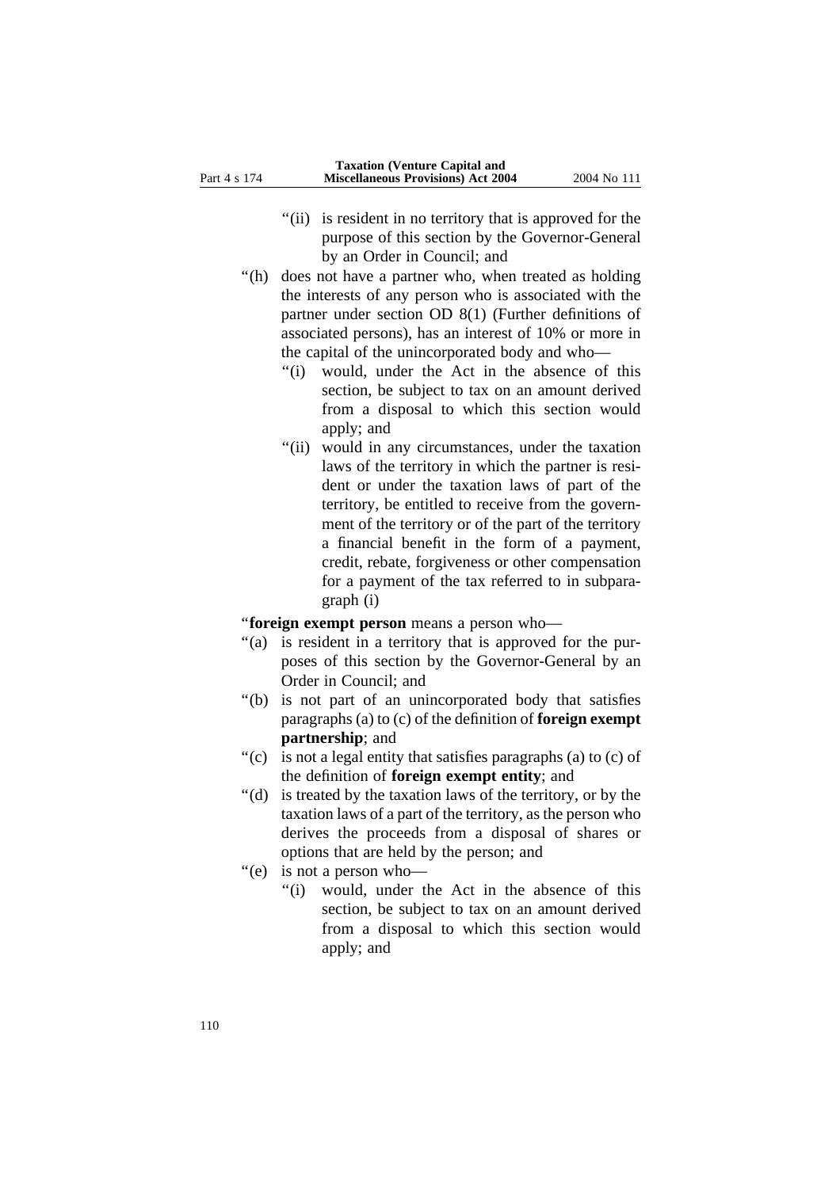- "(ii) is resident in no territory that is approved for the purpose of this section by the Governor-General by an Order in Council; and
- "(h) does not have a partner who, when treated as holding the interests of any person who is associated with the partner under section OD 8(1) (Further definitions of associated persons), has an interest of 10% or more in the capital of the unincorporated body and who—
	- ''(i) would, under the Act in the absence of this section, be subject to tax on an amount derived from a disposal to which this section would apply; and
	- "(ii) would in any circumstances, under the taxation laws of the territory in which the partner is resident or under the taxation laws of part of the territory, be entitled to receive from the government of the territory or of the part of the territory a financial benefit in the form of a payment, credit, rebate, forgiveness or other compensation for a payment of the tax referred to in subparagraph (i)

''**foreign exempt person** means a person who—

- "(a) is resident in a territory that is approved for the purposes of this section by the Governor-General by an Order in Council; and
- ''(b) is not part of an unincorporated body that satisfies paragraphs (a) to (c) of the definition of **foreign exempt partnership**; and
- ''(c) is not a legal entity that satisfies paragraphs (a) to (c) of the definition of **foreign exempt entity**; and
- ''(d) is treated by the taxation laws of the territory, or by the taxation laws of a part of the territory, as the person who derives the proceeds from a disposal of shares or options that are held by the person; and
- ''(e) is not a person who—
	- "(i) would, under the Act in the absence of this section, be subject to tax on an amount derived from a disposal to which this section would apply; and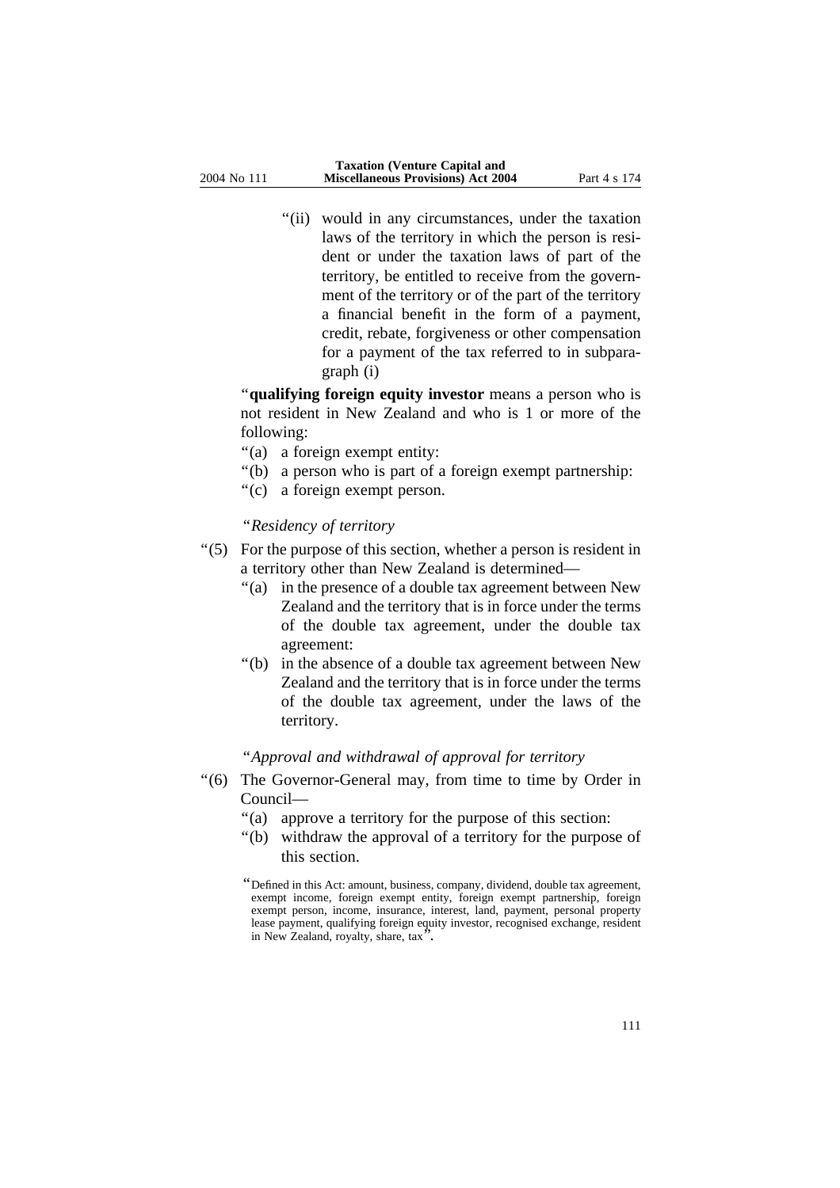"(ii) would in any circumstances, under the taxation laws of the territory in which the person is resident or under the taxation laws of part of the territory, be entitled to receive from the government of the territory or of the part of the territory a financial benefit in the form of a payment, credit, rebate, forgiveness or other compensation for a payment of the tax referred to in subparagraph (i)

''**qualifying foreign equity investor** means a person who is not resident in New Zealand and who is 1 or more of the following:

- ''(a) a foreign exempt entity:
- ''(b) a person who is part of a foreign exempt partnership:
- ''(c) a foreign exempt person.

# ''*Residency of territory*

- ''(5) For the purpose of this section, whether a person is resident in a territory other than New Zealand is determined—
	- ''(a) in the presence of a double tax agreement between New Zealand and the territory that is in force under the terms of the double tax agreement, under the double tax agreement:
	- ''(b) in the absence of a double tax agreement between New Zealand and the territory that is in force under the terms of the double tax agreement, under the laws of the territory.

# ''*Approval and withdrawal of approval for territory*

- ''(6) The Governor-General may, from time to time by Order in Council—
	- ''(a) approve a territory for the purpose of this section:
	- ''(b) withdraw the approval of a territory for the purpose of this section.

<sup>&#</sup>x27;'Defined in this Act: amount, business, company, dividend, double tax agreement, exempt income, foreign exempt entity, foreign exempt partnership, foreign exempt person, income, insurance, interest, land, payment, personal property lease payment, qualifying foreign equity investor, recognised exchange, resident in New Zealand, royalty, share, tax''.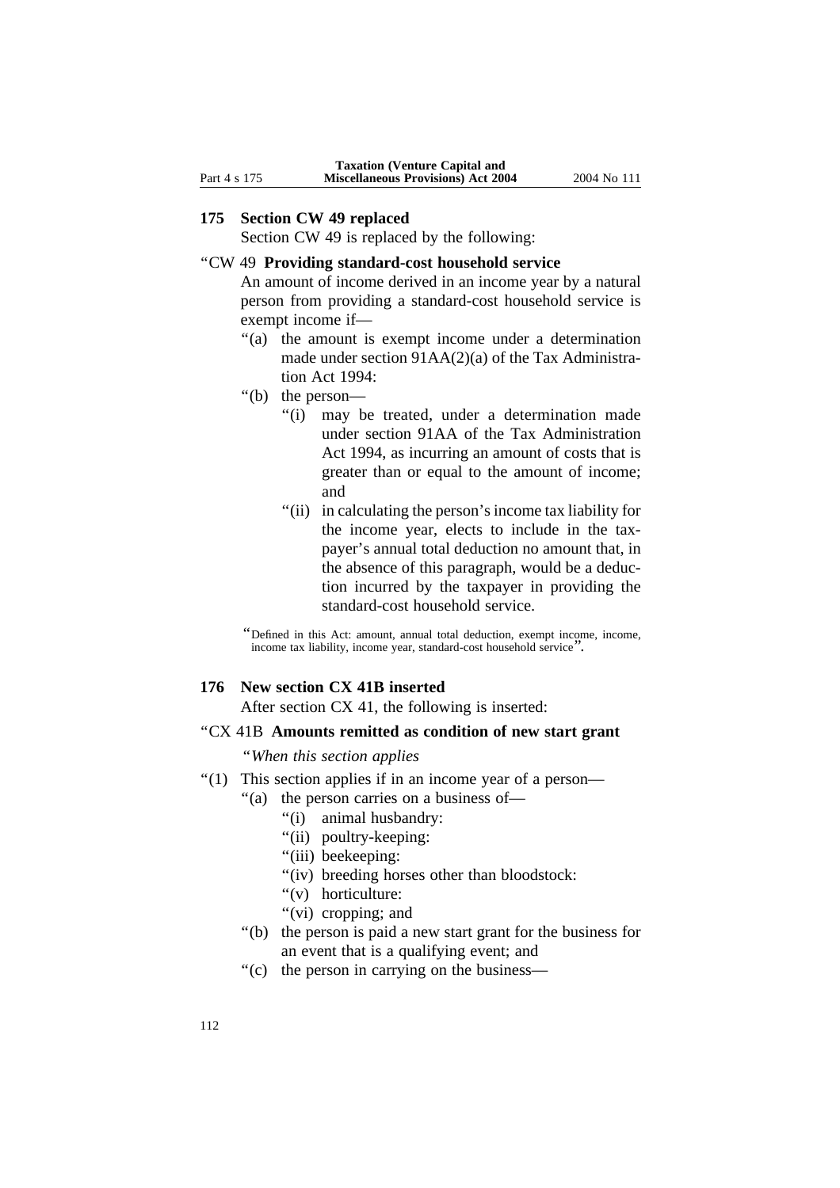#### **175 Section CW 49 replaced**

Section CW 49 is replaced by the following:

## ''CW 49 **Providing standard-cost household service**

An amount of income derived in an income year by a natural person from providing a standard-cost household service is exempt income if—

- "(a) the amount is exempt income under a determination made under section 91AA(2)(a) of the Tax Administration Act 1994:
- ''(b) the person—
	- ''(i) may be treated, under a determination made under section 91AA of the Tax Administration Act 1994, as incurring an amount of costs that is greater than or equal to the amount of income; and
	- "(ii) in calculating the person's income tax liability for the income year, elects to include in the taxpayer's annual total deduction no amount that, in the absence of this paragraph, would be a deduction incurred by the taxpayer in providing the standard-cost household service.

''Defined in this Act: amount, annual total deduction, exempt income, income, income tax liability, income year, standard-cost household service''.

### **176 New section CX 41B inserted**

After section CX 41, the following is inserted:

# ''CX 41B **Amounts remitted as condition of new start grant**

''*When this section applies*

- ''(1) This section applies if in an income year of a person—
	- "(a) the person carries on a business of—
		- ''(i) animal husbandry:
		- ''(ii) poultry-keeping:
		- "(iii) beekeeping:
		- "(iv) breeding horses other than bloodstock:
		- "(v) horticulture:
		- ''(vi) cropping; and
	- ''(b) the person is paid a new start grant for the business for an event that is a qualifying event; and
	- ''(c) the person in carrying on the business—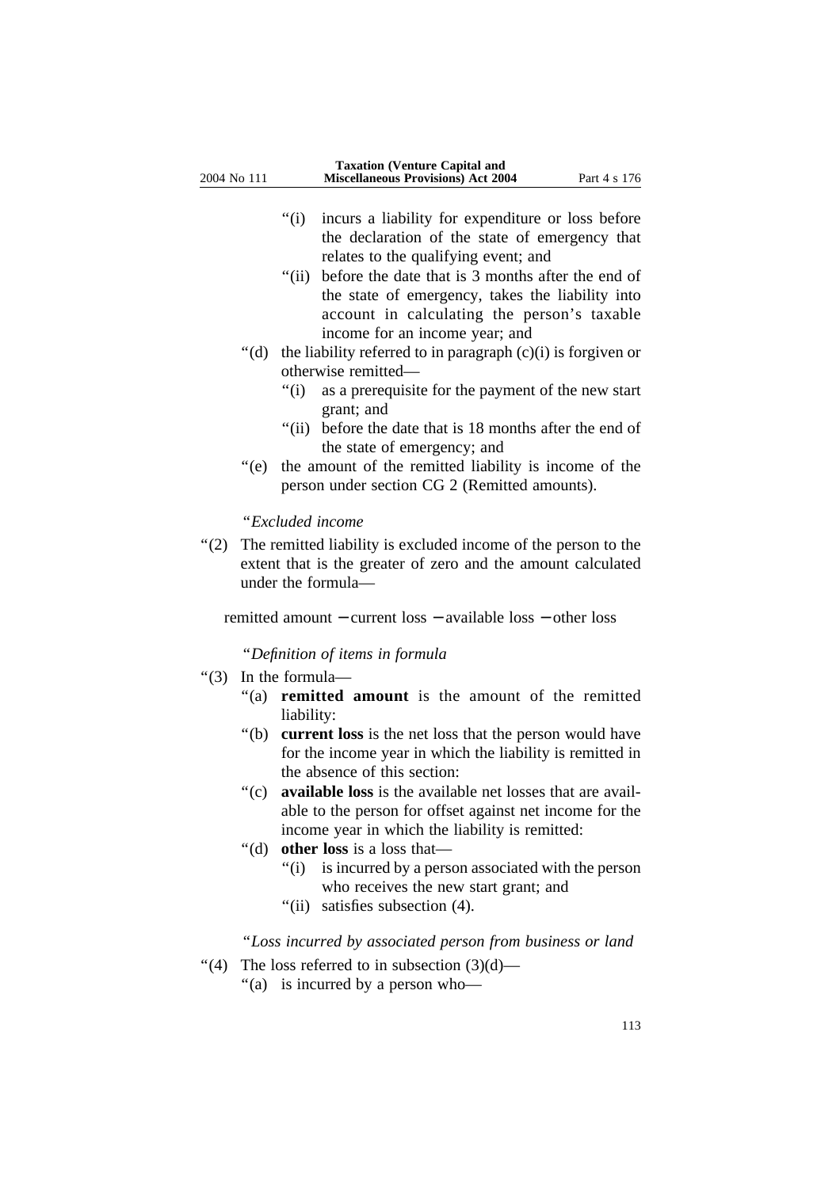- ''(i) incurs a liability for expenditure or loss before the declaration of the state of emergency that relates to the qualifying event; and
- "(ii) before the date that is 3 months after the end of the state of emergency, takes the liability into account in calculating the person's taxable income for an income year; and
- $'(d)$  the liability referred to in paragraph  $(c)(i)$  is forgiven or otherwise remitted—
	- ''(i) as a prerequisite for the payment of the new start grant; and
	- "(ii) before the date that is 18 months after the end of the state of emergency; and
- ''(e) the amount of the remitted liability is income of the person under section CG 2 (Remitted amounts).

### ''*Excluded income*

''(2) The remitted liability is excluded income of the person to the extent that is the greater of zero and the amount calculated under the formula—

remitted amount − current loss − available loss − other loss

''*Definition of items in formula*

- ''(3) In the formula—
	- ''(a) **remitted amount** is the amount of the remitted liability:
	- "(b) **current loss** is the net loss that the person would have for the income year in which the liability is remitted in the absence of this section:
	- ''(c) **available loss** is the available net losses that are available to the person for offset against net income for the income year in which the liability is remitted:
	- ''(d) **other loss** is a loss that—
		- "(i) is incurred by a person associated with the person who receives the new start grant; and
		- "(ii) satisfies subsection (4).

# ''*Loss incurred by associated person from business or land*

- "(4) The loss referred to in subsection  $(3)(d)$ 
	- ''(a) is incurred by a person who—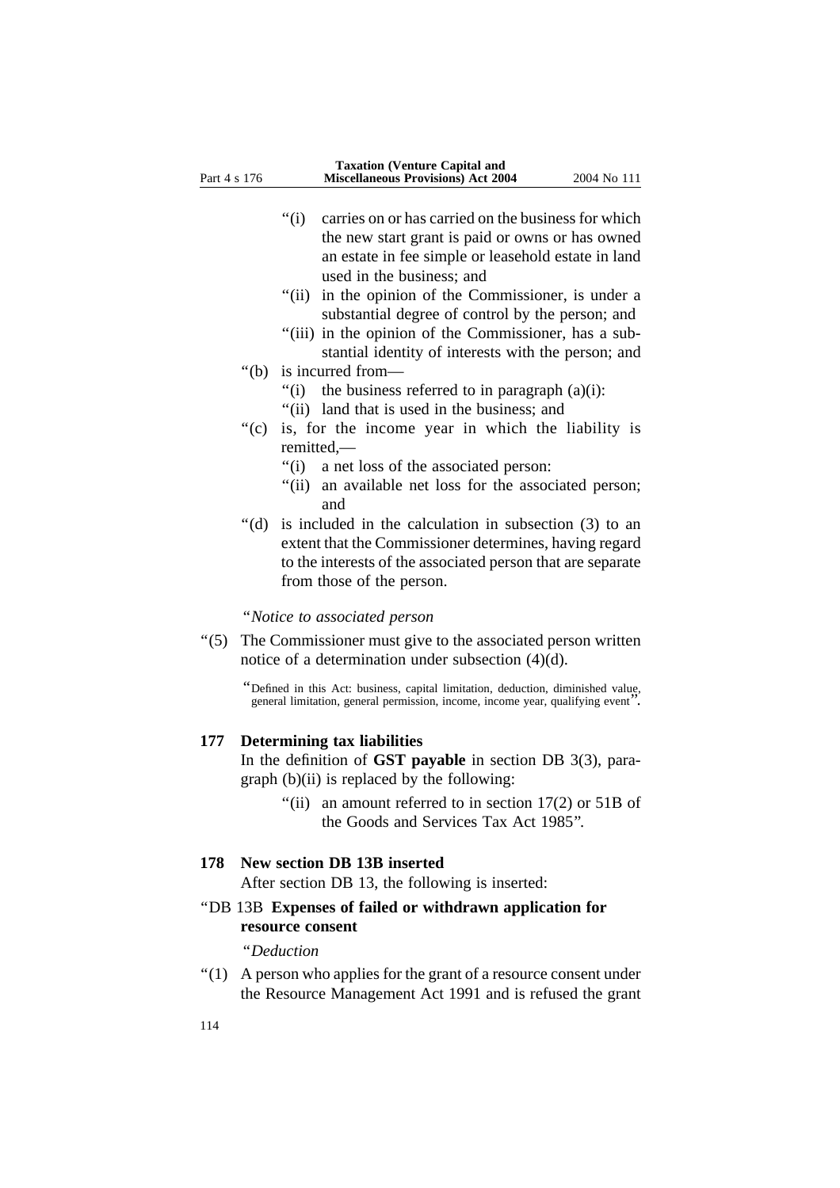- ''(i) carries on or has carried on the business for which the new start grant is paid or owns or has owned an estate in fee simple or leasehold estate in land used in the business; and
- "(ii) in the opinion of the Commissioner, is under a substantial degree of control by the person; and
- "(iii) in the opinion of the Commissioner, has a substantial identity of interests with the person; and
- ''(b) is incurred from—
	- "(i) the business referred to in paragraph  $(a)(i)$ :
	- ''(ii) land that is used in the business; and
- "(c) is, for the income year in which the liability is remitted,—
	- ''(i) a net loss of the associated person:
	- "(ii) an available net loss for the associated person; and
- ''(d) is included in the calculation in subsection (3) to an extent that the Commissioner determines, having regard to the interests of the associated person that are separate from those of the person.

''*Notice to associated person* 

''(5) The Commissioner must give to the associated person written notice of a determination under subsection (4)(d).

> ''Defined in this Act: business, capital limitation, deduction, diminished value, general limitation, general permission, income, income year, qualifying event''.

#### **177 Determining tax liabilities**

In the definition of **GST payable** in section DB 3(3), paragraph (b)(ii) is replaced by the following:

> "(ii) an amount referred to in section  $17(2)$  or  $51B$  of the Goods and Services Tax Act 1985''.

#### **178 New section DB 13B inserted**

After section DB 13, the following is inserted:

# ''DB 13B **Expenses of failed or withdrawn application for resource consent**

''*Deduction*

''(1) A person who applies for the grant of a resource consent under the Resource Management Act 1991 and is refused the grant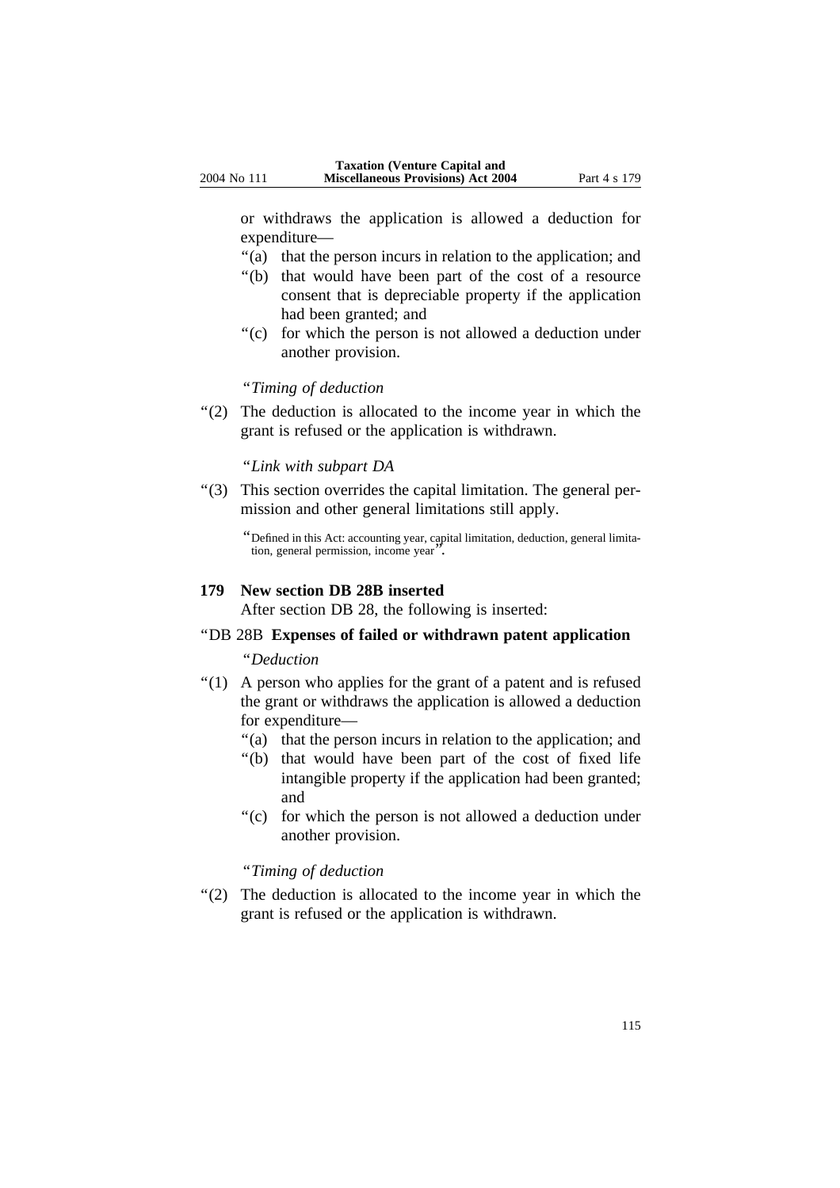or withdraws the application is allowed a deduction for expenditure—

- ''(a) that the person incurs in relation to the application; and
- ''(b) that would have been part of the cost of a resource consent that is depreciable property if the application had been granted; and
- ''(c) for which the person is not allowed a deduction under another provision.

## ''*Timing of deduction*

"(2) The deduction is allocated to the income year in which the grant is refused or the application is withdrawn.

#### ''*Link with subpart DA*

''(3) This section overrides the capital limitation. The general permission and other general limitations still apply.

## **179 New section DB 28B inserted**

After section DB 28, the following is inserted:

#### ''DB 28B **Expenses of failed or withdrawn patent application**

#### ''*Deduction*

- ''(1) A person who applies for the grant of a patent and is refused the grant or withdraws the application is allowed a deduction for expenditure—
	- ''(a) that the person incurs in relation to the application; and
	- ''(b) that would have been part of the cost of fixed life intangible property if the application had been granted; and
	- ''(c) for which the person is not allowed a deduction under another provision.

#### ''*Timing of deduction*

"(2) The deduction is allocated to the income year in which the grant is refused or the application is withdrawn.

<sup>&#</sup>x27;'Defined in this Act: accounting year, capital limitation, deduction, general limitation, general permission, income year''.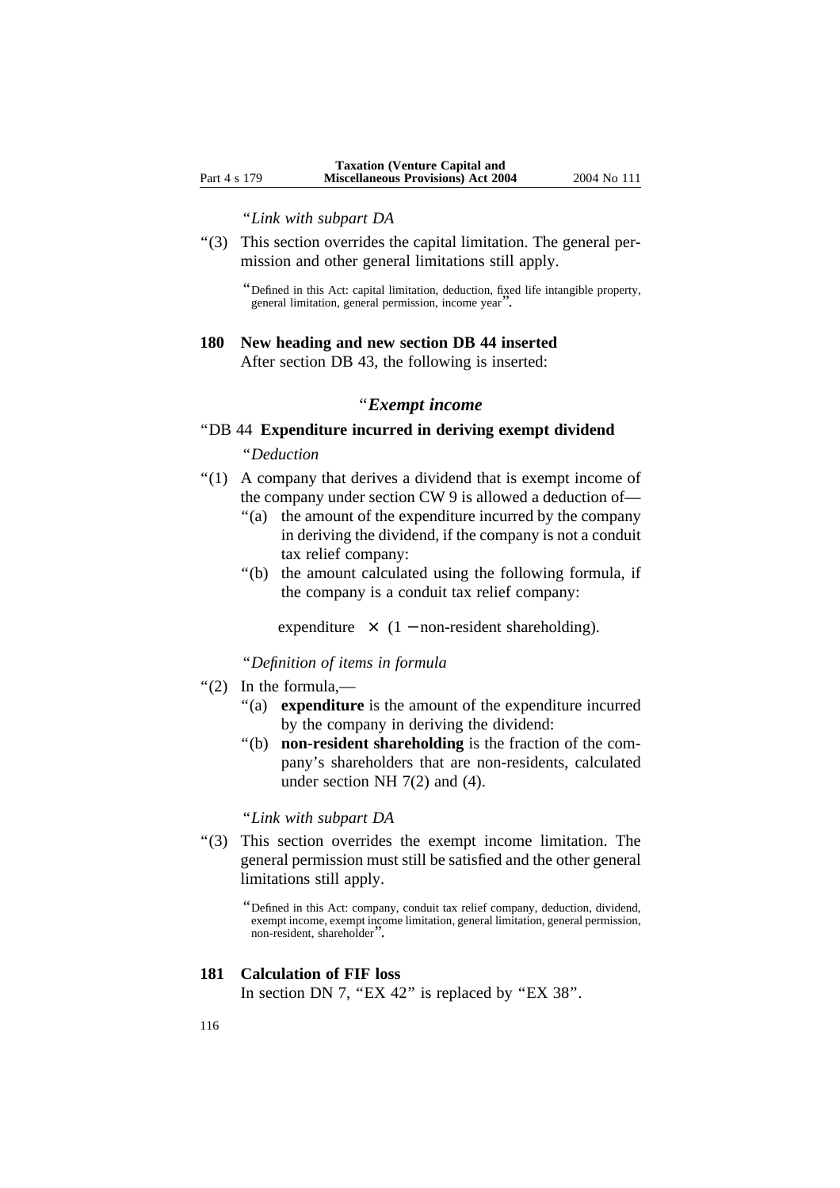#### ''*Link with subpart DA*

''(3) This section overrides the capital limitation. The general permission and other general limitations still apply.

''Defined in this Act: capital limitation, deduction, fixed life intangible property, general limitation, general permission, income year''.

#### **180 New heading and new section DB 44 inserted**

After section DB 43, the following is inserted:

#### ''*Exempt income*

#### ''DB 44 **Expenditure incurred in deriving exempt dividend**

## ''*Deduction*

- ''(1) A company that derives a dividend that is exempt income of the company under section CW 9 is allowed a deduction of—
	- ''(a) the amount of the expenditure incurred by the company in deriving the dividend, if the company is not a conduit tax relief company:
	- ''(b) the amount calculated using the following formula, if the company is a conduit tax relief company:

expenditure  $\times$  (1 – non-resident shareholding).

''*Definition of items in formula* 

- ''(2) In the formula,—
	- "(a) **expenditure** is the amount of the expenditure incurred by the company in deriving the dividend:
	- ''(b) **non-resident shareholding** is the fraction of the company's shareholders that are non-residents, calculated under section NH 7(2) and (4).

#### ''*Link with subpart DA*

''(3) This section overrides the exempt income limitation. The general permission must still be satisfied and the other general limitations still apply.

#### **181 Calculation of FIF loss**

In section DN 7, "EX 42" is replaced by "EX 38".

<sup>&#</sup>x27;'Defined in this Act: company, conduit tax relief company, deduction, dividend, exempt income, exempt income limitation, general limitation, general permission, non-resident, shareholder<sup>'</sup>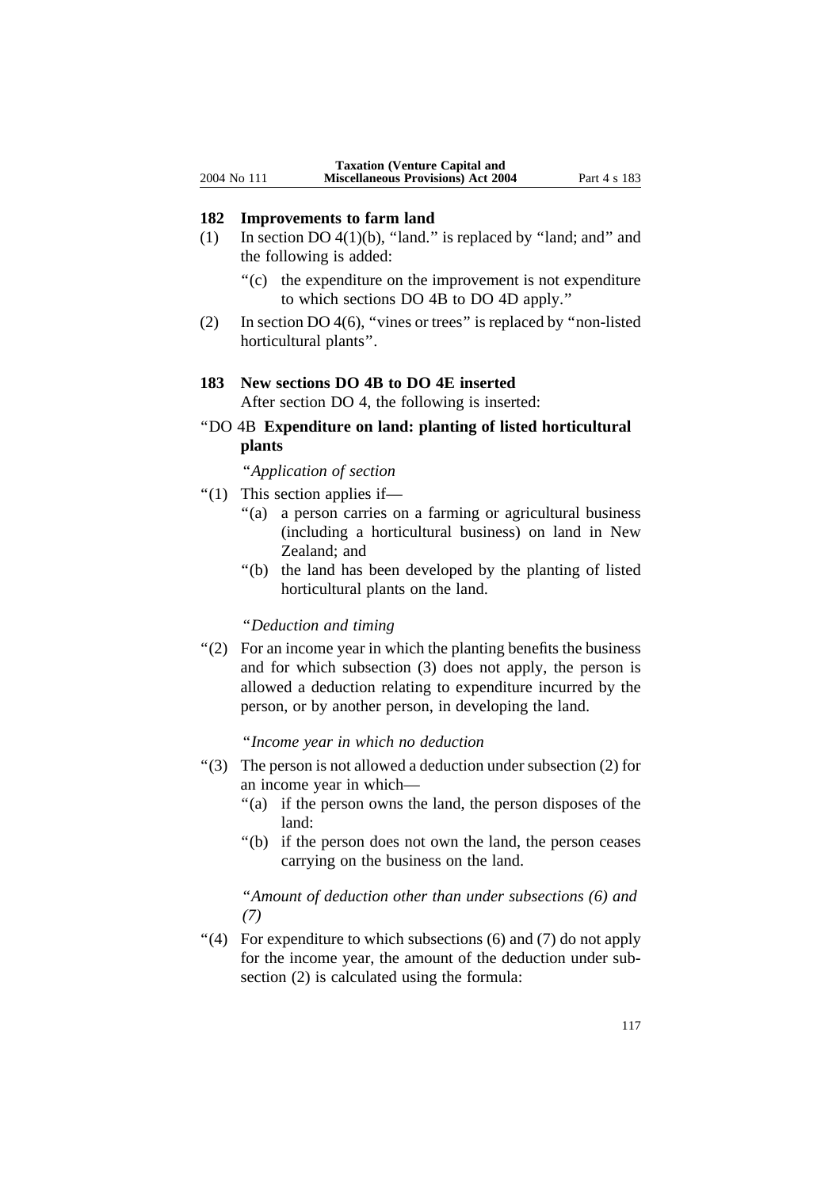## **182 Improvements to farm land**

- (1) In section DO  $4(1)(b)$ , "land." is replaced by "land; and" and the following is added:
	- ''(c) the expenditure on the improvement is not expenditure to which sections DO 4B to DO 4D apply.''
- (2) In section DO 4(6), ''vines or trees'' is replaced by ''non-listed horticultural plants''.

# **183 New sections DO 4B to DO 4E inserted**

After section DO 4, the following is inserted:

''DO 4B **Expenditure on land: planting of listed horticultural plants**

''*Application of section*

- ''(1) This section applies if—
	- ''(a) a person carries on a farming or agricultural business (including a horticultural business) on land in New Zealand; and
	- ''(b) the land has been developed by the planting of listed horticultural plants on the land.

#### ''*Deduction and timing*

''(2) For an income year in which the planting benefits the business and for which subsection (3) does not apply, the person is allowed a deduction relating to expenditure incurred by the person, or by another person, in developing the land.

## ''*Income year in which no deduction*

- $\degree$ (3) The person is not allowed a deduction under subsection (2) for an income year in which—
	- ''(a) if the person owns the land, the person disposes of the land:
	- ''(b) if the person does not own the land, the person ceases carrying on the business on the land.

# ''*Amount of deduction other than under subsections (6) and (7)*

 $\lq(4)$  For expenditure to which subsections (6) and (7) do not apply for the income year, the amount of the deduction under subsection (2) is calculated using the formula: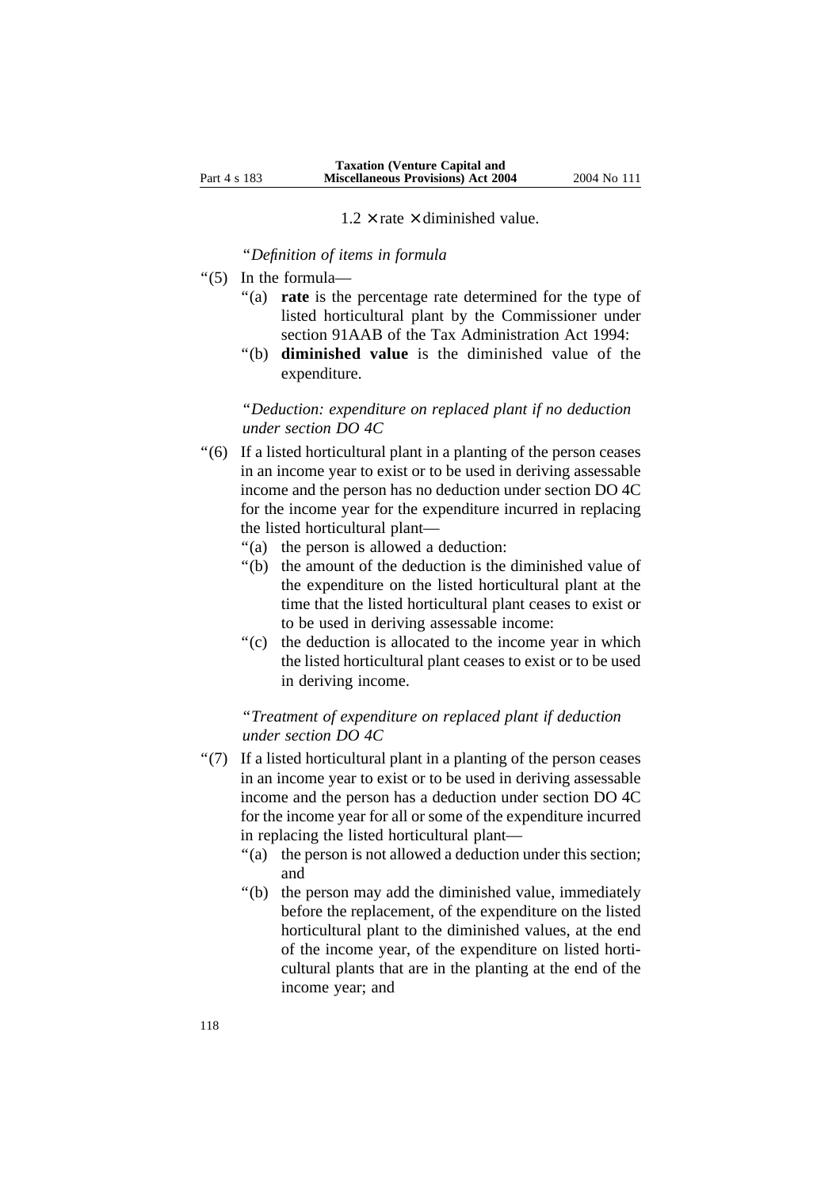$1.2 \times$  rate  $\times$  diminished value.

''*Definition of items in formula*

- ''(5) In the formula—
	- ''(a) **rate** is the percentage rate determined for the type of listed horticultural plant by the Commissioner under section 91AAB of the Tax Administration Act 1994:
	- ''(b) **diminished value** is the diminished value of the expenditure.

''*Deduction: expenditure on replaced plant if no deduction under section DO 4C*

- ''(6) If a listed horticultural plant in a planting of the person ceases in an income year to exist or to be used in deriving assessable income and the person has no deduction under section DO 4C for the income year for the expenditure incurred in replacing the listed horticultural plant—
	- ''(a) the person is allowed a deduction:
	- ''(b) the amount of the deduction is the diminished value of the expenditure on the listed horticultural plant at the time that the listed horticultural plant ceases to exist or to be used in deriving assessable income:
	- "(c) the deduction is allocated to the income year in which the listed horticultural plant ceases to exist or to be used in deriving income.

''*Treatment of expenditure on replaced plant if deduction under section DO 4C*

- ''(7) If a listed horticultural plant in a planting of the person ceases in an income year to exist or to be used in deriving assessable income and the person has a deduction under section DO 4C for the income year for all or some of the expenditure incurred in replacing the listed horticultural plant—
	- "(a) the person is not allowed a deduction under this section; and
	- ''(b) the person may add the diminished value, immediately before the replacement, of the expenditure on the listed horticultural plant to the diminished values, at the end of the income year, of the expenditure on listed horticultural plants that are in the planting at the end of the income year; and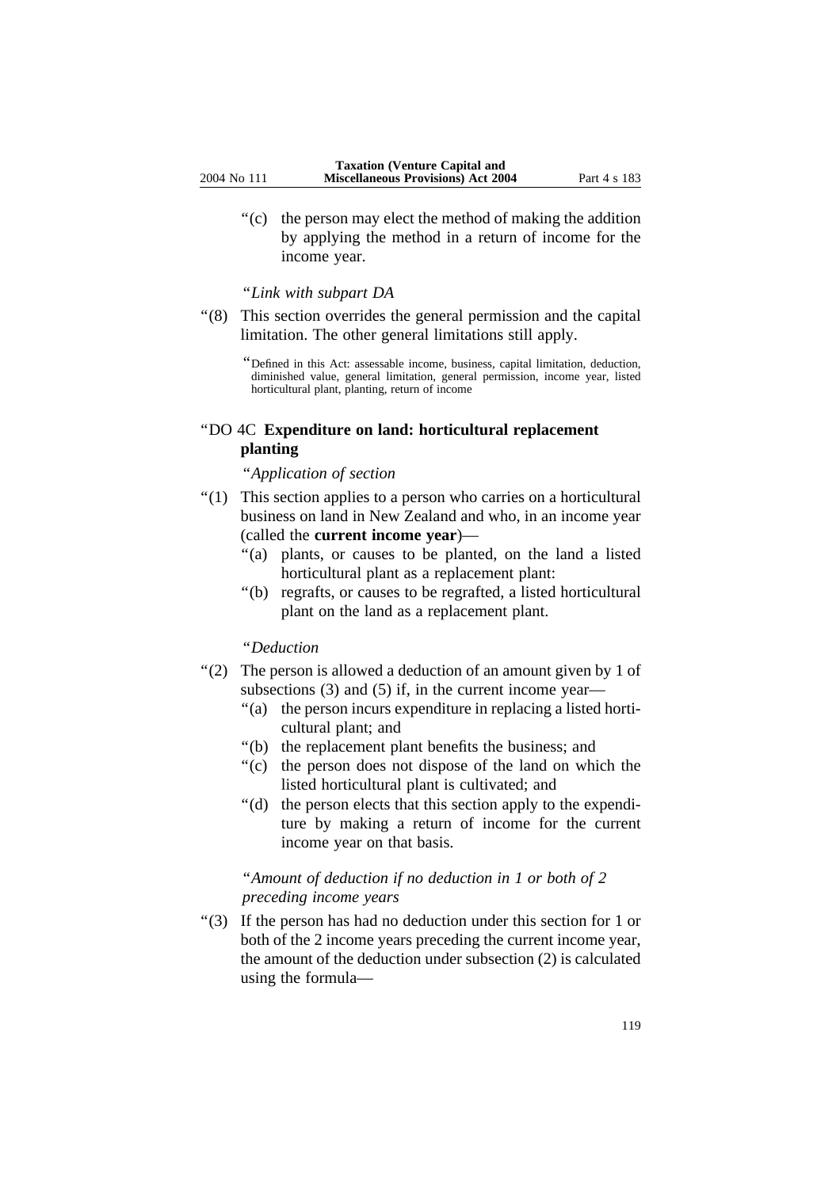''(c) the person may elect the method of making the addition by applying the method in a return of income for the income year.

#### ''*Link with subpart DA*

''(8) This section overrides the general permission and the capital limitation. The other general limitations still apply.

''Defined in this Act: assessable income, business, capital limitation, deduction, diminished value, general limitation, general permission, income year, listed horticultural plant, planting, return of income

# ''DO 4C **Expenditure on land: horticultural replacement planting**

#### ''*Application of section*

- ''(1) This section applies to a person who carries on a horticultural business on land in New Zealand and who, in an income year (called the **current income year**)—
	- ''(a) plants, or causes to be planted, on the land a listed horticultural plant as a replacement plant:
	- ''(b) regrafts, or causes to be regrafted, a listed horticultural plant on the land as a replacement plant.

## ''*Deduction*

- ''(2) The person is allowed a deduction of an amount given by 1 of subsections (3) and (5) if, in the current income year—
	- ''(a) the person incurs expenditure in replacing a listed horticultural plant; and
	- ''(b) the replacement plant benefits the business; and
	- ''(c) the person does not dispose of the land on which the listed horticultural plant is cultivated; and
	- ''(d) the person elects that this section apply to the expenditure by making a return of income for the current income year on that basis.

# ''*Amount of deduction if no deduction in 1 or both of 2 preceding income years*

''(3) If the person has had no deduction under this section for 1 or both of the 2 income years preceding the current income year, the amount of the deduction under subsection (2) is calculated using the formula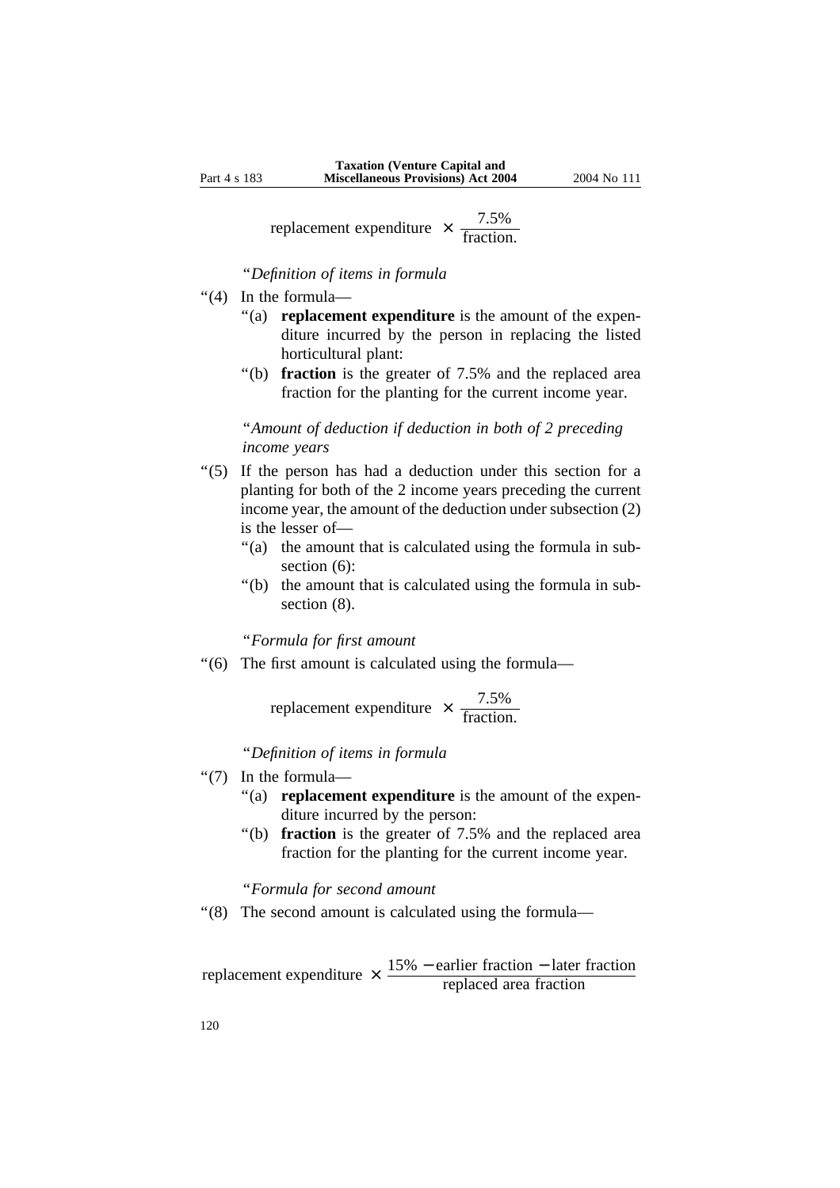replacement expenditure  $\times \frac{7.5\%}{\text{fraction.}}$ 

''*Definition of items in formula*

- ''(4) In the formula—
	- "(a) **replacement expenditure** is the amount of the expenditure incurred by the person in replacing the listed horticultural plant:
	- ''(b) **fraction** is the greater of 7.5% and the replaced area fraction for the planting for the current income year.

''*Amount of deduction if deduction in both of 2 preceding income years*

- ''(5) If the person has had a deduction under this section for a planting for both of the 2 income years preceding the current income year, the amount of the deduction under subsection (2) is the lesser of—
	- "(a) the amount that is calculated using the formula in subsection (6):
	- "(b) the amount that is calculated using the formula in subsection  $(8)$ .

## ''*Formula for first amount*

''(6) The first amount is calculated using the formula—

replacement expenditure  $\times \frac{7.5\%}{\text{fraction.}}$ 

''*Definition of items in formula* 

- ''(7) In the formula—
	- "(a) **replacement expenditure** is the amount of the expenditure incurred by the person:
	- "(b) **fraction** is the greater of 7.5% and the replaced area fraction for the planting for the current income year.

#### ''*Formula for second amount*

"(8) The second amount is calculated using the formula-

replacement expenditure  $\times$   $\frac{15\% -$  earlier fraction  $-$  later fraction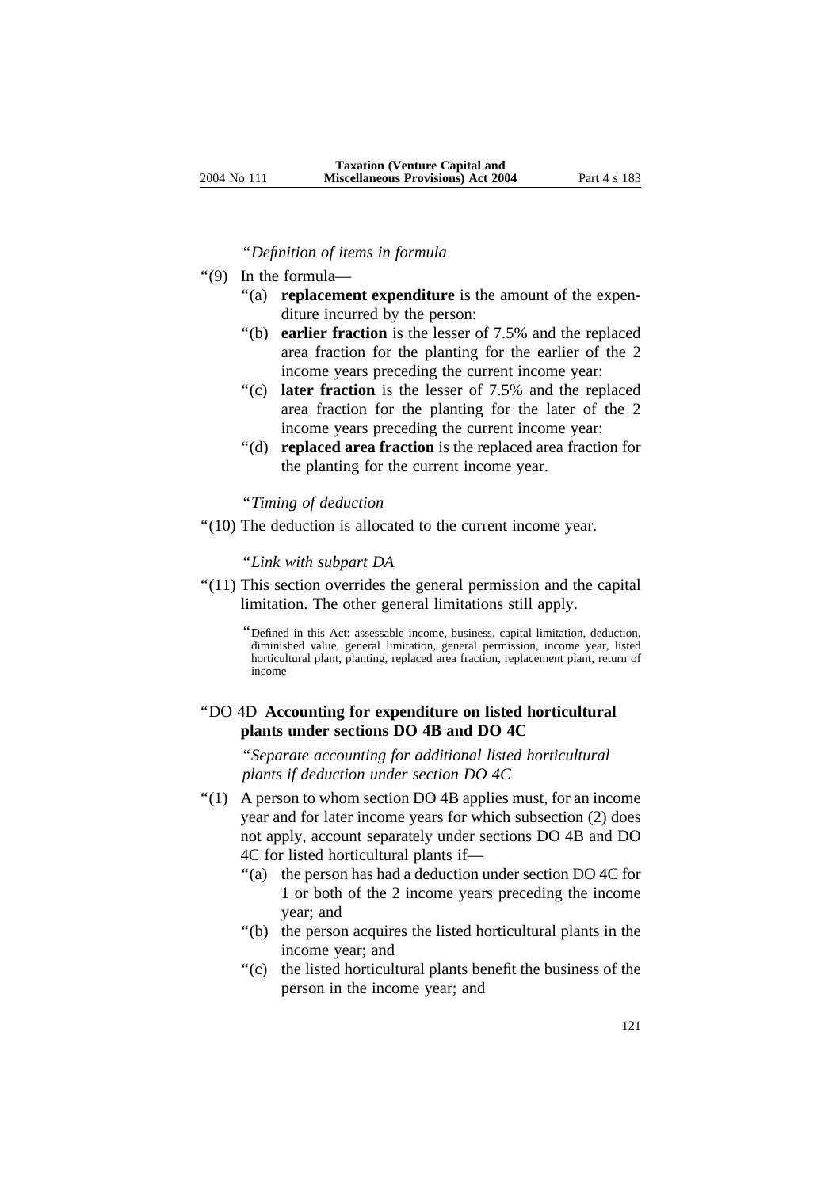#### ''*Definition of items in formula*

- ''(9) In the formula—
	- "(a) **replacement expenditure** is the amount of the expenditure incurred by the person:
	- ''(b) **earlier fraction** is the lesser of 7.5% and the replaced area fraction for the planting for the earlier of the 2 income years preceding the current income year:
	- ''(c) **later fraction** is the lesser of 7.5% and the replaced area fraction for the planting for the later of the 2 income years preceding the current income year:
	- ''(d) **replaced area fraction** is the replaced area fraction for the planting for the current income year.

#### ''*Timing of deduction*

''(10) The deduction is allocated to the current income year.

#### ''*Link with subpart DA*

"(11) This section overrides the general permission and the capital limitation. The other general limitations still apply.

> ''Defined in this Act: assessable income, business, capital limitation, deduction, diminished value, general limitation, general permission, income year, listed horticultural plant, planting, replaced area fraction, replacement plant, return of income

# ''DO 4D **Accounting for expenditure on listed horticultural plants under sections DO 4B and DO 4C**

''*Separate accounting for additional listed horticultural plants if deduction under section DO 4C*

- ''(1) A person to whom section DO 4B applies must, for an income year and for later income years for which subsection (2) does not apply, account separately under sections DO 4B and DO 4C for listed horticultural plants if—
	- ''(a) the person has had a deduction under section DO 4C for 1 or both of the 2 income years preceding the income year; and
	- ''(b) the person acquires the listed horticultural plants in the income year; and
	- ''(c) the listed horticultural plants benefit the business of the person in the income year; and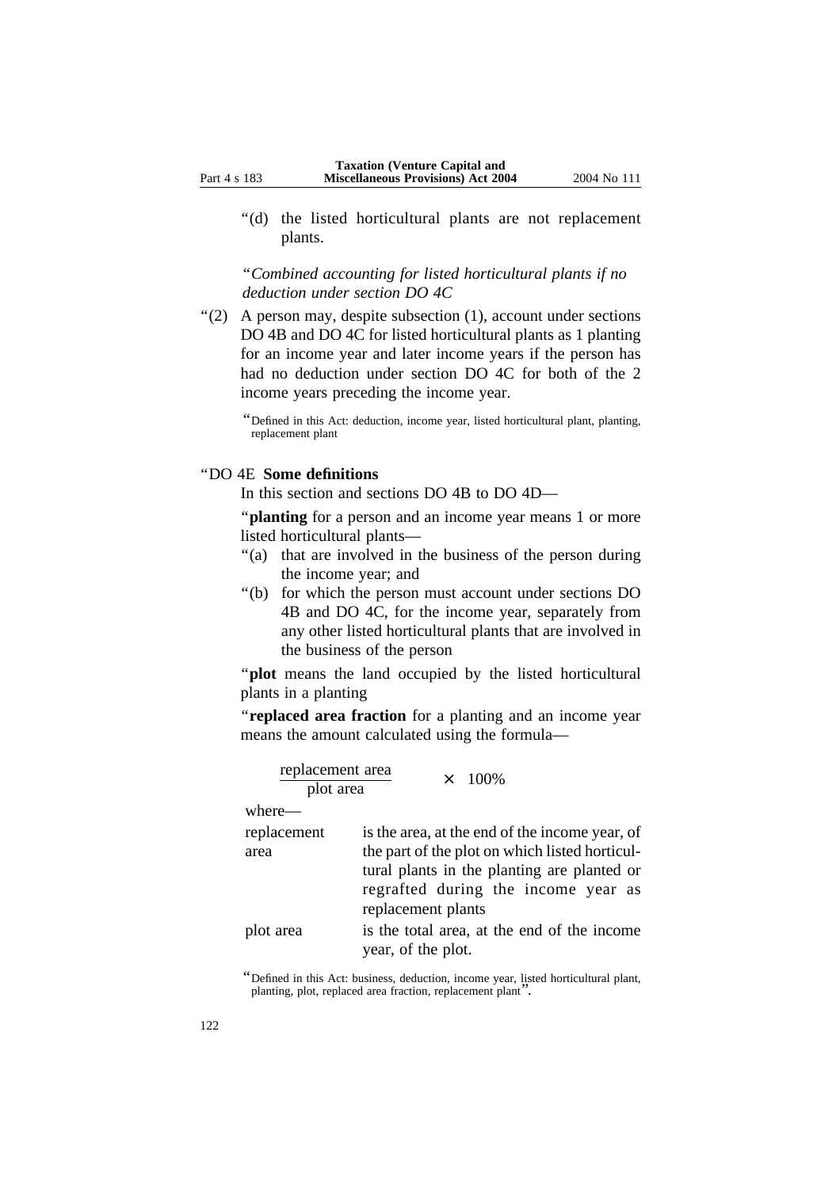''(d) the listed horticultural plants are not replacement plants.

''*Combined accounting for listed horticultural plants if no deduction under section DO 4C*

''(2) A person may, despite subsection (1), account under sections DO 4B and DO 4C for listed horticultural plants as 1 planting for an income year and later income years if the person has had no deduction under section DO 4C for both of the 2 income years preceding the income year.

''Defined in this Act: deduction, income year, listed horticultural plant, planting, replacement plant

#### ''DO 4E **Some definitions**

In this section and sections DO 4B to DO 4D—

''**planting** for a person and an income year means 1 or more listed horticultural plants—

- ''(a) that are involved in the business of the person during the income year; and
- ''(b) for which the person must account under sections DO 4B and DO 4C, for the income year, separately from any other listed horticultural plants that are involved in the business of the person

''**plot** means the land occupied by the listed horticultural plants in a planting

''**replaced area fraction** for a planting and an income year means the amount calculated using the formula—

| replacement area<br>plot area | $\times$ 100%                                                                                                                                                                                                |
|-------------------------------|--------------------------------------------------------------------------------------------------------------------------------------------------------------------------------------------------------------|
| where—                        |                                                                                                                                                                                                              |
| replacement<br>area           | is the area, at the end of the income year, of<br>the part of the plot on which listed horticul-<br>tural plants in the planting are planted or<br>regrafted during the income year as<br>replacement plants |
| lot area                      | is the total area, at the end of the income<br>year, of the plot.                                                                                                                                            |

''Defined in this Act: business, deduction, income year, listed horticultural plant, planting, plot, replaced area fraction, replacement plant''.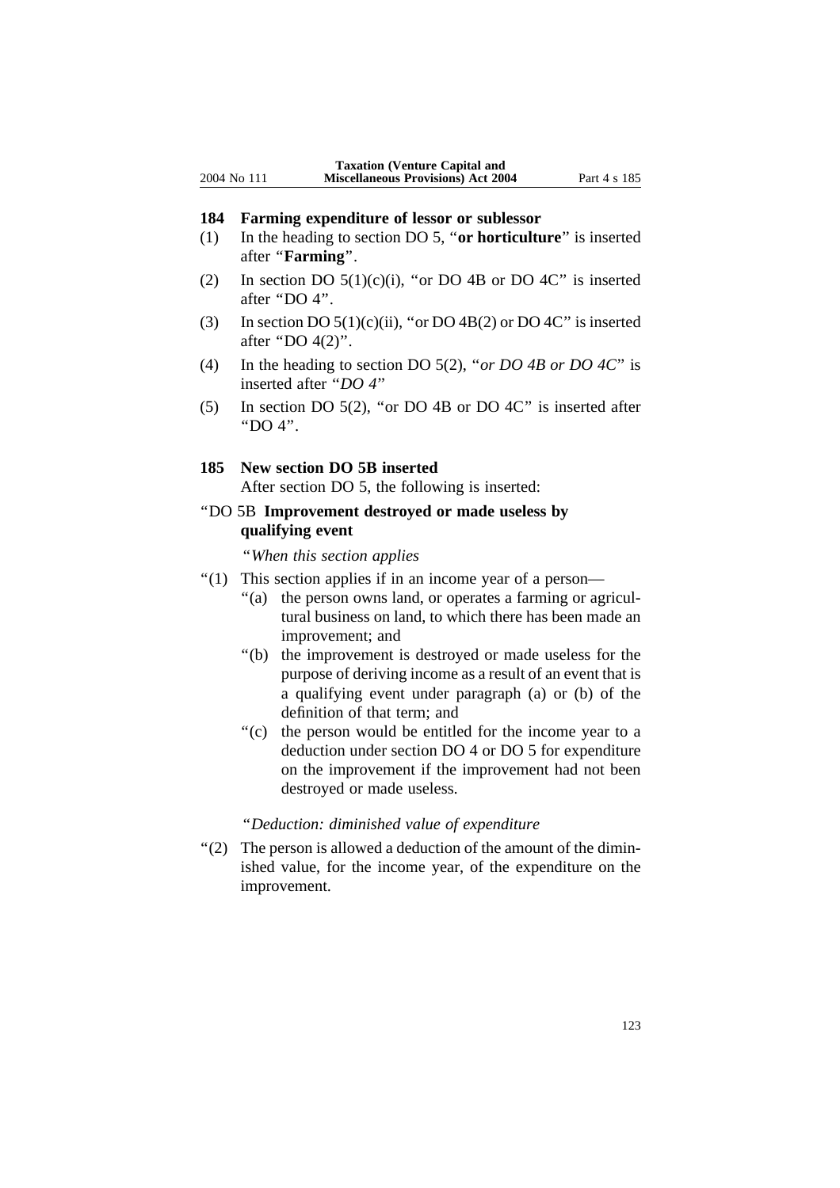#### **184 Farming expenditure of lessor or sublessor**

- (1) In the heading to section DO 5, ''**or horticulture**'' is inserted after ''**Farming**''.
- (2) In section DO  $5(1)(c)(i)$ , "or DO 4B or DO 4C" is inserted after ''DO 4''.
- (3) In section DO  $5(1)(c)(ii)$ , "or DO  $4B(2)$  or DO  $4C$ " is inserted after "DO 4(2)".
- (4) In the heading to section DO 5(2), ''*or DO 4B or DO 4C*'' is inserted after ''*DO 4*''
- (5) In section DO 5(2), ''or DO 4B or DO 4C'' is inserted after ''DO 4''.

### **185 New section DO 5B inserted**

After section DO 5, the following is inserted:

# ''DO 5B **Improvement destroyed or made useless by qualifying event**

''*When this section applies* 

- "(1) This section applies if in an income year of a person—
	- "(a) the person owns land, or operates a farming or agricultural business on land, to which there has been made an improvement; and
	- ''(b) the improvement is destroyed or made useless for the purpose of deriving income as a result of an event that is a qualifying event under paragraph (a) or (b) of the definition of that term; and
	- "(c) the person would be entitled for the income year to a deduction under section DO 4 or DO 5 for expenditure on the improvement if the improvement had not been destroyed or made useless.

### ''*Deduction: diminished value of expenditure*

''(2) The person is allowed a deduction of the amount of the diminished value, for the income year, of the expenditure on the improvement.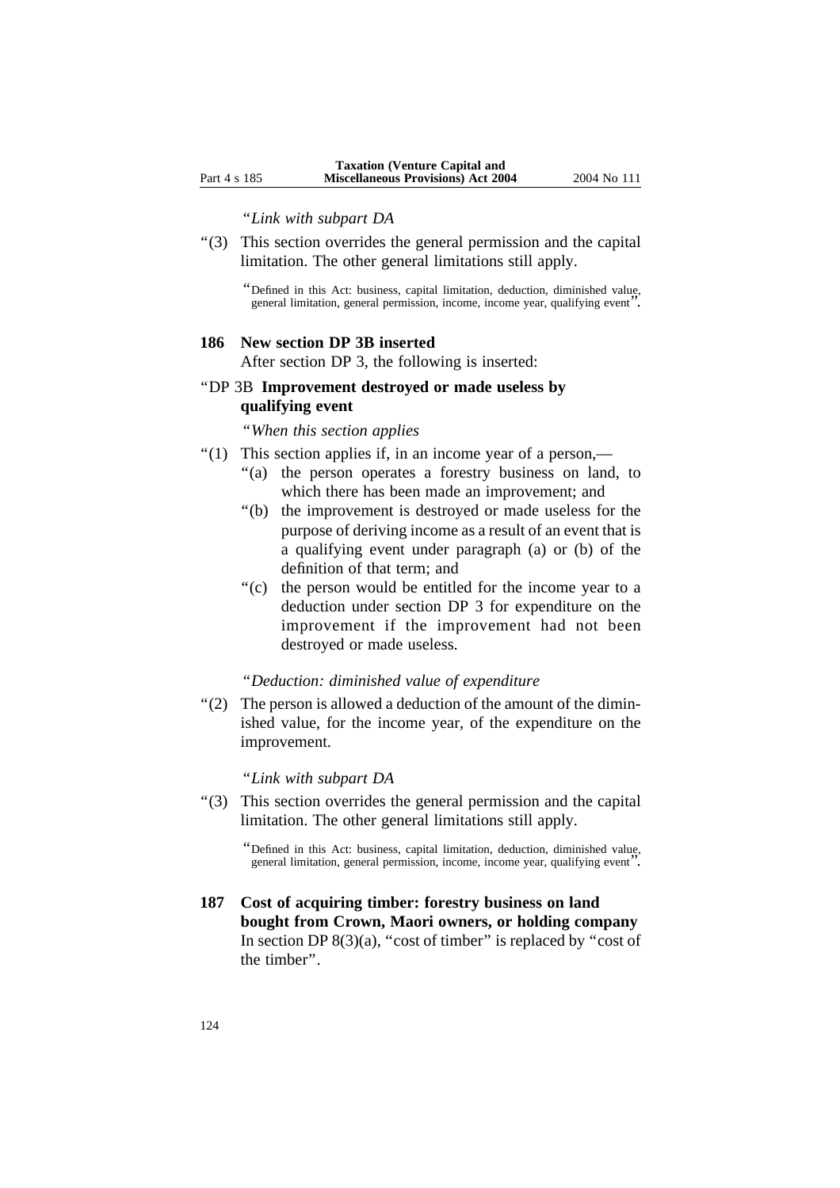''*Link with subpart DA* 

''(3) This section overrides the general permission and the capital limitation. The other general limitations still apply.

''Defined in this Act: business, capital limitation, deduction, diminished value, general limitation, general permission, income, income year, qualifying event''.

#### **186 New section DP 3B inserted**

After section DP 3, the following is inserted:

# ''DP 3B **Improvement destroyed or made useless by qualifying event**

''*When this section applies*

- ''(1) This section applies if, in an income year of a person,—
	- "(a) the person operates a forestry business on land, to which there has been made an improvement; and
	- ''(b) the improvement is destroyed or made useless for the purpose of deriving income as a result of an event that is a qualifying event under paragraph (a) or (b) of the definition of that term; and
	- ''(c) the person would be entitled for the income year to a deduction under section DP 3 for expenditure on the improvement if the improvement had not been destroyed or made useless.

### ''*Deduction: diminished value of expenditure*

''(2) The person is allowed a deduction of the amount of the diminished value, for the income year, of the expenditure on the improvement.

''*Link with subpart DA*

''(3) This section overrides the general permission and the capital limitation. The other general limitations still apply.

**187 Cost of acquiring timber: forestry business on land bought from Crown, Maori owners, or holding company** In section DP  $8(3)(a)$ , "cost of timber" is replaced by "cost of the timber''.

<sup>&#</sup>x27;'Defined in this Act: business, capital limitation, deduction, diminished value, general limitation, general permission, income, income year, qualifying event''.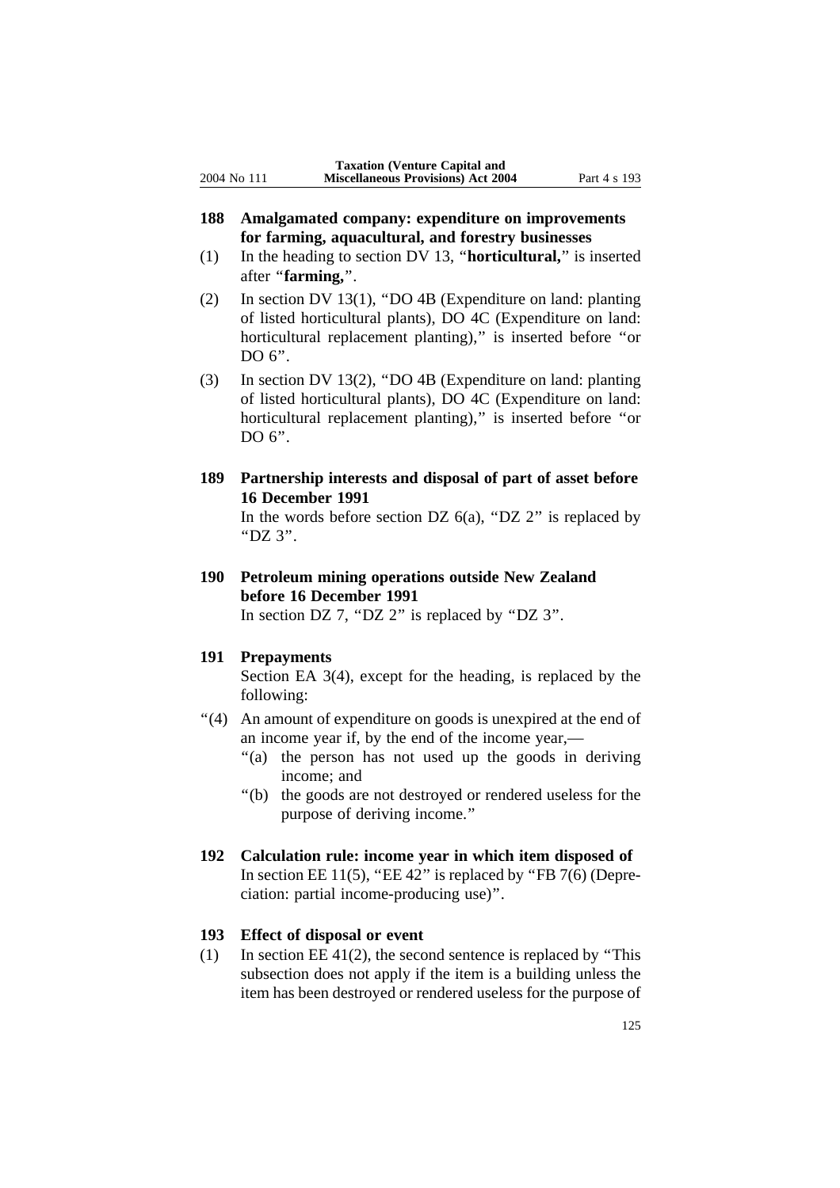- **188 Amalgamated company: expenditure on improvements for farming, aquacultural, and forestry businesses**
- (1) In the heading to section DV 13, ''**horticultural,**'' is inserted after ''**farming,**''.
- (2) In section DV 13(1), ''DO 4B (Expenditure on land: planting of listed horticultural plants), DO 4C (Expenditure on land: horticultural replacement planting)," is inserted before "or DO 6".
- (3) In section DV 13(2), ''DO 4B (Expenditure on land: planting of listed horticultural plants), DO 4C (Expenditure on land: horticultural replacement planting)," is inserted before "or DO 6".
- **189 Partnership interests and disposal of part of asset before 16 December 1991**

In the words before section DZ  $6(a)$ , "DZ 2" is replaced by ''DZ 3''.

**190 Petroleum mining operations outside New Zealand before 16 December 1991** In section DZ 7, "DZ 2" is replaced by "DZ 3".

#### **191 Prepayments**

Section EA 3(4), except for the heading, is replaced by the following:

- "(4) An amount of expenditure on goods is unexpired at the end of an income year if, by the end of the income year,—
	- ''(a) the person has not used up the goods in deriving income; and
	- ''(b) the goods are not destroyed or rendered useless for the purpose of deriving income.''
- **192 Calculation rule: income year in which item disposed of** In section EE 11(5), "EE 42" is replaced by "FB 7(6) (Depreciation: partial income-producing use)''.

# **193 Effect of disposal or event**

(1) In section EE 41(2), the second sentence is replaced by ''This subsection does not apply if the item is a building unless the item has been destroyed or rendered useless for the purpose of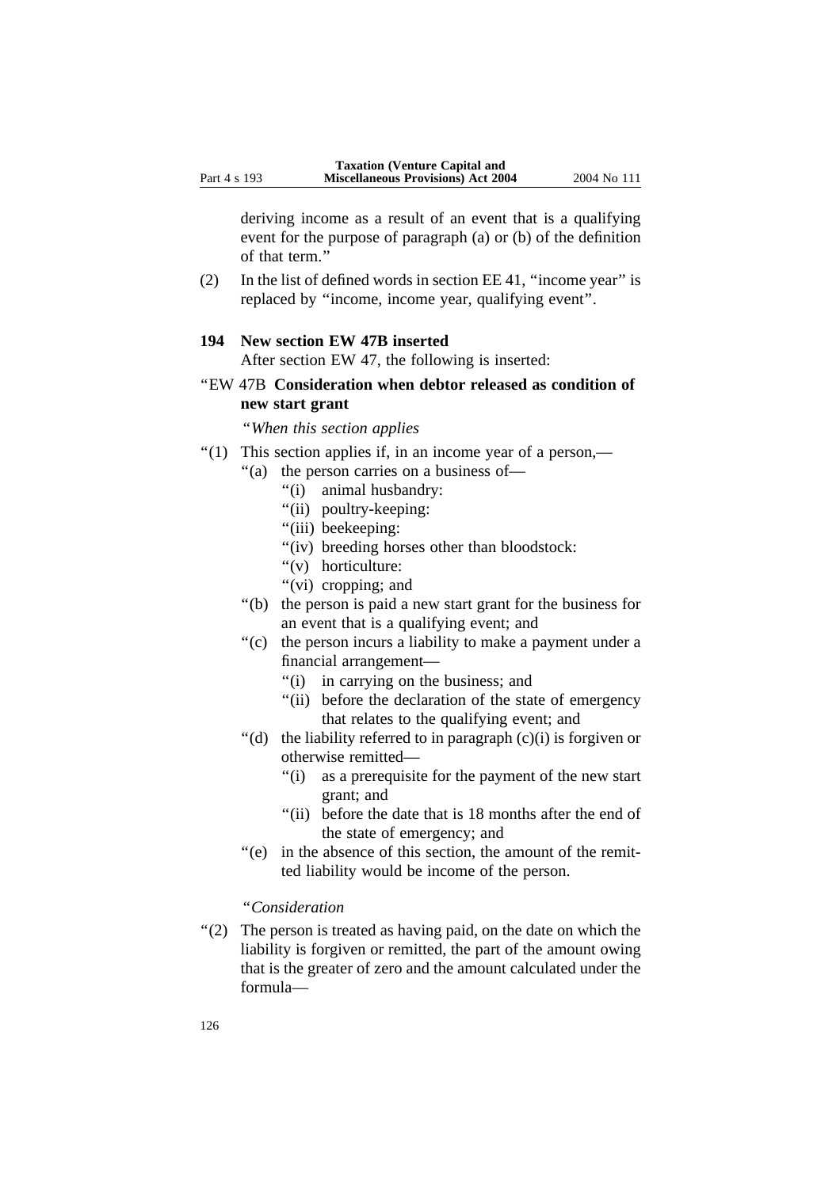deriving income as a result of an event that is a qualifying event for the purpose of paragraph (a) or (b) of the definition of that term.''

(2) In the list of defined words in section EE 41, ''income year'' is replaced by ''income, income year, qualifying event''.

#### **194 New section EW 47B inserted**

After section EW 47, the following is inserted:

''EW 47B **Consideration when debtor released as condition of new start grant**

''*When this section applies*

- "(1) This section applies if, in an income year of a person,—
	- ''(a) the person carries on a business of—
		- ''(i) animal husbandry:
		- "(ii) poultry-keeping:
		- "(iii) beekeeping:
		- "(iv) breeding horses other than bloodstock:
		- "(v) horticulture:
		- "(vi) cropping; and
	- ''(b) the person is paid a new start grant for the business for an event that is a qualifying event; and
	- "(c) the person incurs a liability to make a payment under a financial arrangement—
		- ''(i) in carrying on the business; and
		- ''(ii) before the declaration of the state of emergency that relates to the qualifying event; and
	- $'(d)$  the liability referred to in paragraph  $(c)(i)$  is forgiven or otherwise remitted—
		- ''(i) as a prerequisite for the payment of the new start grant; and
		- "(ii) before the date that is 18 months after the end of the state of emergency; and
	- ''(e) in the absence of this section, the amount of the remitted liability would be income of the person.

# ''*Consideration*

''(2) The person is treated as having paid, on the date on which the liability is forgiven or remitted, the part of the amount owing that is the greater of zero and the amount calculated under the formula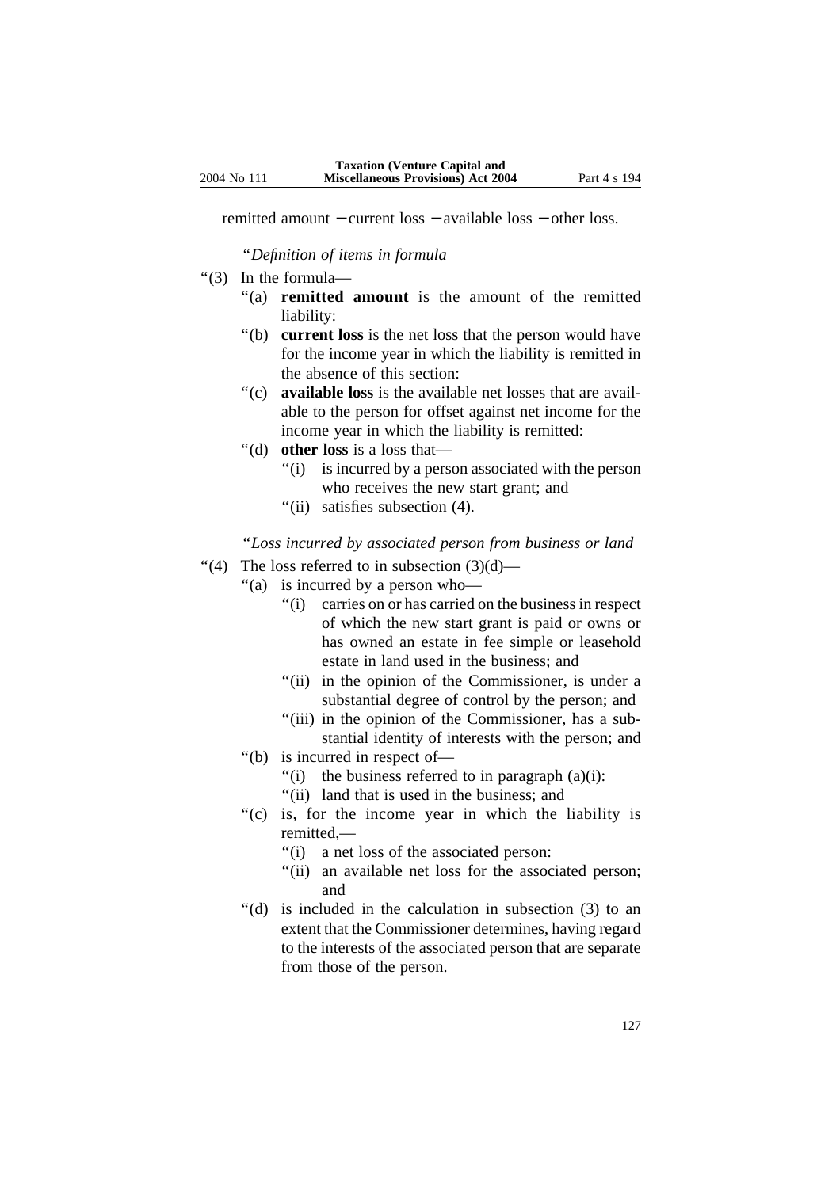remitted amount − current loss − available loss − other loss.

''*Definition of items in formula*

- ''(3) In the formula—
	- "(a) **remitted amount** is the amount of the remitted liability:
	- ''(b) **current loss** is the net loss that the person would have for the income year in which the liability is remitted in the absence of this section:
	- ''(c) **available loss** is the available net losses that are available to the person for offset against net income for the income year in which the liability is remitted:
	- ''(d) **other loss** is a loss that—
		- ''(i) is incurred by a person associated with the person who receives the new start grant; and
		- ''(ii) satisfies subsection (4).

''*Loss incurred by associated person from business or land* 

- "(4) The loss referred to in subsection  $(3)(d)$ 
	- ''(a) is incurred by a person who—
		- ''(i) carries on or has carried on the business in respect of which the new start grant is paid or owns or has owned an estate in fee simple or leasehold estate in land used in the business; and
		- "(ii) in the opinion of the Commissioner, is under a substantial degree of control by the person; and
		- "(iii) in the opinion of the Commissioner, has a substantial identity of interests with the person; and
	- ''(b) is incurred in respect of—
		- "(i) the business referred to in paragraph  $(a)(i)$ :
		- ''(ii) land that is used in the business; and
	- "(c) is, for the income year in which the liability is remitted,—
		- ''(i) a net loss of the associated person:
		- "(ii) an available net loss for the associated person; and
	- ''(d) is included in the calculation in subsection (3) to an extent that the Commissioner determines, having regard to the interests of the associated person that are separate from those of the person.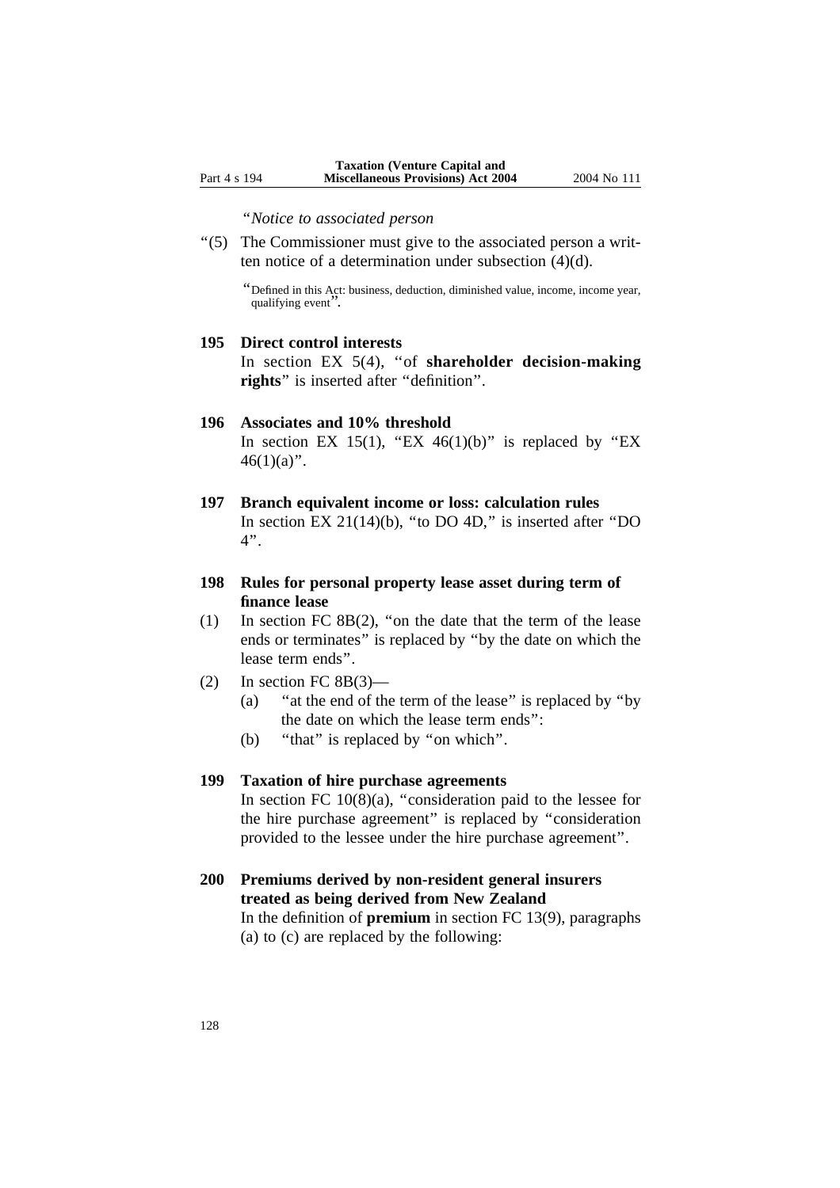''*Notice to associated person* 

''(5) The Commissioner must give to the associated person a written notice of a determination under subsection (4)(d).

''Defined in this Act: business, deduction, diminished value, income, income year, qualifying event''.

## **195 Direct control interests**

In section EX 5(4), ''of **shareholder decision-making rights**'' is inserted after ''definition''.

- **196 Associates and 10% threshold** In section EX 15(1), "EX 46(1)(b)" is replaced by "EX  $46(1)(a)$ ".
- **197 Branch equivalent income or loss: calculation rules** In section EX  $21(14)(b)$ , "to DO 4D," is inserted after "DO 4''.
- **198 Rules for personal property lease asset during term of finance lease**
- (1) In section FC 8B(2), ''on the date that the term of the lease ends or terminates'' is replaced by ''by the date on which the lease term ends''.
- $(2)$  In section FC 8B $(3)$ 
	- (a) ''at the end of the term of the lease'' is replaced by ''by the date on which the lease term ends'':
	- (b) "that" is replaced by "on which".

#### **199 Taxation of hire purchase agreements**

In section FC  $10(8)(a)$ , "consideration paid to the lessee for the hire purchase agreement'' is replaced by ''consideration provided to the lessee under the hire purchase agreement''.

# **200 Premiums derived by non-resident general insurers treated as being derived from New Zealand** In the definition of **premium** in section FC 13(9), paragraphs

(a) to (c) are replaced by the following: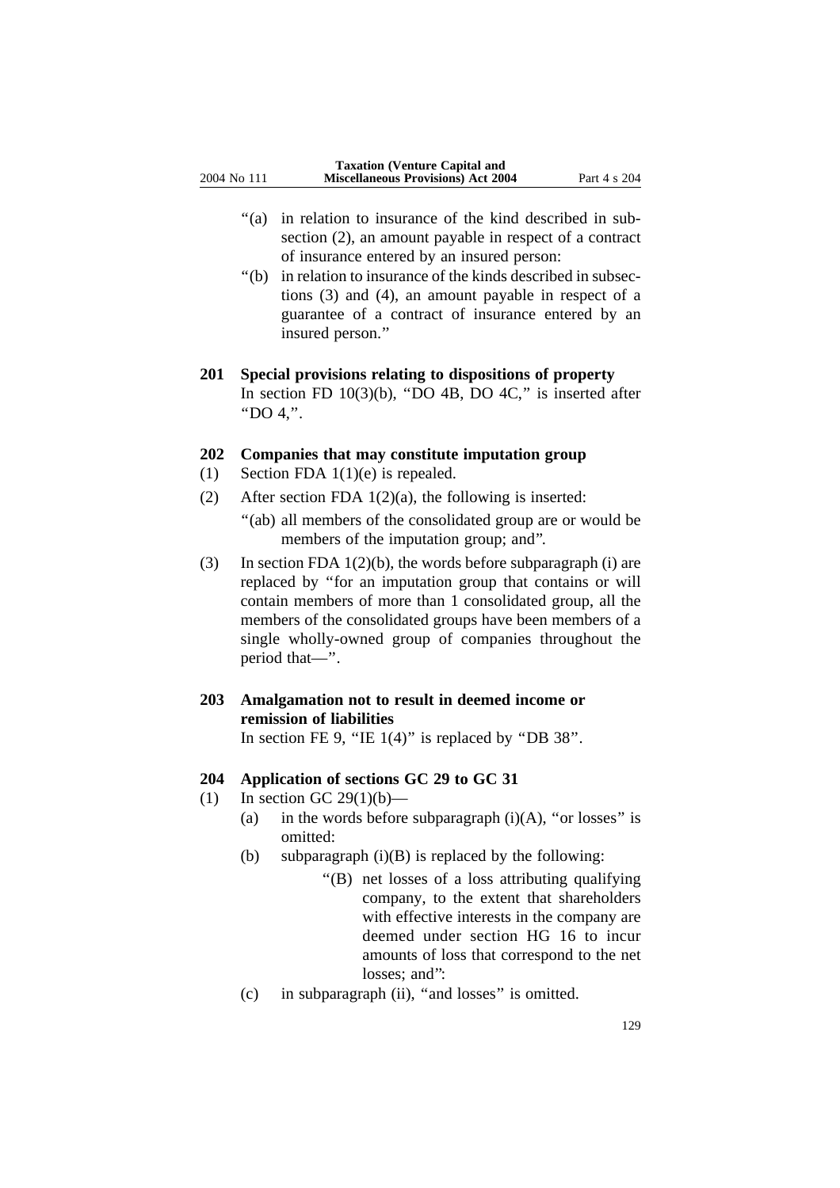- "(a) in relation to insurance of the kind described in subsection (2), an amount payable in respect of a contract of insurance entered by an insured person:
- ''(b) in relation to insurance of the kinds described in subsections (3) and (4), an amount payable in respect of a guarantee of a contract of insurance entered by an insured person.''

# **201 Special provisions relating to dispositions of property** In section FD  $10(3)(b)$ , "DO 4B, DO 4C," is inserted after ''DO 4,''.

# **202 Companies that may constitute imputation group**

- (1) Section FDA 1(1)(e) is repealed.
- (2) After section FDA  $1(2)(a)$ , the following is inserted:
	- ''(ab) all members of the consolidated group are or would be members of the imputation group; and''.
- (3) In section FDA  $1(2)(b)$ , the words before subparagraph (i) are replaced by ''for an imputation group that contains or will contain members of more than 1 consolidated group, all the members of the consolidated groups have been members of a single wholly-owned group of companies throughout the period that—''.

# **203 Amalgamation not to result in deemed income or remission of liabilities**

In section FE 9, "IE  $1(4)$ " is replaced by "DB 38".

# **204 Application of sections GC 29 to GC 31**

- (1) In section GC 29(1)(b)—
	- (a) in the words before subparagraph  $(i)(A)$ , "or losses" is omitted:
	- (b) subparagraph  $(i)(B)$  is replaced by the following:
		- ''(B) net losses of a loss attributing qualifying company, to the extent that shareholders with effective interests in the company are deemed under section HG 16 to incur amounts of loss that correspond to the net losses: and":
	- (c) in subparagraph (ii), ''and losses'' is omitted.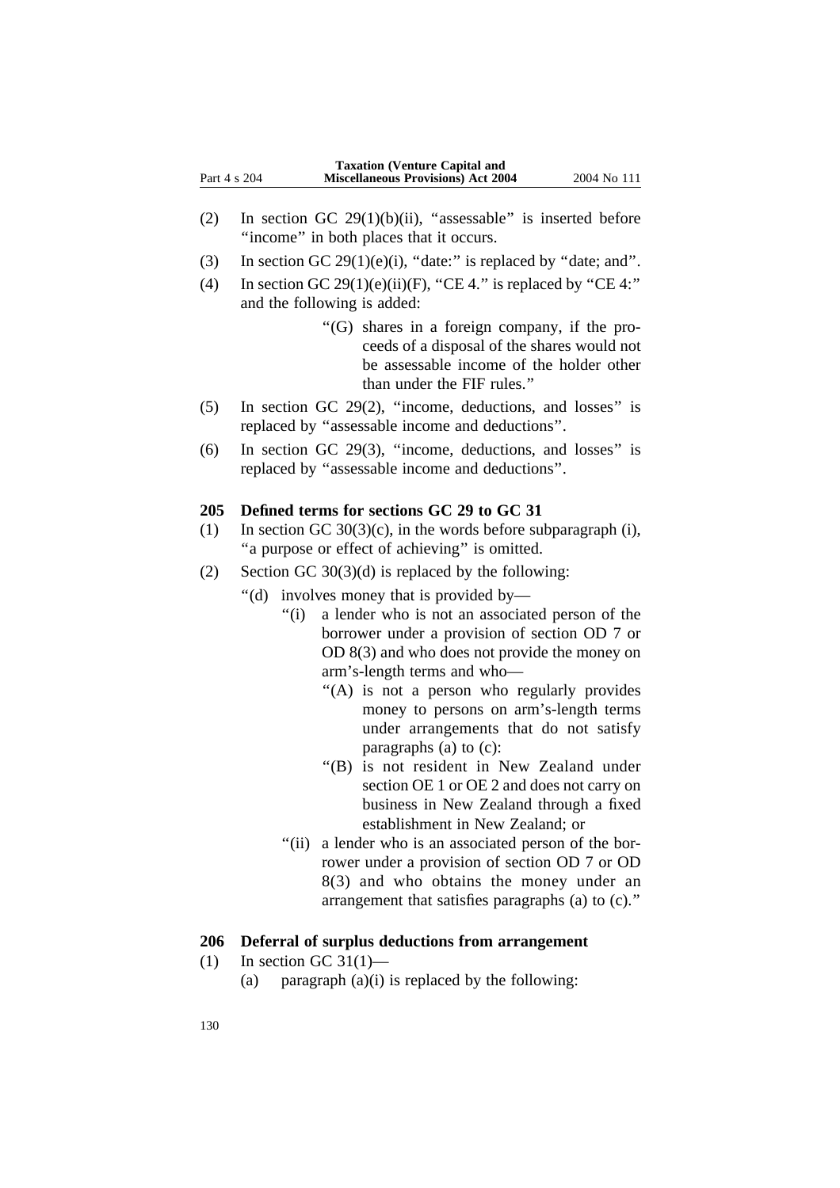|              | <b>Taxation (Venture Capital and</b>      |             |
|--------------|-------------------------------------------|-------------|
| Part 4 s 204 | <b>Miscellaneous Provisions) Act 2004</b> | 2004 No 111 |

- (2) In section GC 29(1)(b)(ii), "assessable" is inserted before ''income'' in both places that it occurs.
- (3) In section GC 29(1)(e)(i), "date:" is replaced by "date; and".
- (4) In section GC 29(1)(e)(ii)(F), "CE 4." is replaced by "CE 4:" and the following is added:
	- ''(G) shares in a foreign company, if the proceeds of a disposal of the shares would not be assessable income of the holder other than under the FIF rules.''
- (5) In section GC 29(2), ''income, deductions, and losses'' is replaced by ''assessable income and deductions''.
- (6) In section GC 29(3), ''income, deductions, and losses'' is replaced by ''assessable income and deductions''.

#### **205 Defined terms for sections GC 29 to GC 31**

- (1) In section GC  $30(3)(c)$ , in the words before subparagraph (i), "a purpose or effect of achieving" is omitted.
- (2) Section GC 30(3)(d) is replaced by the following:
	- ''(d) involves money that is provided by—
		- "(i) a lender who is not an associated person of the borrower under a provision of section OD 7 or OD 8(3) and who does not provide the money on arm's-length terms and who—
			- "(A) is not a person who regularly provides money to persons on arm's-length terms under arrangements that do not satisfy paragraphs (a) to (c):
			- ''(B) is not resident in New Zealand under section OE 1 or OE 2 and does not carry on business in New Zealand through a fixed establishment in New Zealand; or
		- "(ii) a lender who is an associated person of the borrower under a provision of section OD 7 or OD 8(3) and who obtains the money under an arrangement that satisfies paragraphs (a) to (c).''

# **206 Deferral of surplus deductions from arrangement**

- (1) In section GC 31(1)—
	- (a) paragraph  $(a)(i)$  is replaced by the following: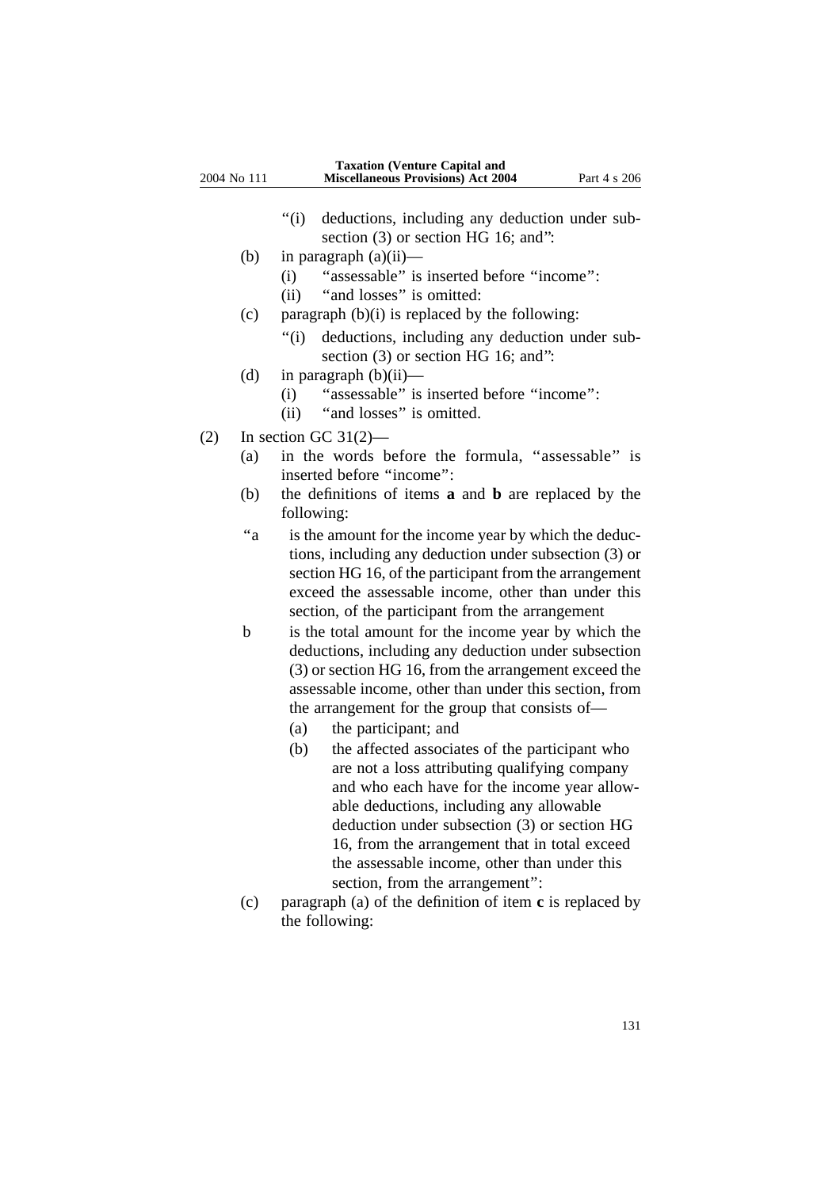- ''(i) deductions, including any deduction under subsection (3) or section HG 16; and":
- (b) in paragraph  $(a)(ii)$ 
	- (i) ''assessable'' is inserted before ''income'':
	- (ii) ''and losses'' is omitted:
- (c) paragraph  $(b)(i)$  is replaced by the following:
	- "(i) deductions, including any deduction under subsection (3) or section HG 16; and'':
- (d) in paragraph  $(b)(ii)$ 
	- (i) ''assessable'' is inserted before ''income'':
	- (ii) ''and losses'' is omitted.
- (2) In section GC  $31(2)$ 
	- (a) in the words before the formula, ''assessable'' is inserted before ''income'':
	- (b) the definitions of items **a** and **b** are replaced by the following:
	- ''a is the amount for the income year by which the deductions, including any deduction under subsection (3) or section HG 16, of the participant from the arrangement exceed the assessable income, other than under this section, of the participant from the arrangement
	- b is the total amount for the income year by which the deductions, including any deduction under subsection (3) or section HG 16, from the arrangement exceed the assessable income, other than under this section, from the arrangement for the group that consists of—
		- (a) the participant; and
		- (b) the affected associates of the participant who are not a loss attributing qualifying company and who each have for the income year allowable deductions, including any allowable deduction under subsection (3) or section HG 16, from the arrangement that in total exceed the assessable income, other than under this section, from the arrangement'':
	- (c) paragraph (a) of the definition of item **c** is replaced by the following: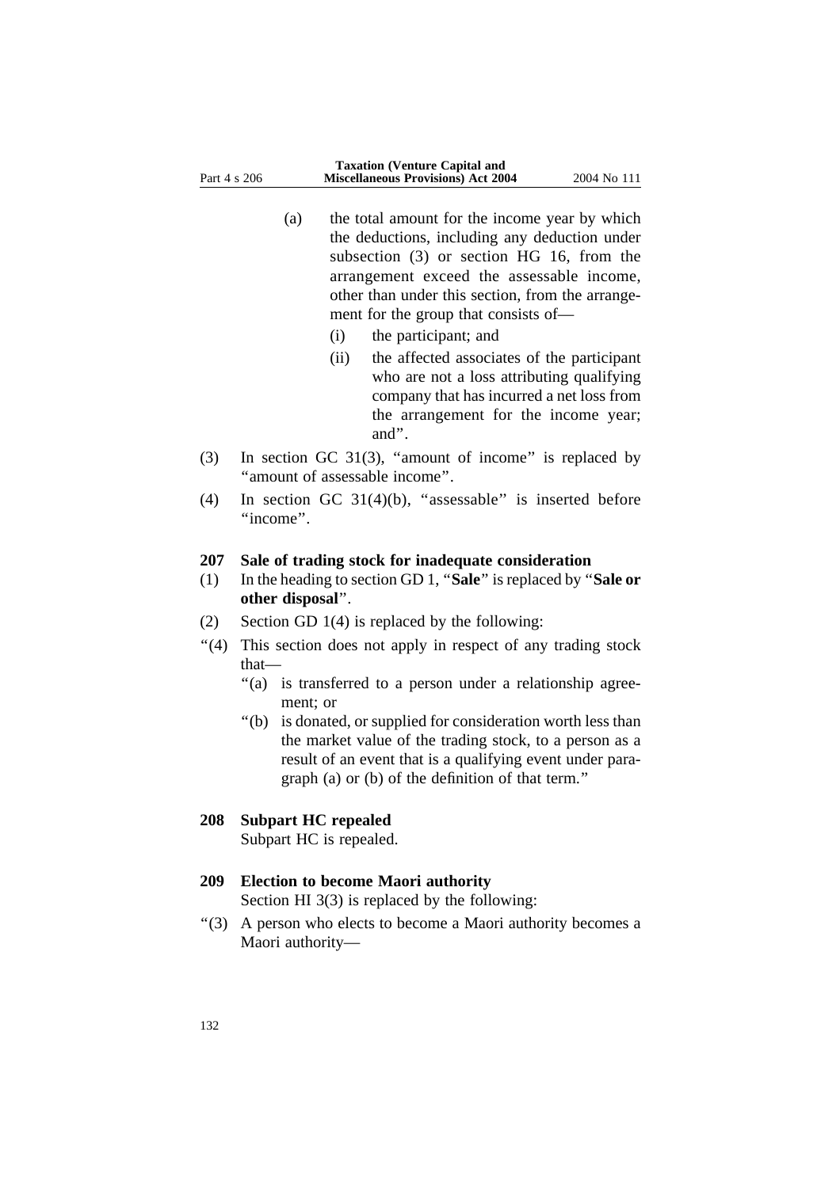- (a) the total amount for the income year by which the deductions, including any deduction under subsection (3) or section HG 16, from the arrangement exceed the assessable income, other than under this section, from the arrangement for the group that consists of—
	- (i) the participant; and
	- (ii) the affected associates of the participant who are not a loss attributing qualifying company that has incurred a net loss from the arrangement for the income year; and''.
- (3) In section GC 31(3), ''amount of income'' is replaced by ''amount of assessable income''.
- (4) In section GC  $31(4)(b)$ , "assessable" is inserted before "income".

### **207 Sale of trading stock for inadequate consideration**

- (1) In the heading to section GD 1, ''**Sale**'' is replaced by ''**Sale or other disposal**''.
- (2) Section GD 1(4) is replaced by the following:
- "(4) This section does not apply in respect of any trading stock that—
	- "(a) is transferred to a person under a relationship agreement; or
	- ''(b) is donated, or supplied for consideration worth less than the market value of the trading stock, to a person as a result of an event that is a qualifying event under paragraph (a) or (b) of the definition of that term.''

# **208 Subpart HC repealed**

Subpart HC is repealed.

# **209 Election to become Maori authority**

Section HI 3(3) is replaced by the following:

''(3) A person who elects to become a Maori authority becomes a Maori authority—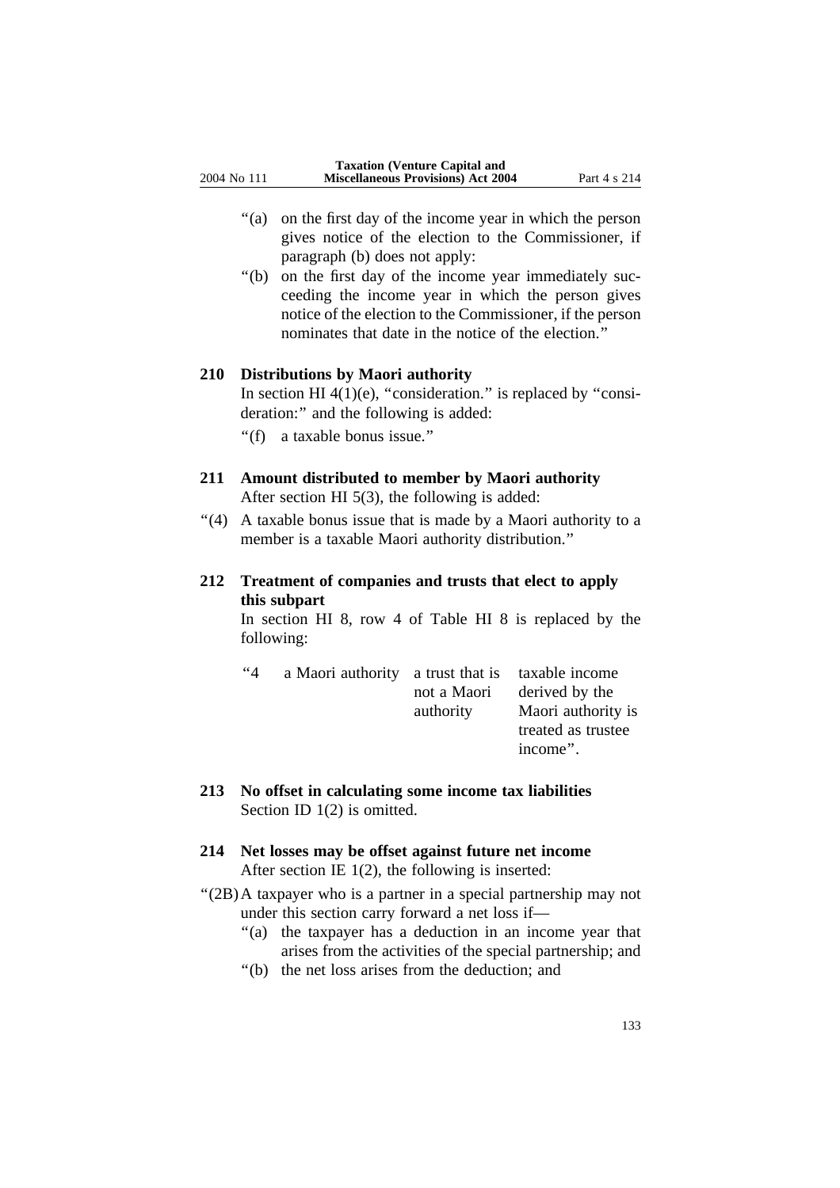- ''(a) on the first day of the income year in which the person gives notice of the election to the Commissioner, if paragraph (b) does not apply:
- ''(b) on the first day of the income year immediately succeeding the income year in which the person gives notice of the election to the Commissioner, if the person nominates that date in the notice of the election.''

# **210 Distributions by Maori authority**

In section HI  $4(1)(e)$ , "consideration." is replaced by "consideration:" and the following is added:

''(f) a taxable bonus issue.''

# **211 Amount distributed to member by Maori authority**

After section HI 5(3), the following is added:

''(4) A taxable bonus issue that is made by a Maori authority to a member is a taxable Maori authority distribution.''

# **212 Treatment of companies and trusts that elect to apply this subpart**

In section HI 8, row 4 of Table HI 8 is replaced by the following:

| ~4 | a Maori authority a trust that is taxable income |             |                    |
|----|--------------------------------------------------|-------------|--------------------|
|    |                                                  | not a Maori | derived by the     |
|    |                                                  | authority   | Maori authority is |
|    |                                                  |             | treated as trustee |
|    |                                                  |             | income".           |

**213 No offset in calculating some income tax liabilities** Section ID 1(2) is omitted.

# **214 Net losses may be offset against future net income** After section IE 1(2), the following is inserted:

- ''(2B)A taxpayer who is a partner in a special partnership may not under this section carry forward a net loss if—
	- "(a) the taxpayer has a deduction in an income year that arises from the activities of the special partnership; and
	- ''(b) the net loss arises from the deduction; and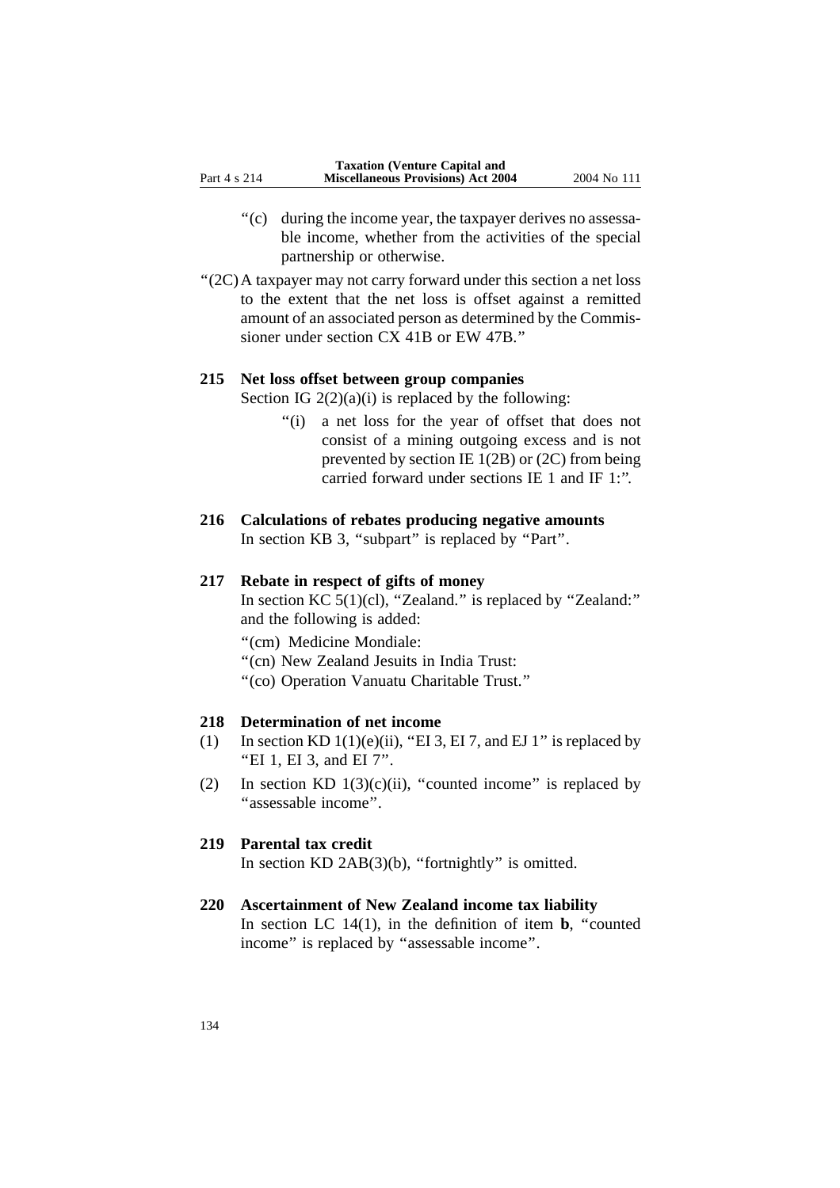- ''(c) during the income year, the taxpayer derives no assessable income, whether from the activities of the special partnership or otherwise.
- ''(2C)A taxpayer may not carry forward under this section a net loss to the extent that the net loss is offset against a remitted amount of an associated person as determined by the Commissioner under section CX 41B or EW 47B.''

# **215 Net loss offset between group companies**

Section IG  $2(2)(a)(i)$  is replaced by the following:

''(i) a net loss for the year of offset that does not consist of a mining outgoing excess and is not prevented by section IE 1(2B) or (2C) from being carried forward under sections IE 1 and IF 1:''.

# **216 Calculations of rebates producing negative amounts** In section KB 3, "subpart" is replaced by "Part".

### **217 Rebate in respect of gifts of money**

In section KC 5(1)(cl), "Zealand." is replaced by "Zealand:" and the following is added:

''(cm) Medicine Mondiale:

- ''(cn) New Zealand Jesuits in India Trust:
- ''(co) Operation Vanuatu Charitable Trust.''

# **218 Determination of net income**

- (1) In section KD  $1(1)(e)(ii)$ , "EI 3, EI 7, and EJ 1" is replaced by ''EI 1, EI 3, and EI 7''.
- (2) In section KD  $1(3)(c)(ii)$ , "counted income" is replaced by ''assessable income''.

# **219 Parental tax credit**

In section  $KD$   $2AB(3)(b)$ , "fortnightly" is omitted.

# **220 Ascertainment of New Zealand income tax liability**

In section LC  $14(1)$ , in the definition of item **b**, "counted income'' is replaced by ''assessable income''.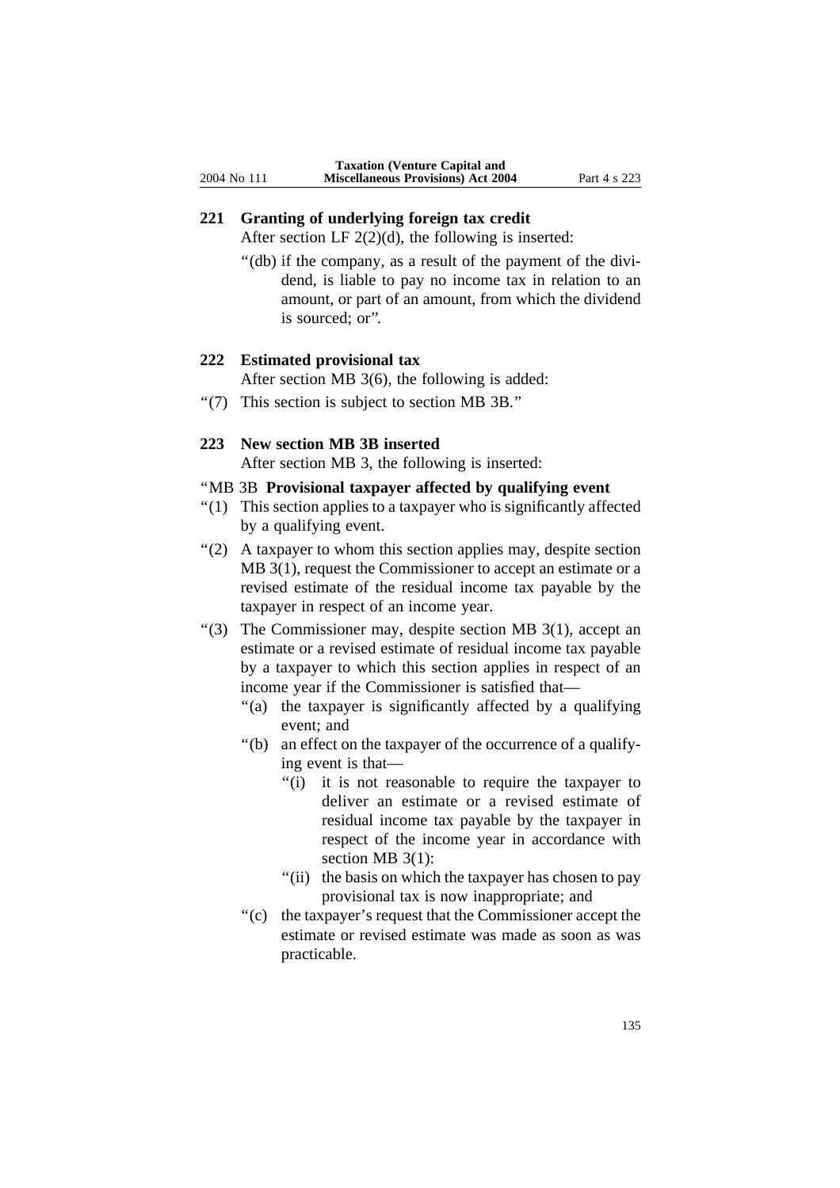# **221 Granting of underlying foreign tax credit**

After section LF  $2(2)(d)$ , the following is inserted:

"(db) if the company, as a result of the payment of the dividend, is liable to pay no income tax in relation to an amount, or part of an amount, from which the dividend is sourced; or''.

# **222 Estimated provisional tax**

After section MB 3(6), the following is added:

''(7) This section is subject to section MB 3B.''

# **223 New section MB 3B inserted**

After section MB 3, the following is inserted:

# ''MB 3B **Provisional taxpayer affected by qualifying event**

- ''(1) This section applies to a taxpayer who is significantly affected by a qualifying event.
- ''(2) A taxpayer to whom this section applies may, despite section MB 3(1), request the Commissioner to accept an estimate or a revised estimate of the residual income tax payable by the taxpayer in respect of an income year.
- ''(3) The Commissioner may, despite section MB 3(1), accept an estimate or a revised estimate of residual income tax payable by a taxpayer to which this section applies in respect of an income year if the Commissioner is satisfied that—
	- "(a) the taxpayer is significantly affected by a qualifying event; and
	- ''(b) an effect on the taxpayer of the occurrence of a qualifying event is that—
		- "(i) it is not reasonable to require the taxpayer to deliver an estimate or a revised estimate of residual income tax payable by the taxpayer in respect of the income year in accordance with section MB 3(1):
		- "(ii) the basis on which the taxpayer has chosen to pay provisional tax is now inappropriate; and
	- "(c) the taxpayer's request that the Commissioner accept the estimate or revised estimate was made as soon as was practicable.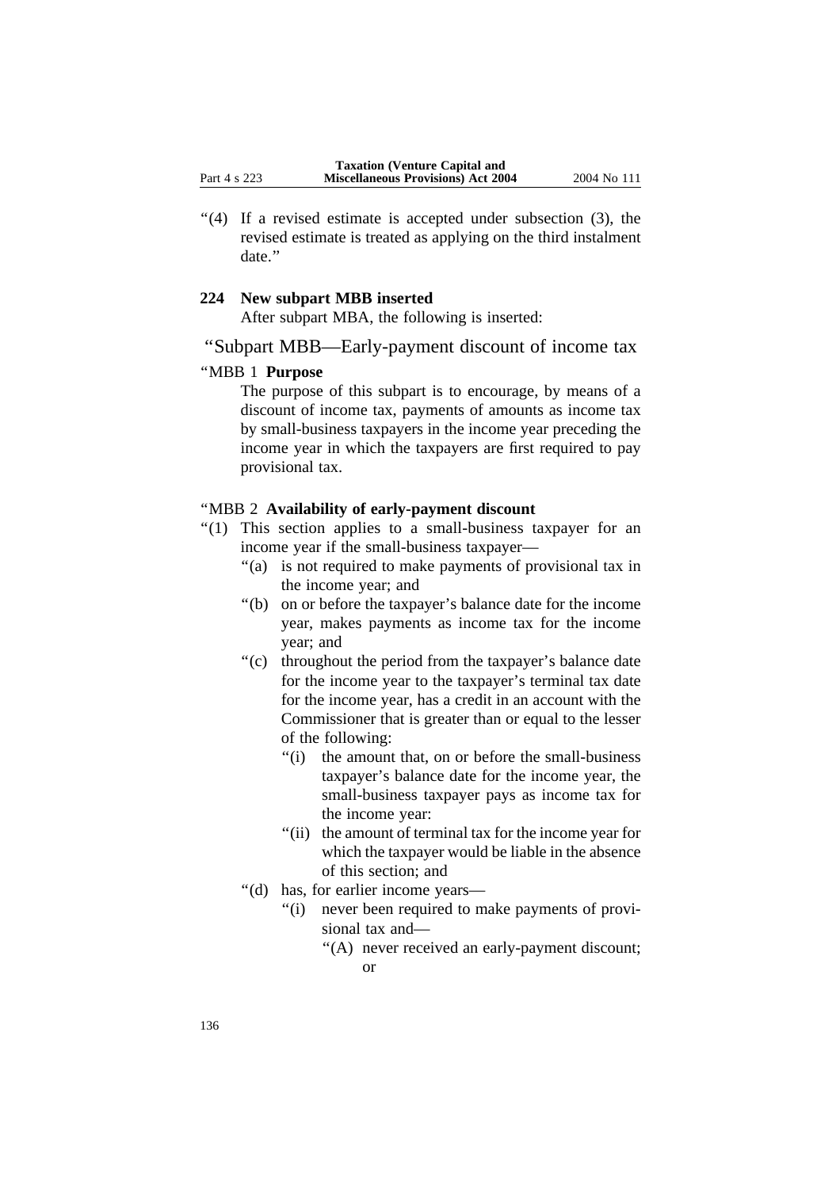"(4) If a revised estimate is accepted under subsection (3), the revised estimate is treated as applying on the third instalment date.''

# **224 New subpart MBB inserted**

After subpart MBA, the following is inserted:

# ''Subpart MBB—Early-payment discount of income tax

# ''MBB 1 **Purpose**

The purpose of this subpart is to encourage, by means of a discount of income tax, payments of amounts as income tax by small-business taxpayers in the income year preceding the income year in which the taxpayers are first required to pay provisional tax.

## ''MBB 2 **Availability of early-payment discount**

- ''(1) This section applies to a small-business taxpayer for an income year if the small-business taxpayer—
	- "(a) is not required to make payments of provisional tax in the income year; and
	- ''(b) on or before the taxpayer's balance date for the income year, makes payments as income tax for the income year; and
	- "(c) throughout the period from the taxpayer's balance date for the income year to the taxpayer's terminal tax date for the income year, has a credit in an account with the Commissioner that is greater than or equal to the lesser of the following:
		- ''(i) the amount that, on or before the small-business taxpayer's balance date for the income year, the small-business taxpayer pays as income tax for the income year:
		- "(ii) the amount of terminal tax for the income year for which the taxpayer would be liable in the absence of this section; and
	- ''(d) has, for earlier income years—
		- "(i) never been required to make payments of provisional tax and—
			- "(A) never received an early-payment discount; or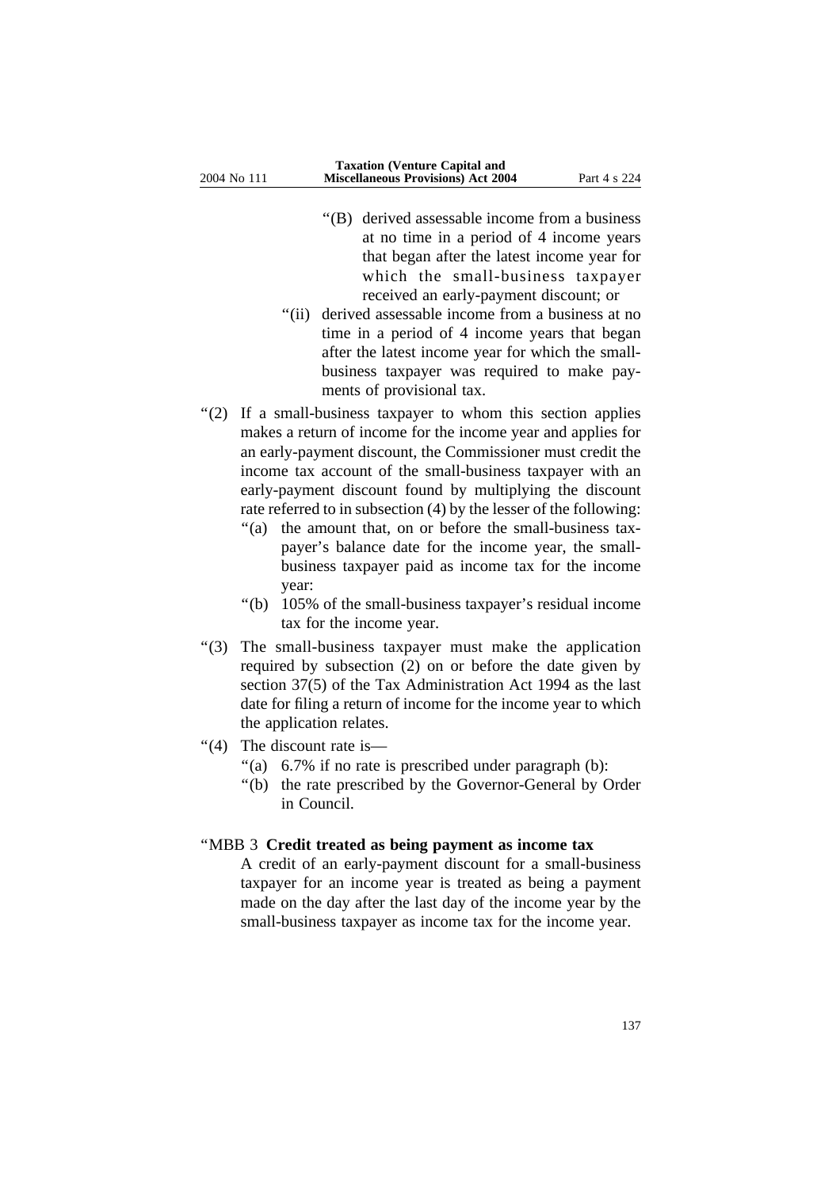- ''(B) derived assessable income from a business at no time in a period of 4 income years that began after the latest income year for which the small-business taxpayer received an early-payment discount; or
- "(ii) derived assessable income from a business at no time in a period of 4 income years that began after the latest income year for which the smallbusiness taxpayer was required to make payments of provisional tax.
- "(2) If a small-business taxpayer to whom this section applies makes a return of income for the income year and applies for an early-payment discount, the Commissioner must credit the income tax account of the small-business taxpayer with an early-payment discount found by multiplying the discount rate referred to in subsection (4) by the lesser of the following:
	- "(a) the amount that, on or before the small-business taxpayer's balance date for the income year, the smallbusiness taxpayer paid as income tax for the income year:
	- ''(b) 105% of the small-business taxpayer's residual income tax for the income year.
- ''(3) The small-business taxpayer must make the application required by subsection (2) on or before the date given by section 37(5) of the Tax Administration Act 1994 as the last date for filing a return of income for the income year to which the application relates.
- "(4) The discount rate is—
	- "(a) 6.7% if no rate is prescribed under paragraph (b):
	- ''(b) the rate prescribed by the Governor-General by Order in Council.

### ''MBB 3 **Credit treated as being payment as income tax**

A credit of an early-payment discount for a small-business taxpayer for an income year is treated as being a payment made on the day after the last day of the income year by the small-business taxpayer as income tax for the income year.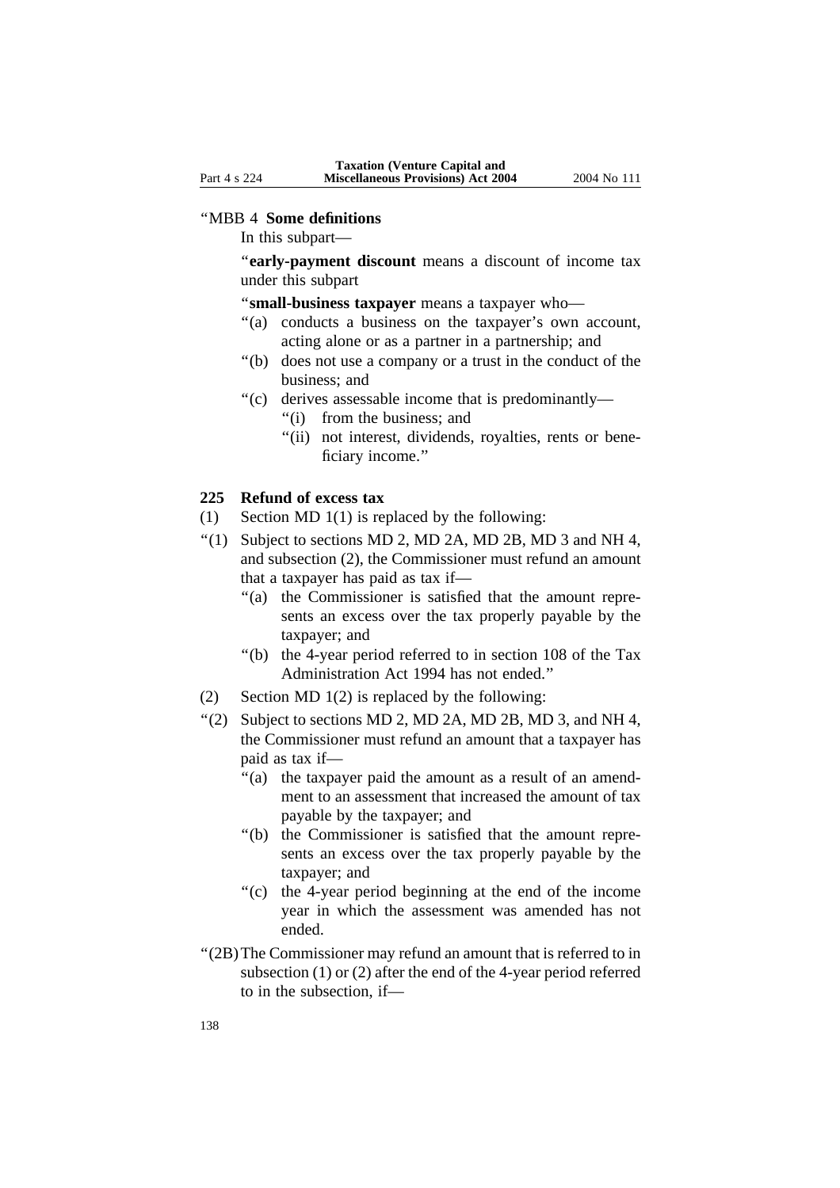#### ''MBB 4 **Some definitions**

In this subpart—

''**early-payment discount** means a discount of income tax under this subpart

''**small-business taxpayer** means a taxpayer who—

- "(a) conducts a business on the taxpayer's own account, acting alone or as a partner in a partnership; and
- ''(b) does not use a company or a trust in the conduct of the business; and
- ''(c) derives assessable income that is predominantly—
	- ''(i) from the business; and
	- "(ii) not interest, dividends, royalties, rents or beneficiary income.''

## **225 Refund of excess tax**

- (1) Section MD 1(1) is replaced by the following:
- $\lq(1)$  Subject to sections MD 2, MD 2A, MD 2B, MD 3 and NH 4, and subsection (2), the Commissioner must refund an amount that a taxpayer has paid as tax if—
	- "(a) the Commissioner is satisfied that the amount represents an excess over the tax properly payable by the taxpayer; and
	- ''(b) the 4-year period referred to in section 108 of the Tax Administration Act 1994 has not ended.''
- (2) Section MD 1(2) is replaced by the following:
- $\lq$ (2) Subject to sections MD 2, MD 2A, MD 2B, MD 3, and NH 4, the Commissioner must refund an amount that a taxpayer has paid as tax if—
	- ''(a) the taxpayer paid the amount as a result of an amendment to an assessment that increased the amount of tax payable by the taxpayer; and
	- ''(b) the Commissioner is satisfied that the amount represents an excess over the tax properly payable by the taxpayer; and
	- ''(c) the 4-year period beginning at the end of the income year in which the assessment was amended has not ended.
- ''(2B)The Commissioner may refund an amount that is referred to in subsection (1) or (2) after the end of the 4-year period referred to in the subsection, if—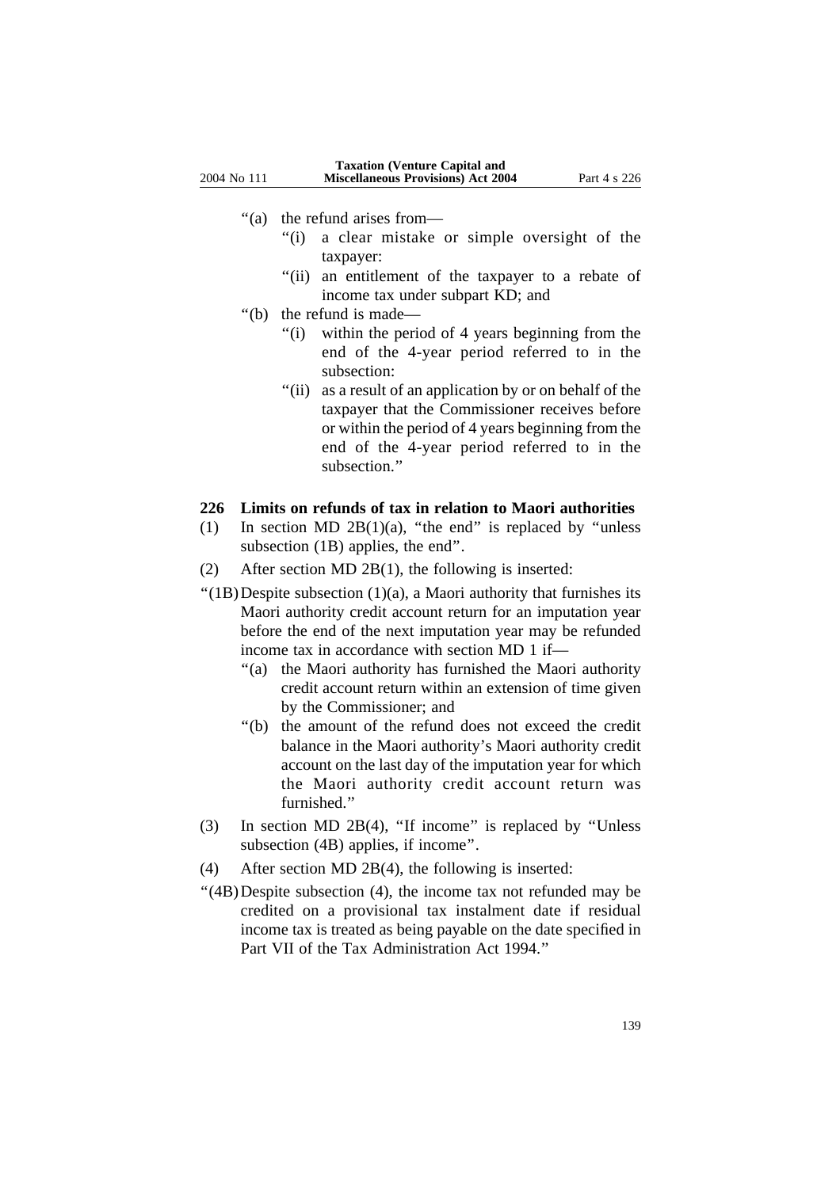- ''(a) the refund arises from—
	- "(i) a clear mistake or simple oversight of the taxpayer:
	- "(ii) an entitlement of the taxpayer to a rebate of income tax under subpart KD; and
- ''(b) the refund is made—
	- "(i) within the period of 4 years beginning from the end of the 4-year period referred to in the subsection:
	- "(ii) as a result of an application by or on behalf of the taxpayer that the Commissioner receives before or within the period of 4 years beginning from the end of the 4-year period referred to in the subsection.''

### **226 Limits on refunds of tax in relation to Maori authorities**

- (1) In section MD 2B(1)(a), "the end" is replaced by "unless subsection (1B) applies, the end''.
- (2) After section MD 2B(1), the following is inserted:
- $''(1B)$ Despite subsection  $(1)(a)$ , a Maori authority that furnishes its Maori authority credit account return for an imputation year before the end of the next imputation year may be refunded income tax in accordance with section MD 1 if—
	- ''(a) the Maori authority has furnished the Maori authority credit account return within an extension of time given by the Commissioner; and
	- ''(b) the amount of the refund does not exceed the credit balance in the Maori authority's Maori authority credit account on the last day of the imputation year for which the Maori authority credit account return was furnished.''
- (3) In section MD 2B(4), ''If income'' is replaced by ''Unless subsection (4B) applies, if income''.
- (4) After section MD 2B(4), the following is inserted:
- ''(4B)Despite subsection (4), the income tax not refunded may be credited on a provisional tax instalment date if residual income tax is treated as being payable on the date specified in Part VII of the Tax Administration Act 1994.''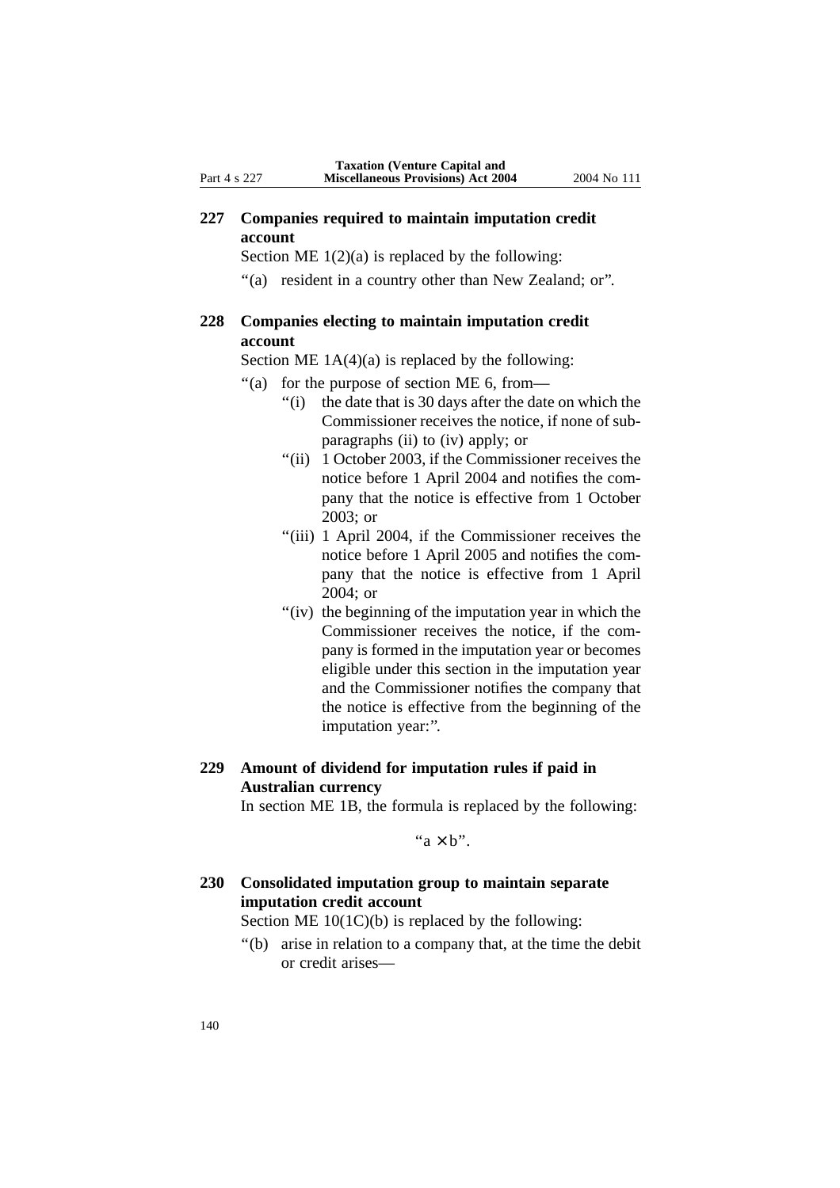## **227 Companies required to maintain imputation credit account**

Section ME  $1(2)(a)$  is replaced by the following:

"(a) resident in a country other than New Zealand; or".

# **228 Companies electing to maintain imputation credit account**

Section ME  $1A(4)(a)$  is replaced by the following:

- ''(a) for the purpose of section ME 6, from—
	- "(i) the date that is 30 days after the date on which the Commissioner receives the notice, if none of subparagraphs (ii) to (iv) apply; or
	- "(ii) 1 October 2003, if the Commissioner receives the notice before 1 April 2004 and notifies the company that the notice is effective from 1 October 2003; or
	- "(iii) 1 April 2004, if the Commissioner receives the notice before 1 April 2005 and notifies the company that the notice is effective from 1 April 2004; or
	- "(iv) the beginning of the imputation year in which the Commissioner receives the notice, if the company is formed in the imputation year or becomes eligible under this section in the imputation year and the Commissioner notifies the company that the notice is effective from the beginning of the imputation year:".

# **229 Amount of dividend for imputation rules if paid in Australian currency**

In section ME 1B, the formula is replaced by the following:

" $a \times b$ "

# **230 Consolidated imputation group to maintain separate imputation credit account**

Section ME 10(1C)(b) is replaced by the following:

''(b) arise in relation to a company that, at the time the debit or credit arises—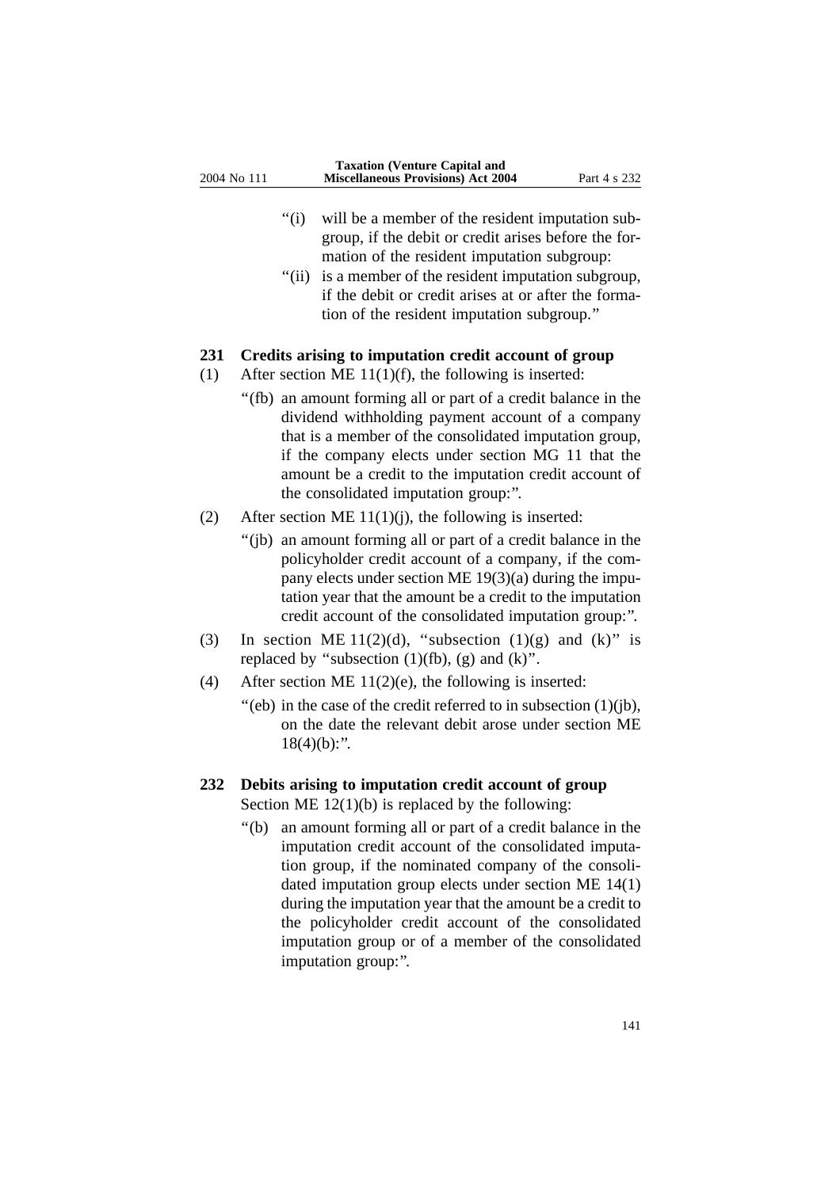- "(i) will be a member of the resident imputation subgroup, if the debit or credit arises before the formation of the resident imputation subgroup:
- "(ii) is a member of the resident imputation subgroup, if the debit or credit arises at or after the formation of the resident imputation subgroup.''

#### **231 Credits arising to imputation credit account of group**

- (1) After section ME 11(1)(f), the following is inserted:
	- ''(fb) an amount forming all or part of a credit balance in the dividend withholding payment account of a company that is a member of the consolidated imputation group, if the company elects under section MG 11 that the amount be a credit to the imputation credit account of the consolidated imputation group:''.
- (2) After section ME  $11(1)(i)$ , the following is inserted:
	- ''(jb) an amount forming all or part of a credit balance in the policyholder credit account of a company, if the company elects under section ME 19(3)(a) during the imputation year that the amount be a credit to the imputation credit account of the consolidated imputation group:''.
- (3) In section ME 11(2)(d), "subsection (1)(g) and (k)" is replaced by "subsection  $(1)(fb)$ ,  $(g)$  and  $(k)$ ".
- (4) After section ME  $11(2)(e)$ , the following is inserted:
	- ''(eb) in the case of the credit referred to in subsection (1)(jb), on the date the relevant debit arose under section ME  $18(4)(b)$ :".

# **232 Debits arising to imputation credit account of group** Section ME  $12(1)(b)$  is replaced by the following:

''(b) an amount forming all or part of a credit balance in the imputation credit account of the consolidated imputation group, if the nominated company of the consolidated imputation group elects under section ME 14(1) during the imputation year that the amount be a credit to the policyholder credit account of the consolidated imputation group or of a member of the consolidated imputation group:''.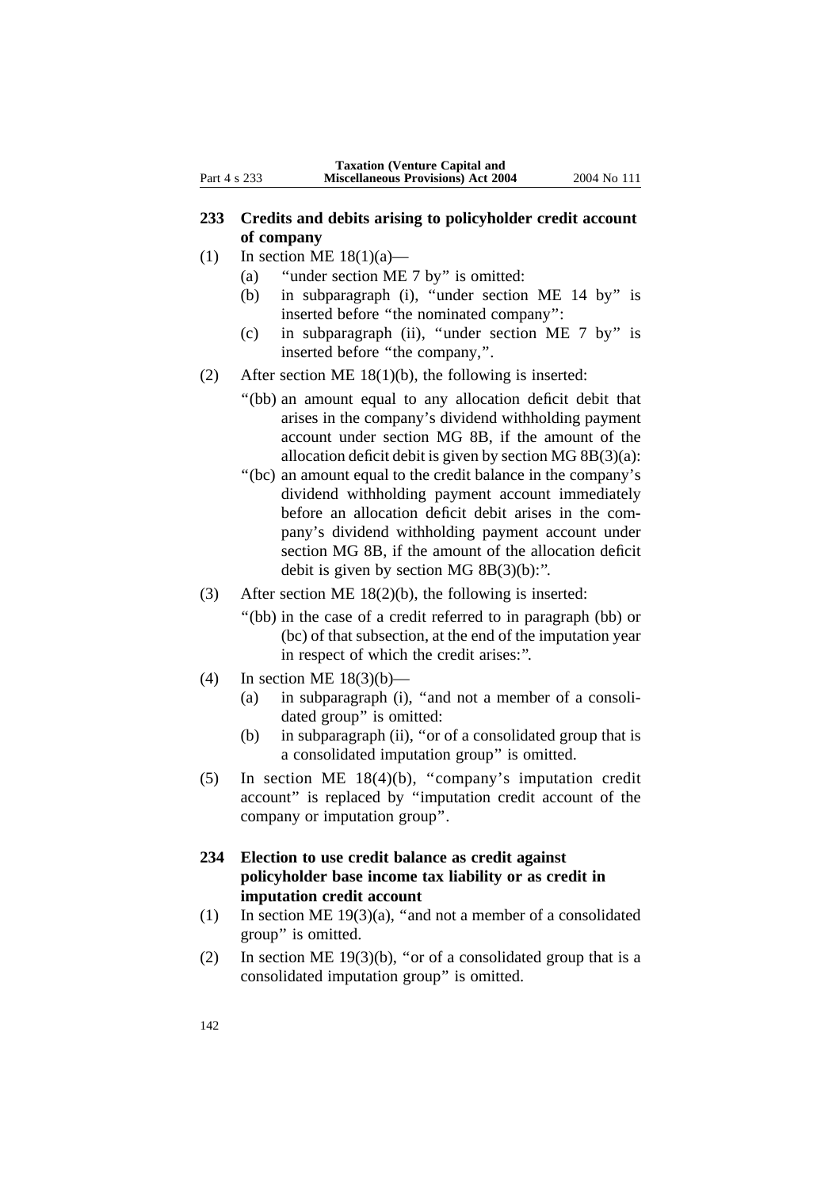# **233 Credits and debits arising to policyholder credit account of company**

- (1) In section ME  $18(1)(a)$ 
	- (a) ''under section ME 7 by'' is omitted:
	- (b) in subparagraph (i), ''under section ME 14 by'' is inserted before ''the nominated company'':
	- (c) in subparagraph (ii), ''under section ME 7 by'' is inserted before ''the company,''.
- (2) After section ME 18(1)(b), the following is inserted:
	- ''(bb) an amount equal to any allocation deficit debit that arises in the company's dividend withholding payment account under section MG 8B, if the amount of the allocation deficit debit is given by section MG 8B(3)(a):
	- ''(bc) an amount equal to the credit balance in the company's dividend withholding payment account immediately before an allocation deficit debit arises in the company's dividend withholding payment account under section MG 8B, if the amount of the allocation deficit debit is given by section MG  $8B(3)(b)$ :".
- (3) After section ME 18(2)(b), the following is inserted:
	- ''(bb) in the case of a credit referred to in paragraph (bb) or (bc) of that subsection, at the end of the imputation year in respect of which the credit arises:''.
- (4) In section ME  $18(3)(b)$ 
	- (a) in subparagraph (i), ''and not a member of a consolidated group'' is omitted:
	- (b) in subparagraph (ii), "or of a consolidated group that is a consolidated imputation group'' is omitted.
- (5) In section ME 18(4)(b), ''company's imputation credit account'' is replaced by ''imputation credit account of the company or imputation group''.
- **234 Election to use credit balance as credit against policyholder base income tax liability or as credit in imputation credit account**
- (1) In section ME 19(3)(a), ''and not a member of a consolidated group'' is omitted.
- (2) In section ME 19(3)(b), "or of a consolidated group that is a consolidated imputation group'' is omitted.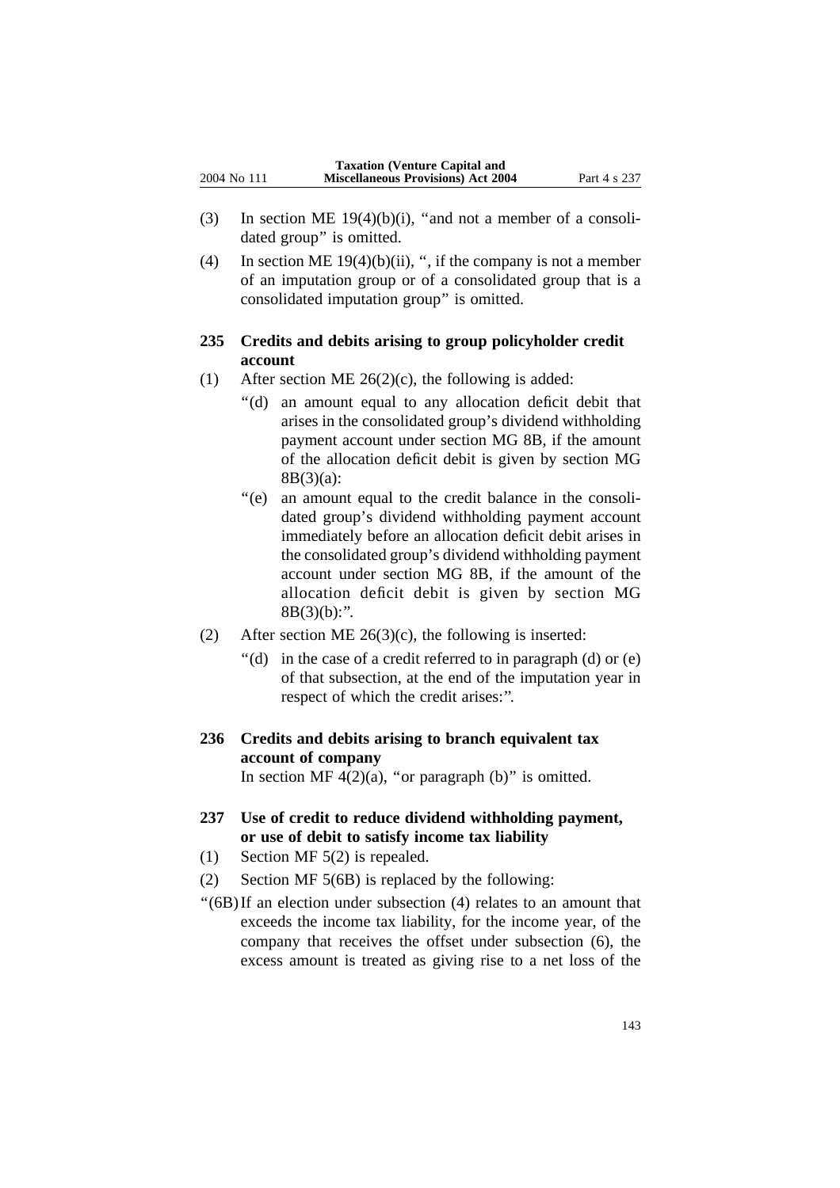- (3) In section ME  $19(4)(b)(i)$ , "and not a member of a consolidated group'' is omitted.
- (4) In section ME  $19(4)(b)(ii)$ , ", if the company is not a member of an imputation group or of a consolidated group that is a consolidated imputation group'' is omitted.

# **235 Credits and debits arising to group policyholder credit account**

- (1) After section ME  $26(2)(c)$ , the following is added:
	- ''(d) an amount equal to any allocation deficit debit that arises in the consolidated group's dividend withholding payment account under section MG 8B, if the amount of the allocation deficit debit is given by section MG 8B(3)(a):
	- ''(e) an amount equal to the credit balance in the consolidated group's dividend withholding payment account immediately before an allocation deficit debit arises in the consolidated group's dividend withholding payment account under section MG 8B, if the amount of the allocation deficit debit is given by section MG  $8B(3)(b)$ :".
- (2) After section ME  $26(3)(c)$ , the following is inserted:
	- $'(d)$  in the case of a credit referred to in paragraph (d) or (e) of that subsection, at the end of the imputation year in respect of which the credit arises:''.
- **236 Credits and debits arising to branch equivalent tax account of company** In section MF  $4(2)(a)$ , "or paragraph (b)" is omitted.
- **237 Use of credit to reduce dividend withholding payment, or use of debit to satisfy income tax liability**
- (1) Section MF 5(2) is repealed.
- (2) Section MF 5(6B) is replaced by the following:
- ''(6B)If an election under subsection (4) relates to an amount that exceeds the income tax liability, for the income year, of the company that receives the offset under subsection (6), the excess amount is treated as giving rise to a net loss of the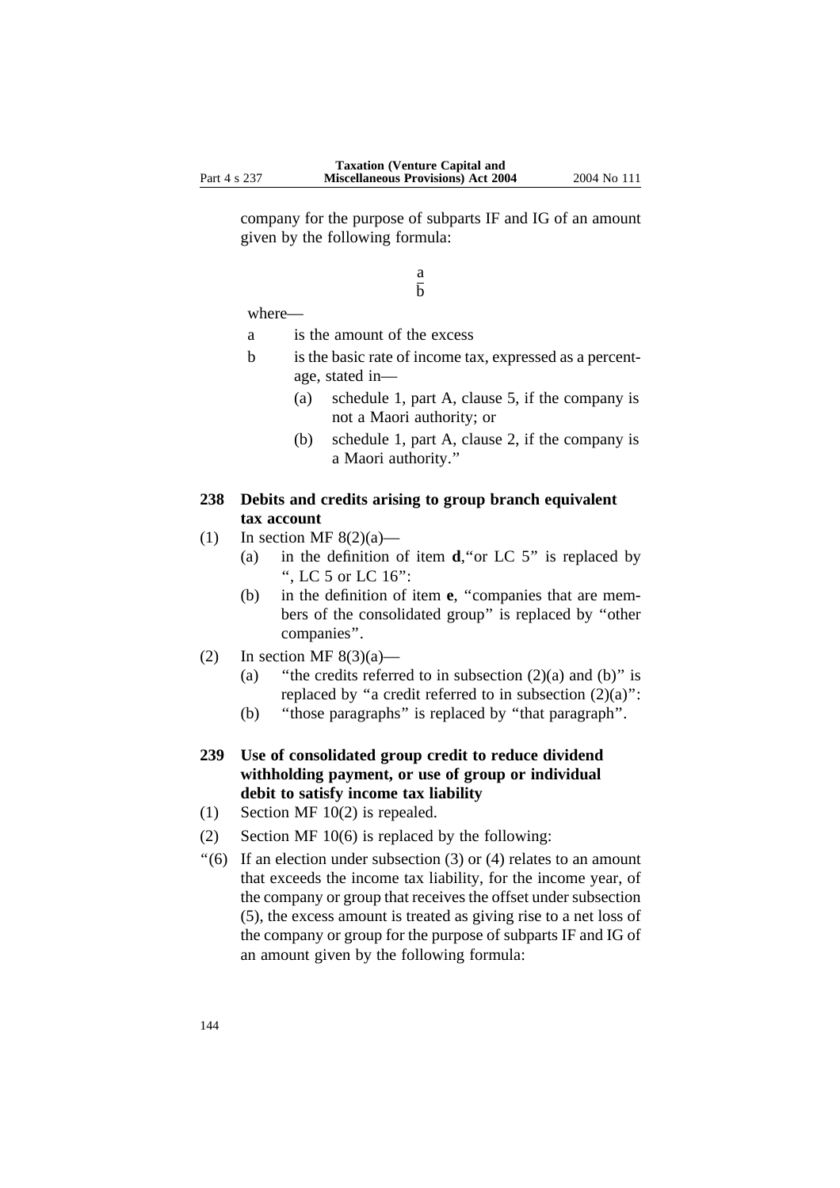company for the purpose of subparts IF and IG of an amount given by the following formula:

> a  $\overline{h}$

where—

- a is the amount of the excess
- b is the basic rate of income tax, expressed as a percentage, stated in—
	- (a) schedule 1, part A, clause 5, if the company is not a Maori authority; or
	- (b) schedule 1, part A, clause 2, if the company is a Maori authority.''

# **238 Debits and credits arising to group branch equivalent tax account**

- (1) In section MF  $8(2)(a)$ 
	- (a) in the definition of item **d**,''or LC 5'' is replaced by '', LC 5 or LC 16'':
	- (b) in the definition of item **e**, ''companies that are members of the consolidated group'' is replaced by ''other companies''.
- (2) In section MF  $8(3)(a)$ 
	- (a) "the credits referred to in subsection  $(2)(a)$  and  $(b)$ " is replaced by "a credit referred to in subsection  $(2)(a)$ ":
	- (b) ''those paragraphs'' is replaced by ''that paragraph''.
- **239 Use of consolidated group credit to reduce dividend withholding payment, or use of group or individual debit to satisfy income tax liability**
- (1) Section MF 10(2) is repealed.
- (2) Section MF 10(6) is replaced by the following:
- "(6) If an election under subsection (3) or (4) relates to an amount that exceeds the income tax liability, for the income year, of the company or group that receives the offset under subsection (5), the excess amount is treated as giving rise to a net loss of the company or group for the purpose of subparts IF and IG of an amount given by the following formula: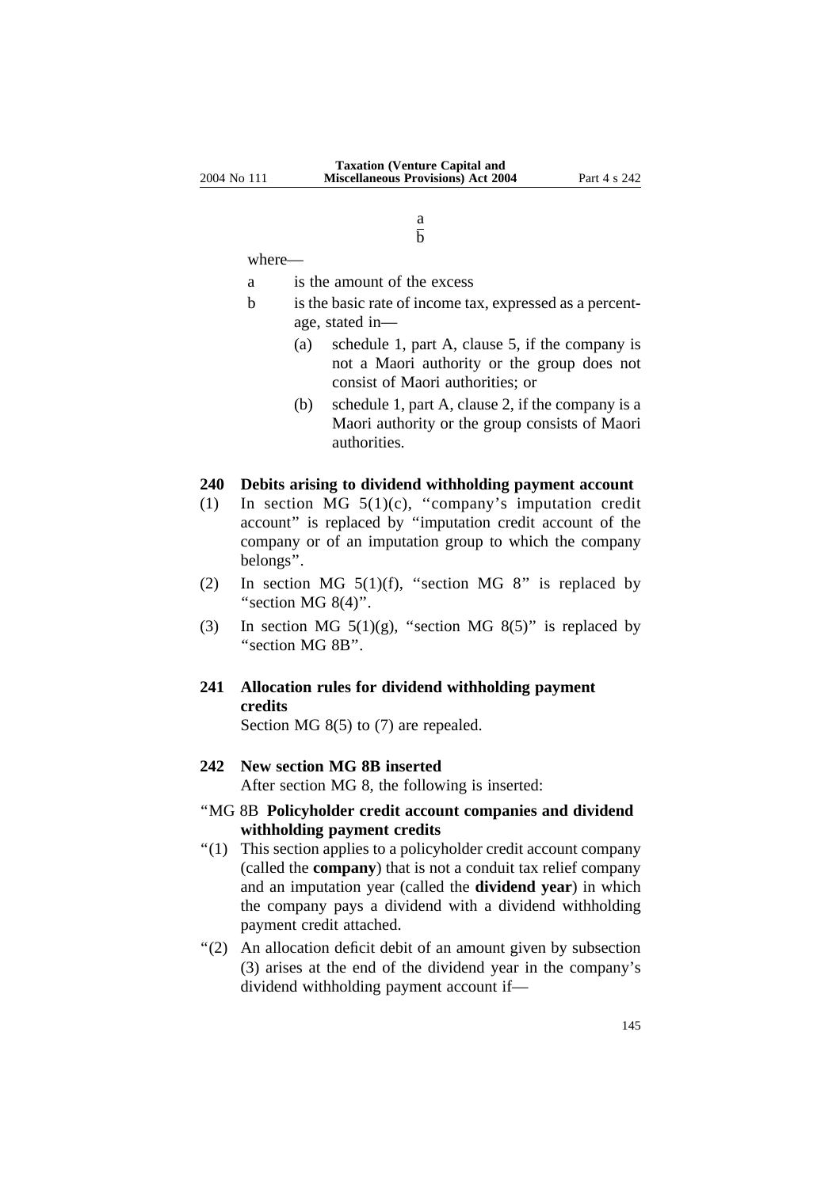a  $\overline{b}$ 

where—

- a is the amount of the excess
- b is the basic rate of income tax, expressed as a percentage, stated in—
	- (a) schedule 1, part A, clause 5, if the company is not a Maori authority or the group does not consist of Maori authorities; or
	- (b) schedule 1, part A, clause 2, if the company is a Maori authority or the group consists of Maori authorities.

#### **240 Debits arising to dividend withholding payment account**

- (1) In section MG  $5(1)(c)$ , "company's imputation credit account'' is replaced by ''imputation credit account of the company or of an imputation group to which the company belongs''.
- (2) In section MG  $5(1)(f)$ , "section MG 8" is replaced by "section MG  $8(4)$ ".
- (3) In section MG  $5(1)(g)$ , "section MG  $8(5)$ " is replaced by ''section MG 8B''.

## **241 Allocation rules for dividend withholding payment credits**

Section MG 8(5) to (7) are repealed.

### **242 New section MG 8B inserted**

After section MG 8, the following is inserted:

#### ''MG 8B **Policyholder credit account companies and dividend withholding payment credits**

- ''(1) This section applies to a policyholder credit account company (called the **company**) that is not a conduit tax relief company and an imputation year (called the **dividend year**) in which the company pays a dividend with a dividend withholding payment credit attached.
- "(2) An allocation deficit debit of an amount given by subsection (3) arises at the end of the dividend year in the company's dividend withholding payment account if—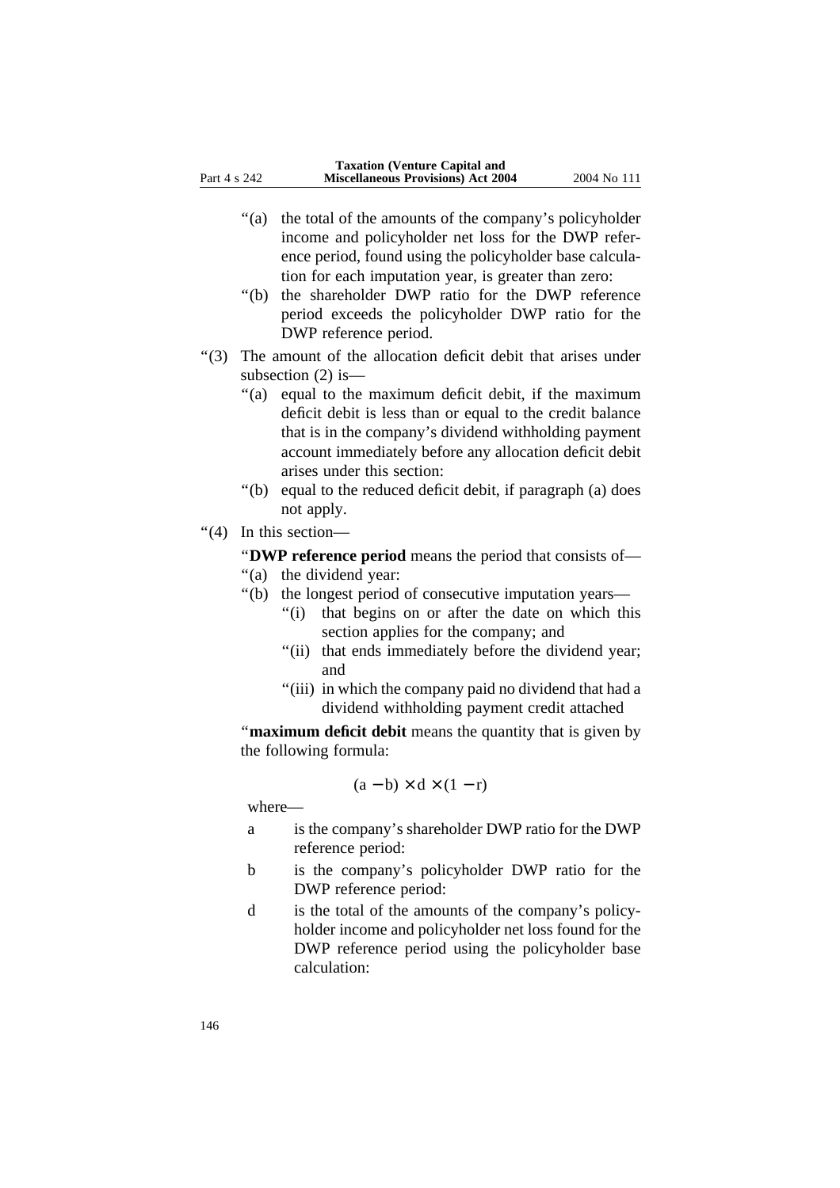- "(a) the total of the amounts of the company's policyholder income and policyholder net loss for the DWP reference period, found using the policyholder base calculation for each imputation year, is greater than zero:
- ''(b) the shareholder DWP ratio for the DWP reference period exceeds the policyholder DWP ratio for the DWP reference period.
- ''(3) The amount of the allocation deficit debit that arises under subsection (2) is—
	- ''(a) equal to the maximum deficit debit, if the maximum deficit debit is less than or equal to the credit balance that is in the company's dividend withholding payment account immediately before any allocation deficit debit arises under this section:
	- ''(b) equal to the reduced deficit debit, if paragraph (a) does not apply.
- ''(4) In this section—

''**DWP reference period** means the period that consists of—

- "(a) the dividend year:
- ''(b) the longest period of consecutive imputation years—
	- "(i) that begins on or after the date on which this section applies for the company; and
	- "(ii) that ends immediately before the dividend year; and
	- "(iii) in which the company paid no dividend that had a dividend withholding payment credit attached

''**maximum deficit debit** means the quantity that is given by the following formula:

$$
(a - b) \times d \times (1 - r)
$$

where—

- a is the company's shareholder DWP ratio for the DWP reference period:
- b is the company's policyholder DWP ratio for the DWP reference period:
- d is the total of the amounts of the company's policyholder income and policyholder net loss found for the DWP reference period using the policyholder base calculation: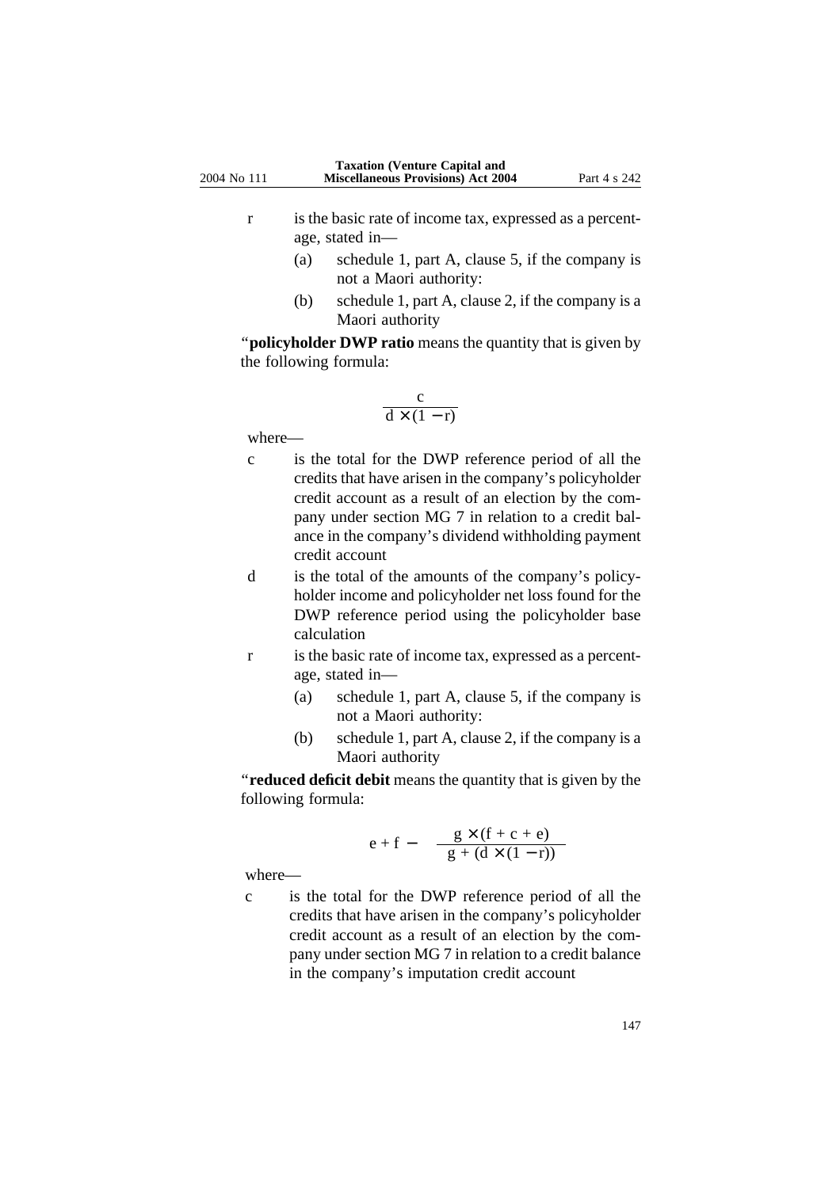- r is the basic rate of income tax, expressed as a percentage, stated in—
	- (a) schedule 1, part A, clause 5, if the company is not a Maori authority:
	- (b) schedule 1, part A, clause 2, if the company is a Maori authority

''**policyholder DWP ratio** means the quantity that is given by the following formula:

$$
\frac{c}{d\times(1-r)}
$$

where—

- c is the total for the DWP reference period of all the credits that have arisen in the company's policyholder credit account as a result of an election by the company under section MG 7 in relation to a credit balance in the company's dividend withholding payment credit account
- d is the total of the amounts of the company's policyholder income and policyholder net loss found for the DWP reference period using the policyholder base calculation
- r is the basic rate of income tax, expressed as a percentage, stated in—
	- (a) schedule 1, part A, clause 5, if the company is not a Maori authority:
	- (b) schedule 1, part A, clause 2, if the company is a Maori authority

''**reduced deficit debit** means the quantity that is given by the following formula:

$$
e+f-\quad \frac{g\times (f+c+e)}{g+(d\times (1-r))}
$$

where—

c is the total for the DWP reference period of all the credits that have arisen in the company's policyholder credit account as a result of an election by the company under section MG 7 in relation to a credit balance in the company's imputation credit account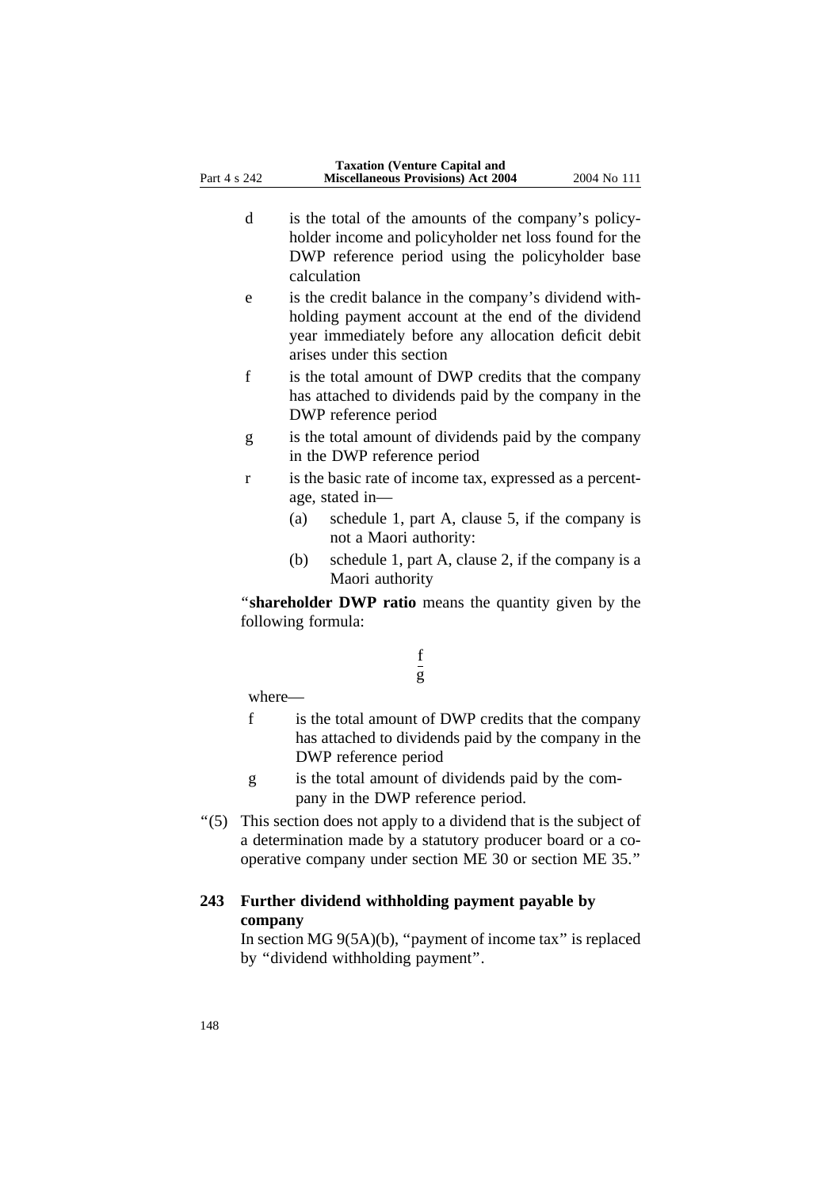- d is the total of the amounts of the company's policyholder income and policyholder net loss found for the DWP reference period using the policyholder base calculation
- e is the credit balance in the company's dividend withholding payment account at the end of the dividend year immediately before any allocation deficit debit arises under this section
- f is the total amount of DWP credits that the company has attached to dividends paid by the company in the DWP reference period
- g is the total amount of dividends paid by the company in the DWP reference period
- r is the basic rate of income tax, expressed as a percentage, stated in—
	- (a) schedule 1, part A, clause 5, if the company is not a Maori authority:
	- (b) schedule 1, part A, clause 2, if the company is a Maori authority

''**shareholder DWP ratio** means the quantity given by the following formula:

> f g

where—

- f is the total amount of DWP credits that the company has attached to dividends paid by the company in the DWP reference period
- g is the total amount of dividends paid by the company in the DWP reference period.
- ''(5) This section does not apply to a dividend that is the subject of a determination made by a statutory producer board or a cooperative company under section ME 30 or section ME 35.''

### **243 Further dividend withholding payment payable by company**

In section MG 9(5A)(b), ''payment of income tax'' is replaced by ''dividend withholding payment''.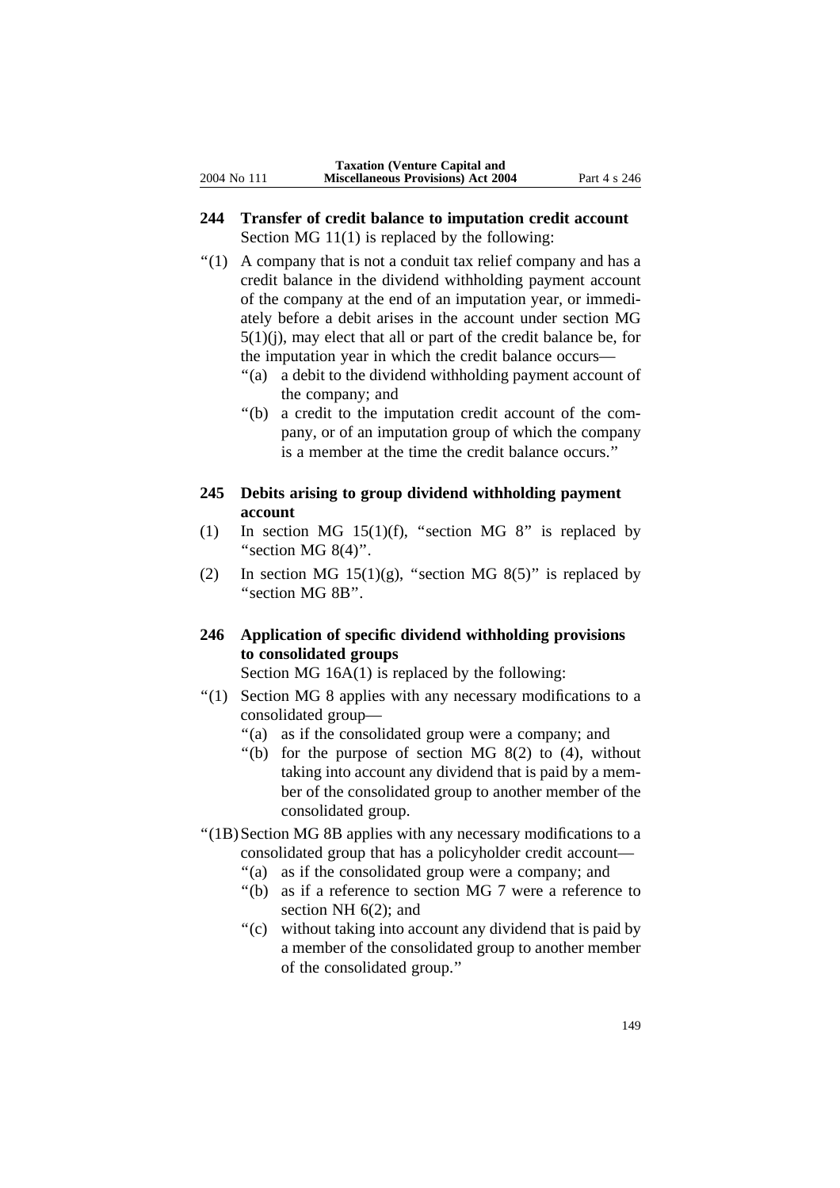### **244 Transfer of credit balance to imputation credit account** Section MG 11(1) is replaced by the following:

- ''(1) A company that is not a conduit tax relief company and has a credit balance in the dividend withholding payment account of the company at the end of an imputation year, or immediately before a debit arises in the account under section MG  $5(1)(i)$ , may elect that all or part of the credit balance be, for the imputation year in which the credit balance occurs—
	- ''(a) a debit to the dividend withholding payment account of the company; and
	- ''(b) a credit to the imputation credit account of the company, or of an imputation group of which the company is a member at the time the credit balance occurs.''

### **245 Debits arising to group dividend withholding payment account**

- (1) In section MG 15(1)(f), "section MG 8" is replaced by "section MG  $8(4)$ ".
- (2) In section MG  $15(1)(g)$ , "section MG  $8(5)$ " is replaced by ''section MG 8B''.

## **246 Application of specific dividend withholding provisions to consolidated groups**

Section MG 16A(1) is replaced by the following:

- ''(1) Section MG 8 applies with any necessary modifications to a consolidated group—
	- ''(a) as if the consolidated group were a company; and
	- "(b) for the purpose of section MG  $8(2)$  to  $(4)$ , without taking into account any dividend that is paid by a member of the consolidated group to another member of the consolidated group.
- ''(1B)Section MG 8B applies with any necessary modifications to a consolidated group that has a policyholder credit account—
	- "(a) as if the consolidated group were a company; and
	- ''(b) as if a reference to section MG 7 were a reference to section NH 6(2); and
	- "(c) without taking into account any dividend that is paid by a member of the consolidated group to another member of the consolidated group.''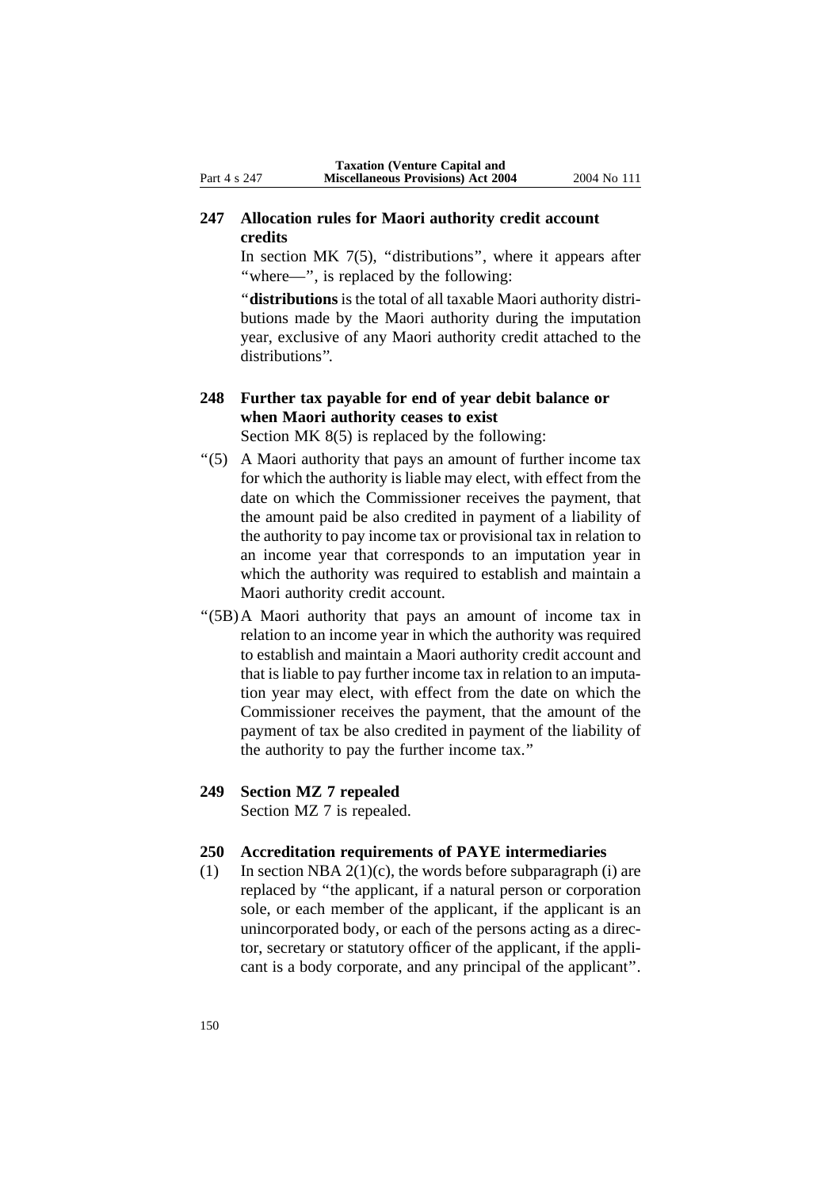### **247 Allocation rules for Maori authority credit account credits**

In section MK  $7(5)$ , "distributions", where it appears after "where-", is replaced by the following:

''**distributions** is the total of all taxable Maori authority distributions made by the Maori authority during the imputation year, exclusive of any Maori authority credit attached to the distributions''.

## **248 Further tax payable for end of year debit balance or when Maori authority ceases to exist**

Section MK 8(5) is replaced by the following:

- ''(5) A Maori authority that pays an amount of further income tax for which the authority is liable may elect, with effect from the date on which the Commissioner receives the payment, that the amount paid be also credited in payment of a liability of the authority to pay income tax or provisional tax in relation to an income year that corresponds to an imputation year in which the authority was required to establish and maintain a Maori authority credit account.
- ''(5B)A Maori authority that pays an amount of income tax in relation to an income year in which the authority was required to establish and maintain a Maori authority credit account and that is liable to pay further income tax in relation to an imputation year may elect, with effect from the date on which the Commissioner receives the payment, that the amount of the payment of tax be also credited in payment of the liability of the authority to pay the further income tax.''
- **249 Section MZ 7 repealed**

Section MZ 7 is repealed.

### **250 Accreditation requirements of PAYE intermediaries**

(1) In section NBA  $2(1)(c)$ , the words before subparagraph (i) are replaced by ''the applicant, if a natural person or corporation sole, or each member of the applicant, if the applicant is an unincorporated body, or each of the persons acting as a director, secretary or statutory officer of the applicant, if the applicant is a body corporate, and any principal of the applicant''.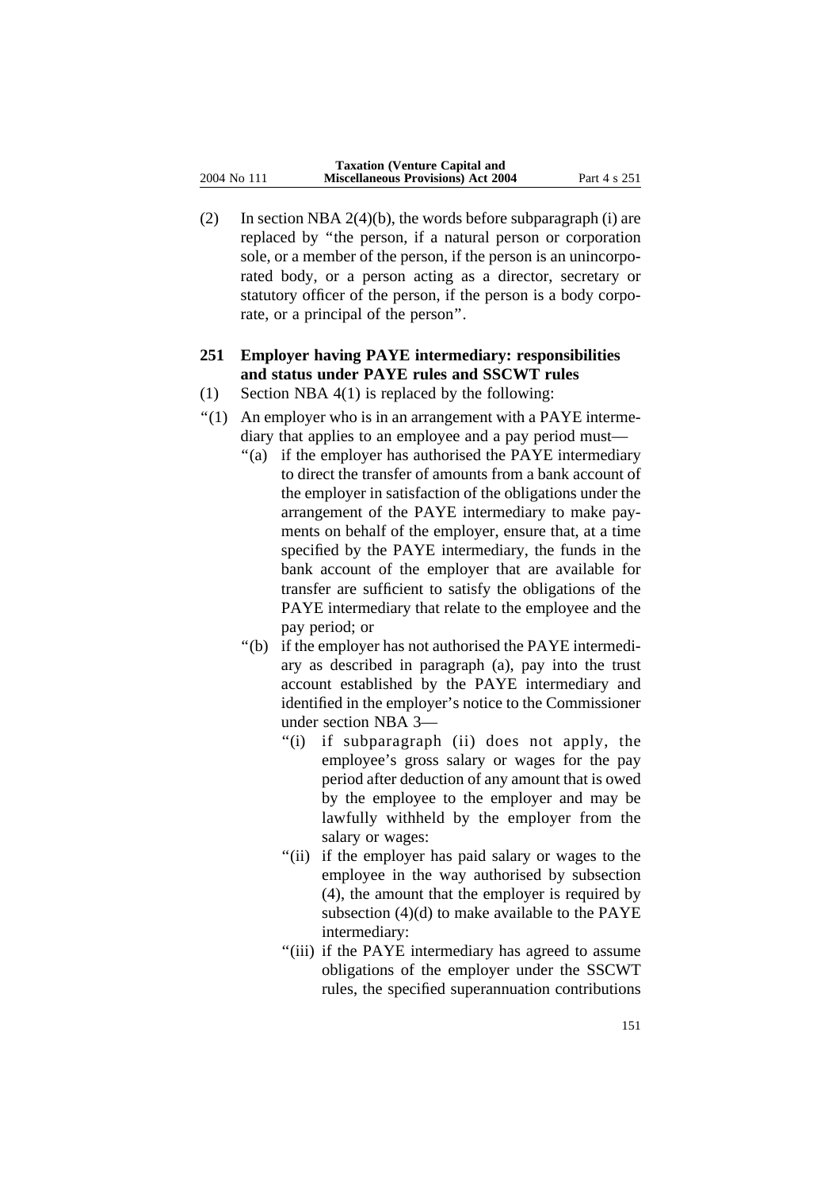(2) In section NBA  $2(4)(b)$ , the words before subparagraph (i) are replaced by ''the person, if a natural person or corporation sole, or a member of the person, if the person is an unincorporated body, or a person acting as a director, secretary or statutory officer of the person, if the person is a body corporate, or a principal of the person''.

## **251 Employer having PAYE intermediary: responsibilities and status under PAYE rules and SSCWT rules**

- (1) Section NBA 4(1) is replaced by the following:
- $''(1)$  An employer who is in an arrangement with a PAYE intermediary that applies to an employee and a pay period must—
	- ''(a) if the employer has authorised the PAYE intermediary to direct the transfer of amounts from a bank account of the employer in satisfaction of the obligations under the arrangement of the PAYE intermediary to make payments on behalf of the employer, ensure that, at a time specified by the PAYE intermediary, the funds in the bank account of the employer that are available for transfer are sufficient to satisfy the obligations of the PAYE intermediary that relate to the employee and the pay period; or
	- ''(b) if the employer has not authorised the PAYE intermediary as described in paragraph (a), pay into the trust account established by the PAYE intermediary and identified in the employer's notice to the Commissioner under section NBA 3—
		- ''(i) if subparagraph (ii) does not apply, the employee's gross salary or wages for the pay period after deduction of any amount that is owed by the employee to the employer and may be lawfully withheld by the employer from the salary or wages:
		- "(ii) if the employer has paid salary or wages to the employee in the way authorised by subsection (4), the amount that the employer is required by subsection (4)(d) to make available to the PAYE intermediary:
		- ''(iii) if the PAYE intermediary has agreed to assume obligations of the employer under the SSCWT rules, the specified superannuation contributions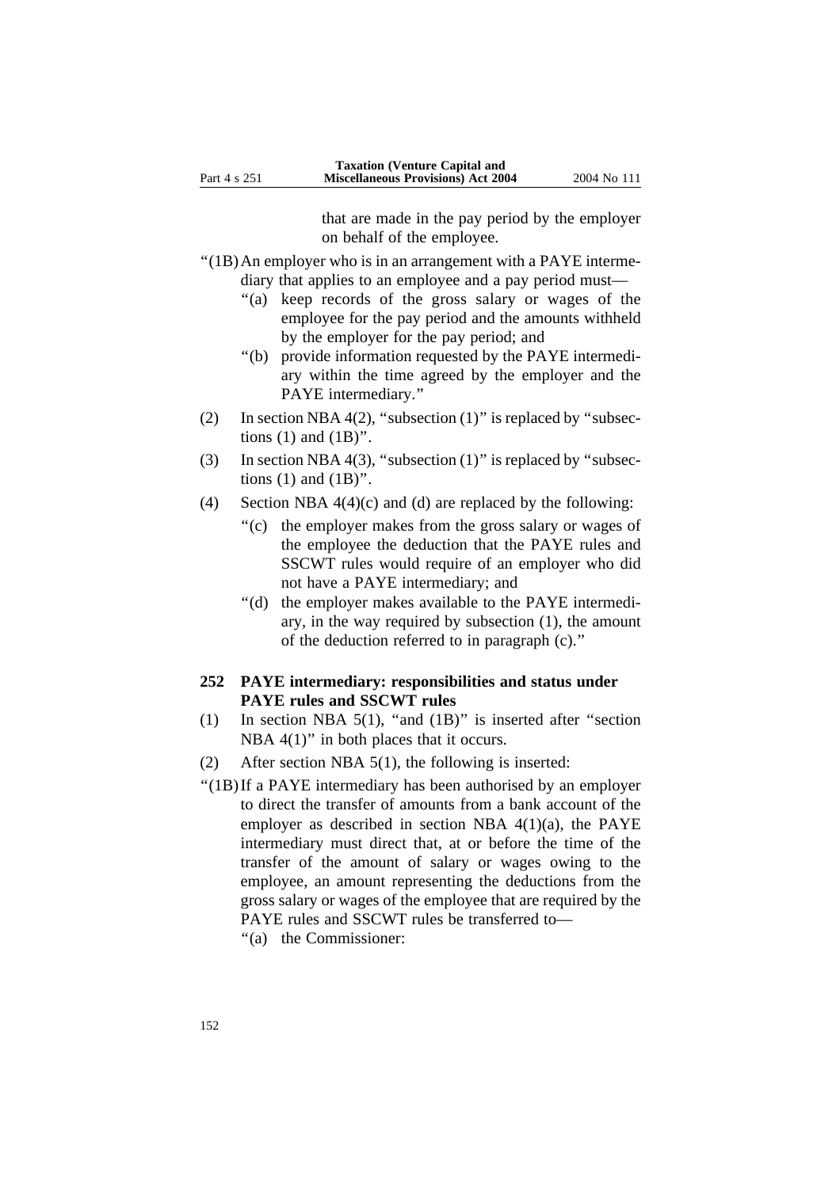that are made in the pay period by the employer on behalf of the employee.

- ''(1B)An employer who is in an arrangement with a PAYE intermediary that applies to an employee and a pay period must—
	- "(a) keep records of the gross salary or wages of the employee for the pay period and the amounts withheld by the employer for the pay period; and
	- ''(b) provide information requested by the PAYE intermediary within the time agreed by the employer and the PAYE intermediary.''
- (2) In section NBA 4(2), "subsection  $(1)$ " is replaced by "subsections  $(1)$  and  $(1B)$ ".
- (3) In section NBA 4(3), "subsection  $(1)$ " is replaced by "subsections  $(1)$  and  $(1B)$ ".
- (4) Section NBA  $4(4)(c)$  and (d) are replaced by the following:
	- ''(c) the employer makes from the gross salary or wages of the employee the deduction that the PAYE rules and SSCWT rules would require of an employer who did not have a PAYE intermediary; and
	- ''(d) the employer makes available to the PAYE intermediary, in the way required by subsection (1), the amount of the deduction referred to in paragraph (c).''

### **252 PAYE intermediary: responsibilities and status under PAYE rules and SSCWT rules**

- (1) In section NBA  $5(1)$ , "and  $(1B)$ " is inserted after "section NBA  $4(1)$ " in both places that it occurs.
- (2) After section NBA 5(1), the following is inserted:
- ''(1B)If a PAYE intermediary has been authorised by an employer to direct the transfer of amounts from a bank account of the employer as described in section NBA  $4(1)(a)$ , the PAYE intermediary must direct that, at or before the time of the transfer of the amount of salary or wages owing to the employee, an amount representing the deductions from the gross salary or wages of the employee that are required by the PAYE rules and SSCWT rules be transferred to—

''(a) the Commissioner: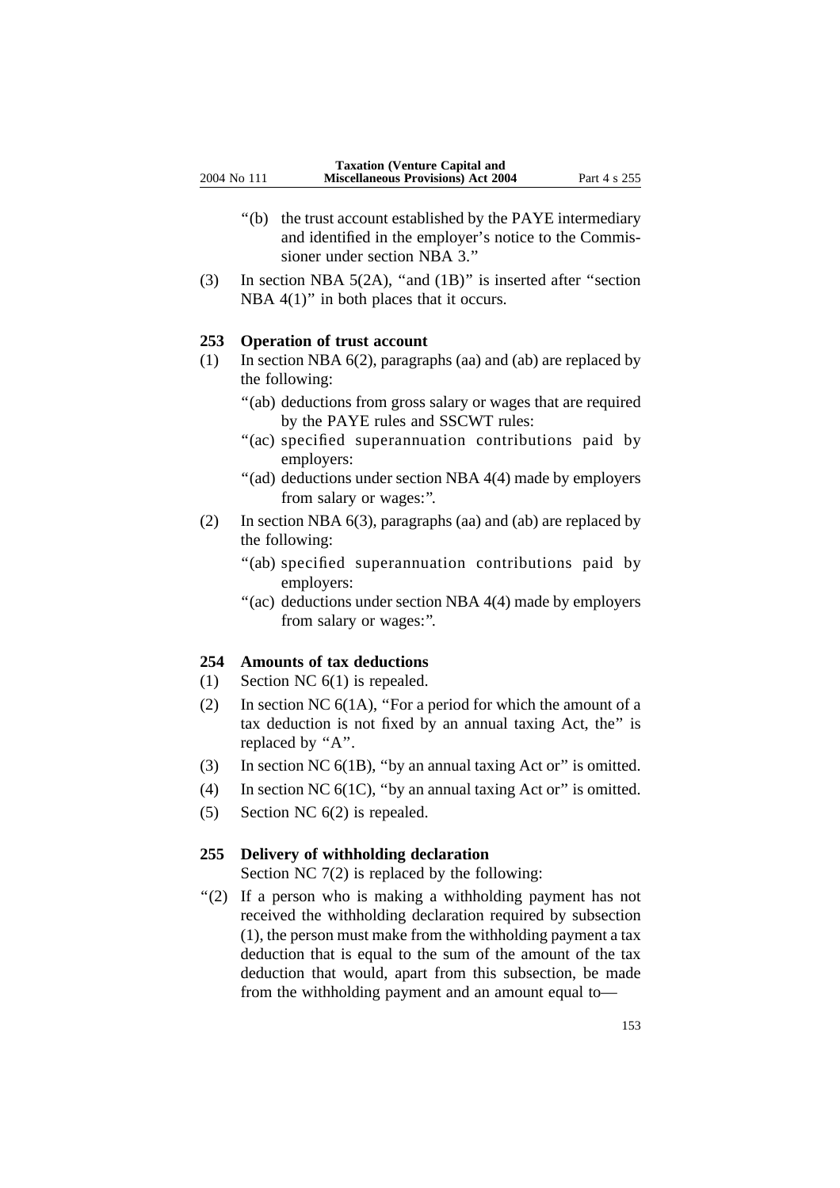- ''(b) the trust account established by the PAYE intermediary and identified in the employer's notice to the Commissioner under section NBA 3.''
- (3) In section NBA 5(2A), ''and (1B)'' is inserted after ''section NBA  $4(1)$ " in both places that it occurs.

#### **253 Operation of trust account**

- (1) In section NBA 6(2), paragraphs (aa) and (ab) are replaced by the following:
	- "(ab) deductions from gross salary or wages that are required by the PAYE rules and SSCWT rules:
	- "(ac) specified superannuation contributions paid by employers:
	- ''(ad) deductions under section NBA 4(4) made by employers from salary or wages:''.
- (2) In section NBA 6(3), paragraphs (aa) and (ab) are replaced by the following:
	- "(ab) specified superannuation contributions paid by employers:
	- ''(ac) deductions under section NBA 4(4) made by employers from salary or wages:''.

### **254 Amounts of tax deductions**

- (1) Section NC 6(1) is repealed.
- (2) In section NC 6(1A), ''For a period for which the amount of a tax deduction is not fixed by an annual taxing Act, the'' is replaced by "A".
- (3) In section NC 6(1B), ''by an annual taxing Act or'' is omitted.
- (4) In section NC  $6(1C)$ , "by an annual taxing Act or" is omitted.
- (5) Section NC 6(2) is repealed.

#### **255 Delivery of withholding declaration**

Section NC 7(2) is replaced by the following:

"(2) If a person who is making a withholding payment has not received the withholding declaration required by subsection (1), the person must make from the withholding payment a tax deduction that is equal to the sum of the amount of the tax deduction that would, apart from this subsection, be made from the withholding payment and an amount equal to—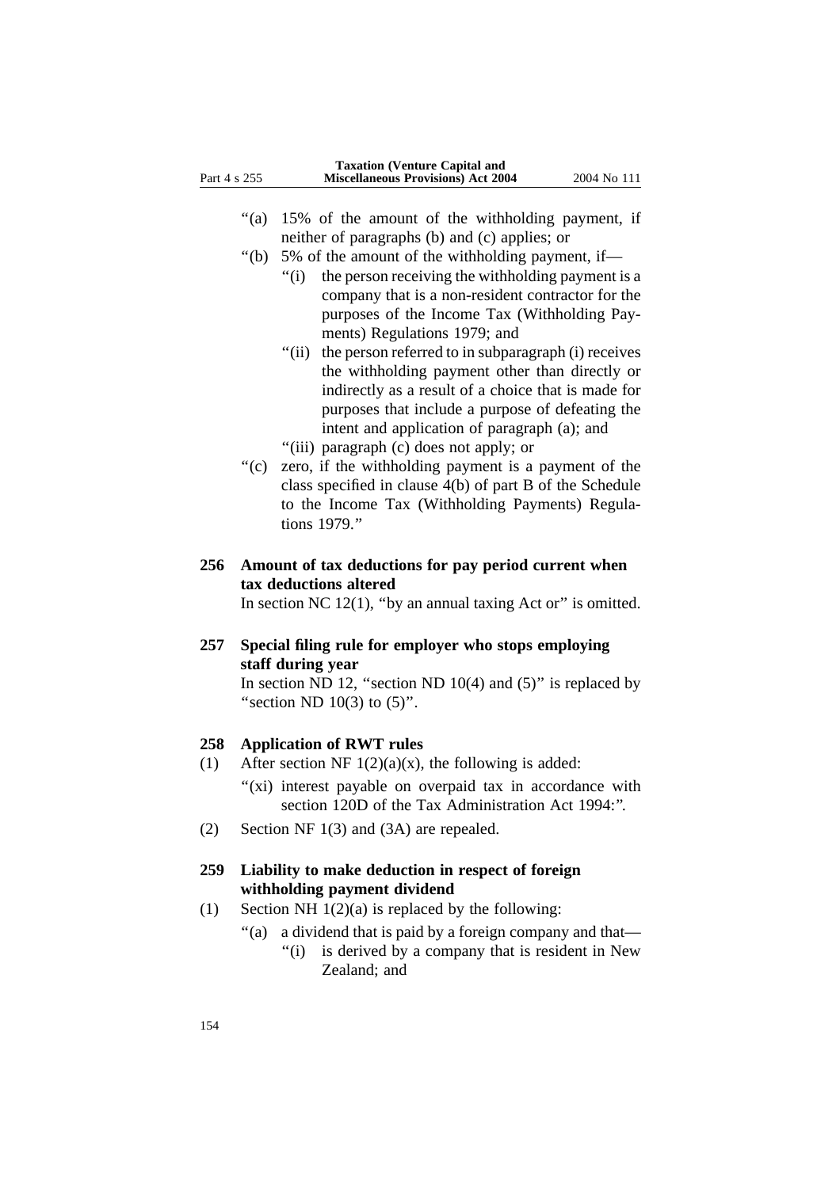- ''(a) 15% of the amount of the withholding payment, if neither of paragraphs (b) and (c) applies; or
- ''(b) 5% of the amount of the withholding payment, if—
	- ''(i) the person receiving the withholding payment is a company that is a non-resident contractor for the purposes of the Income Tax (Withholding Payments) Regulations 1979; and
	- "(ii) the person referred to in subparagraph (i) receives the withholding payment other than directly or indirectly as a result of a choice that is made for purposes that include a purpose of defeating the intent and application of paragraph (a); and ''(iii) paragraph (c) does not apply; or
- ''(c) zero, if the withholding payment is a payment of the class specified in clause 4(b) of part B of the Schedule
- to the Income Tax (Withholding Payments) Regulations 1979.''
- **256 Amount of tax deductions for pay period current when tax deductions altered**

In section NC  $12(1)$ , "by an annual taxing Act or" is omitted.

**257 Special filing rule for employer who stops employing staff during year**

> In section ND 12, "section ND  $10(4)$  and  $(5)$ " is replaced by "section ND  $10(3)$  to  $(5)$ ".

### **258 Application of RWT rules**

- (1) After section NF  $1(2)(a)(x)$ , the following is added:
	- "(xi) interest payable on overpaid tax in accordance with section 120D of the Tax Administration Act 1994:''.
- (2) Section NF 1(3) and (3A) are repealed.

### **259 Liability to make deduction in respect of foreign withholding payment dividend**

- (1) Section NH  $1(2)(a)$  is replaced by the following:
	- ''(a) a dividend that is paid by a foreign company and that—
		- "(i) is derived by a company that is resident in New Zealand; and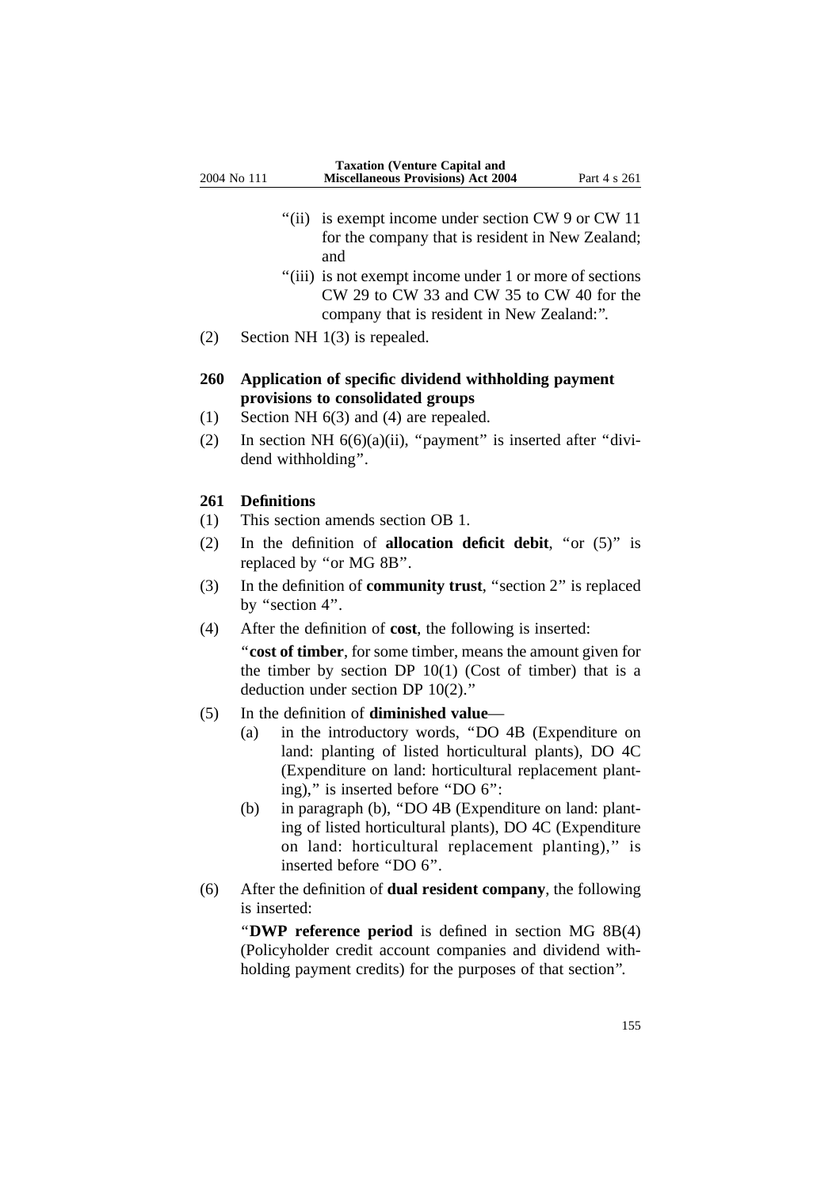- "(ii) is exempt income under section CW 9 or CW 11 for the company that is resident in New Zealand; and
- "(iii) is not exempt income under 1 or more of sections" CW 29 to CW 33 and CW 35 to CW 40 for the company that is resident in New Zealand:''.
- (2) Section NH 1(3) is repealed.

### **260 Application of specific dividend withholding payment provisions to consolidated groups**

- (1) Section NH 6(3) and (4) are repealed.
- (2) In section NH  $6(6)(a)(ii)$ , "payment" is inserted after "dividend withholding''.

#### **261 Definitions**

- (1) This section amends section OB 1.
- (2) In the definition of **allocation deficit debit**, ''or (5)'' is replaced by ''or MG 8B''.
- (3) In the definition of **community trust**, ''section 2'' is replaced by "section 4".
- (4) After the definition of **cost**, the following is inserted:

''**cost of timber**, for some timber, means the amount given for the timber by section DP  $10(1)$  (Cost of timber) that is a deduction under section DP 10(2).''

- (5) In the definition of **diminished value**
	- (a) in the introductory words, ''DO 4B (Expenditure on land: planting of listed horticultural plants), DO 4C (Expenditure on land: horticultural replacement planting),'' is inserted before ''DO 6'':
	- (b) in paragraph (b), ''DO 4B (Expenditure on land: planting of listed horticultural plants), DO 4C (Expenditure on land: horticultural replacement planting)," is inserted before "DO 6".
- (6) After the definition of **dual resident company**, the following is inserted:

''**DWP reference period** is defined in section MG 8B(4) (Policyholder credit account companies and dividend withholding payment credits) for the purposes of that section''.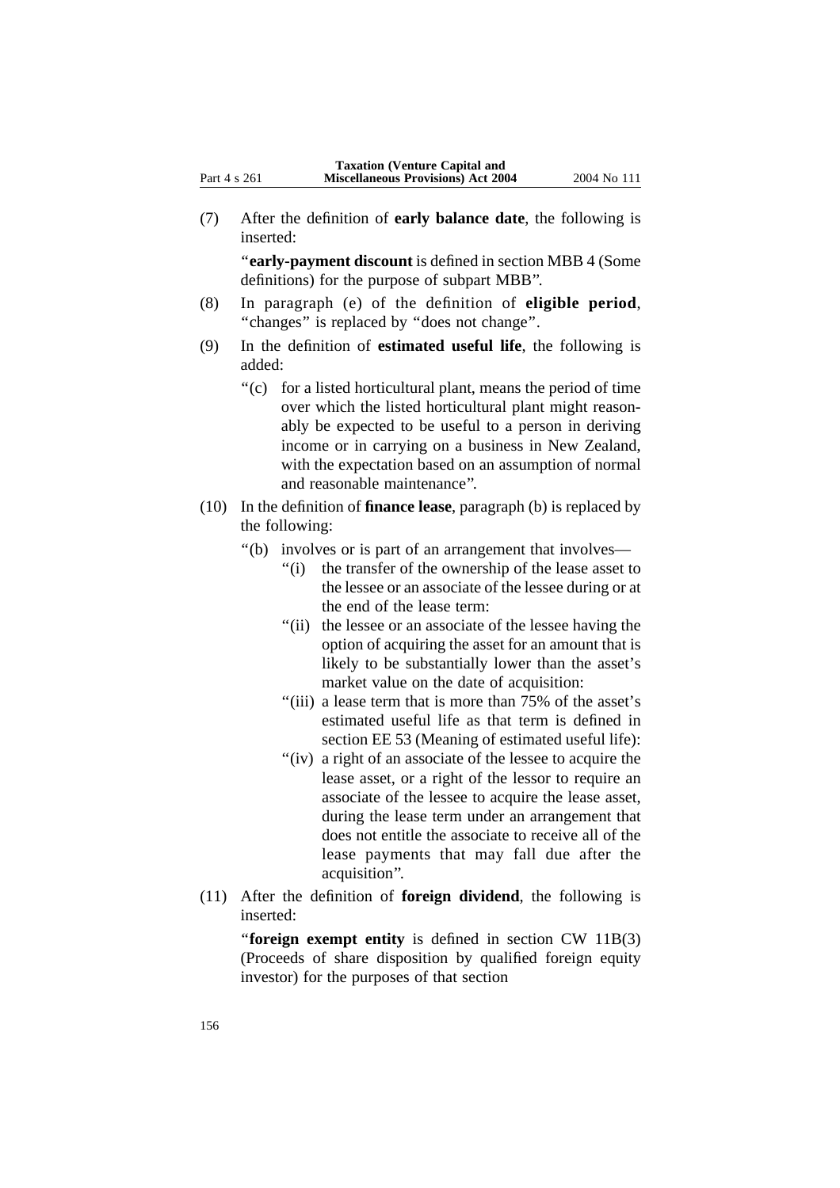(7) After the definition of **early balance date**, the following is inserted:

''**early-payment discount** is defined in section MBB 4 (Some definitions) for the purpose of subpart MBB''.

- (8) In paragraph (e) of the definition of **eligible period**, ''changes'' is replaced by ''does not change''.
- (9) In the definition of **estimated useful life**, the following is added:
	- ''(c) for a listed horticultural plant, means the period of time over which the listed horticultural plant might reasonably be expected to be useful to a person in deriving income or in carrying on a business in New Zealand, with the expectation based on an assumption of normal and reasonable maintenance''.
- (10) In the definition of **finance lease**, paragraph (b) is replaced by the following:
	- ''(b) involves or is part of an arrangement that involves—
		- "(i) the transfer of the ownership of the lease asset to the lessee or an associate of the lessee during or at the end of the lease term:
		- "(ii) the lessee or an associate of the lessee having the option of acquiring the asset for an amount that is likely to be substantially lower than the asset's market value on the date of acquisition:
		- ''(iii) a lease term that is more than 75% of the asset's estimated useful life as that term is defined in section EE 53 (Meaning of estimated useful life):
		- "(iv) a right of an associate of the lessee to acquire the lease asset, or a right of the lessor to require an associate of the lessee to acquire the lease asset, during the lease term under an arrangement that does not entitle the associate to receive all of the lease payments that may fall due after the acquisition''.
- (11) After the definition of **foreign dividend**, the following is inserted:

''**foreign exempt entity** is defined in section CW 11B(3) (Proceeds of share disposition by qualified foreign equity investor) for the purposes of that section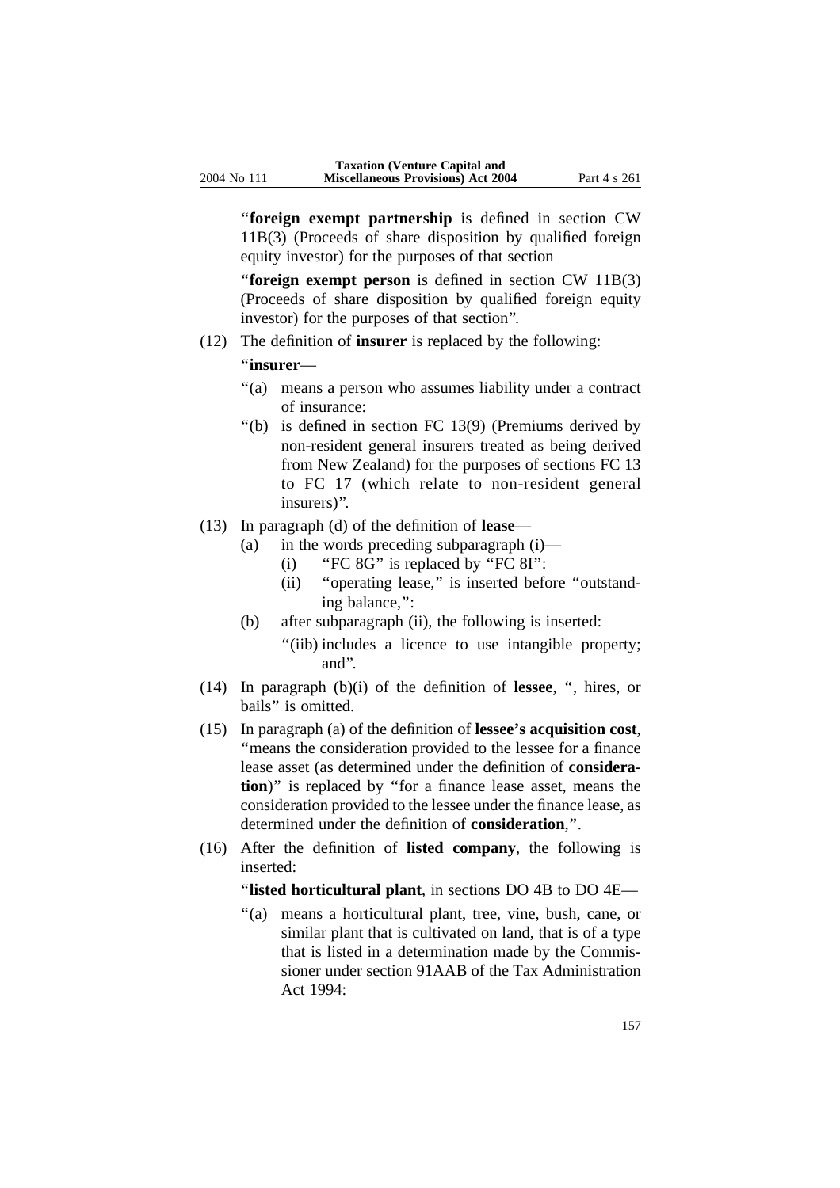''**foreign exempt partnership** is defined in section CW 11B(3) (Proceeds of share disposition by qualified foreign equity investor) for the purposes of that section

"**foreign exempt person** is defined in section CW 11B(3) (Proceeds of share disposition by qualified foreign equity investor) for the purposes of that section''.

(12) The definition of **insurer** is replaced by the following:

''**insurer**—

- ''(a) means a person who assumes liability under a contract of insurance:
- ''(b) is defined in section FC 13(9) (Premiums derived by non-resident general insurers treated as being derived from New Zealand) for the purposes of sections FC 13 to FC 17 (which relate to non-resident general insurers)''.
- (13) In paragraph (d) of the definition of **lease**
	- (a) in the words preceding subparagraph (i)—
		- (i) "FC  $8G$ " is replaced by "FC  $8I$ ":
		- (ii) ''operating lease,'' is inserted before ''outstanding balance,'':
	- (b) after subparagraph (ii), the following is inserted:
		- "(iib) includes a licence to use intangible property; and''.
- (14) In paragraph (b)(i) of the definition of **lessee**, '', hires, or bails'' is omitted.
- (15) In paragraph (a) of the definition of **lessee's acquisition cost**, ''means the consideration provided to the lessee for a finance lease asset (as determined under the definition of **consideration**)'' is replaced by ''for a finance lease asset, means the consideration provided to the lessee under the finance lease, as determined under the definition of **consideration**,''.
- (16) After the definition of **listed company**, the following is inserted:

''**listed horticultural plant**, in sections DO 4B to DO 4E—

''(a) means a horticultural plant, tree, vine, bush, cane, or similar plant that is cultivated on land, that is of a type that is listed in a determination made by the Commissioner under section 91AAB of the Tax Administration Act 1994: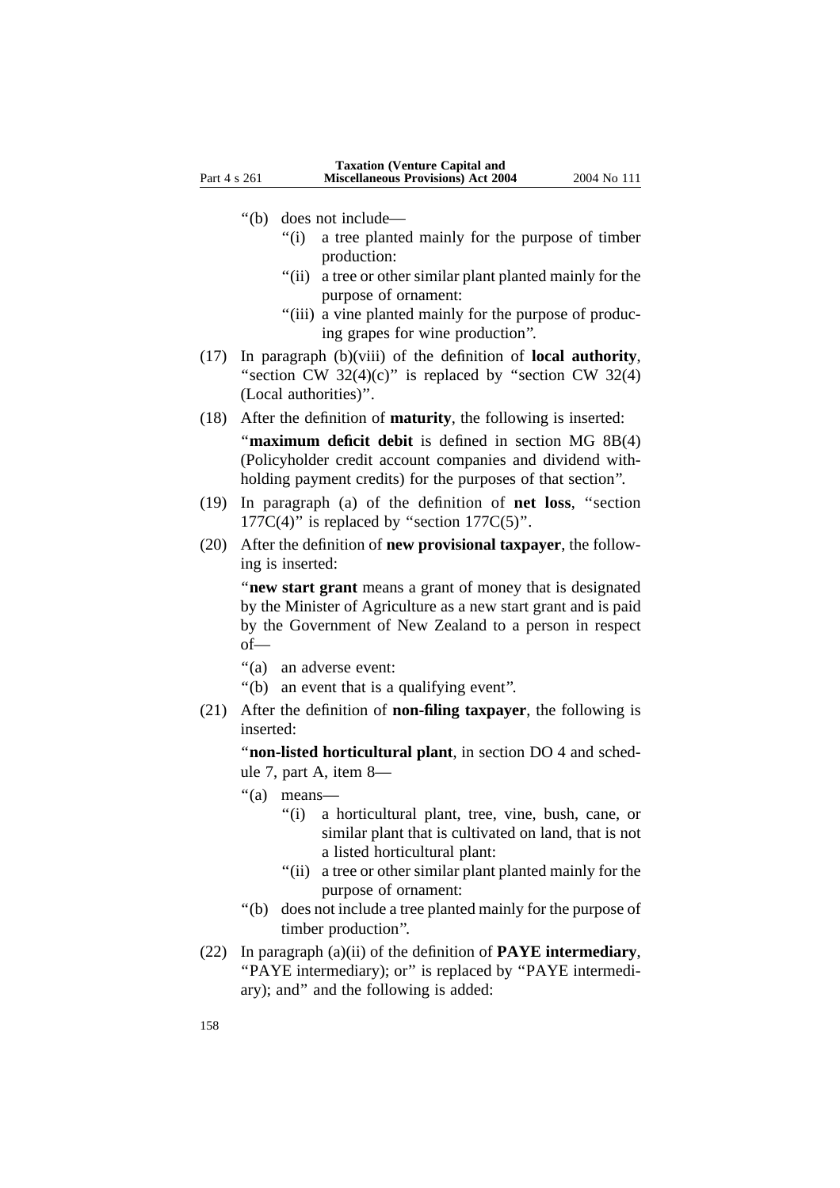''(b) does not include—

- ''(i) a tree planted mainly for the purpose of timber production:
- "(ii) a tree or other similar plant planted mainly for the purpose of ornament:
- "(iii) a vine planted mainly for the purpose of producing grapes for wine production''.
- (17) In paragraph (b)(viii) of the definition of **local authority**, "section CW  $32(4)(c)$ " is replaced by "section CW  $32(4)$ (Local authorities)''.
- (18) After the definition of **maturity**, the following is inserted: "**maximum deficit debit** is defined in section MG 8B(4) (Policyholder credit account companies and dividend withholding payment credits) for the purposes of that section''.
- (19) In paragraph (a) of the definition of **net loss**, ''section  $177C(4)$ " is replaced by "section  $177C(5)$ ".
- (20) After the definition of **new provisional taxpayer**, the following is inserted:

''**new start grant** means a grant of money that is designated by the Minister of Agriculture as a new start grant and is paid by the Government of New Zealand to a person in respect of—

- "(a) an adverse event:
- "(b) an event that is a qualifying event".
- (21) After the definition of **non-filing taxpayer**, the following is inserted:

''**non-listed horticultural plant**, in section DO 4 and schedule 7, part A, item 8—

- ''(a) means—
	- ''(i) a horticultural plant, tree, vine, bush, cane, or similar plant that is cultivated on land, that is not a listed horticultural plant:
	- "(ii) a tree or other similar plant planted mainly for the purpose of ornament:
- ''(b) does not include a tree planted mainly for the purpose of timber production''.
- (22) In paragraph (a)(ii) of the definition of **PAYE intermediary**, ''PAYE intermediary); or'' is replaced by ''PAYE intermediary); and'' and the following is added: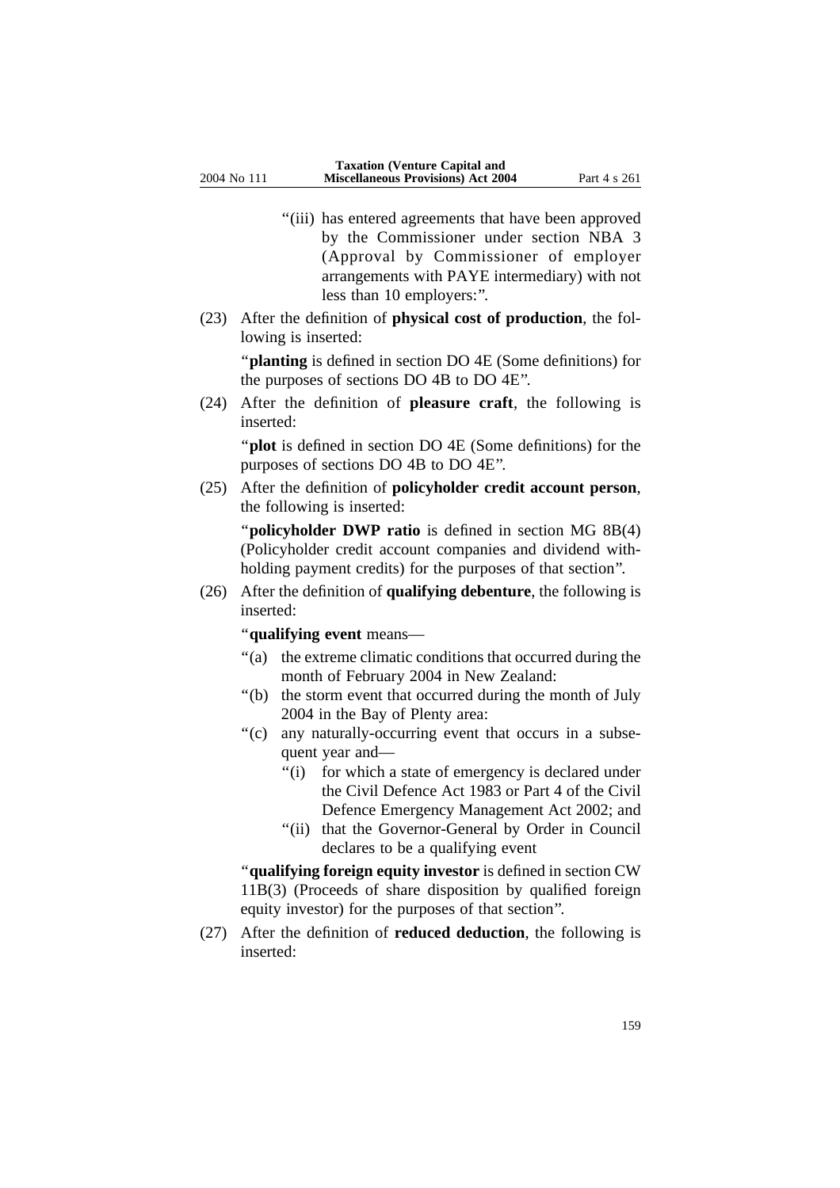- "(iii) has entered agreements that have been approved by the Commissioner under section NBA 3 (Approval by Commissioner of employer arrangements with PAYE intermediary) with not less than 10 employers:''.
- (23) After the definition of **physical cost of production**, the following is inserted:

''**planting** is defined in section DO 4E (Some definitions) for the purposes of sections DO 4B to DO 4E''.

(24) After the definition of **pleasure craft**, the following is inserted:

"**plot** is defined in section DO 4E (Some definitions) for the purposes of sections DO 4B to DO 4E''.

(25) After the definition of **policyholder credit account person**, the following is inserted:

''**policyholder DWP ratio** is defined in section MG 8B(4) (Policyholder credit account companies and dividend withholding payment credits) for the purposes of that section''.

(26) After the definition of **qualifying debenture**, the following is inserted:

''**qualifying event** means—

- ''(a) the extreme climatic conditions that occurred during the month of February 2004 in New Zealand:
- ''(b) the storm event that occurred during the month of July 2004 in the Bay of Plenty area:
- "(c) any naturally-occurring event that occurs in a subsequent year and—
	- ''(i) for which a state of emergency is declared under the Civil Defence Act 1983 or Part 4 of the Civil Defence Emergency Management Act 2002; and
	- "(ii) that the Governor-General by Order in Council declares to be a qualifying event

''**qualifying foreign equity investor** is defined in section CW 11B(3) (Proceeds of share disposition by qualified foreign equity investor) for the purposes of that section''.

(27) After the definition of **reduced deduction**, the following is inserted: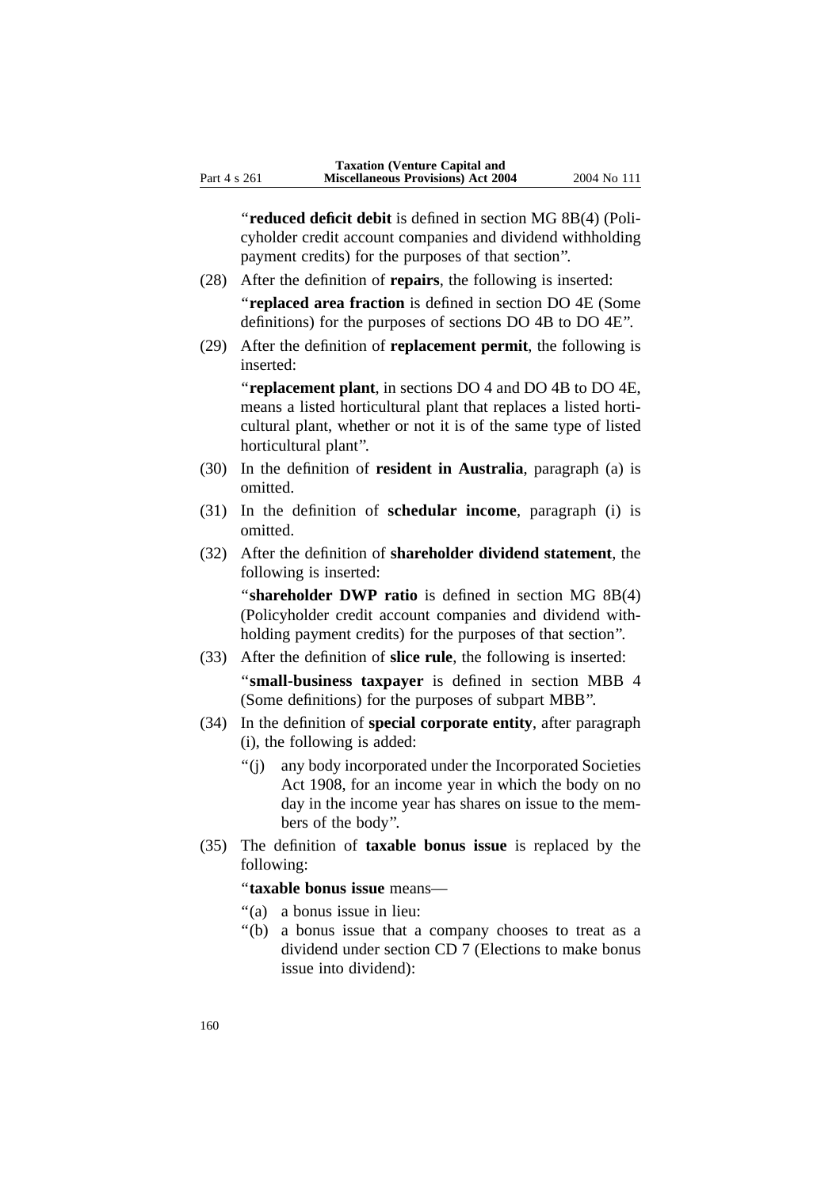''**reduced deficit debit** is defined in section MG 8B(4) (Policyholder credit account companies and dividend withholding payment credits) for the purposes of that section''.

- (28) After the definition of **repairs**, the following is inserted: ''**replaced area fraction** is defined in section DO 4E (Some definitions) for the purposes of sections DO 4B to DO 4E''.
- (29) After the definition of **replacement permit**, the following is inserted:

''**replacement plant**, in sections DO 4 and DO 4B to DO 4E, means a listed horticultural plant that replaces a listed horticultural plant, whether or not it is of the same type of listed horticultural plant''.

- (30) In the definition of **resident in Australia**, paragraph (a) is omitted.
- (31) In the definition of **schedular income**, paragraph (i) is omitted.
- (32) After the definition of **shareholder dividend statement**, the following is inserted:

"**shareholder DWP ratio** is defined in section MG 8B(4) (Policyholder credit account companies and dividend withholding payment credits) for the purposes of that section''.

- (33) After the definition of **slice rule**, the following is inserted: ''**small-business taxpayer** is defined in section MBB 4 (Some definitions) for the purposes of subpart MBB''.
- (34) In the definition of **special corporate entity**, after paragraph (i), the following is added:
	- ''(j) any body incorporated under the Incorporated Societies Act 1908, for an income year in which the body on no day in the income year has shares on issue to the members of the body''.
- (35) The definition of **taxable bonus issue** is replaced by the following:

''**taxable bonus issue** means—

- ''(a) a bonus issue in lieu:
- ''(b) a bonus issue that a company chooses to treat as a dividend under section CD 7 (Elections to make bonus issue into dividend):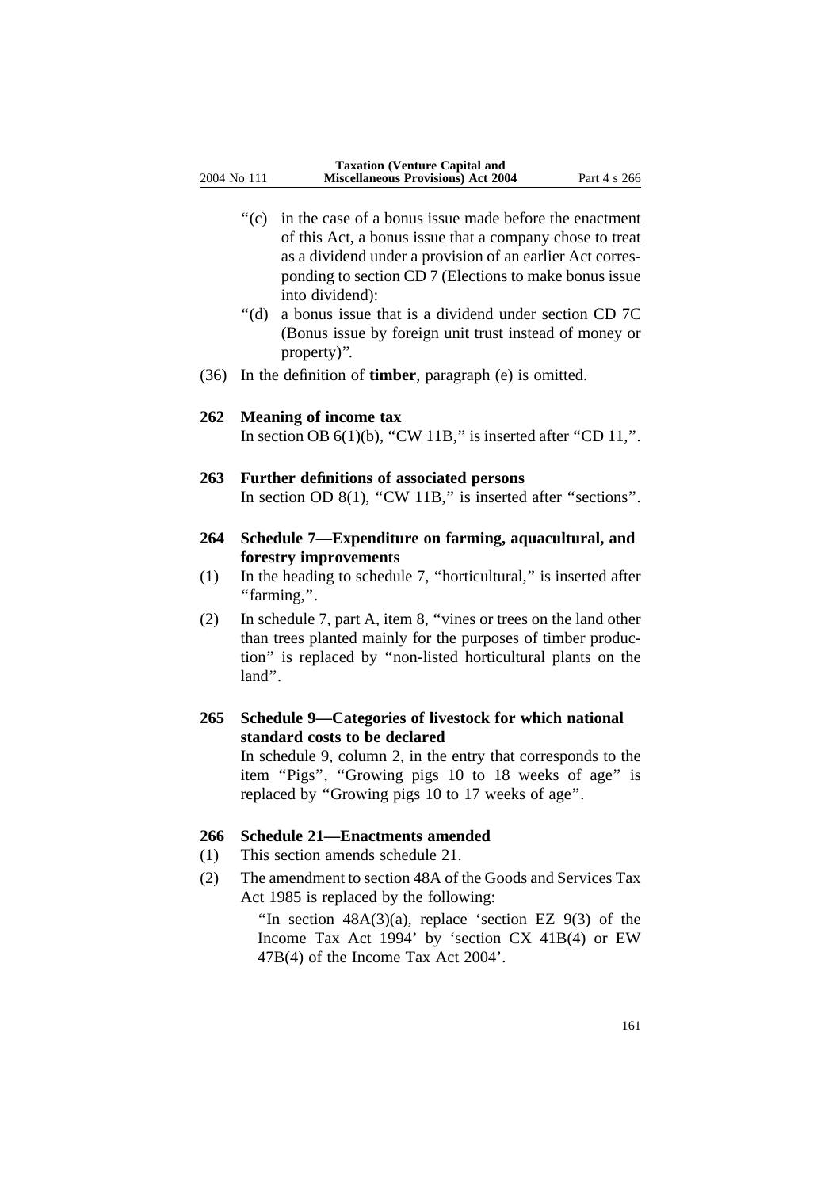- ''(c) in the case of a bonus issue made before the enactment of this Act, a bonus issue that a company chose to treat as a dividend under a provision of an earlier Act corresponding to section CD 7 (Elections to make bonus issue into dividend):
- ''(d) a bonus issue that is a dividend under section CD 7C (Bonus issue by foreign unit trust instead of money or property)''.
- (36) In the definition of **timber**, paragraph (e) is omitted.

#### **262 Meaning of income tax**

In section OB  $6(1)(b)$ , "CW 11B," is inserted after "CD 11,".

#### **263 Further definitions of associated persons**

In section OD  $8(1)$ , "CW  $11B$ ," is inserted after "sections".

- **264 Schedule 7—Expenditure on farming, aquacultural, and forestry improvements**
- (1) In the heading to schedule 7, ''horticultural,'' is inserted after ''farming,''.
- (2) In schedule 7, part A, item 8, ''vines or trees on the land other than trees planted mainly for the purposes of timber production'' is replaced by ''non-listed horticultural plants on the land''.
- **265 Schedule 9—Categories of livestock for which national standard costs to be declared**

In schedule 9, column 2, in the entry that corresponds to the item "Pigs", "Growing pigs 10 to 18 weeks of age" is replaced by ''Growing pigs 10 to 17 weeks of age''.

### **266 Schedule 21—Enactments amended**

- (1) This section amends schedule 21.
- (2) The amendment to section 48A of the Goods and Services Tax Act 1985 is replaced by the following:

"In section  $48A(3)(a)$ , replace 'section EZ  $9(3)$  of the Income Tax Act 1994' by 'section CX 41B(4) or EW 47B(4) of the Income Tax Act 2004'.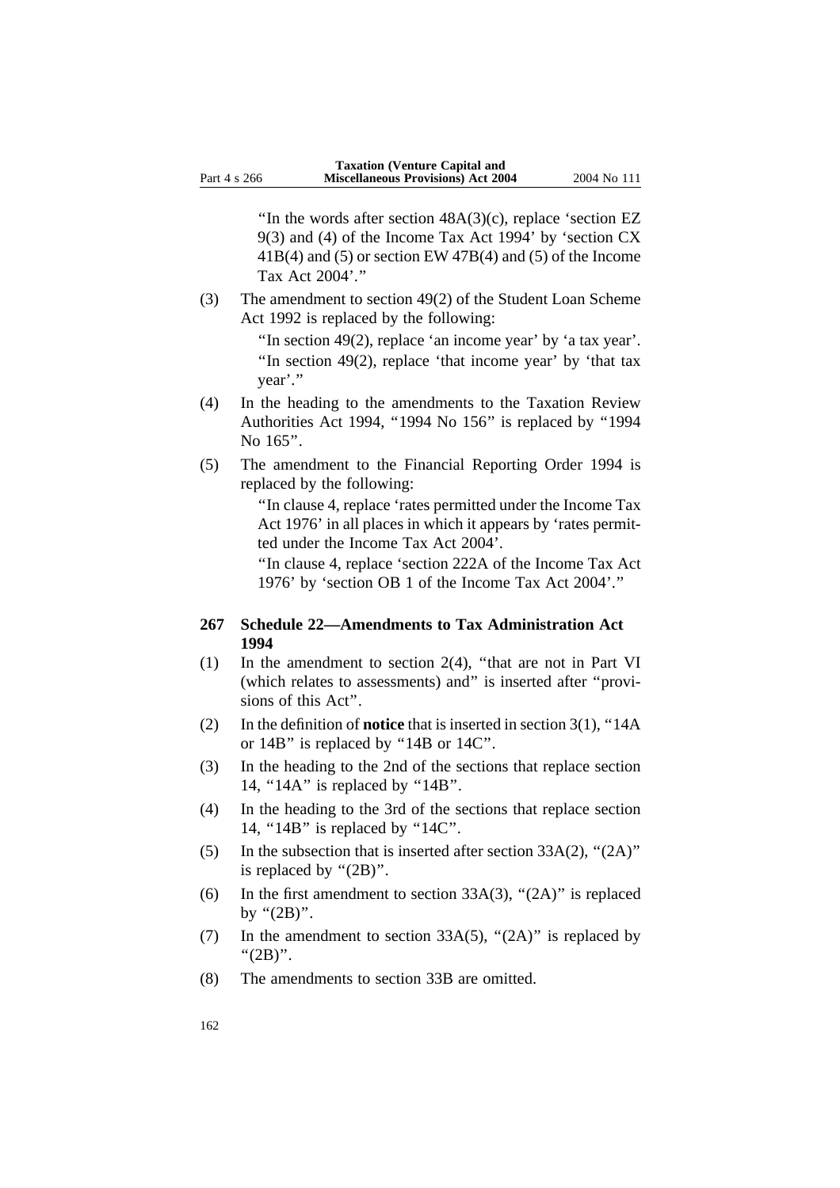"In the words after section  $48A(3)(c)$ , replace 'section EZ 9(3) and (4) of the Income Tax Act 1994' by 'section CX 41B(4) and (5) or section EW 47B(4) and (5) of the Income Tax Act 2004'.''

(3) The amendment to section 49(2) of the Student Loan Scheme Act 1992 is replaced by the following:

> "In section 49(2), replace 'an income year' by 'a tax year'. "In section  $49(2)$ , replace 'that income year' by 'that tax year'.''

- (4) In the heading to the amendments to the Taxation Review Authorities Act 1994, ''1994 No 156'' is replaced by ''1994 No  $165$ ".
- (5) The amendment to the Financial Reporting Order 1994 is replaced by the following:

''In clause 4, replace 'rates permitted under the Income Tax Act 1976' in all places in which it appears by 'rates permitted under the Income Tax Act 2004'.

''In clause 4, replace 'section 222A of the Income Tax Act 1976' by 'section OB 1 of the Income Tax Act 2004'.''

#### **267 Schedule 22—Amendments to Tax Administration Act 1994**

- (1) In the amendment to section 2(4), ''that are not in Part VI (which relates to assessments) and'' is inserted after ''provisions of this Act''.
- (2) In the definition of **notice** that is inserted in section 3(1), ''14A or 14B'' is replaced by ''14B or 14C''.
- (3) In the heading to the 2nd of the sections that replace section 14, ''14A'' is replaced by ''14B''.
- (4) In the heading to the 3rd of the sections that replace section 14, "14B" is replaced by "14C".
- (5) In the subsection that is inserted after section  $33A(2)$ , " $(2A)$ " is replaced by " $(2B)$ ".
- (6) In the first amendment to section 33A(3), " $(2A)$ " is replaced by " $(2B)$ ".
- (7) In the amendment to section  $33A(5)$ , " $(2A)$ " is replaced by " $(2B)$ ".
- (8) The amendments to section 33B are omitted.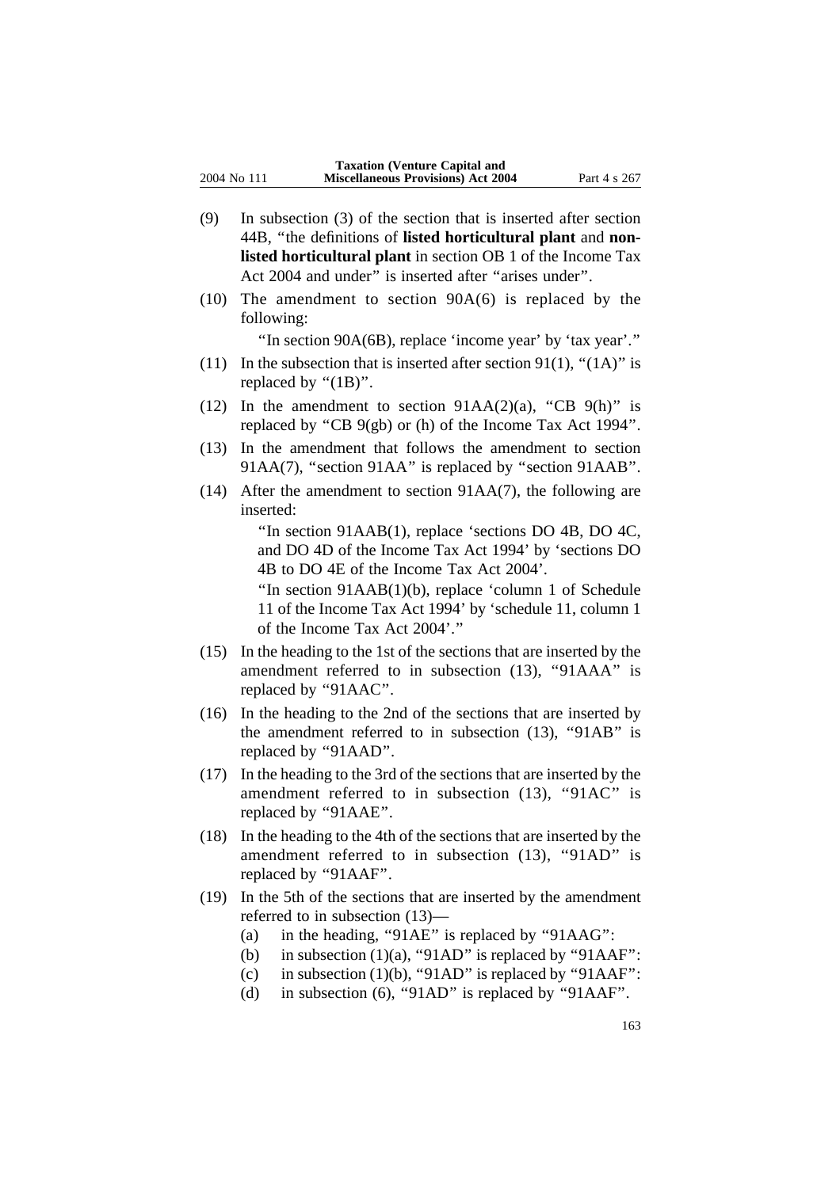- (9) In subsection (3) of the section that is inserted after section 44B, ''the definitions of **listed horticultural plant** and **nonlisted horticultural plant** in section OB 1 of the Income Tax Act 2004 and under" is inserted after "arises under".
- (10) The amendment to section 90A(6) is replaced by the following:

''In section 90A(6B), replace 'income year' by 'tax year'.''

- (11) In the subsection that is inserted after section 91(1), " $(1A)$ " is replaced by " $(1B)$ ".
- (12) In the amendment to section  $91AA(2)(a)$ , "CB  $9(h)$ " is replaced by ''CB 9(gb) or (h) of the Income Tax Act 1994''.
- (13) In the amendment that follows the amendment to section 91AA(7), "section 91AA" is replaced by "section 91AAB".
- (14) After the amendment to section 91AA(7), the following are inserted:

''In section 91AAB(1), replace 'sections DO 4B, DO 4C, and DO 4D of the Income Tax Act 1994' by 'sections DO 4B to DO 4E of the Income Tax Act 2004'.

''In section 91AAB(1)(b), replace 'column 1 of Schedule 11 of the Income Tax Act 1994' by 'schedule 11, column 1 of the Income Tax Act 2004'.''

- (15) In the heading to the 1st of the sections that are inserted by the amendment referred to in subsection (13), ''91AAA'' is replaced by ''91AAC''.
- (16) In the heading to the 2nd of the sections that are inserted by the amendment referred to in subsection (13), ''91AB'' is replaced by ''91AAD''.
- (17) In the heading to the 3rd of the sections that are inserted by the amendment referred to in subsection (13), "91AC" is replaced by "91AAE".
- (18) In the heading to the 4th of the sections that are inserted by the amendment referred to in subsection (13), "91AD" is replaced by "91AAF".
- (19) In the 5th of the sections that are inserted by the amendment referred to in subsection (13)—
	- (a) in the heading, "91AE" is replaced by "91AAG":
	- (b) in subsection  $(1)(a)$ , "91AD" is replaced by "91AAF":
	- (c) in subsection (1)(b), "91AD" is replaced by "91AAF":
	- (d) in subsection (6), "91AD" is replaced by "91AAF".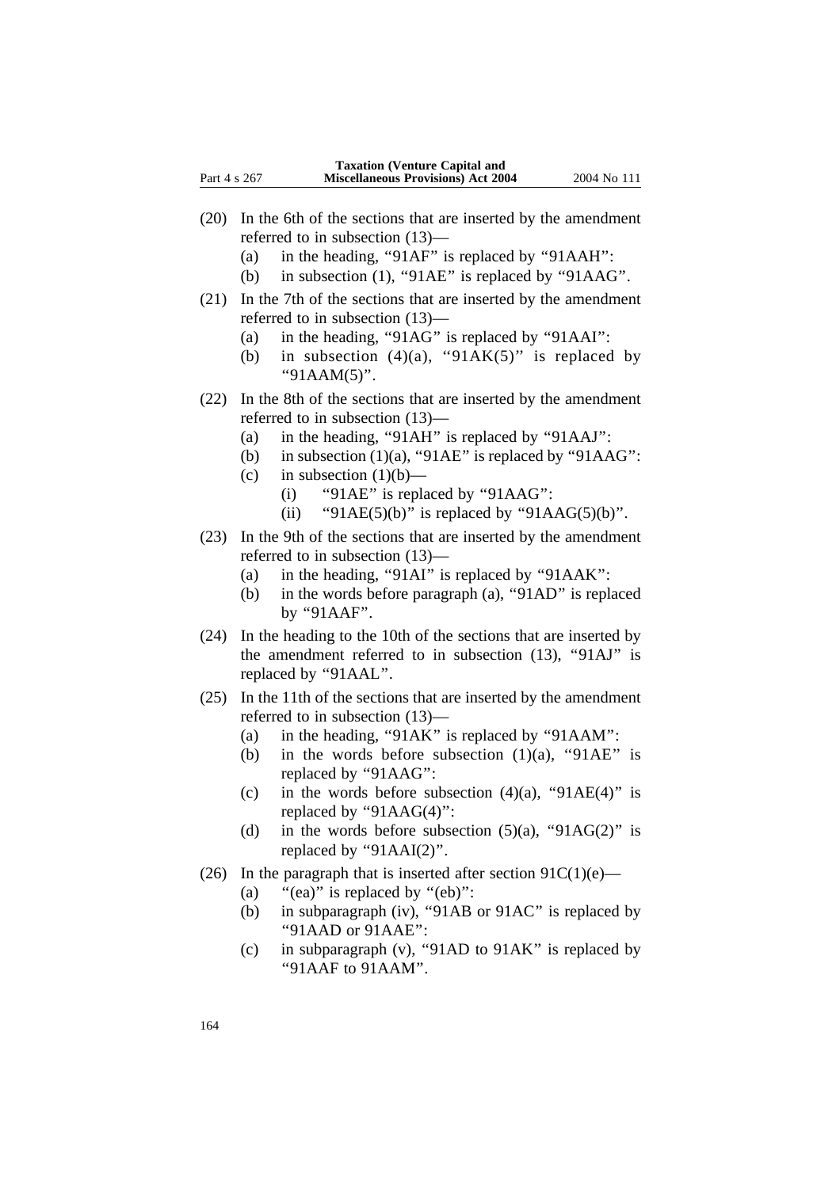- (20) In the 6th of the sections that are inserted by the amendment referred to in subsection (13)—
	- (a) in the heading, "91AF" is replaced by "91AAH":
	- (b) in subsection (1), "91AE" is replaced by "91AAG".
- (21) In the 7th of the sections that are inserted by the amendment referred to in subsection (13)—
	- (a) in the heading, ''91AG'' is replaced by ''91AAI'':
	- (b) in subsection  $(4)(a)$ , "91AK $(5)$ " is replaced by "91AAM(5)".
- (22) In the 8th of the sections that are inserted by the amendment referred to in subsection (13)—
	- (a) in the heading, ''91AH'' is replaced by ''91AAJ'':
	- (b) in subsection  $(1)(a)$ , "91AE" is replaced by "91AAG":
	- (c) in subsection  $(1)(b)$ 
		- (i) "91AE" is replaced by "91AAG":
		- (ii) "91AE(5)(b)" is replaced by "91AAG(5)(b)".
- (23) In the 9th of the sections that are inserted by the amendment referred to in subsection (13)—
	- (a) in the heading, "91AI" is replaced by "91AAK":
	- (b) in the words before paragraph (a), "91AD" is replaced by ''91AAF''.
- (24) In the heading to the 10th of the sections that are inserted by the amendment referred to in subsection  $(13)$ , " $91AJ$ " is replaced by "91AAL".
- (25) In the 11th of the sections that are inserted by the amendment referred to in subsection (13)—
	- (a) in the heading, "91AK" is replaced by "91AAM":
	- (b) in the words before subsection  $(1)(a)$ , "91AE" is replaced by "91AAG":
	- (c) in the words before subsection  $(4)(a)$ , "91AE(4)" is replaced by "91AAG(4)":
	- (d) in the words before subsection  $(5)(a)$ , "91AG(2)" is replaced by " $91AAI(2)$ ".
- (26) In the paragraph that is inserted after section  $91C(1)(e)$ 
	- (a) "(ea)" is replaced by "(eb)":
	- (b) in subparagraph (iv), "91AB or 91AC" is replaced by ''91AAD or 91AAE'':
	- (c) in subparagraph (v), ''91AD to 91AK'' is replaced by ''91AAF to 91AAM''.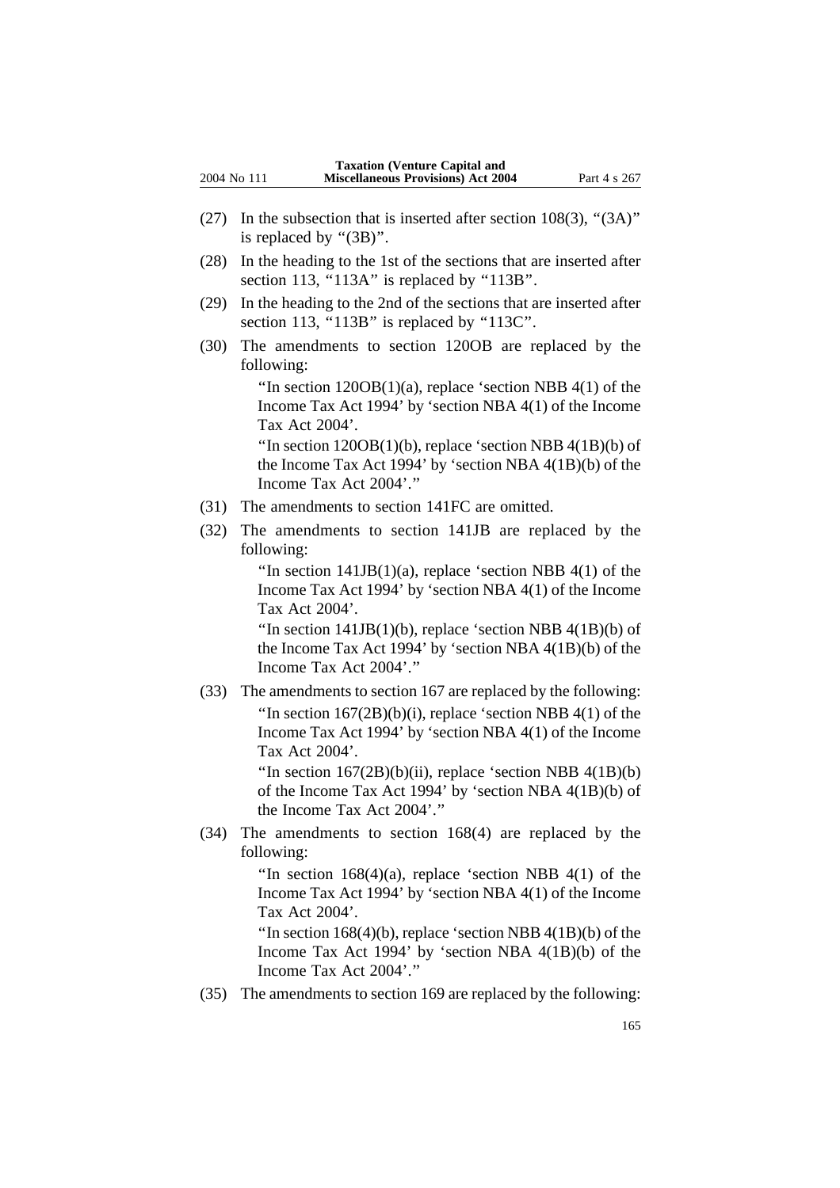- (27) In the subsection that is inserted after section  $108(3)$ , " $(3A)$ " is replaced by " $(3B)$ ".
- (28) In the heading to the 1st of the sections that are inserted after section 113, "113A" is replaced by "113B".
- (29) In the heading to the 2nd of the sections that are inserted after section 113, "113B" is replaced by "113C".
- (30) The amendments to section 120OB are replaced by the following:

"In section  $120OB(1)(a)$ , replace 'section NBB  $4(1)$  of the Income Tax Act 1994' by 'section NBA 4(1) of the Income Tax Act 2004'.

"In section  $120OB(1)(b)$ , replace 'section NBB  $4(1B)(b)$  of the Income Tax Act 1994' by 'section NBA 4(1B)(b) of the Income Tax Act 2004'.''

- (31) The amendments to section 141FC are omitted.
- (32) The amendments to section 141JB are replaced by the following:

"In section  $141JB(1)(a)$ , replace 'section NBB 4(1) of the Income Tax Act 1994' by 'section NBA 4(1) of the Income Tax Act 2004'.

"In section  $141JB(1)(b)$ , replace 'section NBB  $4(1B)(b)$  of the Income Tax Act 1994' by 'section NBA 4(1B)(b) of the Income Tax Act 2004'.''

(33) The amendments to section 167 are replaced by the following: "In section  $167(2B)(b)(i)$ , replace 'section NBB  $4(1)$  of the Income Tax Act 1994' by 'section NBA 4(1) of the Income Tax Act 2004'.

> "In section  $167(2B)(b)(ii)$ , replace 'section NBB  $4(1B)(b)$ of the Income Tax Act 1994' by 'section NBA 4(1B)(b) of the Income Tax Act 2004'.''

(34) The amendments to section 168(4) are replaced by the following:

> "In section  $168(4)(a)$ , replace 'section NBB  $4(1)$  of the Income Tax Act 1994' by 'section NBA 4(1) of the Income Tax Act 2004'.

> "In section  $168(4)(b)$ , replace 'section NBB  $4(1B)(b)$  of the Income Tax Act 1994' by 'section NBA 4(1B)(b) of the Income Tax Act 2004'.''

(35) The amendments to section 169 are replaced by the following: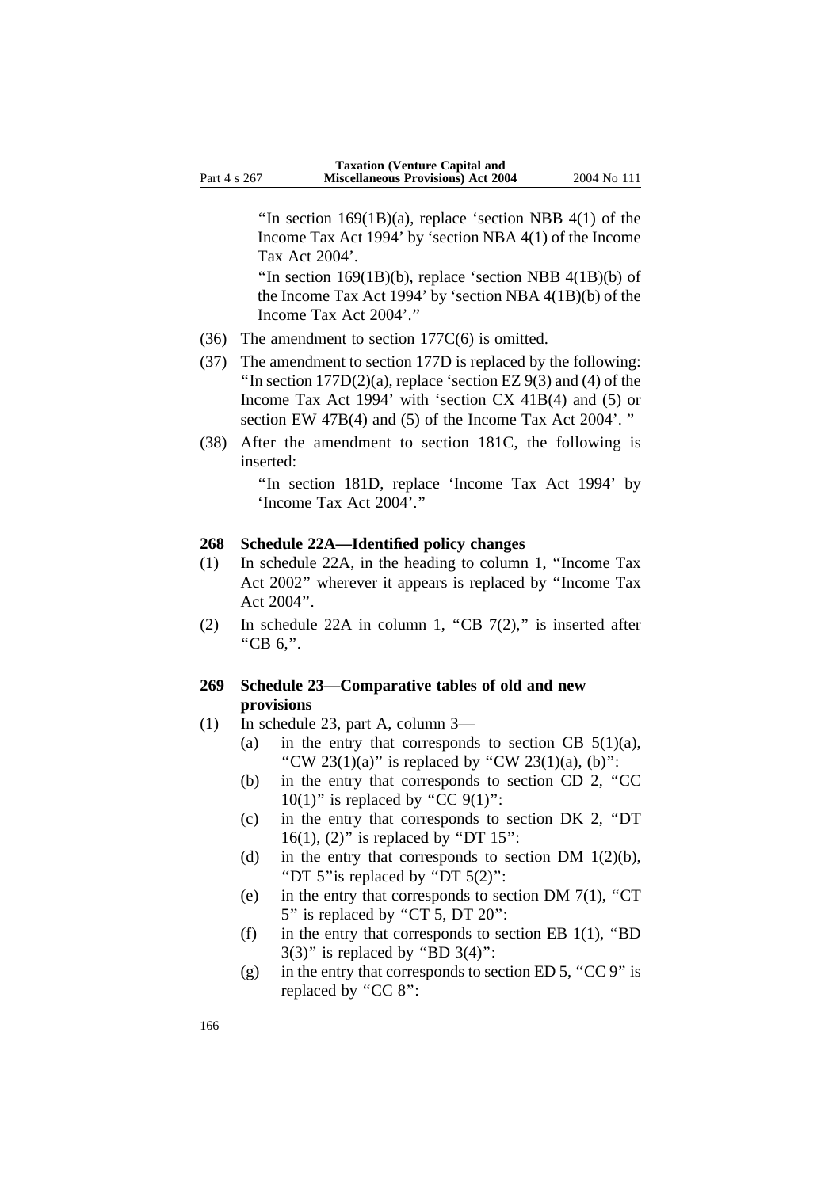"In section  $169(1B)(a)$ , replace 'section NBB 4(1) of the Income Tax Act 1994' by 'section NBA 4(1) of the Income Tax Act 2004'.

"In section  $169(1B)(b)$ , replace 'section NBB  $4(1B)(b)$  of the Income Tax Act 1994' by 'section NBA 4(1B)(b) of the Income Tax Act 2004'.''

- (36) The amendment to section 177C(6) is omitted.
- (37) The amendment to section 177D is replaced by the following: "In section  $177D(2)(a)$ , replace 'section EZ 9(3) and (4) of the Income Tax Act 1994' with 'section CX 41B(4) and (5) or section EW 47B(4) and (5) of the Income Tax Act 2004'. ''
- (38) After the amendment to section 181C, the following is inserted:

''In section 181D, replace 'Income Tax Act 1994' by 'Income Tax Act 2004'.''

### **268 Schedule 22A—Identified policy changes**

- (1) In schedule 22A, in the heading to column 1, ''Income Tax Act 2002'' wherever it appears is replaced by ''Income Tax Act 2004''.
- (2) In schedule 22A in column 1, "CB  $7(2)$ ," is inserted after ''CB 6,''.

#### **269 Schedule 23—Comparative tables of old and new provisions**

- (1) In schedule 23, part A, column 3—
	- (a) in the entry that corresponds to section CB  $5(1)(a)$ , "CW 23(1)(a)" is replaced by "CW 23(1)(a), (b)":
	- (b) in the entry that corresponds to section CD 2, ''CC  $10(1)$ " is replaced by "CC 9(1)":
	- (c) in the entry that corresponds to section DK 2, ''DT 16(1), (2)" is replaced by "DT  $15$ ":
	- (d) in the entry that corresponds to section DM  $1(2)(b)$ , ''DT 5''is replaced by ''DT 5(2)'':
	- (e) in the entry that corresponds to section DM  $7(1)$ , "CT 5" is replaced by "CT 5, DT 20":
	- (f) in the entry that corresponds to section EB  $1(1)$ , "BD  $3(3)$ " is replaced by "BD  $3(4)$ ":
	- (g) in the entry that corresponds to section ED 5, "CC 9" is replaced by "CC 8":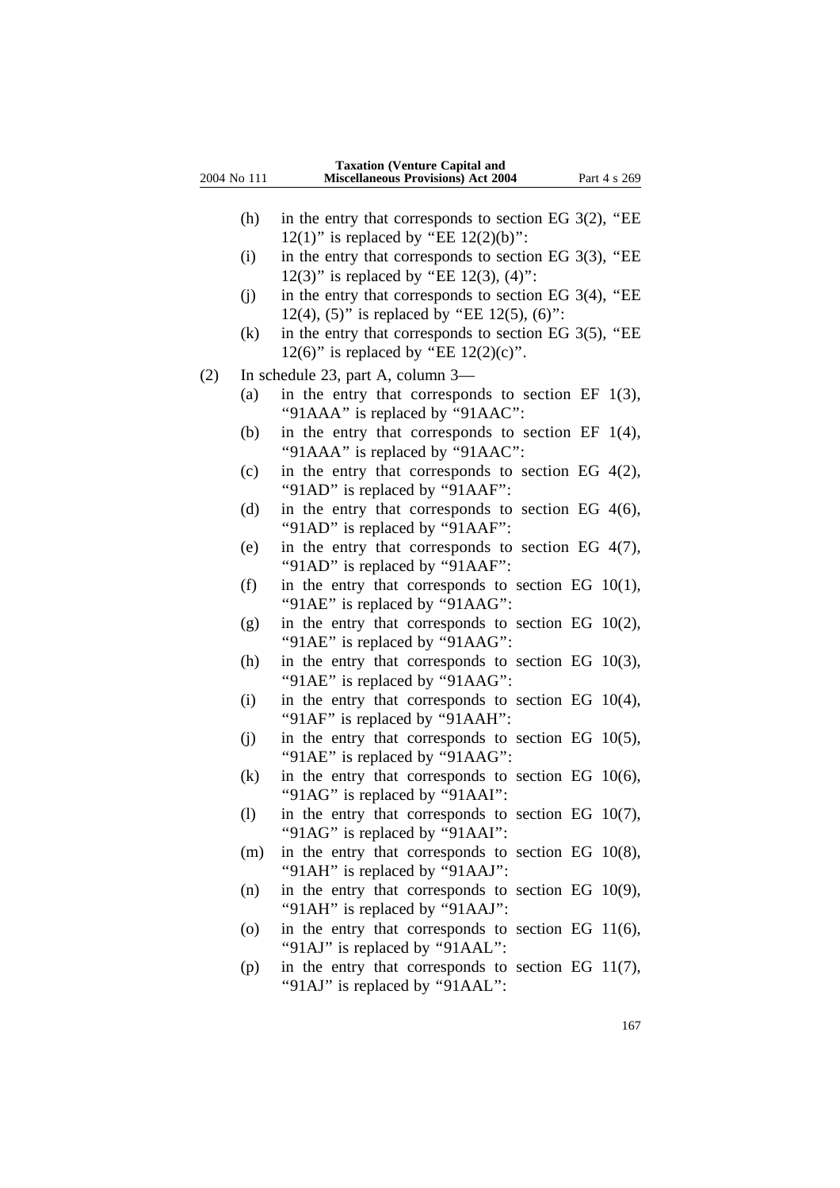| 2004 No 111 |     | <b>Taxation (Venture Capital and</b><br><b>Miscellaneous Provisions) Act 2004</b>                       | Part 4 s 269 |
|-------------|-----|---------------------------------------------------------------------------------------------------------|--------------|
|             | (h) | in the entry that corresponds to section EG $3(2)$ , "EE<br>12(1)" is replaced by "EE $12(2)(b)$ ":     |              |
|             | (i) | in the entry that corresponds to section EG $3(3)$ , "EE<br>12(3)" is replaced by "EE 12(3), $(4)$ ":   |              |
|             | (j) | in the entry that corresponds to section EG $3(4)$ , "EE<br>12(4), (5)" is replaced by "EE 12(5), (6)": |              |
|             | (k) | in the entry that corresponds to section EG 3(5), "EE<br>12(6)" is replaced by "EE $12(2)(c)$ ".        |              |
| (2)         |     | In schedule 23, part A, column 3-                                                                       |              |
|             | (a) | in the entry that corresponds to section EF $1(3)$ ,<br>"91AAA" is replaced by "91AAC":                 |              |
|             | (b) | in the entry that corresponds to section EF $1(4)$ ,<br>"91AAA" is replaced by "91AAC":                 |              |
|             | (c) | in the entry that corresponds to section EG $4(2)$ ,<br>"91AD" is replaced by "91AAF":                  |              |
|             | (d) | in the entry that corresponds to section EG $4(6)$ ,<br>"91AD" is replaced by "91AAF":                  |              |
|             | (e) | in the entry that corresponds to section EG $4(7)$ ,<br>"91AD" is replaced by "91AAF":                  |              |
|             | (f) | in the entry that corresponds to section EG $10(1)$ ,<br>"91AE" is replaced by "91AAG":                 |              |
|             | (g) | in the entry that corresponds to section EG $10(2)$ ,<br>"91AE" is replaced by "91AAG":                 |              |
|             | (h) | in the entry that corresponds to section EG $10(3)$ ,<br>"91AE" is replaced by "91AAG":                 |              |
|             | (i) | in the entry that corresponds to section EG $10(4)$ ,<br>"91AF" is replaced by "91AAH":                 |              |
|             | (j) | in the entry that corresponds to section EG $10(5)$ ,<br>"91AE" is replaced by "91AAG":                 |              |
|             | (k) | in the entry that corresponds to section EG $10(6)$ ,<br>"91AG" is replaced by "91AAI":                 |              |
|             | (1) | in the entry that corresponds to section EG $10(7)$ ,<br>"91AG" is replaced by "91AAI":                 |              |
|             | (m) | in the entry that corresponds to section EG $10(8)$ ,<br>"91AH" is replaced by "91AAJ":                 |              |
|             | (n) | in the entry that corresponds to section EG $10(9)$ ,<br>"91AH" is replaced by "91AAJ":                 |              |
|             | (0) | in the entry that corresponds to section EG $11(6)$ ,<br>"91AJ" is replaced by "91AAL":                 |              |
|             |     |                                                                                                         |              |

(p) in the entry that corresponds to section EG 11(7), ''91AJ'' is replaced by ''91AAL'':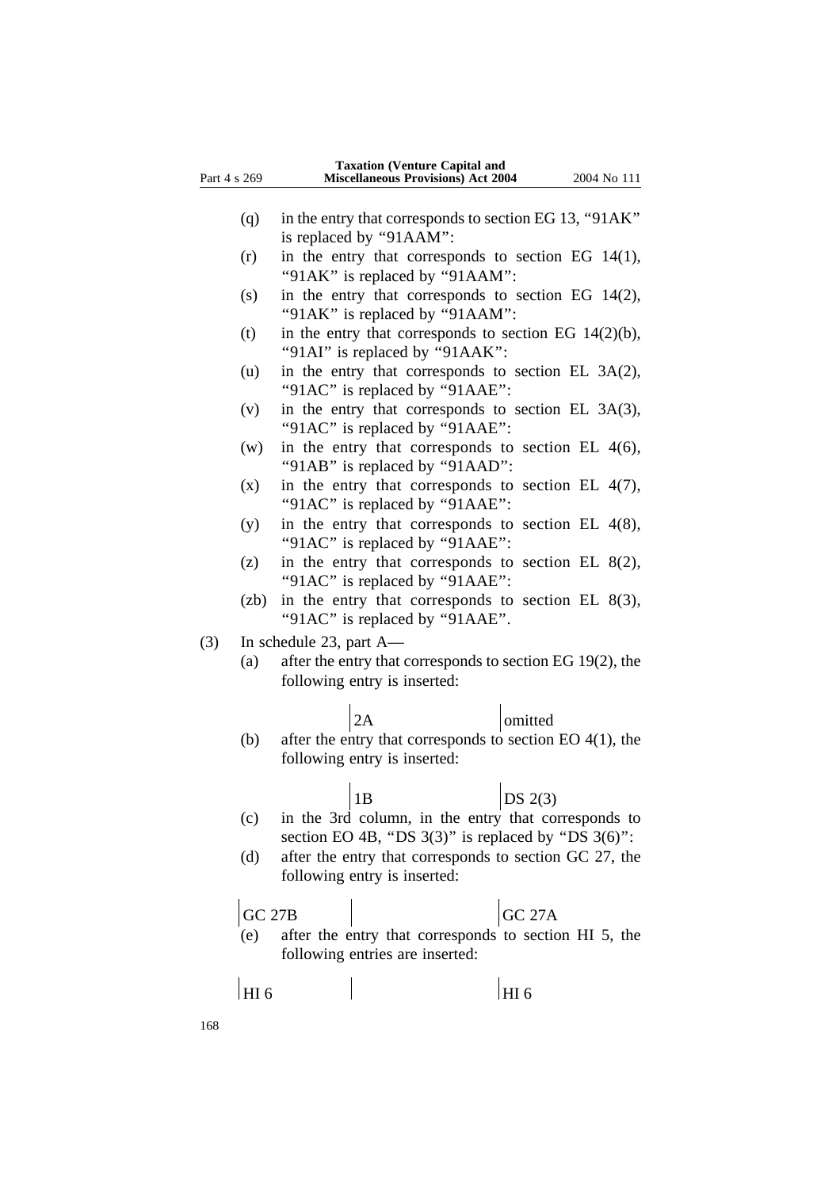| Part 4 s 269    | <b>Taxation (Venture Capital and</b><br><b>Miscellaneous Provisions) Act 2004</b>           | 2004 No 111   |
|-----------------|---------------------------------------------------------------------------------------------|---------------|
|                 |                                                                                             |               |
| (q)             | in the entry that corresponds to section EG 13, "91AK"                                      |               |
|                 | is replaced by "91AAM":                                                                     |               |
| (r)             | in the entry that corresponds to section EG $14(1)$ ,                                       |               |
|                 | "91AK" is replaced by "91AAM":                                                              |               |
| (s)             | in the entry that corresponds to section EG 14(2),<br>"91AK" is replaced by "91AAM":        |               |
| (t)             | in the entry that corresponds to section EG $14(2)(b)$ ,<br>"91AI" is replaced by "91AAK":  |               |
| (u)             | in the entry that corresponds to section EL 3A(2),<br>"91AC" is replaced by "91AAE":        |               |
| (v)             | in the entry that corresponds to section EL 3A(3),<br>"91AC" is replaced by "91AAE":        |               |
| (w)             | in the entry that corresponds to section EL $4(6)$ ,<br>"91AB" is replaced by "91AAD":      |               |
| (x)             | in the entry that corresponds to section EL $4(7)$ ,<br>"91AC" is replaced by "91AAE":      |               |
| (y)             | in the entry that corresponds to section EL $4(8)$ ,<br>"91AC" is replaced by "91AAE":      |               |
| (z)             | in the entry that corresponds to section EL $8(2)$ ,<br>"91AC" is replaced by "91AAE":      |               |
| (zb)            | in the entry that corresponds to section EL $8(3)$ ,<br>"91AC" is replaced by "91AAE".      |               |
| (3)             | In schedule 23, part A-                                                                     |               |
| (a)             | after the entry that corresponds to section EG 19(2), the                                   |               |
|                 | following entry is inserted:                                                                |               |
|                 | 2A                                                                                          | omitted       |
| (b)             | after the entry that corresponds to section EO $4(1)$ , the<br>following entry is inserted: |               |
|                 | 1B                                                                                          | DS $2(3)$     |
| (c)             | in the 3rd column, in the entry that corresponds to                                         |               |
|                 | section EO 4B, "DS $3(3)$ " is replaced by "DS $3(6)$ ":                                    |               |
| (d)             | after the entry that corresponds to section GC 27, the                                      |               |
|                 | following entry is inserted:                                                                |               |
| <b>GC 27B</b>   |                                                                                             | <b>GC 27A</b> |
| (e)             | after the entry that corresponds to section HI 5, the                                       |               |
|                 | following entries are inserted:                                                             |               |
| HI <sub>6</sub> |                                                                                             | HI 6          |

168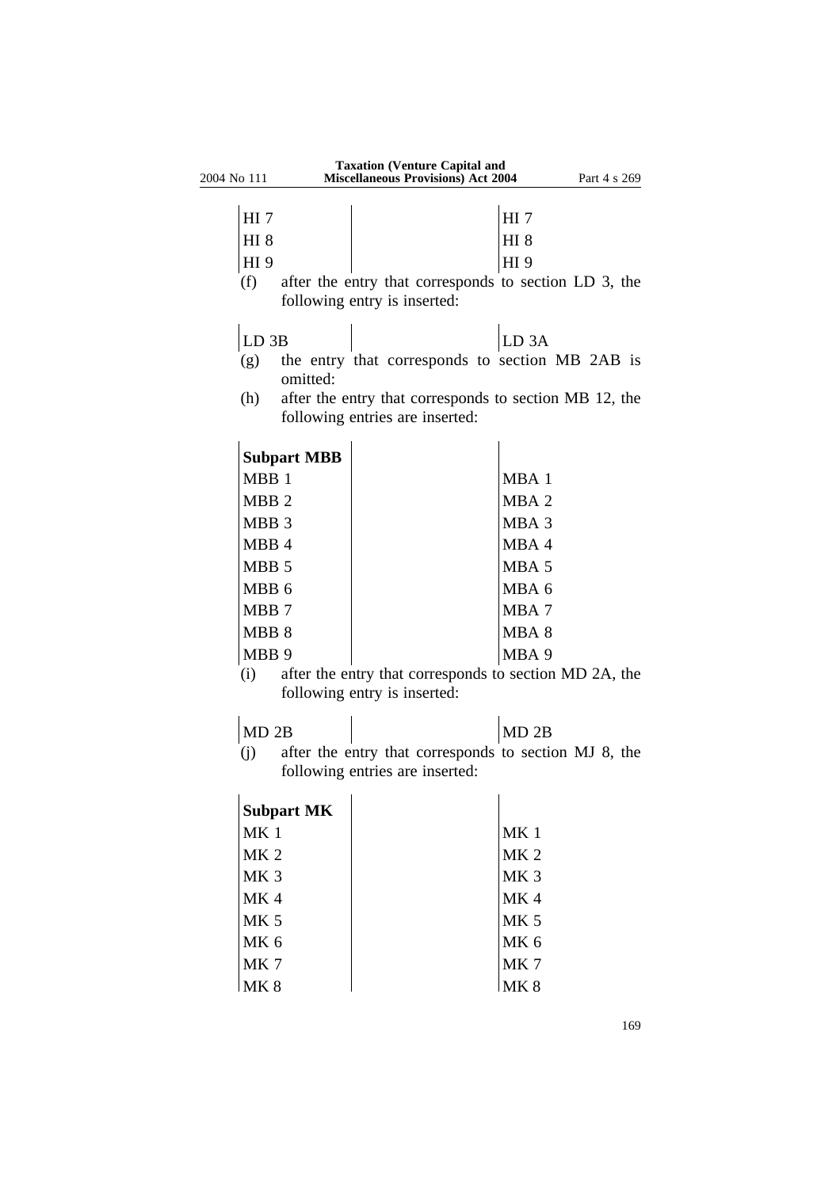| 2004 No 111      |                                 | <b>Taxation (Venture Capital and</b><br><b>Miscellaneous Provisions) Act 2004</b> |                   | Part 4 s 269                                           |
|------------------|---------------------------------|-----------------------------------------------------------------------------------|-------------------|--------------------------------------------------------|
|                  |                                 |                                                                                   |                   |                                                        |
| HI $7$           |                                 |                                                                                   | HI <sub>7</sub>   |                                                        |
| HI <sub>8</sub>  |                                 |                                                                                   | <b>HI 8</b>       |                                                        |
| HI 9             |                                 |                                                                                   | HI 9              |                                                        |
| (f)              |                                 |                                                                                   |                   | after the entry that corresponds to section LD 3, the  |
|                  | following entry is inserted:    |                                                                                   |                   |                                                        |
| LD <sub>3B</sub> |                                 |                                                                                   | LD <sub>3</sub> A |                                                        |
| (g)              | omitted:                        |                                                                                   |                   | the entry that corresponds to section MB 2AB is        |
| (h)              |                                 |                                                                                   |                   | after the entry that corresponds to section MB 12, the |
|                  | following entries are inserted: |                                                                                   |                   |                                                        |
|                  | <b>Subpart MBB</b>              |                                                                                   |                   |                                                        |
| MBB <sub>1</sub> |                                 |                                                                                   | MBA 1             |                                                        |
| MBB <sub>2</sub> |                                 |                                                                                   | MBA <sub>2</sub>  |                                                        |
| MBB 3            |                                 |                                                                                   | MBA 3             |                                                        |
| MBB 4            |                                 |                                                                                   | MBA 4             |                                                        |
| MBB <sub>5</sub> |                                 |                                                                                   | MBA 5             |                                                        |
| MBB <sub>6</sub> |                                 |                                                                                   | MBA 6             |                                                        |
| MBB <sub>7</sub> |                                 |                                                                                   | MBA7              |                                                        |
| MBB 8            |                                 |                                                                                   | MBA 8             |                                                        |
| MBB <sub>9</sub> |                                 |                                                                                   | MBA 9             |                                                        |
| (i)              |                                 |                                                                                   |                   | after the entry that corresponds to section MD 2A, the |
|                  | following entry is inserted:    |                                                                                   |                   |                                                        |
| MD 2B            |                                 |                                                                                   | MD 2B             |                                                        |
| (i)              |                                 |                                                                                   |                   | after the entry that corresponds to section MJ 8, the  |
|                  | following entries are inserted: |                                                                                   |                   |                                                        |
|                  | <b>Subport MK</b>               |                                                                                   |                   |                                                        |

| <b>Subpart MK</b> |                 |
|-------------------|-----------------|
| MK <sub>1</sub>   | MK <sub>1</sub> |
| MK <sub>2</sub>   | MK <sub>2</sub> |
| MK <sub>3</sub>   | MK <sub>3</sub> |
| MK 4              | MK4             |
| <b>MK 5</b>       | <b>MK 5</b>     |
| MK <sub>6</sub>   | MK <sub>6</sub> |
| MK 7              | MK7             |
| MK 8              | <b>MK8</b>      |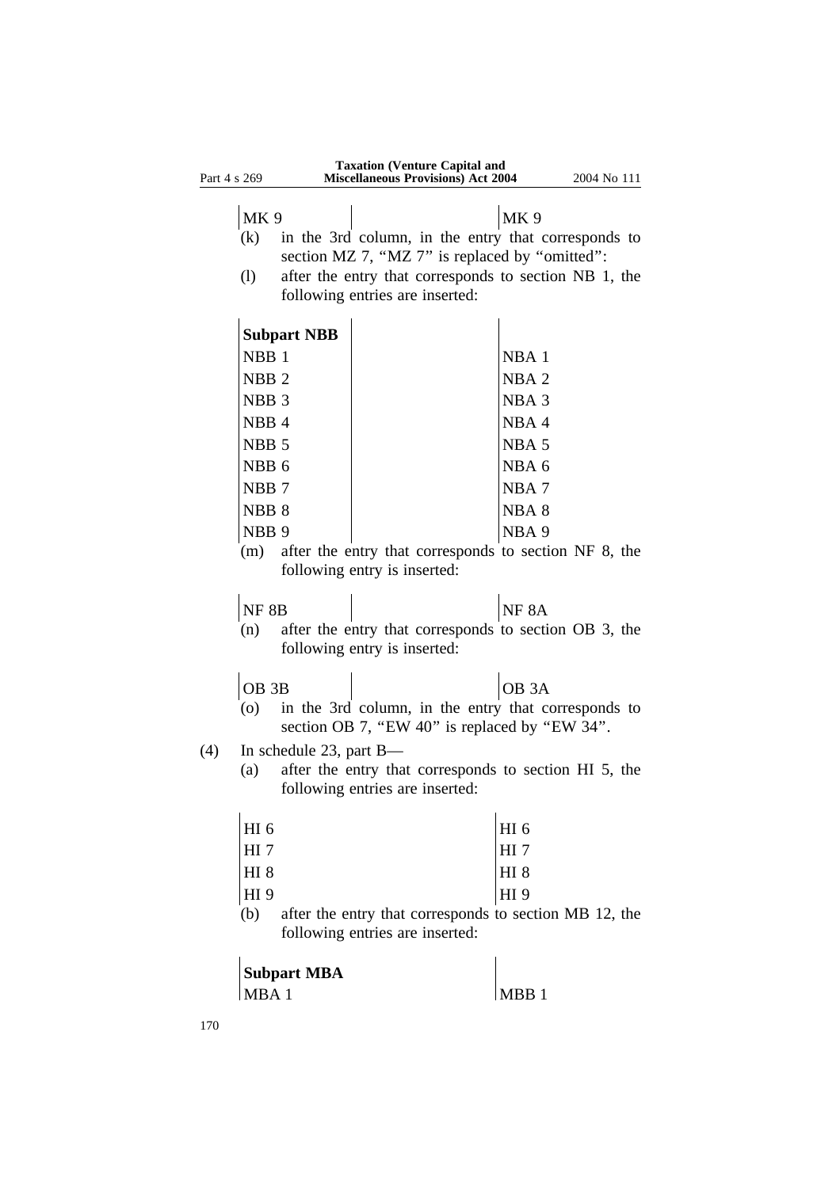| Part 4 s 269 |                               |                            | <b>Taxation (Venture Capital and</b><br><b>Miscellaneous Provisions) Act 2004</b>                                                                                                                 |                          | 2004 No 111 |
|--------------|-------------------------------|----------------------------|---------------------------------------------------------------------------------------------------------------------------------------------------------------------------------------------------|--------------------------|-------------|
|              | MK <sub>9</sub><br>(k)<br>(1) |                            | in the 3rd column, in the entry that corresponds to<br>section MZ 7, "MZ 7" is replaced by "omitted":<br>after the entry that corresponds to section NB 1, the<br>following entries are inserted: | <b>MK9</b>               |             |
|              |                               | <b>Subpart NBB</b>         |                                                                                                                                                                                                   |                          |             |
|              | NBB <sub>1</sub>              |                            |                                                                                                                                                                                                   | NBA <sub>1</sub>         |             |
|              |                               |                            |                                                                                                                                                                                                   |                          |             |
|              | NBB <sub>2</sub>              |                            |                                                                                                                                                                                                   | NBA <sub>2</sub>         |             |
|              | NBB <sub>3</sub>              |                            |                                                                                                                                                                                                   | NBA <sub>3</sub><br>NBA4 |             |
|              | NBB <sub>4</sub>              |                            |                                                                                                                                                                                                   |                          |             |
|              | NBB <sub>5</sub>              |                            |                                                                                                                                                                                                   | NBA <sub>5</sub>         |             |
|              | NBB <sub>6</sub>              |                            |                                                                                                                                                                                                   | NBA 6                    |             |
|              | NBB <sub>7</sub>              |                            |                                                                                                                                                                                                   | NBA7                     |             |
|              | NBB <sub>8</sub>              |                            |                                                                                                                                                                                                   | NBA <sub>8</sub>         |             |
|              | NBB <sub>9</sub>              |                            |                                                                                                                                                                                                   | NBA <sub>9</sub>         |             |
|              | (m)                           |                            | after the entry that corresponds to section NF 8, the<br>following entry is inserted:                                                                                                             |                          |             |
|              | NF 8B                         |                            |                                                                                                                                                                                                   | NF <sub>8A</sub>         |             |
|              | (n)                           |                            | after the entry that corresponds to section OB 3, the<br>following entry is inserted:                                                                                                             |                          |             |
|              | OB <sub>3B</sub>              |                            |                                                                                                                                                                                                   | OB <sub>3</sub> A        |             |
|              | (0)                           |                            | in the 3rd column, in the entry that corresponds to<br>section OB 7, "EW 40" is replaced by "EW 34".                                                                                              |                          |             |
| (4)          |                               | In schedule 23, part $B$ — |                                                                                                                                                                                                   |                          |             |
|              | (a)                           |                            | after the entry that corresponds to section HI 5, the<br>following entries are inserted:                                                                                                          |                          |             |
|              | HI <sub>6</sub>               |                            |                                                                                                                                                                                                   | HI <sub>6</sub>          |             |
|              | $HI$ 7                        |                            |                                                                                                                                                                                                   | HI <sub>7</sub>          |             |
|              | <b>HI 8</b>                   |                            |                                                                                                                                                                                                   | HI <sub>8</sub>          |             |
|              | HI 9                          |                            |                                                                                                                                                                                                   | HI 9                     |             |
|              | (b)                           |                            | after the entry that corresponds to section MB 12, the<br>following entries are inserted:                                                                                                         |                          |             |
|              |                               | <b>Subpart MBA</b>         |                                                                                                                                                                                                   |                          |             |
|              | MBA 1                         |                            |                                                                                                                                                                                                   | MBB <sub>1</sub>         |             |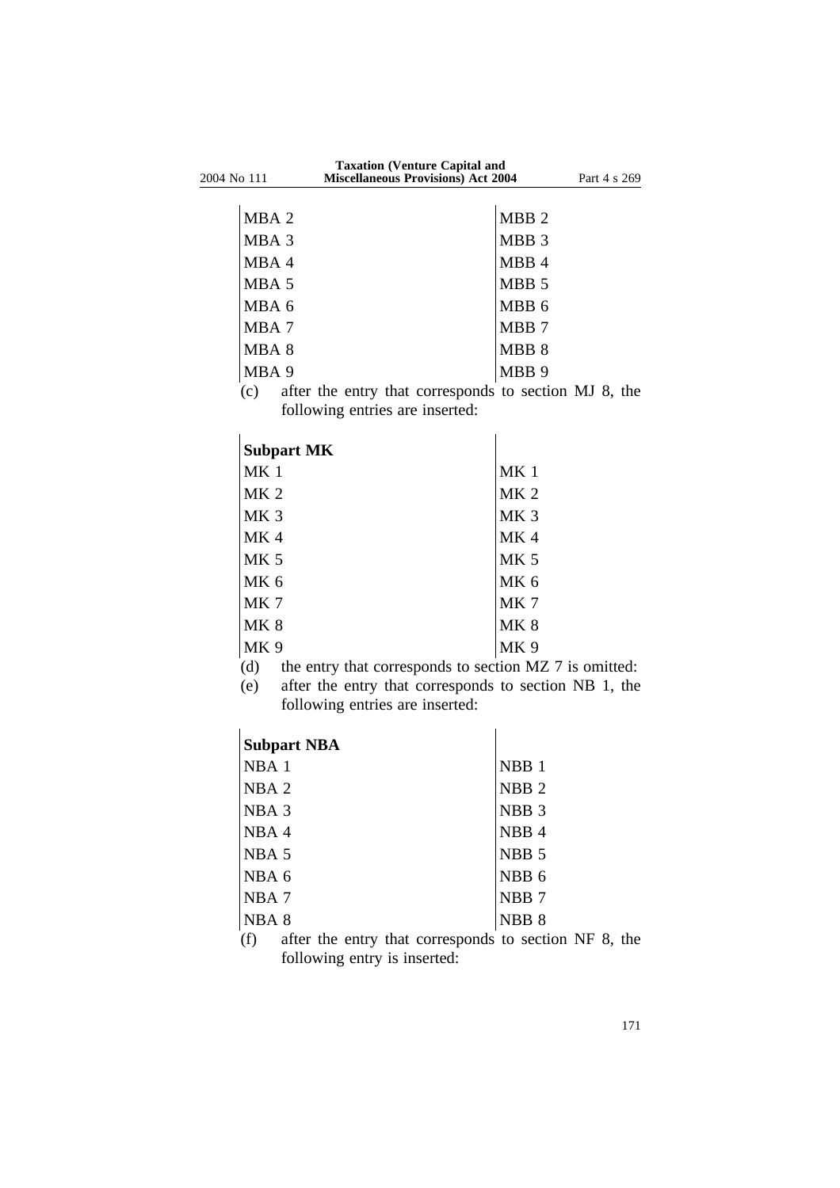|             | <b>Taxation (Venture Capital and</b>      |              |  |
|-------------|-------------------------------------------|--------------|--|
| 2004 No 111 | <b>Miscellaneous Provisions) Act 2004</b> | Part 4 s 269 |  |
|             |                                           |              |  |

| MBA 2 | MBB <sub>2</sub> |
|-------|------------------|
| MBA 3 | MBB <sub>3</sub> |
| MBA 4 | MBB 4            |
| MBA 5 | MBB <sub>5</sub> |
| MBA 6 | MBB <sub>6</sub> |
| MBA 7 | MBB 7            |
| MBA 8 | MBB 8            |
| MBA 9 | MBB <sub>9</sub> |

(c) after the entry that corresponds to section MJ 8, the following entries are inserted:

| <b>Subpart MK</b> |                 |
|-------------------|-----------------|
| MK <sub>1</sub>   | MK <sub>1</sub> |
| MK <sub>2</sub>   | MK <sub>2</sub> |
| MK <sub>3</sub>   | MK <sub>3</sub> |
| MK <sub>4</sub>   | MK4             |
| MK <sub>5</sub>   | <b>MK 5</b>     |
| MK <sub>6</sub>   | MK <sub>6</sub> |
| MK 7              | MK7             |
| <b>MK 8</b>       | <b>MK8</b>      |
| MK <sub>9</sub>   | MK 9            |

(d) the entry that corresponds to section MZ 7 is omitted:

(e) after the entry that corresponds to section NB 1, the following entries are inserted:

| <b>Subpart NBA</b>                                                                                                                                                                                                                                                                                                                                          |                            |
|-------------------------------------------------------------------------------------------------------------------------------------------------------------------------------------------------------------------------------------------------------------------------------------------------------------------------------------------------------------|----------------------------|
| NBA <sub>1</sub>                                                                                                                                                                                                                                                                                                                                            | NBB <sub>1</sub>           |
| NBA <sub>2</sub>                                                                                                                                                                                                                                                                                                                                            | NBB <sub>2</sub>           |
| NBA <sub>3</sub>                                                                                                                                                                                                                                                                                                                                            | NBB <sub>3</sub>           |
| NBA4                                                                                                                                                                                                                                                                                                                                                        | NBB <sub>4</sub>           |
| NBA <sub>5</sub>                                                                                                                                                                                                                                                                                                                                            | NBB <sub>5</sub>           |
| $NBA$ 6                                                                                                                                                                                                                                                                                                                                                     | NBB <sub>6</sub>           |
| NBA <sub>7</sub>                                                                                                                                                                                                                                                                                                                                            | NBB <sub>7</sub>           |
| NBA <sub>8</sub>                                                                                                                                                                                                                                                                                                                                            | NBB <sub>8</sub>           |
| $\mathcal{L}$ $\mathcal{L}$ $\mathcal{L}$ $\mathcal{L}$ $\mathcal{L}$ $\mathcal{L}$ $\mathcal{L}$ $\mathcal{L}$ $\mathcal{L}$ $\mathcal{L}$ $\mathcal{L}$ $\mathcal{L}$ $\mathcal{L}$ $\mathcal{L}$ $\mathcal{L}$ $\mathcal{L}$ $\mathcal{L}$ $\mathcal{L}$ $\mathcal{L}$ $\mathcal{L}$ $\mathcal{L}$ $\mathcal{L}$ $\mathcal{L}$ $\mathcal{L}$ $\mathcal{$ | والمعاجر والمحامل والمستقل |

(f) after the entry that corresponds to section NF 8, the following entry is inserted: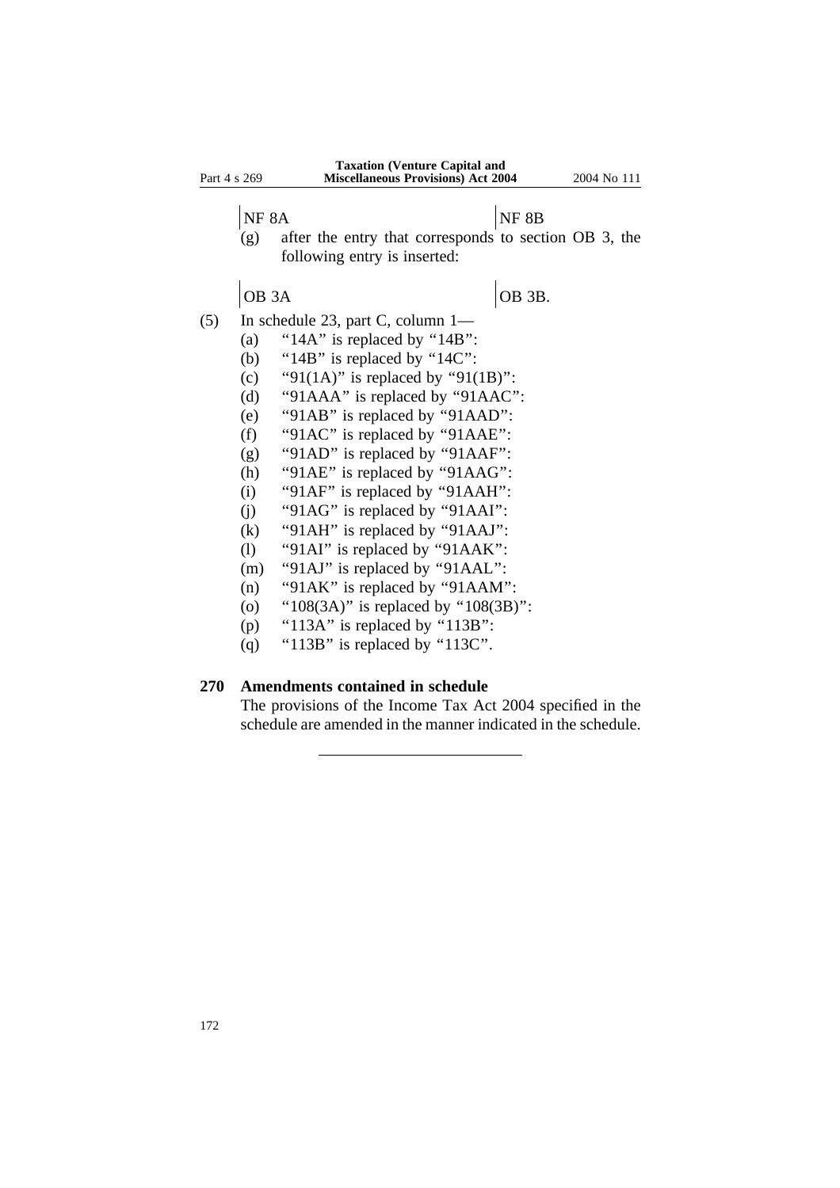| Part 4 s 269 |                   | <b>Taxation (Venture Capital and</b><br><b>Miscellaneous Provisions) Act 2004</b>     | 2004 No 111 |
|--------------|-------------------|---------------------------------------------------------------------------------------|-------------|
|              | NF <sub>8A</sub>  | NF 8B                                                                                 |             |
|              | (g)               | after the entry that corresponds to section OB 3, the<br>following entry is inserted: |             |
|              | OB <sub>3</sub> A | OB 3B.                                                                                |             |
| (5)          |                   | In schedule 23, part C, column 1—                                                     |             |
|              | (a)               | "14A" is replaced by "14B":                                                           |             |
|              | (b)               | "14B" is replaced by "14C":                                                           |             |
|              | (c)               | "91(1A)" is replaced by "91(1B)":                                                     |             |
|              | (d)               | "91AAA" is replaced by "91AAC":                                                       |             |
|              | (e)               | "91AB" is replaced by "91AAD":                                                        |             |
|              | (f)               | "91AC" is replaced by "91AAE":                                                        |             |
|              | (g)               | "91AD" is replaced by "91AAF":                                                        |             |
|              | (h)               | "91AE" is replaced by "91AAG":                                                        |             |
|              | (i)               | "91AF" is replaced by "91AAH":                                                        |             |
|              | (j)               | "91AG" is replaced by "91AAI":                                                        |             |
|              | (k)               | "91AH" is replaced by "91AAJ":                                                        |             |
|              | (1)               | "91AI" is replaced by "91AAK":                                                        |             |
|              | (m)               | "91AJ" is replaced by "91AAL":                                                        |             |
|              | (n)               | "91AK" is replaced by "91AAM":                                                        |             |
|              | $\circ$           | " $108(3A)$ " is replaced by " $108(3B)$ ":                                           |             |
|              | (p)               | " $113A$ " is replaced by " $113B$ ":                                                 |             |

(q) "113B" is replaced by "113C".

## **270 Amendments contained in schedule**

The provisions of the Income Tax Act 2004 specified in the schedule are amended in the manner indicated in the schedule.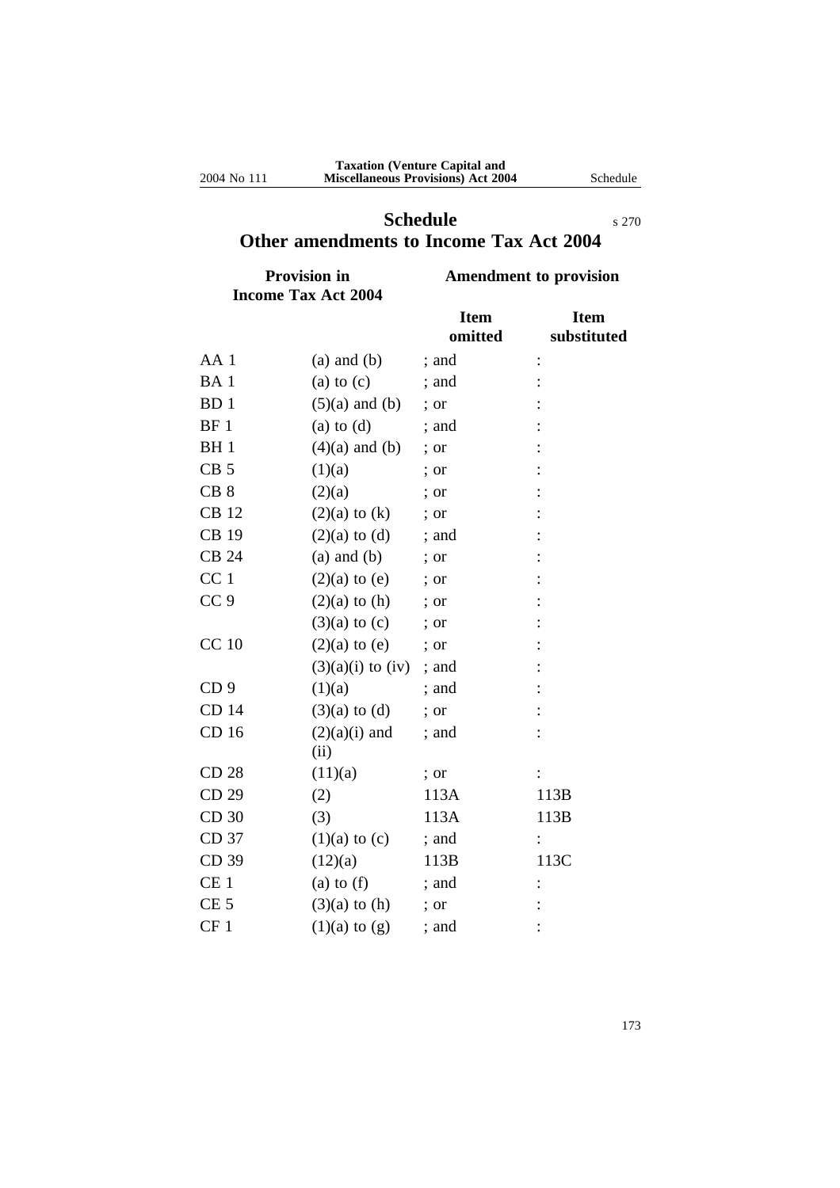# **Schedule** s 270 **Other amendments to Income Tax Act 2004**

| <b>Provision in</b>        | <b>Amendment to provision</b> |
|----------------------------|-------------------------------|
| <b>Income Tax Act 2004</b> |                               |

|                 |                         | <b>Item</b><br>omitted | <b>Item</b><br>substituted |
|-----------------|-------------------------|------------------------|----------------------------|
| AA <sub>1</sub> | $(a)$ and $(b)$         | ; and                  |                            |
| BA <sub>1</sub> | (a) to $(c)$            | ; and                  |                            |
| BD <sub>1</sub> | $(5)(a)$ and $(b)$      | ; or                   |                            |
| BF <sub>1</sub> | $(a)$ to $(d)$          | ; and                  |                            |
| <b>BH</b> 1     | $(4)(a)$ and $(b)$      | ; or                   |                            |
| CB <sub>5</sub> | (1)(a)                  | ; or                   |                            |
| CB <sub>8</sub> | (2)(a)                  | : or                   |                            |
| <b>CB</b> 12    | $(2)(a)$ to $(k)$       | ; or                   |                            |
| <b>CB 19</b>    | $(2)(a)$ to $(d)$       | ; and                  |                            |
| <b>CB 24</b>    | $(a)$ and $(b)$         | ; or                   |                            |
| CC <sub>1</sub> | $(2)(a)$ to $(e)$       | ; or                   |                            |
| CC <sub>9</sub> | $(2)(a)$ to $(h)$       | ; or                   |                            |
|                 | $(3)(a)$ to $(c)$       | $:$ or                 |                            |
| <b>CC 10</b>    | $(2)(a)$ to $(e)$       | ; or                   |                            |
|                 | $(3)(a)(i)$ to $(iv)$   | ; and                  |                            |
| CD <sub>9</sub> | (1)(a)                  | ; and                  |                            |
| CD 14           | $(3)(a)$ to $(d)$       | ; or                   |                            |
| CD 16           | $(2)(a)(i)$ and<br>(ii) | ; and                  |                            |
| CD 28           | (11)(a)                 | ; or                   |                            |
| CD 29           | (2)                     | 113A                   | 113B                       |
| CD 30           | (3)                     | 113A                   | 113B                       |
| CD 37           | $(1)(a)$ to $(c)$       | ; and                  |                            |
| CD 39           | (12)(a)                 | 113B                   | 113C                       |
| CE <sub>1</sub> | (a) to $(f)$            | ; and                  |                            |
| CE <sub>5</sub> | $(3)(a)$ to $(h)$       | $:$ or                 |                            |
| CF <sub>1</sub> | $(1)(a)$ to $(g)$       | ; and                  |                            |

173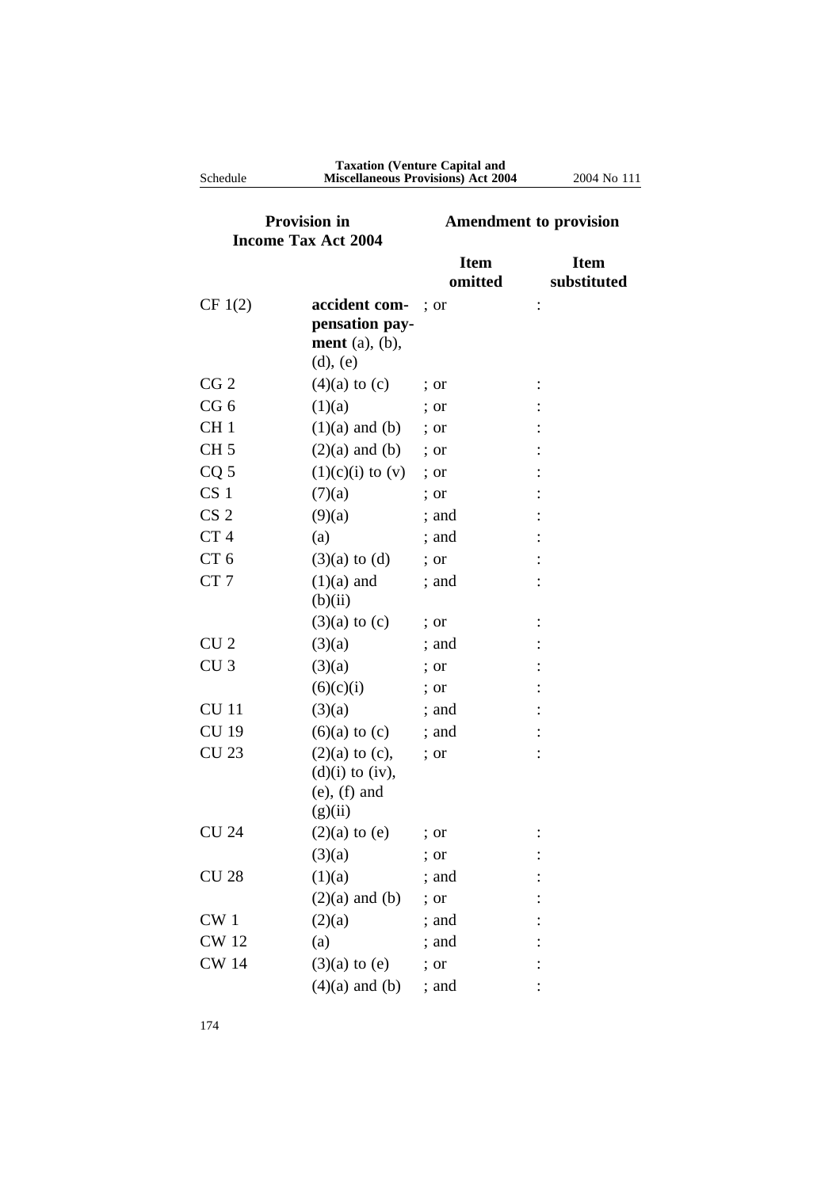| Schedule                                          |                                                                             | <b>Taxation (Venture Capital and</b><br><b>Miscellaneous Provisions) Act 2004</b> | 2004 No 111                |
|---------------------------------------------------|-----------------------------------------------------------------------------|-----------------------------------------------------------------------------------|----------------------------|
| <b>Provision in</b><br><b>Income Tax Act 2004</b> |                                                                             | <b>Amendment to provision</b>                                                     |                            |
|                                                   |                                                                             | <b>Item</b><br>omitted                                                            | <b>Item</b><br>substituted |
| CF 1(2)                                           | accident com-<br>pensation pay-<br>ment $(a)$ , $(b)$ ,<br>$(d)$ , $(e)$    | $:$ or                                                                            |                            |
| CG <sub>2</sub>                                   | $(4)(a)$ to $(c)$                                                           | ; or                                                                              |                            |
| CG <sub>6</sub>                                   | (1)(a)                                                                      | $:$ or                                                                            |                            |
| CH <sub>1</sub>                                   | $(1)(a)$ and $(b)$                                                          | $:$ or                                                                            |                            |
| CH <sub>5</sub>                                   | $(2)(a)$ and $(b)$                                                          | $\therefore$ or                                                                   |                            |
| CQ <sub>5</sub>                                   | $(1)(c)(i)$ to $(v)$                                                        | ; or                                                                              |                            |
| CS <sub>1</sub>                                   | (7)(a)                                                                      | ; or                                                                              |                            |
| CS <sub>2</sub>                                   | (9)(a)                                                                      | ; and                                                                             |                            |
| CT <sub>4</sub>                                   | (a)                                                                         | ; and                                                                             |                            |
| CT <sub>6</sub>                                   | $(3)(a)$ to $(d)$                                                           | ; or                                                                              |                            |
| CT <sub>7</sub>                                   | $(1)(a)$ and<br>(b)(ii)                                                     | ; and                                                                             |                            |
|                                                   | $(3)(a)$ to $(c)$                                                           | $:$ or                                                                            |                            |
| CU <sub>2</sub>                                   | (3)(a)                                                                      | ; and                                                                             |                            |
| CU <sub>3</sub>                                   | (3)(a)                                                                      | $:$ or                                                                            |                            |
|                                                   | (6)(c)(i)                                                                   | ; or                                                                              |                            |
| <b>CU</b> 11                                      | (3)(a)                                                                      | ; and                                                                             |                            |
| <b>CU 19</b>                                      | $(6)(a)$ to $(c)$                                                           | ; and                                                                             |                            |
| <b>CU 23</b>                                      | $(2)(a)$ to $(c)$ ,<br>$(d)(i)$ to $(iv)$ ,<br>$(e)$ , $(f)$ and<br>(g)(ii) | ; or                                                                              |                            |
| <b>CU 24</b>                                      | $(2)(a)$ to $(e)$                                                           | ; or                                                                              |                            |
|                                                   | (3)(a)                                                                      | ; or                                                                              |                            |
| <b>CU 28</b>                                      | (1)(a)                                                                      | ; and                                                                             |                            |
|                                                   | $(2)(a)$ and $(b)$                                                          | ; or                                                                              |                            |
| CW <sub>1</sub>                                   | (2)(a)                                                                      | ; and                                                                             |                            |
| <b>CW</b> 12                                      | (a)                                                                         | ; and                                                                             |                            |
| <b>CW 14</b>                                      | $(3)(a)$ to $(e)$                                                           | ; or                                                                              |                            |
|                                                   | $(4)(a)$ and $(b)$                                                          | ; and                                                                             |                            |

174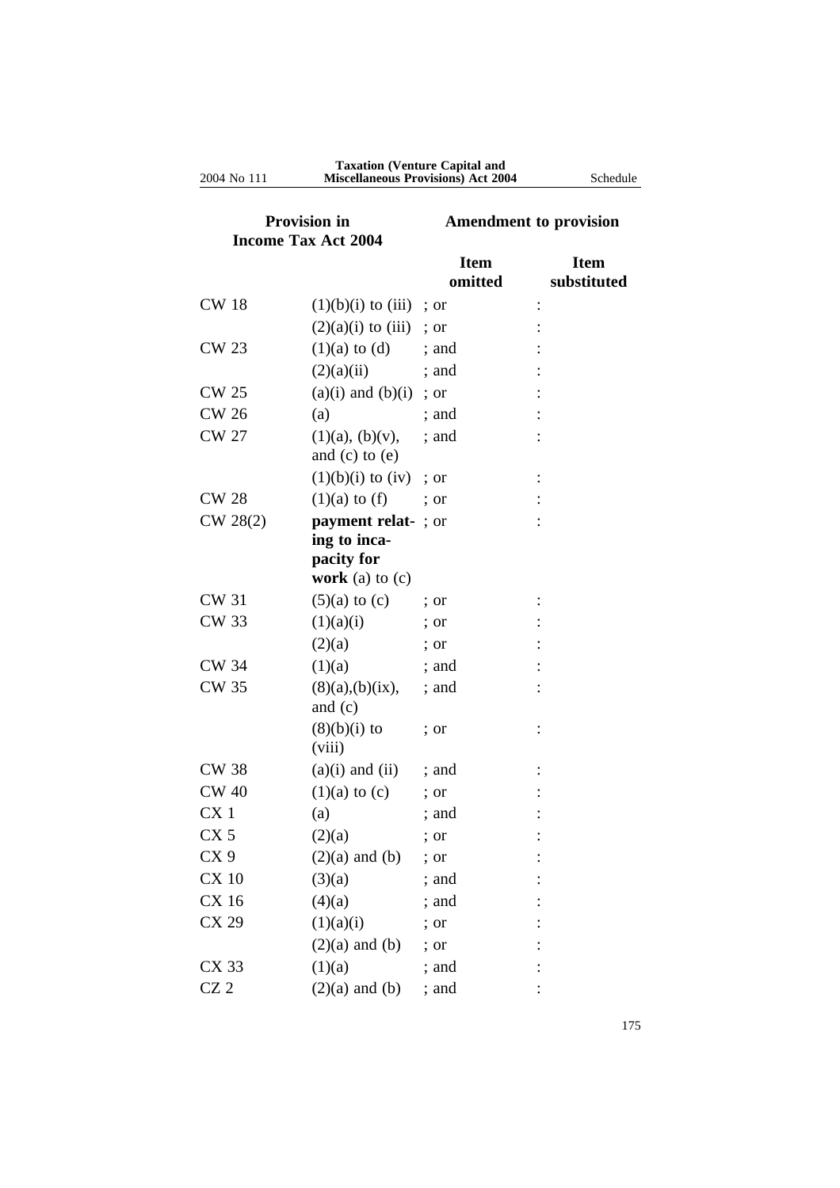| <b>Provision in</b><br><b>Income Tax Act 2004</b> |                                             | <b>Amendment to provision</b> |                            |
|---------------------------------------------------|---------------------------------------------|-------------------------------|----------------------------|
|                                                   |                                             | <b>Item</b><br>omitted        | <b>Item</b><br>substituted |
| <b>CW 18</b>                                      | $(1)(b)(i)$ to $(iii)$                      | ; or                          |                            |
|                                                   | $(2)(a)(i)$ to $(iii)$                      | ; or                          |                            |
| <b>CW 23</b>                                      | $(1)(a)$ to $(d)$                           | : and                         |                            |
|                                                   | (2)(a)(ii)                                  | ; and                         |                            |
| <b>CW 25</b>                                      | $(a)(i)$ and $(b)(i)$                       | ; or                          |                            |
| <b>CW 26</b>                                      | (a)                                         | ; and                         |                            |
| <b>CW 27</b>                                      | $(1)(a)$ , $(b)(v)$ ,<br>and $(c)$ to $(e)$ | ; and                         |                            |
|                                                   | $(1)(b)(i)$ to $(iv)$                       | : or                          |                            |
| <b>CW 28</b>                                      | $(1)(a)$ to $(f)$                           | $:$ or                        |                            |
| CW 28(2)                                          | payment relat-; or                          |                               |                            |
|                                                   | ing to inca-                                |                               |                            |
|                                                   | pacity for                                  |                               |                            |
|                                                   | work (a) to $(c)$                           |                               |                            |
| <b>CW 31</b>                                      | $(5)(a)$ to $(c)$                           | $:$ or                        |                            |
| <b>CW 33</b>                                      | (1)(a)(i)                                   | $:$ or                        |                            |
|                                                   | (2)(a)                                      | $:$ or                        |                            |
| <b>CW 34</b>                                      | (1)(a)                                      | ; and                         |                            |
| <b>CW 35</b>                                      | (8)(a),(b)(ix),<br>and $(c)$                | ; and                         |                            |
|                                                   | $(8)(b)(i)$ to<br>(viii)                    | ; or                          |                            |
| <b>CW 38</b>                                      | $(a)(i)$ and $(ii)$                         | ; and                         |                            |
| <b>CW 40</b>                                      | $(1)(a)$ to $(c)$                           | ; or                          |                            |
| CX <sub>1</sub>                                   | (a)                                         | ; and                         |                            |
| CX <sub>5</sub>                                   | (2)(a)                                      | ; or                          |                            |
| CX <sub>9</sub>                                   | $(2)(a)$ and $(b)$                          | ; or                          |                            |
| <b>CX 10</b>                                      | (3)(a)                                      | ; and                         |                            |
| CX 16                                             | (4)(a)                                      | ; and                         |                            |
| CX 29                                             | (1)(a)(i)                                   | ; or                          |                            |
|                                                   | $(2)(a)$ and $(b)$                          | ; or                          |                            |
| CX 33                                             | (1)(a)                                      | ; and                         |                            |
| CZ <sub>2</sub>                                   | $(2)(a)$ and $(b)$                          | ; and                         |                            |

#### **Taxation (Venture Capital and** 2004 No 111 **Miscellaneous Provisions) Act 2004** Schedule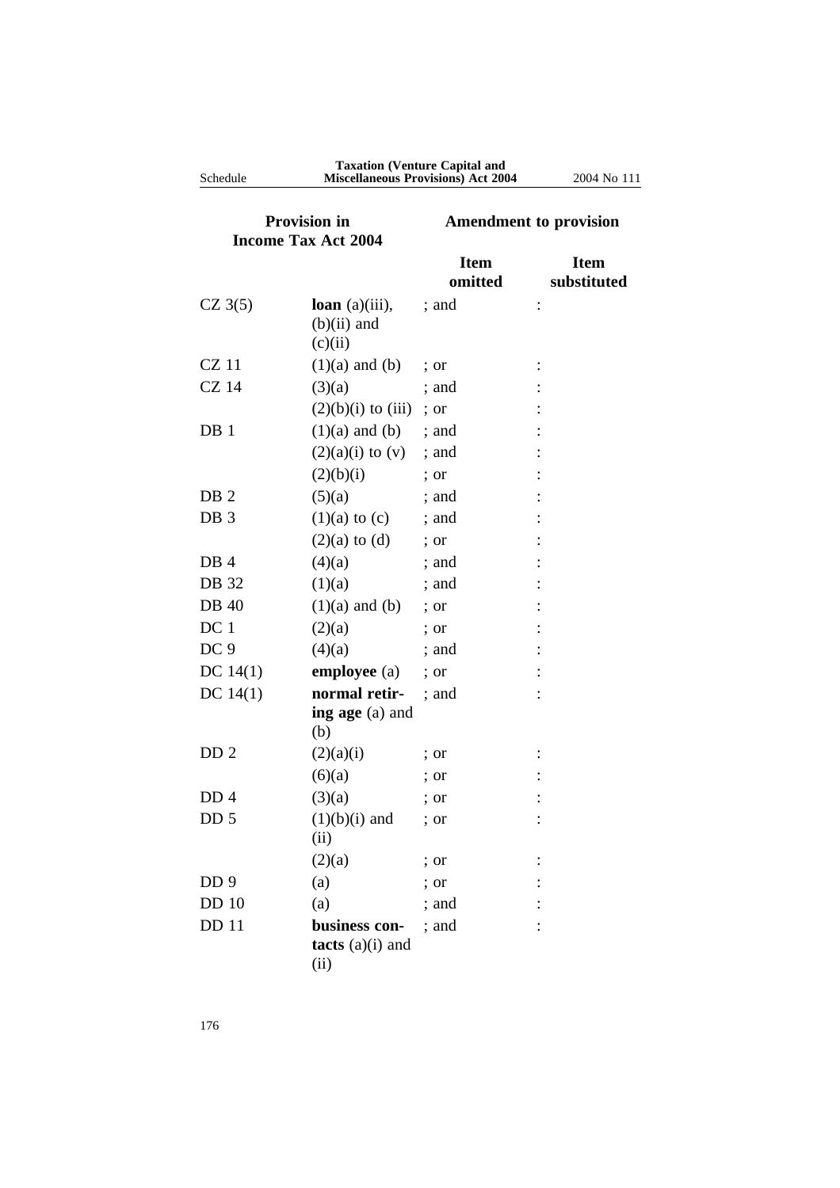| Schedule                                          |                                               | <b>Taxation (Venture Capital and</b><br><b>Miscellaneous Provisions) Act 2004</b> | 2004 No 111                |
|---------------------------------------------------|-----------------------------------------------|-----------------------------------------------------------------------------------|----------------------------|
| <b>Provision in</b><br><b>Income Tax Act 2004</b> |                                               | <b>Amendment to provision</b>                                                     |                            |
|                                                   |                                               | <b>Item</b><br>omitted                                                            | <b>Item</b><br>substituted |
| $CZ$ 3(5)                                         | loan $(a)(iii)$ ,<br>$(b)(ii)$ and<br>(c)(ii) | ; and                                                                             |                            |
| $CZ$ 11                                           | $(1)(a)$ and $(b)$                            | $:$ or                                                                            |                            |
| <b>CZ</b> 14                                      | (3)(a)                                        | : and                                                                             |                            |
|                                                   | $(2)(b)(i)$ to $(iii)$                        | $:$ or                                                                            |                            |
| DB 1                                              | $(1)(a)$ and $(b)$                            | ; and                                                                             |                            |
|                                                   | $(2)(a)(i)$ to $(v)$                          | ; and                                                                             |                            |
|                                                   | (2)(b)(i)                                     | $:$ or                                                                            |                            |
| DB <sub>2</sub>                                   | (5)(a)                                        | : and                                                                             |                            |
| DB <sub>3</sub>                                   | $(1)(a)$ to $(c)$                             | ; and                                                                             |                            |
|                                                   | $(2)(a)$ to $(d)$                             | $:$ or                                                                            |                            |
| DB <sub>4</sub>                                   | (4)(a)                                        | ; and                                                                             |                            |
| DB 32                                             | (1)(a)                                        | ; and                                                                             |                            |
| <b>DB</b> 40                                      | $(1)(a)$ and $(b)$                            | $:$ or                                                                            |                            |
| DC <sub>1</sub>                                   | (2)(a)                                        | $:$ or                                                                            |                            |
| DC <sub>9</sub>                                   | (4)(a)                                        | ; and                                                                             |                            |
| DC $14(1)$                                        | employee (a)                                  | ; or                                                                              |                            |
| DC $14(1)$                                        | normal retir-                                 | : and                                                                             |                            |
|                                                   | ing age (a) and<br>(b)                        |                                                                                   |                            |
| DD <sub>2</sub>                                   | (2)(a)(i)                                     | $\frac{1}{2}$ or                                                                  |                            |
|                                                   | (6)(a)                                        | ; or                                                                              |                            |
| DD <sub>4</sub>                                   | (3)(a)                                        | ; or                                                                              |                            |
| DD <sub>5</sub>                                   | $(1)(b)(i)$ and                               | ; or                                                                              |                            |
|                                                   | (ii)                                          |                                                                                   |                            |
|                                                   | (2)(a)                                        | ; or                                                                              |                            |
| DD <sub>9</sub>                                   | (a)                                           | ; or                                                                              |                            |
| <b>DD</b> 10                                      | (a)                                           | ; and                                                                             |                            |
| DD 11                                             | business con-                                 | ; and                                                                             |                            |
|                                                   | tacts $(a)(i)$ and                            |                                                                                   |                            |
|                                                   | (ii)                                          |                                                                                   |                            |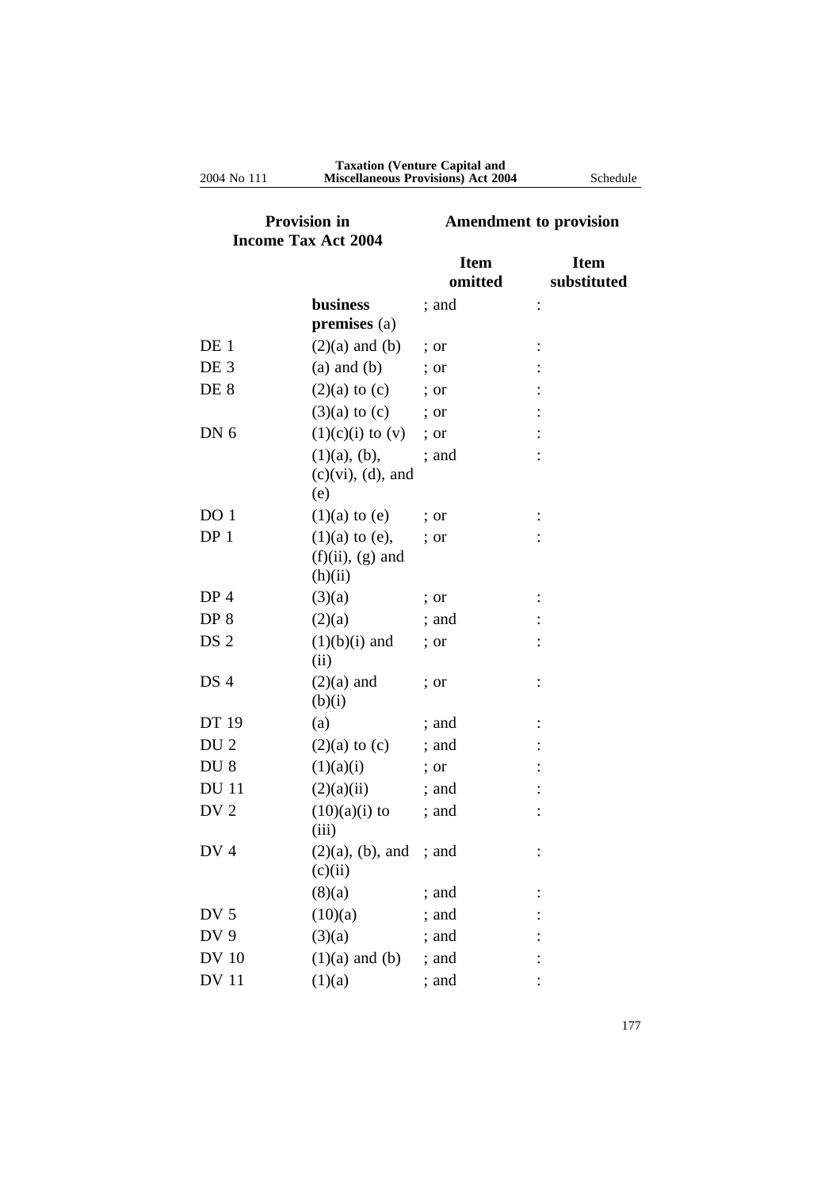| <b>Provision in</b><br><b>Income Tax Act 2004</b> |                                         | <b>Amendment to provision</b> |                            |
|---------------------------------------------------|-----------------------------------------|-------------------------------|----------------------------|
|                                                   |                                         | <b>Item</b><br>omitted        | <b>Item</b><br>substituted |
|                                                   | <b>business</b>                         | ; and                         | $\ddot{\cdot}$             |
|                                                   | $premises (a)$                          |                               |                            |
| DE 1                                              | $(2)(a)$ and $(b)$                      | $\therefore$ or               |                            |
| DE <sub>3</sub>                                   | $(a)$ and $(b)$                         | $\therefore$ or               |                            |
| DE 8                                              | $(2)(a)$ to $(c)$ ; or                  |                               |                            |
|                                                   | $(3)(a)$ to $(c)$ ; or                  |                               |                            |
| DN <sub>6</sub>                                   | $(1)(c)(i)$ to $(v)$                    | ; or                          |                            |
|                                                   | $(1)(a)$ , $(b)$ ,                      | ; and                         |                            |
|                                                   | $(c)(vi)$ , $(d)$ , and<br>(e)          |                               |                            |
| DO <sub>1</sub>                                   | $(1)(a)$ to $(e)$                       | ; or                          |                            |
| DP <sub>1</sub>                                   | $(1)(a)$ to $(e)$ ,                     | $:$ or                        |                            |
|                                                   | $(f)(ii)$ , $(g)$ and<br>(h)(ii)        |                               |                            |
| DP <sub>4</sub>                                   | (3)(a)                                  | ; or                          |                            |
| DP <sub>8</sub>                                   | (2)(a)                                  | ; and                         |                            |
| DS <sub>2</sub>                                   | $(1)(b)(i)$ and<br>(ii)                 | ; or                          |                            |
| DS 4                                              | $(2)(a)$ and                            | ; or                          |                            |
|                                                   | (b)(i)                                  |                               |                            |
| DT 19                                             | (a)                                     | ; and                         |                            |
| DU <sub>2</sub>                                   | $(2)(a)$ to $(c)$                       | ; and                         |                            |
| DU <sub>8</sub>                                   | (1)(a)(i)                               | ; or                          |                            |
| <b>DU</b> 11                                      | (2)(a)(ii)                              | ; and                         |                            |
| DV <sub>2</sub>                                   | $(10)(a)(i)$ to<br>(iii)                | ; and                         |                            |
| DV <sub>4</sub>                                   | $(2)(a)$ , $(b)$ , and ; and<br>(c)(ii) |                               |                            |
|                                                   | (8)(a)                                  | ; and                         |                            |
| DV <sub>5</sub>                                   | (10)(a)                                 | ; and                         |                            |
| DV 9                                              | (3)(a)                                  | ; and                         |                            |
| <b>DV 10</b>                                      | $(1)(a)$ and $(b)$                      | ; and                         |                            |
| <b>DV</b> 11                                      | (1)(a)                                  | ; and                         |                            |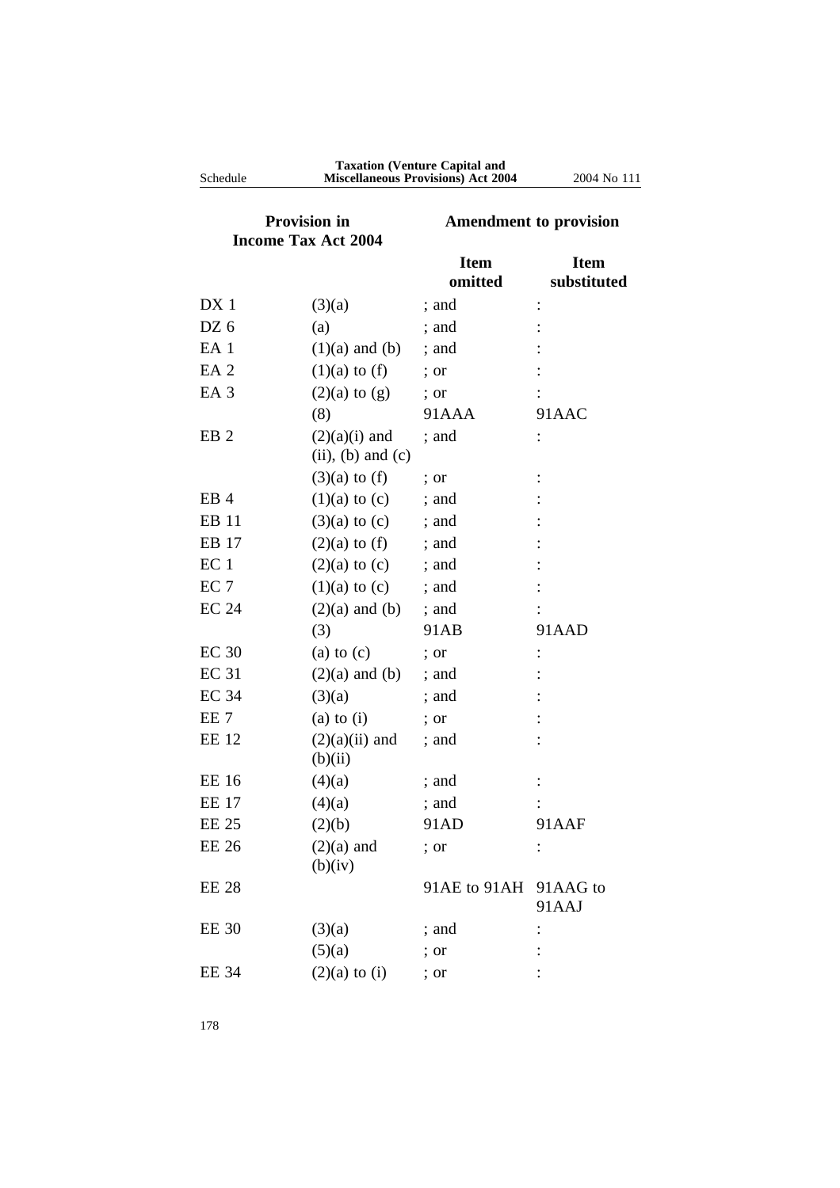| Schedule            |                                             | <b>Miscellaneous Provisions) Act 2004</b> | 2004 No 111                |
|---------------------|---------------------------------------------|-------------------------------------------|----------------------------|
| <b>Provision in</b> |                                             | <b>Amendment to provision</b>             |                            |
|                     | <b>Income Tax Act 2004</b>                  |                                           |                            |
|                     |                                             | <b>Item</b><br>omitted                    | <b>Item</b><br>substituted |
| DX <sub>1</sub>     | (3)(a)                                      | ; and                                     |                            |
| DZ 6                | (a)                                         | ; and                                     |                            |
| EA <sub>1</sub>     | $(1)(a)$ and $(b)$                          | $:$ and                                   |                            |
| EA <sub>2</sub>     | $(1)(a)$ to $(f)$                           | ; or                                      |                            |
| EA <sub>3</sub>     | $(2)(a)$ to $(g)$                           | ; or                                      |                            |
|                     | (8)                                         | 91AAA                                     | 91AAC                      |
| EB <sub>2</sub>     | $(2)(a)(i)$ and<br>$(ii)$ , $(b)$ and $(c)$ | ; and                                     |                            |
|                     | $(3)(a)$ to $(f)$                           | $:$ or                                    |                            |
| EB <sub>4</sub>     | $(1)(a)$ to $(c)$                           | ; and                                     |                            |
| EB 11               | $(3)(a)$ to $(c)$                           | ; and                                     |                            |
| EB 17               | $(2)(a)$ to $(f)$                           | ; and                                     |                            |
| EC <sub>1</sub>     | $(2)(a)$ to $(c)$                           | ; and                                     |                            |
| EC <sub>7</sub>     | $(1)(a)$ to $(c)$                           | $:$ and                                   |                            |
| <b>EC 24</b>        | $(2)(a)$ and $(b)$                          | ; and                                     |                            |
|                     | (3)                                         | 91AB                                      | 91AAD                      |
| <b>EC 30</b>        | $(a)$ to $(c)$                              | ; or                                      |                            |
| <b>EC 31</b>        | $(2)(a)$ and $(b)$                          | ; and                                     |                            |
| <b>EC 34</b>        | (3)(a)                                      | ; and                                     |                            |
| EE <sub>7</sub>     | $(a)$ to $(i)$                              | ; or                                      |                            |
| <b>EE 12</b>        | $(2)(a)(ii)$ and<br>(b)(ii)                 | ; and                                     |                            |
| <b>EE 16</b>        | (4)(a)                                      | ; and                                     |                            |
| EE 17               | (4)(a)                                      | ; and                                     |                            |
| <b>EE 25</b>        | (2)(b)                                      | 91AD                                      | 91AAF                      |
| <b>EE 26</b>        | $(2)(a)$ and<br>(b)(iv)                     | ; or                                      |                            |
| <b>EE 28</b>        |                                             | 91AE to 91AH 91AAG to                     | 91AAJ                      |
| <b>EE 30</b>        | (3)(a)                                      | ; and                                     |                            |
|                     | (5)(a)                                      | ; or                                      |                            |
| <b>EE 34</b>        | $(2)(a)$ to $(i)$                           | ; or                                      |                            |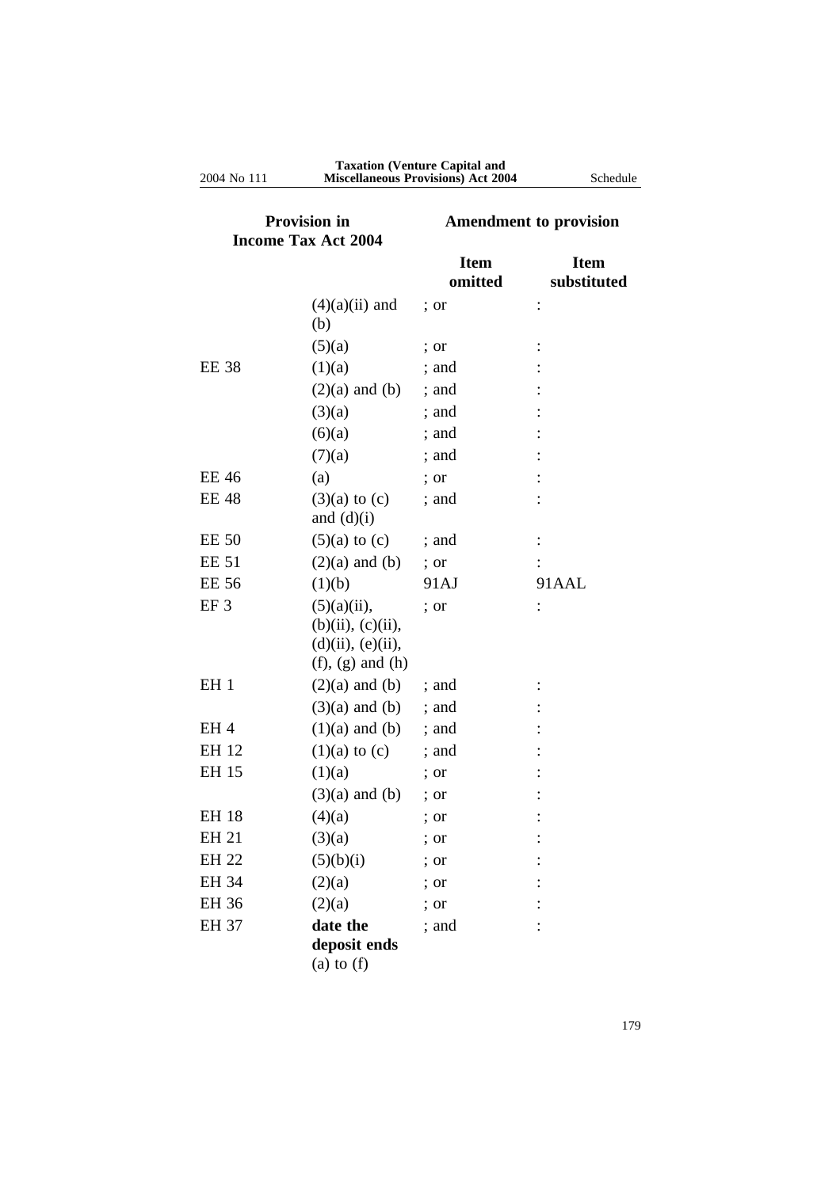| Provision in<br><b>Income Tax Act 2004</b> |                                                                                                 | <b>Amendment to provision</b> |                            |
|--------------------------------------------|-------------------------------------------------------------------------------------------------|-------------------------------|----------------------------|
|                                            |                                                                                                 | <b>Item</b><br>omitted        | <b>Item</b><br>substituted |
|                                            | $(4)(a)(ii)$ and<br>(b)                                                                         | ; or                          | $\ddot{\cdot}$             |
|                                            | (5)(a)                                                                                          |                               |                            |
| <b>EE 38</b>                               | (1)(a)                                                                                          | ; or<br>; and                 |                            |
|                                            |                                                                                                 |                               |                            |
|                                            | $(2)(a)$ and $(b)$                                                                              | ; and                         |                            |
|                                            | (3)(a)                                                                                          | ; and                         |                            |
|                                            | (6)(a)                                                                                          | ; and                         |                            |
|                                            | (7)(a)                                                                                          | ; and                         |                            |
| <b>EE 46</b>                               | (a)                                                                                             | ; or                          |                            |
| <b>EE 48</b>                               | $(3)(a)$ to $(c)$<br>and $(d)(i)$                                                               | ; and                         |                            |
| <b>EE 50</b>                               | $(5)(a)$ to $(c)$                                                                               | $:$ and                       |                            |
| <b>EE 51</b>                               | $(2)(a)$ and $(b)$                                                                              | ; or                          |                            |
| <b>EE 56</b>                               | (1)(b)                                                                                          | 91AJ                          | 91AAL                      |
| EF <sub>3</sub>                            | $(5)(a)(ii)$ ,<br>$(b)(ii)$ , $(c)(ii)$ ,<br>$(d)(ii)$ , $(e)(ii)$ ,<br>$(f)$ , $(g)$ and $(h)$ | ; or                          |                            |
| EH <sub>1</sub>                            | $(2)(a)$ and $(b)$                                                                              | ; and                         |                            |
|                                            | $(3)(a)$ and $(b)$                                                                              | ; and                         |                            |
| EH <sub>4</sub>                            | $(1)(a)$ and $(b)$                                                                              | ; and                         |                            |
| EH 12                                      | $(1)(a)$ to $(c)$                                                                               | ; and                         |                            |
| EH 15                                      | (1)(a)                                                                                          | $:$ or                        |                            |
|                                            | $(3)(a)$ and $(b)$                                                                              | ; or                          |                            |
| <b>EH 18</b>                               | (4)(a)                                                                                          | ; or                          |                            |
| EH 21                                      | (3)(a)                                                                                          | ; or                          |                            |
| <b>EH 22</b>                               | (5)(b)(i)                                                                                       | ; or                          |                            |
| EH 34                                      | (2)(a)                                                                                          | ; or                          |                            |
| EH 36                                      | (2)(a)                                                                                          | ; or                          |                            |
| <b>EH 37</b>                               | date the<br>deposit ends<br>(a) to $(f)$                                                        | ; and                         |                            |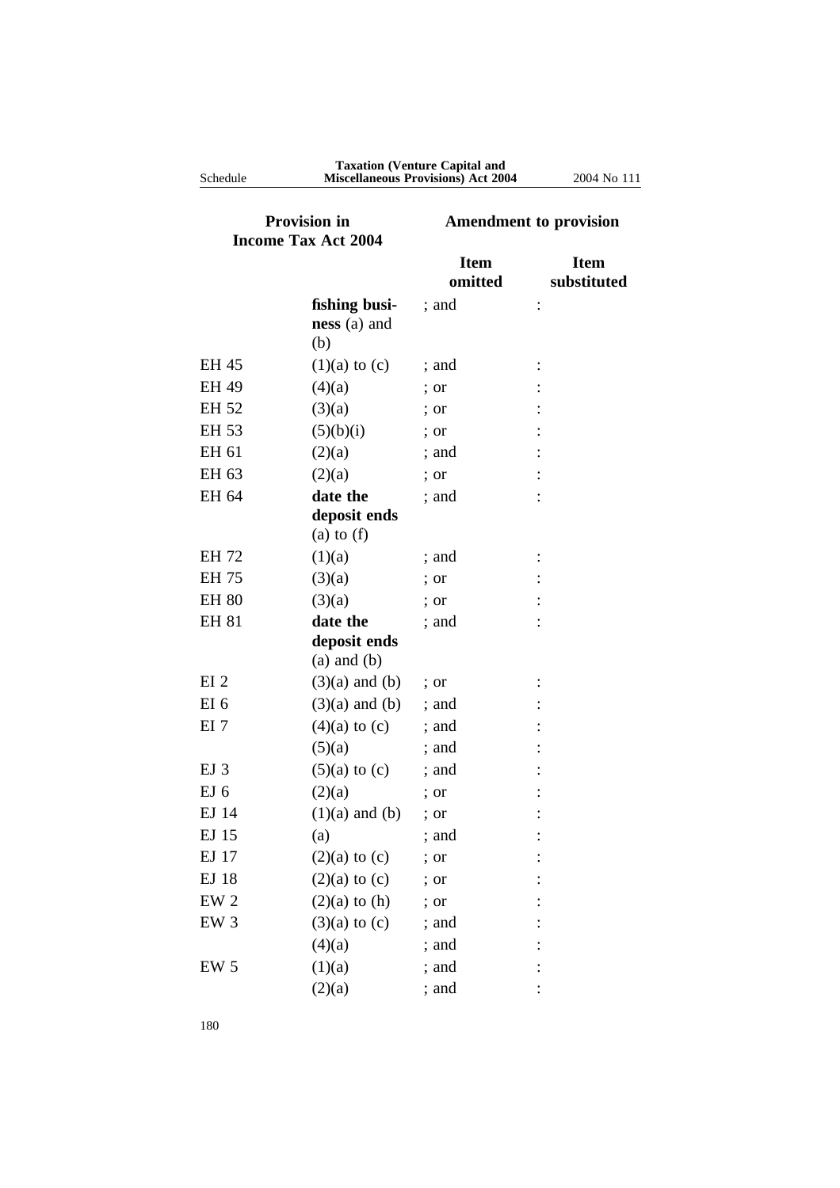| <b>Provision in</b><br><b>Income Tax Act 2004</b> |                                          | <b>Amendment to provision</b> |                            |
|---------------------------------------------------|------------------------------------------|-------------------------------|----------------------------|
|                                                   |                                          | <b>Item</b><br>omitted        | <b>Item</b><br>substituted |
|                                                   | fishing busi-<br>$ness(a)$ and<br>(b)    | ; and                         |                            |
| EH 45                                             | $(1)(a)$ to $(c)$                        | ; and                         |                            |
| <b>EH 49</b>                                      | (4)(a)                                   | ; or                          |                            |
| EH 52                                             | (3)(a)                                   | ; or                          |                            |
| EH 53                                             | (5)(b)(i)                                | ; or                          |                            |
| EH 61                                             | (2)(a)                                   | ; and                         |                            |
| EH 63                                             | (2)(a)                                   | ; or                          |                            |
| EH 64                                             | date the<br>deposit ends<br>(a) to $(f)$ | ; and                         |                            |
| <b>EH 72</b>                                      | (1)(a)                                   | ; and                         |                            |
| <b>EH 75</b>                                      | (3)(a)                                   | $:$ or                        |                            |
| <b>EH 80</b>                                      | (3)(a)                                   | ; or                          |                            |
| <b>EH 81</b>                                      | date the                                 | ; and                         |                            |
|                                                   | deposit ends<br>$(a)$ and $(b)$          |                               |                            |
| EI <sub>2</sub>                                   | $(3)(a)$ and $(b)$                       | ; or                          |                            |
| EI 6                                              | $(3)(a)$ and $(b)$                       | ; and                         |                            |
| EI <sub>7</sub>                                   | $(4)(a)$ to $(c)$                        | ; and                         |                            |
|                                                   | (5)(a)                                   | ; and                         |                            |
| EJ <sub>3</sub>                                   | $(5)(a)$ to $(c)$                        | ; and                         |                            |
| EJ <sub>6</sub>                                   | (2)(a)                                   | ; or                          |                            |
| EJ 14                                             | $(1)(a)$ and $(b)$                       | $:$ or                        |                            |
| EJ 15                                             | (a)                                      | ; and                         |                            |
| EJ 17                                             | $(2)(a)$ to $(c)$                        | ; or                          |                            |
| EJ 18                                             | $(2)(a)$ to $(c)$                        | ; or                          |                            |
| EW <sub>2</sub>                                   | $(2)(a)$ to $(h)$                        | ; or                          |                            |
| EW <sub>3</sub>                                   | $(3)(a)$ to $(c)$                        | ; and                         |                            |
|                                                   | (4)(a)                                   | ; and                         |                            |
| EW <sub>5</sub>                                   | (1)(a)                                   | ; and                         |                            |
|                                                   | (2)(a)                                   | ; and                         |                            |

**Taxation (Venture Capital and** Schedule **Miscellaneous Provisions) Act 2004** 2004 No 111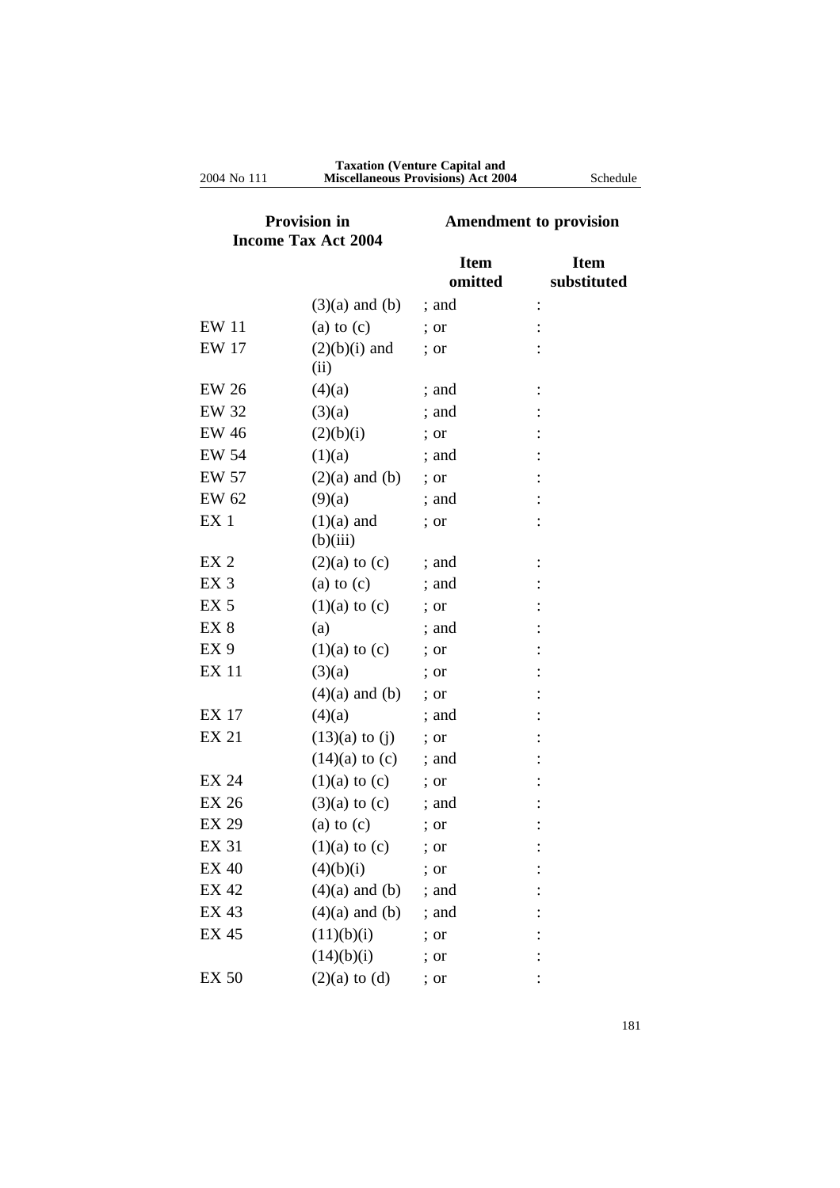| <b>Provision in</b><br><b>Income Tax Act 2004</b> |                          | <b>Amendment to provision</b> |                            |
|---------------------------------------------------|--------------------------|-------------------------------|----------------------------|
|                                                   |                          | <b>Item</b><br>omitted        | <b>Item</b><br>substituted |
|                                                   | $(3)(a)$ and $(b)$       | ; and                         | $\ddot{\cdot}$             |
| <b>EW 11</b>                                      | $(a)$ to $(c)$           | ; or                          |                            |
| <b>EW 17</b>                                      | $(2)(b)(i)$ and<br>(ii)  | ; or                          |                            |
| <b>EW 26</b>                                      | (4)(a)                   | ; and                         |                            |
| <b>EW 32</b>                                      | (3)(a)                   | ; and                         |                            |
| <b>EW 46</b>                                      | (2)(b)(i)                | ; or                          |                            |
| <b>EW 54</b>                                      | (1)(a)                   | ; and                         |                            |
| EW 57                                             | $(2)(a)$ and $(b)$       | ; or                          |                            |
| EW 62                                             | (9)(a)                   | : and                         |                            |
| EX <sub>1</sub>                                   | $(1)(a)$ and<br>(b)(iii) | ; or                          |                            |
| EX <sub>2</sub>                                   | $(2)(a)$ to $(c)$        | ; and                         |                            |
| EX <sub>3</sub>                                   | (a) to $(c)$             | ; and                         |                            |
| EX <sub>5</sub>                                   | $(1)(a)$ to $(c)$        | ; or                          |                            |
| EX <sub>8</sub>                                   | (a)                      | ; and                         |                            |
| EX <sub>9</sub>                                   | $(1)(a)$ to $(c)$        | ; or                          |                            |
| <b>EX 11</b>                                      | (3)(a)                   | ; or                          |                            |
|                                                   | $(4)(a)$ and $(b)$       | ; or                          |                            |
| <b>EX 17</b>                                      | (4)(a)                   | ; and                         |                            |
| EX 21                                             | $(13)(a)$ to $(j)$       | ; or                          |                            |
|                                                   | $(14)(a)$ to $(c)$       | ; and                         |                            |
| <b>EX 24</b>                                      | $(1)(a)$ to $(c)$        | ; or                          |                            |
| <b>EX 26</b>                                      | $(3)(a)$ to $(c)$        | ; and                         |                            |
| <b>EX 29</b>                                      | $(a)$ to $(c)$           | ; or                          |                            |
| EX 31                                             | $(1)(a)$ to $(c)$        | ; or                          |                            |
| <b>EX 40</b>                                      | (4)(b)(i)                | ; or                          |                            |
| <b>EX 42</b>                                      | $(4)(a)$ and $(b)$       | ; and                         |                            |
| EX 43                                             | $(4)(a)$ and $(b)$       | ; and                         |                            |
| <b>EX 45</b>                                      | (11)(b)(i)               | ; or                          |                            |
|                                                   | (14)(b)(i)               | ; or                          |                            |
| <b>EX 50</b>                                      | $(2)(a)$ to $(d)$        | ; or                          |                            |